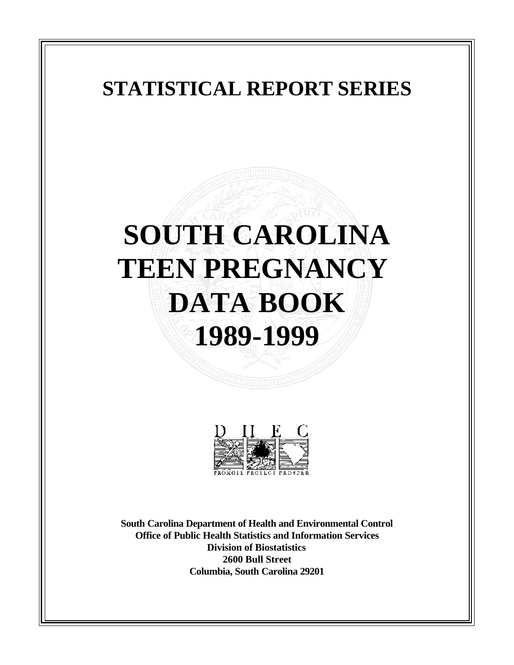# **STATISTICAL REPORT SERIES**

# **SOUTH CAROLINA TEEN PREGNANCY DATA BOOK 1989-1999**



**South Carolina Department of Health and Environmental Control Office of Public Health Statistics and Information Services Division of Biostatistics 2600 Bull Street Columbia, South Carolina 29201**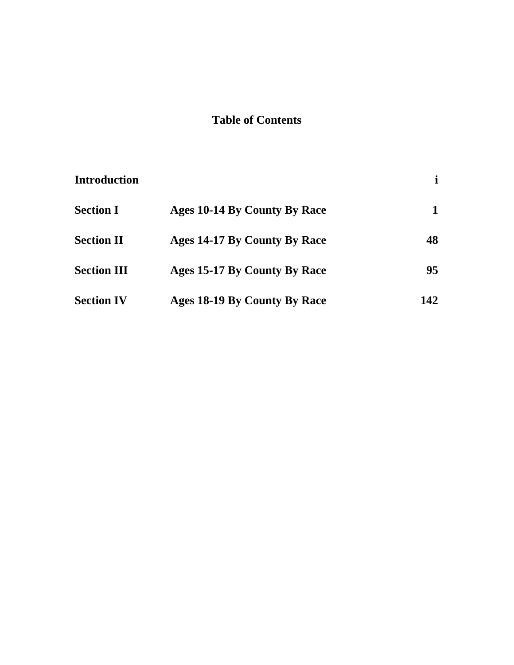## **Table of Contents**

| <b>Introduction</b> |                              |     |
|---------------------|------------------------------|-----|
| <b>Section I</b>    | Ages 10-14 By County By Race |     |
| <b>Section II</b>   | Ages 14-17 By County By Race | 48  |
| <b>Section III</b>  | Ages 15-17 By County By Race | 95  |
| <b>Section IV</b>   | Ages 18-19 By County By Race | 142 |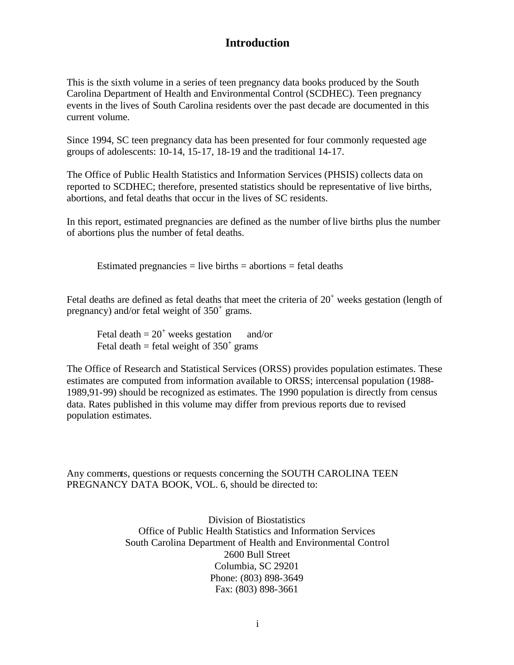### **Introduction**

<span id="page-2-0"></span>This is the sixth volume in a series of teen pregnancy data books produced by the South Carolina Department of Health and Environmental Control (SCDHEC). Teen pregnancy events in the lives of South Carolina residents over the past decade are documented in this current volume.

Since 1994, SC teen pregnancy data has been presented for four commonly requested age groups of adolescents: 10-14, 15-17, 18-19 and the traditional 14-17.

The Office of Public Health Statistics and Information Services (PHSIS) collects data on reported to SCDHEC; therefore, presented statistics should be representative of live births, abortions, and fetal deaths that occur in the lives of SC residents.

In this report, estimated pregnancies are defined as the number of live births plus the number of abortions plus the number of fetal deaths.

Estimated pregnancies  $=$  live births  $=$  abortions  $=$  fetal deaths

Fetal deaths are defined as fetal deaths that meet the criteria of  $20<sup>+</sup>$  weeks gestation (length of pregnancy) and/or fetal weight of  $350^+$  grams.

Fetal death  $= 20<sup>+</sup>$  weeks gestation and/or Fetal death = fetal weight of  $350^{\circ}$  grams

The Office of Research and Statistical Services (ORSS) provides population estimates. These estimates are computed from information available to ORSS; intercensal population (1988- 1989,91-99) should be recognized as estimates. The 1990 population is directly from census data. Rates published in this volume may differ from previous reports due to revised population estimates.

Any comments, questions or requests concerning the SOUTH CAROLINA TEEN PREGNANCY DATA BOOK, VOL. 6, should be directed to:

> Division of Biostatistics Office of Public Health Statistics and Information Services South Carolina Department of Health and Environmental Control 2600 Bull Street Columbia, SC 29201 Phone: (803) 898-3649 Fax: (803) 898-3661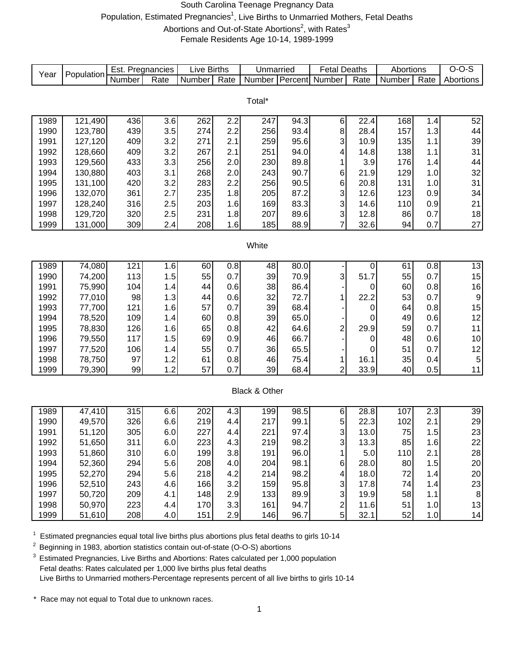#### South Carolina Teenage Pregnancy Data Population, Estimated Pregnancies<sup>1</sup>, Live Births to Unmarried Mothers, Fetal Deaths Abortions and Out-of-State Abortions<sup>2</sup>, with Rates<sup>3</sup> Female Residents Age 10-14, 1989-1999

<span id="page-3-0"></span>

|      | Population | Est. Pregnancies |      | <b>Live Births</b> |      | Unmarried     |                  | <b>Fetal Deaths</b> |      | Abortions |      | $O-O-S$     |
|------|------------|------------------|------|--------------------|------|---------------|------------------|---------------------|------|-----------|------|-------------|
| Year |            | Number           | Rate | Number             | Rate | Number        | <b>T</b> Percent | Number              | Rate | Number    | Rate | Abortions   |
|      |            |                  |      |                    |      |               |                  |                     |      |           |      |             |
|      |            |                  |      |                    |      | Total*        |                  |                     |      |           |      |             |
|      |            |                  |      |                    |      |               |                  |                     |      |           |      |             |
| 1989 | 121,490    | 436              | 3.6  | 262                | 2.2  | 247           | 94.3             | $\,6$               | 22.4 | 168       | 1.4  | 52          |
| 1990 | 123,780    | 439              | 3.5  | 274                | 2.2  | 256           | 93.4             | $\bf8$              | 28.4 | 157       | 1.3  | 44          |
| 1991 | 127,120    | 409              | 3.2  | 271                | 2.1  | 259           | 95.6             | 3                   | 10.9 | 135       | 1.1  | 39          |
| 1992 | 128,660    | 409              | 3.2  | 267                | 2.1  | 251           | 94.0             | 4                   | 14.8 | 138       | 1.1  | 31          |
| 1993 | 129,560    | 433              | 3.3  | 256                | 2.0  | 230           | 89.8             | 1                   | 3.9  | 176       | 1.4  | 44          |
| 1994 | 130,880    | 403              | 3.1  | 268                | 2.0  | 243           | 90.7             | 6                   | 21.9 | 129       | 1.0  | 32          |
| 1995 | 131,100    | 420              | 3.2  | 283                | 2.2  | 256           | 90.5             | 6                   | 20.8 | 131       | 1.0  | 31          |
| 1996 | 132,070    | 361              | 2.7  | 235                | 1.8  | 205           | 87.2             | 3                   | 12.6 | 123       | 0.9  | 34          |
| 1997 | 128,240    | 316              | 2.5  | 203                | 1.6  | 169           | 83.3             | 3                   | 14.6 | 110       | 0.9  | 21          |
| 1998 | 129,720    | 320              | 2.5  | 231                | 1.8  | 207           | 89.6             | 3                   | 12.8 | 86        | 0.7  | 18          |
| 1999 | 131,000    | 309              | 2.4  | 208                | 1.6  | 185           | 88.9             | $\overline{7}$      | 32.6 | 94        | 0.7  | 27          |
|      |            |                  |      |                    |      |               |                  |                     |      |           |      |             |
|      |            |                  |      |                    |      | White         |                  |                     |      |           |      |             |
|      |            |                  |      |                    |      |               |                  |                     |      |           |      |             |
| 1989 | 74,080     | 121              | 1.6  | 60                 | 0.8  | 48            | 80.0             |                     | 0    | 61        | 0.8  | 13          |
| 1990 | 74,200     | 113              | 1.5  | 55                 | 0.7  | 39            | 70.9             | 3                   | 51.7 | 55        | 0.7  | 15          |
| 1991 | 75,990     | 104              | 1.4  | 44                 | 0.6  | 38            | 86.4             |                     | 0    | 60        | 0.8  | 16          |
| 1992 | 77,010     | 98               | 1.3  | 44                 | 0.6  | 32            | 72.7             | 1                   | 22.2 | 53        | 0.7  | $\mathsf 9$ |
| 1993 | 77,700     | 121              | 1.6  | 57                 | 0.7  | 39            | 68.4             |                     | 0    | 64        | 0.8  | 15          |
| 1994 | 78,520     | 109              | 1.4  | 60                 | 0.8  | 39            | 65.0             |                     | 0    | 49        | 0.6  | 12          |
| 1995 | 78,830     | 126              | 1.6  | 65                 | 0.8  | 42            | 64.6             | $\overline{c}$      | 29.9 | 59        | 0.7  | 11          |
| 1996 | 79,550     | 117              | 1.5  | 69                 | 0.9  | 46            | 66.7             |                     | 0    | 48        | 0.6  | $10$        |
| 1997 | 77,520     | 106              | 1.4  | 55                 | 0.7  | 36            | 65.5             |                     | 0    | 51        | 0.7  | 12          |
| 1998 | 78,750     | 97               | 1.2  | 61                 | 0.8  | 46            | 75.4             | 1                   | 16.1 | 35        | 0.4  | $\mathbf 5$ |
| 1999 | 79,390     | 99               | 1.2  | 57                 | 0.7  | 39            | 68.4             | $\overline{2}$      | 33.9 | 40        | 0.5  | 11          |
|      |            |                  |      |                    |      |               |                  |                     |      |           |      |             |
|      |            |                  |      |                    |      | Black & Other |                  |                     |      |           |      |             |
|      |            |                  |      |                    |      |               |                  |                     |      |           |      |             |
| 1989 | 47,410     | 315              | 6.6  | 202                | 4.3  | 199           | 98.5             | $\,6$               | 28.8 | 107       | 2.3  | 39          |
| 1990 | 49,570     | 326              | 6.6  | 219                | 4.4  | 217           | 99.1             | 5                   | 22.3 | 102       | 2.1  | 29          |
| 1991 | 51,120     | 305              | 6.0  | 227                | 4.4  | 221           | 97.4             | 3                   | 13.0 | 75        | 1.5  | 23          |
| 1992 | 51,650     | 311              | 6.0  | 223                | 4.3  | 219           | 98.2             | 3 <sup>1</sup>      | 13.3 | 85        | 1.6  | 22          |
| 1993 | 51,860     | 310              | 6.0  | 199                | 3.8  | 191           | 96.0             | 1                   | 5.0  | 110       | 2.1  | 28          |
| 1994 | 52,360     | 294              | 5.6  | 208                | 4.0  | 204           | 98.1             | 6                   | 28.0 | 80        | 1.5  | 20          |
| 1995 | 52,270     | 294              | 5.6  | 218                | 4.2  | 214           | 98.2             | $\vert 4 \vert$     | 18.0 | 72        | 1.4  | 20          |
| 1996 | 52,510     | 243              | 4.6  | 166                | 3.2  | 159           | 95.8             | $\mathbf{3}$        | 17.8 | 74        | 1.4  | 23          |
| 1997 | 50,720     | 209              | 4.1  | 148                | 2.9  | 133           | 89.9             | $\overline{3}$      | 19.9 | 58        | 1.1  | 8           |
| 1998 | 50,970     | 223              | 4.4  | 170                | 3.3  | 161           | 94.7             | $\overline{2}$      | 11.6 | 51        | 1.0  | 13          |
| 1999 | 51,610     | 208              | 4.0  | 151                | 2.9  | 146           | 96.7             | 5                   | 32.1 | 52        | 1.0  | 14          |

 $1$  Estimated pregnancies equal total live births plus abortions plus fetal deaths to girls 10-14

<sup>2</sup> Beginning in 1983, abortion statistics contain out-of-state (O-O-S) abortions

<sup>3</sup> Estimated Pregnancies, Live Births and Abortions: Rates calculated per 1,000 population Fetal deaths: Rates calculated per 1,000 live births plus fetal deaths Live Births to Unmarried mothers-Percentage represents percent of all live births to girls 10-14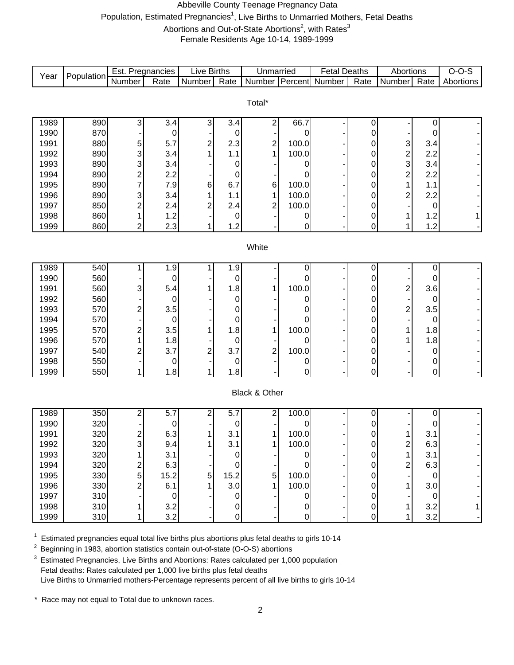#### Abbeville County Teenage Pregnancy Data Population, Estimated Pregnancies<sup>1</sup>, Live Births to Unmarried Mothers, Fetal Deaths Abortions and Out-of-State Abortions<sup>2</sup>, with Rates<sup>3</sup>

Female Residents Age 10-14, 1989-1999

|      |            | Est. Pregnancies          |             | <b>Live Births</b> |             | Unmarried               |       | <b>Fetal Deaths</b> |      | Abortions               |                  | $O-O-S$   |
|------|------------|---------------------------|-------------|--------------------|-------------|-------------------------|-------|---------------------|------|-------------------------|------------------|-----------|
| Year | Population | <b>Number</b>             | Rate        | Number             | Rate        | Number Percent          |       | Number              | Rate | Number                  | Rate             | Abortions |
|      |            |                           |             |                    |             |                         |       |                     |      |                         |                  |           |
|      |            |                           |             |                    |             | Total*                  |       |                     |      |                         |                  |           |
|      |            |                           |             |                    |             |                         |       |                     |      |                         |                  |           |
| 1989 | 890        | 3                         | 3.4         | 3                  | 3.4         | $\overline{c}$          | 66.7  |                     | 0    |                         | 0                |           |
| 1990 | 870        |                           | 0           |                    | 0           |                         | 0     |                     | 0    |                         | 0                |           |
| 1991 | 880        | 5                         | 5.7         | 2                  | 2.3         | $\overline{\mathbf{c}}$ | 100.0 |                     | 0    | 3                       | 3.4              |           |
| 1992 | 890        | 3                         | 3.4         |                    | 1.1         | 1                       | 100.0 |                     | 0    | $\overline{\mathbf{c}}$ | 2.2              |           |
| 1993 | 890        | 3                         | 3.4         |                    | $\mathbf 0$ |                         | 0     |                     | 0    | 3                       | 3.4              |           |
| 1994 | 890        | $\overline{\mathbf{c}}$   | 2.2         |                    | $\mathbf 0$ |                         | 0     |                     | 0    | $\overline{\mathbf{c}}$ | 2.2              |           |
| 1995 | 890        | $\overline{7}$            | 7.9         | 6                  | 6.7         | 6                       | 100.0 |                     | 0    | 1                       | 1.1              |           |
| 1996 | 890        | $\ensuremath{\mathsf{3}}$ | 3.4         |                    | 1.1         | 1                       | 100.0 |                     | 0    | 2                       | 2.2              |           |
| 1997 | 850        | $\overline{\mathbf{c}}$   | 2.4         | $\overline{c}$     | 2.4         | 2                       | 100.0 |                     | 0    |                         | $\boldsymbol{0}$ |           |
| 1998 | 860        | $\mathbf{1}$              | 1.2         |                    | 0           |                         | 0     |                     | 0    | 1                       | 1.2              |           |
| 1999 | 860        | $\overline{a}$            | 2.3         | 1                  | 1.2         |                         | 0     |                     | 0    | 1                       | 1.2              |           |
|      |            |                           |             |                    |             |                         |       |                     |      |                         |                  |           |
|      |            |                           |             |                    |             | White                   |       |                     |      |                         |                  |           |
| 1989 | 540        | 1                         | 1.9         | 1                  | 1.9         |                         | 0     |                     | 0    |                         | $\pmb{0}$        |           |
| 1990 | 560        |                           | 0           |                    | 0           |                         | 0     |                     | 0    |                         | 0                |           |
| 1991 | 560        | 3                         | 5.4         |                    | 1.8         | 1                       | 100.0 |                     | 0    | $\overline{\mathbf{c}}$ | 3.6              |           |
| 1992 | 560        |                           | 0           |                    | 0           |                         | 0     |                     | 0    |                         | 0                |           |
| 1993 | 570        | 2                         | 3.5         |                    | 0           |                         | 0     |                     | 0    | $\overline{\mathbf{c}}$ | 3.5              |           |
| 1994 | 570        |                           | 0           |                    | 0           |                         | 0     |                     | 0    |                         | 0                |           |
| 1995 | 570        | $\overline{\mathbf{c}}$   | 3.5         |                    | 1.8         | 1                       | 100.0 |                     | 0    | 1                       | 1.8              |           |
| 1996 | 570        | 1                         | 1.8         |                    | 0           |                         | 0     |                     | 0    | 1                       | 1.8              |           |
| 1997 | 540        | 2                         | 3.7         | $\overline{c}$     | 3.7         | 2                       | 100.0 |                     | 0    |                         | 0                |           |
| 1998 | 550        |                           | 0           |                    | 0           |                         | 0     |                     | 0    |                         | $\pmb{0}$        |           |
| 1999 | 550        | 1                         | 1.8         | 1                  | 1.8         |                         | 0     |                     | 0    |                         | $\pmb{0}$        |           |
|      |            |                           |             |                    |             |                         |       |                     |      |                         |                  |           |
|      |            |                           |             |                    |             | Black & Other           |       |                     |      |                         |                  |           |
|      |            |                           |             |                    |             |                         |       |                     |      |                         |                  |           |
| 1989 | 350        | 2                         | 5.7         | 2                  | 5.7         | 2                       | 100.0 |                     | 0    |                         | 0                |           |
| 1990 | 320        |                           | 0           |                    | 0           |                         | 0     |                     | 0    |                         | 0                |           |
| 1991 | 320        | $\mathbf{2}$              | 6.3         | 1                  | 3.1         | 1                       | 100.0 |                     | 0    | 1                       | 3.1              |           |
| 1992 | 320        | $\mathbf{3}$              | 9.4         | 1                  | 3.1         | 1.                      | 100.0 |                     | 0    | 2                       | 6.3              |           |
| 1993 | 320        |                           | 3.1         |                    | 0           |                         | 0     |                     | 0    | 1                       | 3.1              |           |
| 1994 | 320        | 2                         | 6.3         |                    | 0           |                         | 0     |                     | 0    | $\overline{\mathbf{c}}$ | 6.3              |           |
| 1995 | 330        | 5                         | 15.2        | 5                  | 15.2        | 5                       | 100.0 |                     | 0    |                         | 0                |           |
| 1996 | 330        | $\overline{\mathbf{c}}$   | 6.1         |                    | 3.0         |                         | 100.0 |                     | 0    | 1                       | 3.0              |           |
| 1997 | 310        |                           | $\mathbf 0$ |                    | $\pmb{0}$   |                         | 0     |                     | 0    |                         | 0                |           |
| 1998 | 310        | 1                         | 3.2         |                    | $\pmb{0}$   |                         | 0     |                     | 0    | 1                       | 3.2              | 1         |
| 1999 | 310        | 1                         | 3.2         |                    | 0           |                         | 0     |                     | 0    | 1                       | 3.2              |           |

 $1$  Estimated pregnancies equal total live births plus abortions plus fetal deaths to girls 10-14

2 Beginning in 1983, abortion statistics contain out-of-state (O-O-S) abortions

<sup>3</sup> Estimated Pregnancies, Live Births and Abortions: Rates calculated per 1,000 population Fetal deaths: Rates calculated per 1,000 live births plus fetal deaths Live Births to Unmarried mothers-Percentage represents percent of all live births to girls 10-14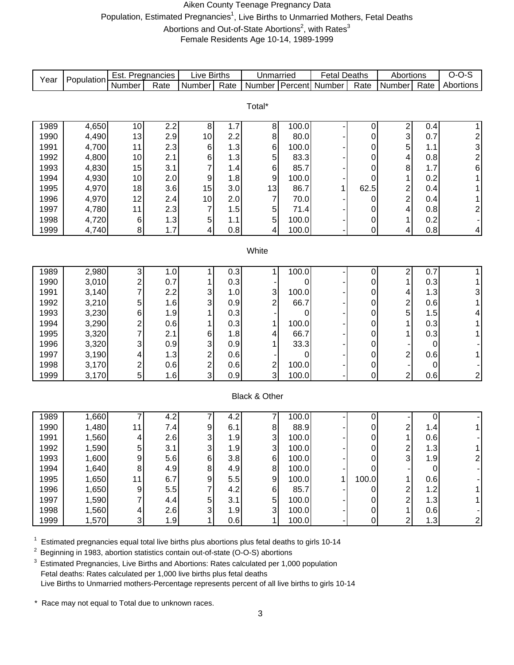#### Aiken County Teenage Pregnancy Data Population, Estimated Pregnancies<sup>1</sup>, Live Births to Unmarried Mothers, Fetal Deaths Abortions and Out-of-State Abortions<sup>2</sup>, with Rates<sup>3</sup> Female Residents Age 10-14, 1989-1999

| Year | Population | Est. Pregnancies        |      | <b>Live Births</b>      |      | Unmarried      |         | <b>Fetal Deaths</b> |             | Abortions               |             | $O-O-S$                                                |
|------|------------|-------------------------|------|-------------------------|------|----------------|---------|---------------------|-------------|-------------------------|-------------|--------------------------------------------------------|
|      |            | Number                  | Rate | Number                  | Rate | <b>Number</b>  | Percent | Number              | Rate        | Number                  | Rate        | Abortions                                              |
|      |            |                         |      |                         |      |                |         |                     |             |                         |             |                                                        |
|      |            |                         |      |                         |      | Total*         |         |                     |             |                         |             |                                                        |
| 1989 | 4,650      | 10                      | 2.2  | 8                       | 1.7  | 8              | 100.0   |                     | $\mathbf 0$ | $\overline{2}$          | 0.4         | 1                                                      |
| 1990 | 4,490      | 13                      | 2.9  | 10                      | 2.2  | 8              | 80.0    |                     | 0           | 3                       | 0.7         |                                                        |
| 1991 | 4,700      | 11                      | 2.3  | $\,6$                   | 1.3  | 6              | 100.0   |                     | 0           | 5                       | 1.1         | $\begin{array}{c}\n 2 \\  3 \\  2 \\  6\n \end{array}$ |
| 1992 | 4,800      | 10                      | 2.1  | 6                       | 1.3  | 5              | 83.3    |                     | 0           | 4                       | 0.8         |                                                        |
| 1993 | 4,830      | 15                      | 3.1  | 7                       | 1.4  | 6              | 85.7    |                     | 0           | 8                       | $1.7$       |                                                        |
| 1994 | 4,930      | 10                      | 2.0  | 9                       | 1.8  | 9              | 100.0   |                     | 0           | 1                       | 0.2         | 1                                                      |
| 1995 | 4,970      | 18                      | 3.6  | 15                      | 3.0  | 13             | 86.7    | 1                   | 62.5        | $\frac{2}{2}$           | 0.4         |                                                        |
| 1996 | 4,970      | 12                      | 2.4  | 10                      | 2.0  | $\overline{7}$ | 70.0    |                     | 0           |                         | 0.4         | 1                                                      |
| 1997 | 4,780      | 11                      | 2.3  | 7                       | 1.5  | 5              | 71.4    |                     | 0           | 4                       | 0.8         | $\overline{\mathbf{c}}$                                |
| 1998 | 4,720      | $\,6$                   | 1.3  | $\sqrt{5}$              | 1.1  | 5              | 100.0   |                     | 0           | 1                       | 0.2         |                                                        |
| 1999 | 4,740      | $\bf 8$                 | 1.7  | 4                       | 0.8  | 4              | 100.0   |                     | 0           | 4                       | 0.8         | $\vert 4 \vert$                                        |
|      |            |                         |      |                         |      |                |         |                     |             |                         |             |                                                        |
|      |            |                         |      |                         |      | White          |         |                     |             |                         |             |                                                        |
| 1989 | 2,980      | 3                       | 1.0  | 1                       | 0.3  | 1              | 100.0   |                     | 0           | $\overline{\mathbf{c}}$ | 0.7         | 1                                                      |
| 1990 | 3,010      | $\overline{\mathbf{c}}$ | 0.7  |                         | 0.3  |                | 0       |                     | 0           | 1                       | 0.3         | 1                                                      |
| 1991 | 3,140      | $\overline{7}$          | 2.2  | 3                       | 1.0  | 3              | 100.0   |                     | 0           | 4                       | 1.3         | 3                                                      |
| 1992 | 3,210      | 5                       | 1.6  | 3                       | 0.9  | $\overline{c}$ | 66.7    |                     | 0           | $\overline{\mathbf{c}}$ | 0.6         | 1                                                      |
| 1993 | 3,230      | 6                       | 1.9  |                         | 0.3  |                | 0       |                     | 0           | 5                       | 1.5         | 4                                                      |
| 1994 | 3,290      | $\overline{\mathbf{c}}$ | 0.6  |                         | 0.3  | 1              | 100.0   |                     | 0           | 1                       | 0.3         |                                                        |
| 1995 | 3,320      | 7                       | 2.1  | 6                       | 1.8  | 4              | 66.7    |                     | 0           | 1                       | 0.3         |                                                        |
| 1996 | 3,320      | 3                       | 0.9  | 3                       | 0.9  | 1              | 33.3    |                     | 0           |                         | 0           |                                                        |
| 1997 | 3,190      | 4                       | 1.3  | $\overline{\mathbf{c}}$ | 0.6  |                | 0       |                     | 0           | $\overline{\mathbf{c}}$ | 0.6         |                                                        |
| 1998 | 3,170      | $\overline{\mathbf{c}}$ | 0.6  | $\overline{c}$          | 0.6  | $\frac{2}{3}$  | 100.0   |                     | 0           |                         | 0           |                                                        |
| 1999 | 3,170      | 5                       | 1.6  | 3                       | 0.9  |                | 100.0   |                     | 0           | $\overline{2}$          | 0.6         | $\mathbf{2}$                                           |
|      |            |                         |      |                         |      | Black & Other  |         |                     |             |                         |             |                                                        |
|      |            |                         |      |                         |      |                |         |                     |             |                         |             |                                                        |
| 1989 | 1,660      | 7                       | 4.2  | 7                       | 4.2  | 7              | 100.0   |                     | 0           |                         | $\pmb{0}$   |                                                        |
| 1990 | 1,480      | 11                      | 7.4  | 9                       | 6.1  | $\,$ 8 $\,$    | 88.9    |                     | 0           | $\overline{\mathbf{c}}$ | 1.4         |                                                        |
| 1991 | 1,560      | 4                       | 2.6  | 3                       | 1.9  | 3              | 100.0   |                     | 0           | 1                       | 0.6         |                                                        |
| 1992 | 1,590      | 5                       | 3.1  | 3                       | 1.9  | 3              | 100.0   |                     | O           | $\overline{a}$          | 1.3         |                                                        |
| 1993 | 1,600      | 9                       | 5.6  | 6                       | 3.8  | $\,6$          | 100.0   |                     | 0           | 3                       | 1.9         | $\overline{\mathbf{c}}$                                |
| 1994 | 1,640      | 8                       | 4.9  | 8                       | 4.9  | 8              | 100.0   |                     | 0           |                         | $\mathbf 0$ |                                                        |
| 1995 | 1,650      | 11                      | 6.7  | 9                       | 5.5  | 9              | 100.0   |                     | 100.0       | 1                       | 0.6         |                                                        |
| 1996 | 1,650      | 9                       | 5.5  | 7                       | 4.2  | $\,6$          | 85.7    |                     | 0           | $\overline{\mathbf{c}}$ | 1.2         |                                                        |
| 1997 | 1,590      | 7                       | 4.4  | 5                       | 3.1  | 5              | 100.0   |                     | 0           | $\overline{c}$          | 1.3         |                                                        |
| 1998 | 1,560      | 4                       | 2.6  | 3                       | 1.9  | $\mathbf{3}$   | 100.0   |                     | 0           | $\mathbf 1$             | 0.6         |                                                        |
| 1999 | 1,570      | 3                       | 1.9  |                         | 0.6  | $\mathbf{1}$   | 100.0   |                     | 0           | $\overline{c}$          | 1.3         | $\overline{c}$                                         |

 $1$  Estimated pregnancies equal total live births plus abortions plus fetal deaths to girls 10-14

<sup>2</sup> Beginning in 1983, abortion statistics contain out-of-state (O-O-S) abortions

<sup>3</sup> Estimated Pregnancies, Live Births and Abortions: Rates calculated per 1,000 population Fetal deaths: Rates calculated per 1,000 live births plus fetal deaths Live Births to Unmarried mothers-Percentage represents percent of all live births to girls 10-14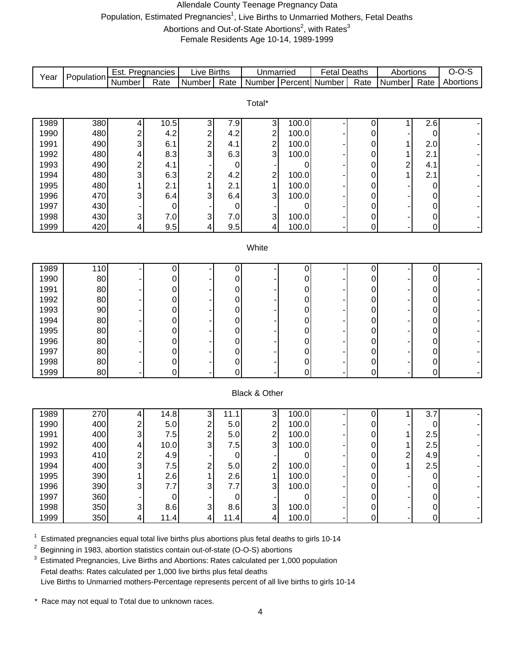#### Allendale County Teenage Pregnancy Data Population, Estimated Pregnancies<sup>1</sup>, Live Births to Unmarried Mothers, Fetal Deaths Abortions and Out-of-State Abortions<sup>2</sup>, with Rates<sup>3</sup> Female Residents Age 10-14, 1989-1999

| $v_{\text{ear}}$ |            | Est.<br>Pregnancies |      | ∟lve ' | <b>Births</b> | Unmarried |                  | ⊡eta⊩  | Deaths | Abortions |      |           |
|------------------|------------|---------------------|------|--------|---------------|-----------|------------------|--------|--------|-----------|------|-----------|
|                  | Population | Number              | Rate | Number | Rate          | Number    | <b>IPercentl</b> | Number | Rate   | Number    | Rate | Abortions |

| Total* |     |   |      |                |     |   |       |  |   |   |     |   |  |
|--------|-----|---|------|----------------|-----|---|-------|--|---|---|-----|---|--|
| 1989   | 380 |   | 10.5 | ົ              | 7.9 | 3 | 100.0 |  |   |   | 2.6 | ۰ |  |
| 1990   | 480 | ◠ | 4.2  | ◠              | 4.2 | 2 | 100.0 |  | 0 |   |     |   |  |
| 1991   | 490 | 3 | 6.1  | ◠              | 4.1 | 2 | 100.0 |  | 0 |   | 2.0 |   |  |
| 1992   | 480 | 4 | 8.3  | 3              | 6.3 | 3 | 100.0 |  | 0 |   | 2.1 |   |  |
| 1993   | 490 | ◠ | 4.1  |                |     |   |       |  | 0 | ⌒ | 4.1 |   |  |
| 1994   | 480 | 3 | 6.3  | C              | 4.2 | 2 | 100.0 |  | 0 |   | 2.1 |   |  |
| 1995   | 480 |   | 2.1  |                | 2.1 |   | 100.0 |  | 0 | - |     |   |  |
| 1996   | 470 | 3 | 6.4  | 3              | 6.4 | 3 | 100.0 |  | 0 |   |     |   |  |
| 1997   | 430 |   | 0    |                |     |   |       |  | 0 |   |     |   |  |
| 1998   | 430 | 3 | 7.0  | 3 <sub>l</sub> | 7.0 | 3 | 100.0 |  | 0 |   |     |   |  |
| 1999   | 420 | 4 | 9.5  | 4              | 9.5 | 4 | 100.0 |  | 0 |   |     |   |  |

#### **White**

| 1989 | 110 |   |    |   |   |   |   |  |
|------|-----|---|----|---|---|---|---|--|
| 1990 | 80  |   | 0  |   |   |   |   |  |
| 1991 | 80  | 0 | 0  | 0 |   | - |   |  |
| 1992 | 80  | 0 | 0  | 0 | ⌒ | - |   |  |
| 1993 | 90  | 0 | 01 | 0 | ⌒ | - |   |  |
| 1994 | 80  | 0 | 01 | 0 |   | - |   |  |
| 1995 | 80  | 0 | 0  | 0 | ⌒ | - |   |  |
| 1996 | 80  | 0 | n. | 0 | ⌒ | - |   |  |
| 1997 | 80  | 0 | 0  | 0 |   | - |   |  |
| 1998 | 80  | 0 | 0  | 0 | ⌒ |   | ◠ |  |
| 1999 | 80  | 0 | 0  | 0 |   |   |   |  |

#### Black & Other

| 1989 | 270 | 4 | 14.8 | $\sim$ | 11.1                                     | 3            | 100.0 | u |   | 3.7<br>⇁ |  |
|------|-----|---|------|--------|------------------------------------------|--------------|-------|---|---|----------|--|
| 1990 | 400 | ົ | 5.0  | ◠      | 5.0                                      | C<br>∠       | 100.0 | 0 |   |          |  |
| 1991 | 400 | 3 | 7.5  | ◠      | 5.0                                      | ⌒<br>∠       | 100.0 | 0 |   | 2.5      |  |
| 1992 | 400 | 4 | 10.0 | ◠      | 7.5 <sub>1</sub>                         | 3            | 100.0 | 0 |   | 2.5      |  |
| 1993 | 410 | ◠ | 4.9  |        |                                          |              |       | 0 | ⌒ | 4.9      |  |
| 1994 | 400 | 3 | 7.5  | ົ      | 5.0                                      | ⌒            | 100.0 | 0 |   | 2.5      |  |
| 1995 | 390 |   | 2.6  |        | 2.6                                      |              | 100.0 | 0 |   |          |  |
| 1996 | 390 | 3 | 7.7  | ◠      | $\overline{\phantom{a}}$<br>$.7^{\circ}$ | $\mathbf{3}$ | 100.0 | 0 |   |          |  |
| 1997 | 360 |   | 0    |        |                                          |              |       | 0 |   |          |  |
| 1998 | 350 | 3 | 8.6  | 3      | 8.6                                      | 3            | 100.0 | 0 |   |          |  |
| 1999 | 350 | 4 | 11.4 |        | 11.4                                     | 4            | 100.0 | 0 |   |          |  |

 $1$  Estimated pregnancies equal total live births plus abortions plus fetal deaths to girls 10-14

2 Beginning in 1983, abortion statistics contain out-of-state (O-O-S) abortions

<sup>3</sup> Estimated Pregnancies, Live Births and Abortions: Rates calculated per 1,000 population Fetal deaths: Rates calculated per 1,000 live births plus fetal deaths Live Births to Unmarried mothers-Percentage represents percent of all live births to girls 10-14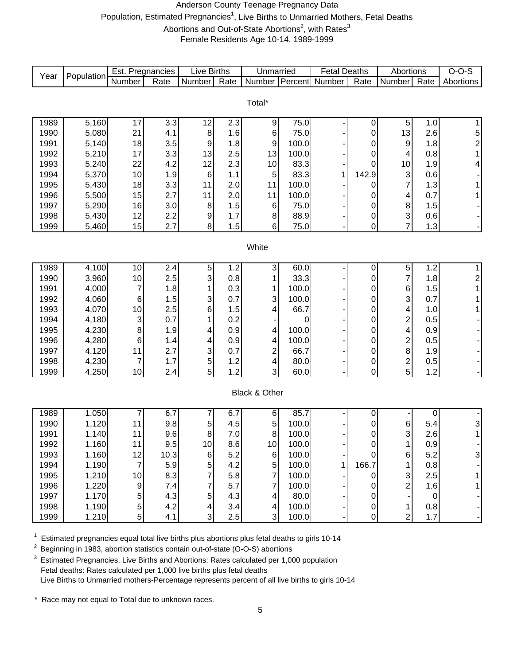#### Anderson County Teenage Pregnancy Data Population, Estimated Pregnancies<sup>1</sup>, Live Births to Unmarried Mothers, Fetal Deaths Abortions and Out-of-State Abortions<sup>2</sup>, with Rates<sup>3</sup> Female Residents Age 10-14, 1989-1999

Number Rate Number Rate Number Percent Number Rate Number Rate 1989 | 5,160 | 17 | 3.3 | 12 | 2.3 | 9 | 75.0 | - | 0 | 5 | 1.0 | 1 1990 | 5,080 | 21 | 4.1 | 8 | 1.6 | 6 | 75.0 | - | 0 | 13 | 2.6 | 5 1991 | 5,140 | 18 | 3.5 | 9 | 1.8 | 9 | 100.0 | - | 0 | 9 | 1.8 | 2 1992 | 5,210 | 17 | 3.3 | 13 | 2.5 | 13 | 100.0 | - | 0 | 4 | 0.8 | 1 1993 | 5,240 | 22 | 4.2 | 12 | 2.3 | 10 | 83.3 | - | 0 | 10 | 1.9 | 4 1994 5,370 10 1.9 6 1.1 5 83.3 1 142.9 3 0.6 - 1995 | 5,430 | 18 | 3.3 | 11 | 2.0 | 11 | 100.0 | - | 0 | 7 | 1.3 | 1 1996 | 5,500 | 15 | 2.7 | 11 | 2.0 | 11 | 100.0 | - | 0 | 4 | 0.7 | 1 1997 | 5,290 | 16 | 3.0 | 8 | 1.5 | 6 | 75.0 | - 0 | 8 | 1.5 | -1998 | 5,430 | 12 | 2.2 | 9 | 1.7 | 8 | 88.9 | - | 0 | 3 | 0.6 | -1999 | 5,460 | 15 | 2.7 | 8 | 1.5 | 6 | 75.0 | - | 0 | 7 | 1.3 | -1989 | 4,100 | 10 | 2.4 | 5 | 1.2 | 3 | 60.0 | - | 0 | 5 | 1.2 | 1 1990 | 3,960 | 10 | 2.5 | 3 | 0.8 | 1 | 33.3 | - | 0 | 7 | 1.8 | 2 1991 | 4,000 | 7 | 1.8 | 1 | 0.3 | 1 | 100.0 | - | 0 | 6 | 1.5 | 1 1992 | 4,060 | 6 | 1.5 | 3 | 0.7 | 3 | 100.0 | - | 0 | 3 | 0.7 | 1 1993 | 4,070 | 10 | 2.5 | 6 | 1.5 | 4 | 66.7 | - | 0 | 4 | 1.0 | 1 1994 | 4,180 | 3 | 0.7 | 1 | 0.2 | - | 0 | - | 0 | 2 | 0.5 | -1995 | 4,230 | 8 | 1.9 | 4 | 0.9 | 4 | 100.0 | - | 0 | 4 | 0.9 | -1996 | 4,280 | 6 | 1.4 | 4 | 0.9 | 4 | 100.0 | - | 0 | 2 | 0.5 | -1997 | 4,120 | 11 | 2.7 | 3 | 0.7 | 2 | 66.7 | - | 0 | 8 | 1.9 | -1998 | 4,230 | 7 | 1.7 | 5 | 1.2 | 4 | 80.0 | - | 0 | 2 | 0.5 | -1999 | 4,250 | 10 | 2.4 | 5 | 1.2 | 3 | 60.0 | - | 0 | 5 | 1.2 | -1989 | 1,050 | 7 | 6.7 | 7 | 6.7 | 6 | 85.7 | - | 0 | - | 0 | -1990 1,120 11 9.8 5 4.5 5 100.0 - 0 6 5.4 3 1991 | 1,140 | 11 | 9.6 | 8 | 7.0 | 8 | 100.0 | - | 0 | 3 | 2.6 | 1 1992 | 1,160 | 11 | 9.5 | 10 | 8.6 | 10 | 100.0 | - | 0 | 1 | 0.9 | -1993 | 1,160 | 12 | 10.3 | 6 | 5.2 | 6 | 100.0 | - | 0 | 6 | 5.2 | 3 1994 | 1,190 | 7 | 5.9 | 5 | 4.2 | 5 | 100.0 | 1 | 166.7 | 1 | 0.8 | -1995 | 1,210 | 10 | 8.3 | 7 | 5.8 | 7 | 100.0 | - | 0 | 3 | 2.5 | 1 1996 | 1,220 | 9 | 7.4 | 7 | 5.7 | 7 | 100.0 | - | 0 | 2 | 1.6 | 1 1997 | 1,170 | 5 | 4.3 | 5 | 4.3 | 4 | 80.0 | - | 0 | - | 0 | -1998 | 1,190 | 5 | 4.2 | 4 | 3.4 | 4 | 100.0 | - | 0 | 1 | 0.8 | -1999 | 1,210 | 5 | 4.1 | 3 | 2.5 | 3 | 100.0 | - | 0 | 2 | 1.7 | -Live Births **White** Black & Other Total\* Unmarried | Fetal Deaths | Abortions | O-O-S Year Population Est. Pregnancies Live Births | Unmarried | Fetal Deaths | Abortions | O-O-S<br>Year Population Number Rate Number Rate Number Percent Number Rate Number Rate Abortions

1 <sup>1</sup> Estimated pregnancies equal total live births plus abortions plus fetal deaths to girls 10-14<br><sup>2</sup> Beginning in 1983, abortion statistics contain out-of-state (O-O-S) abortions

2 Beginning in 1983, abortion statistics contain out-of-state (O-O-S) abortions

 $3$  Estimated Pregnancies, Live Births and Abortions: Rates calculated per 1,000 population Fetal deaths: Rates calculated per 1,000 live births plus fetal deaths Live Births to Unmarried mothers-Percentage represents percent of all live births to girls 10-14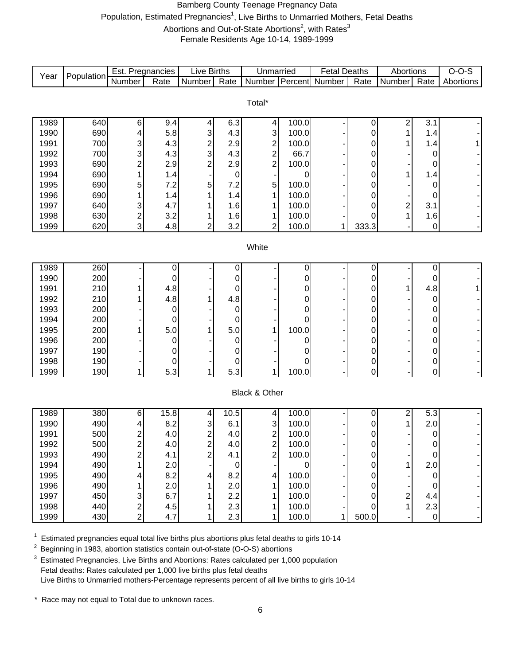#### Bamberg County Teenage Pregnancy Data Population, Estimated Pregnancies<sup>1</sup>, Live Births to Unmarried Mothers, Fetal Deaths Abortions and Out-of-State Abortions<sup>2</sup>, with Rates<sup>3</sup> Female Residents Age 10-14, 1989-1999

|                                        | Est. Pregnancies | Live Births             |                  | Unmarried       |       | <b>Fetal Deaths</b>   |           | Abortions      |                | $O-O-S$   |
|----------------------------------------|------------------|-------------------------|------------------|-----------------|-------|-----------------------|-----------|----------------|----------------|-----------|
| Population<br>Year<br>Number           | Rate             | Number                  | Rate             | Number          |       | <b>Percent</b> Number | Rate      | Number         | Rate           | Abortions |
|                                        |                  |                         |                  |                 |       |                       |           |                |                |           |
|                                        |                  |                         |                  | Total*          |       |                       |           |                |                |           |
|                                        |                  |                         |                  |                 |       |                       |           |                |                |           |
| 1989<br>640<br>6                       | 9.4              | 4                       | 6.3              | $\vert 4 \vert$ | 100.0 |                       | 0         | 2              | 3.1            |           |
| 690<br>1990<br>4                       | 5.8              | 3                       | 4.3              | 3               | 100.0 |                       | 0         | 1              | 1.4            |           |
| 1991<br>700<br>3                       | 4.3              | $\overline{\mathbf{c}}$ | 2.9              | $\overline{c}$  | 100.0 |                       | 0         | 1              | 1.4            |           |
| 1992<br>700<br>3                       | 4.3              | 3                       | 4.3              | $\overline{a}$  | 66.7  |                       | 0         |                | $\mathbf 0$    |           |
| 1993<br>690<br>$\overline{c}$          | 2.9              | $\overline{2}$          | 2.9              | $\overline{2}$  | 100.0 |                       | 0         |                | 0              |           |
| 1994<br>690                            | 1.4              |                         | $\pmb{0}$        |                 | 0     |                       | 0         | 1              | 1.4            |           |
| 690<br>1995<br>5                       | 7.2              | 5                       | 7.2              | 5               | 100.0 |                       | 0         |                | $\mathbf 0$    |           |
| 1996<br>690                            | 1.4              |                         | 1.4              | 1               | 100.0 |                       | 0         |                | $\mathbf 0$    |           |
| 640<br>1997<br>3                       | 4.7              |                         | 1.6              | 1               | 100.0 |                       | 0         | 2              | 3.1            |           |
| 630<br>1998<br>$\overline{\mathbf{c}}$ | 3.2              |                         | 1.6              | 1               | 100.0 |                       | 0         | 1              | 1.6            |           |
| 3<br>1999<br>620                       | 4.8              | $\overline{2}$          | 3.2              | 2               | 100.0 | 1                     | 333.3     |                | $\pmb{0}$      |           |
|                                        |                  |                         |                  |                 |       |                       |           |                |                |           |
|                                        |                  |                         |                  | White           |       |                       |           |                |                |           |
|                                        |                  |                         |                  |                 |       |                       |           |                |                |           |
| 1989<br>260                            | 0                |                         | 0                |                 | 0     |                       | 0         |                | $\pmb{0}$      |           |
| 200<br>1990                            | 0                |                         | 0                |                 | 0     |                       | 0         |                | $\mathbf 0$    |           |
| 210<br>1991                            | 4.8              |                         | 0                |                 | 0     |                       | 0         | 1              | 4.8            |           |
| 210<br>1992                            | 4.8              |                         | 4.8              |                 | 0     |                       | 0         |                | $\mathbf 0$    |           |
| 1993<br>200                            | 0                |                         | 0                |                 | 0     |                       | 0         |                | 0              |           |
| 1994<br>200                            | 0                |                         | 0                |                 | 0     |                       | 0         |                | 0              |           |
| 200<br>1995                            | 5.0              | 1                       | 5.0              | 1               | 100.0 |                       | 0         |                | 0              |           |
| 200<br>1996                            | 0                |                         | 0                |                 | 0     |                       | 0         |                | 0              |           |
| 190<br>1997                            | 0                |                         | 0                |                 | 0     |                       | 0         |                | $\pmb{0}$      |           |
| 190<br>1998                            | 0                |                         | 0                |                 | 0     |                       | 0         |                | $\pmb{0}$      |           |
| 190<br>1999<br>1                       | 5.3              | 1                       | 5.3              | 1               | 100.0 |                       | 0         |                | $\overline{0}$ |           |
|                                        |                  |                         |                  |                 |       |                       |           |                |                |           |
|                                        |                  |                         |                  | Black & Other   |       |                       |           |                |                |           |
| 1989<br>380<br>6                       | 15.8             | 4                       | 10.5             | 4               | 100.0 |                       | 0         | 2              | 5.3            |           |
| 490<br>1990<br>4                       | 8.2              | 3                       | 6.1              | 3               | 100.0 |                       | 0         | 1              | 2.0            |           |
| 500<br>1991<br>2                       | 4.0              | 2                       | 4.0              | $\mathbf{2}$    | 100.0 |                       | 0         |                | $\pmb{0}$      |           |
| 1992<br>500<br>2                       | 4.0              | $\overline{\mathbf{c}}$ | 4.0              | $\mathbf{2}$    | 100.0 |                       | 0         |                | $\pmb{0}$      |           |
| 490<br>1993<br>$\overline{c}$          | 4.1              | $\overline{c}$          | 4.1              | $\mathbf{2}$    | 100.0 |                       | 0         |                | $\mathbf 0$    |           |
| 1994<br>490                            | 2.0              |                         | $\boldsymbol{0}$ |                 | 0     |                       | $\pmb{0}$ | $\mathbf{1}$   | 2.0            |           |
| 1995<br>490                            | 8.2              | 4                       | 8.2              | 4               | 100.0 |                       | 0         |                | $\mathbf 0$    |           |
| 1996<br>490                            | 2.0              | 1                       | 2.0              | 1               | 100.0 |                       | 0         |                | 0              |           |
| 450<br>1997<br>3                       | 6.7              | 1                       | 2.2              | 1               | 100.0 |                       | 0         | $\overline{a}$ | 4.4            |           |
| 440<br>1998<br>2                       | 4.5              | 1                       | 2.3              | 1               | 100.0 |                       | 0         | 1              | 2.3            |           |
| 430<br>$\overline{2}$<br>1999          | 4.7              |                         | 2.3              | 1               | 100.0 | 1                     | 500.0     |                | $\overline{0}$ |           |

 $1$  Estimated pregnancies equal total live births plus abortions plus fetal deaths to girls 10-14

<sup>2</sup> Beginning in 1983, abortion statistics contain out-of-state (O-O-S) abortions

<sup>3</sup> Estimated Pregnancies, Live Births and Abortions: Rates calculated per 1,000 population Fetal deaths: Rates calculated per 1,000 live births plus fetal deaths Live Births to Unmarried mothers-Percentage represents percent of all live births to girls 10-14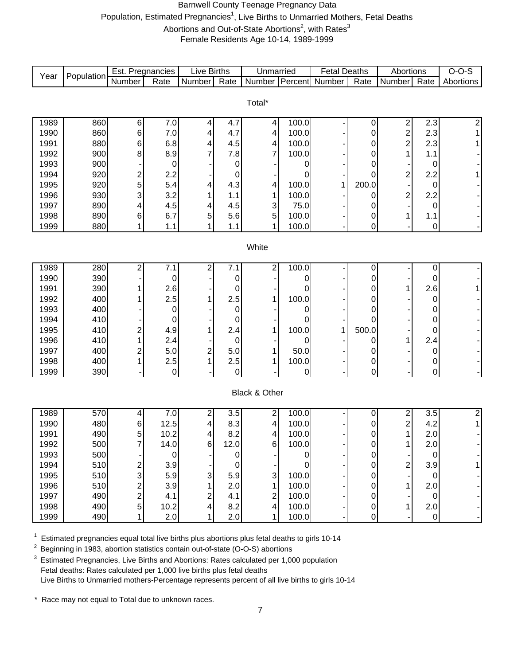#### Barnwell County Teenage Pregnancy Data Population, Estimated Pregnancies<sup>1</sup>, Live Births to Unmarried Mothers, Fetal Deaths Abortions and Out-of-State Abortions<sup>2</sup>, with Rates<sup>3</sup>

Female Residents Age 10-14, 1989-1999

|              |            | Est. Pregnancies        |                | <b>Live Births</b> |                  | Unmarried               |                | <b>Fetal Deaths</b> |        | Abortions                                 |             | $O-O-S$   |
|--------------|------------|-------------------------|----------------|--------------------|------------------|-------------------------|----------------|---------------------|--------|-------------------------------------------|-------------|-----------|
| Year         | Population | Number                  | Rate           | Number             | Rate             | Number                  |                | Percent Number      | Rate   | Number                                    | Rate        | Abortions |
|              |            |                         |                |                    |                  |                         |                |                     |        |                                           |             |           |
|              |            |                         |                |                    |                  | Total*                  |                |                     |        |                                           |             |           |
|              |            |                         |                |                    |                  |                         |                |                     |        |                                           |             |           |
| 1989         | 860        | 6                       | 7.0            | 4                  | 4.7<br>4.7       | $\overline{\mathbf{r}}$ | 100.0<br>100.0 |                     | 0      | 2                                         | 2.3         | 2         |
| 1990<br>1991 | 860<br>880 | 6                       | 7.0<br>6.8     | 4                  | 4.5              | 4                       | 100.0          |                     | 0      | $\overline{\mathbf{c}}$<br>$\overline{c}$ | 2.3<br>2.3  |           |
| 1992         | 900        | 6<br>8                  | 8.9            | 4<br>7             | 7.8              | 4<br>$\overline{7}$     | 100.0          |                     | 0<br>0 | 1                                         | 1.1         |           |
| 1993         | 900        |                         | $\mathbf 0$    |                    | 0                |                         | 0              |                     | 0      |                                           | 0           |           |
| 1994         | 920        | $\overline{\mathbf{c}}$ | 2.2            |                    | 0                |                         | 0              |                     | 0      | $\overline{\mathbf{c}}$                   | 2.2         |           |
| 1995         | 920        | 5                       | 5.4            | 4                  | 4.3              | 4                       | 100.0          | 1                   | 200.0  |                                           | 0           |           |
| 1996         | 930        | 3                       | 3.2            |                    | 1.1              | 1                       | 100.0          |                     | 0      | $\overline{c}$                            | 2.2         |           |
| 1997         | 890        | 4                       | 4.5            | 4                  | 4.5              | 3                       | 75.0           |                     | 0      |                                           | 0           |           |
| 1998         | 890        | 6                       | 6.7            | 5                  | 5.6              | $\sqrt{5}$              | 100.0          |                     | 0      | 1                                         | 1.1         |           |
| 1999         | 880        | 1                       | 1.1            |                    | 1.1              | 1                       | 100.0          |                     | 0      |                                           | $\mathbf 0$ |           |
|              |            |                         |                |                    |                  |                         |                |                     |        |                                           |             |           |
|              |            |                         |                |                    |                  | White                   |                |                     |        |                                           |             |           |
|              |            |                         |                |                    |                  |                         |                |                     |        |                                           |             |           |
| 1989         | 280        | $\overline{c}$          | 7.1            | 2                  | 7.1              | $\overline{c}$          | 100.0          |                     | 0      |                                           | $\pmb{0}$   |           |
| 1990         | 390        |                         | $\mathbf 0$    |                    | 0                |                         | 0              |                     | 0      |                                           | 0           |           |
| 1991         | 390        |                         | 2.6            |                    | 0                |                         | 0              |                     | 0      | 1                                         | 2.6         |           |
| 1992         | 400        |                         | 2.5            |                    | 2.5              | 1                       | 100.0          |                     | 0      |                                           | 0           |           |
| 1993         | 400        |                         | 0              |                    | 0                |                         | 0              |                     | 0      |                                           | 0           |           |
| 1994         | 410        |                         | 0              |                    | 0                |                         | 0              |                     | 0      |                                           | 0           |           |
| 1995         | 410        | 2                       | 4.9            |                    | 2.4              | 1                       | 100.0          | 1                   | 500.0  |                                           | 0           |           |
| 1996         | 410        |                         | 2.4            |                    | 0                |                         | 0              |                     | 0      | 1                                         | 2.4         |           |
| 1997         | 400        | $\overline{c}$          | 5.0            | $\overline{c}$     | 5.0              | 1                       | 50.0           |                     | 0      |                                           | 0           |           |
| 1998         | 400        |                         | 2.5            |                    | 2.5              | 1                       | 100.0          |                     | 0      |                                           | $\pmb{0}$   |           |
| 1999         | 390        |                         | $\overline{0}$ |                    | $\mathbf 0$      |                         | 0              |                     | 0      |                                           | $\mathbf 0$ |           |
|              |            |                         |                |                    |                  |                         |                |                     |        |                                           |             |           |
|              |            |                         |                |                    |                  | Black & Other           |                |                     |        |                                           |             |           |
| 1989         | 570        | 4                       | 7.0            | 2                  | 3.5              | $\overline{a}$          | 100.0          |                     | 0      | $\overline{\mathbf{c}}$                   | 3.5         | 2         |
| 1990         | 480        | 6                       | 12.5           | 4                  | 8.3              | 4                       | 100.0          |                     | 0      | $\overline{\mathbf{c}}$                   | 4.2         | 1         |
| 1991         | 490        | 5                       | 10.2           | 4                  | 8.2              | 4                       | 100.0          |                     | 0      | $\mathbf{1}$                              | 2.0         |           |
| 1992         | 500        | <sup>'</sup>            | 14.0           | 6                  | 12.0             | 6                       | 100.0          |                     | 0      | 1                                         | 2.0         |           |
| 1993         | 500        |                         | 0              |                    | $\overline{0}$   |                         | 0              |                     | 0      |                                           | 0           |           |
| 1994         | 510        | 2                       | 3.9            |                    | $\boldsymbol{0}$ |                         | 0              |                     | 0      | $\overline{\mathbf{c}}$                   | 3.9         |           |
| 1995         | 510        | 3                       | 5.9            | 3                  | 5.9              | 3                       | 100.0          |                     | 0      |                                           | 0           |           |
| 1996         | 510        | $\overline{c}$          | 3.9            |                    | 2.0              |                         | 100.0          |                     | 0      | 1                                         | 2.0         |           |
| 1997         | 490        | $\overline{\mathbf{c}}$ | 4.1            | 2                  | 4.1              | 2                       | 100.0          |                     | 0      |                                           | 0           |           |
| 1998         | 490        | $\mathbf 5$             | 10.2           | 4                  | 8.2              | 4                       | 100.0          |                     | 0      | 1                                         | 2.0         |           |
| 1999         | 490        | 1                       | 2.0            |                    | 2.0              | 1                       | 100.0          |                     | 0      |                                           | $\mathbf 0$ |           |

 $1$  Estimated pregnancies equal total live births plus abortions plus fetal deaths to girls 10-14

2 Beginning in 1983, abortion statistics contain out-of-state (O-O-S) abortions

<sup>3</sup> Estimated Pregnancies, Live Births and Abortions: Rates calculated per 1,000 population Fetal deaths: Rates calculated per 1,000 live births plus fetal deaths Live Births to Unmarried mothers-Percentage represents percent of all live births to girls 10-14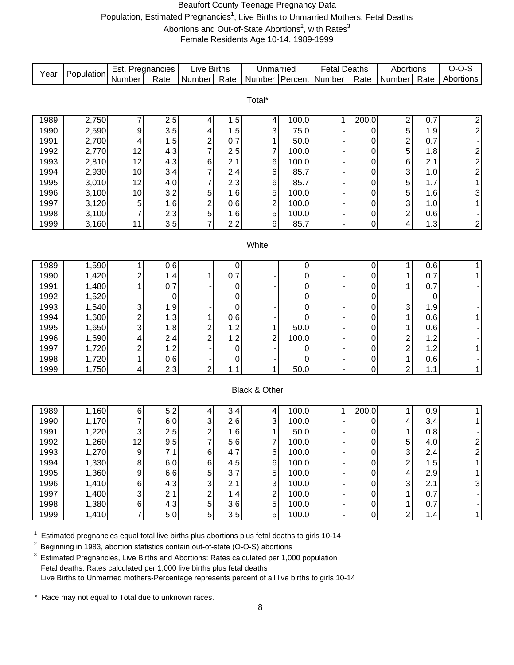#### Beaufort County Teenage Pregnancy Data

Population, Estimated Pregnancies<sup>1</sup>, Live Births to Unmarried Mothers, Fetal Deaths

Abortions and Out-of-State Abortions<sup>2</sup>, with Rates<sup>3</sup>

Female Residents Age 10-14, 1989-1999

|              |                | Est. Pregnancies             |            | <b>Live Births</b>           |             | Unmarried               |                | <b>Fetal Deaths</b>   |           | Abortions                    |            | $O-O-S$                 |
|--------------|----------------|------------------------------|------------|------------------------------|-------------|-------------------------|----------------|-----------------------|-----------|------------------------------|------------|-------------------------|
| Year         | Population     | Number                       | Rate       | Number                       | Rate        | <b>Number</b>           |                | <b>Percent</b> Number | Rate      | Number                       | Rate       | Abortions               |
|              |                |                              |            |                              |             |                         |                |                       |           |                              |            |                         |
|              |                |                              |            |                              |             | Total*                  |                |                       |           |                              |            |                         |
| 1989         | 2,750          | 7                            | 2.5        | 4                            | 1.5         | $\vert 4 \vert$         | 100.0          | 1                     | 200.0     | 2                            | 0.7        | $\overline{\mathbf{c}}$ |
| 1990         | 2,590          | 9                            | 3.5        | 4                            | 1.5         | $\overline{3}$          | 75.0           |                       | 0         | 5                            | 1.9        | $\overline{2}$          |
| 1991         | 2,700          | 4                            | 1.5        | $\overline{\mathbf{c}}$      | 0.7         | $\mathbf{1}$            | 50.0           |                       | 0         | $\overline{\mathbf{c}}$      | 0.7        |                         |
| 1992         | 2,770          | 12                           | 4.3        | $\overline{7}$               | 2.5         | $\overline{7}$          | 100.0          |                       | 0         | 5                            | 1.8        | $\overline{\mathbf{c}}$ |
| 1993         | 2,810          | 12                           | 4.3        | 6                            | 2.1         | 6 <sup>1</sup>          | 100.0          |                       | 0         | 6                            | 2.1        | $\overline{\mathbf{c}}$ |
| 1994         | 2,930          | 10                           | 3.4        | 7                            | 2.4         | $6 \mid$                | 85.7           |                       | 0         | 3                            | 1.0        | $\overline{c}$          |
| 1995<br>1996 | 3,010<br>3,100 | 12<br>10                     | 4.0<br>3.2 | 7<br>5                       | 2.3<br>1.6  | 6 <sup>1</sup><br>5     | 85.7<br>100.0  |                       | 0<br>0    | 5<br>5                       | 1.7<br>1.6 | $\mathbf{1}$<br>3       |
| 1997         | 3,120          | 5                            | 1.6        | $\overline{\mathbf{c}}$      | 0.6         | $\overline{c}$          | 100.0          |                       | 0         | 3                            | 1.0        | 1                       |
| 1998         | 3,100          | 7                            | 2.3        | 5                            | 1.6         | 5                       | 100.0          |                       | 0         | $\overline{\mathbf{c}}$      | 0.6        |                         |
| 1999         | 3,160          | 11                           | 3.5        | $\overline{7}$               | 2.2         | 6 <sup>1</sup>          | 85.7           |                       | 0         | 4                            | 1.3        | $\boldsymbol{2}$        |
|              |                |                              |            |                              |             |                         |                |                       |           |                              |            |                         |
|              |                |                              |            |                              |             | White                   |                |                       |           |                              |            |                         |
| 1989         | 1,590          | 1                            | 0.6        |                              | 0           |                         | 0              |                       | 0         | 1                            | 0.6        | 1                       |
| 1990         | 1,420          | 2                            | 1.4        | 1                            | 0.7         |                         | 0              |                       | 0         | 1                            | 0.7        | 1                       |
| 1991         | 1,480          | 1                            | 0.7        |                              | 0           |                         | 0              |                       | 0         | 1                            | 0.7        |                         |
| 1992         | 1,520          |                              | 0          |                              | 0           |                         | 0              |                       | 0         |                              | 0          |                         |
| 1993         | 1,540          | 3                            | 1.9        |                              | $\mathbf 0$ |                         | 0              |                       | 0         | 3                            | 1.9        |                         |
| 1994<br>1995 | 1,600<br>1,650 | $\overline{\mathbf{c}}$<br>3 | 1.3<br>1.8 | 1<br>$\overline{\mathbf{c}}$ | 0.6<br>1.2  | $\mathbf{1}$            | 0<br>50.0      |                       | 0<br>0    | 1                            | 0.6<br>0.6 | 1                       |
| 1996         | 1,690          | 4                            | 2.4        | $\overline{2}$               | 1.2         | $\overline{c}$          | 100.0          |                       | 0         | 1<br>$\overline{\mathbf{c}}$ | 1.2        |                         |
| 1997         | 1,720          | $\overline{\mathbf{c}}$      | 1.2        |                              | $\pmb{0}$   |                         | 0              |                       | 0         | $\overline{c}$               | 1.2        | 1                       |
| 1998         | 1,720          | 1                            | 0.6        |                              | 0           |                         | 0              |                       | 0         | $\mathbf{1}$                 | 0.6        |                         |
| 1999         | 1,750          | 4                            | 2.3        | $\overline{2}$               | 1.1         | $\mathbf{1}$            | 50.0           |                       | 0         | $\overline{2}$               | 1.1        | 1                       |
|              |                |                              |            |                              |             |                         |                |                       |           |                              |            |                         |
|              |                |                              |            |                              |             | Black & Other           |                |                       |           |                              |            |                         |
| 1989         | 1,160          | 6                            | 5.2        | 4                            | 3.4         | 4                       | 100.0          | 1                     | 200.0     | 1                            | 0.9        | 1                       |
| 1990         | 1,170          | 7                            | 6.0        | 3                            | 2.6         | $\overline{3}$          | 100.0          |                       | 0         | 4                            | 3.4        | 1                       |
| 1991         | 1,220          | 3                            | 2.5        | $\overline{2}$               | 1.6         | 1                       | 50.0           |                       | 0         | 1                            | 0.8        |                         |
| 1992         | 1,260          | 12                           | 9.5        | $\overline{7}$               | 5.6         | $\overline{7}$<br>$\,6$ | 100.0          |                       | $\pmb{0}$ | 5                            | 4.0        | $\overline{\mathbf{c}}$ |
| 1993<br>1994 | 1,270<br>1,330 | 9<br>8                       | 7.1<br>6.0 | 6<br>6                       | 4.7<br>4.5  | 6                       | 100.0<br>100.0 |                       | 0<br>0    | 3<br>$\overline{\mathbf{c}}$ | 2.4<br>1.5 | $\overline{\mathbf{c}}$ |
| 1995         | 1,360          | 9                            | 6.6        | 5                            | 3.7         | 5                       | 100.0          |                       | 0         | 4                            | 2.9        |                         |
| 1996         | 1,410          | 6                            | 4.3        | 3                            | 2.1         | 3                       | 100.0          |                       | 0         | 3                            | 2.1        | 3                       |
| 1997         | 1,400          | 3                            | 2.1        | $\overline{\mathbf{c}}$      | 1.4         | $\overline{\mathbf{c}}$ | 100.0          |                       | 0         |                              | 0.7        |                         |
| 1998         | 1,380          | $\,6$                        | 4.3        | 5                            | 3.6         | 5 <sup>1</sup>          | 100.0          |                       | 0         |                              | 0.7        |                         |
| 1999         | 1,410          | $\overline{7}$               | 5.0        | 5                            | 3.5         | 5 <sup>1</sup>          | 100.0          |                       | 0         | $\overline{c}$               | 1.4        | 1                       |

 $1$  Estimated pregnancies equal total live births plus abortions plus fetal deaths to girls 10-14

<sup>2</sup> Beginning in 1983, abortion statistics contain out-of-state (O-O-S) abortions

<sup>3</sup> Estimated Pregnancies, Live Births and Abortions: Rates calculated per 1,000 population Fetal deaths: Rates calculated per 1,000 live births plus fetal deaths Live Births to Unmarried mothers-Percentage represents percent of all live births to girls 10-14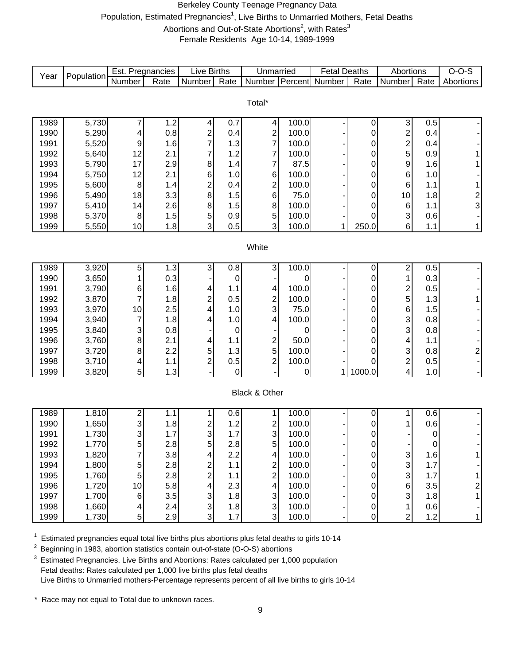#### Berkeley County Teenage Pregnancy Data

Population, Estimated Pregnancies<sup>1</sup>, Live Births to Unmarried Mothers, Fetal Deaths

Abortions and Out-of-State Abortions<sup>2</sup>, with Rates<sup>3</sup>

Female Residents Age 10-14, 1989-1999

| Year         | Population | Est. Pregnancies        |      | <b>Live Births</b>      |            | Unmarried                                 |                | <b>Fetal Deaths</b> |                | Abortions                 |                  | $O-O-S$        |
|--------------|------------|-------------------------|------|-------------------------|------------|-------------------------------------------|----------------|---------------------|----------------|---------------------------|------------------|----------------|
|              |            | Number                  | Rate | Number                  | Rate       | Number Percent Number                     |                |                     | Rate           | Number                    | Rate             | Abortions      |
|              |            |                         |      |                         |            |                                           |                |                     |                |                           |                  |                |
|              |            |                         |      |                         |            | Total*                                    |                |                     |                |                           |                  |                |
| 1989         | 5,730      |                         | 1.2  | 4                       | 0.7        | $\overline{\mathbf{r}}$                   | 100.0          |                     | 0              | $\ensuremath{\mathsf{3}}$ | 0.5              |                |
| 1990         | 5,290      | 4                       | 0.8  | $\overline{\mathbf{c}}$ | 0.4        | $\overline{\mathbf{c}}$                   | 100.0          |                     | 0              | $\overline{\mathbf{c}}$   | 0.4              |                |
| 1991         | 5,520      | 9                       | 1.6  | 7                       | 1.3        | $\overline{7}$                            | 100.0          |                     | 0              | $\overline{\mathbf{c}}$   | 0.4              |                |
| 1992         | 5,640      | 12                      | 2.1  | 7                       | 1.2        | 7                                         | 100.0          |                     | 0              | 5                         | 0.9              | 1              |
| 1993         | 5,790      | 17                      | 2.9  | 8                       | 1.4        | $\overline{7}$                            | 87.5           |                     | 0              | 9                         | 1.6              | 1              |
| 1994         | 5,750      | 12                      | 2.1  | 6                       | 1.0        | 6                                         | 100.0          |                     | 0              | $\,6$                     | 1.0              |                |
| 1995         | 5,600      | 8                       | 1.4  | $\overline{\mathbf{c}}$ | 0.4        | $\overline{c}$                            | 100.0          |                     | 0              | $\,6$                     | 1.1              | 1              |
| 1996         | 5,490      | 18                      | 3.3  | 8                       | 1.5        | 6                                         | 75.0           |                     | 0              | 10                        | 1.8              |                |
| 1997         | 5,410      | 14                      | 2.6  | 8                       | 1.5        | $\bf 8$                                   | 100.0          |                     | 0              | $\,6$                     | 1.1              | $\frac{2}{3}$  |
| 1998         | 5,370      | 8                       | 1.5  | 5                       | 0.9        | $\mathbf 5$                               | 100.0          |                     | 0              | 3                         | 0.6              |                |
| 1999         | 5,550      | 10                      | 1.8  | 3                       | 0.5        | 3                                         | 100.0          | 1                   | 250.0          | $\,6$                     | 1.1              | 1              |
|              |            |                         |      |                         |            |                                           |                |                     |                |                           |                  |                |
|              |            |                         |      |                         |            | White                                     |                |                     |                |                           |                  |                |
|              |            |                         |      |                         |            |                                           |                |                     |                |                           |                  |                |
| 1989         | 3,920      | 5                       | 1.3  | 3                       | 0.8        | 3                                         | 100.0          |                     | $\pmb{0}$      | $\overline{\mathbf{c}}$   | 0.5              |                |
| 1990         | 3,650      |                         | 0.3  |                         | $\pmb{0}$  |                                           | 0              |                     | 0              | 1                         | 0.3              |                |
| 1991         | 3,790      | 6                       | 1.6  | 4                       | 1.1        | 4                                         | 100.0          |                     | 0              |                           | 0.5              |                |
| 1992         | 3,870      | 7                       | 1.8  | $\overline{\mathbf{c}}$ | 0.5        | $\overline{\mathbf{c}}$                   | 100.0          |                     | 0              | $\frac{2}{5}$             | 1.3              | 1              |
| 1993         | 3,970      | 10                      | 2.5  | 4                       | 1.0        | 3                                         | 75.0           |                     | 0              | $\,6$                     | 1.5              |                |
| 1994         | 3,940      | 7                       | 1.8  | 4                       | 1.0        | 4                                         | 100.0          |                     | 0              | 3                         | 0.8              |                |
| 1995         | 3,840      | 3                       | 0.8  |                         | 0          |                                           | 0              |                     | 0              | 3                         | 0.8              |                |
| 1996         | 3,760      | 8                       | 2.1  | 4                       | 1.1        | 2                                         | 50.0           |                     | 0              | 4                         | 1.1              |                |
| 1997         | 3,720      | 8                       | 2.2  | 5                       | 1.3        | $\overline{5}$                            | 100.0          |                     | 0              | 3                         | 0.8              | $\overline{2}$ |
| 1998         | 3,710      | 4                       | 1.1  | $\overline{2}$          | 0.5        | $\overline{c}$                            | 100.0          |                     | 0              | $\overline{\mathbf{c}}$   | 0.5              |                |
| 1999         | 3,820      | 5                       | 1.3  |                         | $\Omega$   |                                           | 0              | 1                   | 1000.0         | 4                         | 1.0              |                |
|              |            |                         |      |                         |            |                                           |                |                     |                |                           |                  |                |
|              |            |                         |      |                         |            | Black & Other                             |                |                     |                |                           |                  |                |
|              |            |                         |      |                         |            |                                           |                |                     |                |                           |                  |                |
| 1989         | 1,810      | 2                       | 1.1  | 1                       | 0.6        | 1                                         | 100.0          |                     | 0              | 1                         | 0.6              |                |
| 1990         | 1,650      | 3                       | 1.8  | 2                       | 1.2        | 2                                         | 100.0          |                     | 0              | 1                         | 0.6              |                |
| 1991         | 1,730      | 3                       | 1.7  | 3                       | 1.7        | 3                                         | 100.0          |                     | 0              |                           | $\pmb{0}$        |                |
| 1992         | 1,770      | 5                       | 2.8  | 5                       | 2.8        | 5                                         | 100.0          |                     | $\pmb{0}$      |                           | $\boldsymbol{0}$ |                |
| 1993         | 1,820      | $\overline{\mathbf{7}}$ | 3.8  | 4                       | 2.2        | $\overline{\mathbf{4}}$                   | 100.0          |                     | $\overline{0}$ | $\ensuremath{\mathsf{3}}$ | 1.6              | 1              |
| 1994         | 1,800      | 5                       | 2.8  | $\frac{2}{2}$           | 1.1        | $\overline{\mathbf{c}}$<br>$\overline{2}$ | 100.0          |                     | $\pmb{0}$      | $\mathsf 3$<br>3          | 1.7              |                |
| 1995         | 1,760      | 5                       | 2.8  |                         | 1.1        |                                           | 100.0          |                     | $\mathbf 0$    |                           | 1.7              | 1              |
| 1996<br>1997 | 1,720      | 10                      | 5.8  | 4<br>$\mathfrak{S}$     | 2.3        | 4<br>$\ensuremath{\mathsf{3}}$            | 100.0<br>100.0 |                     | $\pmb{0}$<br>0 | $\,6$<br>3                | 3.5              | $\overline{c}$ |
|              | 1,700      | 6                       | 3.5  | $\mathbf{3}$            | 1.8        |                                           |                |                     |                |                           | 1.8              | $\mathbf{1}$   |
| 1998         | 1,660      | 4                       | 2.4  | 3                       | 1.8<br>1.7 | 3<br>$\overline{3}$                       | 100.0          |                     | 0              | 1                         | 0.6<br>1.2       |                |
| 1999         | 1,730      | 5                       | 2.9  |                         |            |                                           | 100.0          |                     | 0              | $\overline{2}$            |                  | 1              |

 $1$  Estimated pregnancies equal total live births plus abortions plus fetal deaths to girls 10-14

2 Beginning in 1983, abortion statistics contain out-of-state (O-O-S) abortions

<sup>3</sup> Estimated Pregnancies, Live Births and Abortions: Rates calculated per 1,000 population Fetal deaths: Rates calculated per 1,000 live births plus fetal deaths Live Births to Unmarried mothers-Percentage represents percent of all live births to girls 10-14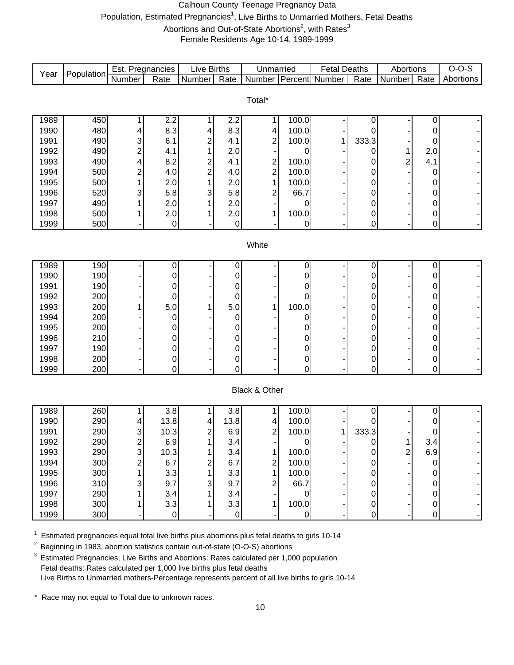#### Calhoun County Teenage Pregnancy Data

Population, Estimated Pregnancies<sup>1</sup>, Live Births to Unmarried Mothers, Fetal Deaths

Abortions and Out-of-State Abortions<sup>2</sup>, with Rates<sup>3</sup>

Female Residents Age 10-14, 1989-1999

| Year | Population                                                                                          | Est. Pregnancies |                  | Live Births             |                     | Unmarried               |                     | <b>Fetal Deaths</b> |                | Abortions      |                  | $O-O-S$   |
|------|-----------------------------------------------------------------------------------------------------|------------------|------------------|-------------------------|---------------------|-------------------------|---------------------|---------------------|----------------|----------------|------------------|-----------|
|      |                                                                                                     | Number           | Rate             | Number                  | Rate                | Number                  |                     | Percent Number      | Rate           | Number         | Rate             | Abortions |
|      |                                                                                                     |                  |                  |                         |                     |                         |                     |                     |                |                |                  |           |
|      |                                                                                                     |                  |                  |                         |                     | Total*                  |                     |                     |                |                |                  |           |
| 1989 | 450                                                                                                 |                  | 2.2              | 1                       | 2.2                 | 1                       | 100.0               |                     | 0              |                | 0                |           |
| 1990 | 480                                                                                                 | 4                | 8.3              | 4                       | 8.3                 | 4                       | 100.0               |                     | 0              |                | 0                |           |
| 1991 | 490                                                                                                 | 3                | 6.1              | $\overline{c}$          | 4.1                 | $\overline{c}$          | 100.0               |                     | 333.3          |                | 0                |           |
| 1992 | 490                                                                                                 | $\overline{c}$   | 4.1              |                         | 2.0                 |                         | 0                   |                     | 0              | $\mathbf{1}$   | 2.0              |           |
| 1993 | 490                                                                                                 | 4                | 8.2              | $\overline{\mathbf{c}}$ | 4.1                 |                         | 100.0               |                     | 0              | $\overline{c}$ | 4.1              |           |
| 1994 | 500                                                                                                 | $\overline{c}$   | 4.0              | $\overline{c}$          | 4.0                 | $\frac{2}{2}$           | 100.0               |                     | 0              |                | 0                |           |
| 1995 | 500                                                                                                 |                  | 2.0              | 1                       | 2.0                 | $\overline{1}$          | 100.0               |                     | 0              |                | 0                |           |
| 1996 | 520                                                                                                 | 3                | 5.8              | 3                       | 5.8                 | $\overline{\mathbf{c}}$ | 66.7                |                     | $\mathbf 0$    |                | 0                |           |
| 1997 | 490                                                                                                 |                  | 2.0              |                         | 2.0                 |                         | 0                   |                     | 0              |                | 0                |           |
| 1998 | 500                                                                                                 |                  | 2.0              |                         | 2.0                 | 1                       | 100.0               |                     | 0              |                | 0                |           |
| 1999 | 500                                                                                                 |                  | $\boldsymbol{0}$ |                         | $\overline{0}$      |                         | $\pmb{0}$           |                     | 0              |                | 0                |           |
|      |                                                                                                     |                  |                  |                         |                     |                         |                     |                     |                |                |                  |           |
|      |                                                                                                     |                  |                  |                         |                     | White                   |                     |                     |                |                |                  |           |
| 1989 | 190                                                                                                 |                  | 0                |                         | $\overline{0}$      |                         | 0                   |                     | 0              |                | $\boldsymbol{0}$ |           |
| 1990 | 190                                                                                                 |                  | 0                |                         | $\overline{0}$      |                         | $\pmb{0}$           |                     | 0              |                | 0                |           |
| 1991 | 190                                                                                                 |                  | 0                |                         | $\pmb{0}$           |                         | 0                   |                     | 0              |                | 0                |           |
| 1992 | 200                                                                                                 |                  | 0                |                         | $\pmb{0}$           |                         | $\pmb{0}$           |                     | 0              |                | 0                |           |
| 1993 | 200                                                                                                 |                  | 5.0              |                         | 5.0                 | 1                       | 100.0               |                     | $\mathbf 0$    |                | 0                |           |
| 1994 | 200                                                                                                 |                  | $\mathbf 0$      |                         | $\boldsymbol{0}$    |                         | 0                   |                     | $\mathbf 0$    |                | 0                |           |
| 1995 | 200                                                                                                 |                  | 0                |                         | 0                   |                         | 0                   |                     | $\mathbf 0$    |                | 0                |           |
| 1996 | 210                                                                                                 |                  | 0                |                         | 0                   |                         | 0                   |                     | $\mathbf 0$    |                | 0                |           |
| 1997 | 190                                                                                                 |                  | $\mathbf 0$      |                         | $\mathsf{O}\xspace$ |                         | 0                   |                     | $\mathbf 0$    |                | 0                |           |
| 1998 | 200                                                                                                 |                  | $\pmb{0}$        |                         | $\overline{0}$      |                         | $\mathsf{O}\xspace$ |                     | 0              |                | 0                |           |
| 1999 | 200                                                                                                 |                  | 0                |                         | $\overline{0}$      |                         | $\mathbf 0$         |                     | $\overline{0}$ |                | 0                |           |
|      |                                                                                                     |                  |                  |                         |                     |                         |                     |                     |                |                |                  |           |
|      |                                                                                                     |                  |                  |                         |                     | Black & Other           |                     |                     |                |                |                  |           |
| 1989 | 260                                                                                                 |                  | 3.8              | 1                       | 3.8                 | 1                       | 100.0               |                     | 0              |                | 0                |           |
| 1990 | 290                                                                                                 | 4                | 13.8             | 4                       | 13.8                | 4                       | 100.0               |                     | 0              |                | 0                |           |
| 1991 | 290                                                                                                 | 3                | 10.3             | $\boldsymbol{2}$        | 6.9                 | $\overline{c}$          | 100.0               | 1                   | 333.3          |                | 0                |           |
| 1992 | 290                                                                                                 | C<br>۷           | 6.9              |                         | 3.4                 |                         |                     |                     |                |                | 3.4              |           |
| 1993 | 290                                                                                                 | 3                | 10.3             |                         | 3.4                 | 1                       | 100.0               |                     | 0              | 2              | 6.9              |           |
| 1994 | 300                                                                                                 |                  | 6.7              | 2                       | 6.7                 | 2                       | 100.0               |                     | 0              |                | 0                |           |
| 1995 | 300                                                                                                 |                  | 3.3              |                         | 3.3                 | 1                       | 100.0               |                     | 0              |                |                  |           |
| 1996 | 310                                                                                                 |                  | 9.7              | 3                       | 9.7                 | 2                       | 66.7                |                     | 0              |                | 0                |           |
| 1997 | 290                                                                                                 |                  | 3.4              |                         | 3.4                 |                         | 0                   |                     | 0              |                | 0                |           |
| 1998 | 300                                                                                                 |                  | 3.3              |                         | 3.3                 | 1                       | 100.0               |                     | 0              |                | 0                |           |
| 1999 | 300                                                                                                 |                  | 0                |                         | $\Omega$            |                         | $\overline{0}$      |                     | 0              |                | 0                |           |
|      | $^1$ Estimated programation oqual total live births plus abortions plus fotal doaths to girls 10,14 |                  |                  |                         |                     |                         |                     |                     |                |                |                  |           |

Estimated pregnancies equal total live births plus abortions plus fetal deaths to girls 10-14

 $2$  Beginning in 1983, abortion statistics contain out-of-state (O-O-S) abortions

<sup>3</sup> Estimated Pregnancies, Live Births and Abortions: Rates calculated per 1,000 population Fetal deaths: Rates calculated per 1,000 live births plus fetal deaths Live Births to Unmarried mothers-Percentage represents percent of all live births to girls 10-14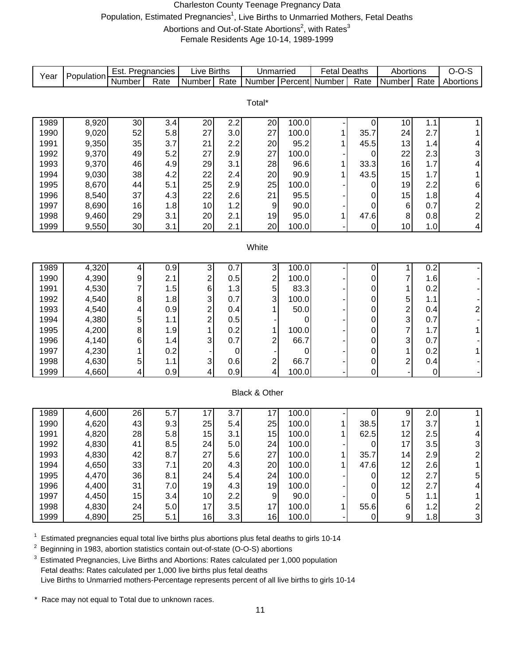#### Charleston County Teenage Pregnancy Data Population, Estimated Pregnancies<sup>1</sup>, Live Births to Unmarried Mothers, Fetal Deaths Abortions and Out-of-State Abortions<sup>2</sup>, with Rates<sup>3</sup> Female Residents Age 10-14, 1989-1999

| Year         | Population     | Est. Pregnancies |            | Live Births                                        |            | Unmarried               |           | <b>Fetal Deaths</b>   |             | Abortions        |             | $O-O-S$                   |
|--------------|----------------|------------------|------------|----------------------------------------------------|------------|-------------------------|-----------|-----------------------|-------------|------------------|-------------|---------------------------|
|              |                | Number           | Rate       | Number                                             | Rate       |                         |           | Number Percent Number | Rate        | Number           | Rate        | Abortions                 |
|              |                |                  |            |                                                    |            |                         |           |                       |             |                  |             |                           |
|              |                |                  |            |                                                    |            | Total*                  |           |                       |             |                  |             |                           |
| 1989         | 8,920          | 30               | 3.4        | 20                                                 | 2.2        | 20                      | 100.0     |                       | 0           | 10               | 1.1         | $\mathbf{1}$              |
| 1990         | 9,020          | 52               | 5.8        | 27                                                 | 3.0        | 27                      | 100.0     | 1                     | 35.7        | 24               | 2.7         | 1                         |
| 1991         | 9,350          | 35               | 3.7        | 21                                                 | 2.2        | 20                      | 95.2      | 1                     | 45.5        | 13               | 1.4         | 4                         |
| 1992         | 9,370          | 49               | 5.2        | 27                                                 | 2.9        | 27                      | 100.0     |                       | 0           | 22               | 2.3         | $\ensuremath{\mathsf{3}}$ |
| 1993         | 9,370          | 46               | 4.9        | 29                                                 | 3.1        | 28                      | 96.6      | 1                     | 33.3        | 16               | 1.7         | 4                         |
| 1994         | 9,030          | 38               | 4.2        | 22                                                 | 2.4        | 20                      | 90.9      | 1                     | 43.5        | 15               | 1.7         | $\mathbf 1$               |
| 1995         | 8,670          | 44               | 5.1        | 25                                                 | 2.9        | 25                      | 100.0     |                       | 0           | 19               | 2.2         | $\,6$                     |
| 1996         | 8,540          | 37               | 4.3        | 22                                                 | 2.6        | 21                      | 95.5      |                       | 0           | 15               | 1.8         | $\vert 4 \vert$           |
| 1997         | 8,690          | 16               | 1.8        | 10                                                 | 1.2        | 9                       | 90.0      |                       | 0           | 6                | 0.7         |                           |
| 1998         | 9,460          | 29               | 3.1        | 20                                                 | 2.1        | 19                      | 95.0      | 1                     | 47.6        | $\,8\,$          | 0.8         | $\frac{2}{2}$             |
| 1999         | 9,550          | 30               | 3.1        | 20                                                 | 2.1        | 20                      | 100.0     |                       | 0           | 10               | 1.0         | 4                         |
|              |                |                  |            |                                                    |            |                         |           |                       |             |                  |             |                           |
|              |                |                  |            |                                                    |            | White                   |           |                       |             |                  |             |                           |
|              |                |                  |            |                                                    |            |                         |           |                       |             |                  |             |                           |
| 1989         | 4,320          | 4                | 0.9        | $\ensuremath{\mathsf{3}}$                          | 0.7        | $\mathbf{3}$            | 100.0     |                       | $\pmb{0}$   | 1                | 0.2         |                           |
| 1990         | 4,390          | 9                | 2.1        | $\overline{\mathbf{c}}$                            | 0.5        | $\overline{\mathbf{c}}$ | 100.0     |                       | 0           | 7                | 1.6         |                           |
| 1991         | 4,530          | 7                | 1.5        | 6                                                  | 1.3        | $\sqrt{5}$              | 83.3      |                       | 0           | 1                | 0.2         |                           |
| 1992<br>1993 | 4,540<br>4,540 | 8                | 1.8        | 3                                                  | 0.7<br>0.4 | 3                       | 100.0     |                       | 0           | 5                | 1.1         |                           |
| 1994         | 4,380          | 4<br>5           | 0.9<br>1.1 | $\overline{\mathbf{c}}$<br>$\overline{\mathbf{c}}$ | 0.5        | $\mathbf{1}$            | 50.0<br>0 |                       | 0<br>0      | $\frac{2}{3}$    | 0.4<br>0.7  | $\overline{c}$            |
| 1995         | 4,200          | 8                | 1.9        | 1                                                  | 0.2        | 1                       | 100.0     |                       | 0           | $\overline{7}$   | 1.7         | 1                         |
| 1996         | 4,140          | 6                | 1.4        | 3                                                  | 0.7        | 2                       | 66.7      |                       | 0           | 3                | 0.7         |                           |
| 1997         | 4,230          |                  | 0.2        |                                                    | 0          |                         | 0         |                       | 0           | 1                | 0.2         | 1                         |
| 1998         | 4,630          | 5                | 1.1        | $\ensuremath{\mathsf{3}}$                          | 0.6        | $\mathbf{2}$            | 66.7      |                       | 0           | 2                | 0.4         |                           |
| 1999         | 4,660          | 4                | 0.9        | 4                                                  | 0.9        | $\overline{\mathbf{r}}$ | 100.0     |                       | 0           |                  | $\mathbf 0$ |                           |
|              |                |                  |            |                                                    |            |                         |           |                       |             |                  |             |                           |
|              |                |                  |            |                                                    |            | Black & Other           |           |                       |             |                  |             |                           |
|              |                |                  |            |                                                    |            |                         |           |                       |             |                  |             |                           |
| 1989         | 4,600          | 26               | 5.7        | 17                                                 | 3.7        | 17                      | 100.0     |                       | 0           | $\boldsymbol{9}$ | 2.0         | 1 <sup>1</sup>            |
| 1990         | 4,620          | 43               | 9.3        | 25                                                 | 5.4        | 25                      | 100.0     | 1                     | 38.5        | 17               | 3.7         | 1                         |
| 1991         | 4,820          | 28               | 5.8        | 15                                                 | 3.1        | 15                      | 100.0     | 1                     | 62.5        | 12               | 2.5         | $\vert 4 \vert$           |
| 1992         | 4,830          | 41               | 8.5        | 24                                                 | 5.0        | 24                      | 100.0     |                       | O           | 17               | 3.5         | $\overline{3}$            |
| 1993         | 4,830          | 42               | 8.7        | 27                                                 | 5.6        | 27                      | 100.0     | $\mathbf{1}$          | 35.7        | 14               | 2.9         | $\mathbf{2}$              |
| 1994         | 4,650          | 33               | 7.1        | 20                                                 | 4.3        | 20                      | 100.0     | 1                     | 47.6        | 12               | 2.6         | $\mathbf{1}$              |
| 1995         | 4,470          | 36               | 8.1        | 24                                                 | 5.4        | 24                      | 100.0     |                       | 0           | 12               | 2.7         | $\overline{5}$            |
| 1996         | 4,400          | 31               | 7.0        | 19                                                 | 4.3        | 19                      | 100.0     |                       | 0           | 12               | 2.7         | $\overline{\mathbf{4}}$   |
| 1997         | 4,450          | 15               | 3.4        | 10                                                 | 2.2        | $\overline{9}$          | 90.0      |                       | $\mathbf 0$ | $\sqrt{5}$       | 1.1         | $\mathbf{1}$              |
| 1998         | 4,830          | 24               | 5.0        | 17                                                 | 3.5        | 17                      | 100.0     | 1                     | 55.6        | $6 \mid$         | 1.2         | $\frac{2}{3}$             |
| 1999         | 4,890          | 25               | 5.1        | 16                                                 | 3.3        | 16                      | 100.0     |                       | 0           | $\boldsymbol{9}$ | 1.8         |                           |

 $1$  Estimated pregnancies equal total live births plus abortions plus fetal deaths to girls 10-14

<sup>2</sup> Beginning in 1983, abortion statistics contain out-of-state (O-O-S) abortions

<sup>3</sup> Estimated Pregnancies, Live Births and Abortions: Rates calculated per 1,000 population Fetal deaths: Rates calculated per 1,000 live births plus fetal deaths Live Births to Unmarried mothers-Percentage represents percent of all live births to girls 10-14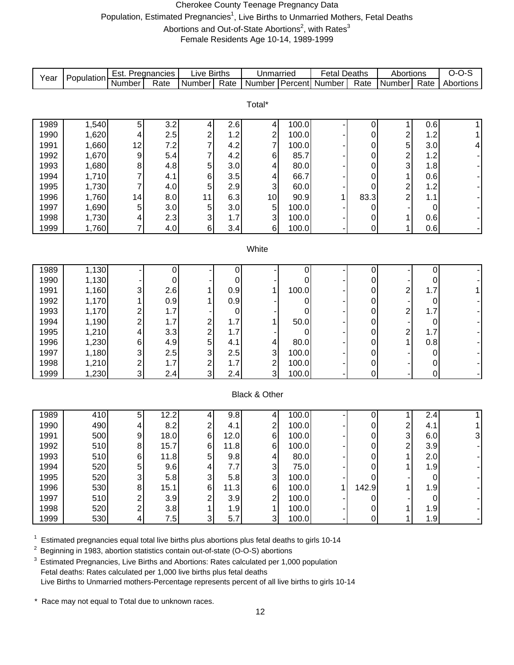#### Cherokee County Teenage Pregnancy Data Population, Estimated Pregnancies<sup>1</sup>, Live Births to Unmarried Mothers, Fetal Deaths Abortions and Out-of-State Abortions<sup>2</sup>, with Rates<sup>3</sup> Female Residents Age 10-14, 1989-1999

Number Rate Number Rate Number Percent Number Rate Number Rate 1989 | 1,540 | 5 | 3.2 | 4 | 2.6 | 4 | 100.0 | - | 0 | 1 | 0.6 | 1 1990 | 1,620 | 4 | 2.5 | 2 | 1.2 | 2 | 100.0 | - | 0 | 2 | 1.2 | 1 1991 | 1,660 | 12 | 7.2 | 7 | 4.2 | 7 | 100.0 | - | 0 | 5 | 3.0 | 4 1992 | 1,670 | 9 | 5.4 | 7 | 4.2 | 6 | 85.7 | - | 0 | 2 | 1.2 | -1993 | 1,680 | 8 | 4.8 | 5 | 3.0 | 4 | 80.0 | - | 0 | 3 | 1.8 | -1994 | 1,710 | 7 | 4.1 | 6 | 3.5 | 4 | 66.7 | - | 0 | 1 | 0.6 | -1995 | 1,730 | 7 | 4.0 | 5 | 2.9 | 3 | 60.0 | - | 0 | 2 | 1.2 | -1996 | 1,760 | 14 | 8.0 | 11 | 6.3 | 10 | 90.9 | 1 | 83.3 | 2 | 1.1 | -1997 | 1,690 | 5 | 3.0 | 5 | 3.0 | 5 | 100.0 | - | 0 | - | 0 | 1998 | 1,730 | 4 | 2.3 | 3 | 1.7 | 3 | 100.0 | - | 0 | 1 | 0.6 | -1999 | 1,760 | 7 | 4.0 | 6 | 3.4 | 6 | 100.0 | - | 0 | 1 | 0.6 | -1989 | 1,130 | - | 0 | - | 0 | - | 0 | - | 0 | - | 0 | - | 0 | -1990 | 1,130 | - | 0 | - | 0 | - | 0 | - | 0 | - | 0 | - | 0 | -1991 | 1,160 | 3 | 2.6 | 1 | 0.9 | 1 | 100.0 | - | 0 | 2 | 1.7 | 1 1992 | 1,170 | 1 | 0.9 | 1 | 0.9 | - | 0 | - | 0 | - | 0 | -1993 | 1,170 | 2 | 1.7 | - | 0 | - | 0 | - | 0 | 2 | 1.7 | -1994 | 1,190 | 2 | 1.7 | 2 | 1.7 | 1 | 50.0 | - | 0 | - | 0 | -1995 | 1,210 | 4 | 3.3 | 2 | 1.7 | - | 0 | - | 0 | 2 | 1.7 | -1996 | 1,230 | 6 | 4.9 | 5 | 4.1 | 4 | 80.0 | - | 0 | 1 | 0.8 | -1997 | 1,180 | 3 | 2.5 | 3 | 2.5 | 3 | 100.0 | - | 0 | - | 0 | -1998 | 1,210 | 2 | 1.7 | 2 | 1.7 | 2 | 100.0 | - | 0 | - | 0 | -1999 | 1,230 | 3 | 2.4 | 3 | 2.4 | 3 | 100.0 | - | 0 | - | 0 | -1989 | 410 | 5 | 12.2 | 4 | 9.8 | 4 | 100.0 | - | 0 | 1 | 2.4 | 1 1990 | 490 | 4 | 8.2 | 2 | 4.1 | 2 | 100.0 | - | 0 | 2 | 4.1 | 1 1991 | 500 9 18.0 6 12.0 6 100.0 - 0 3 6.0 3 1992 | 510| 8| 15.7| 6| 11.8| 6| 100.0| -| 0| 2| 3.9| -1993 | 510 | 6 11.8 5 9.8 | 4 80.0 - 0 1 2.0 -1994 | 520| 5| 9.6| 4| 7.7| 3| 75.0| -| 0| 1| 1.9| -1995 | 520 | 3 | 5.8 | 3 | 5.8 | 3 | 100.0 | - | 0 | - | 0 | -1996 | 530 | 8 15.1 | 6 11.3 | 6 100.0 | 1 142.9 | 1 1.9 | -1997 | 510 | 2 | 3.9 | 2 | 3.9 | 2 | 100.0 | - | 0 | - | 0 | -1998 | 520 | 2 | 3.8 | 1 | 1.9 | 1 | 100.0 | - | 0 | 1 | 1.9 | -1999 | 530 | 4 | 7.5 | 3 | 5.7 | 3 | 100.0 | - | 0 | 1 | 1.9 | -Live Births **White** Black & Other Total\* Unmarried | Fetal Deaths | Abortions | O-O-S Year Population Est. Pregnancies Live Births | Unmarried | Fetal Deaths | Abortions | O-O-S<br>Number | Rate | Number | Rate | Number | Rate | Number | Percent | Number | Rate | Number | Rate | Abortions

1 <sup>1</sup> Estimated pregnancies equal total live births plus abortions plus fetal deaths to girls 10-14<br><sup>2</sup> Beginning in 1983, abortion statistics contain out-of-state (O-O-S) abortions

2 Beginning in 1983, abortion statistics contain out-of-state (O-O-S) abortions

Estimated Pregnancies, Live Births and Abortions: Rates calculated per 1,000 population Fetal deaths: Rates calculated per 1,000 live births plus fetal deaths Live Births to Unmarried mothers-Percentage represents percent of all live births to girls 10-14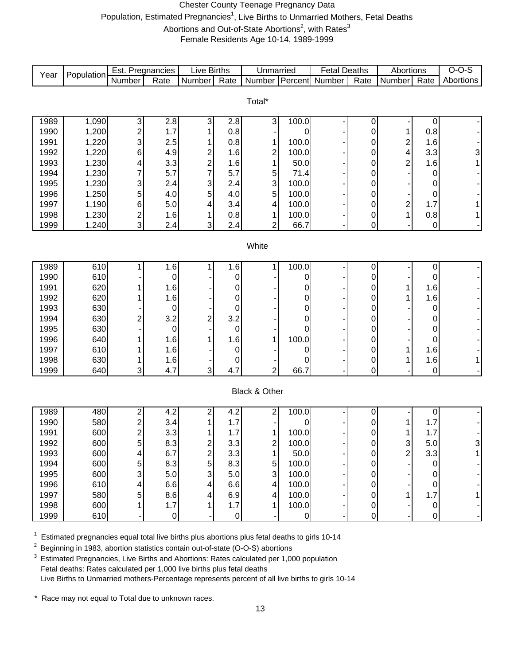#### Chester County Teenage Pregnancy Data Population, Estimated Pregnancies<sup>1</sup>, Live Births to Unmarried Mothers, Fetal Deaths Abortions and Out-of-State Abortions<sup>2</sup>, with Rates<sup>3</sup>

Female Residents Age 10-14, 1989-1999

| Year         | Population | Est. Pregnancies        |             | Live Births             |             | Unmarried               |             | <b>Fetal Deaths</b> |                  | Abortions               |                | $O-O-S$   |
|--------------|------------|-------------------------|-------------|-------------------------|-------------|-------------------------|-------------|---------------------|------------------|-------------------------|----------------|-----------|
|              |            | Number                  | Rate        | <b>Number</b>           | Rate        | Number Percent Number   |             |                     | Rate             | <b>Number</b>           | Rate           | Abortions |
|              |            |                         |             |                         |             |                         |             |                     |                  |                         |                |           |
|              |            |                         |             |                         |             | Total*                  |             |                     |                  |                         |                |           |
| 1989         | 1,090      | 3                       | 2.8         | 3                       | 2.8         | 3                       | 100.0       |                     | $\mathbf 0$      |                         | $\mathbf 0$    |           |
| 1990         | 1,200      | $\overline{c}$          | 1.7         |                         | 0.8         |                         | 0           |                     | 0                | 1                       | 0.8            |           |
| 1991         | 1,220      | 3                       | 2.5         |                         | 0.8         | 1                       | 100.0       |                     | 0                | $\overline{\mathbf{c}}$ | 1.6            |           |
| 1992         | 1,220      | 6                       | 4.9         | $\overline{\mathbf{c}}$ | 1.6         | $\overline{\mathbf{c}}$ | 100.0       |                     | 0                | 4                       | 3.3            | 3         |
| 1993         | 1,230      | 4                       | 3.3         |                         | 1.6         | $\overline{1}$          | 50.0        |                     | 0                | $\overline{2}$          | 1.6            |           |
| 1994         | 1,230      | 7                       | 5.7         | $\frac{2}{7}$           | 5.7         |                         | 71.4        |                     | 0                |                         | 0              |           |
| 1995         | 1,230      | 3                       | 2.4         | 3                       | 2.4         | $\frac{5}{3}$           | 100.0       |                     | 0                |                         | 0              |           |
| 1996         | 1,250      | 5                       | 4.0         | 5                       | 4.0         | 5                       | 100.0       |                     | 0                |                         | 0              |           |
| 1997         | 1,190      | 6                       | 5.0         | 4                       | 3.4         | 4                       | 100.0       |                     | 0                | $\overline{\mathbf{c}}$ | 1.7            |           |
| 1998         | 1,230      | $\overline{\mathbf{c}}$ | 1.6         | 1                       | 0.8         | 1                       | 100.0       |                     | $\boldsymbol{0}$ | $\mathbf{1}$            | 0.8            |           |
| 1999         | 1,240      | 3                       | 2.4         | 3                       | 2.4         | $\overline{c}$          | 66.7        |                     | 0                |                         | 0              |           |
|              |            |                         |             |                         |             |                         |             |                     |                  |                         |                |           |
|              |            |                         |             |                         |             | White                   |             |                     |                  |                         |                |           |
|              |            |                         |             |                         |             |                         |             |                     |                  |                         |                |           |
| 1989         | 610        |                         | 1.6         |                         | 1.6         |                         | 100.0       |                     | 0                |                         | $\pmb{0}$      |           |
| 1990         | 610        |                         | $\mathbf 0$ |                         | 0           |                         | 0           |                     | 0                |                         | 0              |           |
| 1991         | 620        |                         | 1.6         |                         | 0           |                         | 0           |                     | 0                |                         | 1.6            |           |
| 1992         | 620        |                         | 1.6         |                         | 0           |                         | 0           |                     | 0                |                         | 1.6            |           |
| 1993         | 630        |                         | $\mathbf 0$ |                         | 0           |                         | 0           |                     | 0                |                         | 0              |           |
| 1994         | 630        | 2                       | 3.2         | 2                       | 3.2         |                         | 0           |                     | 0                |                         | 0              |           |
| 1995         | 630        |                         | $\mathbf 0$ |                         | $\mathbf 0$ |                         | 0           |                     | 0                |                         | 0              |           |
| 1996         | 640        |                         | 1.6         | 1                       | 1.6         | 1                       | 100.0       |                     | 0                |                         | 0              |           |
| 1997<br>1998 | 610<br>630 |                         | 1.6         |                         | 0           |                         | 0           |                     | 0                |                         | 1.6            |           |
| 1999         | 640        | 3                       | 1.6<br>4.7  | 3                       | 0<br>4.7    | $\overline{c}$          | 0<br>66.7   |                     | 0<br>$\mathbf 0$ |                         | 1.6<br>0       |           |
|              |            |                         |             |                         |             |                         |             |                     |                  |                         |                |           |
|              |            |                         |             |                         |             | Black & Other           |             |                     |                  |                         |                |           |
|              |            |                         |             |                         |             |                         |             |                     |                  |                         |                |           |
| 1989         | 480        | $\overline{c}$          | 4.2         | $\overline{c}$          | 4.2         | 2                       | 100.0       |                     | 0                |                         | 0              |           |
| 1990         | 580        | $\overline{c}$          | 3.4         |                         | 1.7         |                         | 0           |                     | 0                |                         | 1.7            |           |
| 1991         | 600        | $\overline{c}$          | 3.3         |                         | 1.7         | 1                       | 100.0       |                     | 0                | 1                       | 1.7            |           |
| 1992         | 600        | 5                       | 8.3         | $\overline{\mathbf{c}}$ | 3.3         | 2                       | 100.0       |                     | 0                | 3                       | 5.0            |           |
| 1993         | 600        |                         | 6.7         |                         | 3.3         | 1                       | 50.0        |                     | 0                | $\overline{2}$          | 3.3            |           |
| 1994         | 600        | 5                       | 8.3         | $\frac{2}{5}$           | 8.3         | 5                       | 100.0       |                     | 0                |                         | 0              |           |
| 1995         | 600        | 3                       | 5.0         | 3                       | 5.0         | 3                       | 100.0       |                     | 0                |                         | 0              |           |
| 1996         | 610        |                         | 6.6         | 4                       | 6.6         | 4                       | 100.0       |                     | 0                |                         | 0              |           |
| 1997         | 580        | 5                       | 8.6         | 4                       | 6.9         | 4                       | 100.0       |                     | 0                | 1                       | 1.7            |           |
| 1998         | 600        |                         | 1.7         |                         | 1.7         | 1                       | 100.0       |                     | 0                |                         | 0              |           |
| 1999         | 610        |                         | $\mathbf 0$ |                         | $\pmb{0}$   |                         | $\mathbf 0$ |                     | $\mathbf 0$      |                         | $\overline{0}$ |           |

 $1$  Estimated pregnancies equal total live births plus abortions plus fetal deaths to girls 10-14

<sup>2</sup> Beginning in 1983, abortion statistics contain out-of-state (O-O-S) abortions

<sup>3</sup> Estimated Pregnancies, Live Births and Abortions: Rates calculated per 1,000 population Fetal deaths: Rates calculated per 1,000 live births plus fetal deaths Live Births to Unmarried mothers-Percentage represents percent of all live births to girls 10-14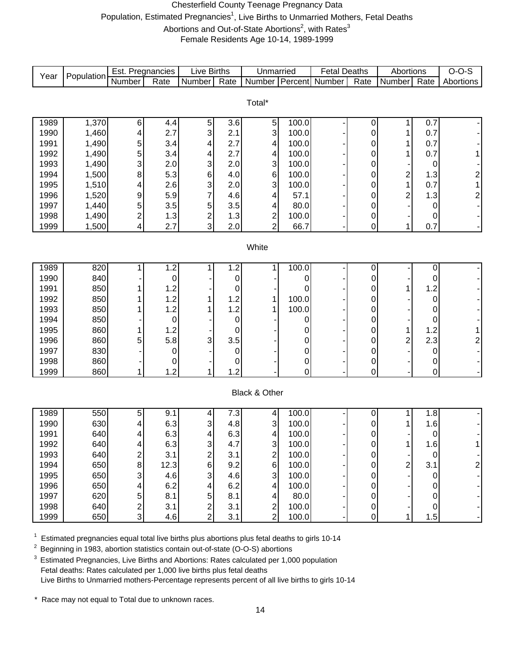#### Chesterfield County Teenage Pregnancy Data Population, Estimated Pregnancies<sup>1</sup>, Live Births to Unmarried Mothers, Fetal Deaths Abortions and Out-of-State Abortions<sup>2</sup>, with Rates<sup>3</sup> Female Residents Age 10-14, 1989-1999

|      |            | Est. Pregnancies        |                  | Live Births                        |      | Unmarried                      |         | <b>Fetal Deaths</b> |           | Abortions      |                     | $O-O-S$                 |
|------|------------|-------------------------|------------------|------------------------------------|------|--------------------------------|---------|---------------------|-----------|----------------|---------------------|-------------------------|
| Year | Population | Number                  | Rate             | Number                             | Rate | Number                         | Percent | Number              | Rate      | Number         | Rate                | Abortions               |
|      |            |                         |                  |                                    |      |                                |         |                     |           |                |                     |                         |
|      |            |                         |                  |                                    |      | Total*                         |         |                     |           |                |                     |                         |
|      |            |                         |                  |                                    |      |                                |         |                     |           |                |                     |                         |
| 1989 | 1,370      | 6                       | 4.4              | 5                                  | 3.6  | 5 <sub>l</sub>                 | 100.0   |                     | 0         | 1              | 0.7                 |                         |
| 1990 | 1,460      | 4                       | 2.7              | 3                                  | 2.1  | 3                              | 100.0   |                     | 0         | 1              | 0.7                 |                         |
| 1991 | 1,490      | 5                       | 3.4              | 4                                  | 2.7  | 4                              | 100.0   |                     | 0         | 1              | 0.7                 |                         |
| 1992 | 1,490      | 5                       | 3.4              | 4                                  | 2.7  | 4                              | 100.0   |                     | 0         | $\mathbf{1}$   | 0.7                 |                         |
| 1993 | 1,490      | 3                       | 2.0              | 3                                  | 2.0  | 3                              | 100.0   |                     | 0         |                | $\mathbf 0$         |                         |
| 1994 | 1,500      | 8                       | 5.3              | $\,6\,$                            | 4.0  | 6                              | 100.0   |                     | 0         | 2              | 1.3                 | $\overline{\mathbf{c}}$ |
| 1995 | 1,510      | 4                       | 2.6              | 3                                  | 2.0  | 3                              | 100.0   |                     | 0         | $\mathbf{1}$   | 0.7                 | $\overline{1}$          |
| 1996 | 1,520      | 9                       | 5.9              | 7                                  | 4.6  | 4                              | 57.1    |                     | 0         | $\overline{c}$ | 1.3                 | $\overline{\mathbf{c}}$ |
| 1997 | 1,440      | 5                       | 3.5              | 5                                  | 3.5  | 4                              | 80.0    |                     | 0         |                | $\mathbf 0$         |                         |
| 1998 | 1,490      | $\overline{c}$          | 1.3              | $\overline{\mathbf{c}}$            | 1.3  | $\mathbf{2}$                   | 100.0   |                     | 0         |                | 0                   |                         |
| 1999 | 1,500      | 4                       | 2.7              | $\overline{3}$                     | 2.0  | $\overline{2}$                 | 66.7    |                     | 0         | 1              | 0.7                 |                         |
|      |            |                         |                  |                                    |      |                                |         |                     |           |                |                     |                         |
|      |            |                         |                  |                                    |      | White                          |         |                     |           |                |                     |                         |
|      |            |                         |                  |                                    |      |                                |         |                     |           |                |                     |                         |
| 1989 | 820        | 1                       | 1.2              | 1                                  | 1.2  | 1                              | 100.0   |                     | 0         |                | $\pmb{0}$           |                         |
| 1990 | 840        |                         | 0                |                                    | 0    |                                | 0       |                     | 0         |                | $\mathbf 0$         |                         |
| 1991 | 850        |                         | 1.2              |                                    | 0    |                                | 0       |                     | 0         | 1              | 1.2                 |                         |
| 1992 | 850        |                         | 1.2              | 1                                  | 1.2  | 1                              | 100.0   |                     | 0         |                | $\mathbf 0$         |                         |
| 1993 | 850        |                         | 1.2              | 1                                  | 1.2  | 1                              | 100.0   |                     | 0         |                | 0                   |                         |
| 1994 | 850        |                         | 0                |                                    | 0    |                                | 0       |                     | 0         |                | $\mathbf 0$         |                         |
| 1995 | 860        |                         | 1.2              |                                    | 0    |                                | 0       |                     | 0         | $\mathbf{1}$   | 1.2                 |                         |
| 1996 | 860        | 5                       | 5.8              | 3                                  | 3.5  |                                | 0       |                     | 0         | 2              | 2.3                 | $\overline{c}$          |
| 1997 | 830        |                         | $\boldsymbol{0}$ |                                    | 0    |                                | 0       |                     | 0         |                | $\mathbf 0$         |                         |
| 1998 | 860        |                         | 0                |                                    | 0    |                                | 0       |                     | 0         |                | $\pmb{0}$           |                         |
| 1999 | 860        | 1                       | 1.2              | 1                                  | 1.2  |                                | 0       |                     | 0         |                | $\mathsf{O}\xspace$ |                         |
|      |            |                         |                  |                                    |      |                                |         |                     |           |                |                     |                         |
|      |            |                         |                  |                                    |      | Black & Other                  |         |                     |           |                |                     |                         |
|      |            |                         |                  |                                    |      |                                |         |                     |           |                |                     |                         |
| 1989 | 550        | 5                       | 9.1              | 4                                  | 7.3  | 4                              | 100.0   |                     | 0         | 1              | 1.8                 |                         |
| 1990 | 630        | 4                       | 6.3              | 3                                  | 4.8  | $\ensuremath{\mathsf{3}}$      | 100.0   |                     | 0         | 1              | 1.6                 |                         |
| 1991 | 640        | 4                       | 6.3              | 4                                  | 6.3  | $\vert 4 \vert$                | 100.0   |                     | 0         |                | $\pmb{0}$           |                         |
| 1992 | 640        | 4                       | 6.3              | $\mathbf{3}$                       | 4.7  | $\mathbf{3}$<br>$\overline{2}$ | 100.0   |                     | 0         | 1              | 1.6                 |                         |
| 1993 | 640        | 2                       | 3.1              | $\overline{\mathbf{c}}$<br>$\,6\,$ | 3.1  | 6                              | 100.0   |                     | $\pmb{0}$ |                | $\overline{0}$      |                         |
| 1994 | 650        | 8                       | 12.3             |                                    | 9.2  |                                | 100.0   |                     | 0         | $\overline{a}$ | 3.1                 | $\overline{c}$          |
| 1995 | 650        | 3                       | 4.6              | $\mathsf 3$                        | 4.6  | 3                              | 100.0   |                     | 0         |                | $\mathbf 0$         |                         |
| 1996 | 650        | 4                       | 6.2              | 4                                  | 6.2  | 4                              | 100.0   |                     | 0         |                | $\pmb{0}$           |                         |
| 1997 | 620        | 5                       | 8.1              | 5                                  | 8.1  | $\vert 4 \vert$                | 80.0    |                     | 0         |                | $\mathbf 0$         |                         |
| 1998 | 640        | $\overline{\mathbf{c}}$ | 3.1              | $\overline{a}$                     | 3.1  | $\mathbf{2}$                   | 100.0   |                     | $\pmb{0}$ |                | $\overline{O}$      |                         |
| 1999 | 650        | 3                       | 4.6              | $\overline{2}$                     | 3.1  | $\overline{2}$                 | 100.0   |                     | 0         | 1              | 1.5                 |                         |

 $1$  Estimated pregnancies equal total live births plus abortions plus fetal deaths to girls 10-14

<sup>2</sup> Beginning in 1983, abortion statistics contain out-of-state (O-O-S) abortions

<sup>3</sup> Estimated Pregnancies, Live Births and Abortions: Rates calculated per 1,000 population Fetal deaths: Rates calculated per 1,000 live births plus fetal deaths Live Births to Unmarried mothers-Percentage represents percent of all live births to girls 10-14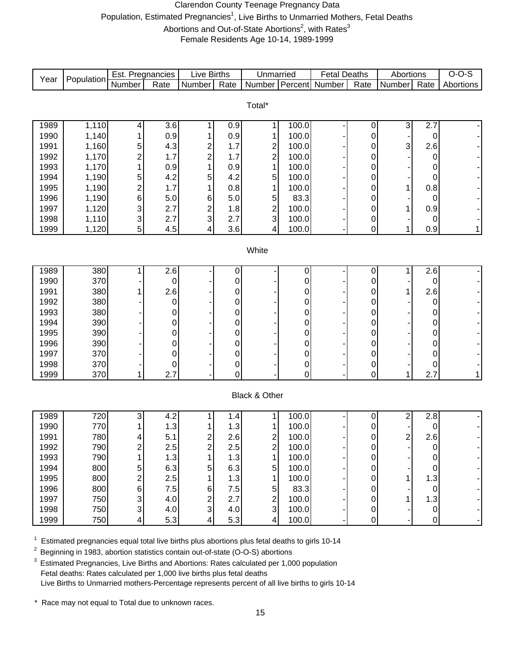#### Clarendon County Teenage Pregnancy Data Population, Estimated Pregnancies<sup>1</sup>, Live Births to Unmarried Mothers, Fetal Deaths Abortions and Out-of-State Abortions<sup>2</sup>, with Rates<sup>3</sup> Female Residents Age 10-14, 1989-1999

| Year         | Population | Est. Pregnancies |                  | <b>Live Births</b>      |             | Unmarried                               |                | <b>Fetal Deaths</b> |           | Abortions               |                   | $O-O-S$                  |
|--------------|------------|------------------|------------------|-------------------------|-------------|-----------------------------------------|----------------|---------------------|-----------|-------------------------|-------------------|--------------------------|
|              |            | Number           | Rate             | Number                  | Rate        | Number                                  |                | Percent Number      | Rate      | Number                  | $\overline{Rate}$ | Abortions                |
|              |            |                  |                  |                         |             |                                         |                |                     |           |                         |                   |                          |
|              |            |                  |                  |                         |             | Total*                                  |                |                     |           |                         |                   |                          |
| 1989         | 1,110      | 4                | $\overline{3.6}$ | 1                       | 0.9         | 1                                       | 100.0          |                     | $\pmb{0}$ | $\sqrt{3}$              | 2.7               |                          |
| 1990         | 1,140      | 1                | 0.9              |                         | 0.9         | 1                                       | 100.0          |                     | 0         |                         | 0                 |                          |
| 1991         | 1,160      | 5                | 4.3              | 2                       | 1.7         |                                         | 100.0          |                     | 0         | 3                       | 2.6               |                          |
| 1992         | 1,170      | $\overline{c}$   | 1.7              | $\overline{c}$          | 1.7         | $\frac{2}{2}$                           | 100.0          |                     | 0         |                         | 0                 |                          |
| 1993         | 1,170      | 1                | 0.9              | 1                       | 0.9         | $\mathbf{1}$                            | 100.0          |                     | 0         |                         | 0                 |                          |
| 1994         | 1,190      | 5                | 4.2              | 5                       | 4.2         | 5                                       | 100.0          |                     | 0         |                         | 0                 |                          |
| 1995         | 1,190      | $\overline{c}$   | 1.7              |                         | 0.8         | $\mathbf 1$                             | 100.0          |                     | 0         | 1                       | 0.8               |                          |
| 1996         | 1,190      | 6                | 5.0              | 6                       | 5.0         | 5                                       | 83.3           |                     | 0         |                         | 0                 |                          |
| 1997         | 1,120      | 3                | 2.7              | $\overline{c}$          | 1.8         |                                         | 100.0          |                     | 0         | 1                       | 0.9               |                          |
| 1998         | 1,110      | 3                | 2.7              | 3                       | 2.7         | $\frac{2}{3}$                           | 100.0          |                     | 0         |                         | 0                 |                          |
| 1999         | 1,120      | 5                | 4.5              | 4                       | 3.6         | $\overline{\mathbf{4}}$                 | 100.0          |                     | 0         | 1                       | 0.9               | 1                        |
|              |            |                  |                  |                         |             |                                         |                |                     |           |                         |                   |                          |
|              |            |                  |                  |                         |             | White                                   |                |                     |           |                         |                   |                          |
|              |            |                  |                  |                         |             |                                         |                |                     |           |                         |                   |                          |
| 1989         | 380        | 1                | 2.6              |                         | 0           |                                         | 0              |                     | 0         | 1                       | 2.6               |                          |
| 1990         | 370        |                  | $\mathbf 0$      |                         | $\mathbf 0$ |                                         | 0              |                     | 0         |                         | $\boldsymbol{0}$  |                          |
| 1991         | 380        |                  | 2.6              |                         | $\mathsf 0$ |                                         | 0              |                     | 0         | 1                       | 2.6               |                          |
| 1992<br>1993 | 380<br>380 |                  | $\mathbf 0$      |                         | $\mathbf 0$ |                                         | 0              |                     | 0         |                         | 0                 |                          |
| 1994         | 390        |                  | 0<br>0           |                         | 0<br>0      |                                         | 0<br>0         |                     | 0<br>0    |                         | 0<br>0            |                          |
| 1995         | 390        |                  | 0                |                         | 0           |                                         | 0              |                     | 0         |                         | 0                 |                          |
| 1996         | 390        |                  | 0                |                         | $\mathbf 0$ |                                         | 0              |                     | 0         |                         | 0                 |                          |
| 1997         | 370        |                  | 0                |                         | $\mathbf 0$ |                                         | 0              |                     | 0         |                         | 0                 |                          |
| 1998         | 370        |                  | $\mathbf 0$      |                         | 0           |                                         | 0              |                     | 0         |                         | 0                 |                          |
| 1999         | 370        | 1                | 2.7              |                         | 0           |                                         | $\overline{0}$ |                     | 0         | 1                       | 2.7               | 1                        |
|              |            |                  |                  |                         |             |                                         |                |                     |           |                         |                   |                          |
|              |            |                  |                  |                         |             | Black & Other                           |                |                     |           |                         |                   |                          |
|              |            |                  |                  |                         |             |                                         |                |                     |           |                         |                   |                          |
| 1989         | 720        | 3                | 4.2              |                         | 1.4         | 1                                       | 100.0          |                     | 0         | 2                       | 2.8               |                          |
| 1990         | 770        | 1                | 1.3              |                         | 1.3         | 1                                       | 100.0          |                     | 0         |                         | 0                 |                          |
| 1991         | 780        | 4                | 5.1              | 2                       | 2.6         | $\begin{array}{c}\n2 \\ 2\n\end{array}$ | 100.0          |                     | 0         | $\overline{\mathbf{c}}$ | 2.6               |                          |
| 1992         | 790        | 2                | 2.5              | $\overline{\mathbf{c}}$ | 2.5         |                                         | 100.0          |                     | 0         |                         | 0                 |                          |
| 1993         | 790        | 1                | 1.3              | 1                       | 1.3         | $\mathbf 1$                             | 100.0          |                     | 0         |                         | $\pmb{0}$         |                          |
| 1994         | 800        | 5                | 6.3              | 5                       | 6.3         | 5                                       | 100.0          |                     | 0         |                         | 0                 |                          |
| 1995         | 800        | $\overline{c}$   | 2.5              | 1                       | 1.3         | 1                                       | 100.0          |                     | 0         |                         | 1.3               |                          |
| 1996         | 800        | 6                | 7.5              | 6                       | 7.5         | 5                                       | 83.3           |                     | 0         |                         | 0                 |                          |
| 1997         | 750        | 3                | 4.0              | $\mathbf 2$             | 2.7         | $\overline{\mathbf{c}}$                 | 100.0          |                     | 0         |                         | 1.3               |                          |
| 1998         | 750        | 3                | 4.0              | $\mathsf 3$             | 4.0         | $\mathbf{3}$                            | 100.0          |                     | $\pmb{0}$ |                         | $\boldsymbol{0}$  |                          |
| 1999         | 750        | 4                | 5.3              | 4                       | 5.3         | $\vert 4 \vert$                         | 100.0          |                     | 0         |                         | $\mathbf 0$       | $\overline{\phantom{a}}$ |

 $1$  Estimated pregnancies equal total live births plus abortions plus fetal deaths to girls 10-14

2 Beginning in 1983, abortion statistics contain out-of-state (O-O-S) abortions

<sup>3</sup> Estimated Pregnancies, Live Births and Abortions: Rates calculated per 1,000 population Fetal deaths: Rates calculated per 1,000 live births plus fetal deaths Live Births to Unmarried mothers-Percentage represents percent of all live births to girls 10-14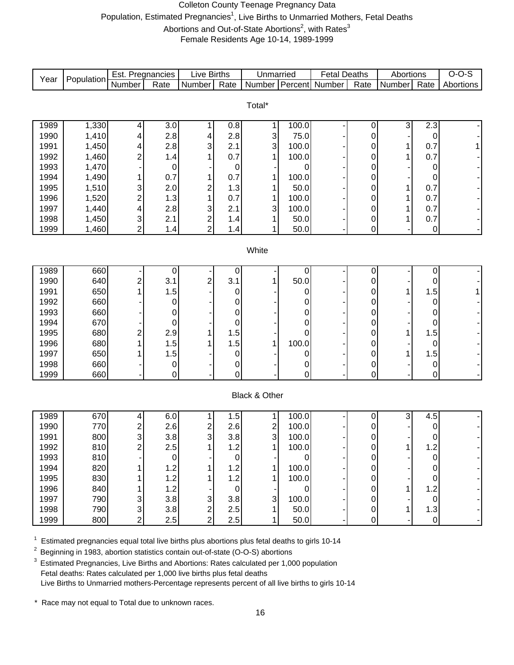#### Colleton County Teenage Pregnancy Data Population, Estimated Pregnancies<sup>1</sup>, Live Births to Unmarried Mothers, Fetal Deaths Abortions and Out-of-State Abortions<sup>2</sup>, with Rates<sup>3</sup> Female Residents Age 10-14, 1989-1999

| Year | Population | Est. Pregnancies |             | <b>Live Births</b> |                  | Unmarried     |                | <b>Fetal Deaths</b> |                | Abortions |                | $O-O-S$   |
|------|------------|------------------|-------------|--------------------|------------------|---------------|----------------|---------------------|----------------|-----------|----------------|-----------|
|      |            | Number           | Rate        | Number             | Rate             | <b>Number</b> | Percent        | Number              | Rate           | Number    | Rate           | Abortions |
|      |            |                  |             |                    |                  |               |                |                     |                |           |                |           |
|      |            |                  |             |                    |                  | Total*        |                |                     |                |           |                |           |
| 1989 | 1,330      | 4                | 3.0         | 1                  | 0.8              | 1             | 100.0          |                     | 0              | 3         | 2.3            |           |
| 1990 | 1,410      | 4                | 2.8         | 4                  | 2.8              | 3             | 75.0           |                     | 0              |           | 0              |           |
| 1991 | 1,450      | 4                | 2.8         | 3                  | 2.1              | 3             | 100.0          |                     | 0              | 1         | 0.7            |           |
| 1992 | 1,460      | $\overline{c}$   | 1.4         |                    | 0.7              | 1             | 100.0          |                     | 0              | 1         | 0.7            |           |
| 1993 | 1,470      |                  | $\mathbf 0$ |                    | $\pmb{0}$        |               | 0              |                     | 0              |           | 0              |           |
| 1994 | 1,490      | 1                | 0.7         |                    | 0.7              | 1             | 100.0          |                     | 0              |           | 0              |           |
| 1995 | 1,510      | 3                | 2.0         | 2                  | 1.3              | 1             | 50.0           |                     | 0              | 1         | 0.7            |           |
| 1996 | 1,520      | $\overline{c}$   | 1.3         | 1                  | 0.7              | 1             | 100.0          |                     | 0              | 1         | 0.7            |           |
| 1997 | 1,440      | 4                | 2.8         | 3                  | 2.1              | 3             | 100.0          |                     | 0              | 1         | 0.7            |           |
| 1998 | 1,450      | 3                | 2.1         | $\boldsymbol{2}$   | 1.4              | 1             | 50.0           |                     | $\pmb{0}$      | 1         | 0.7            |           |
| 1999 | 1,460      | $\overline{c}$   | 1.4         | $\overline{2}$     | 1.4              | 1             | 50.0           |                     | 0              |           | $\pmb{0}$      |           |
|      |            |                  |             |                    |                  |               |                |                     |                |           |                |           |
|      |            |                  |             |                    |                  | White         |                |                     |                |           |                |           |
| 1989 | 660        |                  |             |                    |                  |               |                |                     |                |           |                |           |
| 1990 | 640        | $\overline{c}$   | 0<br>3.1    | 2                  | $\pmb{0}$<br>3.1 | 1             | 0<br>50.0      |                     | $\pmb{0}$<br>0 |           | $\pmb{0}$<br>0 |           |
| 1991 | 650        |                  | 1.5         |                    | 0                |               | 0              |                     | 0              |           | 1.5            |           |
| 1992 | 660        |                  | $\mathbf 0$ |                    | 0                |               | 0              |                     | 0              |           | 0              |           |
| 1993 | 660        |                  | 0           |                    | $\mathbf 0$      |               | 0              |                     | 0              |           | 0              |           |
| 1994 | 670        |                  | $\mathbf 0$ |                    | 0                |               | 0              |                     | 0              |           | 0              |           |
| 1995 | 680        | 2                | 2.9         |                    | 1.5              |               | 0              |                     | 0              | 1         | 1.5            |           |
| 1996 | 680        | 1                | 1.5         |                    | 1.5              | 1             | 100.0          |                     | 0              |           | 0              |           |
| 1997 | 650        |                  | 1.5         |                    | 0                |               | 0              |                     | 0              |           | 1.5            |           |
| 1998 | 660        |                  | $\mathbf 0$ |                    | 0                |               | 0              |                     | 0              |           | 0              |           |
| 1999 | 660        |                  | $\mathbf 0$ |                    | 0                |               | $\overline{0}$ |                     | $\overline{0}$ |           | 0              |           |
|      |            |                  |             |                    |                  |               |                |                     |                |           |                |           |
|      |            |                  |             |                    |                  | Black & Other |                |                     |                |           |                |           |
| 1989 | 670        | 4                | 6.0         | 1                  | 1.5              | 1             | 100.0          |                     | 0              | 3         | 4.5            |           |
| 1990 | 770        | $\overline{c}$   | 2.6         | 2                  | 2.6              |               | 100.0          |                     | 0              |           | 0              |           |
| 1991 | 800        | 3                | 3.8         | 3                  | 3.8              | $\frac{2}{3}$ | 100.0          |                     | 0              |           | 0              |           |
| 1992 | 810        | ۷                | 2.5         |                    | 1.2              |               | 100.0          |                     | O              |           | 1.2            |           |
| 1993 | 810        |                  | $\pmb{0}$   |                    | 0                |               | 0              |                     | 0              |           | 0              |           |
| 1994 | 820        |                  | 1.2         |                    | 1.2              | 1             | 100.0          |                     | 0              |           | 0              |           |
| 1995 | 830        |                  | 1.2         |                    | 1.2              | 1             | 100.0          |                     | 0              |           | 0              |           |
| 1996 | 840        |                  | 1.2         |                    | $\mathbf 0$      |               | 0              |                     | 0              | 1         | 1.2            |           |
| 1997 | 790        | 3                | 3.8         | 3                  | 3.8              | 3             | 100.0          |                     | 0              |           | $\mathbf 0$    |           |
| 1998 | 790        | 3                | 3.8         | $\overline{c}$     | 2.5              | 1             | 50.0           |                     | 0              | 1         | 1.3            |           |
| 1999 | 800        | $\overline{2}$   | 2.5         | $\overline{2}$     | 2.5              | 1             | 50.0           |                     | 0              |           | $\mathbf 0$    |           |

 $1$  Estimated pregnancies equal total live births plus abortions plus fetal deaths to girls 10-14

<sup>2</sup> Beginning in 1983, abortion statistics contain out-of-state (O-O-S) abortions

<sup>3</sup> Estimated Pregnancies, Live Births and Abortions: Rates calculated per 1,000 population Fetal deaths: Rates calculated per 1,000 live births plus fetal deaths Live Births to Unmarried mothers-Percentage represents percent of all live births to girls 10-14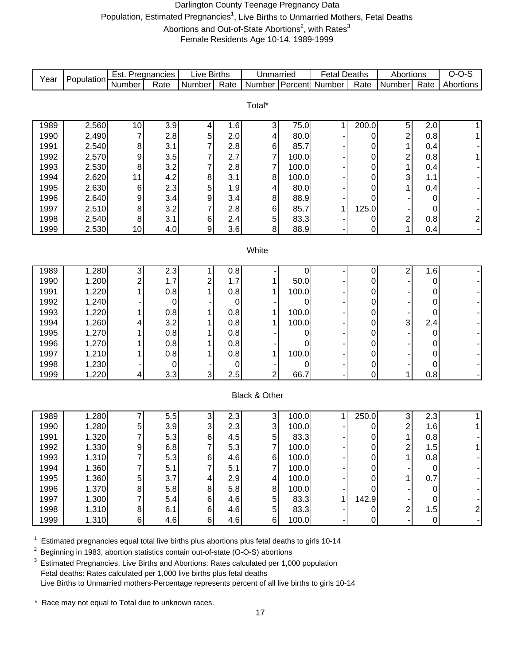#### Darlington County Teenage Pregnancy Data Population, Estimated Pregnancies<sup>1</sup>, Live Births to Unmarried Mothers, Fetal Deaths Abortions and Out-of-State Abortions<sup>2</sup>, with Rates<sup>3</sup> Female Residents Age 10-14, 1989-1999

| Year | Population | Est. Pregnancies |      | <b>Live Births</b> |           | Unmarried                 |       | <b>Fetal Deaths</b> |                | Abortions                 |             | $O-O-S$       |
|------|------------|------------------|------|--------------------|-----------|---------------------------|-------|---------------------|----------------|---------------------------|-------------|---------------|
|      |            | Number           | Rate | Number             | Rate      | Number                    |       | Percent Number      | Rate           | Number                    | Rate        | Abortions     |
|      |            |                  |      |                    |           |                           |       |                     |                |                           |             |               |
|      |            |                  |      |                    |           | Total*                    |       |                     |                |                           |             |               |
| 1989 | 2,560      | 10               | 3.9  | 4                  | 1.6       | $\mathbf{3}$              | 75.0  | 1                   | 200.0          | $\mathbf 5$               | 2.0         | 1             |
| 1990 | 2,490      | 7                | 2.8  | 5                  | 2.0       | 4                         | 80.0  |                     | 0              | $\overline{\mathbf{c}}$   | 0.8         | 1             |
| 1991 | 2,540      | 8                | 3.1  | 7                  | 2.8       | 6                         | 85.7  |                     | 0              | 1                         | 0.4         |               |
| 1992 | 2,570      | 9                | 3.5  |                    | 2.7       | $\overline{7}$            | 100.0 |                     | 0              | $\overline{\mathbf{c}}$   | 0.8         |               |
| 1993 | 2,530      | 8                | 3.2  | 7                  | 2.8       | $\overline{7}$            | 100.0 |                     | 0              | 1                         | 0.4         |               |
| 1994 | 2,620      | 11               | 4.2  | 8                  | 3.1       | 8                         | 100.0 |                     | 0              | 3                         | 1.1         |               |
| 1995 | 2,630      | $\,6$            | 2.3  | 5                  | 1.9       | 4                         | 80.0  |                     | 0              | 1                         | 0.4         |               |
| 1996 | 2,640      | 9                | 3.4  | 9                  | 3.4       | 8                         | 88.9  |                     | 0              |                           | 0           |               |
| 1997 | 2,510      | 8                | 3.2  |                    | 2.8       | 6                         | 85.7  | 1                   | 125.0          |                           | 0           |               |
| 1998 | 2,540      | 8                | 3.1  | 6                  | 2.4       | 5                         | 83.3  |                     | 0              | $\overline{\mathbf{c}}$   | 0.8         | $2\vert$      |
| 1999 | 2,530      | 10               | 4.0  | 9                  | 3.6       | 8                         | 88.9  |                     | 0              | 1                         | 0.4         |               |
|      |            |                  |      |                    |           |                           |       |                     |                |                           |             |               |
|      |            |                  |      |                    |           | White                     |       |                     |                |                           |             |               |
|      |            |                  |      |                    |           |                           |       |                     |                |                           |             |               |
| 1989 | 1,280      | دن               | 2.3  | 1                  | 0.8       |                           | 0     |                     | 0              | 2                         | 1.6         |               |
| 1990 | 1,200      | $\overline{c}$   | 1.7  | 2                  | 1.7       | 1                         | 50.0  |                     | $\mathbf 0$    |                           | $\pmb{0}$   |               |
| 1991 | 1,220      | 1                | 0.8  |                    | 0.8       | 1                         | 100.0 |                     | 0              |                           | 0           |               |
| 1992 | 1,240      |                  | 0    |                    | $\pmb{0}$ |                           | 0     |                     | 0              |                           | 0           |               |
| 1993 | 1,220      | 1                | 0.8  |                    | 0.8       | 1                         | 100.0 |                     | 0              |                           | 0           |               |
| 1994 | 1,260      | 4                | 3.2  |                    | 0.8       | 1                         | 100.0 |                     | 0              | 3                         | 2.4         |               |
| 1995 | 1,270      |                  | 0.8  |                    | 0.8       |                           | 0     |                     | 0              |                           | 0           |               |
| 1996 | 1,270      |                  | 0.8  |                    | 0.8       |                           | 0     |                     | 0              |                           | 0           |               |
| 1997 | 1,210      |                  | 0.8  |                    | 0.8       | 1                         | 100.0 |                     | 0              |                           | 0           |               |
| 1998 | 1,230      |                  | 0    |                    | 0         |                           | 0     |                     | 0              |                           | 0           |               |
| 1999 | 1,220      | 4                | 3.3  | 3                  | 2.5       | $\overline{2}$            | 66.7  |                     | $\overline{0}$ | 1                         | 0.8         |               |
|      |            |                  |      |                    |           |                           |       |                     |                |                           |             |               |
|      |            |                  |      |                    |           | Black & Other             |       |                     |                |                           |             |               |
| 1989 | 1,280      | 7                | 5.5  | 3                  | 2.3       | $\ensuremath{\mathsf{3}}$ | 100.0 | 1                   | 250.0          | $\ensuremath{\mathsf{3}}$ | 2.3         | 11            |
| 1990 | 1,280      | 5                | 3.9  | 3                  | 2.3       | 3                         | 100.0 |                     | 0              | 2                         | 1.6         | $\mathbf{1}$  |
| 1991 | 1,320      | 7                | 5.3  | 6                  | 4.5       | 5                         | 83.3  |                     | 0              | 1                         | 0.8         |               |
| 1992 | 1,330      | 9                | 6.8  | 7                  | 5.3       | $\overline{7}$            | 100.0 |                     | 0              | $\overline{\mathbf{c}}$   | 1.5         |               |
| 1993 | 1,310      | $\overline{7}$   | 5.3  | 6                  | 4.6       | $\,6$                     | 100.0 |                     | $\pmb{0}$      | 1                         | 0.8         |               |
| 1994 | 1,360      |                  | 5.1  | 7                  | 5.1       | $\overline{7}$            | 100.0 |                     | 0              |                           | $\mathbf 0$ |               |
| 1995 | 1,360      | 5                | 3.7  | 4                  | 2.9       | $\overline{\mathbf{4}}$   | 100.0 |                     | $\mathbf 0$    | 1                         | 0.7         |               |
| 1996 | 1,370      | 8                | 5.8  | 8                  | 5.8       | 8                         | 100.0 |                     | $\Omega$       |                           | 0           |               |
| 1997 | 1,300      | 7                | 5.4  | 6                  | 4.6       | $\overline{5}$            | 83.3  |                     | 142.9          |                           | 0           |               |
| 1998 | 1,310      | 8                | 6.1  | $\,6$              | 4.6       | 5 <sup>1</sup>            | 83.3  |                     | 0              | $\mathbf{2}$              | 1.5         |               |
| 1999 | 1,310      | $\,6$            | 4.6  | 6                  | 4.6       | $6 \mid$                  | 100.0 |                     | 0              |                           | $\mathbf 0$ | $\frac{2}{1}$ |

 $1$  Estimated pregnancies equal total live births plus abortions plus fetal deaths to girls 10-14

2 Beginning in 1983, abortion statistics contain out-of-state (O-O-S) abortions

<sup>3</sup> Estimated Pregnancies, Live Births and Abortions: Rates calculated per 1,000 population Fetal deaths: Rates calculated per 1,000 live births plus fetal deaths Live Births to Unmarried mothers-Percentage represents percent of all live births to girls 10-14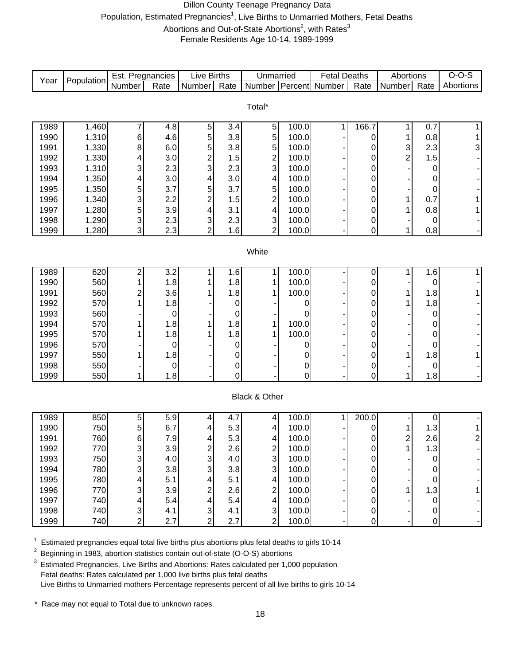#### Dillon County Teenage Pregnancy Data Population, Estimated Pregnancies<sup>1</sup>, Live Births to Unmarried Mothers, Fetal Deaths Abortions and Out-of-State Abortions<sup>2</sup>, with Rates<sup>3</sup> Female Residents Age 10-14, 1989-1999

|      |            | Est. Pregnancies |                  | <b>Live Births</b>        |                   | Unmarried                 |         | <b>Fetal Deaths</b> |             | Abortions               |             | $O-O-S$        |
|------|------------|------------------|------------------|---------------------------|-------------------|---------------------------|---------|---------------------|-------------|-------------------------|-------------|----------------|
| Year | Population | Number           | Rate             | Number                    | $\overline{Rate}$ | Number                    | Percent | Number              | Rate        | Number                  | Rate        | Abortions      |
|      |            |                  |                  |                           |                   |                           |         |                     |             |                         |             |                |
|      |            |                  |                  |                           |                   | Total*                    |         |                     |             |                         |             |                |
| 1989 | 1,460      | 7                | 4.8              | $\,$ 5 $\,$               | 3.4               | $\overline{5}$            | 100.0   | 1                   | 166.7       | 1                       | 0.7         | 1              |
| 1990 | 1,310      | 6                | 4.6              | 5                         | 3.8               | 5                         | 100.0   |                     | 0           | 1                       | 0.8         | 1              |
| 1991 | 1,330      | 8                | 6.0              | 5                         | 3.8               | 5                         | 100.0   |                     | 0           | 3                       | 2.3         | 3 <sup>1</sup> |
| 1992 | 1,330      | 4                | 3.0              | $\overline{c}$            | 1.5               | $\overline{\mathbf{c}}$   | 100.0   |                     | 0           | $\overline{c}$          | 1.5         |                |
| 1993 | 1,310      | 3                | 2.3              | 3                         | 2.3               | 3                         | 100.0   |                     | 0           |                         | 0           |                |
| 1994 | 1,350      | 4                | 3.0              | 4                         | 3.0               | 4                         | 100.0   |                     | 0           |                         | 0           |                |
| 1995 | 1,350      | 5                | 3.7              | 5                         | 3.7               | 5                         | 100.0   |                     | 0           |                         | 0           |                |
| 1996 | 1,340      | 3                | 2.2              | $\overline{c}$            | 1.5               | $\overline{c}$            | 100.0   |                     | 0           | 1                       | 0.7         |                |
| 1997 | 1,280      | 5                | 3.9              | 4                         | 3.1               | 4                         | 100.0   |                     | 0           | 1                       | 0.8         | 1              |
| 1998 | 1,290      | 3                | 2.3              | 3                         | 2.3               | 3                         | 100.0   |                     | 0           |                         | 0           |                |
| 1999 | 1,280      | 3                | 2.3              | $\overline{2}$            | 1.6               | $\overline{2}$            | 100.0   |                     | 0           | 1                       | 0.8         |                |
|      |            |                  |                  |                           |                   |                           |         |                     |             |                         |             |                |
|      |            |                  |                  |                           |                   | White                     |         |                     |             |                         |             |                |
| 1989 | 620        | 2                | 3.2              | 1                         | 1.6               | 1                         | 100.0   |                     | $\mathbf 0$ | 1                       | 1.6         | $\mathbf{1}$   |
| 1990 | 560        | 1                | 1.8              |                           | 1.8               | 1                         | 100.0   |                     | 0           |                         | 0           |                |
| 1991 | 560        | 2                | 3.6              |                           | 1.8               | 1                         | 100.0   |                     | 0           | 1                       | 1.8         | 1              |
| 1992 | 570        |                  | 1.8              |                           | $\,0\,$           |                           | 0       |                     | 0           | 1                       | 1.8         |                |
| 1993 | 560        |                  | $\pmb{0}$        |                           | 0                 |                           | 0       |                     | 0           |                         | 0           |                |
| 1994 | 570        |                  | 1.8              |                           | 1.8               | 1                         | 100.0   |                     | 0           |                         | 0           |                |
| 1995 | 570        |                  | 1.8              |                           | 1.8               | 1                         | 100.0   |                     | 0           |                         | 0           |                |
| 1996 | 570        |                  | $\mathbf 0$      |                           | 0                 |                           | 0       |                     | 0           |                         | 0           |                |
| 1997 | 550        |                  | 1.8              |                           | 0                 |                           | 0       |                     | 0           | 1                       | 1.8         | 1              |
| 1998 | 550        |                  | $\mathbf 0$      |                           | $\mathbf 0$       |                           | 0       |                     | 0           |                         | 0           |                |
| 1999 | 550        | 1                | 1.8              |                           | 0                 |                           | 0       |                     | 0           | 1                       | 1.8         |                |
|      |            |                  |                  |                           |                   |                           |         |                     |             |                         |             |                |
|      |            |                  |                  |                           |                   | Black & Other             |         |                     |             |                         |             |                |
| 1989 | 850        | 5                | $\overline{5.9}$ | 4                         | 4.7               | 4                         | 100.0   | 1                   | 200.0       |                         | 0           |                |
| 1990 | 750        | 5                | 6.7              | 4                         | 5.3               | 4                         | 100.0   |                     | 0           | 1                       | 1.3         | 1              |
| 1991 | 760        | 6                | 7.9              | 4                         | 5.3               | $\overline{4}$            | 100.0   |                     | 0           | $\overline{\mathbf{c}}$ | 2.6         | $2\vert$       |
| 1992 | 770        | 3                | 3.9              | 2                         | 2.6               | $\overline{\mathbf{c}}$   | 100.0   |                     | 0           | 1                       | 1.3         |                |
| 1993 | 750        | 3                | 4.0              | 3                         | 4.0               | 3                         | 100.0   |                     | 0           |                         | 0           |                |
| 1994 | 780        | 3                | 3.8              | 3                         | 3.8               | 3                         | 100.0   |                     | 0           |                         | 0           |                |
| 1995 | 780        | 4                | 5.1              | 4                         | 5.1               | 4                         | 100.0   |                     | 0           |                         | 0           |                |
| 1996 | 770        | 3                | 3.9              | 2                         | 2.6               | $\overline{\mathbf{c}}$   | 100.0   |                     | 0           | 1                       | 1.3         |                |
| 1997 | 740        | 4                | 5.4              | 4                         | 5.4               | 4                         | 100.0   |                     | 0           |                         | $\mathbf 0$ |                |
| 1998 | 740        | 3                | 4.1              | $\ensuremath{\mathsf{3}}$ | 4.1               | $\ensuremath{\mathsf{3}}$ | 100.0   |                     | 0           |                         | $\pmb{0}$   |                |
| 1999 | 740        | 2                | 2.7              | $\overline{2}$            | 2.7               | $\overline{2}$            | 100.0   |                     | 0           |                         | 0           |                |

 $1$  Estimated pregnancies equal total live births plus abortions plus fetal deaths to girls 10-14

2 Beginning in 1983, abortion statistics contain out-of-state (O-O-S) abortions

<sup>3</sup> Estimated Pregnancies, Live Births and Abortions: Rates calculated per 1,000 population Fetal deaths: Rates calculated per 1,000 live births plus fetal deaths Live Births to Unmarried mothers-Percentage represents percent of all live births to girls 10-14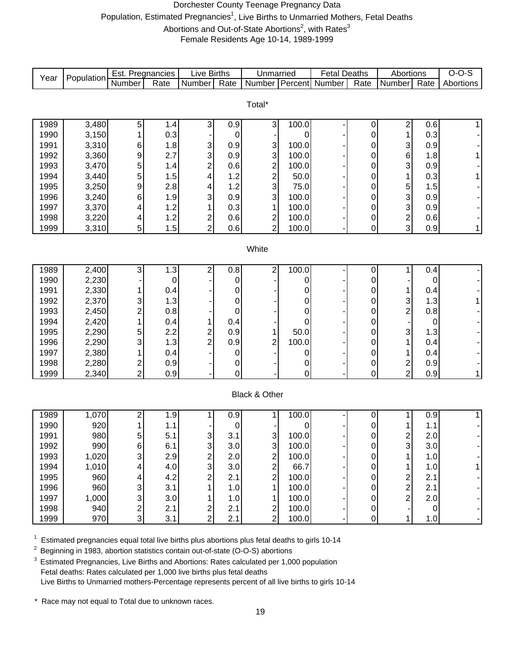#### Dorchester County Teenage Pregnancy Data Population, Estimated Pregnancies<sup>1</sup>, Live Births to Unmarried Mothers, Fetal Deaths Abortions and Out-of-State Abortions<sup>2</sup>, with Rates<sup>3</sup> Female Residents Age 10-14, 1989-1999

Number Rate Number Rate Number Percent Number Rate Number Rate 1989 3,480 5 1.4 3 0.9 3 100.0 - 0 2 0.6 1 1990 | 3,150 | 1 | 0.3 | - | 0 | - | 0 | - | 0 | 1 | 0.3 | -1991 | 3,310 | 6 | 1.8 | 3 | 0.9 | 3 | 100.0 | - | 0 | 3 | 0.9 | -1992 | 3,360 | 9 | 2.7 | 3 | 0.9 | 3 | 100.0 | - | 0 | 6 | 1.8 | 1 1993 | 3,470 | 5 | 1.4 | 2 | 0.6 | 2 | 100.0 | - | 0 | 3 | 0.9 | -1994 | 3,440 | 5 | 1.5 | 4 | 1.2 | 2 | 50.0 | - | 0 | 1 | 0.3 | 1 1995 | 3,250 | 9 | 2.8 | 4 | 1.2 | 3 | 75.0 | - | 0 | 5 | 1.5 | -1996 | 3,240 | 6 | 1.9 | 3 | 0.9 | 3 | 100.0 | - | 0 | 3 | 0.9 | -1997 | 3,370 | 4 | 1.2 | 1 | 0.3 | 1 | 100.0 | - | 0 | 3 | 0.9 | -1998 | 3,220 | 4 | 1.2 | 2 | 0.6 | 2 | 100.0 | - | 0 | 2 | 0.6 | -1999 | 3,310 | 5 | 1.5 | 2 | 0.6 | 2 | 100.0 | - | 0 | 3 | 0.9 | 1 1989 | 2,400 | 3 | 1.3 | 2 | 0.8 | 2 | 100.0 | - | 0 | 1 | 0.4 | -1990 | 2,230| -| 0| -| 0| -| 0| -| 0| -| 0| -1991 | 2,330 | 1 | 0.4 | - | 0 | - | 0 | - | 0 | 0.4 | -1992 | 2,370 | 3| 1.3| - -| 0| -| 0| -| 0| 3| 1.3| 1 1993 | 2,450 | 2 | 0.8 | - | 0 | - | 0 | - | 0 | 2 | 0.8 | -1994 | 2,420 | 1 | 0.4 | 1 | 0.4 | - | 0 | - | 0 | - | 0 | -1995 | 2,290 | 5| 2.2| 2| 0.9| 1| 50.0| -| 0| 3| 1.3| -1996 | 2,290 | 3 | 1.3 | 2 | 0.9 | 2 | 100.0 | - | 0 | 1 | 0.4 | -1997 | 2,380 | 1 | 0.4 | - | 0 | - | 0 | - | 0 | 0.4 | -1998 | 2,280 | 2 | 0.9 | - | 0 | - | 0 | - | 0 | 2 | 0.9 | -1999 | 2,340 | 2 | 0.9 | - | 0 | - | 0 | - | 0 | 2 | 0.9 | 1 1989 | 1,070 | 2 | 1.9 | 1 | 0.9 | 1 | 100.0 | - | 0 | 1 | 0.9 | 1 1990 | 920 | 1 1.1 | - 0 - 0 - 0 - 0 1 1.1 | 1991 | 980 |5 | 5.1 | 3 | 3.1 | 3 | 100.0 | - | 0 | 2 | 2.0 | -1992 | 990 | 6 |6.1 | 3 |3.0 | 3 |100.0 | - 0 | 3 |3.0 | -1993 | 1,020 | 3 | 2.9 | 2 | 2.0 | 2 | 100.0 | - | 0 | 1 | 1.0 | -1994 | 1,010 | 4 | 4.0 | 3 | 3.0 | 2 | 66.7 | - | 0 | 1 | 1.0 | 1 1995 | 960 | 4 | 4.2 | 2 | 2.1 | 2 | 100.0 | - | 0 | 2 | 2.1 | -1996 | 960 | 3 | 3.1 | 1 | 1.0 | 1 | 100.0 | - | 0 | 2 | 2.1 | -1997 | 1,000 | 3 | 3.0 | 1 | 1.0 | 1 | 100.0 | - 0 | 2 | 2.0 | -1998 | 940 |2 | 2.1 | 2 | 2.1 | 2 | 100.0 | - | 0 | - | 0 | -1999 | 970 | 3 | 3.1 | 2 | 2.1 | 2 | 100.0 | - | 0 | 1 | 1.0 | -Live Births **White** Black & Other Total\* Unmarried | Fetal Deaths | Abortions | O-O-S Year Population Est. Pregnancies Live Births | Unmarried | Fetal Deaths | Abortions | O-O-S<br>Number | Rate | Number | Rate | Number | Rate | Number | Percent | Number | Rate | Number | Rate | Abortions

1 <sup>1</sup> Estimated pregnancies equal total live births plus abortions plus fetal deaths to girls 10-14<br><sup>2</sup> Beginning in 1983, abortion statistics contain out-of-state (O-O-S) abortions

2 Beginning in 1983, abortion statistics contain out-of-state (O-O-S) abortions

Estimated Pregnancies, Live Births and Abortions: Rates calculated per 1,000 population Fetal deaths: Rates calculated per 1,000 live births plus fetal deaths Live Births to Unmarried mothers-Percentage represents percent of all live births to girls 10-14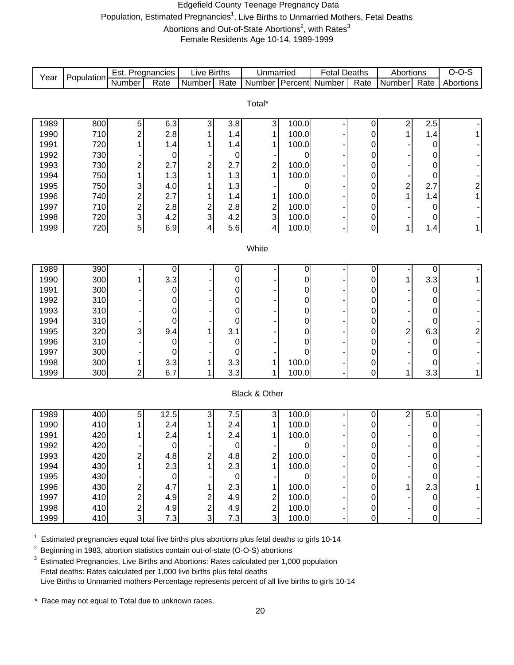#### Edgefield County Teenage Pregnancy Data Population, Estimated Pregnancies<sup>1</sup>, Live Births to Unmarried Mothers, Fetal Deaths Abortions and Out-of-State Abortions<sup>2</sup>, with Rates<sup>3</sup>

Female Residents Age 10-14, 1989-1999

| Year         | Population | Est. Pregnancies        |                    | <b>Live Births</b> |                    | Unmarried                      |            | <b>Fetal Deaths</b> |                  | Abortions               |        | $O-O-S$                 |
|--------------|------------|-------------------------|--------------------|--------------------|--------------------|--------------------------------|------------|---------------------|------------------|-------------------------|--------|-------------------------|
|              |            | Number                  | Rate               | <b>Number</b>      | $\overline{Rate}$  | <b>Number</b>                  | Percent    | Number              | Rate             | Number                  | Rate   | Abortions               |
|              |            |                         |                    |                    |                    |                                |            |                     |                  |                         |        |                         |
|              |            |                         |                    |                    |                    | Total*                         |            |                     |                  |                         |        |                         |
| 1989         | 800        |                         |                    | 3                  | 3.8                |                                | 100.0      |                     |                  |                         | 2.5    |                         |
| 1990         | 710        | 5<br>$\overline{c}$     | 6.3<br>2.8         |                    | 1.4                | $\ensuremath{\mathsf{3}}$<br>1 | 100.0      |                     | 0<br>0           | $\overline{c}$<br>1     | 1.4    |                         |
| 1991         | 720        | 1                       | 1.4                |                    | 1.4                | 1                              | 100.0      |                     | 0                |                         | 0      |                         |
| 1992         | 730        |                         | 0                  |                    | $\boldsymbol{0}$   |                                | 0          |                     | 0                |                         | 0      |                         |
| 1993         | 730        | 2                       | 2.7                | 2                  | 2.7                | $\overline{\mathbf{c}}$        | 100.0      |                     | 0                |                         | 0      |                         |
| 1994         | 750        | 1                       | 1.3                | 1                  | 1.3                | 1                              | 100.0      |                     | 0                |                         | 0      |                         |
| 1995         | 750        | 3                       | 4.0                |                    | 1.3                |                                | 0          |                     | 0                | $\overline{\mathbf{c}}$ | 2.7    | $\overline{\mathbf{c}}$ |
| 1996         | 740        | 2                       | 2.7                |                    | 1.4                | 1                              | 100.0      |                     | 0                | 1                       | 1.4    |                         |
| 1997         | 710        | $\overline{\mathbf{c}}$ | 2.8                | 2                  | 2.8                | $\overline{\mathbf{c}}$        | 100.0      |                     | 0                |                         | 0      |                         |
| 1998         | 720        | 3                       | 4.2                | 3                  | 4.2                | $\mathsf 3$                    | 100.0      |                     | $\boldsymbol{0}$ |                         | 0      |                         |
| 1999         | 720        | 5                       | 6.9                | 4                  | 5.6                | 4                              | 100.0      |                     | 0                | 1                       | 1.4    | 1                       |
|              |            |                         |                    |                    |                    |                                |            |                     |                  |                         |        |                         |
|              |            |                         |                    |                    |                    | White                          |            |                     |                  |                         |        |                         |
|              |            |                         |                    |                    |                    |                                |            |                     |                  |                         |        |                         |
| 1989         | 390        |                         | 0                  |                    | 0                  |                                | 0          |                     | 0                |                         | 0      |                         |
| 1990         | 300        |                         | 3.3                |                    | 0                  |                                | 0          |                     | $\mathbf 0$      | 1                       | 3.3    |                         |
| 1991         | 300        |                         | 0                  |                    | 0                  |                                | 0          |                     | 0                |                         | 0      |                         |
| 1992         | 310        |                         | 0                  |                    | 0                  |                                | 0          |                     | 0                |                         | 0      |                         |
| 1993<br>1994 | 310<br>310 |                         | 0<br>0             |                    | 0<br>0             |                                | 0<br>0     |                     | 0<br>0           |                         | 0<br>0 |                         |
| 1995         | 320        | 3                       | 9.4                |                    | 3.1                |                                | 0          |                     | 0                | 2                       | 6.3    | 2                       |
| 1996         | 310        |                         | 0                  |                    | $\boldsymbol{0}$   |                                | 0          |                     | 0                |                         | 0      |                         |
| 1997         | 300        |                         | 0                  |                    | 0                  |                                | 0          |                     | 0                |                         | 0      |                         |
| 1998         | 300        | 1                       | 3.3                |                    | 3.3                | 1                              | 100.0      |                     | 0                |                         | 0      |                         |
| 1999         | 300        | 2                       | 6.7                | 1                  | 3.3                | 1                              | 100.0      |                     | 0                | 1                       | 3.3    | 1                       |
|              |            |                         |                    |                    |                    |                                |            |                     |                  |                         |        |                         |
|              |            |                         |                    |                    |                    | Black & Other                  |            |                     |                  |                         |        |                         |
|              |            |                         |                    |                    |                    |                                |            |                     |                  |                         |        |                         |
| 1989         | 400        | 5                       | 12.5               | 3                  | 7.5                | 3                              | 100.0      |                     | 0                | 2                       | 5.0    |                         |
| 1990         | 410        | 1                       | 2.4                |                    | 2.4                | 1                              | 100.0      |                     | $\mathbf 0$      |                         | 0      |                         |
| 1991         | 420        | 1                       | 2.4                | 1                  | 2.4                | 1                              | 100.0      |                     | 0                |                         | 0      |                         |
| 1992         | 420        |                         | 0                  |                    | $\mathbf 0$        |                                |            |                     | 0                |                         | 0      |                         |
| 1993         | 420        | 2                       | 4.8                | 2                  | 4.8                | $\overline{\mathbf{c}}$<br>1   | 100.0      |                     | 0                |                         | 0      |                         |
| 1994<br>1995 | 430<br>430 |                         | 2.3<br>$\mathbf 0$ |                    | 2.3<br>$\mathbf 0$ |                                | 100.0<br>0 |                     | $\pmb{0}$        |                         | 0<br>0 |                         |
| 1996         | 430        |                         | 4.7                |                    | 2.3                | 1                              | 100.0      |                     | 0<br>0           | 1                       | 2.3    |                         |
| 1997         | 410        | 2                       | 4.9                | 2                  | 4.9                | $\overline{\mathbf{c}}$        | 100.0      |                     | 0                |                         | 0      |                         |
| 1998         | 410        | 2                       | 4.9                | $\sqrt{2}$         | 4.9                |                                | 100.0      |                     | 0                |                         | 0      |                         |
| 1999         | 410        | 3                       | 7.3                | 3                  | 7.3                | $\frac{2}{3}$                  | 100.0      |                     | 0                |                         | 0      |                         |
|              |            |                         |                    |                    |                    |                                |            |                     |                  |                         |        |                         |

 $1$  Estimated pregnancies equal total live births plus abortions plus fetal deaths to girls 10-14

<sup>2</sup> Beginning in 1983, abortion statistics contain out-of-state (O-O-S) abortions

<sup>3</sup> Estimated Pregnancies, Live Births and Abortions: Rates calculated per 1,000 population Fetal deaths: Rates calculated per 1,000 live births plus fetal deaths Live Births to Unmarried mothers-Percentage represents percent of all live births to girls 10-14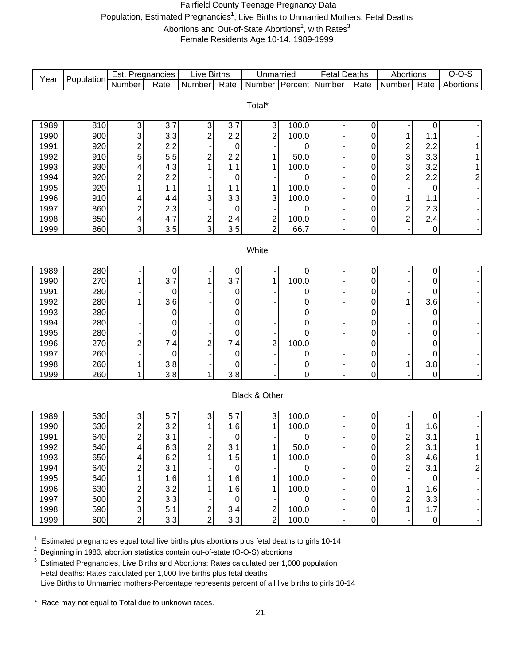#### Fairfield County Teenage Pregnancy Data Population, Estimated Pregnancies<sup>1</sup>, Live Births to Unmarried Mothers, Fetal Deaths Abortions and Out-of-State Abortions<sup>2</sup>, with Rates<sup>3</sup> Female Residents Age 10-14, 1989-1999

| Year         | Population | Est. Pregnancies        |                    | <b>Live Births</b>        |                  | Unmarried                 |        | <b>Fetal Deaths</b> |                            | Abortions               |                    | $O-O-S$                 |
|--------------|------------|-------------------------|--------------------|---------------------------|------------------|---------------------------|--------|---------------------|----------------------------|-------------------------|--------------------|-------------------------|
|              |            | Number                  | Rate               | Number                    | Rate             | Number                    |        | Percent Number      | Rate                       | Number                  | Rate               | Abortions               |
|              |            |                         |                    |                           |                  |                           |        |                     |                            |                         |                    |                         |
|              |            |                         |                    |                           |                  | Total*                    |        |                     |                            |                         |                    |                         |
| 1989         | 810        | 3                       | 3.7                | $\ensuremath{\mathsf{3}}$ | 3.7              | 3                         | 100.0  |                     | 0                          |                         | 0                  |                         |
| 1990         | 900        | 3                       | 3.3                | 2                         | 2.2              | $\overline{c}$            | 100.0  |                     | 0                          | 1                       | 1.1                |                         |
| 1991         | 920        | $\overline{\mathbf{c}}$ | 2.2                |                           | $\mathbf 0$      |                           | 0      |                     | 0                          | $\overline{\mathbf{c}}$ | 2.2                |                         |
| 1992         | 910        | 5                       | 5.5                | 2                         | 2.2              | 1                         | 50.0   |                     | $\mathbf 0$                | 3                       | 3.3                |                         |
| 1993         | 930        | 4                       | 4.3                | 1                         | 1.1              | 1                         | 100.0  |                     | 0                          | 3                       | 3.2                |                         |
| 1994         | 920        | $\overline{c}$          | 2.2                |                           | 0                |                           | 0      |                     | 0                          | $\overline{\mathbf{c}}$ | 2.2                | 2                       |
| 1995         | 920        | 1                       | 1.1                |                           | 1.1              | 1                         | 100.0  |                     | 0                          |                         | 0                  |                         |
| 1996         | 910        | 4                       | 4.4                | 3                         | 3.3              | 3                         | 100.0  |                     | $\mathbf 0$                | 1                       | 1.1                |                         |
| 1997         | 860        | $\overline{c}$          | 2.3                |                           | $\mathbf 0$      |                           | 0      |                     | 0                          | $\overline{\mathbf{c}}$ | 2.3                |                         |
| 1998         | 850        | 4                       | 4.7                | 2                         | 2.4              |                           | 100.0  |                     | 0                          | $\overline{2}$          | 2.4                |                         |
| 1999         | 860        | 3                       | 3.5                | 3                         | 3.5              | $\frac{2}{2}$             | 66.7   |                     | 0                          |                         | $\boldsymbol{0}$   |                         |
|              |            |                         |                    |                           |                  |                           |        |                     |                            |                         |                    |                         |
|              |            |                         |                    |                           |                  | White                     |        |                     |                            |                         |                    |                         |
|              |            |                         |                    |                           |                  |                           |        |                     |                            |                         |                    |                         |
| 1989         | 280        |                         | $\boldsymbol{0}$   |                           | $\boldsymbol{0}$ |                           | 0      |                     | 0                          |                         | 0                  |                         |
| 1990         | 270        | 1                       | 3.7                |                           | 3.7              | 1                         | 100.0  |                     | 0                          |                         | 0                  |                         |
| 1991         | 280        |                         | $\boldsymbol{0}$   |                           | $\pmb{0}$        |                           | 0      |                     | 0                          |                         | 0                  |                         |
| 1992         | 280        |                         | 3.6                |                           | 0                |                           | 0      |                     | 0                          | 1                       | 3.6                |                         |
| 1993         | 280        |                         | $\mathbf 0$        |                           | 0                |                           | 0      |                     | 0                          |                         | 0                  |                         |
| 1994         | 280        |                         | 0                  |                           | 0                |                           | 0      |                     | 0                          |                         | 0                  |                         |
| 1995         | 280        |                         | $\mathbf 0$        |                           | 0                |                           | 0      |                     | 0                          |                         | 0                  |                         |
| 1996         | 270        | $\overline{c}$          | 7.4                | 2                         | 7.4              | $\overline{\mathbf{c}}$   | 100.0  |                     | $\mathbf 0$                |                         | 0                  |                         |
| 1997<br>1998 | 260<br>260 |                         | $\mathbf 0$<br>3.8 |                           | 0<br>0           |                           | 0      |                     | 0                          | 1                       | 0                  |                         |
| 1999         | 260        | 1<br>1                  | 3.8                | 1                         | 3.8              |                           | 0<br>0 |                     | $\mathbf 0$<br>$\mathbf 0$ |                         | 3.8<br>$\mathbf 0$ |                         |
|              |            |                         |                    |                           |                  |                           |        |                     |                            |                         |                    |                         |
|              |            |                         |                    |                           |                  | Black & Other             |        |                     |                            |                         |                    |                         |
|              |            |                         |                    |                           |                  |                           |        |                     |                            |                         |                    |                         |
| 1989         | 530        | 3                       | 5.7                | $\ensuremath{\mathsf{3}}$ | 5.7              | $\ensuremath{\mathsf{3}}$ | 100.0  |                     | $\mathbf 0$                |                         | 0                  |                         |
| 1990         | 630        | $\overline{c}$          | 3.2                |                           | 1.6              | 1                         | 100.0  |                     | 0                          | 1                       | 1.6                |                         |
| 1991         | 640        | $\overline{\mathbf{c}}$ | 3.1                |                           | $\pmb{0}$        |                           | 0      |                     | 0                          | $\mathbf{2}$            | 3.1                | 1                       |
| 1992         | 640        | 4                       | 6.3                | $\overline{\mathbf{c}}$   | 3.1              | 1                         | 50.0   |                     | 0                          | $\overline{2}$          | 3.1                |                         |
| 1993         | 650        | 4                       | 6.2                | 1                         | 1.5              | 1                         | 100.0  |                     | $\pmb{0}$                  | 3                       | 4.6                |                         |
| 1994         | 640        | $\overline{c}$          | 3.1                |                           | $\boldsymbol{0}$ |                           | 0      |                     | $\pmb{0}$                  | $\overline{\mathbf{c}}$ | 3.1                | $\overline{\mathbf{c}}$ |
| 1995         | 640        |                         | 1.6                |                           | 1.6              | 1                         | 100.0  |                     | $\pmb{0}$                  |                         | 0                  |                         |
| 1996         | 630        | $\overline{c}$          | 3.2                |                           | 1.6              | 1                         | 100.0  |                     | 0                          | 1                       | 1.6                |                         |
| 1997         | 600        | $\overline{\mathbf{c}}$ | 3.3                |                           | $\mathbf 0$      |                           | 0      |                     | 0                          | $\overline{c}$          | 3.3                |                         |
| 1998         | 590        | 3                       | 5.1                | 2                         | 3.4              | $\frac{2}{2}$             | 100.0  |                     | 0                          | $\mathbf{1}$            | 1.7                |                         |
| 1999         | 600        | $\overline{2}$          | 3.3                | $\overline{2}$            | 3.3              |                           | 100.0  |                     | 0                          |                         | $\pmb{0}$          |                         |

 $1$  Estimated pregnancies equal total live births plus abortions plus fetal deaths to girls 10-14

<sup>2</sup> Beginning in 1983, abortion statistics contain out-of-state (O-O-S) abortions

<sup>3</sup> Estimated Pregnancies, Live Births and Abortions: Rates calculated per 1,000 population Fetal deaths: Rates calculated per 1,000 live births plus fetal deaths Live Births to Unmarried mothers-Percentage represents percent of all live births to girls 10-14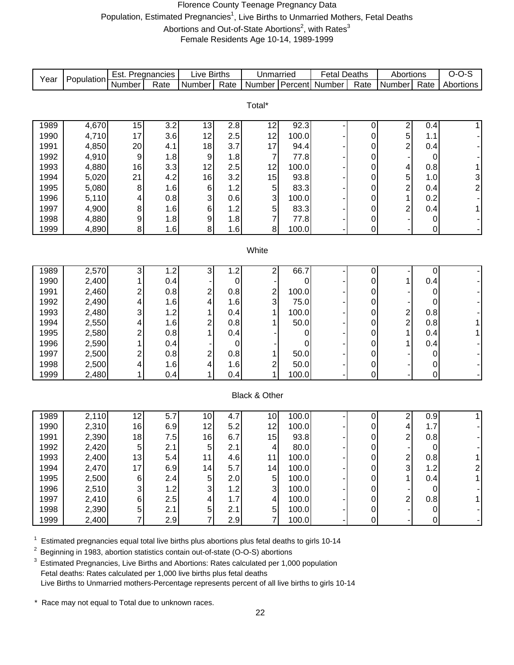#### Florence County Teenage Pregnancy Data Population, Estimated Pregnancies<sup>1</sup>, Live Births to Unmarried Mothers, Fetal Deaths Abortions and Out-of-State Abortions<sup>2</sup>, with Rates<sup>3</sup> Female Residents Age 10-14, 1989-1999

| Year | Population     | Est. Pregnancies |                  | <b>Live Births</b> |            | Unmarried               |       | <b>Fetal Deaths</b> |                  | Abortions                    |                | $O-O-S$                   |
|------|----------------|------------------|------------------|--------------------|------------|-------------------------|-------|---------------------|------------------|------------------------------|----------------|---------------------------|
|      |                | Number           | Rate             | Number             | Rate       | Number                  |       | Percent Number      | Rate             | Number                       | Rate           | Abortions                 |
|      |                |                  |                  |                    |            |                         |       |                     |                  |                              |                |                           |
|      |                |                  |                  |                    |            | Total*                  |       |                     |                  |                              |                |                           |
| 1989 |                |                  | $\overline{3.2}$ |                    |            |                         | 92.3  |                     |                  |                              |                |                           |
| 1990 | 4,670<br>4,710 | 15<br>17         | 3.6              | 13<br>12           | 2.8<br>2.5 | 12<br>12                | 100.0 |                     | 0<br>0           | $\overline{\mathbf{c}}$<br>5 | 0.4<br>1.1     | $\mathbf{1}$              |
| 1991 | 4,850          | 20               | 4.1              | 18                 | 3.7        | 17                      | 94.4  |                     | 0                | $\overline{\mathbf{c}}$      | 0.4            |                           |
| 1992 | 4,910          | 9                | 1.8              | 9                  | 1.8        | $\overline{7}$          | 77.8  |                     | 0                |                              | 0              |                           |
| 1993 | 4,880          | 16               | 3.3              | 12                 | 2.5        | 12                      | 100.0 |                     | 0                | 4                            | 0.8            | 1                         |
| 1994 | 5,020          | 21               | 4.2              | 16                 | 3.2        | 15                      | 93.8  |                     | 0                | 5                            | 1.0            | $\ensuremath{\mathsf{3}}$ |
| 1995 | 5,080          | 8                | 1.6              | 6                  | 1.2        | 5                       | 83.3  |                     | 0                | $\overline{c}$               | 0.4            | $\overline{\mathbf{c}}$   |
| 1996 | 5,110          | 4                | 0.8              | 3                  | 0.6        | 3                       | 100.0 |                     | 0                | 1                            | 0.2            |                           |
| 1997 | 4,900          | 8                | 1.6              | 6                  | 1.2        | 5                       | 83.3  |                     | 0                | $\overline{2}$               | 0.4            | 1                         |
| 1998 | 4,880          | 9                | 1.8              | 9                  | 1.8        | $\overline{7}$          | 77.8  |                     | 0                |                              | 0              |                           |
| 1999 | 4,890          | 8                | 1.6              | 8                  | 1.6        | 8                       | 100.0 |                     | 0                |                              | 0              |                           |
|      |                |                  |                  |                    |            |                         |       |                     |                  |                              |                |                           |
|      |                |                  |                  |                    |            | White                   |       |                     |                  |                              |                |                           |
|      |                |                  |                  |                    |            |                         |       |                     |                  |                              |                |                           |
| 1989 | 2,570          | 3                | 1.2              | 3                  | 1.2        | $\overline{2}$          | 66.7  |                     | $\mathbf 0$      |                              | $\mathbf 0$    |                           |
| 1990 | 2,400          | 1                | 0.4              |                    | $\pmb{0}$  |                         | 0     |                     | 0                | 1                            | 0.4            |                           |
| 1991 | 2,460          | $\overline{c}$   | 0.8              | 2                  | 0.8        |                         | 100.0 |                     | 0                |                              | $\mathbf 0$    |                           |
| 1992 | 2,490          | 4                | 1.6              | 4                  | 1.6        | $\frac{2}{3}$           | 75.0  |                     | 0                |                              | 0              |                           |
| 1993 | 2,480          | 3                | 1.2              |                    | 0.4        | 1                       | 100.0 |                     | 0                |                              | 0.8            |                           |
| 1994 | 2,550          | 4                | 1.6              | 2                  | 0.8        | 1                       | 50.0  |                     | 0                | $\frac{2}{2}$                | 0.8            |                           |
| 1995 | 2,580          | $\overline{c}$   | 0.8              |                    | 0.4        |                         | 0     |                     | 0                | 1                            | 0.4            | 1                         |
| 1996 | 2,590          | 1                | 0.4              |                    | 0          |                         | 0     |                     | 0                | 1                            | 0.4            |                           |
| 1997 | 2,500          | $\overline{c}$   | 0.8              | 2                  | 0.8        | 1                       | 50.0  |                     | 0                |                              | 0              |                           |
| 1998 | 2,500          | 4                | 1.6              | 4                  | 1.6        | $\overline{\mathbf{c}}$ | 50.0  |                     | $\mathbf 0$      |                              | 0              |                           |
| 1999 | 2,480          | 1                | 0.4              | 1                  | 0.4        | $\overline{1}$          | 100.0 |                     | $\overline{0}$   |                              | $\mathbf 0$    |                           |
|      |                |                  |                  |                    |            |                         |       |                     |                  |                              |                |                           |
|      |                |                  |                  |                    |            | Black & Other           |       |                     |                  |                              |                |                           |
| 1989 | 2,110          | 12               | 5.7              | 10                 | 4.7        | 10                      | 100.0 |                     | $\mathbf 0$      | $\overline{\mathbf{c}}$      | 0.9            | 1                         |
| 1990 | 2,310          | 16               | 6.9              | 12                 | 5.2        | 12                      | 100.0 |                     | 0                | 4                            | 1.7            |                           |
| 1991 | 2,390          | 18               | 7.5              | 16                 | 6.7        | 15                      | 93.8  |                     | 0                | $\overline{c}$               | 0.8            |                           |
| 1992 | 2,420          | $\overline{5}$   | 2.1              | 5                  | 2.1        | $\vert 4 \vert$         | 80.0  |                     | 0                |                              | 0              |                           |
| 1993 | 2,400          | 13               | 5.4              | 11                 | 4.6        | 11                      | 100.0 |                     | $\pmb{0}$        |                              | 0.8            | 1                         |
| 1994 | 2,470          | 17               | 6.9              | 14                 | 5.7        | 14                      | 100.0 |                     | $\pmb{0}$        | $\frac{2}{3}$                | 1.2            | $\mathbf{2}$              |
| 1995 | 2,500          | 6                | 2.4              | 5                  | 2.0        | $\sqrt{5}$              | 100.0 |                     | $\pmb{0}$        | 1                            | 0.4            | 1                         |
| 1996 | 2,510          | 3                | 1.2              | 3                  | 1.2        | 3                       | 100.0 |                     | 0                |                              | 0              |                           |
| 1997 | 2,410          | 6                | 2.5              | 4                  | 1.7        | 4                       | 100.0 |                     | $\boldsymbol{0}$ | $\overline{c}$               | 0.8            | 1                         |
| 1998 | 2,390          | 5                | 2.1              | $\mathbf 5$        | 2.1        | $\sqrt{5}$              | 100.0 |                     | 0                |                              | $\mathbf 0$    |                           |
| 1999 | 2,400          | $\overline{7}$   | 2.9              | 7                  | 2.9        | $\overline{7}$          | 100.0 |                     | 0                |                              | $\overline{0}$ | - 1                       |

 $1$  Estimated pregnancies equal total live births plus abortions plus fetal deaths to girls 10-14

<sup>2</sup> Beginning in 1983, abortion statistics contain out-of-state (O-O-S) abortions

<sup>3</sup> Estimated Pregnancies, Live Births and Abortions: Rates calculated per 1,000 population Fetal deaths: Rates calculated per 1,000 live births plus fetal deaths Live Births to Unmarried mothers-Percentage represents percent of all live births to girls 10-14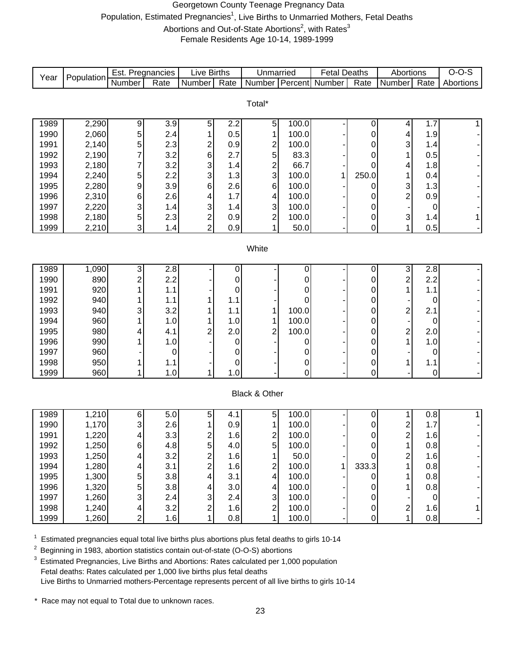#### Georgetown County Teenage Pregnancy Data Population, Estimated Pregnancies<sup>1</sup>, Live Births to Unmarried Mothers, Fetal Deaths Abortions and Out-of-State Abortions<sup>2</sup>, with Rates<sup>3</sup> Female Residents Age 10-14, 1989-1999

|      |            | Est. Pregnancies |             | <b>Live Births</b>      |           | Unmarried               |       | <b>Fetal Deaths</b> |                | Abortions               |                  | $O-O-S$   |
|------|------------|------------------|-------------|-------------------------|-----------|-------------------------|-------|---------------------|----------------|-------------------------|------------------|-----------|
| Year | Population | Number           | Rate        | Number                  | Rate      | Number Percent          |       | Number              | Rate           | Number                  | Rate             | Abortions |
|      |            |                  |             |                         |           |                         |       |                     |                |                         |                  |           |
|      |            |                  |             |                         |           | Total*                  |       |                     |                |                         |                  |           |
|      |            |                  |             |                         |           |                         |       |                     |                |                         |                  |           |
| 1989 | 2,290      | 9                | 3.9         | 5                       | 2.2       | 5                       | 100.0 |                     | 0              | 4                       | 1.7              | 1         |
| 1990 | 2,060      | 5                | 2.4         | 1                       | 0.5       | $\mathbf{1}$            | 100.0 |                     | 0              | 4                       | 1.9              |           |
| 1991 | 2,140      | 5                | 2.3         | $\overline{\mathbf{c}}$ | 0.9       | 2                       | 100.0 |                     | 0              | 3                       | 1.4              |           |
| 1992 | 2,190      | 7                | 3.2         | 6                       | 2.7       | 5                       | 83.3  |                     | 0              | 1                       | 0.5              |           |
| 1993 | 2,180      | 7                | 3.2         | 3                       | 1.4       | $\overline{\mathbf{c}}$ | 66.7  |                     | 0              | 4                       | 1.8              |           |
| 1994 | 2,240      | 5                | 2.2         | 3                       | 1.3       | 3                       | 100.0 | 1                   | 250.0          | 1                       | 0.4              |           |
| 1995 | 2,280      | 9                | 3.9         | 6                       | 2.6       | $\,6$                   | 100.0 |                     | 0              | 3                       | 1.3              |           |
| 1996 | 2,310      | 6                | 2.6         | 4                       | 1.7       | 4                       | 100.0 |                     | 0              | $\overline{\mathbf{c}}$ | 0.9              |           |
| 1997 | 2,220      | 3                | 1.4         | 3                       | 1.4       | 3                       | 100.0 |                     | 0              |                         | 0                |           |
| 1998 | 2,180      | 5                | 2.3         | $\frac{2}{2}$           | 0.9       | $\overline{c}$          | 100.0 |                     | 0              | 3                       | 1.4              | 1         |
| 1999 | 2,210      | 3                | 1.4         |                         | 0.9       | 1                       | 50.0  |                     | 0              | 1                       | 0.5              |           |
|      |            |                  |             |                         |           |                         |       |                     |                |                         |                  |           |
|      |            |                  |             |                         |           | White                   |       |                     |                |                         |                  |           |
| 1989 | 1,090      | 3                | 2.8         |                         | 0         |                         | 0     |                     | $\pmb{0}$      | 3                       | 2.8              |           |
| 1990 | 890        | $\overline{2}$   | 2.2         |                         | 0         |                         | 0     |                     | $\pmb{0}$      | $\overline{\mathbf{c}}$ | 2.2              |           |
| 1991 | 920        |                  | 1.1         |                         | 0         |                         | 0     |                     | 0              | 1                       | 1.1              |           |
| 1992 | 940        |                  | 1.1         |                         | 1.1       |                         | 0     |                     | 0              |                         | 0                |           |
| 1993 | 940        | 3                | 3.2         |                         | 1.1       | 1                       | 100.0 |                     | 0              | $\overline{\mathbf{c}}$ | 2.1              |           |
| 1994 | 960        |                  | 1.0         | 1                       | 1.0       | 1                       | 100.0 |                     | 0              |                         | 0                |           |
| 1995 | 980        | 4                | 4.1         | 2                       | 2.0       | $\overline{2}$          | 100.0 |                     | $\pmb{0}$      | $\overline{\mathbf{c}}$ | 2.0              |           |
| 1996 | 990        |                  | 1.0         |                         | 0         |                         | 0     |                     | $\pmb{0}$      | 1                       | 1.0              |           |
| 1997 | 960        |                  | $\mathbf 0$ |                         | $\pmb{0}$ |                         | 0     |                     | $\pmb{0}$      |                         | $\boldsymbol{0}$ |           |
| 1998 | 950        |                  | 1.1         |                         | $\pmb{0}$ |                         | 0     |                     | $\pmb{0}$      | 1                       | 1.1              |           |
| 1999 | 960        | 1                | 1.0         | 1                       | 1.0       |                         | 0     |                     | $\overline{0}$ |                         | $\mathbf 0$      |           |
|      |            |                  |             |                         |           |                         |       |                     |                |                         |                  |           |
|      |            |                  |             |                         |           | Black & Other           |       |                     |                |                         |                  |           |
|      |            |                  |             |                         |           |                         |       |                     |                |                         |                  |           |
| 1989 | 1,210      | 6                | 5.0         | 5                       | 4.1       | 5                       | 100.0 |                     | 0              | 1                       | 0.8              | 1         |
| 1990 | 1,170      | 3                | 2.6         | 1                       | 0.9       | 1                       | 100.0 |                     | 0              | 2                       | 1.7              |           |
| 1991 | 1,220      | 4                | 3.3         | 2                       | 1.6       | $\mathbf{2}$            | 100.0 |                     | $\pmb{0}$      | $\overline{\mathbf{c}}$ | 1.6              |           |
| 1992 | 1,250      | 6                | 4.8         | $5\vert$                | 4.0       | 5 <sup>1</sup>          | 100.0 |                     | $\mathbf 0$    | 1.                      | 0.8              |           |
| 1993 | 1,250      |                  | 3.2         | $\overline{\mathbf{c}}$ | 1.6       | 1                       | 50.0  |                     | $\Omega$       | $\overline{\mathbf{c}}$ | 1.6              |           |
| 1994 | 1,280      |                  | 3.1         | $\overline{c}$          | 1.6       | 2                       | 100.0 | 1                   | 333.3          | 1                       | 0.8              |           |
| 1995 | 1,300      | 5                | 3.8         | 4                       | 3.1       | $\overline{\mathbf{4}}$ | 100.0 |                     | $\overline{0}$ | 1                       | 0.8              |           |
| 1996 | 1,320      | 5                | 3.8         | 4                       | 3.0       | 4                       | 100.0 |                     | 0              | 1                       | 0.8              |           |
| 1997 | 1,260      | 3                | 2.4         | 3                       | 2.4       | $\mathsf 3$             | 100.0 |                     | 0              |                         | $\mathbf 0$      |           |
| 1998 | 1,240      | 4                | 3.2         | 2                       | 1.6       | $\overline{c}$          | 100.0 |                     | $\pmb{0}$      | $\overline{\mathbf{c}}$ | 1.6              | 1         |
| 1999 | 1,260      | $\overline{2}$   | 1.6         |                         | 0.8       | 1                       | 100.0 |                     | 0              | 1                       | 0.8              |           |

 $1$  Estimated pregnancies equal total live births plus abortions plus fetal deaths to girls 10-14

2 Beginning in 1983, abortion statistics contain out-of-state (O-O-S) abortions

<sup>3</sup> Estimated Pregnancies, Live Births and Abortions: Rates calculated per 1,000 population Fetal deaths: Rates calculated per 1,000 live births plus fetal deaths Live Births to Unmarried mothers-Percentage represents percent of all live births to girls 10-14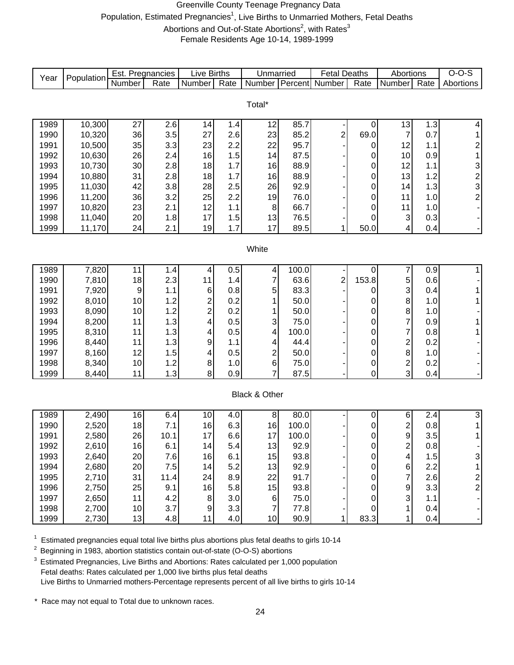#### Greenville County Teenage Pregnancy Data Population, Estimated Pregnancies<sup>1</sup>, Live Births to Unmarried Mothers, Fetal Deaths Abortions and Out-of-State Abortions<sup>2</sup>, with Rates<sup>3</sup> Female Residents Age 10-14, 1989-1999

| Year         | Population     | Est. Pregnancies |                  | <b>Live Births</b>      |            | Unmarried                              |                | <b>Fetal Deaths</b> |                  | Abortions                        |            | $O-O-S$                 |
|--------------|----------------|------------------|------------------|-------------------------|------------|----------------------------------------|----------------|---------------------|------------------|----------------------------------|------------|-------------------------|
|              |                | Number           | Rate             | Number                  | Rate       | Number                                 | <b>Percent</b> | Number              | Rate             | Number                           | Rate       | Abortions               |
|              |                |                  |                  |                         |            |                                        |                |                     |                  |                                  |            |                         |
|              |                |                  |                  |                         |            | Total*                                 |                |                     |                  |                                  |            |                         |
| 1989         | 10,300         | $\overline{27}$  | $\overline{2.6}$ | 14                      | 1.4        | 12                                     | 85.7           |                     | 0                | $\overline{13}$                  | 1.3        | $\overline{\mathbf{4}}$ |
| 1990         | 10,320         | 36               | 3.5              | 27                      | 2.6        | 23                                     | 85.2           | $\overline{c}$      | 69.0             | $\overline{7}$                   | 0.7        | $\mathbf{1}$            |
| 1991         | 10,500         | 35               | 3.3              | 23                      | 2.2        | 22                                     | 95.7           |                     | 0                | 12                               | 1.1        | $\overline{\mathbf{c}}$ |
| 1992         | 10,630         | 26               | 2.4              | 16                      | 1.5        | 14                                     | 87.5           |                     | 0                | 10                               | 0.9        | $\mathbf{1}$            |
| 1993         | 10,730         | 30               | 2.8              | 18                      | 1.7        | 16                                     | 88.9           |                     | 0                | 12                               | 1.1        | 3                       |
| 1994         | 10,880         | 31               | 2.8              | 18                      | 1.7        | 16                                     | 88.9           |                     | 0                | 13                               | 1.2        |                         |
| 1995         | 11,030         | 42               | 3.8              | 28                      | 2.5        | 26                                     | 92.9           |                     | 0                | 14                               | 1.3        | $\frac{2}{3}$           |
| 1996         | 11,200         | 36               | 3.2              | 25                      | 2.2        | 19                                     | 76.0           |                     | 0                | 11                               | 1.0        | $\overline{c}$          |
| 1997         | 10,820         | 23               | 2.1              | 12                      | 1.1        | $\bf 8$                                | 66.7           |                     | 0                | 11                               | 1.0        |                         |
| 1998         | 11,040         | 20               | 1.8              | 17                      | 1.5        | 13                                     | 76.5           |                     | 0                | $\ensuremath{\mathsf{3}}$        | 0.3        |                         |
| 1999         | 11,170         | 24               | 2.1              | 19                      | 1.7        | 17                                     | 89.5           | 1                   | 50.0             | 4                                | 0.4        |                         |
|              |                |                  |                  |                         |            |                                        |                |                     |                  |                                  |            |                         |
| White        |                |                  |                  |                         |            |                                        |                |                     |                  |                                  |            |                         |
|              |                |                  |                  |                         |            |                                        |                |                     |                  |                                  |            |                         |
| 1989         | 7,820          | 11               | 1.4              | 4                       | 0.5        | 4                                      | 100.0          |                     | 0                | 7                                | 0.9        | 1 <sup>1</sup>          |
| 1990         | 7,810          | 18               | 2.3              | 11                      | 1.4        | $\overline{7}$                         | 63.6           | $\overline{c}$      | 153.8            | 5                                | 0.6        |                         |
| 1991         | 7,920          | 9                | 1.1              | $\,6$                   | 0.8        | 5                                      | 83.3           |                     | 0                | 3                                | 0.4        | 1                       |
| 1992         | 8,010          | 10               | 1.2              | $\overline{\mathbf{c}}$ | 0.2        | 1                                      | 50.0           |                     | 0                | 8                                | 1.0        | 1                       |
| 1993         | 8,090          | 10               | 1.2              | $\overline{\mathbf{c}}$ | 0.2        | 1                                      | 50.0           |                     | 0                | 8                                | 1.0        |                         |
| 1994         | 8,200          | 11               | 1.3              | 4                       | 0.5        | 3                                      | 75.0           |                     | 0                | $\overline{7}$<br>$\overline{7}$ | 0.9        | 1                       |
| 1995<br>1996 | 8,310<br>8,440 | 11<br>11         | 1.3<br>1.3       | 4<br>9                  | 0.5<br>1.1 | 4                                      | 100.0<br>44.4  |                     | 0                |                                  | 0.8<br>0.2 | 1                       |
| 1997         | 8,160          | 12               | 1.5              | 4                       | 0.5        | 4                                      | 50.0           |                     | 0<br>0           | $\overline{\mathbf{c}}$<br>8     | 1.0        |                         |
| 1998         | 8,340          | 10               | 1.2              | $\,8\,$                 | 1.0        | $\overline{\mathbf{c}}$<br>$\,$ 6 $\,$ | 75.0           |                     | 0                | $\boldsymbol{2}$                 | 0.2        |                         |
| 1999         | 8,440          | 11               | 1.3              | 8                       | 0.9        | $\overline{7}$                         | 87.5           |                     | $\mathbf 0$      | 3                                | 0.4        |                         |
|              |                |                  |                  |                         |            |                                        |                |                     |                  |                                  |            |                         |
|              |                |                  |                  |                         |            | Black & Other                          |                |                     |                  |                                  |            |                         |
|              |                |                  |                  |                         |            |                                        |                |                     |                  |                                  |            |                         |
| 1989         | 2,490          | 16               | 6.4              | 10                      | 4.0        | 8 <sup>1</sup>                         | 80.0           |                     | 0                | 6                                | 2.4        | 3                       |
| 1990         | 2,520          | 18               | 7.1              | 16                      | 6.3        | 16                                     | 100.0          |                     | 0                | $\overline{\mathbf{c}}$          | 0.8        | 1 <sup>1</sup>          |
| 1991         | 2,580          | 26               | 10.1             | 17                      | 6.6        | 17                                     | 100.0          |                     | 0                | 9                                | 3.5        | $\mathbf{1}$            |
| 1992         | 2,610          | 16               | 6.1              | 14                      | 5.4        | 13                                     | 92.9           |                     | 0                | 2                                | 0.8        |                         |
| 1993         | 2,640          | 20               | 7.6              | 16                      | 6.1        | 15                                     | 93.8           |                     | $\,0\,$          | $\overline{\mathbf{4}}$          | 1.5        | $\overline{3}$          |
| 1994         | 2,680          | 20               | 7.5              | 14                      | 5.2        | 13                                     | 92.9           |                     | 0                | $\,6$                            | 2.2        | $\mathbf{1}$            |
| 1995         | 2,710          | 31               | 11.4             | 24                      | 8.9        | 22                                     | 91.7           |                     | $\mathbf 0$      | $\overline{7}$                   | 2.6        | $\overline{\mathbf{c}}$ |
| 1996         | 2,750          | 25               | 9.1              | 16                      | 5.8        | 15                                     | 93.8           |                     | $\boldsymbol{0}$ | 9                                | 3.3        | $\overline{2}$          |
| 1997         | 2,650          | 11               | 4.2              | 8                       | 3.0        | $\,6$                                  | 75.0           |                     | 0                | 3                                | 1.1        |                         |
| 1998         | 2,700          | 10               | 3.7              | $\boldsymbol{9}$        | 3.3        | $\overline{7}$                         | 77.8           |                     | 0                | 1                                | 0.4        |                         |
| 1999         | 2,730          | 13               | 4.8              | 11                      | 4.0        | 10                                     | 90.9           | 1                   | 83.3             | 1                                | 0.4        |                         |

 $1$  Estimated pregnancies equal total live births plus abortions plus fetal deaths to girls 10-14

2 Beginning in 1983, abortion statistics contain out-of-state (O-O-S) abortions

 $3$  Estimated Pregnancies, Live Births and Abortions: Rates calculated per 1,000 population Fetal deaths: Rates calculated per 1,000 live births plus fetal deaths Live Births to Unmarried mothers-Percentage represents percent of all live births to girls 10-14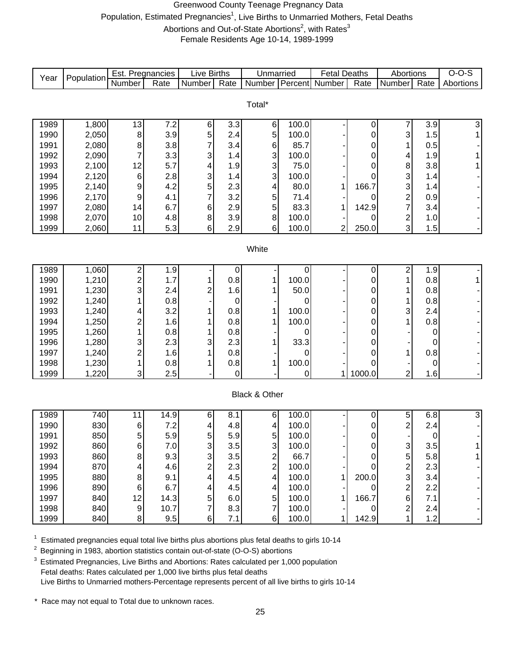#### Greenwood County Teenage Pregnancy Data Population, Estimated Pregnancies<sup>1</sup>, Live Births to Unmarried Mothers, Fetal Deaths Abortions and Out-of-State Abortions<sup>2</sup>, with Rates<sup>3</sup> Female Residents Age 10-14, 1989-1999

Number Rate Number Rate Number Percent Number Rate Number Rate 1989 | 1,800 | 13 | 7.2 | 6 | 3.3 | 6 | 100.0 | - | 0 | 7 | 3.9 | 3 1990 | 2,050 | 8 | 3.9 | 5 | 2.4 | 5 | 100.0 | - | 0 | 3 | 1.5 | 1 1991 | 2,080 | 8 | 3.8 | 7 | 3.4 | 6 | 85.7 | - | 0 | 1 | 0.5 | -1992 | 2,090 | 7 | 3.3 | 3 | 1.4 | 3 | 100.0 | - | 0 | 4 | 1.9 | 1 1993 | 2,100 | 12 | 5.7 | 4 | 1.9 | 3 | 75.0 | - | 0 | 8 | 3.8 | 1 1994 | 2,120 | 6 | 2.8 | 3 | 1.4 | 3 | 100.0 | - | 0 | 3 | 1.4 | -1995 | 2,140 | 9 | 4.2 | 5 | 2.3 | 4 | 80.0 | 1 | 166.7 | 3 | 1.4 | -1996 2,170 9 4.1 7 3.2 5 71.4 - 0 2 0.9 - 1997 2,080 14 6.7 6 2.9 5 83.3 1 142.9 7 3.4 - 1998 | 2,070 | 10 | 4.8 | 8 | 3.9 | 8 | 100.0 | - | 0 | 2 | 1.0 | -1999 | 2,060 | 11 | 5.3 | 6 | 2.9 | 6 | 100.0 | 2 | 250.0 | 3 | 1.5 | -1989 | 1,060 | 2 | 1.9 | - | 0 | - | 0 | - | 0 | 2 | 1.9 | -1990 | 1,210 | 2 | 1.7 | 1 | 0.8 | 1 | 100.0 | - | 0 | 1 | 0.8 | 1 1991 | 1,230 | 3 | 2.4 | 2 | 1.6 | 1 | 50.0 | - | 0 | 1 | 0.8 | -1992 | 1,240 | 1 | 0.8 | - | 0 | - | 0 | - | 0 | 1 | 0.8 | -1993 | 1,240 | 4 | 3.2 | 1 | 0.8 | 1 | 100.0 | - | 0 | 3 | 2.4 | -1994 | 1,250 | 2 | 1.6 | 1 | 0.8 | 1 | 100.0 | - | 0 | 1 | 0.8 | -1995 | 1,260 | 1 | 1,0.8 | 1 | 0.8 | 1 | 0.8 | 0 | - | 0 | - | 0 | -1996 | 1,280 | 3 | 2.3 | 3 | 2.3 | 1 | 33.3 | - | 0 | - | 0 | 1997 | 1,240 | 2 | 1.6 | 1 | 0.8 | - | 0 | - | 0 | 1 | 0.8 | -1998 | 1,230 | 1 | 1,0.8 | 1 | 1,00.0 | 1 | 100.0 | 0 | 0 | 0 | 1999 | 1,220 | 3 | 2.5 | - | 0 | - | 0 | 1 | 1000.0 | 2 | 1.6 | -1989 | 740 | 11 | 14.9 | 6 | 8.1 | 6 | 100.0 | - | 0 | 5 | 6.8 | 3 1990 | 830 | 6 | 7.2 | 4 | 4.8 | 4 | 100.0 | - | 0 | 2 | 2.4 | -1991 | 850 | 5 | 5.9 | 5 | 5.9 | 5 | 100.0 | - | 0 | - | 0 | -1992 | 860 | 6 | 7.0 | 3 | 3.5 | 3 | 100.0 | - | 0 | 3 | 3.5 | 1 1993 | 860 | 8 | 9.3 | 3 | 3.5 | 2 | 66.7 | - | 0 | 5 | 5.8 | 1 1994 | 870 | 4 4.6 | 2 2.3 | 2 100.0 | - 0 2 2.3 | -1995 | 880 | 8 | 9.1 | 4 | 4.5 | 4 | 100.0 | 1 | 200.0 | 3 | 3.4 | -1996 | 890 | 6 6.7 | 4 4.5 | 4 100.0 |- 0 | 2 2.2 | -1997 | 840 | 12 | 14.3 | 5 | 6.0 | 5 | 100.0 | 1 | 166.7 | 6 | 7.1 | -1998 | 840 | 9 10.7 | 7 | 8.3 | 7 | 100.0 | - | 0 | 2 | 2.4 | -1999 | 840| 8| 9.5| 6| 7.1| 6| 100.0| 1| 142.9| 1| 1.2| -Live Births **White** Black & Other Total\* Unmarried | Fetal Deaths | Abortions | O-O-S Year Population Est. Pregnancies Live Births | Unmarried | Fetal Deaths | Abortions | O-O-S<br>Number | Rate | Number | Rate | Number | Rate | Number | Percent | Number | Rate | Number | Rate | Abortions

1 <sup>1</sup> Estimated pregnancies equal total live births plus abortions plus fetal deaths to girls 10-14<br><sup>2</sup> Beginning in 1983, abortion statistics contain out-of-state (O-O-S) abortions

2 Beginning in 1983, abortion statistics contain out-of-state (O-O-S) abortions

Estimated Pregnancies, Live Births and Abortions: Rates calculated per 1,000 population Fetal deaths: Rates calculated per 1,000 live births plus fetal deaths Live Births to Unmarried mothers-Percentage represents percent of all live births to girls 10-14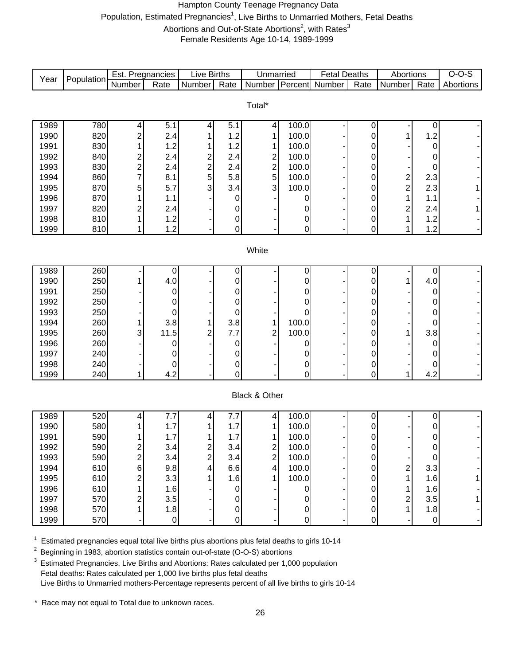#### Hampton County Teenage Pregnancy Data Population, Estimated Pregnancies<sup>1</sup>, Live Births to Unmarried Mothers, Fetal Deaths Abortions and Out-of-State Abortions<sup>2</sup>, with Rates<sup>3</sup> Female Residents Age 10-14, 1989-1999

| Year  | Population | Est. Pregnancies |             | Live Births   |                     | Unmarried               |           | <b>Fetal Deaths</b>   |           | Abortions               |                  | $O-O-S$          |
|-------|------------|------------------|-------------|---------------|---------------------|-------------------------|-----------|-----------------------|-----------|-------------------------|------------------|------------------|
|       |            | Number           | Rate        | Number        | Rate                |                         |           | Number Percent Number | Rate      | Number                  | Rate             | <b>Abortions</b> |
|       |            |                  |             |               |                     |                         |           |                       |           |                         |                  |                  |
|       |            |                  |             |               |                     | Total*                  |           |                       |           |                         |                  |                  |
| 1989  | 780        | 4                | 5.1         | 4             | 5.1                 | 4                       | 100.0     |                       | 0         |                         | 0                |                  |
| 1990  | 820        | $\overline{c}$   | 2.4         |               | 1.2                 | 1                       | 100.0     |                       | 0         | 1                       | 1.2              |                  |
| 1991  | 830        |                  | 1.2         |               | 1.2                 | 1                       | 100.0     |                       | 0         |                         | 0                |                  |
| 1992  | 840        | $\overline{c}$   | 2.4         | 2             | 2.4                 | $\overline{\mathbf{c}}$ | 100.0     |                       | 0         |                         | 0                |                  |
| 1993  | 830        | $\overline{c}$   | 2.4         |               | 2.4                 | $\overline{c}$          | 100.0     |                       | 0         |                         | 0                |                  |
| 1994  | 860        |                  | 8.1         | $\frac{2}{5}$ | 5.8                 | 5                       | 100.0     |                       | 0         |                         | 2.3              |                  |
| 1995  | 870        | 5                | 5.7         | 3             | 3.4                 | 3                       | 100.0     |                       | 0         | $\frac{2}{2}$           | 2.3              |                  |
| 1996  | 870        |                  | 1.1         |               | 0                   |                         | 0         |                       | 0         | 1                       | 1.1              |                  |
| 1997  | 820        | $\overline{c}$   | 2.4         |               | 0                   |                         | 0         |                       | 0         | $\overline{\mathbf{c}}$ | 2.4              | 1                |
| 1998  | 810        |                  | 1.2         |               | 0                   |                         | 0         |                       | 0         | 1                       | 1.2              |                  |
| 1999  | 810        |                  | 1.2         |               | $\mathsf{O}\xspace$ |                         | 0         |                       | 0         | 1                       | 1.2              |                  |
|       |            |                  |             |               |                     |                         |           |                       |           |                         |                  |                  |
| White |            |                  |             |               |                     |                         |           |                       |           |                         |                  |                  |
| 1989  | 260        |                  | 0           |               | 0                   |                         | 0         |                       | $\pmb{0}$ |                         | 0                |                  |
| 1990  | 250        |                  | 4.0         |               | 0                   |                         | 0         |                       | 0         |                         | 4.0              |                  |
| 1991  | 250        |                  | 0           |               | 0                   |                         | 0         |                       | 0         |                         | 0                |                  |
| 1992  | 250        |                  | 0           |               | 0                   |                         | 0         |                       | 0         |                         | 0                |                  |
| 1993  | 250        |                  | 0           |               | 0                   |                         | 0         |                       | 0         |                         | 0                |                  |
| 1994  | 260        |                  | 3.8         |               | 3.8                 | 1                       | 100.0     |                       | 0         |                         | 0                |                  |
| 1995  | 260        | 3                | 11.5        | 2             | 7.7                 | 2                       | 100.0     |                       | 0         | 1                       | 3.8              |                  |
| 1996  | 260        |                  | 0           |               | 0                   |                         | 0         |                       | 0         |                         | 0                |                  |
| 1997  | 240        |                  | 0           |               | 0                   |                         | 0         |                       | 0         |                         | 0                |                  |
| 1998  | 240        |                  | 0           |               | 0                   |                         | 0         |                       | 0         |                         | 0                |                  |
| 1999  | 240        | 1                | 4.2         |               | 0                   |                         | 0         |                       | 0         | 1                       | 4.2              |                  |
|       |            |                  |             |               |                     |                         |           |                       |           |                         |                  |                  |
|       |            |                  |             |               |                     | Black & Other           |           |                       |           |                         |                  |                  |
| 1989  | 520        | 4                | 7.7         | 4             | 7.7                 | $\vert 4 \vert$         | 100.0     |                       | 0         |                         | $\boldsymbol{0}$ |                  |
| 1990  | 580        |                  | 1.7         |               | 1.7                 | 1                       | 100.0     |                       | 0         |                         | $\boldsymbol{0}$ |                  |
| 1991  | 590        |                  | 1.7         |               | 1.7                 | $\mathbf{1}$            | 100.0     |                       | 0         |                         | 0                |                  |
| 1992  | 590        | 2                | 3.4         |               | 3.4                 | $\mathbf{2}$            | 100.0     |                       | O         |                         | O                |                  |
| 1993  | 590        | $\overline{2}$   | 3.4         | $\frac{2}{2}$ | 3.4                 | $\overline{c}$          | 100.0     |                       | 0         |                         | $\mathbf 0$      |                  |
| 1994  | 610        | 6                | 9.8         | 4             | 6.6                 | $\overline{\mathbf{4}}$ | 100.0     |                       | 0         | $\overline{\mathbf{c}}$ | 3.3              |                  |
| 1995  | 610        | 2                | 3.3         |               | 1.6                 | 1                       | 100.0     |                       | 0         | 1                       | 1.6              | 1                |
| 1996  | 610        |                  | 1.6         |               | $\boldsymbol{0}$    |                         | 0         |                       | 0         | 1                       | 1.6              |                  |
| 1997  | 570        | $\overline{c}$   | 3.5         |               | 0                   |                         | 0         |                       | 0         | $\overline{\mathbf{c}}$ | 3.5              | 1                |
| 1998  | 570        |                  | 1.8         |               | $\mathsf{O}\xspace$ |                         | $\pmb{0}$ |                       | 0         | $\mathbf 1$             | 1.8              |                  |
| 1999  | 570        |                  | $\mathbf 0$ |               | $\mathsf{O}\xspace$ |                         | 0         |                       | 0         |                         | $\pmb{0}$        |                  |

 $1$  Estimated pregnancies equal total live births plus abortions plus fetal deaths to girls 10-14

2 Beginning in 1983, abortion statistics contain out-of-state (O-O-S) abortions

<sup>3</sup> Estimated Pregnancies, Live Births and Abortions: Rates calculated per 1,000 population Fetal deaths: Rates calculated per 1,000 live births plus fetal deaths Live Births to Unmarried mothers-Percentage represents percent of all live births to girls 10-14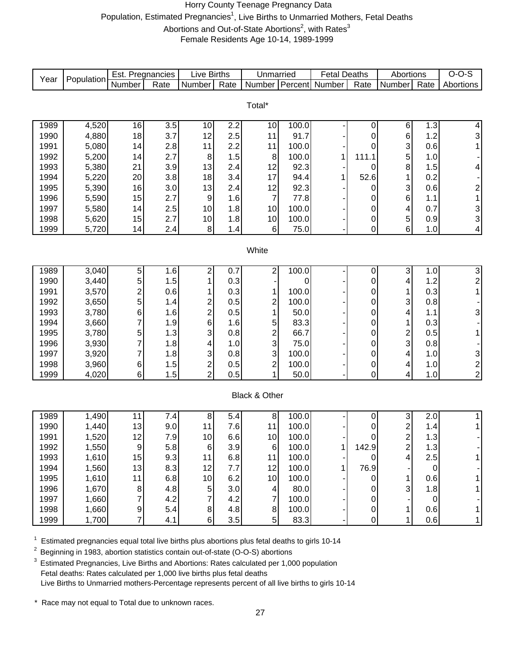#### Horry County Teenage Pregnancy Data Population, Estimated Pregnancies<sup>1</sup>, Live Births to Unmarried Mothers, Fetal Deaths Abortions and Out-of-State Abortions<sup>2</sup>, with Rates<sup>3</sup> Female Residents Age 10-14, 1989-1999

|              |                | Est. Pregnancies |            | <b>Live Births</b>      |                   | Unmarried               |               | <b>Fetal Deaths</b> |                | Abortions                 |                  | $O-O-S$                 |
|--------------|----------------|------------------|------------|-------------------------|-------------------|-------------------------|---------------|---------------------|----------------|---------------------------|------------------|-------------------------|
| Year         | Population     | Number           | Rate       | Number                  | $\overline{Rate}$ | Number Percent          |               | Number              | Rate           | Number                    | Rate             | Abortions               |
|              |                |                  |            |                         |                   |                         |               |                     |                |                           |                  |                         |
|              |                |                  |            |                         |                   | Total*                  |               |                     |                |                           |                  |                         |
|              |                |                  |            |                         |                   |                         |               |                     |                |                           |                  |                         |
| 1989         | 4,520          | 16               | 3.5        | 10                      | 2.2<br>2.5        | 10<br>11                | 100.0<br>91.7 |                     | $\pmb{0}$      | 6                         | 1.3<br>1.2       | $\overline{\mathbf{4}}$ |
| 1990<br>1991 | 4,880<br>5,080 | 18               | 3.7        | 12<br>11                |                   | 11                      | 100.0         |                     | 0              | 6                         |                  | 3                       |
| 1992         | 5,200          | 14               | 2.8<br>2.7 | $\, 8$                  | 2.2<br>1.5        | 8                       | 100.0         | 1                   | 0<br>111.1     | 3<br>5                    | 0.6<br>1.0       | 1                       |
| 1993         | 5,380          | 14<br>21         | 3.9        | 13                      | 2.4               | 12                      | 92.3          |                     | 0              | 8                         | 1.5              | $\overline{\mathbf{4}}$ |
| 1994         | 5,220          | 20               | 3.8        | 18                      | 3.4               | 17                      | 94.4          | 1                   | 52.6           | 1                         | 0.2              |                         |
| 1995         | 5,390          | 16               | 3.0        | 13                      | 2.4               | 12                      | 92.3          |                     | 0              | 3                         | 0.6              | $\overline{\mathbf{c}}$ |
| 1996         | 5,590          | 15               | 2.7        | $\boldsymbol{9}$        | 1.6               | $\overline{7}$          | 77.8          |                     | 0              | 6                         | 1.1              | $\mathbf 1$             |
| 1997         | 5,580          | 14               | 2.5        | 10                      | 1.8               | 10                      | 100.0         |                     | $\mathbf 0$    | 4                         | 0.7              |                         |
| 1998         | 5,620          | 15               | 2.7        | 10                      | 1.8               | 10                      | 100.0         |                     | $\pmb{0}$      | 5                         | 0.9              | ვ<br>ვ                  |
| 1999         | 5,720          | 14               | 2.4        | 8                       | 1.4               | $\,6$                   | 75.0          |                     | 0              | 6                         | 1.0              | $\vert 4 \vert$         |
|              |                |                  |            |                         |                   |                         |               |                     |                |                           |                  |                         |
| White        |                |                  |            |                         |                   |                         |               |                     |                |                           |                  |                         |
|              |                |                  |            |                         |                   |                         |               |                     |                |                           |                  |                         |
| 1989         | 3,040          | 5                | 1.6        | 2                       | 0.7               | 2                       | 100.0         |                     | $\pmb{0}$      | 3                         | 1.0              |                         |
| 1990         | 3,440          | 5                | 1.5        | 1                       | 0.3               |                         | 0             |                     | $\pmb{0}$      | 4                         | 1.2              | $\frac{3}{2}$           |
| 1991         | 3,570          | $\overline{c}$   | 0.6        | 1                       | 0.3               | 1                       | 100.0         |                     | 0              | 1                         | 0.3              | $\mathbf{1}$            |
| 1992         | 3,650          | 5                | 1.4        | $\overline{\mathbf{c}}$ | 0.5               | 2                       | 100.0         |                     | $\pmb{0}$      | 3                         | 0.8              |                         |
| 1993         | 3,780          | 6                | 1.6        | $\overline{c}$          | 0.5               | $\mathbf{1}$            | 50.0          |                     | 0              | 4                         | 1.1              | 3                       |
| 1994         | 3,660          | 7                | 1.9        | 6                       | 1.6               | 5                       | 83.3          |                     | 0              | 1                         | 0.3              |                         |
| 1995         | 3,780          | 5                | 1.3        | 3                       | 0.8               | $\frac{2}{3}$           | 66.7          |                     | 0              | $\frac{2}{3}$             | 0.5              | 1                       |
| 1996         | 3,930          | 7                | 1.8        | 4                       | 1.0               |                         | 75.0          |                     | 0              |                           | 0.8              |                         |
| 1997         | 3,920          | 7                | 1.8        | 3                       | 0.8               | 3                       | 100.0         |                     | 0              | 4                         | 1.0              |                         |
| 1998         | 3,960          | 6                | 1.5        | $\overline{\mathbf{c}}$ | 0.5               | $\overline{c}$          | 100.0         |                     | $\pmb{0}$      | 4                         | 1.0              | $\frac{3}{2}$           |
| 1999         | 4,020          | $\,6$            | 1.5        | $\overline{2}$          | 0.5               | 1                       | 50.0          |                     | $\mathbf 0$    | 4                         | 1.0              | $\mathbf{2}$            |
|              |                |                  |            |                         |                   |                         |               |                     |                |                           |                  |                         |
|              |                |                  |            |                         |                   | Black & Other           |               |                     |                |                           |                  |                         |
| 1989         | 1,490          | 11               | 7.4        | 8                       | 5.4               | $\bf 8$                 | 100.0         |                     | 0              | $\ensuremath{\mathsf{3}}$ | 2.0              | 1                       |
| 1990         | 1,440          | 13               | 9.0        | 11                      | 7.6               | 11                      | 100.0         |                     | 0              | $\overline{\mathbf{c}}$   | 1.4              | 1                       |
| 1991         | 1,520          | 12               | 7.9        | 10                      | 6.6               | 10                      | 100.0         |                     | 0              | $\overline{\mathbf{c}}$   | 1.3              |                         |
| 1992         | 1,550          | 9                | 5.8        | $6 \mid$                | 3.9               | 6                       | 100.0         | 1 <sup>1</sup>      | 142.9          | 2                         | 1.3              |                         |
| 1993         | 1,610          | 15               | 9.3        | 11                      | 6.8               | 11                      | 100.0         |                     | $\overline{0}$ | 4                         | 2.5              | 1                       |
| 1994         | 1,560          | 13               | 8.3        | 12                      | 7.7               | 12                      | 100.0         | 1                   | 76.9           |                           | $\boldsymbol{0}$ |                         |
| 1995         | 1,610          | 11               | 6.8        | 10                      | 6.2               | 10                      | 100.0         |                     | $\mathbf 0$    | 1                         | 0.6              | 1                       |
| 1996         | 1,670          | 8                | 4.8        | 5                       | 3.0               | $\overline{\mathbf{4}}$ | 80.0          |                     | 0              | 3                         | 1.8              | 1                       |
| 1997         | 1,660          |                  | 4.2        | 7                       | 4.2               | 7                       | 100.0         |                     | 0              |                           | $\mathbf 0$      |                         |
| 1998         | 1,660          | 9                | 5.4        | 8 <sup>1</sup>          | 4.8               | $\bf 8$                 | 100.0         |                     | $\pmb{0}$      | 1                         | 0.6              | 1                       |
| 1999         | 1,700          | 7                | 4.1        | 6 <sup>1</sup>          | 3.5               | 5 <sup>1</sup>          | 83.3          |                     | $\mathbf 0$    | 1                         | 0.6              | 1                       |

 $1$  Estimated pregnancies equal total live births plus abortions plus fetal deaths to girls 10-14

<sup>2</sup> Beginning in 1983, abortion statistics contain out-of-state (O-O-S) abortions

<sup>3</sup> Estimated Pregnancies, Live Births and Abortions: Rates calculated per 1,000 population Fetal deaths: Rates calculated per 1,000 live births plus fetal deaths Live Births to Unmarried mothers-Percentage represents percent of all live births to girls 10-14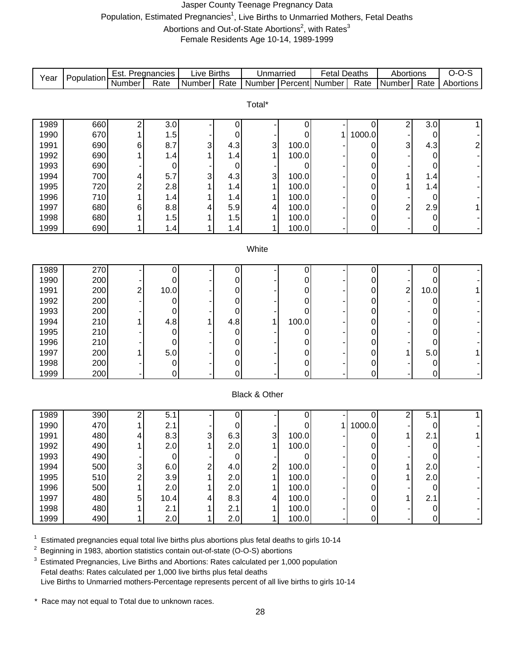#### Jasper County Teenage Pregnancy Data Population, Estimated Pregnancies<sup>1</sup>, Live Births to Unmarried Mothers, Fetal Deaths Abortions and Out-of-State Abortions<sup>2</sup>, with Rates<sup>3</sup> Female Residents Age 10-14, 1989-1999

Number Rate Number Rate Number Percent Number Rate Number Rate 1989 | 660 | 2 | 3.0 | - | 0 | - | 0 | - | 0 | 2 | 3.0 | 1 1990 | 670 | 1 | 1.5 | - 0 | - 0 | 1 | 1000.0 | 0 | 0 | -1991 | 690 | 6 | 8.7 | 3 | 4.3 | 3 | 100.0 | - | 0 | 3 | 4.3 | 2 1992 | 690 | 1 | 1.4 | 1 | 1.4 | 1 | 100.0 | - | 0 | - | 0 | -1993 | 690| -| 0| -| 0| -| 0| -| 0| -| 0| -1994 | 700 | 4 | 5.7 | 3 | 4.3 | 3 | 100.0 | - | 0 | 1 | 1.4 | -1995 | 720 | 2 | 2.8 | 1 | 1.4 | 1 | 100.0 | - | 0 | 1 | 1.4 | -1996 | 710 | 1 | 1.4 | 1 | 1.4 | 1 | 100.0 | - | 0 | - | 0 | -1997 | 680 | 6 | 8.8 | 4 | 5.9 | 4 | 100.0 | - | 0 | 2 | 2.9 | 1 1998 | 680 | 1 | 1.5 | 1 | 1.5 | 1 | 100.0 | - | 0 | - | 0 | -1999 | 690 | 1 | 1.4 | 1 | 1.4 | 1 | 100.0 | - | 0 | - | 0 | -1989 | 270 | - | 0 | - | 0 | - | 0 | - | 0 | - | 0 | - | 0 | -1990 | 200| -| 0| -| 0| -| 0| -| 0| -| 0| -1991 | 200 |2 | 10.0 | - | 0 | - | 0 | - | 0 | 2 | 10.0 | 1 1992 | 200| -| 0| -| 0| -| 0| -| 0| -| 0| -1993 | 200 | -| 0 | -| 0 | -| 0 | -| 0 | -| 0 | -| 0 | -| 0 | -| 0 | -| 0 | -| 0 | -1994 | 210 | 1 | 4.8 | 1 | 4.8 | 1 | 100.0 | - | 0 | - | 0 | -1995 | 210 | - | 0 | - | 0 | - | 0 | - | 0 | - | 0 | - | 0 | - | 0 | - | 0 | - | 0 | -1996 210 - 0 - 0 - 0 - 0 - 0 - 1997 | 200 | 1 | 5.0 | - | 0 | - | 0 | - | 0 | 1 | 5.0 | 1 Live Births **White** Total\* Unmarried | Fetal Deaths | Abortions | O-O-S Year Population Est. Pregnancies Live Births | Unmarried | Fetal Deaths | Abortions | O-O-S<br>Number | Rate | Number | Rate | Number | Rate | Number | Percent | Number | Rate | Number | Rate | Abortions

#### Black & Other

1998 200 - 0 - 0 - 0 - 0 - 0 - 1999 | 200| -| 0| -| 0| -| 0| -| 0| -| 0| -

| 1989 | 390 | ⌒ | 5.   |   |          |                |       |        | ົ | 5.1              |  |
|------|-----|---|------|---|----------|----------------|-------|--------|---|------------------|--|
| 1990 | 470 |   | 2.1  |   |          |                |       | 1000.0 |   |                  |  |
| 1991 | 480 | 4 | 8.3  | 3 | 6.3      | 3 <sub>l</sub> | 100.0 | 0      |   | ົ<br>2.1         |  |
| 1992 | 490 |   | 2.0  |   | 2.0      |                | 100.0 | 0      |   |                  |  |
| 1993 | 490 |   | 0    |   |          |                |       | 0      |   |                  |  |
| 1994 | 500 | 3 | 6.0  | ⌒ | 4.0      | ົ              | 100.0 | 0      |   | 2.0              |  |
| 1995 | 510 | ົ | 3.9  |   | 2.0      |                | 100.0 | 0      |   | 2.0 <sub>l</sub> |  |
| 1996 | 500 |   | 2.0  |   | 2.0      |                | 100.0 | 0      |   | 0                |  |
| 1997 | 480 | 5 | 10.4 |   | 8.3      | 4              | 100.0 | 0      |   | 2.1              |  |
| 1998 | 480 |   | 2.1  |   | ົ<br>2.1 |                | 100.0 | 0      |   |                  |  |
| 1999 | 490 |   | 2.0  |   | 2.0      |                | 100.0 | 0      |   |                  |  |

1 <sup>1</sup> Estimated pregnancies equal total live births plus abortions plus fetal deaths to girls 10-14<br><sup>2</sup> Beginning in 1983, abortion statistics contain out-of-state (O-O-S) abortions

2 Beginning in 1983, abortion statistics contain out-of-state (O-O-S) abortions

 $3$  Estimated Pregnancies, Live Births and Abortions: Rates calculated per 1,000 population Fetal deaths: Rates calculated per 1,000 live births plus fetal deaths Live Births to Unmarried mothers-Percentage represents percent of all live births to girls 10-14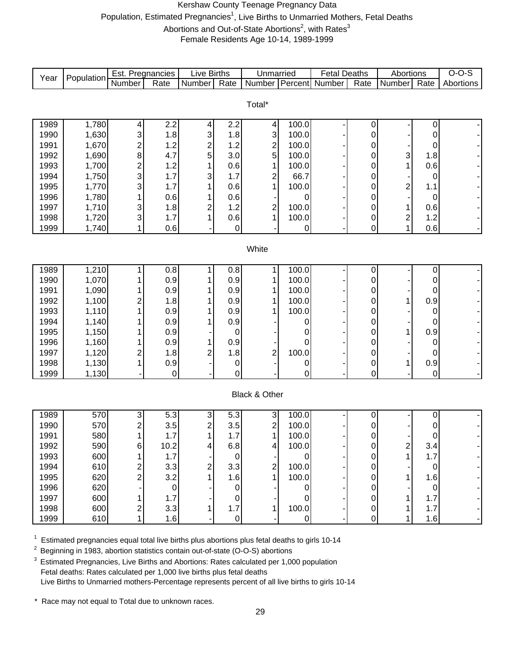#### Kershaw County Teenage Pregnancy Data Population, Estimated Pregnancies<sup>1</sup>, Live Births to Unmarried Mothers, Fetal Deaths Abortions and Out-of-State Abortions<sup>2</sup>, with Rates<sup>3</sup>

Female Residents Age 10-14, 1989-1999

| Year         | Population     | Est. Pregnancies             |                  | Live Births    |             | Unmarried                              |                  | <b>Fetal Deaths</b> |             | Abortions               |          | $O-O-S$   |
|--------------|----------------|------------------------------|------------------|----------------|-------------|----------------------------------------|------------------|---------------------|-------------|-------------------------|----------|-----------|
|              |                | Number                       | Rate             | Number         | Rate        | <b>Number</b>                          | <b>T</b> Percent | Number              | Rate        | Number                  | Rate     | Abortions |
|              |                |                              |                  |                |             |                                        |                  |                     |             |                         |          |           |
|              |                |                              |                  |                |             | Total*                                 |                  |                     |             |                         |          |           |
|              |                |                              |                  |                |             |                                        |                  |                     |             |                         |          |           |
| 1989         | 1,780          | 4                            | $\overline{2.2}$ | 4              | 2.2         | 4                                      | 100.0            |                     | 0           |                         | 0        |           |
| 1990         | 1,630          | 3                            | 1.8              | 3              | 1.8         | 3                                      | 100.0            |                     | 0           |                         | 0        |           |
| 1991         | 1,670<br>1,690 | $\overline{c}$               | 1.2              | $\frac{2}{5}$  | 1.2         | $\frac{2}{5}$                          | 100.0            |                     | 0           |                         | 0        |           |
| 1992<br>1993 | 1,700          | 8                            | 4.7              | 1              | 3.0         | 1                                      | 100.0<br>100.0   |                     | 0           | 3<br>1                  | 1.8      |           |
| 1994         | 1,750          | $\overline{\mathbf{c}}$<br>3 | 1.2<br>1.7       | 3              | 0.6<br>1.7  |                                        | 66.7             |                     | 0           |                         | 0.6      |           |
| 1995         | 1,770          | 3                            | 1.7              |                | 0.6         | $\overline{\mathbf{c}}$<br>$\mathbf 1$ | 100.0            |                     | 0           | $\overline{\mathbf{c}}$ | 0        |           |
| 1996         | 1,780          | 1                            | 0.6              |                | 0.6         |                                        | 0                |                     | 0<br>0      |                         | 1.1      |           |
| 1997         | 1,710          | 3                            | 1.8              | $\overline{c}$ | 1.2         | $\overline{\mathbf{c}}$                | 100.0            |                     | 0           | 1                       | 0<br>0.6 |           |
| 1998         | 1,720          | 3                            | 1.7              | 1              | 0.6         | 1                                      | 100.0            |                     | 0           | $\overline{\mathbf{c}}$ | 1.2      |           |
| 1999         | 1,740          | 1                            | 0.6              |                | $\mathbf 0$ |                                        | 0                |                     | $\mathbf 0$ | 1                       | 0.6      |           |
|              |                |                              |                  |                |             |                                        |                  |                     |             |                         |          |           |
| White        |                |                              |                  |                |             |                                        |                  |                     |             |                         |          |           |
|              |                |                              |                  |                |             |                                        |                  |                     |             |                         |          |           |
| 1989         | 1,210          | 1                            | 0.8              | 1              | 0.8         | 1                                      | 100.0            |                     | 0           |                         | 0        |           |
| 1990         | 1,070          |                              | 0.9              |                | 0.9         | 1                                      | 100.0            |                     | 0           |                         | 0        |           |
| 1991         | 1,090          |                              | 0.9              |                | 0.9         | 1                                      | 100.0            |                     | 0           |                         | 0        |           |
| 1992         | 1,100          | $\overline{c}$               | 1.8              |                | 0.9         | 1                                      | 100.0            |                     | 0           | 1                       | 0.9      |           |
| 1993         | 1,110          |                              | 0.9              |                | 0.9         | 1                                      | 100.0            |                     | 0           |                         | 0        |           |
| 1994         | 1,140          |                              | 0.9              |                | 0.9         |                                        | O                |                     | 0           |                         | 0        |           |
| 1995         | 1,150          |                              | 0.9              |                | $\mathbf 0$ |                                        | O                |                     | 0           | 1                       | 0.9      |           |
| 1996         | 1,160          |                              | 0.9              | 1              | 0.9         |                                        | 0                |                     | 0           |                         | 0        |           |
| 1997         | 1,120          | $\overline{\mathbf{c}}$      | 1.8              | $\overline{c}$ | 1.8         | $\overline{c}$                         | 100.0            |                     | 0           |                         | 0        |           |
| 1998         | 1,130          | 1                            | 0.9              |                | $\pmb{0}$   |                                        | 0                |                     | 0           | 1                       | 0.9      |           |
| 1999         | 1,130          |                              | $\mathbf 0$      |                | 0           |                                        | $\overline{0}$   |                     | 0           |                         | 0        |           |
|              |                |                              |                  |                |             |                                        |                  |                     |             |                         |          |           |
|              |                |                              |                  |                |             | Black & Other                          |                  |                     |             |                         |          |           |
|              |                |                              |                  |                |             |                                        |                  |                     |             |                         |          |           |
| 1989         | 570            | 3                            | $\overline{5.3}$ | 3              | 5.3         | 3                                      | 100.0            |                     | 0           |                         | 0        |           |
| 1990         | 570            | $\overline{c}$               | 3.5              | 2              | 3.5         | $\overline{\mathbf{c}}$                | 100.0            |                     | 0           |                         | 0        |           |
| 1991         | 580            | 1                            | 1.7              | 1              | 1.7         | $\overline{1}$                         | 100.0            |                     | 0           |                         | 0        |           |
| 1992         | 590            | 6                            | 10.2             | 4              | 6.8         | 4                                      | 100.0            |                     | O           | 2                       | 3.4      |           |
| 1993         | 600            |                              | 1.7              |                | $\Omega$    |                                        | 0                |                     | 0           |                         | 1.7      |           |
| 1994         | 610            |                              | 3.3              | 2              | 3.3         | $\overline{\mathbf{c}}$                | 100.0            |                     | 0           |                         | 0        |           |
| 1995         | 620            | 2                            | 3.2              |                | 1.6         | 1                                      | 100.0            |                     | 0           |                         | 1.6      |           |
| 1996         | 620            |                              | 0                |                | 0           |                                        | 0                |                     | 0           |                         | 0        |           |
| 1997         | 600            |                              | 1.7              |                |             |                                        |                  |                     | 0           |                         | 1.7      |           |
| 1998         | 600            | 2                            | 3.3              |                | 1.7         |                                        | 100.0            |                     | 0           |                         | 1.7      |           |
| 1999         | 610            |                              | 1.6              |                | $\pmb{0}$   |                                        | 0                |                     | 0           |                         | 1.6      |           |

 $1$  Estimated pregnancies equal total live births plus abortions plus fetal deaths to girls 10-14

<sup>2</sup> Beginning in 1983, abortion statistics contain out-of-state (O-O-S) abortions

 $3$  Estimated Pregnancies, Live Births and Abortions: Rates calculated per 1,000 population Fetal deaths: Rates calculated per 1,000 live births plus fetal deaths Live Births to Unmarried mothers-Percentage represents percent of all live births to girls 10-14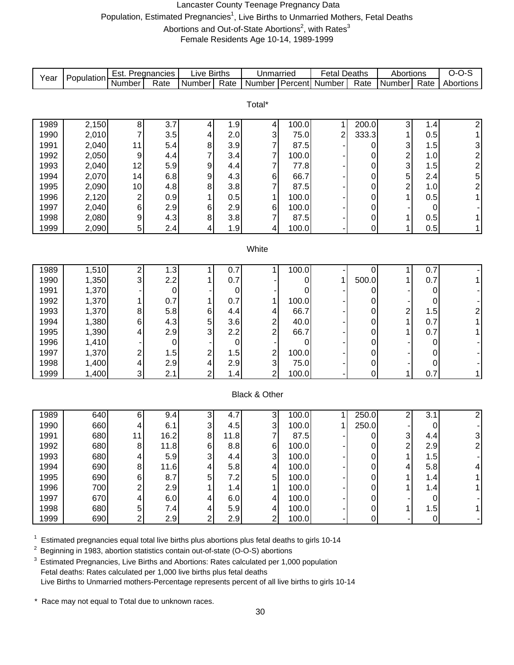#### Lancaster County Teenage Pregnancy Data Population, Estimated Pregnancies<sup>1</sup>, Live Births to Unmarried Mothers, Fetal Deaths Abortions and Out-of-State Abortions<sup>2</sup>, with Rates<sup>3</sup>

Female Residents Age 10-14, 1989-1999

| Year         | Population     | Est. Pregnancies        |                    | <b>Live Births</b>      |          | Unmarried                                 |            | <b>Fetal Deaths</b> |                | Abortions               |                  | $O-O-S$                                    |
|--------------|----------------|-------------------------|--------------------|-------------------------|----------|-------------------------------------------|------------|---------------------|----------------|-------------------------|------------------|--------------------------------------------|
|              |                | <b>Number</b>           | Rate               | Number                  | Rate     | <b>Number</b>                             | Percent    | Number              | Rate           | Number                  | Rate             | Abortions                                  |
|              |                |                         |                    |                         |          |                                           |            |                     |                |                         |                  |                                            |
|              |                |                         |                    |                         |          | Total*                                    |            |                     |                |                         |                  |                                            |
| 1989         | 2,150          | 8                       | $\overline{3.7}$   | 4                       | 1.9      | 4                                         | 100.0      | 1                   | 200.0          | 3                       | 1.4              | 2                                          |
| 1990         | 2,010          | 7                       | 3.5                | 4                       | 2.0      | 3                                         | 75.0       | $\overline{c}$      | 333.3          | 1                       | 0.5              | 1                                          |
| 1991         | 2,040          | 11                      | 5.4                | 8                       | 3.9      | $\overline{7}$                            | 87.5       |                     | 0              | 3                       | 1.5              | 3                                          |
| 1992         | 2,050          | 9                       | 4.4                | 7                       | 3.4      | $\overline{7}$                            | 100.0      |                     | 0              | $\overline{\mathbf{c}}$ | 1.0              |                                            |
| 1993         | 2,040          | 12                      | 5.9                | 9                       | 4.4      | 7                                         | 77.8       |                     | 0              | 3                       | 1.5              |                                            |
| 1994         | 2,070          | 14                      | 6.8                | 9                       | 4.3      | 6                                         | 66.7       |                     | 0              | 5                       | 2.4              | $\begin{array}{c} 2 \\ 2 \\ 5 \end{array}$ |
| 1995         | 2,090          | 10                      | 4.8                | 8                       | 3.8      | $\overline{7}$                            | 87.5       |                     | $\mathbf 0$    | $\overline{\mathbf{c}}$ | 1.0              | $\overline{\mathbf{c}}$                    |
| 1996         | 2,120          | $\overline{\mathbf{c}}$ | 0.9                |                         | 0.5      | 1                                         | 100.0      |                     | 0              |                         | 0.5              | 1                                          |
| 1997         | 2,040          | $\,6$                   | 2.9                | 6                       | 2.9      | 6                                         | 100.0      |                     | 0              |                         | 0                |                                            |
| 1998         | 2,080          | 9                       | 4.3                | 8                       | 3.8      | 7                                         | 87.5       |                     | 0              | 1                       | 0.5              |                                            |
| 1999         | 2,090          | 5                       | 2.4                | 4                       | 1.9      | 4                                         | 100.0      |                     | $\overline{0}$ | 1                       | 0.5              | $\mathbf{1}$                               |
|              |                |                         |                    |                         |          |                                           |            |                     |                |                         |                  |                                            |
| White        |                |                         |                    |                         |          |                                           |            |                     |                |                         |                  |                                            |
|              |                |                         |                    |                         |          |                                           |            |                     |                |                         |                  |                                            |
| 1989         | 1,510          | $\overline{\mathbf{c}}$ | 1.3                | 1                       | 0.7      | 1                                         | 100.0      |                     | 0              | 1                       | 0.7              |                                            |
| 1990         | 1,350          | 3                       | 2.2                |                         | 0.7      |                                           | 0          | 1                   | 500.0          | 1                       | 0.7              |                                            |
| 1991         | 1,370          |                         | $\mathbf 0$        |                         | 0        |                                           | 0          |                     | 0              |                         | 0                |                                            |
| 1992         | 1,370          | 1                       | 0.7                | 1                       | 0.7      | 1                                         | 100.0      |                     | 0              |                         | 0                |                                            |
| 1993         | 1,370          | 8                       | 5.8                | 6                       | 4.4      | 4                                         | 66.7       |                     | 0              | $\overline{\mathbf{c}}$ | 1.5              | $\overline{\mathbf{c}}$                    |
| 1994         | 1,380          | 6                       | 4.3                | 5                       | 3.6      | $\overline{\mathbf{c}}$<br>$\overline{2}$ | 40.0       |                     | 0              | 1                       | 0.7              | 1                                          |
| 1995<br>1996 | 1,390<br>1,410 | 4                       | 2.9<br>$\mathbf 0$ | 3                       | 2.2      |                                           | 66.7       |                     | 0              | 1                       | 0.7              |                                            |
| 1997         | 1,370          | $\overline{\mathbf{c}}$ | 1.5                | $\overline{\mathbf{c}}$ | 0<br>1.5 | $\overline{\mathbf{c}}$                   | 0<br>100.0 |                     | 0<br>0         |                         | 0<br>0           |                                            |
| 1998         | 1,400          | 4                       | 2.9                | 4                       | 2.9      | $\mathbf{3}$                              | 75.0       |                     | 0              |                         | 0                |                                            |
| 1999         | 1,400          | 3                       | 2.1                | $\overline{2}$          | 1.4      | $\overline{2}$                            | 100.0      |                     | 0              | 1                       | 0.7              | $\mathbf{1}$                               |
|              |                |                         |                    |                         |          |                                           |            |                     |                |                         |                  |                                            |
|              |                |                         |                    |                         |          | Black & Other                             |            |                     |                |                         |                  |                                            |
|              |                |                         |                    |                         |          |                                           |            |                     |                |                         |                  |                                            |
| 1989         | 640            | 6                       | 9.4                | 3                       | 4.7      | 3                                         | 100.0      | 1                   | 250.0          | 2                       | $\overline{3.1}$ | $\overline{2}$                             |
| 1990         | 660            | 4                       | 6.1                | 3                       | 4.5      | 3                                         | 100.0      | 1                   | 250.0          |                         | 0                |                                            |
| 1991         | 680            | 11                      | 16.2               | 8                       | 11.8     | $\overline{7}$                            | 87.5       |                     | 0              | 3                       | 4.4              | $\ensuremath{\mathsf{3}}$                  |
| 1992         | 680            | 8 <sup>1</sup>          | 11.8               | 6                       | 8.8      | 6                                         | 100.0      |                     | 0              | 2                       | 2.9              | 2                                          |
| 1993         | 680            | 4                       | 5.9                | 3                       | 4.4      | 3                                         | 100.0      |                     | 0              | 1                       | 1.5              |                                            |
| 1994         | 690            | 8                       | 11.6               | 4                       | 5.8      | 4                                         | 100.0      |                     | 0              | 4                       | 5.8              | 4                                          |
| 1995         | 690            | 6                       | 8.7                | 5                       | 7.2      | 5                                         | 100.0      |                     | 0              |                         | 1.4              |                                            |
| 1996         | 700            | 2                       | 2.9                |                         | 1.4      | 1                                         | 100.0      |                     | 0              |                         | 1.4              |                                            |
| 1997         | 670            | 4                       | 6.0                | 4                       | 6.0      | 4                                         | 100.0      |                     | 0              |                         | $\mathbf 0$      |                                            |
| 1998         | 680            | 5                       | 7.4                | 4                       | 5.9      | 4                                         | 100.0      |                     | 0              | 1                       | 1.5              | 1                                          |
| 1999         | 690            | $\overline{2}$          | 2.9                | 2                       | 2.9      | $\overline{2}$                            | 100.0      |                     | 0              |                         | $\mathbf 0$      |                                            |

 $1$  Estimated pregnancies equal total live births plus abortions plus fetal deaths to girls 10-14

<sup>2</sup> Beginning in 1983, abortion statistics contain out-of-state (O-O-S) abortions

 $3$  Estimated Pregnancies, Live Births and Abortions: Rates calculated per 1,000 population Fetal deaths: Rates calculated per 1,000 live births plus fetal deaths Live Births to Unmarried mothers-Percentage represents percent of all live births to girls 10-14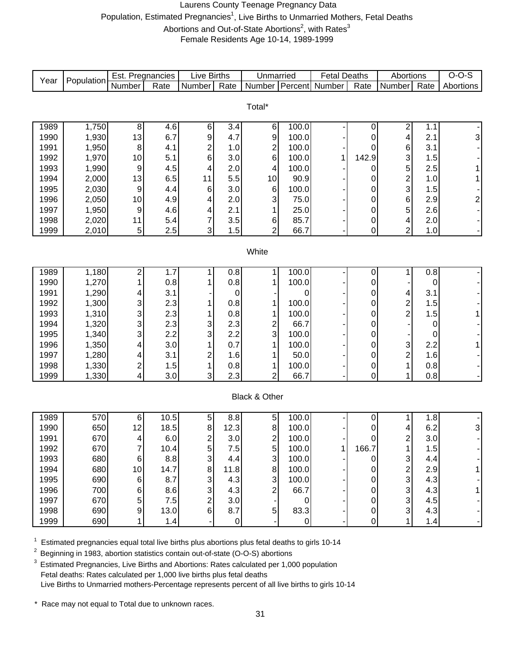#### Laurens County Teenage Pregnancy Data Population, Estimated Pregnancies<sup>1</sup>, Live Births to Unmarried Mothers, Fetal Deaths Abortions and Out-of-State Abortions<sup>2</sup>, with Rates<sup>3</sup>

Female Residents Age 10-14, 1989-1999

| Population<br>Year<br><b>Percent</b> Number<br>Number<br>Number<br>Rate<br>Rate<br>Number<br>Rate<br>Rate<br>Number<br>Total*                                                                             | Abortions               |  |  |  |  |  |  |  |  |  |  |  |
|-----------------------------------------------------------------------------------------------------------------------------------------------------------------------------------------------------------|-------------------------|--|--|--|--|--|--|--|--|--|--|--|
|                                                                                                                                                                                                           |                         |  |  |  |  |  |  |  |  |  |  |  |
|                                                                                                                                                                                                           |                         |  |  |  |  |  |  |  |  |  |  |  |
|                                                                                                                                                                                                           |                         |  |  |  |  |  |  |  |  |  |  |  |
| 1,750<br>4.6<br>6<br>$\overline{\mathbf{c}}$<br>1989<br>8<br>3.4<br>$\,6$<br>100.0<br>1.1<br>0                                                                                                            |                         |  |  |  |  |  |  |  |  |  |  |  |
| 4.7<br>6.7<br>9<br>9<br>100.0<br>1990<br>1,930<br>13<br>4<br>2.1<br>0                                                                                                                                     | 3                       |  |  |  |  |  |  |  |  |  |  |  |
| $\overline{\mathbf{c}}$<br>$\overline{\mathbf{c}}$<br>1,950<br>100.0<br>6<br>3.1<br>1991<br>4.1<br>1.0<br>8<br>0                                                                                          |                         |  |  |  |  |  |  |  |  |  |  |  |
| 6<br>6<br>1992<br>1,970<br>5.1<br>3.0<br>100.0<br>142.9<br>3<br>10<br>1<br>1.5                                                                                                                            |                         |  |  |  |  |  |  |  |  |  |  |  |
| 5<br>1993<br>1,990<br>4.5<br>100.0<br>2.0<br>2.5<br>9<br>4<br>$\overline{\mathbf{4}}$<br>0                                                                                                                |                         |  |  |  |  |  |  |  |  |  |  |  |
| $\overline{\mathbf{c}}$<br>1994<br>2,000<br>13<br>6.5<br>5.5<br>90.9<br>10<br>1.0<br>11<br>0                                                                                                              |                         |  |  |  |  |  |  |  |  |  |  |  |
| $\mathbf{3}$<br>2,030<br>$\,6$<br>3.0<br>1995<br>$\boldsymbol{9}$<br>4.4<br>$\,6$<br>100.0<br>1.5<br>0                                                                                                    |                         |  |  |  |  |  |  |  |  |  |  |  |
| 1996<br>2,050<br>4.9<br>$\mathbf{3}$<br>75.0<br>6<br>10<br>4<br>2.0<br>2.9<br>0                                                                                                                           | $\overline{\mathbf{c}}$ |  |  |  |  |  |  |  |  |  |  |  |
| 5<br>1997<br>1,950<br>4.6<br>2.6<br>2.1<br>$\mathbf{1}$<br>25.0<br>9<br>4<br>0                                                                                                                            |                         |  |  |  |  |  |  |  |  |  |  |  |
| 7<br>1998<br>5.4<br>85.7<br>2,020<br>11<br>3.5<br>6<br>$\overline{4}$<br>2.0<br>0                                                                                                                         |                         |  |  |  |  |  |  |  |  |  |  |  |
| 3<br>$\overline{2}$<br>2<br>1999<br>$\sqrt{5}$<br>2.5<br>1.5<br>66.7<br>2,010<br>0<br>1.0                                                                                                                 |                         |  |  |  |  |  |  |  |  |  |  |  |
|                                                                                                                                                                                                           |                         |  |  |  |  |  |  |  |  |  |  |  |
| White                                                                                                                                                                                                     |                         |  |  |  |  |  |  |  |  |  |  |  |
|                                                                                                                                                                                                           |                         |  |  |  |  |  |  |  |  |  |  |  |
| 1989<br>1,180<br>2<br>1.7<br>0.8<br>$\mathbf{1}$<br>100.0<br>$\pmb{0}$<br>1<br>0.8<br>1                                                                                                                   |                         |  |  |  |  |  |  |  |  |  |  |  |
| 0.8<br>0.8<br>1990<br>100.0<br>1,270<br>1<br>0<br>3.1                                                                                                                                                     | $\boldsymbol{0}$        |  |  |  |  |  |  |  |  |  |  |  |
| 1991<br>1,290<br>0<br>3.1<br>0<br>4<br>0<br>4<br>$\overline{\mathbf{c}}$<br>1,300<br>3<br>2.3<br>0.8<br>1<br>100.0<br>1992<br>1.5<br>0<br>1                                                               |                         |  |  |  |  |  |  |  |  |  |  |  |
| $\overline{2}$<br>3<br>1993<br>2.3<br>0.8<br>$1.5$<br>1,310<br>1<br>100.0<br>0<br>1                                                                                                                       |                         |  |  |  |  |  |  |  |  |  |  |  |
| 3<br>$\overline{\mathbf{c}}$<br>1,320<br>3<br>2.3<br>1994<br>2.3<br>66.7<br>0                                                                                                                             | 0                       |  |  |  |  |  |  |  |  |  |  |  |
| 3<br>2.2<br>3<br>1995<br>1,340<br>3<br>2.2<br>100.0<br>0                                                                                                                                                  | 0                       |  |  |  |  |  |  |  |  |  |  |  |
| 3.0<br>1996<br>1,350<br>0.7<br>$\mathbf{1}$<br>100.0<br>3<br>2.2<br>1<br>0<br>4                                                                                                                           |                         |  |  |  |  |  |  |  |  |  |  |  |
| $\overline{\mathbf{c}}$<br>1997<br>1,280<br>3.1<br>2<br>1.6<br>50.0<br>1.6<br>$\mathbf{1}$<br>0<br>4                                                                                                      |                         |  |  |  |  |  |  |  |  |  |  |  |
| 1,330<br>1.5<br>1998<br>2<br>1<br>0.8<br>$\mathbf{1}$<br>100.0<br>1<br>0.8<br>0                                                                                                                           |                         |  |  |  |  |  |  |  |  |  |  |  |
| 1,330<br>4<br>3.0<br>3<br>2.3<br>$\overline{2}$<br>66.7<br>0.8<br>1999<br>0<br>1                                                                                                                          |                         |  |  |  |  |  |  |  |  |  |  |  |
|                                                                                                                                                                                                           |                         |  |  |  |  |  |  |  |  |  |  |  |
| Black & Other                                                                                                                                                                                             |                         |  |  |  |  |  |  |  |  |  |  |  |
|                                                                                                                                                                                                           |                         |  |  |  |  |  |  |  |  |  |  |  |
| 1989<br>$\overline{10.5}$<br>570<br>5<br>8.8<br>$\sqrt{5}$<br>100.0<br>1<br>1.8<br>6<br>0                                                                                                                 |                         |  |  |  |  |  |  |  |  |  |  |  |
| 1990<br>650<br>12<br>18.5<br>$\, 8$<br>12.3<br>8<br>6.2<br>100.0<br>0<br>4                                                                                                                                | 3                       |  |  |  |  |  |  |  |  |  |  |  |
| $\overline{c}$<br>$\overline{\mathbf{c}}$<br>670<br>6.0<br>2<br>3.0<br>3.0<br>1991<br>100.0<br>0<br>4<br>1                                                                                                |                         |  |  |  |  |  |  |  |  |  |  |  |
| 1992<br>670<br>10.4<br>5<br>7.5<br>5 <sub>l</sub><br>100.0<br>166.7<br>1.5<br>1.<br><sup>'</sup><br>$\mathbf{3}$<br>680<br>8.8<br>3<br>100.0<br>$\ensuremath{\mathsf{3}}$<br>1993<br>4.4<br>4.4<br>6<br>0 |                         |  |  |  |  |  |  |  |  |  |  |  |
| $\overline{\mathbf{c}}$<br>$\bf 8$<br>$\bf 8$<br>1994<br>680<br>14.7<br>11.8<br>100.0<br>2.9<br>10<br>0                                                                                                   |                         |  |  |  |  |  |  |  |  |  |  |  |
| 3<br>3<br>3<br>1995<br>690<br>8.7<br>4.3<br>100.0<br>4.3<br>6<br>0                                                                                                                                        |                         |  |  |  |  |  |  |  |  |  |  |  |
| 3<br>3<br>4.3<br>2<br>1996<br>700<br>8.6<br>66.7<br>4.3<br>0<br>6                                                                                                                                         |                         |  |  |  |  |  |  |  |  |  |  |  |
| $\overline{c}$<br>3<br>1997<br>670<br>7.5<br>3.0<br>4.5<br>5<br>$\boldsymbol{0}$<br>0                                                                                                                     |                         |  |  |  |  |  |  |  |  |  |  |  |
| $\,6\,$<br>5 <sup>1</sup><br>83.3<br>$\mathsf 3$<br>1998<br>690<br>13.0<br>8.7<br>9<br>4.3<br>0                                                                                                           |                         |  |  |  |  |  |  |  |  |  |  |  |
| 1999<br>690<br>1.4<br>$\pmb{0}$<br>0<br>0<br>1<br>1.4                                                                                                                                                     |                         |  |  |  |  |  |  |  |  |  |  |  |

 $1$  Estimated pregnancies equal total live births plus abortions plus fetal deaths to girls 10-14

2 Beginning in 1983, abortion statistics contain out-of-state (O-O-S) abortions

<sup>3</sup> Estimated Pregnancies, Live Births and Abortions: Rates calculated per 1,000 population Fetal deaths: Rates calculated per 1,000 live births plus fetal deaths Live Births to Unmarried mothers-Percentage represents percent of all live births to girls 10-14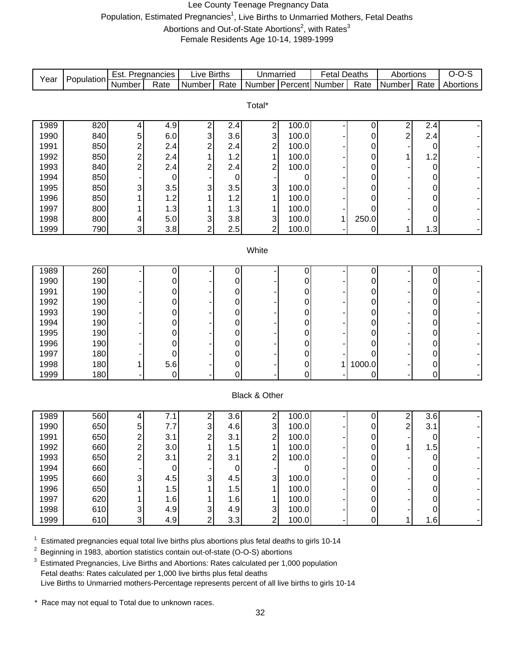#### Lee County Teenage Pregnancy Data Population, Estimated Pregnancies<sup>1</sup>, Live Births to Unmarried Mothers, Fetal Deaths Abortions and Out-of-State Abortions<sup>2</sup>, with Rates<sup>3</sup> Female Residents Age 10-14, 1989-1999

|       |            | Est. Pregnancies |             | <b>Live Births</b>        |             | Unmarried             |             | <b>Fetal Deaths</b> |                | Abortions      |                        | $O-O-S$   |
|-------|------------|------------------|-------------|---------------------------|-------------|-----------------------|-------------|---------------------|----------------|----------------|------------------------|-----------|
| Year  | Population | <b>Number</b>    | Rate        | Number                    | Rate        | Number Percent Number |             |                     | Rate           | Number         | Rate                   | Abortions |
|       |            |                  |             |                           |             |                       |             |                     |                |                |                        |           |
|       |            |                  |             |                           |             | Total*                |             |                     |                |                |                        |           |
| 1989  | 820        | 4                | 4.9         | 2                         | 2.4         | 2                     | 100.0       |                     | 0              | 2              | 2.4                    |           |
| 1990  | 840        | 5                | 6.0         | 3                         | 3.6         | 3                     | 100.0       |                     | 0              | $\overline{c}$ | 2.4                    |           |
| 1991  | 850        | $\overline{c}$   | 2.4         | 2                         | 2.4         | $\overline{c}$        | 100.0       |                     | 0              |                | $\mathbf 0$            |           |
| 1992  | 850        | $\overline{c}$   | 2.4         | 1                         | 1.2         | $\mathbf{1}$          | 100.0       |                     | 0              | 1              | 1.2                    |           |
| 1993  | 840        | $\overline{2}$   | 2.4         | 2                         | 2.4         | 2                     | 100.0       |                     | 0              |                | $\pmb{0}$              |           |
| 1994  | 850        |                  | 0           |                           | $\pmb{0}$   |                       | 0           |                     | 0              |                | $\pmb{0}$              |           |
| 1995  | 850        | 3                | 3.5         | 3                         | 3.5         | 3                     | 100.0       |                     | 0              |                | $\pmb{0}$              |           |
| 1996  | 850        |                  | 1.2         | 1                         | 1.2         | 1                     | 100.0       |                     | 0              |                | $\pmb{0}$              |           |
| 1997  | 800        |                  | 1.3         |                           | 1.3         | 1                     | 100.0       |                     | 0              |                | $\pmb{0}$              |           |
| 1998  | 800        | 4                | 5.0         | 3                         | 3.8         | 3                     | 100.0       | 1                   | 250.0          |                | $\mathbf 0$            |           |
| 1999  | 790        | 3                | 3.8         | $\overline{2}$            | 2.5         | $\overline{2}$        | 100.0       |                     | 0              | 1              | 1.3                    |           |
|       |            |                  |             |                           |             |                       |             |                     |                |                |                        |           |
| White |            |                  |             |                           |             |                       |             |                     |                |                |                        |           |
| 1989  |            |                  |             |                           |             |                       |             |                     |                |                |                        |           |
| 1990  | 260<br>190 |                  | 0<br>0      |                           | 0<br>0      |                       | 0<br>0      |                     | $\pmb{0}$<br>0 |                | $\pmb{0}$<br>$\pmb{0}$ |           |
| 1991  | 190        |                  | 0           |                           | 0           |                       | 0           |                     | 0              |                | 0                      |           |
| 1992  | 190        |                  | 0           |                           | 0           |                       | 0           |                     | 0              |                | 0                      |           |
| 1993  | 190        |                  | 0           |                           | 0           |                       | 0           |                     | 0              |                | 0                      |           |
| 1994  | 190        |                  | 0           |                           | 0           |                       | 0           |                     | 0              |                | 0                      |           |
| 1995  | 190        |                  | 0           |                           | 0           |                       | 0           |                     | 0              |                | 0                      |           |
| 1996  | 190        |                  | 0           |                           | 0           |                       | 0           |                     | 0              |                | 0                      |           |
| 1997  | 180        |                  | 0           |                           | $\mathbf 0$ |                       | 0           |                     | 0              |                | $\pmb{0}$              |           |
| 1998  | 180        |                  | 5.6         |                           | $\mathbf 0$ |                       | 0           | 1                   | 1000.0         |                | 0                      |           |
| 1999  | 180        |                  | $\mathbf 0$ |                           | 0           |                       | $\mathbf 0$ |                     | 0              |                | $\overline{0}$         |           |
|       |            |                  |             |                           |             |                       |             |                     |                |                |                        |           |
|       |            |                  |             |                           |             | Black & Other         |             |                     |                |                |                        |           |
| 1989  | 560        | 4                | 7.1         | 2                         | 3.6         | $\mathbf{2}$          | 100.0       |                     | 0              | 2              | 3.6                    |           |
| 1990  | 650        | 5                | 7.7         | 3                         | 4.6         | $\mathsf 3$           | 100.0       |                     | 0              | 2              | 3.1                    |           |
| 1991  | 650        | $\overline{c}$   | 3.1         | 2                         | 3.1         | $\mathbf{2}$          | 100.0       |                     | 0              |                | $\pmb{0}$              |           |
| 1992  | 660        | 2                | 3.0         | 1                         | 1.5         | 1                     | 100.0       |                     | 0              | 1 <sup>1</sup> | 1.5                    |           |
| 1993  | 650        | $\overline{2}$   | 3.1         | 2                         | 3.1         | $\overline{c}$        | 100.0       |                     | 0              |                | $\mathbf 0$            |           |
| 1994  | 660        |                  | 0           |                           | $\mathbf 0$ |                       | 0           |                     | 0              |                | 0                      |           |
| 1995  | 660        | 3                | 4.5         | 3                         | 4.5         | 3                     | 100.0       |                     | 0              |                | 0                      |           |
| 1996  | 650        |                  | 1.5         |                           | 1.5         | 1                     | 100.0       |                     | 0              |                | 0                      |           |
| 1997  | 620        |                  | 1.6         | 1                         | 1.6         | 1                     | 100.0       |                     | 0              |                | $\pmb{0}$              |           |
| 1998  | 610        | 3                | 4.9         | $\ensuremath{\mathsf{3}}$ | 4.9         | $\mathbf{3}$          | 100.0       |                     | 0              |                | $\mathbf 0$            |           |
| 1999  | 610        | 3                | 4.9         | 2                         | 3.3         | $\overline{2}$        | 100.0       |                     | 0              | 1              | 1.6                    |           |

 $1$  Estimated pregnancies equal total live births plus abortions plus fetal deaths to girls 10-14

<sup>2</sup> Beginning in 1983, abortion statistics contain out-of-state (O-O-S) abortions

<sup>3</sup> Estimated Pregnancies, Live Births and Abortions: Rates calculated per 1,000 population Fetal deaths: Rates calculated per 1,000 live births plus fetal deaths Live Births to Unmarried mothers-Percentage represents percent of all live births to girls 10-14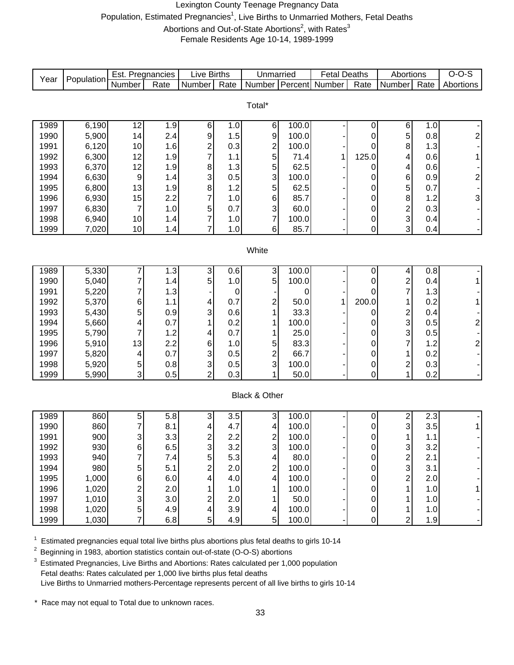#### Lexington County Teenage Pregnancy Data Population, Estimated Pregnancies<sup>1</sup>, Live Births to Unmarried Mothers, Fetal Deaths Abortions and Out-of-State Abortions<sup>2</sup>, with Rates<sup>3</sup> Female Residents Age 10-14, 1989-1999

| Year         | Population     | Est. Pregnancies |            | <b>Live Births</b>      |            | Unmarried               |              | <b>Fetal Deaths</b> |                     | Abortions               |            | $O-O-S$        |
|--------------|----------------|------------------|------------|-------------------------|------------|-------------------------|--------------|---------------------|---------------------|-------------------------|------------|----------------|
|              |                | Number           | Rate       | Number                  | Rate       | Number                  | Percent      | Number              | Rate                | Number                  | Rate       | Abortions      |
|              |                |                  |            |                         |            |                         |              |                     |                     |                         |            |                |
|              |                |                  |            |                         |            | Total*                  |              |                     |                     |                         |            |                |
| 1989         | 6,190          | 12               | 1.9        | 6                       | 1.0        | 6                       | 100.0        |                     | 0                   | 6                       | 1.0        |                |
| 1990         | 5,900          | 14               | 2.4        | 9                       | 1.5        | 9                       | 100.0        |                     | 0                   | 5                       | 0.8        | $\mathbf{2}$   |
| 1991         | 6,120          | 10               | 1.6        | 2                       | 0.3        |                         | 100.0        |                     | 0                   | 8                       | 1.3        |                |
| 1992         | 6,300          | 12               | 1.9        | 7                       | 1.1        | $\frac{2}{5}$           | 71.4         | 1                   | 125.0               | 4                       | 0.6        | 1              |
| 1993         | 6,370          | 12               | 1.9        | 8                       | 1.3        | 5                       | 62.5         |                     | 0                   | 4                       | 0.6        |                |
| 1994         | 6,630          | $\boldsymbol{9}$ | 1.4        | 3                       | 0.5        | 3                       | 100.0        |                     | 0                   | 6                       | 0.9        | $\mathbf{2}$   |
| 1995         | 6,800          | 13               | 1.9        | 8                       | 1.2        | 5                       | 62.5         |                     | 0                   | 5                       | 0.7        |                |
| 1996         | 6,930          | 15               | 2.2        | 7                       | 1.0        | 6                       | 85.7         |                     | 0                   | 8                       | 1.2        | $\overline{3}$ |
| 1997         | 6,830          | $\boldsymbol{7}$ | 1.0        | 5                       | 0.7        | $\mathsf 3$             | 60.0         |                     | $\mathbf 0$         | $\overline{\mathbf{c}}$ | 0.3        |                |
| 1998         | 6,940          | 10               | 1.4        | 7                       | 1.0        | $\overline{7}$          | 100.0        |                     | 0                   | $\mathbf{3}$            | 0.4        |                |
| 1999         | 7,020          | 10               | 1.4        | 7                       | 1.0        | $\,6$                   | 85.7         |                     | 0                   | 3                       | 0.4        |                |
|              |                |                  |            |                         |            |                         |              |                     |                     |                         |            |                |
| White        |                |                  |            |                         |            |                         |              |                     |                     |                         |            |                |
|              |                |                  |            |                         |            |                         |              |                     |                     |                         |            |                |
| 1989         | 5,330          | 7                | 1.3        | 3                       | 0.6        | ىن                      | 100.0        |                     | 0                   | 4                       | 0.8        |                |
| 1990         | 5,040          | 7                | 1.4        | 5                       | 1.0        | 5                       | 100.0        |                     | $\mathbf 0$         | $\overline{\mathbf{c}}$ | 0.4        | $\mathbf{1}$   |
| 1991         | 5,220          | 7                | 1.3        |                         | 0          |                         | 0            |                     | 0                   | $\overline{7}$          | 1.3        |                |
| 1992         | 5,370          | 6                | 1.1        | 4                       | 0.7        | $\overline{\mathbf{c}}$ | 50.0         | 1                   | 200.0               | 1                       | 0.2        | 1              |
| 1993         | 5,430          | 5                | 0.9        | 3                       | 0.6        | 1                       | 33.3         |                     | 0                   | $\frac{2}{3}$           | 0.4        |                |
| 1994         | 5,660          | 4                | 0.7        |                         | 0.2        | 1                       | 100.0        |                     | 0                   |                         | 0.5        | 2              |
| 1995         | 5,790          | 7                | 1.2        | 4                       | 0.7        | 1                       | 25.0         |                     | 0                   | 3<br>$\overline{7}$     | 0.5        |                |
| 1996         | 5,910<br>5,820 | 13               | 2.2<br>0.7 | 6<br>3                  | 1.0        | 5                       | 83.3<br>66.7 |                     | 0                   |                         | 1.2        | $2\vert$       |
| 1997<br>1998 | 5,920          | 4                | $0.8\,$    | 3                       | 0.5<br>0.5 | $\frac{2}{3}$           | 100.0        |                     | 0                   | 1<br>$\boldsymbol{2}$   | 0.2<br>0.3 | - 1            |
| 1999         | 5,990          | 5<br>3           | 0.5        | $\overline{2}$          | 0.3        | 1                       | 50.0         |                     | 0<br>$\overline{0}$ | 1                       | 0.2        |                |
|              |                |                  |            |                         |            |                         |              |                     |                     |                         |            |                |
|              |                |                  |            |                         |            | Black & Other           |              |                     |                     |                         |            |                |
|              |                |                  |            |                         |            |                         |              |                     |                     |                         |            |                |
| 1989         | 860            | 5                | 5.8        | 3                       | 3.5        | $\overline{3}$          | 100.0        |                     | 0                   | 2                       | 2.3        |                |
| 1990         | 860            | 7                | 8.1        | 4                       | 4.7        | 4                       | 100.0        |                     | 0                   | 3                       | 3.5        | 1              |
| 1991         | 900            | 3                | 3.3        | 2                       | 2.2        | $\overline{\mathbf{c}}$ | 100.0        |                     | 0                   | 1                       | 1.1        |                |
| 1992         | 930            | 6                | 6.5        | 3                       | 3.2        | 3                       | 100.0        |                     | $\cup$              | 3                       | 3.2        |                |
| 1993         | 940            | 7                | 7.4        | 5                       | 5.3        | $\overline{4}$          | 80.0         |                     | 0                   |                         | 2.1        |                |
| 1994         | 980            | 5                | 5.1        | $\overline{\mathbf{c}}$ | 2.0        | $\overline{\mathbf{c}}$ | 100.0        |                     | 0                   | $\frac{2}{3}$           | 3.1        |                |
| 1995         | 1,000          | 6                | 6.0        | 4                       | 4.0        | 4                       | 100.0        |                     | 0                   | $\overline{c}$          | 2.0        |                |
| 1996         | 1,020          | 2                | 2.0        |                         | 1.0        | 1                       | 100.0        |                     | 0                   | 1                       | 1.0        | 1              |
| 1997         | 1,010          | 3                | 3.0        | $\overline{\mathbf{c}}$ | 2.0        | 1                       | 50.0         |                     | 0                   |                         | 1.0        |                |
| 1998         | 1,020          | 5                | 4.9        | 4                       | 3.9        | $\vert 4 \vert$         | 100.0        |                     | 0                   | 1                       | 1.0        |                |
| 1999         | 1,030          | 7                | 6.8        | 5                       | 4.9        | $\overline{5}$          | 100.0        |                     | 0                   | $\overline{2}$          | 1.9        |                |

 $1$  Estimated pregnancies equal total live births plus abortions plus fetal deaths to girls 10-14

<sup>2</sup> Beginning in 1983, abortion statistics contain out-of-state (O-O-S) abortions

<sup>3</sup> Estimated Pregnancies, Live Births and Abortions: Rates calculated per 1,000 population Fetal deaths: Rates calculated per 1,000 live births plus fetal deaths Live Births to Unmarried mothers-Percentage represents percent of all live births to girls 10-14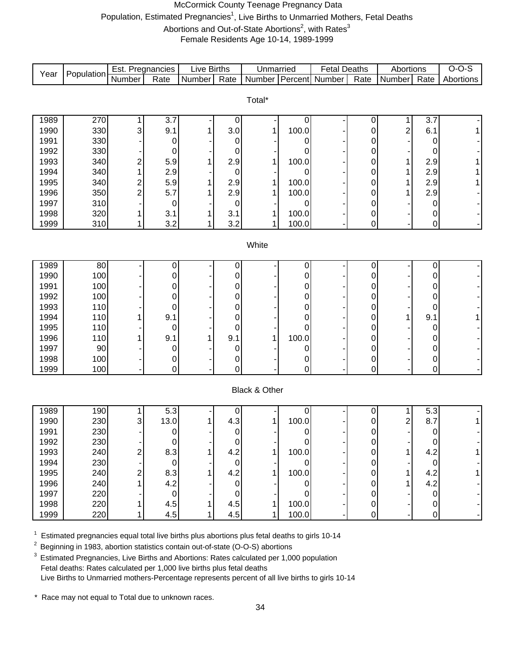# McCormick County Teenage Pregnancy Data Population, Estimated Pregnancies<sup>1</sup>, Live Births to Unmarried Mothers, Fetal Deaths Abortions and Out-of-State Abortions<sup>2</sup>, with Rates<sup>3</sup>

Female Residents Age 10-14, 1989-1999

| Number Percent Number<br>Total*<br>1989<br>270<br>3.7<br>3.7<br>0<br>0<br>1<br>0<br>330<br>100.0<br>$\overline{c}$<br>1990<br>9.1<br>3.0<br>6.1<br>3<br>0<br>330<br>1991<br>0<br>0<br>0<br>0<br>0<br>330<br>1992<br>0<br>0<br>0<br>0<br>0<br>340<br>100.0<br>1993<br>5.9<br>2.9<br>2.9<br>$\overline{c}$<br>0<br>1<br>340<br>2.9<br>1994<br>2.9<br>0<br>0<br>0<br>1<br>1995<br>340<br>5.9<br>2.9<br>100.0<br>2.9<br>$\overline{c}$<br>0<br>1<br>1996<br>350<br>$\overline{2}$<br>5.7<br>2.9<br>2.9<br>100.0<br>0<br>1<br>1<br>310<br>1997<br>0<br>0<br>0<br>0<br>0<br>320<br>1998<br>3.1<br>100.0<br>3.1<br>0<br>0<br>1<br>310<br>3.2<br>1999<br>3.2<br>100.0<br>$\pmb{0}$<br>1<br>0<br>1<br>White<br>1989<br>80<br>0<br>0<br>0<br>0<br>0<br>100<br>1990<br>0<br>0<br>0<br>0<br>0<br>100<br>1991<br>0<br>0<br>0<br>0<br>0<br>100<br>1992<br>0<br>0<br>0<br>0<br>0<br>110<br>1993<br>0<br>0<br>0<br>0<br>0<br>1994<br>110<br>9.1<br>9.1<br>0<br>1<br>0<br>1<br>0<br>110<br>1995<br>0<br>0<br>0<br>0<br>0<br>9.1<br>100.0<br>1996<br>110<br>9.1<br>0<br>0<br>90<br>1997<br>0<br>0<br>0<br>0<br>0<br>1998<br>100<br>0<br>0<br>0<br>0<br>0<br>100<br>0<br>1999<br>0<br>0<br>0<br>0<br><b>Black &amp; Other</b><br>1989<br>$5.\overline{3}$<br>190<br>5.3<br>0<br>0<br>0<br>1<br>230<br>4.3<br>$\overline{c}$<br>8.7<br>1990<br>13.0<br>100.0<br>3<br>0<br>1<br>230<br>1991<br>0<br>0<br>0<br>$\pmb{0}$<br>0<br>1992<br>230<br>0<br>0<br>0<br>0<br>0<br>1993<br>240<br>8.3<br>4.2<br>100.0<br>4.2<br>2<br>1<br>0<br>1<br>1994<br>230<br>$\mathbf 0$<br>0<br>0<br>$\pmb{0}$<br>0<br>100.0<br>240<br>8.3<br>4.2<br>1995<br>4.2<br>$\overline{c}$<br>1<br>0<br>4.2<br>240<br>4.2<br>1996<br>$\pmb{0}$<br>0<br>0<br>220<br>1997<br>$\pmb{0}$<br>$\pmb{0}$<br>0<br>0<br>0<br>220<br>4.5<br>4.5<br>100.0<br>1998<br>$\pmb{0}$<br>0<br>220<br>1999<br>4.5<br>4.5<br>100.0<br>0<br>0<br>1 | Year | Population | Est. Pregnancies |      | <b>Live Births</b> |      | Unmarried | <b>Fetal Deaths</b> |                   | Abortions |      | $O-O-S$   |
|------------------------------------------------------------------------------------------------------------------------------------------------------------------------------------------------------------------------------------------------------------------------------------------------------------------------------------------------------------------------------------------------------------------------------------------------------------------------------------------------------------------------------------------------------------------------------------------------------------------------------------------------------------------------------------------------------------------------------------------------------------------------------------------------------------------------------------------------------------------------------------------------------------------------------------------------------------------------------------------------------------------------------------------------------------------------------------------------------------------------------------------------------------------------------------------------------------------------------------------------------------------------------------------------------------------------------------------------------------------------------------------------------------------------------------------------------------------------------------------------------------------------------------------------------------------------------------------------------------------------------------------------------------------------------------------------------------------------------------------------------------------------------------------------------------------------------------------------------------------------------|------|------------|------------------|------|--------------------|------|-----------|---------------------|-------------------|-----------|------|-----------|
|                                                                                                                                                                                                                                                                                                                                                                                                                                                                                                                                                                                                                                                                                                                                                                                                                                                                                                                                                                                                                                                                                                                                                                                                                                                                                                                                                                                                                                                                                                                                                                                                                                                                                                                                                                                                                                                                              |      |            | <b>Number</b>    | Rate | <b>Number</b>      | Rate |           |                     | $\overline{Rate}$ | Number    | Rate | Abortions |
|                                                                                                                                                                                                                                                                                                                                                                                                                                                                                                                                                                                                                                                                                                                                                                                                                                                                                                                                                                                                                                                                                                                                                                                                                                                                                                                                                                                                                                                                                                                                                                                                                                                                                                                                                                                                                                                                              |      |            |                  |      |                    |      |           |                     |                   |           |      |           |
|                                                                                                                                                                                                                                                                                                                                                                                                                                                                                                                                                                                                                                                                                                                                                                                                                                                                                                                                                                                                                                                                                                                                                                                                                                                                                                                                                                                                                                                                                                                                                                                                                                                                                                                                                                                                                                                                              |      |            |                  |      |                    |      |           |                     |                   |           |      |           |
|                                                                                                                                                                                                                                                                                                                                                                                                                                                                                                                                                                                                                                                                                                                                                                                                                                                                                                                                                                                                                                                                                                                                                                                                                                                                                                                                                                                                                                                                                                                                                                                                                                                                                                                                                                                                                                                                              |      |            |                  |      |                    |      |           |                     |                   |           |      |           |
|                                                                                                                                                                                                                                                                                                                                                                                                                                                                                                                                                                                                                                                                                                                                                                                                                                                                                                                                                                                                                                                                                                                                                                                                                                                                                                                                                                                                                                                                                                                                                                                                                                                                                                                                                                                                                                                                              |      |            |                  |      |                    |      |           |                     |                   |           |      |           |
|                                                                                                                                                                                                                                                                                                                                                                                                                                                                                                                                                                                                                                                                                                                                                                                                                                                                                                                                                                                                                                                                                                                                                                                                                                                                                                                                                                                                                                                                                                                                                                                                                                                                                                                                                                                                                                                                              |      |            |                  |      |                    |      |           |                     |                   |           |      |           |
|                                                                                                                                                                                                                                                                                                                                                                                                                                                                                                                                                                                                                                                                                                                                                                                                                                                                                                                                                                                                                                                                                                                                                                                                                                                                                                                                                                                                                                                                                                                                                                                                                                                                                                                                                                                                                                                                              |      |            |                  |      |                    |      |           |                     |                   |           |      |           |
|                                                                                                                                                                                                                                                                                                                                                                                                                                                                                                                                                                                                                                                                                                                                                                                                                                                                                                                                                                                                                                                                                                                                                                                                                                                                                                                                                                                                                                                                                                                                                                                                                                                                                                                                                                                                                                                                              |      |            |                  |      |                    |      |           |                     |                   |           |      |           |
|                                                                                                                                                                                                                                                                                                                                                                                                                                                                                                                                                                                                                                                                                                                                                                                                                                                                                                                                                                                                                                                                                                                                                                                                                                                                                                                                                                                                                                                                                                                                                                                                                                                                                                                                                                                                                                                                              |      |            |                  |      |                    |      |           |                     |                   |           |      |           |
|                                                                                                                                                                                                                                                                                                                                                                                                                                                                                                                                                                                                                                                                                                                                                                                                                                                                                                                                                                                                                                                                                                                                                                                                                                                                                                                                                                                                                                                                                                                                                                                                                                                                                                                                                                                                                                                                              |      |            |                  |      |                    |      |           |                     |                   |           |      |           |
|                                                                                                                                                                                                                                                                                                                                                                                                                                                                                                                                                                                                                                                                                                                                                                                                                                                                                                                                                                                                                                                                                                                                                                                                                                                                                                                                                                                                                                                                                                                                                                                                                                                                                                                                                                                                                                                                              |      |            |                  |      |                    |      |           |                     |                   |           |      |           |
|                                                                                                                                                                                                                                                                                                                                                                                                                                                                                                                                                                                                                                                                                                                                                                                                                                                                                                                                                                                                                                                                                                                                                                                                                                                                                                                                                                                                                                                                                                                                                                                                                                                                                                                                                                                                                                                                              |      |            |                  |      |                    |      |           |                     |                   |           |      |           |
|                                                                                                                                                                                                                                                                                                                                                                                                                                                                                                                                                                                                                                                                                                                                                                                                                                                                                                                                                                                                                                                                                                                                                                                                                                                                                                                                                                                                                                                                                                                                                                                                                                                                                                                                                                                                                                                                              |      |            |                  |      |                    |      |           |                     |                   |           |      |           |
|                                                                                                                                                                                                                                                                                                                                                                                                                                                                                                                                                                                                                                                                                                                                                                                                                                                                                                                                                                                                                                                                                                                                                                                                                                                                                                                                                                                                                                                                                                                                                                                                                                                                                                                                                                                                                                                                              |      |            |                  |      |                    |      |           |                     |                   |           |      |           |
|                                                                                                                                                                                                                                                                                                                                                                                                                                                                                                                                                                                                                                                                                                                                                                                                                                                                                                                                                                                                                                                                                                                                                                                                                                                                                                                                                                                                                                                                                                                                                                                                                                                                                                                                                                                                                                                                              |      |            |                  |      |                    |      |           |                     |                   |           |      |           |
|                                                                                                                                                                                                                                                                                                                                                                                                                                                                                                                                                                                                                                                                                                                                                                                                                                                                                                                                                                                                                                                                                                                                                                                                                                                                                                                                                                                                                                                                                                                                                                                                                                                                                                                                                                                                                                                                              |      |            |                  |      |                    |      |           |                     |                   |           |      |           |
|                                                                                                                                                                                                                                                                                                                                                                                                                                                                                                                                                                                                                                                                                                                                                                                                                                                                                                                                                                                                                                                                                                                                                                                                                                                                                                                                                                                                                                                                                                                                                                                                                                                                                                                                                                                                                                                                              |      |            |                  |      |                    |      |           |                     |                   |           |      |           |
|                                                                                                                                                                                                                                                                                                                                                                                                                                                                                                                                                                                                                                                                                                                                                                                                                                                                                                                                                                                                                                                                                                                                                                                                                                                                                                                                                                                                                                                                                                                                                                                                                                                                                                                                                                                                                                                                              |      |            |                  |      |                    |      |           |                     |                   |           |      |           |
|                                                                                                                                                                                                                                                                                                                                                                                                                                                                                                                                                                                                                                                                                                                                                                                                                                                                                                                                                                                                                                                                                                                                                                                                                                                                                                                                                                                                                                                                                                                                                                                                                                                                                                                                                                                                                                                                              |      |            |                  |      |                    |      |           |                     |                   |           |      |           |
|                                                                                                                                                                                                                                                                                                                                                                                                                                                                                                                                                                                                                                                                                                                                                                                                                                                                                                                                                                                                                                                                                                                                                                                                                                                                                                                                                                                                                                                                                                                                                                                                                                                                                                                                                                                                                                                                              |      |            |                  |      |                    |      |           |                     |                   |           |      |           |
|                                                                                                                                                                                                                                                                                                                                                                                                                                                                                                                                                                                                                                                                                                                                                                                                                                                                                                                                                                                                                                                                                                                                                                                                                                                                                                                                                                                                                                                                                                                                                                                                                                                                                                                                                                                                                                                                              |      |            |                  |      |                    |      |           |                     |                   |           |      |           |
|                                                                                                                                                                                                                                                                                                                                                                                                                                                                                                                                                                                                                                                                                                                                                                                                                                                                                                                                                                                                                                                                                                                                                                                                                                                                                                                                                                                                                                                                                                                                                                                                                                                                                                                                                                                                                                                                              |      |            |                  |      |                    |      |           |                     |                   |           |      |           |
|                                                                                                                                                                                                                                                                                                                                                                                                                                                                                                                                                                                                                                                                                                                                                                                                                                                                                                                                                                                                                                                                                                                                                                                                                                                                                                                                                                                                                                                                                                                                                                                                                                                                                                                                                                                                                                                                              |      |            |                  |      |                    |      |           |                     |                   |           |      |           |
|                                                                                                                                                                                                                                                                                                                                                                                                                                                                                                                                                                                                                                                                                                                                                                                                                                                                                                                                                                                                                                                                                                                                                                                                                                                                                                                                                                                                                                                                                                                                                                                                                                                                                                                                                                                                                                                                              |      |            |                  |      |                    |      |           |                     |                   |           |      |           |
|                                                                                                                                                                                                                                                                                                                                                                                                                                                                                                                                                                                                                                                                                                                                                                                                                                                                                                                                                                                                                                                                                                                                                                                                                                                                                                                                                                                                                                                                                                                                                                                                                                                                                                                                                                                                                                                                              |      |            |                  |      |                    |      |           |                     |                   |           |      |           |
|                                                                                                                                                                                                                                                                                                                                                                                                                                                                                                                                                                                                                                                                                                                                                                                                                                                                                                                                                                                                                                                                                                                                                                                                                                                                                                                                                                                                                                                                                                                                                                                                                                                                                                                                                                                                                                                                              |      |            |                  |      |                    |      |           |                     |                   |           |      |           |
|                                                                                                                                                                                                                                                                                                                                                                                                                                                                                                                                                                                                                                                                                                                                                                                                                                                                                                                                                                                                                                                                                                                                                                                                                                                                                                                                                                                                                                                                                                                                                                                                                                                                                                                                                                                                                                                                              |      |            |                  |      |                    |      |           |                     |                   |           |      |           |
|                                                                                                                                                                                                                                                                                                                                                                                                                                                                                                                                                                                                                                                                                                                                                                                                                                                                                                                                                                                                                                                                                                                                                                                                                                                                                                                                                                                                                                                                                                                                                                                                                                                                                                                                                                                                                                                                              |      |            |                  |      |                    |      |           |                     |                   |           |      |           |
|                                                                                                                                                                                                                                                                                                                                                                                                                                                                                                                                                                                                                                                                                                                                                                                                                                                                                                                                                                                                                                                                                                                                                                                                                                                                                                                                                                                                                                                                                                                                                                                                                                                                                                                                                                                                                                                                              |      |            |                  |      |                    |      |           |                     |                   |           |      |           |
|                                                                                                                                                                                                                                                                                                                                                                                                                                                                                                                                                                                                                                                                                                                                                                                                                                                                                                                                                                                                                                                                                                                                                                                                                                                                                                                                                                                                                                                                                                                                                                                                                                                                                                                                                                                                                                                                              |      |            |                  |      |                    |      |           |                     |                   |           |      |           |
|                                                                                                                                                                                                                                                                                                                                                                                                                                                                                                                                                                                                                                                                                                                                                                                                                                                                                                                                                                                                                                                                                                                                                                                                                                                                                                                                                                                                                                                                                                                                                                                                                                                                                                                                                                                                                                                                              |      |            |                  |      |                    |      |           |                     |                   |           |      |           |
|                                                                                                                                                                                                                                                                                                                                                                                                                                                                                                                                                                                                                                                                                                                                                                                                                                                                                                                                                                                                                                                                                                                                                                                                                                                                                                                                                                                                                                                                                                                                                                                                                                                                                                                                                                                                                                                                              |      |            |                  |      |                    |      |           |                     |                   |           |      |           |
|                                                                                                                                                                                                                                                                                                                                                                                                                                                                                                                                                                                                                                                                                                                                                                                                                                                                                                                                                                                                                                                                                                                                                                                                                                                                                                                                                                                                                                                                                                                                                                                                                                                                                                                                                                                                                                                                              |      |            |                  |      |                    |      |           |                     |                   |           |      |           |
|                                                                                                                                                                                                                                                                                                                                                                                                                                                                                                                                                                                                                                                                                                                                                                                                                                                                                                                                                                                                                                                                                                                                                                                                                                                                                                                                                                                                                                                                                                                                                                                                                                                                                                                                                                                                                                                                              |      |            |                  |      |                    |      |           |                     |                   |           |      |           |
|                                                                                                                                                                                                                                                                                                                                                                                                                                                                                                                                                                                                                                                                                                                                                                                                                                                                                                                                                                                                                                                                                                                                                                                                                                                                                                                                                                                                                                                                                                                                                                                                                                                                                                                                                                                                                                                                              |      |            |                  |      |                    |      |           |                     |                   |           |      |           |
|                                                                                                                                                                                                                                                                                                                                                                                                                                                                                                                                                                                                                                                                                                                                                                                                                                                                                                                                                                                                                                                                                                                                                                                                                                                                                                                                                                                                                                                                                                                                                                                                                                                                                                                                                                                                                                                                              |      |            |                  |      |                    |      |           |                     |                   |           |      |           |
|                                                                                                                                                                                                                                                                                                                                                                                                                                                                                                                                                                                                                                                                                                                                                                                                                                                                                                                                                                                                                                                                                                                                                                                                                                                                                                                                                                                                                                                                                                                                                                                                                                                                                                                                                                                                                                                                              |      |            |                  |      |                    |      |           |                     |                   |           |      |           |
|                                                                                                                                                                                                                                                                                                                                                                                                                                                                                                                                                                                                                                                                                                                                                                                                                                                                                                                                                                                                                                                                                                                                                                                                                                                                                                                                                                                                                                                                                                                                                                                                                                                                                                                                                                                                                                                                              |      |            |                  |      |                    |      |           |                     |                   |           |      |           |

 $1$  Estimated pregnancies equal total live births plus abortions plus fetal deaths to girls 10-14

<sup>2</sup> Beginning in 1983, abortion statistics contain out-of-state (O-O-S) abortions

<sup>3</sup> Estimated Pregnancies, Live Births and Abortions: Rates calculated per 1,000 population Fetal deaths: Rates calculated per 1,000 live births plus fetal deaths Live Births to Unmarried mothers-Percentage represents percent of all live births to girls 10-14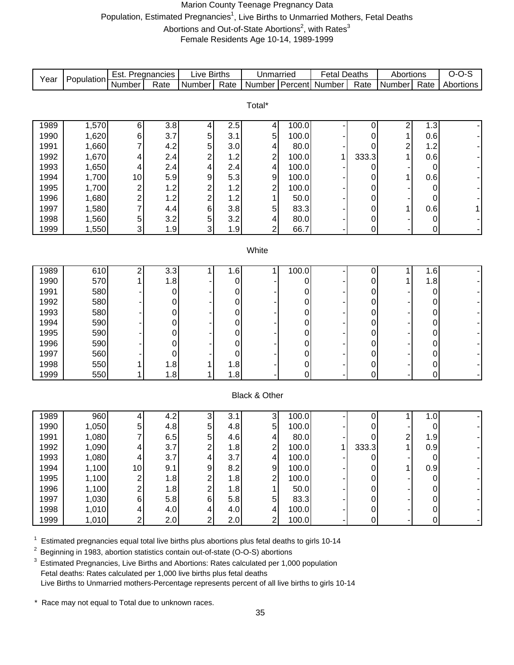# Marion County Teenage Pregnancy Data Population, Estimated Pregnancies<sup>1</sup>, Live Births to Unmarried Mothers, Fetal Deaths Abortions and Out-of-State Abortions<sup>2</sup>, with Rates<sup>3</sup> Female Residents Age 10-14, 1989-1999

| Year         | Population     | Est. Pregnancies        |                  | <b>Live Births</b>                |            | Unmarried                       |                | <b>Fetal Deaths</b>   |        | Abortions               |                               | $O-O-S$   |
|--------------|----------------|-------------------------|------------------|-----------------------------------|------------|---------------------------------|----------------|-----------------------|--------|-------------------------|-------------------------------|-----------|
|              |                | Number                  | Rate             | Number                            | Rate       | <b>Number</b>                   |                | <b>Percent</b> Number | Rate   | Number                  | Rate                          | Abortions |
|              |                |                         |                  |                                   |            |                                 |                |                       |        |                         |                               |           |
|              |                |                         |                  |                                   |            | Total*                          |                |                       |        |                         |                               |           |
| 1989         | 1,570          | 6                       | 3.8              | 4                                 | 2.5        | $\vert 4 \vert$                 | 100.0          |                       | 0      | 2                       | 1.3                           |           |
| 1990         | 1,620          | 6                       | 3.7              | 5                                 | 3.1        | $\sqrt{5}$                      | 100.0          |                       | 0      | 1                       | 0.6                           |           |
| 1991         | 1,660          | 7                       | 4.2              | 5                                 | 3.0        | 4                               | 80.0           |                       | 0      | $\overline{\mathbf{c}}$ | 1.2                           |           |
| 1992         | 1,670          | 4                       | 2.4              | $\overline{c}$                    | 1.2        | $\overline{c}$                  | 100.0          | 1                     | 333.3  | 1                       | 0.6                           |           |
| 1993         | 1,650          | 4                       | 2.4              | 4                                 | 2.4        | 4                               | 100.0          |                       | 0      |                         | 0                             |           |
| 1994         | 1,700          | 10                      | 5.9              | 9                                 | 5.3        | 9                               | 100.0          |                       | 0      | 1                       | 0.6                           |           |
| 1995         | 1,700          | $\overline{c}$          | 1.2              | $\overline{\mathbf{c}}$           | 1.2        | $\overline{\mathbf{c}}$         | 100.0          |                       | 0      |                         | $\mathbf 0$                   |           |
| 1996         | 1,680          | $\overline{c}$          | 1.2              | $\overline{c}$                    | 1.2        | 1                               | 50.0           |                       | 0      |                         | 0                             |           |
| 1997         | 1,580          | 7                       | 4.4              | $\,6$                             | 3.8        | 5                               | 83.3           |                       | 0      | 1                       | 0.6                           | 1         |
| 1998<br>1999 | 1,560<br>1,550 | 5<br>3                  | 3.2<br>1.9       | 5<br>3                            | 3.2<br>1.9 | 4<br>$\overline{2}$             | 80.0<br>66.7   |                       | 0<br>0 |                         | 0<br>0                        |           |
|              |                |                         |                  |                                   |            |                                 |                |                       |        |                         |                               |           |
|              |                |                         |                  |                                   |            | White                           |                |                       |        |                         |                               |           |
|              |                |                         |                  |                                   |            |                                 |                |                       |        |                         |                               |           |
| 1989         | 610            | 2                       | $\overline{3.3}$ | 1                                 | 1.6        | $\mathbf{1}$                    | 100.0          |                       | 0      | 1                       | 1.6                           |           |
| 1990         | 570            |                         | 1.8              |                                   | 0          |                                 | 0              |                       | 0      | 1                       | 1.8                           |           |
| 1991         | 580            |                         | 0                |                                   | 0          |                                 | 0              |                       | 0      |                         | 0                             |           |
| 1992         | 580            |                         | 0                |                                   | 0          |                                 | 0              |                       | 0      |                         | 0                             |           |
| 1993         | 580            |                         | 0                |                                   | 0          |                                 | 0              |                       | 0      |                         | 0                             |           |
| 1994         | 590            |                         | 0                |                                   | 0          |                                 | 0              |                       | 0      |                         | 0                             |           |
| 1995         | 590            |                         | 0                |                                   | 0          |                                 | 0              |                       | 0      |                         | 0                             |           |
| 1996         | 590            |                         | 0                |                                   | 0          |                                 | 0              |                       | 0      |                         | 0                             |           |
| 1997<br>1998 | 560            |                         | 0                |                                   | 0          |                                 | 0              |                       | 0      |                         | 0                             |           |
| 1999         | 550<br>550     | 1                       | 1.8<br>1.8       | 1                                 | 1.8<br>1.8 |                                 | 0<br>0         |                       | 0<br>0 |                         | 0<br>0                        |           |
|              |                |                         |                  |                                   |            |                                 |                |                       |        |                         |                               |           |
|              |                |                         |                  |                                   |            | Black & Other                   |                |                       |        |                         |                               |           |
|              |                |                         |                  |                                   |            |                                 |                |                       |        |                         |                               |           |
| 1989         | 960            | $\overline{\mathbf{4}}$ | 4.2              | $\ensuremath{\mathsf{3}}$         | 3.1        | $\mathbf{3}$                    | 100.0          |                       | 0      | 1                       | 1.0                           |           |
| 1990         | 1,050          | 5                       | 4.8              | 5                                 | 4.8        | $\overline{5}$                  | 100.0          |                       | 0      |                         | 0                             |           |
| 1991         | 1,080          | 7                       | 6.5              | 5 <sup>1</sup>                    | 4.6        | $\overline{4}$                  | 80.0           |                       | 0      | 2                       | 1.9                           |           |
| 1992         | 1,090          | 4                       | 3.7              | $\mathbf{2}$                      | 1.8        | $\mathbf{2}$                    | 100.0          | $\mathbf{1}$          | 333.3  | 1                       | 0.9                           |           |
| 1993         | 1,080          | 4                       | 3.7              | $\overline{\mathbf{4}}$           | 3.7        | 4                               | 100.0          |                       | 0      |                         | 0                             |           |
| 1994         | 1,100          | 10                      | 9.1              | $\overline{9}$                    | 8.2        | $\mathsf g$                     | 100.0          |                       | 0      | 1                       | 0.9                           |           |
| 1995         | 1,100          | 2                       | 1.8              | $\overline{2}$                    | 1.8        | $\overline{2}$                  | 100.0          |                       | 0      |                         | 0                             |           |
| 1996         | 1,100          | 2                       | 1.8              | $\overline{2}$                    | 1.8        | $\mathbf{1}$                    | 50.0           |                       | 0      |                         | 0                             |           |
| 1997         | 1,030          | 6                       | 5.8              | 6 <sup>1</sup>                    | 5.8        | 5 <sup>1</sup>                  | 83.3           |                       | 0      |                         | 0                             |           |
| 1998<br>1999 | 1,010<br>1,010 | 4<br>$\overline{c}$     | 4.0<br>2.0       | $\vert 4 \vert$<br>$\overline{2}$ | 4.0<br>2.0 | $\vert 4 \vert$<br>$\mathbf{2}$ | 100.0<br>100.0 |                       | 0<br>0 |                         | $\overline{0}$<br>$\mathbf 0$ |           |
|              |                |                         |                  |                                   |            |                                 |                |                       |        |                         |                               |           |

 $1$  Estimated pregnancies equal total live births plus abortions plus fetal deaths to girls 10-14

<sup>2</sup> Beginning in 1983, abortion statistics contain out-of-state (O-O-S) abortions

<sup>3</sup> Estimated Pregnancies, Live Births and Abortions: Rates calculated per 1,000 population Fetal deaths: Rates calculated per 1,000 live births plus fetal deaths Live Births to Unmarried mothers-Percentage represents percent of all live births to girls 10-14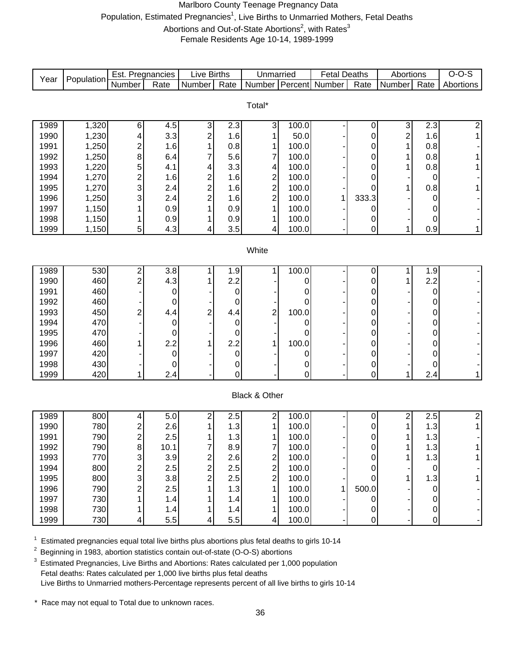# Marlboro County Teenage Pregnancy Data Population, Estimated Pregnancies<sup>1</sup>, Live Births to Unmarried Mothers, Fetal Deaths Abortions and Out-of-State Abortions<sup>2</sup>, with Rates<sup>3</sup> Female Residents Age 10-14, 1989-1999

| Year         | Population     | Est. Pregnancies        |                  | Live Births             |            | Unmarried                                  |               | <b>Fetal Deaths</b> |           | Abortions                    |                  | $O-O-S$        |
|--------------|----------------|-------------------------|------------------|-------------------------|------------|--------------------------------------------|---------------|---------------------|-----------|------------------------------|------------------|----------------|
|              |                | Number                  | Rate             | Number                  | Rate       | <b>Number</b>                              | Percent       | Number              | Rate      | Number                       | Rate             | Abortions      |
|              |                |                         |                  |                         |            |                                            |               |                     |           |                              |                  |                |
|              |                |                         |                  |                         |            | Total*                                     |               |                     |           |                              |                  |                |
|              |                |                         |                  |                         |            |                                            |               |                     |           |                              |                  |                |
| 1989<br>1990 | 1,320<br>1,230 | 6                       | 4.5<br>3.3       | 3<br>$\overline{c}$     | 2.3<br>1.6 | 3<br>1                                     | 100.0<br>50.0 |                     | 0         | 3<br>$\overline{\mathbf{c}}$ | 2.3<br>1.6       | $\overline{c}$ |
| 1991         | 1,250          | 4<br>$\overline{c}$     | 1.6              |                         | 0.8        | 1                                          | 100.0         |                     | 0<br>0    | 1                            | 0.8              |                |
| 1992         | 1,250          | 8                       | 6.4              |                         | 5.6        | $\overline{7}$                             | 100.0         |                     | 0         |                              | 0.8              |                |
| 1993         | 1,220          | 5                       | 4.1              | 4                       | 3.3        | 4                                          | 100.0         |                     | 0         | 1                            | 0.8              |                |
| 1994         | 1,270          | $\overline{\mathbf{c}}$ | 1.6              | $\overline{\mathbf{c}}$ | 1.6        |                                            | 100.0         |                     | 0         |                              | 0                |                |
| 1995         | 1,270          | 3                       | 2.4              | $\overline{c}$          | 1.6        | $\begin{array}{c} 2 \\ 2 \\ 2 \end{array}$ | 100.0         |                     | 0         |                              | 0.8              |                |
| 1996         | 1,250          | 3                       | 2.4              | $\overline{c}$          | 1.6        |                                            | 100.0         | 1                   | 333.3     |                              | 0                |                |
| 1997         | 1,150          | 1                       | 0.9              |                         | 0.9        | $\mathbf{1}$                               | 100.0         |                     | 0         |                              | 0                |                |
| 1998         | 1,150          | 1                       | 0.9              |                         | 0.9        | 1                                          | 100.0         |                     | 0         |                              | 0                |                |
| 1999         | 1,150          | 5                       | 4.3              | 4                       | 3.5        | 4                                          | 100.0         |                     | 0         | 1                            | 0.9              | 1              |
|              |                |                         |                  |                         |            |                                            |               |                     |           |                              |                  |                |
|              |                |                         |                  |                         |            | White                                      |               |                     |           |                              |                  |                |
|              |                |                         |                  |                         |            |                                            |               |                     |           |                              |                  |                |
| 1989         | 530            | 2                       | $\overline{3.8}$ |                         | 1.9        | 1                                          | 100.0         |                     | 0         | 1                            | 1.9              |                |
| 1990         | 460            | $\overline{2}$          | 4.3              |                         | 2.2        |                                            | 0             |                     | 0         | 1                            | 2.2              |                |
| 1991         | 460            |                         | 0                |                         | 0          |                                            | 0             |                     | 0         |                              | 0                |                |
| 1992         | 460            |                         | 0                |                         | 0          |                                            | 0             |                     | 0         |                              | 0                |                |
| 1993         | 450            | 2                       | 4.4              | 2                       | 4.4        | $\overline{\mathbf{c}}$                    | 100.0         |                     | 0         |                              | 0                |                |
| 1994         | 470            |                         | 0                |                         | 0          |                                            | 0             |                     | 0         |                              | 0                |                |
| 1995         | 470            |                         | 0                |                         | 0          |                                            | 0             |                     | 0         |                              | 0                |                |
| 1996         | 460            |                         | 2.2              |                         | 2.2        | 1                                          | 100.0         |                     | 0         |                              | 0                |                |
| 1997         | 420            |                         | $\mathbf 0$      |                         | $\pmb{0}$  |                                            | 0             |                     | 0         |                              | 0                |                |
| 1998         | 430            |                         | 0                |                         | 0          |                                            | 0             |                     | 0         |                              | 0                |                |
| 1999         | 420            | 1                       | 2.4              |                         | 0          |                                            | 0             |                     | 0         | 1                            | 2.4              | 1              |
|              |                |                         |                  |                         |            | Black & Other                              |               |                     |           |                              |                  |                |
|              |                |                         |                  |                         |            |                                            |               |                     |           |                              |                  |                |
| 1989         | 800            | 4                       | $\overline{5.0}$ | 2                       | 2.5        | 2                                          | 100.0         |                     | $\pmb{0}$ | 2                            | 2.5              | 2              |
| 1990         | 780            | 2                       | 2.6              |                         | 1.3        | 1                                          | 100.0         |                     | 0         | 1                            | 1.3              | 1              |
| 1991         | 790            | $\overline{2}$          | 2.5              |                         | 1.3        | 1                                          | 100.0         |                     | 0         |                              | 1.3              |                |
| 1992         | 790            | 8                       | 10.1             |                         | 8.9        | ſ                                          | 100.0         |                     | 0         | 1                            | 1.3              |                |
| 1993         | 770            | 3                       | 3.9              | $\overline{\mathbf{c}}$ | 2.6        |                                            | 100.0         |                     | 0         | 1                            | 1.3              |                |
| 1994         | 800            | 2                       | 2.5              | $\overline{c}$          | 2.5        | $\frac{2}{2}$                              | 100.0         |                     | 0         |                              | 0                |                |
| 1995         | 800            | 3                       | 3.8              | $\overline{c}$          | 2.5        | $\overline{2}$                             | 100.0         |                     | 0         | 1                            | 1.3              |                |
| 1996         | 790            | $\overline{c}$          | 2.5              |                         | 1.3        | 1                                          | 100.0         | 1                   | 500.0     |                              | 0                |                |
| 1997         | 730            |                         | 1.4              |                         | 1.4        | 1                                          | 100.0         |                     | 0         |                              | 0                |                |
| 1998         | 730            |                         | 1.4              |                         | 1.4        | 1                                          | 100.0         |                     | 0         |                              | 0                |                |
| 1999         | 730            | 4                       | 5.5              | 4                       | 5.5        | 4                                          | 100.0         |                     | 0         |                              | $\boldsymbol{0}$ |                |

 $1$  Estimated pregnancies equal total live births plus abortions plus fetal deaths to girls 10-14

<sup>2</sup> Beginning in 1983, abortion statistics contain out-of-state (O-O-S) abortions

<sup>3</sup> Estimated Pregnancies, Live Births and Abortions: Rates calculated per 1,000 population Fetal deaths: Rates calculated per 1,000 live births plus fetal deaths Live Births to Unmarried mothers-Percentage represents percent of all live births to girls 10-14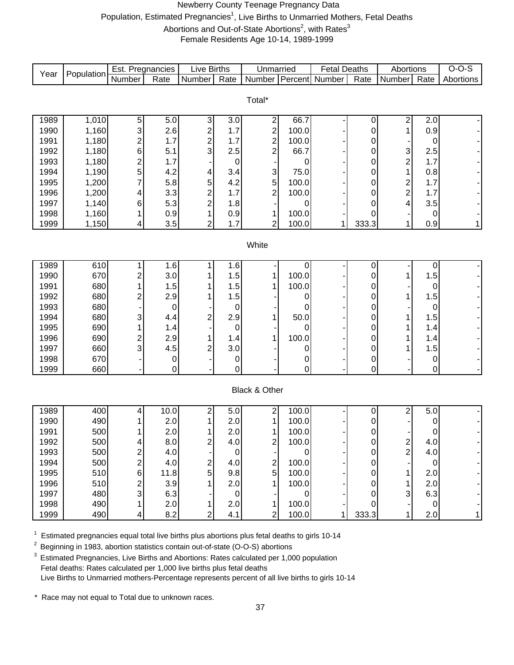# Newberry County Teenage Pregnancy Data Population, Estimated Pregnancies<sup>1</sup>, Live Births to Unmarried Mothers, Fetal Deaths Abortions and Out-of-State Abortions<sup>2</sup>, with Rates<sup>3</sup>

Female Residents Age 10-14, 1989-1999

| Year         | Population     | Est. Pregnancies        |                    | <b>Live Births</b>               |            | Unmarried                 |                | <b>Fetal Deaths</b> |        | Abortions               |             | $O-O-S$   |
|--------------|----------------|-------------------------|--------------------|----------------------------------|------------|---------------------------|----------------|---------------------|--------|-------------------------|-------------|-----------|
|              |                | Number                  | Rate               | Number                           | Rate       | Number Percent            |                | Number              | Rate   | Number                  | Rate        | Abortions |
|              |                |                         |                    |                                  |            |                           |                |                     |        |                         |             |           |
|              |                |                         |                    |                                  |            | Total*                    |                |                     |        |                         |             |           |
| 1989         | 1,010          | 5                       | 5.0                | 3                                | 3.0        | 2                         | 66.7           |                     | 0      | 2                       | 2.0         |           |
| 1990         | 1,160          | 3                       | 2.6                | $\overline{\mathbf{c}}$          | 1.7        |                           | 100.0          |                     | 0      | 1                       | 0.9         |           |
| 1991         | 1,180          | $\overline{\mathbf{c}}$ | 1.7                | $\overline{\mathbf{c}}$          | 1.7        | $\frac{2}{2}$             | 100.0          |                     | 0      |                         | 0           |           |
| 1992         | 1,180          | 6                       | 5.1                | 3                                | 2.5        | $\overline{2}$            | 66.7           |                     | 0      | 3                       | 2.5         |           |
| 1993         | 1,180          | $\overline{\mathbf{c}}$ | 1.7                |                                  | 0          |                           | 0              |                     | 0      | $\overline{\mathbf{c}}$ | 1.7         |           |
| 1994         | 1,190          | 5                       | 4.2                | 4                                | 3.4        | $\ensuremath{\mathsf{3}}$ | 75.0           |                     | 0      | 1                       | 0.8         |           |
| 1995         | 1,200          | 7                       | 5.8                | 5                                | 4.2        | 5                         | 100.0          |                     | 0      | $\overline{\mathbf{c}}$ | $1.7$       |           |
| 1996<br>1997 | 1,200<br>1,140 | 4<br>6                  | 3.3<br>5.3         | $\overline{c}$<br>$\overline{c}$ | 1.7<br>1.8 | 2                         | 100.0<br>0     |                     | 0<br>0 | $\overline{c}$<br>4     | 1.7<br>3.5  |           |
| 1998         | 1,160          |                         | 0.9                |                                  | 0.9        | 1                         | 100.0          |                     | 0      |                         | 0           |           |
| 1999         | 1,150          | 4                       | 3.5                | $\overline{2}$                   | 1.7        | $\overline{2}$            | 100.0          | 1                   | 333.3  | 1                       | 0.9         | 1         |
|              |                |                         |                    |                                  |            |                           |                |                     |        |                         |             |           |
|              |                |                         |                    |                                  |            | White                     |                |                     |        |                         |             |           |
|              |                |                         |                    |                                  |            |                           |                |                     |        |                         |             |           |
| 1989         | 610            |                         | 1.6                |                                  | 1.6        |                           | 0              |                     | 0      |                         | 0           |           |
| 1990         | 670            | $\overline{c}$          | 3.0                |                                  | 1.5        | 1                         | 100.0          |                     | 0      | 1                       | 1.5         |           |
| 1991         | 680            |                         | 1.5                |                                  | 1.5        | 1                         | 100.0          |                     | 0      |                         | 0           |           |
| 1992<br>1993 | 680<br>680     | $\overline{c}$          | 2.9<br>$\mathbf 0$ |                                  | 1.5        |                           | 0<br>0         |                     | 0      | 1                       | 1.5<br>0    |           |
| 1994         | 680            | 3                       | 4.4                | $\overline{c}$                   | 0<br>2.9   | 1                         | 50.0           |                     | 0<br>0 | 1                       | 1.5         |           |
| 1995         | 690            |                         | 1.4                |                                  | 0          |                           | 0              |                     | 0      |                         | 1.4         |           |
| 1996         | 690            | $\overline{\mathbf{c}}$ | 2.9                |                                  | 1.4        | 1                         | 100.0          |                     | 0      |                         | 1.4         |           |
| 1997         | 660            | 3                       | 4.5                | 2                                | 3.0        |                           | 0              |                     | 0      |                         | 1.5         |           |
| 1998         | 670            |                         | $\mathbf 0$        |                                  | $\pmb{0}$  |                           | 0              |                     | 0      |                         | $\pmb{0}$   |           |
| 1999         | 660            |                         | 0                  |                                  | 0          |                           | 0              |                     | 0      |                         | $\pmb{0}$   |           |
|              |                |                         |                    |                                  |            |                           |                |                     |        |                         |             |           |
|              |                |                         |                    |                                  |            | Black & Other             |                |                     |        |                         |             |           |
|              |                |                         |                    |                                  |            |                           |                |                     |        |                         |             |           |
| 1989<br>1990 | 400<br>490     | 4                       | 10.0               | 2                                | 5.0        | 2<br>1                    | 100.0<br>100.0 |                     | 0      | 2                       | 5.0         |           |
| 1991         | 500            |                         | 2.0<br>2.0         |                                  | 2.0<br>2.0 | 1                         | 100.0          |                     | 0<br>0 |                         | 0<br>0      |           |
| 1992         | 500            | 4                       | 8.0                | $\overline{\mathbf{c}}$          | 4.0        | $\overline{c}$            | 100.0          |                     | 0      |                         | 4.0         |           |
| 1993         | 500            |                         | 4.0                |                                  | 0          |                           | 0              |                     | 0      | $\frac{2}{2}$           | 4.0         |           |
| 1994         | 500            | 2                       | 4.0                | 2                                | 4.0        | $\overline{\mathbf{c}}$   | 100.0          |                     | 0      |                         | 0           |           |
| 1995         | 510            | 6                       | 11.8               | 5                                | 9.8        | 5                         | 100.0          |                     | 0      | 1                       | 2.0         |           |
| 1996         | 510            | 2                       | 3.9                |                                  | 2.0        | 1                         | 100.0          |                     | 0      | 1                       | 2.0         |           |
| 1997         | 480            | 3                       | 6.3                |                                  | $\pmb{0}$  |                           | 0              |                     | 0      | 3                       | 6.3         |           |
| 1998         | 490            |                         | 2.0                |                                  | 2.0        | 1                         | 100.0          |                     | 0      |                         | $\mathbf 0$ |           |
| 1999         | 490            | 4                       | 8.2                | $\overline{2}$                   | 4.1        | $\overline{2}$            | 100.0          |                     | 333.3  | 1                       | 2.0         | 1         |

 $1$  Estimated pregnancies equal total live births plus abortions plus fetal deaths to girls 10-14

<sup>2</sup> Beginning in 1983, abortion statistics contain out-of-state (O-O-S) abortions

<sup>3</sup> Estimated Pregnancies, Live Births and Abortions: Rates calculated per 1,000 population Fetal deaths: Rates calculated per 1,000 live births plus fetal deaths Live Births to Unmarried mothers-Percentage represents percent of all live births to girls 10-14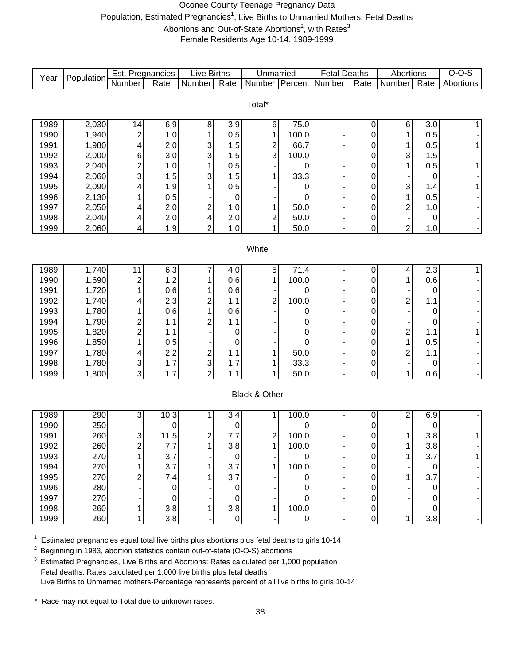# Oconee County Teenage Pregnancy Data Population, Estimated Pregnancies<sup>1</sup>, Live Births to Unmarried Mothers, Fetal Deaths Abortions and Out-of-State Abortions<sup>2</sup>, with Rates<sup>3</sup> Female Residents Age 10-14, 1989-1999

| Year | Population | Est. Pregnancies        |             | <b>Live Births</b> |                  | Unmarried                    |       | <b>Fetal Deaths</b> |                  | Abortions               |      | $O-O-S$   |
|------|------------|-------------------------|-------------|--------------------|------------------|------------------------------|-------|---------------------|------------------|-------------------------|------|-----------|
|      |            | Number                  | Rate        | Number             | Rate             | Number                       |       | Percent Number      | Rate             | Number                  | Rate | Abortions |
|      |            |                         |             |                    |                  |                              |       |                     |                  |                         |      |           |
|      |            |                         |             |                    |                  | Total*                       |       |                     |                  |                         |      |           |
| 1989 | 2,030      | 14                      | 6.9         | 8                  | 3.9              | 6                            | 75.0  |                     |                  | 6                       | 3.0  |           |
| 1990 | 1,940      | $\overline{\mathbf{c}}$ | 1.0         | 1                  | 0.5              | 1                            | 100.0 |                     | 0<br>$\mathbf 0$ | 1                       | 0.5  |           |
| 1991 | 1,980      | 4                       | 2.0         | 3                  | 1.5              |                              | 66.7  |                     | 0                | 1                       | 0.5  |           |
| 1992 | 2,000      | 6                       | 3.0         | 3                  | 1.5              | $\overline{\mathbf{c}}$<br>3 | 100.0 |                     | $\mathbf 0$      | 3                       | 1.5  |           |
| 1993 | 2,040      | $\overline{c}$          | 1.0         | 1                  | 0.5              |                              | 0     |                     | $\mathbf 0$      | 1                       | 0.5  |           |
| 1994 | 2,060      | 3                       | 1.5         | 3                  | 1.5              | 1                            | 33.3  |                     | 0                |                         | 0    |           |
| 1995 | 2,090      | 4                       | 1.9         |                    | 0.5              |                              | 0     |                     | $\mathbf 0$      | 3                       | 1.4  |           |
| 1996 | 2,130      |                         | 0.5         |                    | $\mathbf 0$      |                              | 0     |                     | $\mathbf 0$      | 1                       | 0.5  |           |
| 1997 | 2,050      | 4                       | 2.0         | 2                  | 1.0              | 1                            | 50.0  |                     | $\mathbf 0$      | $\overline{\mathbf{c}}$ | 1.0  |           |
| 1998 | 2,040      | 4                       | 2.0         | 4                  | 2.0              | $\overline{\mathbf{c}}$      | 50.0  |                     | $\mathbf 0$      |                         | 0    |           |
| 1999 | 2,060      | 4                       | 1.9         | $\overline{2}$     | 1.0              | $\overline{1}$               | 50.0  |                     | 0                | $\overline{2}$          | 1.0  |           |
|      |            |                         |             |                    |                  |                              |       |                     |                  |                         |      |           |
|      |            |                         |             |                    |                  | White                        |       |                     |                  |                         |      |           |
|      |            |                         |             |                    |                  |                              |       |                     |                  |                         |      |           |
| 1989 | 1,740      | 11                      | 6.3         | 7                  | 4.0              | $\mathbf 5$                  | 71.4  |                     | 0                | 4                       | 2.3  | 1         |
| 1990 | 1,690      | $\overline{\mathbf{c}}$ | 1.2         |                    | 0.6              | 1                            | 100.0 |                     | 0                | 1                       | 0.6  |           |
| 1991 | 1,720      | 1                       | 0.6         |                    | 0.6              |                              | 0     |                     | 0                |                         | 0    |           |
| 1992 | 1,740      | 4                       | 2.3         | $\overline{c}$     | 1.1              | $\overline{\mathbf{c}}$      | 100.0 |                     | 0                | 2                       | 1.1  |           |
| 1993 | 1,780      | 1                       | 0.6         | 1                  | 0.6              |                              | 0     |                     | 0                |                         | 0    |           |
| 1994 | 1,790      | $\overline{\mathbf{c}}$ | 1.1         | 2                  | 1.1              |                              | 0     |                     | $\mathbf 0$      |                         | 0    |           |
| 1995 | 1,820      | $\overline{c}$          | 1.1         |                    | 0                |                              | 0     |                     | $\mathbf 0$      | $\overline{\mathbf{c}}$ | 1.1  |           |
| 1996 | 1,850      | 1                       | 0.5         |                    | 0                |                              | 0     |                     | 0                | $\mathbf{1}$            | 0.5  |           |
| 1997 | 1,780      | 4                       | 2.2         | 2                  | 1.1              | 1                            | 50.0  |                     | 0                | $\overline{\mathbf{c}}$ | 1.1  |           |
| 1998 | 1,780      | 3                       | 1.7         | $\mathsf 3$        | 1.7              | 1                            | 33.3  |                     | 0                |                         | 0    |           |
| 1999 | 1,800      | 3                       | 1.7         | $\overline{2}$     | 1.1              | $\mathbf{1}$                 | 50.0  |                     | 0                | $\mathbf{1}$            | 0.6  |           |
|      |            |                         |             |                    |                  |                              |       |                     |                  |                         |      |           |
|      |            |                         |             |                    |                  | Black & Other                |       |                     |                  |                         |      |           |
| 1989 | 290        | 3                       | 10.3        | 1                  | $\overline{3.4}$ | 1                            | 100.0 |                     | $\mathbf 0$      | $\overline{2}$          | 6.9  |           |
| 1990 | 250        |                         | 0           |                    | 0                |                              | 0     |                     | 0                |                         | 0    |           |
| 1991 | 260        | 3                       | 11.5        | 2                  | 7.7              | $\overline{\mathbf{c}}$      | 100.0 |                     | 0                | 1                       | 3.8  | 1         |
| 1992 | 260        | $\overline{c}$          | 7.7         |                    | 3.8              | $\overline{A}$               | 100.0 |                     | 0                | 1                       | 3.8  |           |
| 1993 | 270        |                         | 3.7         |                    | $\pmb{0}$        |                              | 0     |                     | $\pmb{0}$        | 1                       | 3.7  |           |
| 1994 | 270        |                         | 3.7         |                    | 3.7              |                              | 100.0 |                     | 0                |                         | 0    |           |
| 1995 | 270        | 2                       | 7.4         |                    | 3.7              |                              | 0     |                     | 0                |                         | 3.7  |           |
| 1996 | 280        |                         | $\mathbf 0$ |                    | 0                |                              |       |                     | 0                |                         | 0    |           |
| 1997 | 270        |                         | $\mathbf 0$ |                    | 0                |                              | 0     |                     | 0                |                         | 0    |           |
| 1998 | 260        |                         | 3.8         |                    | 3.8              |                              | 100.0 |                     | 0                |                         | 0    |           |
| 1999 | 260        | 1                       | 3.8         |                    | $\mathsf 0$      |                              | 0     |                     | $\mathbf 0$      | 1                       | 3.8  |           |

 $1$  Estimated pregnancies equal total live births plus abortions plus fetal deaths to girls 10-14

<sup>2</sup> Beginning in 1983, abortion statistics contain out-of-state (O-O-S) abortions

 $3$  Estimated Pregnancies, Live Births and Abortions: Rates calculated per 1,000 population Fetal deaths: Rates calculated per 1,000 live births plus fetal deaths Live Births to Unmarried mothers-Percentage represents percent of all live births to girls 10-14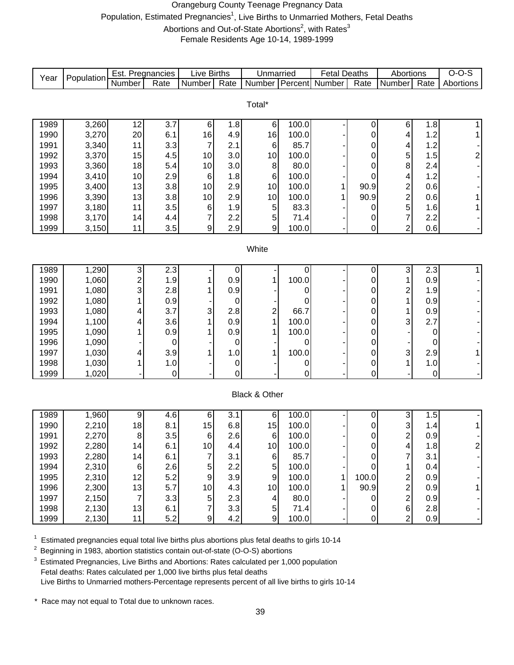# Orangeburg County Teenage Pregnancy Data Population, Estimated Pregnancies<sup>1</sup>, Live Births to Unmarried Mothers, Fetal Deaths Abortions and Out-of-State Abortions<sup>2</sup>, with Rates<sup>3</sup>

Female Residents Age 10-14, 1989-1999

| Year | Population | Est. Pregnancies        |                  | Live Births      |                  | Unmarried        |       | <b>Fetal Deaths</b> |             | Abortions                 |       | $O-O-S$       |
|------|------------|-------------------------|------------------|------------------|------------------|------------------|-------|---------------------|-------------|---------------------------|-------|---------------|
|      |            | Number                  | Rate             | Number           | Rate             | Number           |       | Percent Number      | Rate        | Number                    | Rate  | Abortions     |
|      |            |                         |                  |                  |                  |                  |       |                     |             |                           |       |               |
|      |            |                         |                  |                  |                  | Total*           |       |                     |             |                           |       |               |
| 1989 | 3,260      | 12                      | $\overline{3.7}$ | $\,6$            | 1.8              | 6                | 100.0 |                     | 0           | 6                         | 1.8   |               |
| 1990 | 3,270      | 20                      | 6.1              | 16               | 4.9              | 16               | 100.0 |                     | 0           | 4                         | 1.2   | 1             |
| 1991 | 3,340      | 11                      | 3.3              | $\overline{7}$   | 2.1              | $\,6$            | 85.7  |                     | 0           | 4                         | 1.2   |               |
| 1992 | 3,370      | 15                      | 4.5              | 10               | 3.0              | 10               | 100.0 |                     | 0           | 5                         | 1.5   | 2             |
| 1993 | 3,360      | 18                      | 5.4              | 10               | 3.0              | 8                | 80.0  |                     | 0           | 8                         | 2.4   |               |
| 1994 | 3,410      | 10                      | 2.9              | $6\phantom{1}6$  | 1.8              | 6                | 100.0 |                     | 0           | 4                         | 1.2   |               |
| 1995 | 3,400      | 13                      | 3.8              | 10               | 2.9              | 10               | 100.0 |                     | 90.9        | $\overline{\mathbf{c}}$   | 0.6   |               |
| 1996 | 3,390      | 13                      | 3.8              | 10               | 2.9              | 10               | 100.0 |                     | 90.9        | $\overline{c}$            | 0.6   |               |
| 1997 | 3,180      | 11                      | 3.5              | 6                | 1.9              | 5                | 83.3  |                     | 0           | 5                         | 1.6   |               |
| 1998 | 3,170      | 14                      | 4.4              | 7                | 2.2              | 5                | 71.4  |                     | 0           | $\overline{7}$            | 2.2   |               |
| 1999 | 3,150      | 11                      | 3.5              | 9                | 2.9              | 9                | 100.0 |                     | 0           | $\overline{2}$            | 0.6   |               |
|      |            |                         |                  |                  |                  |                  |       |                     |             |                           |       |               |
|      |            |                         |                  |                  |                  | White            |       |                     |             |                           |       |               |
| 1989 | 1,290      | 3                       | 2.3              |                  | 0                |                  | 0     |                     | $\mathbf 0$ | 3                         | 2.3   |               |
| 1990 | 1,060      | $\overline{\mathbf{c}}$ | 1.9              |                  | 0.9              | 1                | 100.0 |                     | 0           | 1                         | 0.9   |               |
| 1991 | 1,080      | 3                       | 2.8              |                  | 0.9              |                  | 0     |                     | 0           | 2                         | 1.9   |               |
| 1992 | 1,080      | 1                       | 0.9              |                  | $\boldsymbol{0}$ |                  | 0     |                     | 0           | 1                         | 0.9   |               |
| 1993 | 1,080      | 4                       | 3.7              | 3                | 2.8              | $\overline{c}$   | 66.7  |                     | 0           | 1                         | 0.9   |               |
| 1994 | 1,100      | 4                       | 3.6              |                  | 0.9              | $\mathbf 1$      | 100.0 |                     | 0           | 3                         | 2.7   |               |
| 1995 | 1,090      |                         | 0.9              |                  | 0.9              | 1                | 100.0 |                     | 0           |                           | 0     |               |
| 1996 | 1,090      |                         | 0                |                  | 0                |                  | 0     |                     | 0           |                           | 0     |               |
| 1997 | 1,030      | 4                       | 3.9              |                  | 1.0              | 1                | 100.0 |                     | $\mathbf 0$ | $\ensuremath{\mathsf{3}}$ | 2.9   |               |
| 1998 | 1,030      |                         | 1.0              |                  | 0                |                  | 0     |                     | $\mathbf 0$ | 1                         | 1.0   |               |
| 1999 | 1,020      |                         | $\mathbf 0$      |                  | 0                |                  | 0     |                     | $\mathbf 0$ |                           | 0     |               |
|      |            |                         |                  |                  |                  |                  |       |                     |             |                           |       |               |
|      |            |                         |                  |                  |                  | Black & Other    |       |                     |             |                           |       |               |
| 1989 | 1,960      | 9                       | 4.6              | 6                | $\overline{3.1}$ | 6                | 100.0 |                     | 0           | 3                         | 1.5   |               |
| 1990 | 2,210      | 18                      | 8.1              | 15               | 6.8              | 15               | 100.0 |                     | 0           | 3                         | 1.4   |               |
| 1991 | 2,270      | 8                       | 3.5              | 6                | 2.6              | 6                | 100.0 |                     | 0           | $\boldsymbol{2}$          | 0.9   |               |
| 1992 | 2,280      | 14                      | 6.1              | 10               | 4.4              | 10               | 100.0 |                     | $\Omega$    | $\boldsymbol{\Lambda}$    | $1.8$ | $\mathcal{D}$ |
| 1993 | 2,280      | 14                      | 6.1              | $\boldsymbol{7}$ | 3.1              | 6                | 85.7  |                     | 0           | 7                         | 3.1   |               |
| 1994 | 2,310      | 6                       | 2.6              | 5                | 2.2              | 5                | 100.0 |                     | $\pmb{0}$   |                           | 0.4   |               |
| 1995 | 2,310      | 12                      | 5.2              | $\boldsymbol{9}$ | 3.9              | $\boldsymbol{9}$ | 100.0 |                     | 100.0       | 2                         | 0.9   |               |
| 1996 | 2,300      | 13                      | 5.7              | 10               | 4.3              | 10               | 100.0 |                     | 90.9        | $\overline{c}$            | 0.9   |               |
| 1997 | 2,150      | $\overline{7}$          | 3.3              | $\mathbf 5$      | 2.3              | 4                | 80.0  |                     | $\pmb{0}$   | $\overline{\mathbf{c}}$   | 0.9   |               |
| 1998 | 2,130      | 13                      | 6.1              | $\overline{7}$   | 3.3              | $\overline{5}$   | 71.4  |                     | 0           | $\mathbf 6$               | 2.8   |               |
| 1999 | 2,130      | 11                      | 5.2              | 9                | 4.2              | $\overline{9}$   | 100.0 |                     | 0           | $\overline{c}$            | 0.9   |               |

 $1$  Estimated pregnancies equal total live births plus abortions plus fetal deaths to girls 10-14

<sup>2</sup> Beginning in 1983, abortion statistics contain out-of-state (O-O-S) abortions

 $3$  Estimated Pregnancies, Live Births and Abortions: Rates calculated per 1,000 population Fetal deaths: Rates calculated per 1,000 live births plus fetal deaths Live Births to Unmarried mothers-Percentage represents percent of all live births to girls 10-14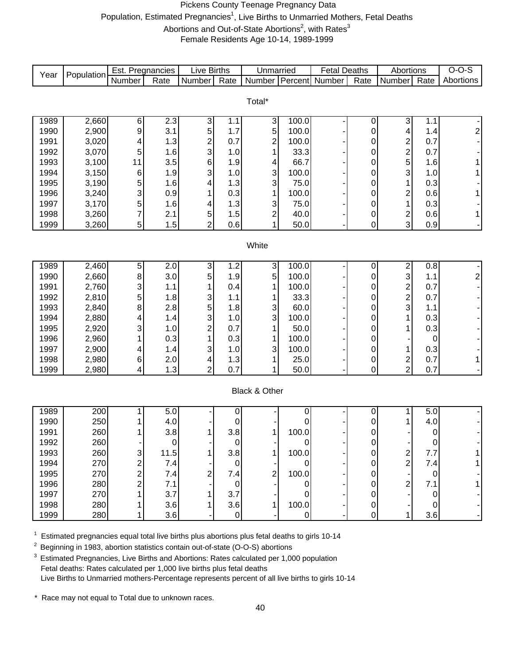# Pickens County Teenage Pregnancy Data Population, Estimated Pregnancies<sup>1</sup>, Live Births to Unmarried Mothers, Fetal Deaths Abortions and Out-of-State Abortions<sup>2</sup>, with Rates<sup>3</sup>

Female Residents Age 10-14, 1989-1999

| Year         | Population     | Est. Pregnancies |            | <b>Live Births</b>        |             | Unmarried                |              | <b>Fetal Deaths</b>   |                     | Abortions                                  |                  | $O-O-S$        |
|--------------|----------------|------------------|------------|---------------------------|-------------|--------------------------|--------------|-----------------------|---------------------|--------------------------------------------|------------------|----------------|
|              |                | Number           | Rate       | Number                    | Rate        |                          |              | Number Percent Number | Rate                | Number                                     | Rate             | Abortions      |
|              |                |                  |            |                           |             |                          |              |                       |                     |                                            |                  |                |
|              |                |                  |            |                           |             | Total*                   |              |                       |                     |                                            |                  |                |
| 1989         | 2,660          | 6                | 2.3        | 3                         | 1.1         | 3                        | 100.0        |                       | 0                   | 3                                          | 1.1              |                |
| 1990         | 2,900          | 9                | 3.1        | 5                         | 1.7         | 5                        | 100.0        |                       | 0                   | 4                                          | 1.4              | $\overline{2}$ |
| 1991         | 3,020          | 4                | 1.3        | $\overline{\mathbf{c}}$   | 0.7         | $\overline{c}$           | 100.0        |                       | 0                   | $\overline{\mathbf{c}}$                    | 0.7              |                |
| 1992         | 3,070          | 5                | 1.6        | 3                         | 1.0         | 1                        | 33.3         |                       | 0                   | $\overline{\mathbf{c}}$                    | 0.7              |                |
| 1993         | 3,100          | 11               | 3.5        | 6                         | 1.9         | 4                        | 66.7         |                       | $\pmb{0}$           | 5                                          | 1.6              | 1              |
| 1994         | 3,150          | $\,6$            | 1.9        | 3                         | 1.0         | 3                        | 100.0        |                       | $\pmb{0}$           | 3                                          | 1.0              | 1              |
| 1995         | 3,190          | 5                | 1.6        | 4                         | 1.3         | 3                        | 75.0         |                       | 0                   | 1                                          | 0.3              |                |
| 1996         | 3,240          | 3                | 0.9        | 1                         | 0.3         | 1                        | 100.0        |                       | 0                   | $\overline{\mathbf{c}}$                    | 0.6              | 1              |
| 1997         | 3,170          | 5                | 1.6        | 4                         | 1.3         | 3                        | 75.0         |                       | 0                   | 1                                          | 0.3              |                |
| 1998         | 3,260          | 7                | 2.1        | 5                         | 1.5         | $\overline{c}$           | 40.0         |                       | $\mathsf{O}\xspace$ | $\boldsymbol{2}$                           | 0.6              | 1 <sup>1</sup> |
| 1999         | 3,260          | $\sqrt{5}$       | 1.5        | $\overline{2}$            | 0.6         | 1                        | 50.0         |                       | $\overline{0}$      | $\overline{3}$                             | 0.9              |                |
|              |                |                  |            |                           |             |                          |              |                       |                     |                                            |                  |                |
|              |                |                  |            |                           |             | White                    |              |                       |                     |                                            |                  |                |
|              |                |                  |            |                           |             |                          |              |                       |                     |                                            |                  |                |
| 1989         | 2,460          | 5                | 2.0        | $\ensuremath{\mathsf{3}}$ | 1.2         | 3                        | 100.0        |                       | $\Omega$            | $\overline{\mathbf{c}}$                    | 0.8              |                |
| 1990         | 2,660          | 8                | 3.0        | 5                         | 1.9         | 5                        | 100.0        |                       | $\overline{0}$      | $\overline{3}$                             | 1.1              | $2\vert$       |
| 1991         | 2,760          | 3                | 1.1        |                           | 0.4         | 1                        | 100.0        |                       | 0                   | $\begin{array}{c} 2 \\ 2 \\ 3 \end{array}$ | 0.7              |                |
| 1992         | 2,810          | 5                | 1.8        | 3                         | 1.1         |                          | 33.3         |                       | 0                   |                                            | 0.7              |                |
| 1993         | 2,840          | 8                | 2.8        | 5                         | 1.8         | 3                        | 60.0         |                       | 0                   |                                            | 1.1              |                |
| 1994         | 2,880          | 4                | 1.4        | 3                         | 1.0         | 3                        | 100.0        |                       | 0                   | 1                                          | 0.3              |                |
| 1995         | 2,920          | 3                | 1.0        | $\overline{c}$            | 0.7         | 1                        | 50.0         |                       | 0                   | 1                                          | 0.3              |                |
| 1996         | 2,960          | 1                | 0.3        | 1                         | 0.3         | 1                        | 100.0        |                       | 0                   |                                            | $\mathbf 0$      |                |
| 1997         | 2,900          | 4                | 1.4        | 3                         | 1.0         | 3                        | 100.0        |                       | 0                   | 1                                          | 0.3              |                |
| 1998<br>1999 | 2,980<br>2,980 | $\,6$            | 2.0<br>1.3 | 4<br>$\overline{2}$       | 1.3<br>0.7  | $\mathbf{1}$<br>1        | 25.0<br>50.0 |                       | 0<br>0              | $\frac{2}{2}$                              | 0.7<br>0.7       | $\mathbf{1}$   |
|              |                | 4                |            |                           |             |                          |              |                       |                     |                                            |                  |                |
|              |                |                  |            |                           |             | <b>Black &amp; Other</b> |              |                       |                     |                                            |                  |                |
|              |                |                  |            |                           |             |                          |              |                       |                     |                                            |                  |                |
| 1989         | 200            | 1                | 5.0        |                           | 0           |                          | 0            |                       | $\overline{0}$      | 1                                          | 5.0              |                |
| 1990         | 250            | 1                | 4.0        |                           | 0           |                          | 0            |                       | $\overline{0}$      | 1                                          | 4.0              |                |
| 1991         | 260            | 1                | 3.8        | 1                         | 3.8         | 1                        | 100.0        |                       | $\pmb{0}$           |                                            | $\pmb{0}$        |                |
| 1992         | 260            |                  | O          |                           | U           |                          |              |                       | U                   |                                            | O                |                |
| 1993         | 260            | 3                | 11.5       |                           | 3.8         |                          | 100.0        |                       | $\overline{0}$      |                                            | 7.7              |                |
| 1994         | 270            | 2                | 7.4        |                           | 0           |                          | 0            |                       | $\pmb{0}$           | $\frac{2}{2}$                              | 7.4              |                |
| 1995         | 270            | 2                | 7.4        | 2                         | 7.4         | 2                        | 100.0        |                       | $\pmb{0}$           |                                            | $\pmb{0}$        |                |
| 1996         | 280            | $\overline{c}$   | 7.1        |                           | $\mathbf 0$ |                          | 0            |                       | $\pmb{0}$           | $\overline{\mathbf{c}}$                    | 7.1              |                |
| 1997         | 270            |                  | 3.7        |                           | 3.7         |                          | 0            |                       | 0                   |                                            | $\boldsymbol{0}$ |                |
| 1998         | 280            |                  | 3.6        |                           | 3.6         | 1                        | 100.0        |                       | 0                   |                                            | $\mathbf 0$      |                |
| 1999         | 280            | 1                | 3.6        |                           | $\pmb{0}$   |                          | $\mathbf 0$  |                       | 0                   | 1                                          | 3.6              |                |

 $1$  Estimated pregnancies equal total live births plus abortions plus fetal deaths to girls 10-14

<sup>2</sup> Beginning in 1983, abortion statistics contain out-of-state (O-O-S) abortions

<sup>3</sup> Estimated Pregnancies, Live Births and Abortions: Rates calculated per 1,000 population Fetal deaths: Rates calculated per 1,000 live births plus fetal deaths Live Births to Unmarried mothers-Percentage represents percent of all live births to girls 10-14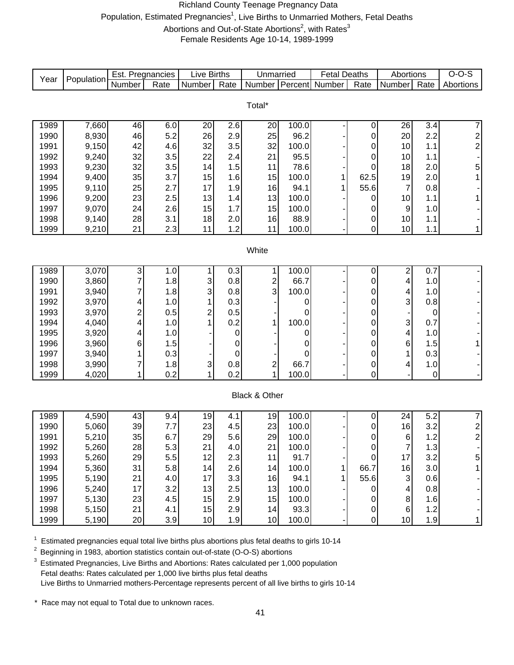# Richland County Teenage Pregnancy Data Population, Estimated Pregnancies<sup>1</sup>, Live Births to Unmarried Mothers, Fetal Deaths Abortions and Out-of-State Abortions<sup>2</sup>, with Rates<sup>3</sup> Female Residents Age 10-14, 1989-1999

| Year         | Population | Est. Pregnancies |            | <b>Live Births</b> |            | Unmarried      |               | <b>Fetal Deaths</b>   |                | Abortions               |             | $O-O-S$          |
|--------------|------------|------------------|------------|--------------------|------------|----------------|---------------|-----------------------|----------------|-------------------------|-------------|------------------|
|              |            | Number           | Rate       | Number             | Rate       |                |               | Number Percent Number | Rate           | Number                  | Rate        | Abortions        |
|              |            |                  |            |                    |            |                |               |                       |                |                         |             |                  |
|              |            |                  |            |                    |            | Total*         |               |                       |                |                         |             |                  |
|              | 7,660      |                  |            |                    |            |                |               |                       |                |                         |             |                  |
| 1989<br>1990 | 8,930      | 46<br>46         | 6.0<br>5.2 | 20<br>26           | 2.6<br>2.9 | 20<br>25       | 100.0<br>96.2 |                       | $\pmb{0}$      | 26<br>20                | 3.4<br>2.2  | $\boldsymbol{7}$ |
| 1991         | 9,150      | 42               | 4.6        | 32                 | 3.5        | 32             | 100.0         |                       | 0              | 10                      | 1.1         | $\frac{2}{2}$    |
| 1992         | 9,240      | 32               | 3.5        | 22                 | 2.4        | 21             | 95.5          |                       | 0              | 10                      | 1.1         |                  |
| 1993         | 9,230      | 32               | 3.5        | 14                 | 1.5        | 11             | 78.6          |                       | 0<br>0         | 18                      | 2.0         | 5                |
| 1994         | 9,400      | 35               | 3.7        | 15                 | 1.6        | 15             | 100.0         | 1                     | 62.5           | 19                      | 2.0         | 1                |
| 1995         | 9,110      | 25               | 2.7        | 17                 | 1.9        | 16             | 94.1          | 1                     | 55.6           | $\overline{7}$          | 0.8         |                  |
| 1996         | 9,200      | 23               | 2.5        | 13                 | 1.4        | 13             | 100.0         |                       | 0              | 10                      | 1.1         | 1                |
| 1997         | 9,070      | 24               | 2.6        | 15                 | 1.7        | 15             | 100.0         |                       | 0              | $\boldsymbol{9}$        | 1.0         |                  |
| 1998         | 9,140      | 28               | 3.1        | 18                 | 2.0        | 16             | 88.9          |                       | $\mathbf 0$    | 10                      | 1.1         |                  |
| 1999         | 9,210      | 21               | 2.3        | 11                 | 1.2        | 11             | 100.0         |                       | $\mathbf 0$    | 10                      | 1.1         | $\mathbf{1}$     |
|              |            |                  |            |                    |            |                |               |                       |                |                         |             |                  |
|              |            |                  |            |                    |            | White          |               |                       |                |                         |             |                  |
|              |            |                  |            |                    |            |                |               |                       |                |                         |             |                  |
| 1989         | 3,070      | 3                | 1.0        | 1                  | 0.3        | 1              | 100.0         |                       | $\pmb{0}$      | $\overline{\mathbf{c}}$ | 0.7         |                  |
| 1990         | 3,860      | 7                | 1.8        | 3                  | 0.8        | $\mathbf{2}$   | 66.7          |                       | 0              | 4                       | 1.0         |                  |
| 1991         | 3,940      | 7                | 1.8        | 3                  | 0.8        | 3              | 100.0         |                       | 0              | 4                       | 1.0         |                  |
| 1992         | 3,970      | 4                | 1.0        | 1                  | 0.3        |                | 0             |                       | 0              | 3                       | 0.8         |                  |
| 1993         | 3,970      | $\overline{c}$   | 0.5        | 2                  | 0.5        |                | 0             |                       | 0              |                         | 0           |                  |
| 1994         | 4,040      | 4                | 1.0        | 1                  | 0.2        | 1              | 100.0         |                       | 0              | 3                       | 0.7         |                  |
| 1995         | 3,920      | 4                | 1.0        |                    | 0          |                | 0             |                       | 0              | 4                       | 1.0         |                  |
| 1996         | 3,960      | 6                | 1.5        |                    | 0          |                | 0             |                       | 0              | 6                       | 1.5         | 1                |
| 1997         | 3,940      |                  | 0.3        |                    | 0          |                | 0             |                       | 0              | 1                       | 0.3         |                  |
| 1998         | 3,990      | 7                | 1.8        | 3                  | 0.8        | $\overline{c}$ | 66.7          |                       | $\pmb{0}$      | 4                       | 1.0         |                  |
| 1999         | 4,020      | 1                | 0.2        | 1                  | 0.2        | 1              | 100.0         |                       | 0              |                         | $\mathbf 0$ |                  |
|              |            |                  |            |                    |            |                |               |                       |                |                         |             |                  |
|              |            |                  |            |                    |            | Black & Other  |               |                       |                |                         |             |                  |
| 1989         | 4,590      | 43               | 9.4        | 19                 | 4.1        | 19             | 100.0         |                       | $\pmb{0}$      | 24                      | 5.2         | 7                |
| 1990         | 5,060      | 39               | 7.7        | 23                 | 4.5        | 23             | 100.0         |                       | 0              | 16                      | 3.2         |                  |
| 1991         | 5,210      | 35               | 6.7        | 29                 | 5.6        | 29             | 100.0         |                       | 0              | 6                       | 1.2         | $\frac{2}{2}$    |
| 1992         | 5,260      | 28               | 5.3        | 21                 | 4.0        | 21             | 100.0         |                       | $\mathbf 0$    |                         | 1.3         |                  |
| 1993         | 5,260      | 29               | 5.5        | 12                 | 2.3        | 11             | 91.7          |                       | $\pmb{0}$      | L<br>17                 | 3.2         | 5                |
| 1994         | 5,360      | 31               | 5.8        | 14                 | 2.6        | 14             | 100.0         | 1 <sup>1</sup>        | 66.7           | 16                      | 3.0         | $\overline{1}$   |
| 1995         | 5,190      | 21               | 4.0        | 17                 | 3.3        | 16             | 94.1          | 1                     | 55.6           | 3                       | 0.6         |                  |
| 1996         | 5,240      | 17               | 3.2        | 13                 | 2.5        | 13             | 100.0         |                       | $\overline{0}$ | 4                       | 0.8         |                  |
| 1997         | 5,130      | 23               | 4.5        | 15                 | 2.9        | 15             | 100.0         |                       | 0              | 8                       | 1.6         |                  |
| 1998         | 5,150      | 21               | 4.1        | 15                 | 2.9        | 14             | 93.3          |                       | $\mathbf 0$    | $\,6$                   | 1.2         |                  |
| 1999         | 5,190      | 20               | 3.9        | 10                 | 1.9        | 10             | 100.0         |                       | 0              | 10                      | 1.9         | 1                |

 $1$  Estimated pregnancies equal total live births plus abortions plus fetal deaths to girls 10-14

<sup>2</sup> Beginning in 1983, abortion statistics contain out-of-state (O-O-S) abortions

<sup>3</sup> Estimated Pregnancies, Live Births and Abortions: Rates calculated per 1,000 population Fetal deaths: Rates calculated per 1,000 live births plus fetal deaths Live Births to Unmarried mothers-Percentage represents percent of all live births to girls 10-14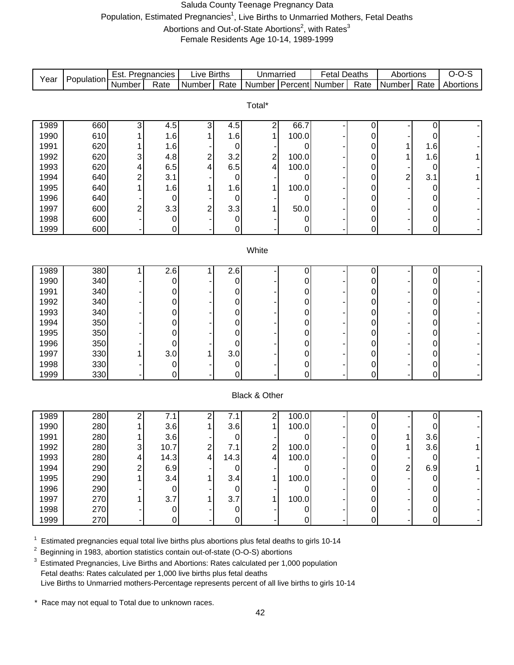# Saluda County Teenage Pregnancy Data Population, Estimated Pregnancies<sup>1</sup>, Live Births to Unmarried Mothers, Fetal Deaths Abortions and Out-of-State Abortions<sup>2</sup>, with Rates<sup>3</sup> Female Residents Age 10-14, 1989-1999

|      |            | Est. Pregnancies          |                  | Live Births    |                  | Unmarried               |                  | <b>Fetal Deaths</b>   |           | Abortions      |             | $O-O-S$   |
|------|------------|---------------------------|------------------|----------------|------------------|-------------------------|------------------|-----------------------|-----------|----------------|-------------|-----------|
| Year | Population | Number                    | Rate             | Number         | Rate             |                         |                  | Number Percent Number | Rate      | Number         | Rate        | Abortions |
|      |            |                           |                  |                |                  |                         |                  |                       |           |                |             |           |
|      |            |                           |                  |                |                  | Total*                  |                  |                       |           |                |             |           |
|      |            |                           |                  |                |                  |                         |                  |                       |           |                |             |           |
| 1989 | 660        | 3                         | 4.5              | 3              | 4.5              | $\mathbf{2}$            | 66.7             |                       | 0         |                | 0           |           |
| 1990 | 610        |                           | 1.6              | 1              | 1.6              | $\mathbf{1}$            | 100.0            |                       | 0         |                | 0           |           |
| 1991 | 620        |                           | 1.6              |                | 0                |                         | 0                |                       | 0         |                | 1.6         |           |
| 1992 | 620        | 3                         | 4.8              | 2              | 3.2              | $\overline{c}$          | 100.0            |                       | 0         |                | 1.6         |           |
| 1993 | 620        | 4                         | 6.5              | 4              | 6.5              | $\overline{\mathbf{r}}$ | 100.0            |                       | 0         |                | 0           |           |
| 1994 | 640        | $\overline{\mathbf{c}}$   | 3.1              |                | 0                |                         | 0                |                       | 0         | 2              | 3.1         |           |
| 1995 | 640        | 1                         | 1.6              | 1              | 1.6              | 1                       | 100.0            |                       | 0         |                | 0           |           |
| 1996 | 640        |                           | 0                |                | 0                |                         | 0                |                       | 0         |                | 0           |           |
| 1997 | 600        | 2                         | 3.3              | $\overline{2}$ | 3.3              | 1                       | 50.0             |                       | 0         |                | 0           |           |
| 1998 | 600        |                           | 0                |                | 0                |                         | 0                |                       | 0         |                | 0           |           |
| 1999 | 600        |                           | 0                |                | 0                |                         | 0                |                       | 0         |                | 0           |           |
|      |            |                           |                  |                |                  |                         |                  |                       |           |                |             |           |
|      |            |                           |                  |                |                  | White                   |                  |                       |           |                |             |           |
|      |            |                           |                  |                |                  |                         |                  |                       |           |                |             |           |
| 1989 | 380        |                           | $\overline{2.6}$ | 1              | $\overline{2.6}$ |                         | 0                |                       | 0         |                | $\mathbf 0$ |           |
| 1990 | 340        |                           | 0                |                | $\mathbf 0$      |                         | 0                |                       | 0         |                | 0           |           |
| 1991 | 340        |                           | 0                |                | 0                |                         | 0                |                       | 0         |                | 0           |           |
| 1992 | 340        |                           | 0                |                | 0                |                         | 0                |                       | 0         |                | 0           |           |
| 1993 | 340        |                           | 0                |                | 0                |                         | 0                |                       | 0         |                | 0           |           |
| 1994 | 350        |                           | 0                |                | 0                |                         | 0                |                       | 0         |                | 0           |           |
| 1995 | 350        |                           | 0                |                | 0                |                         | 0                |                       | 0         |                | 0           |           |
| 1996 | 350        |                           | 0                |                | 0                |                         | 0                |                       | 0         |                | $\mathbf 0$ |           |
| 1997 | 330        |                           | 3.0              |                | 3.0              |                         | 0                |                       | 0         |                | 0           |           |
| 1998 | 330        |                           | 0                |                | 0                |                         | 0                |                       | 0         |                | 0           |           |
| 1999 | 330        |                           | 0                |                | 0                |                         | 0                |                       | 0         |                | 0           |           |
|      |            |                           |                  |                |                  |                         |                  |                       |           |                |             |           |
|      |            |                           |                  |                |                  | Black & Other           |                  |                       |           |                |             |           |
|      |            |                           |                  |                |                  |                         |                  |                       |           |                |             |           |
| 1989 | 280        | 2                         | 7.1              | 2              | 7.1              | $\mathbf{2}$            | 100.0            |                       | 0         |                | 0           |           |
| 1990 | 280        |                           | 3.6              | 1              | 3.6              | $\mathbf{1}$            | 100.0            |                       | 0         |                | 0           |           |
| 1991 | 280        | 1                         | 3.6              |                | $\pmb{0}$        |                         | 0                |                       | 0         | 1              | 3.6         |           |
| 1992 | 280        | $\ensuremath{\mathsf{3}}$ | 10.7             | $\mathbf{2}$   | 7.1              | $\overline{2}$          | 100.0            |                       | 0         | 1              | 3.6         |           |
| 1993 | 280        | 4                         | 14.3             | 4              | 14.3             | $\vert 4 \vert$         | 100.0            |                       | 0         |                | 0           |           |
| 1994 | 290        | 2                         | 6.9              |                | $\mathbf 0$      |                         | 0                |                       | 0         | $\overline{c}$ | 6.9         |           |
| 1995 | 290        |                           | 3.4              | 1              | 3.4              | $\mathbf{1}$            | 100.0            |                       | 0         |                | 0           |           |
| 1996 | 290        |                           | $\mathbf 0$      |                | $\mathbf 0$      |                         | 0                |                       | 0         |                | 0           |           |
| 1997 | 270        |                           | 3.7              | 1              | 3.7              | $\mathbf{1}$            | 100.0            |                       | 0         |                | $\mathbf 0$ |           |
| 1998 | 270        |                           | 0                |                | $\pmb{0}$        |                         | $\boldsymbol{0}$ |                       | $\pmb{0}$ |                | $\mathbf 0$ |           |
| 1999 | 270        |                           | 0                |                | $\mathbf 0$      |                         | 0                |                       | 0         |                | 0           |           |

 $1$  Estimated pregnancies equal total live births plus abortions plus fetal deaths to girls 10-14

<sup>2</sup> Beginning in 1983, abortion statistics contain out-of-state (O-O-S) abortions

<sup>3</sup> Estimated Pregnancies, Live Births and Abortions: Rates calculated per 1,000 population Fetal deaths: Rates calculated per 1,000 live births plus fetal deaths Live Births to Unmarried mothers-Percentage represents percent of all live births to girls 10-14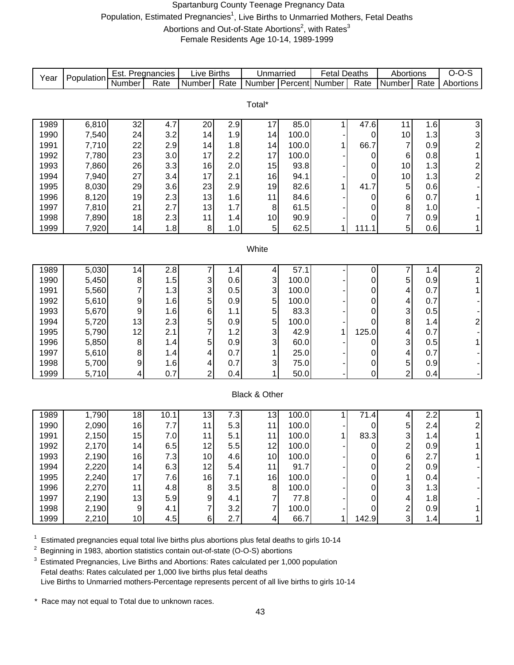# Spartanburg County Teenage Pregnancy Data Population, Estimated Pregnancies<sup>1</sup>, Live Births to Unmarried Mothers, Fetal Deaths Abortions and Out-of-State Abortions<sup>2</sup>, with Rates<sup>3</sup> Female Residents Age 10-14, 1989-1999

|              |                | Est. Pregnancies |            | <b>Live Births</b> |            | Unmarried               |              | <b>Fetal Deaths</b> |                   | Abortions               |            | $O-O-S$        |
|--------------|----------------|------------------|------------|--------------------|------------|-------------------------|--------------|---------------------|-------------------|-------------------------|------------|----------------|
| Year         | Population     | Number           | Rate       | Number             | Rate       | Number                  | Percent      | Number              | Rate              | Number                  | Rate       | Abortions      |
|              |                |                  |            |                    |            |                         |              |                     |                   |                         |            |                |
|              |                |                  |            |                    |            | Total*                  |              |                     |                   |                         |            |                |
|              |                |                  |            |                    |            |                         |              |                     |                   |                         |            |                |
| 1989         | 6,810          | 32               | 4.7        | 20                 | 2.9        | $\overline{17}$         | 85.0         | 1                   | 47.6              | 11                      | 1.6        | 3              |
| 1990         | 7,540          | 24               | 3.2        | 14                 | 1.9        | 14                      | 100.0        |                     | 0                 | 10                      | 1.3        | 3 <sup>1</sup> |
| 1991         | 7,710          | 22               | 2.9        | 14                 | 1.8        | 14                      | 100.0        | 1                   | 66.7              | $\overline{7}$          | 0.9        | $\mathbf{2}$   |
| 1992         | 7,780          | 23               | 3.0        | 17                 | 2.2        | 17                      | 100.0        |                     | 0                 | 6                       | 0.8        | 1              |
| 1993         | 7,860          | 26               | 3.3        | 16                 | 2.0        | 15                      | 93.8         |                     | 0                 | 10                      | 1.3        | $\frac{2}{2}$  |
| 1994         | 7,940          | 27               | 3.4        | 17                 | 2.1        | 16                      | 94.1         |                     | 0                 | 10                      | 1.3        |                |
| 1995<br>1996 | 8,030          | 29               | 3.6        | 23<br>13           | 2.9        | 19<br>11                | 82.6<br>84.6 | 1                   | 41.7              | 5                       | 0.6<br>0.7 |                |
| 1997         | 8,120<br>7,810 | 19<br>21         | 2.3<br>2.7 | 13                 | 1.6<br>1.7 | 8                       | 61.5         |                     | 0                 | 6<br>8                  | 1.0        | 1              |
| 1998         | 7,890          | 18               | 2.3        | 11                 | 1.4        | 10                      | 90.9         |                     | 0<br>0            | 7                       | 0.9        | 1              |
| 1999         | 7,920          | 14               | 1.8        | 8                  | 1.0        | 5 <sup>1</sup>          | 62.5         | 1                   | 111.1             | 5                       | 0.6        | 1              |
|              |                |                  |            |                    |            |                         |              |                     |                   |                         |            |                |
|              |                |                  |            |                    |            | White                   |              |                     |                   |                         |            |                |
|              |                |                  |            |                    |            |                         |              |                     |                   |                         |            |                |
| 1989         | 5,030          | 14               | 2.8        | 7                  | 1.4        | $\overline{4}$          | 57.1         |                     | 0                 | 7                       | 1.4        | $\overline{2}$ |
| 1990         | 5,450          | 8                | 1.5        | 3                  | 0.6        | 3                       | 100.0        |                     | 0                 | 5                       | 0.9        | 1              |
| 1991         | 5,560          | 7                | 1.3        | 3                  | 0.5        | 3                       | 100.0        |                     | 0                 | 4                       | 0.7        | 1              |
| 1992         | 5,610          | 9                | 1.6        | 5                  | 0.9        | 5                       | 100.0        |                     | 0                 | 4                       | 0.7        |                |
| 1993         | 5,670          | 9                | 1.6        | 6                  | 1.1        | 5                       | 83.3         |                     | 0                 | 3                       | 0.5        |                |
| 1994         | 5,720          | 13               | 2.3        | 5                  | 0.9        | 5                       | 100.0        |                     | 0                 | $\bf8$                  | 1.4        | $\mathbf{2}$   |
| 1995         | 5,790          | 12               | 2.1        | $\overline{7}$     | 1.2        | 3                       | 42.9         | 1                   | 125.0             | 4                       | 0.7        |                |
| 1996         | 5,850          | 8                | 1.4        | 5                  | 0.9        | 3                       | 60.0         |                     | 0                 | 3                       | 0.5        | 1              |
| 1997         | 5,610          | 8                | 1.4        | 4                  | 0.7        | $\mathbf{1}$            | 25.0         |                     | 0                 | $\overline{\mathbf{4}}$ | 0.7        |                |
| 1998         | 5,700          | 9                | 1.6        | 4                  | 0.7        | 3                       | 75.0         |                     | 0                 | 5                       | 0.9        |                |
| 1999         | 5,710          | 4                | 0.7        | $\overline{2}$     | 0.4        | 1                       | 50.0         |                     | 0                 | $\overline{2}$          | 0.4        |                |
|              |                |                  |            |                    |            | Black & Other           |              |                     |                   |                         |            |                |
|              |                |                  |            |                    |            |                         |              |                     |                   |                         |            |                |
| 1989         | 1,790          | 18               | 10.1       | 13                 | 7.3        | 13                      | 100.0        | 1                   | $\overline{71}.4$ | 4                       | 2.2        | 1              |
| 1990         | 2,090          | 16               | 7.7        | 11                 | 5.3        | 11                      | 100.0        |                     | 0                 | 5                       | 2.4        | $2\vert$       |
| 1991         | 2,150          | 15               | $7.0\,$    | 11                 | 5.1        | 11                      | 100.0        | 1                   | 83.3              | 3                       | 1.4        | 1              |
| 1992         | 2,170          | 14               | 6.5        | 12                 | 5.5        | 12                      | 100.0        |                     | 0                 | $\overline{\mathbf{c}}$ | 0.9        | 1 <sup>1</sup> |
| 1993         | 2,190          | 16               | 7.3        | 10                 | 4.6        | 10                      | 100.0        |                     | 0                 | 6                       | 2.7        | 1              |
| 1994         | 2,220          | 14               | 6.3        | 12                 | 5.4        | 11                      | 91.7         |                     | 0                 | $\overline{\mathbf{c}}$ | 0.9        |                |
| 1995         | 2,240          | 17               | 7.6        | 16                 | 7.1        | 16                      | 100.0        |                     | 0                 | 1                       | 0.4        |                |
| 1996         | 2,270          | 11               | 4.8        | $\bf 8$            | 3.5        | $\bf 8$                 | 100.0        |                     | 0                 | 3                       | 1.3        |                |
| 1997         | 2,190          | 13               | 5.9        | $\boldsymbol{9}$   | 4.1        | $\overline{7}$          | 77.8         |                     | 0                 | 4                       | 1.8        |                |
| 1998         | 2,190          | 9                | 4.1        | $\overline{7}$     | 3.2        | $\overline{\mathbf{7}}$ | 100.0        |                     | 0                 | $\frac{2}{3}$           | 0.9        | 1              |
| 1999         | 2,210          | 10               | 4.5        | 6                  | 2.7        | $\overline{4}$          | 66.7         | 1                   | 142.9             |                         | 1.4        | 1              |

 $1$  Estimated pregnancies equal total live births plus abortions plus fetal deaths to girls 10-14

2 Beginning in 1983, abortion statistics contain out-of-state (O-O-S) abortions

 $3$  Estimated Pregnancies, Live Births and Abortions: Rates calculated per 1,000 population Fetal deaths: Rates calculated per 1,000 live births plus fetal deaths Live Births to Unmarried mothers-Percentage represents percent of all live births to girls 10-14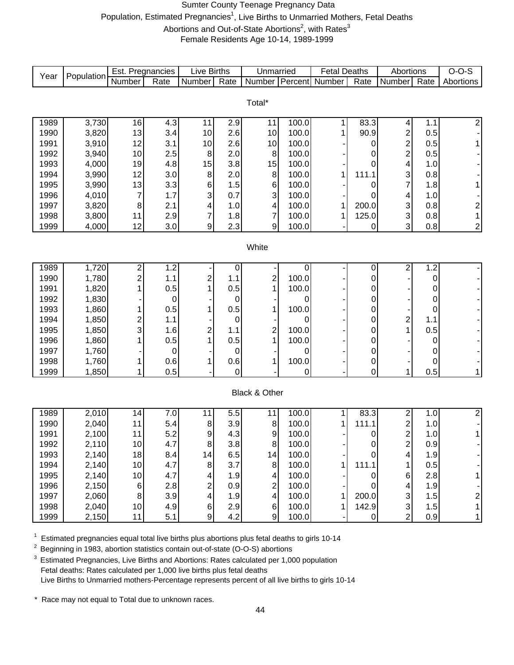# Sumter County Teenage Pregnancy Data Population, Estimated Pregnancies<sup>1</sup>, Live Births to Unmarried Mothers, Fetal Deaths Abortions and Out-of-State Abortions<sup>2</sup>, with Rates<sup>3</sup> Female Residents Age 10-14, 1989-1999

| Year | Population | Est. Pregnancies        |             | <b>Live Births</b>      |      | Unmarried               |       | <b>Fetal Deaths</b>   |           | Abortions               |           | $O-O-S$        |
|------|------------|-------------------------|-------------|-------------------------|------|-------------------------|-------|-----------------------|-----------|-------------------------|-----------|----------------|
|      |            | Number                  | Rate        | Number                  | Rate |                         |       | Number Percent Number | Rate      | Number                  | Rate      | Abortions      |
|      |            |                         |             |                         |      |                         |       |                       |           |                         |           |                |
|      |            |                         |             |                         |      | Total*                  |       |                       |           |                         |           |                |
|      |            |                         |             |                         |      |                         |       |                       |           |                         |           |                |
| 1989 | 3,730      | 16                      | 4.3         | 11                      | 2.9  | 11                      | 100.0 | 1                     | 83.3      | 4                       | 1.1       | $\overline{2}$ |
| 1990 | 3,820      | 13                      | 3.4         | 10                      | 2.6  | 10                      | 100.0 | 1                     | 90.9      | $\overline{\mathbf{c}}$ | 0.5       |                |
| 1991 | 3,910      | 12                      | 3.1         | 10                      | 2.6  | 10                      | 100.0 |                       | 0         | $\overline{\mathbf{c}}$ | 0.5       | $\mathbf{1}$   |
| 1992 | 3,940      | 10                      | 2.5         | 8                       | 2.0  | 8                       | 100.0 |                       | 0         | $\overline{c}$          | 0.5       |                |
| 1993 | 4,000      | 19                      | 4.8         | 15                      | 3.8  | 15                      | 100.0 |                       | 0         | 4                       | 1.0       |                |
| 1994 | 3,990      | 12                      | 3.0         | 8                       | 2.0  | 8                       | 100.0 | 1                     | 111.1     | 3                       | 0.8       |                |
| 1995 | 3,990      | 13                      | 3.3         | 6                       | 1.5  | 6                       | 100.0 |                       | 0         | $\overline{7}$          | 1.8       | 1              |
| 1996 | 4,010      | $\overline{7}$          | 1.7         | 3                       | 0.7  | 3                       | 100.0 |                       | 0         | 4                       | 1.0       |                |
| 1997 | 3,820      | $\, 8$                  | 2.1         | 4                       | 1.0  | 4                       | 100.0 |                       | 200.0     | 3                       | 0.8       |                |
| 1998 | 3,800      | 11                      | 2.9         | $\overline{7}$          | 1.8  | $\overline{7}$          | 100.0 |                       | 125.0     | 3                       | 0.8       | 2<br>1         |
| 1999 | 4,000      | 12                      | 3.0         | 9                       | 2.3  | $9\,$                   | 100.0 |                       | 0         | 3                       | 0.8       | $\overline{2}$ |
|      |            |                         |             |                         |      |                         |       |                       |           |                         |           |                |
|      |            |                         |             |                         |      | White                   |       |                       |           |                         |           |                |
|      |            |                         |             |                         |      |                         |       |                       |           |                         |           |                |
| 1989 | 1,720      |                         | 1.2         |                         | 0    |                         | 0     |                       | 0         | 2                       | 1.2       |                |
| 1990 | 1,780      | $\frac{2}{2}$           | 1.1         | $\overline{\mathbf{c}}$ | 1.1  | $\overline{\mathbf{c}}$ | 100.0 |                       | 0         |                         | 0         |                |
| 1991 | 1,820      | $\mathbf{1}$            | 0.5         | 1                       | 0.5  | $\mathbf{1}$            | 100.0 |                       | 0         |                         | 0         |                |
| 1992 | 1,830      |                         | 0           |                         | 0    |                         | 0     |                       | 0         |                         | 0         |                |
| 1993 | 1,860      | 1                       | 0.5         | 1                       | 0.5  | 1                       | 100.0 |                       | 0         |                         | 0         |                |
| 1994 | 1,850      | $\overline{\mathbf{c}}$ | 1.1         |                         | 0    |                         | 0     |                       | 0         | $\overline{\mathbf{c}}$ | 1.1       |                |
| 1995 | 1,850      | $\overline{3}$          | 1.6         | $\overline{c}$          | 1.1  | $\overline{\mathbf{c}}$ | 100.0 |                       | 0         | $\mathbf{1}$            | 0.5       |                |
| 1996 | 1,860      | $\mathbf{1}$            | 0.5         | 1                       | 0.5  | 1                       | 100.0 |                       | 0         |                         | $\pmb{0}$ |                |
| 1997 | 1,760      |                         | $\mathbf 0$ |                         | 0    |                         | 0     |                       | 0         |                         | 0         |                |
| 1998 | 1,760      | $\mathbf{1}$            | 0.6         | 1                       | 0.6  | 1                       | 100.0 |                       | 0         |                         | 0         |                |
| 1999 | 1,850      | 1                       | 0.5         |                         | 0    |                         | 0     |                       | 0         | 1                       | 0.5       | 1              |
|      |            |                         |             |                         |      |                         |       |                       |           |                         |           |                |
|      |            |                         |             |                         |      | Black & Other           |       |                       |           |                         |           |                |
|      |            |                         |             |                         |      |                         |       |                       |           |                         |           |                |
| 1989 | 2,010      | 14                      | 7.0         | 11                      | 5.5  | 11                      | 100.0 | 1                     | 83.3      | 2                       | 1.0       | $\overline{2}$ |
| 1990 | 2,040      | 11                      | 5.4         | 8                       | 3.9  | 8                       | 100.0 | 1                     | 111.1     | $\overline{\mathbf{c}}$ | 1.0       |                |
| 1991 | 2,100      | 11                      | 5.2         | 9                       | 4.3  | 9                       | 100.0 |                       | 0         | $\overline{\mathbf{c}}$ | 1.0       | 1              |
| 1992 | 2,110      | 10                      | 4.7         | 8                       | 3.8  | 8 <sup>1</sup>          | 100.0 |                       | $\pmb{0}$ |                         | 0.9       |                |
| 1993 | 2,140      | 18                      | 8.4         | 14                      | 6.5  | 14                      | 100.0 |                       | 0         | $\overline{c}$<br>4     | 1.9       |                |
| 1994 | 2,140      | 10 <sub>1</sub>         | 4.7         | 8                       | 3.7  | $\bf 8$                 | 100.0 | 1                     | 111.1     | 1                       | 0.5       |                |
| 1995 | 2,140      |                         | 4.7         |                         | 1.9  |                         | 100.0 |                       |           |                         | 2.8       |                |
|      |            | 10                      |             | 4                       |      | 4                       |       |                       | 0         | 6                       |           | 1              |
| 1996 | 2,150      | $6 \mid$                | 2.8         | 2                       | 0.9  | $\boldsymbol{2}$        | 100.0 |                       | 0         | 4                       | 1.9       |                |
| 1997 | 2,060      | 8 <sup>1</sup>          | 3.9         | 4                       | 1.9  | $\overline{\mathbf{4}}$ | 100.0 |                       | 200.0     | 3                       | 1.5       | $\overline{c}$ |
| 1998 | 2,040      | 10 <sup>1</sup>         | 4.9         | 6                       | 2.9  | 6                       | 100.0 | 1                     | 142.9     | $\overline{3}$          | 1.5       | $\mathbf{1}$   |
| 1999 | 2,150      | 11                      | 5.1         | 9                       | 4.2  | $\mathsf{g}$            | 100.0 |                       | 0         | $\overline{c}$          | 0.9       | $\mathbf 1$    |

 $1$  Estimated pregnancies equal total live births plus abortions plus fetal deaths to girls 10-14

<sup>2</sup> Beginning in 1983, abortion statistics contain out-of-state (O-O-S) abortions

<sup>3</sup> Estimated Pregnancies, Live Births and Abortions: Rates calculated per 1,000 population Fetal deaths: Rates calculated per 1,000 live births plus fetal deaths Live Births to Unmarried mothers-Percentage represents percent of all live births to girls 10-14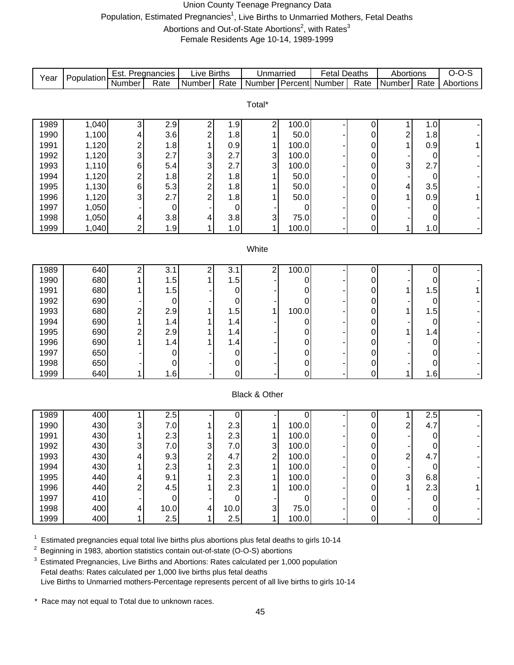# Union County Teenage Pregnancy Data Population, Estimated Pregnancies<sup>1</sup>, Live Births to Unmarried Mothers, Fetal Deaths Abortions and Out-of-State Abortions<sup>2</sup>, with Rates<sup>3</sup> Female Residents Age 10-14, 1989-1999

|      |            | Est. Pregnancies        |             | <b>Live Births</b>               |             | Unmarried                 |           | <b>Fetal Deaths</b> |             | Abortions               |                     | $O-O-S$   |
|------|------------|-------------------------|-------------|----------------------------------|-------------|---------------------------|-----------|---------------------|-------------|-------------------------|---------------------|-----------|
| Year | Population | Number                  | Rate        | Number                           | Rate        | Number Percent            |           | Number              | Rate        | Number                  | Rate                | Abortions |
|      |            |                         |             |                                  |             |                           |           |                     |             |                         |                     |           |
|      |            |                         |             |                                  |             | Total*                    |           |                     |             |                         |                     |           |
|      |            |                         |             |                                  |             |                           |           |                     |             |                         |                     |           |
| 1989 | 1,040      | 3                       | 2.9         | 2                                | 1.9         | $\overline{\mathbf{c}}$   | 100.0     |                     | 0           | 1                       | 1.0                 |           |
| 1990 | 1,100      | 4                       | 3.6         | $\overline{\mathbf{c}}$          | 1.8         | 1                         | 50.0      |                     | 0           | $\overline{\mathbf{c}}$ | 1.8                 |           |
| 1991 | 1,120      | $\overline{\mathbf{c}}$ | 1.8         |                                  | 0.9         | 1                         | 100.0     |                     | 0           | 1                       | 0.9                 | 1         |
| 1992 | 1,120      | 3                       | 2.7         | 3                                | 2.7         | 3                         | 100.0     |                     | 0           |                         | $\boldsymbol{0}$    |           |
| 1993 | 1,110      | $\,6$                   | 5.4         | 3                                | 2.7         | 3                         | 100.0     |                     | 0           | 3                       | 2.7                 |           |
| 1994 | 1,120      | $\overline{c}$          | 1.8         | $\overline{c}$                   | 1.8         |                           | 50.0      |                     | 0           |                         | $\boldsymbol{0}$    |           |
| 1995 | 1,130      | $\,6$                   | 5.3         | $\overline{c}$<br>$\overline{2}$ | 1.8         |                           | 50.0      |                     | 0           | 4                       | 3.5                 |           |
| 1996 | 1,120      | 3                       | 2.7         |                                  | 1.8         |                           | 50.0      |                     | 0           |                         | 0.9                 | 1         |
| 1997 | 1,050      |                         | 0           |                                  | $\mathbf 0$ |                           | 0         |                     | 0           |                         | 0                   |           |
| 1998 | 1,050      | 4                       | 3.8         | 4                                | 3.8         | 3                         | 75.0      |                     | 0           |                         | 0                   |           |
| 1999 | 1,040      | 2                       | 1.9         |                                  | 1.0         | 1                         | 100.0     |                     | 0           | 1                       | 1.0                 |           |
|      |            |                         |             |                                  |             | White                     |           |                     |             |                         |                     |           |
|      |            |                         |             |                                  |             |                           |           |                     |             |                         |                     |           |
| 1989 | 640        | 2                       | 3.1         | 2                                | 3.1         | $\sqrt{2}$                | 100.0     |                     | 0           |                         | 0                   |           |
| 1990 | 680        |                         | 1.5         |                                  | 1.5         |                           | 0         |                     | 0           |                         | 0                   |           |
| 1991 | 680        |                         | 1.5         |                                  | 0           |                           |           |                     | 0           | 1                       | 1.5                 | 1         |
| 1992 | 690        |                         | $\mathbf 0$ |                                  | 0           |                           | 0         |                     | 0           |                         | $\boldsymbol{0}$    |           |
| 1993 | 680        | $\overline{c}$          | 2.9         |                                  | 1.5         |                           | 100.0     |                     | 0           | 1                       | 1.5                 |           |
| 1994 | 690        |                         | 1.4         |                                  | 1.4         |                           | 0         |                     | 0           |                         | $\pmb{0}$           |           |
| 1995 | 690        | $\overline{c}$          | 2.9         |                                  | 1.4         |                           | 0         |                     | 0           |                         | 1.4                 |           |
| 1996 | 690        |                         | 1.4         |                                  | 1.4         |                           | 0         |                     | 0           |                         | 0                   |           |
| 1997 | 650        |                         | 0           |                                  | 0           |                           | 0         |                     | 0           |                         | 0                   |           |
| 1998 | 650        |                         | 0           |                                  | 0           |                           | 0         |                     | 0           |                         | 0                   |           |
| 1999 | 640        | 1                       | 1.6         |                                  | 0           |                           | 0         |                     | 0           |                         | 1.6                 |           |
|      |            |                         |             |                                  |             |                           |           |                     |             |                         |                     |           |
|      |            |                         |             |                                  |             | Black & Other             |           |                     |             |                         |                     |           |
|      |            |                         |             |                                  |             |                           |           |                     |             |                         |                     |           |
| 1989 | 400        |                         | 2.5         |                                  | 0           |                           | 0         |                     | 0           | 1                       | 2.5                 |           |
| 1990 | 430        | 3                       | 7.0         |                                  | 2.3         | 1                         | 100.0     |                     | 0           | $\overline{c}$          | 4.7                 |           |
| 1991 | 430        |                         | 2.3         |                                  | 2.3         | 1                         | 100.0     |                     | 0           |                         | $\pmb{0}$           |           |
| 1992 | 430        | 3                       | 7.0         | 3                                | 7.0         | $\sqrt{3}$                | 100.0     |                     | 0           |                         | 0                   |           |
| 1993 | 430        |                         | 9.3         | $\overline{\mathbf{c}}$          | 4.7         | $\overline{2}$            | 100.0     |                     | 0           | 2                       | 4.7                 |           |
| 1994 | 430        |                         | 2.3         |                                  | 2.3         | 1                         | 100.0     |                     | 0           |                         | $\mathbf 0$         |           |
| 1995 | 440        | 4                       | 9.1         |                                  | 2.3         | 1                         | 100.0     |                     | 0           | $\mathbf{3}$            | 6.8                 |           |
| 1996 | 440        | 2                       | 4.5         |                                  | 2.3         | 1                         | 100.0     |                     | $\pmb{0}$   | 1                       | 2.3                 | 1         |
| 1997 | 410        |                         | 0           |                                  | $\mathbf 0$ |                           | $\pmb{0}$ |                     | $\pmb{0}$   |                         | $\mathbf 0$         |           |
| 1998 | 400        | 4                       | 10.0        | 4                                | 10.0        | $\ensuremath{\mathsf{3}}$ | 75.0      |                     | $\mathbf 0$ |                         | $\pmb{0}$           |           |
| 1999 | 400        | 1                       | 2.5         |                                  | 2.5         | 1                         | 100.0     |                     | 0           |                         | $\mathsf{O}\xspace$ |           |

 $1$  Estimated pregnancies equal total live births plus abortions plus fetal deaths to girls 10-14

2 Beginning in 1983, abortion statistics contain out-of-state (O-O-S) abortions

 $3$  Estimated Pregnancies, Live Births and Abortions: Rates calculated per 1,000 population Fetal deaths: Rates calculated per 1,000 live births plus fetal deaths Live Births to Unmarried mothers-Percentage represents percent of all live births to girls 10-14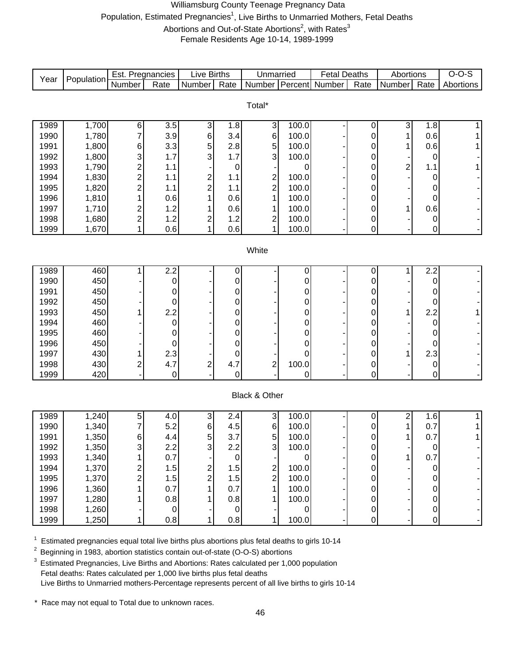# Williamsburg County Teenage Pregnancy Data Population, Estimated Pregnancies<sup>1</sup>, Live Births to Unmarried Mothers, Fetal Deaths Abortions and Out-of-State Abortions<sup>2</sup>, with Rates<sup>3</sup> Female Residents Age 10-14, 1989-1999

| Year | Population | Est. Pregnancies |                  | Live Births    |                  | Unmarried               |       | <b>Fetal Deaths</b>   |           | Abortions                 |                  | $O-O-S$   |
|------|------------|------------------|------------------|----------------|------------------|-------------------------|-------|-----------------------|-----------|---------------------------|------------------|-----------|
|      |            | Number           | Rate             | Number         | Rate             |                         |       | Number Percent Number | Rate      | Number                    | Rate             | Abortions |
|      |            |                  |                  |                |                  |                         |       |                       |           |                           |                  |           |
|      |            |                  |                  |                |                  | Total*                  |       |                       |           |                           |                  |           |
| 1989 | 1,700      | 6                | 3.5              | 3              | 1.8              | $\overline{3}$          | 100.0 |                       |           | $\ensuremath{\mathsf{3}}$ | 1.8              | 1         |
| 1990 | 1,780      |                  | 3.9              | $\,6$          | 3.4              | 6                       | 100.0 |                       | 0<br>0    | 1                         | 0.6              |           |
| 1991 | 1,800      |                  | 3.3              | 5              | 2.8              | 5                       | 100.0 |                       | 0         | 1                         | 0.6              |           |
| 1992 | 1,800      | 6<br>3           | 1.7              | 3              | 1.7              | 3                       | 100.0 |                       | 0         |                           | 0                |           |
| 1993 | 1,790      | $\overline{c}$   | 1.1              |                | 0                |                         | 0     |                       | 0         | $\overline{\mathbf{c}}$   | 1.1              |           |
| 1994 | 1,830      | $\overline{c}$   | 1.1              | 2              | 1.1              | $\overline{\mathbf{c}}$ | 100.0 |                       | 0         |                           | 0                |           |
| 1995 | 1,820      | $\overline{c}$   | 1.1              | $\overline{c}$ | 1.1              | $\overline{c}$          | 100.0 |                       | 0         |                           | 0                |           |
| 1996 | 1,810      |                  | 0.6              |                | 0.6              | $\mathbf{1}$            | 100.0 |                       | 0         |                           | 0                |           |
| 1997 | 1,710      | $\overline{c}$   | 1.2              |                | 0.6              | 1                       | 100.0 |                       | 0         | 1                         | 0.6              |           |
| 1998 | 1,680      | $\overline{c}$   | 1.2              | 2              | 1.2              | $\overline{c}$          | 100.0 |                       | 0         |                           | 0                |           |
| 1999 | 1,670      | 1                | 0.6              | 1              | 0.6              | $\mathbf{1}$            | 100.0 |                       | 0         |                           | 0                |           |
|      |            |                  |                  |                |                  |                         |       |                       |           |                           |                  |           |
|      |            |                  |                  |                |                  | White                   |       |                       |           |                           |                  |           |
|      |            |                  |                  |                |                  |                         |       |                       |           |                           |                  |           |
| 1989 | 460        |                  | $\overline{2.2}$ |                | 0                |                         | 0     |                       | 0         | 1                         | $\overline{2.2}$ |           |
| 1990 | 450        |                  | $\mathbf 0$      |                | 0                |                         | 0     |                       | 0         |                           | 0                |           |
| 1991 | 450        |                  | 0                |                | 0                |                         | 0     |                       | 0         |                           | 0                |           |
| 1992 | 450        |                  | 0                |                | 0                |                         | 0     |                       | 0         |                           | 0                |           |
| 1993 | 450        |                  | 2.2              |                | 0                |                         | 0     |                       | 0         | 1                         | 2.2              |           |
| 1994 | 460        |                  | $\mathbf 0$      |                | 0                |                         | 0     |                       | 0         |                           | 0                |           |
| 1995 | 460        |                  | 0                |                | 0                |                         | 0     |                       | 0         |                           | 0                |           |
| 1996 | 450        |                  | 0                |                | $\mathbf 0$      |                         | 0     |                       | 0         |                           | 0                |           |
| 1997 | 430        |                  | 2.3              |                | 0                |                         | 0     |                       | 0         | 1                         | 2.3              |           |
| 1998 | 430        | 2                | 4.7              | 2              | 4.7              | $\overline{c}$          | 100.0 |                       | 0         |                           | 0                |           |
| 1999 | 420        |                  | 0                |                | 0                |                         | 0     |                       | 0         |                           | 0                |           |
|      |            |                  |                  |                |                  |                         |       |                       |           |                           |                  |           |
|      |            |                  |                  |                |                  | Black & Other           |       |                       |           |                           |                  |           |
|      |            |                  |                  |                |                  |                         |       |                       |           |                           |                  |           |
| 1989 | 1,240      | 5                | 4.0              | 3              | 2.4              | $\mathbf{3}$            | 100.0 |                       | 0         | $\overline{\mathbf{c}}$   | 1.6              | 1         |
| 1990 | 1,340      | 7                | 5.2              | $\,6$          | 4.5              | $\,6$                   | 100.0 |                       | 0         | 1                         | 0.7              | 1         |
| 1991 | 1,350      | 6                | 4.4              | 5              | 3.7              | $\sqrt{5}$              | 100.0 |                       | 0         | 1                         | 0.7              | 1         |
| 1992 | 1,350      | 3                | 2.2              | 3              | 2.2              | $\overline{3}$          | 100.0 |                       | 0         |                           | 0                |           |
| 1993 | 1,340      |                  | 0.7              |                | $\pmb{0}$        |                         | 0     |                       | $\pmb{0}$ | 1                         | 0.7              |           |
| 1994 | 1,370      |                  | 1.5              | 2              | 1.5              | $\overline{c}$          | 100.0 |                       | 0         |                           | $\mathbf 0$      |           |
| 1995 | 1,370      |                  | 1.5              | $\overline{c}$ | 1.5              | $\overline{2}$          | 100.0 |                       | 0         |                           | 0                |           |
| 1996 | 1,360      |                  | 0.7              |                | 0.7              | 1                       | 100.0 |                       | 0         |                           | 0                |           |
| 1997 | 1,280      |                  | 0.8              |                | 0.8              | 1                       | 100.0 |                       | 0         |                           | 0                |           |
| 1998 | 1,260      |                  | $\mathbf 0$      |                | $\boldsymbol{0}$ |                         | 0     |                       | 0         |                           | $\pmb{0}$        |           |
| 1999 | 1,250      | 1                | 0.8              | 1              | 0.8              | 1                       | 100.0 |                       | 0         |                           | 0                |           |

 $1$  Estimated pregnancies equal total live births plus abortions plus fetal deaths to girls 10-14

2 Beginning in 1983, abortion statistics contain out-of-state (O-O-S) abortions

<sup>3</sup> Estimated Pregnancies, Live Births and Abortions: Rates calculated per 1,000 population Fetal deaths: Rates calculated per 1,000 live births plus fetal deaths Live Births to Unmarried mothers-Percentage represents percent of all live births to girls 10-14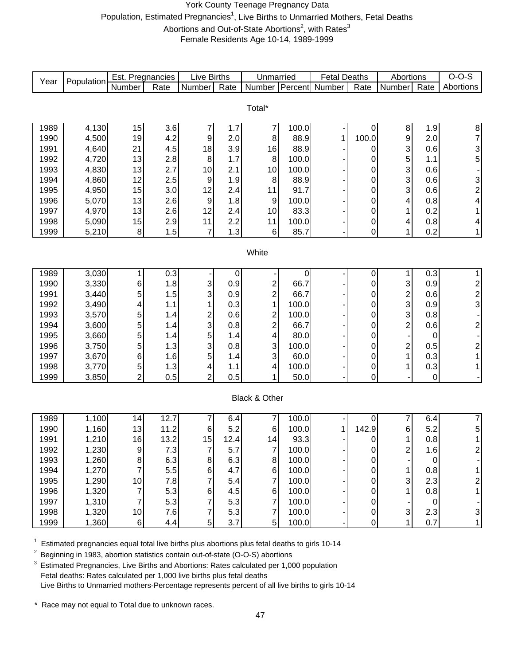# York County Teenage Pregnancy Data Population, Estimated Pregnancies<sup>1</sup>, Live Births to Unmarried Mothers, Fetal Deaths Abortions and Out-of-State Abortions<sup>2</sup>, with Rates<sup>3</sup> Female Residents Age 10-14, 1989-1999

|              |                | Est. Pregnancies |            | Live Births               |                  | Unmarried               |               | <b>Fetal Deaths</b> |                     | Abortions               |            | $O-O-S$                                     |
|--------------|----------------|------------------|------------|---------------------------|------------------|-------------------------|---------------|---------------------|---------------------|-------------------------|------------|---------------------------------------------|
| Year         | Population     | Number           | Rate       | Number                    | Rate             | Number Percent          |               | Number              | Rate                | Number                  | Rate       | Abortions                                   |
|              |                |                  |            |                           |                  |                         |               |                     |                     |                         |            |                                             |
|              |                |                  |            |                           |                  | Total*                  |               |                     |                     |                         |            |                                             |
|              |                |                  |            |                           |                  |                         |               |                     |                     |                         |            |                                             |
| 1989         | 4,130          | 15               | 3.6        | 7                         | 1.7              | 7                       | 100.0         |                     | 0                   | 8                       | 1.9        |                                             |
| 1990         | 4,500          | 19               | 4.2        | 9                         | 2.0              | $\bf 8$                 | 88.9          | 1                   | 100.0               | 9                       | 2.0        | 8<br>7<br>3<br>5                            |
| 1991         | 4,640          | 21               | 4.5        | 18                        | 3.9              | 16                      | 88.9          |                     | 0                   | 3                       | 0.6        |                                             |
| 1992         | 4,720          | 13               | 2.8        | $\bf 8$                   | 1.7              | 8                       | 100.0         |                     | 0                   | 5                       | 1.1        |                                             |
| 1993         | 4,830          | 13               | 2.7        | 10<br>$\boldsymbol{9}$    | 2.1              | 10                      | 100.0<br>88.9 |                     | 0                   | 3                       | 0.6<br>0.6 | $\begin{array}{c} -3 \\ 2 \\ 4 \end{array}$ |
| 1994         | 4,860          | 12               | 2.5        |                           | 1.9              | $\bf 8$                 | 91.7          |                     | 0                   | 3<br>3                  |            |                                             |
| 1995         | 4,950          | 15<br>13         | 3.0        | 12<br>$\boldsymbol{9}$    | 2.4<br>1.8       | 11                      | 100.0         |                     | 0                   |                         | 0.6<br>0.8 |                                             |
| 1996<br>1997 | 5,070<br>4,970 | 13               | 2.6<br>2.6 | 12                        | 2.4              | 9<br>10                 | 83.3          |                     | 0<br>0              | 4<br>1                  | 0.2        | $\mathbf 1$                                 |
| 1998         | 5,090          |                  | 2.9        | 11                        | 2.2              | 11                      | 100.0         |                     |                     |                         | 0.8        | $\overline{\mathbf{4}}$                     |
| 1999         | 5,210          | 15<br>8          | 1.5        | $\overline{7}$            | 1.3              | 6                       | 85.7          |                     | 0<br>$\overline{0}$ | 4<br>1                  | 0.2        | $\mathbf{1}$                                |
|              |                |                  |            |                           |                  |                         |               |                     |                     |                         |            |                                             |
|              |                |                  |            |                           |                  | White                   |               |                     |                     |                         |            |                                             |
|              |                |                  |            |                           |                  |                         |               |                     |                     |                         |            |                                             |
| 1989         | 3,030          | 1                | 0.3        |                           | $\boldsymbol{0}$ |                         | $\mathbf 0$   |                     | $\boldsymbol{0}$    | 1                       | 0.3        | $\overline{1}$                              |
| 1990         | 3,330          | 6                | 1.8        | $\ensuremath{\mathsf{3}}$ | 0.9              | $\overline{\mathbf{c}}$ | 66.7          |                     | 0                   | 3                       | 0.9        |                                             |
| 1991         | 3,440          | 5                | 1.5        | 3                         | 0.9              | $\overline{c}$          | 66.7          |                     | 0                   |                         | 0.6        | 2 <sub>0</sub>                              |
| 1992         | 3,490          | 4                | 1.1        | 1                         | 0.3              | $\mathbf{1}$            | 100.0         |                     | 0                   | $\frac{2}{3}$           | 0.9        |                                             |
| 1993         | 3,570          | 5                | 1.4        |                           | 0.6              | $\overline{c}$          | 100.0         |                     | 0                   | 3                       | 0.8        | $\overline{\phantom{a}}$                    |
| 1994         | 3,600          | 5                | 1.4        | $\frac{2}{3}$             | 0.8              | $\overline{2}$          | 66.7          |                     | 0                   | $\overline{2}$          | 0.6        |                                             |
| 1995         | 3,660          | 5                | 1.4        | 5                         | 1.4              | 4                       | 80.0          |                     | 0                   |                         | 0          |                                             |
| 1996         | 3,750          | 5                | 1.3        | 3                         | 0.8              | 3                       | 100.0         |                     | 0                   | $\overline{\mathbf{c}}$ | 0.5        | $\begin{array}{c} 2 \\ 2 \\ 1 \end{array}$  |
| 1997         | 3,670          | 6                | 1.6        | 5                         | 1.4              | $\mathbf{3}$            | 60.0          |                     | 0                   | $\mathbf 1$             | 0.3        |                                             |
| 1998         | 3,770          | $\,$ 5 $\,$      | 1.3        | 4                         | 1.1              | 4                       | 100.0         |                     | 0                   | 1                       | 0.3        | $\mathbf 1$                                 |
| 1999         | 3,850          | $\overline{2}$   | 0.5        | $\overline{2}$            | 0.5              | 1                       | 50.0          |                     | 0                   |                         | 0          | $\overline{\phantom{a}}$                    |
|              |                |                  |            |                           |                  |                         |               |                     |                     |                         |            |                                             |
|              |                |                  |            |                           |                  | Black & Other           |               |                     |                     |                         |            |                                             |
|              |                |                  |            |                           |                  |                         |               |                     |                     |                         |            |                                             |
| 1989         | 1,100          | 14               | 12.7       | 7                         | 6.4              | 7                       | 100.0         |                     | 0                   | 7                       | 6.4        | $\overline{7}$                              |
| 1990         | 1,160          | 13               | 11.2       | 6                         | 5.2              | $\,6$                   | 100.0         | 1                   | 142.9               | 6                       | 5.2        | 5                                           |
| 1991         | 1,210          | 16               | 13.2       | 15                        | 12.4             | 14                      | 93.3          |                     | 0                   | 1                       | 0.8        | $\mathbf{1}$                                |
| 1992         | 1,230          | $\boldsymbol{9}$ | 7.3        | $\overline{7}$            | 5.7              | $\boldsymbol{7}$        | 100.0         |                     | $\pmb{0}$           | $\overline{\mathbf{c}}$ | 1.6        | $\overline{\mathbf{c}}$                     |
| 1993         | 1,260          | 8                | 6.3        | $\bf 8$                   | 6.3              | $\bf 8$                 | 100.0         |                     | $\overline{0}$      |                         | $\Omega$   | ÷                                           |
| 1994         | 1,270          |                  | 5.5        | $\,6$                     | 4.7              | $\,6$                   | 100.0         |                     | $\pmb{0}$           | 1                       | 0.8        | $\mathbf 1$                                 |
| 1995         | 1,290          | 10               | 7.8        | 7                         | 5.4              | $\overline{7}$          | 100.0         |                     | $\boldsymbol{0}$    | 3                       | 2.3        | $\begin{array}{c} 2 \\ 1 \end{array}$       |
| 1996         | 1,320          | 7                | 5.3        | 6                         | 4.5              | 6                       | 100.0         |                     | 0                   | 1                       | 0.8        |                                             |
| 1997         | 1,310          | 7                | 5.3        | $\overline{7}$            | 5.3              | $\overline{7}$          | 100.0         |                     | 0                   |                         | 0          | $\overline{\phantom{a}}$                    |
| 1998         | 1,320          | $10$             | 7.6        | $\overline{7}$            | 5.3              | $\overline{7}$          | 100.0         |                     | 0                   | 3                       | 2.3        | $\mathsf 3$                                 |
| 1999         | 1,360          | $\,6$            | 4.4        | 5                         | 3.7              | 5 <sup>1</sup>          | 100.0         |                     | 0                   | 1                       | 0.7        | $\mathbf{1}$                                |

 $1$  Estimated pregnancies equal total live births plus abortions plus fetal deaths to girls 10-14

 $2$  Beginning in 1983, abortion statistics contain out-of-state (O-O-S) abortions

<sup>3</sup> Estimated Pregnancies, Live Births and Abortions: Rates calculated per 1,000 population Fetal deaths: Rates calculated per 1,000 live births plus fetal deaths Live Births to Unmarried mothers-Percentage represents percent of all live births to girls 10-14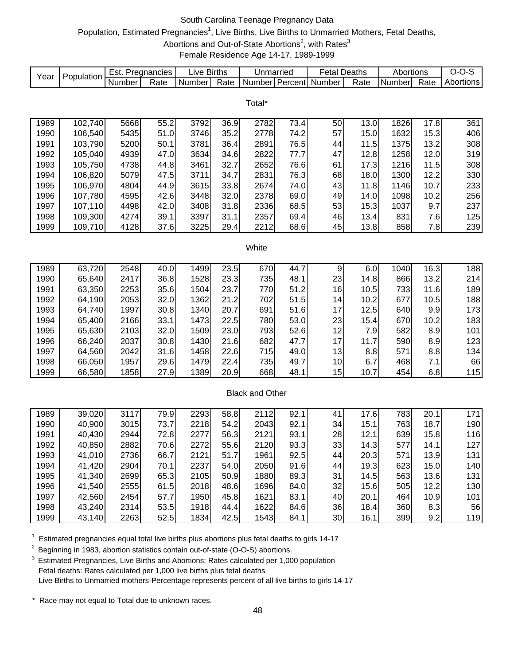# South Carolina Teenage Pregnancy Data

# Population, Estimated Pregnancies<sup>1</sup>, Live Births, Live Births to Unmarried Mothers, Fetal Deaths,

Abortions and Out-of-State Abortions<sup>2</sup>, with Rates<sup>3</sup>

Female Residence Age 14-17, 1989-1999

|                                                                                                               | Population                                                                                    | Est. Pregnancies |      | Live Births              |      | Unmarried              |      | <b>Fetal Deaths</b> |      | Abortions |      | $O-O-S$   |  |
|---------------------------------------------------------------------------------------------------------------|-----------------------------------------------------------------------------------------------|------------------|------|--------------------------|------|------------------------|------|---------------------|------|-----------|------|-----------|--|
| Year                                                                                                          |                                                                                               | Number           | Rate | Number                   | Rate | Number Percent         |      | Number              | Rate | Number    | Rate | Abortions |  |
|                                                                                                               |                                                                                               |                  |      |                          |      | Total*                 |      |                     |      |           |      |           |  |
|                                                                                                               |                                                                                               |                  |      |                          |      |                        |      |                     |      |           |      |           |  |
| 1989                                                                                                          | 102,740                                                                                       | 5668             | 55.2 | 3792                     | 36.9 | 2782                   | 73.4 | 50                  | 13.0 | 1826      | 17.8 | 361       |  |
| 1990                                                                                                          | 106,540                                                                                       | 5435             | 51.0 | 3746                     | 35.2 | 2778                   | 74.2 | 57                  | 15.0 | 1632      | 15.3 | 406       |  |
| 1991                                                                                                          | 103,790                                                                                       | 5200             | 50.1 | 3781                     | 36.4 | 2891                   | 76.5 | 44                  | 11.5 | 1375      | 13.2 | 308       |  |
| 1992                                                                                                          | 105,040                                                                                       | 4939             | 47.0 | 3634                     | 34.6 | 2822                   | 77.7 | 47                  | 12.8 | 1258      | 12.0 | 319       |  |
| 1993                                                                                                          | 105,750                                                                                       | 4738             | 44.8 | 3461                     | 32.7 | 2652                   | 76.6 | 61                  | 17.3 | 1216      | 11.5 | 308       |  |
| 1994                                                                                                          | 106,820                                                                                       | 5079             | 47.5 | 3711                     | 34.7 | 2831                   | 76.3 | 68                  | 18.0 | 1300      | 12.2 | 330       |  |
| 1995                                                                                                          | 106,970                                                                                       | 4804             | 44.9 | 3615                     | 33.8 | 2674                   | 74.0 | 43                  | 11.8 | 1146      | 10.7 | 233       |  |
| 1996                                                                                                          | 107,780                                                                                       | 4595             | 42.6 | 3448                     | 32.0 | 2378                   | 69.0 | 49                  | 14.0 | 1098      | 10.2 | 256       |  |
| 1997                                                                                                          | 107,110                                                                                       | 4498             | 42.0 | 3408                     | 31.8 | 2336                   | 68.5 | 53                  | 15.3 | 1037      | 9.7  | 237       |  |
| 1998                                                                                                          | 109,300                                                                                       | 4274             | 39.1 | 3397                     | 31.1 | 2357                   | 69.4 | 46                  | 13.4 | 831       | 7.6  | 125       |  |
| 1999                                                                                                          | 109,710                                                                                       | 4128             | 37.6 | 3225                     | 29.4 | 2212                   | 68.6 | 45                  | 13.8 | 858       | 7.8  | 239       |  |
|                                                                                                               |                                                                                               |                  |      |                          |      |                        |      |                     |      |           |      |           |  |
| White                                                                                                         |                                                                                               |                  |      |                          |      |                        |      |                     |      |           |      |           |  |
| 63,720<br>$\overline{16.3}$<br>1989<br>2548<br>40.0<br>1499<br>23.5<br>44.7<br>6.0<br>1040<br>188<br>670<br>9 |                                                                                               |                  |      |                          |      |                        |      |                     |      |           |      |           |  |
| 1990                                                                                                          | 65,640                                                                                        | 2417             | 36.8 | 1528                     | 23.3 | 735                    | 48.1 | 23                  | 14.8 | 866       | 13.2 | 214       |  |
| 1991                                                                                                          | 63,350                                                                                        | 2253             | 35.6 | 1504                     | 23.7 | 770                    | 51.2 | 16                  | 10.5 | 733       | 11.6 | 189       |  |
| 1992                                                                                                          | 64,190                                                                                        | 2053             | 32.0 | 1362                     | 21.2 | 702                    | 51.5 | 14                  | 10.2 | 677       | 10.5 | 188       |  |
| 1993                                                                                                          | 64,740                                                                                        | 1997             | 30.8 | 1340                     | 20.7 | 691                    | 51.6 | 17                  | 12.5 | 640       | 9.9  | 173       |  |
| 1994                                                                                                          | 65,400                                                                                        | 2166             | 33.1 | 1473                     | 22.5 | 780                    | 53.0 | 23                  | 15.4 | 670       | 10.2 | 183       |  |
| 1995                                                                                                          | 65,630                                                                                        | 2103             | 32.0 | 1509                     | 23.0 | 793                    | 52.6 | 12                  | 7.9  | 582       | 8.9  | 101       |  |
| 1996                                                                                                          | 66,240                                                                                        | 2037             | 30.8 | 1430                     | 21.6 | 682                    | 47.7 | 17                  | 11.7 | 590       | 8.9  | 123       |  |
| 1997                                                                                                          | 64,560                                                                                        | 2042             | 31.6 | 1458                     | 22.6 | 715                    | 49.0 | 13                  | 8.8  | 571       | 8.8  | 134       |  |
| 1998                                                                                                          | 66,050                                                                                        | 1957             | 29.6 | 1479                     | 22.4 | 735                    | 49.7 | 10                  | 6.7  | 468       | 7.1  | 66        |  |
| 1999                                                                                                          | 66,580                                                                                        | 1858             | 27.9 | 1389                     | 20.9 | 668                    | 48.1 | 15                  | 10.7 | 454       | 6.8  | 115       |  |
|                                                                                                               |                                                                                               |                  |      |                          |      | <b>Black and Other</b> |      |                     |      |           |      |           |  |
|                                                                                                               |                                                                                               |                  |      |                          |      |                        |      |                     |      |           |      |           |  |
| 1989                                                                                                          | 39,020                                                                                        | 3117             | 79.9 | 2293                     | 58.8 | 2112                   | 92.1 | 41                  | 17.6 | 783       | 20.1 | 171       |  |
| 1990                                                                                                          | 40,900                                                                                        | 3015             | 73.7 | 2218                     | 54.2 | 2043                   | 92.1 | 34                  | 15.1 | 763       | 18.7 | 190       |  |
| 1991                                                                                                          | 40,430                                                                                        | 2944             | 72.8 | 2277                     | 56.3 | 2121                   | 93.1 | 28                  | 12.1 | 639       | 15.8 | 116       |  |
| 1992                                                                                                          | 40,850                                                                                        | 2882             | 70.6 | 2272                     | 55.6 | 2120                   | 93.3 | 33                  | 14.3 | 577       | 14.1 | 127       |  |
| 1993                                                                                                          | 41,010                                                                                        | 2736             | 66.7 | 2121                     | 51.7 | 1961                   | 92.5 | 44                  | 20.3 | 571       | 13.9 | 131       |  |
| 1994                                                                                                          | 41,420                                                                                        | 2904             | 70.1 | 2237                     | 54.0 | 2050                   | 91.6 | 44                  | 19.3 | 623       | 15.0 | 140       |  |
| 1995                                                                                                          | 41,340                                                                                        | 2699             | 65.3 | 2105                     | 50.9 | 1880                   | 89.3 | 31                  | 14.5 | 563       | 13.6 | 131       |  |
| 1996                                                                                                          | 41,540                                                                                        | 2555             | 61.5 | 2018                     | 48.6 | 1696                   | 84.0 | 32                  | 15.6 | 505       | 12.2 | 130       |  |
| 1997                                                                                                          | 42,560                                                                                        | 2454             | 57.7 | 1950                     | 45.8 | 1621                   | 83.1 | 40                  | 20.1 | 464       | 10.9 | 101       |  |
| 1998                                                                                                          | 43,240                                                                                        | 2314             | 53.5 | 1918                     | 44.4 | 1622                   | 84.6 | 36                  | 18.4 | 360       | 8.3  | 56        |  |
| 1999                                                                                                          | 43,140                                                                                        | 2263             | 52.5 | 1834                     | 42.5 | 1543                   | 84.1 | 30                  | 16.1 | 399       | 9.2  | 119       |  |
|                                                                                                               |                                                                                               |                  |      |                          |      |                        |      |                     |      |           |      |           |  |
|                                                                                                               | Estimated pregnancies equal total live births plus abortions plus fetal deaths to girls 14-17 |                  |      |                          |      |                        |      |                     |      |           |      |           |  |
|                                                                                                               | Beginning in 1983, abortion statistics contain out-of-state (O-O-S) abortions.                |                  |      | وعواريماهم ومغوال وموجئة |      |                        |      |                     |      |           |      |           |  |

Estimated Pregnancies, Live Births and Abortions: Rates calculated per 1,000 population Fetal deaths: Rates calculated per 1,000 live births plus fetal deaths Live Births to Unmarried mothers-Percentage represents percent of all live births to girls 14-17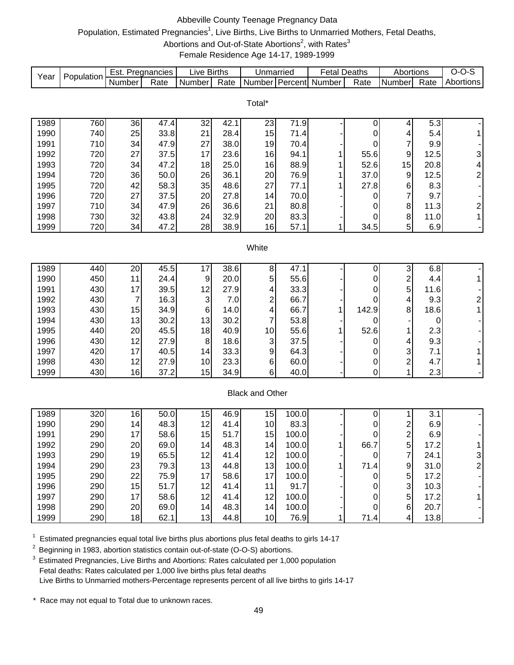# Abbeville County Teenage Pregnancy Data Population, Estimated Pregnancies<sup>1</sup>, Live Births, Live Births to Unmarried Mothers, Fetal Deaths,

# Abortions and Out-of-State Abortions<sup>2</sup>, with Rates<sup>3</sup>

Female Residence Age 14-17, 1989-1999

| Year         | Population |                | Est. Pregnancies | Live Births               |              | Unmarried              |              | <b>Fetal Deaths</b> |              | Abortions               |              | $O-O-S$                      |
|--------------|------------|----------------|------------------|---------------------------|--------------|------------------------|--------------|---------------------|--------------|-------------------------|--------------|------------------------------|
|              |            | Number         | Rate             | Number                    | Rate         | Number                 |              | Percent Number      | Rate         | Number                  | Rate         | Abortions                    |
|              |            |                |                  |                           |              |                        |              |                     |              |                         |              |                              |
|              |            |                |                  |                           |              | Total*                 |              |                     |              |                         |              |                              |
|              |            |                |                  |                           |              |                        |              |                     |              |                         |              |                              |
| 1989         | 760        | 36             | 47.4             | 32                        | 42.1         | 23                     | 71.9         |                     | 0            | 4                       | 5.3          |                              |
| 1990         | 740        | 25             | 33.8             | 21                        | 28.4         | 15                     | 71.4         |                     | 0            | 4                       | 5.4          | 1                            |
| 1991         | 710        | 34             | 47.9             | 27                        | 38.0         | 19                     | 70.4         |                     | 0            | 7                       | 9.9          |                              |
| 1992<br>1993 | 720        | 27<br>34       | 37.5<br>47.2     | 17                        | 23.6<br>25.0 | 16                     | 94.1<br>88.9 | 1                   | 55.6<br>52.6 | $\boldsymbol{9}$<br>15  | 12.5         | $\ensuremath{\mathsf{3}}$    |
| 1994         | 720<br>720 | 36             | 50.0             | 18<br>26                  | 36.1         | 16<br>20               | 76.9         | 1                   | 37.0         | 9                       | 20.8<br>12.5 | 4<br>$\overline{c}$          |
| 1995         | 720        | 42             | 58.3             | 35                        | 48.6         | 27                     |              |                     | 27.8         |                         | 8.3          |                              |
| 1996         | 720        | 27             | 37.5             | 20                        | 27.8         | 14                     | 77.1<br>70.0 |                     |              | 6<br>7                  | 9.7          |                              |
| 1997         | 710        | 34             | 47.9             | 26                        | 36.6         | 21                     | 80.8         |                     | 0            | 8                       | 11.3         |                              |
| 1998         | 730        | 32             | 43.8             | 24                        | 32.9         | 20                     | 83.3         |                     | 0<br>0       | $\bf 8$                 | 11.0         | $\overline{\mathbf{c}}$<br>1 |
| 1999         | 720        | 34             | 47.2             | 28                        | 38.9         | 16                     | 57.1         | 1                   | 34.5         | 5                       | 6.9          |                              |
|              |            |                |                  |                           |              |                        |              |                     |              |                         |              |                              |
|              |            |                |                  |                           |              | White                  |              |                     |              |                         |              |                              |
|              |            |                |                  |                           |              |                        |              |                     |              |                         |              |                              |
| 1989         | 440        | 20             | 45.5             | 17                        | 38.6         | 8                      | 47.1         |                     | 0            | 3                       | 6.8          |                              |
| 1990         | 450        | 11             | 24.4             | 9                         | 20.0         | 5                      | 55.6         |                     | 0            | $\overline{\mathbf{c}}$ | 4.4          | 1                            |
| 1991         | 430        | 17             | 39.5             | 12                        | 27.9         | 4                      | 33.3         |                     | 0            | 5                       | 11.6         |                              |
| 1992         | 430        | $\overline{7}$ | 16.3             | $\ensuremath{\mathsf{3}}$ | 7.0          | $\overline{c}$         | 66.7         |                     | 0            | 4                       | 9.3          | $\sqrt{2}$                   |
| 1993         | 430        | 15             | 34.9             | 6                         | 14.0         | 4                      | 66.7         | 1                   | 142.9        | 8                       | 18.6         | 1                            |
| 1994         | 430        | 13             | 30.2             | 13                        | 30.2         | 7                      | 53.8         |                     | 0            |                         | 0            |                              |
| 1995         | 440        | 20             | 45.5             | 18                        | 40.9         | 10                     | 55.6         |                     | 52.6         | 1                       | 2.3          |                              |
| 1996         | 430        | 12             | 27.9             | 8                         | 18.6         | 3                      | 37.5         |                     | 0            | 4                       | 9.3          |                              |
| 1997         | 420        | 17             | 40.5             | 14                        | 33.3         | 9                      | 64.3         |                     | 0            | 3                       | 7.1          |                              |
| 1998         | 430        | 12             | 27.9             | 10                        | 23.3         | 6                      | 60.0         |                     | 0            | $\overline{\mathbf{c}}$ | 4.7          |                              |
| 1999         | 430        | 16             | 37.2             | 15                        | 34.9         | 6                      | 40.0         |                     | 0            | 1                       | 2.3          |                              |
|              |            |                |                  |                           |              |                        |              |                     |              |                         |              |                              |
|              |            |                |                  |                           |              | <b>Black and Other</b> |              |                     |              |                         |              |                              |
|              |            |                |                  |                           |              |                        |              |                     |              |                         |              |                              |
| 1989         | 320        | 16             | 50.0             | 15                        | 46.9         | 15                     | 100.0        |                     | 0            | 1                       | 3.1          |                              |
| 1990         | 290        | 14             | 48.3             | 12                        | 41.4         | 10                     | 83.3         |                     | 0            | 2                       | 6.9          |                              |
| 1991         | 290        | 17             | 58.6             | 15                        | 51.7         | 15                     | 100.0        |                     | 0            | $\overline{\mathbf{c}}$ | 6.9          |                              |
| 1992         | 290        | 20             | 69.0             | 14                        | 48.3         | 14                     | 100.0        | 1                   | 66.7         | 5                       | 17.2         | 1 <sup>1</sup>               |
| 1993         | 290        | 19             | 65.5             | 12                        | 41.4         | 12                     | 100.0        |                     | 0            | $\boldsymbol{7}$        | 24.1         | 3                            |
| 1994         | 290        | 23             | 79.3             | 13                        | 44.8         | 13                     | 100.0        |                     | 71.4         | 9                       | 31.0         | 2                            |
| 1995         | 290        | 22             | 75.9             | 17                        | 58.6         | 17                     | 100.0        |                     | 0            | 5                       | 17.2         |                              |
| 1996         | 290        | 15             | 51.7             | 12                        | 41.4         | 11                     | 91.7         |                     | 0            | 3                       | 10.3         |                              |
| 1997         | 290        | 17             | 58.6             | 12                        | 41.4         | 12                     | 100.0        |                     | 0            | 5                       | 17.2         |                              |
| 1998         | 290        | 20             | 69.0             | 14                        | 48.3         | 14                     | 100.0        |                     | $\mathbf 0$  | 6                       | 20.7         |                              |
| 1999         | 290        | 18             | 62.1             | 13                        | 44.8         | 10                     | 76.9         | 1                   | 71.4         | 4                       | 13.8         |                              |

 $1$  Estimated pregnancies equal total live births plus abortions plus fetal deaths to girls 14-17

<sup>2</sup> Beginning in 1983, abortion statistics contain out-of-state (O-O-S) abortions.

<sup>3</sup> Estimated Pregnancies, Live Births and Abortions: Rates calculated per 1,000 population Fetal deaths: Rates calculated per 1,000 live births plus fetal deaths Live Births to Unmarried mothers-Percentage represents percent of all live births to girls 14-17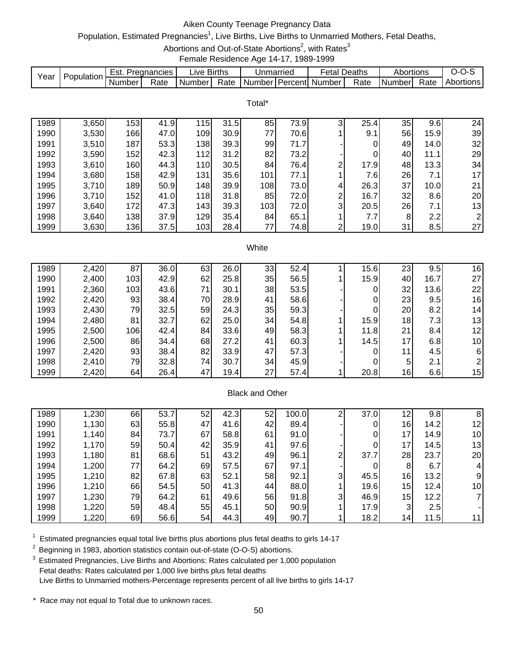# Aiken County Teenage Pregnancy Data

# Population, Estimated Pregnancies<sup>1</sup>, Live Births, Live Births to Unmarried Mothers, Fetal Deaths,

Abortions and Out-of-State Abortions<sup>2</sup>, with Rates<sup>3</sup>

Female Residence Age 14-17, 1989-1999

|      | Population. | Est.   | Pregnancies | IVA.   | <b>Births</b> | Unmarried |         | etal   | Deaths | Abortions |      | J-1<br>◡  |
|------|-------------|--------|-------------|--------|---------------|-----------|---------|--------|--------|-----------|------|-----------|
| Year |             | Number | Rate        | Number | Rate          | Number    | Percent | Number | Rate   | INumberl  | Rate | Abortions |

Total\*

| 1989 | 3,650 | 153 | 41.9 | 15  | 31.5 | 85  | 73.9 | 3 | 25.4 | 35              | 9.6              | 24             |
|------|-------|-----|------|-----|------|-----|------|---|------|-----------------|------------------|----------------|
| 1990 | 3,530 | 166 | 47.0 | 109 | 30.9 | 77  | 70.6 |   | 9.1  | 56              | 15.9             | 39             |
| 1991 | 3,510 | 187 | 53.3 | 138 | 39.3 | 99  | 71.7 |   | 0    | 49              | 14.0             | 32             |
| 1992 | 3,590 | 152 | 42.3 | 112 | 31.2 | 82  | 73.2 |   | 0    | 40              | 11.1             | 29             |
| 1993 | 3,610 | 160 | 44.3 | 110 | 30.5 | 84  | 76.4 | ⌒ | 17.9 | 48              | 13.3             | 34             |
| 1994 | 3,680 | 158 | 42.9 | 131 | 35.6 | 101 | 77.1 |   | 7.61 | 26              | 7.1              | 17             |
| 1995 | 3,710 | 189 | 50.9 | 148 | 39.9 | 108 | 73.0 | 4 | 26.3 | 37              | 10.0             | 21             |
| 1996 | 3,710 | 152 | 41.0 | 118 | 31.8 | 85  | 72.0 | ົ | 16.7 | 32 <sub>1</sub> | 8.6              | 20             |
| 1997 | 3,640 | 172 | 47.3 | 143 | 39.3 | 103 | 72.0 | 3 | 20.5 | 26              | 7.1              | 13             |
| 1998 | 3,640 | 138 | 37.9 | 129 | 35.4 | 84  | 65.1 |   | 7.7  | 8               | 2.2 <sub>1</sub> | $\overline{2}$ |
| 1999 | 3,630 | 136 | 37.5 | 103 | 28.4 | 77  | 74.8 | ⌒ | 19.0 | 31              | 8.5              | 27             |

#### **White**

| 1989 | 2,420 | 87  | 36.0 | 63 | 26.0 | 33 | 52.4 | 15.6 | 23              | 9.5  | 16              |
|------|-------|-----|------|----|------|----|------|------|-----------------|------|-----------------|
| 1990 | 2,400 | 103 | 42.9 | 62 | 25.8 | 35 | 56.5 | 15.9 | 40              | 16.7 | 27              |
| 1991 | 2,360 | 103 | 43.6 | 71 | 30.1 | 38 | 53.5 | 0    | 32              | 13.6 | 22              |
| 1992 | 2,420 | 93  | 38.4 | 70 | 28.9 | 41 | 58.6 |      | 23              | 9.5  | 16              |
| 1993 | 2,430 | 79  | 32.5 | 59 | 24.3 | 35 | 59.3 |      | 20              | 8.2  | 14 <sub>1</sub> |
| 1994 | 2,480 | 81  | 32.7 | 62 | 25.0 | 34 | 54.8 | 15.9 | 18              | 7.31 | 13              |
| 1995 | 2,500 | 106 | 42.4 | 84 | 33.6 | 49 | 58.3 | 11.8 | 21              | 8.4  | 12              |
| 1996 | 2,500 | 86  | 34.4 | 68 | 27.2 | 41 | 60.3 | 14.5 | 17 <sub>l</sub> | 6.8  | 10              |
| 1997 | 2,420 | 93  | 38.4 | 82 | 33.9 | 47 | 57.3 |      | 11l             | 4.5  | 6               |
| 1998 | 2,410 | 79  | 32.8 | 74 | 30.7 | 34 | 45.9 | 0    | 5               | 2.1  |                 |
| 1999 | 2,420 | 64  | 26.4 | 47 | 19.4 | 27 | 57.4 | 20.8 | 16              | 6.6  | 15              |

## Black and Other

| 1989 | 1,230 | 66 | 53.7 | 52 | 42.3 | 52 | 100.0 |   | 37.0 | 12              | 9.8  | 8  |
|------|-------|----|------|----|------|----|-------|---|------|-----------------|------|----|
| 1990 | 1,130 | 63 | 55.8 | 47 | 41.6 | 42 | 89.4  |   |      | 16              | 14.2 | 12 |
| 1991 | 1,140 | 84 | 73.7 | 67 | 58.8 | 61 | 91.0  |   |      | 17 <sub>1</sub> | 14.9 | 10 |
| 1992 | 1,170 | 59 | 50.4 | 42 | 35.9 | 41 | 97.6  |   |      | 17 <sub>1</sub> | 14.5 | 13 |
| 1993 | 1,180 | 81 | 68.6 | 51 | 43.2 | 49 | 96.1  |   | 37.7 | 28              | 23.7 | 20 |
| 1994 | 1,200 | 77 | 64.2 | 69 | 57.5 | 67 | 97.1  |   |      | 8               | 6.7  |    |
| 1995 | 1,210 | 82 | 67.8 | 63 | 52.1 | 58 | 92.1  | 3 | 45.5 | 16              | 13.2 |    |
| 1996 | 1,210 | 66 | 54.5 | 50 | 41.3 | 44 | 88.0  |   | 19.6 | 15              | 12.4 | 10 |
| 1997 | 1,230 | 79 | 64.2 | 61 | 49.6 | 56 | 91.8  | 3 | 46.9 | 15              | 12.2 |    |
| 1998 | 1,220 | 59 | 48.4 | 55 | 45.1 | 50 | 90.9  |   | 17.9 | 3               | 2.5  |    |
| 1999 | 1,220 | 69 | 56.6 | 54 | 44.3 | 49 | 90.7  |   | 18.2 | 14 <sub>1</sub> | 11.5 |    |

 $1$  Estimated pregnancies equal total live births plus abortions plus fetal deaths to girls 14-17

<sup>2</sup> Beginning in 1983, abortion statistics contain out-of-state (O-O-S) abortions.

<sup>3</sup> Estimated Pregnancies, Live Births and Abortions: Rates calculated per 1,000 population Fetal deaths: Rates calculated per 1,000 live births plus fetal deaths Live Births to Unmarried mothers-Percentage represents percent of all live births to girls 14-17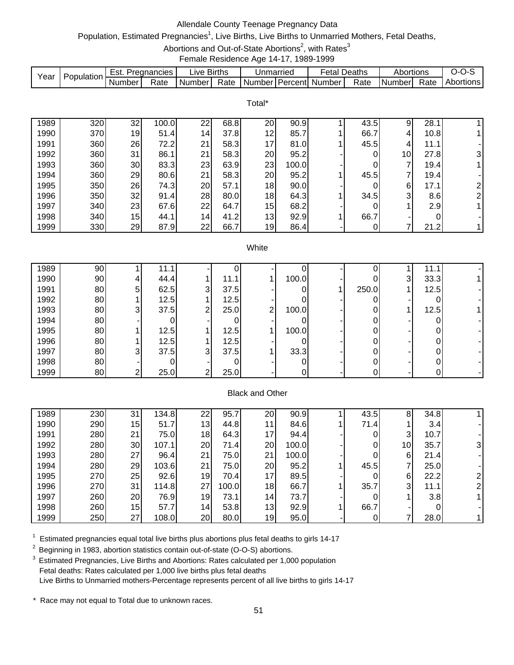# Allendale County Teenage Pregnancy Data

# Population, Estimated Pregnancies<sup>1</sup>, Live Births, Live Births to Unmarried Mothers, Fetal Deaths,

Abortions and Out-of-State Abortions<sup>2</sup>, with Rates<sup>3</sup>

Female Residence Age 14-17, 1989-1999

|      | Population | ESt.   | Pregnancies | ∟lve '  | <b>Births</b> | Unmarried |                | etal   | Deaths | Abortions |      | J-1              |
|------|------------|--------|-------------|---------|---------------|-----------|----------------|--------|--------|-----------|------|------------------|
| Year |            | Number | Rate        | NumberT | Rate          | Number    | <b>Percent</b> | Number | Rate   | I Numberl | Rate | <b>Abortions</b> |

|      |     |                 |       |    |      | Total* |       |      |                 |      |   |
|------|-----|-----------------|-------|----|------|--------|-------|------|-----------------|------|---|
| 1989 | 320 | 32              | 100.0 | 22 | 68.8 | 20     | 90.9  | 43.5 | 9               | 28.1 |   |
| 1990 | 370 | 19              | 51.4  | 14 | 37.8 | 12     | 85.7  | 66.7 | 4               | 10.8 |   |
| 1991 | 360 | 26              | 72.2  | 21 | 58.3 | 17     | 81.0  | 45.5 | 4               | 11.1 |   |
| 1992 | 360 | 31              | 86.1  | 21 | 58.3 | 20     | 95.2  | 0    | 10 <sup>1</sup> | 27.8 | 3 |
| 1993 | 360 | 30              | 83.3  | 23 | 63.9 | 23     | 100.0 | 0    | ⇁               | 19.4 |   |
| 1994 | 360 | 29              | 80.6  | 21 | 58.3 | 20     | 95.2  | 45.5 | 7               | 19.4 |   |
| 1995 | 350 | 26              | 74.3  | 20 | 57.1 | 18     | 90.0  | 0    | $6 \,$          | 17.1 | ົ |
| 1996 | 350 | 32 <sub>1</sub> | 91.4  | 28 | 80.0 | 18     | 64.3  | 34.5 | 3               | 8.6  | っ |
| 1997 | 340 | 23              | 67.6  | 22 | 64.7 | 15     | 68.2  | 0    |                 | 2.9  |   |
| 1998 | 340 | 15              | 44.1  | 14 | 41.2 | 13     | 92.9  | 66.7 |                 | 0    |   |
| 1999 | 330 | 29              | 87.9  | 22 | 66.7 | 19     | 86.4  |      |                 | 21.2 |   |
|      |     |                 |       |    |      |        |       |      |                 |      |   |

#### **White**

| 1989 | 90 |                | 11.1 |   |      |   |       |       |   | 11.1 |  |
|------|----|----------------|------|---|------|---|-------|-------|---|------|--|
| 1990 | 90 | 4              | 44.4 |   | 11.1 |   | 100.0 |       | 3 | 33.3 |  |
| 1991 | 80 | 5              | 62.5 | 3 | 37.5 |   |       | 250.0 |   | 12.5 |  |
| 1992 | 80 |                | 12.5 |   | 12.5 |   |       |       |   |      |  |
| 1993 | 80 | $\mathbf{3}$   | 37.5 | ◠ | 25.0 | ົ | 100.0 |       |   | 12.5 |  |
| 1994 | 80 |                |      |   |      |   |       |       |   |      |  |
| 1995 | 80 |                | 12.5 |   | 12.5 |   | 100.0 |       |   |      |  |
| 1996 | 80 |                | 12.5 |   | 12.5 |   |       |       |   |      |  |
| 1997 | 80 | 3 <sub>l</sub> | 37.5 | 3 | 37.5 |   | 33.3  |       |   |      |  |
| 1998 | 80 |                |      |   |      |   |       |       |   |      |  |
| 1999 | 80 | ົ              | 25.0 | ⌒ | 25.0 |   |       |       |   | υι   |  |

### Black and Other

| 1989 | 230 | 31              | 134.8 | 22 | 95.7  | 20              | 90.9  | 43.5 | 8  | 34.8 |  |
|------|-----|-----------------|-------|----|-------|-----------------|-------|------|----|------|--|
| 1990 | 290 | 15 <sup>1</sup> | 51.7  | 13 | 44.8  | 11              | 84.6  | 71.4 |    | 3.4  |  |
| 1991 | 280 | 21              | 75.0  | 18 | 64.3  | 17              | 94.4  |      | 3  | 10.7 |  |
| 1992 | 280 | 30              | 107.1 | 20 | 71.4  | 20              | 100.0 |      | 10 | 35.7 |  |
| 1993 | 280 | 27              | 96.4  | 21 | 75.0  | 21              | 100.0 |      | 6  | 21.4 |  |
| 1994 | 280 | 29              | 103.6 | 21 | 75.0  | 20              | 95.2  | 45.5 | 7  | 25.0 |  |
| 1995 | 270 | 25              | 92.6  | 19 | 70.4  | 17              | 89.5  |      | 6  | 22.2 |  |
| 1996 | 270 | 31              | 114.8 | 27 | 100.0 | 18              | 66.7  | 35.7 | 3  | 11.1 |  |
| 1997 | 260 | 20              | 76.9  | 19 | 73.1  | 14 <sub>1</sub> | 73.7  |      |    | 3.8  |  |
| 1998 | 260 | 15              | 57.7  | 14 | 53.8  | 13 <sub>1</sub> | 92.9  | 66.7 |    |      |  |
| 1999 | 250 | 27              | 108.0 | 20 | 80.0  | 19              | 95.0  |      |    | 28.0 |  |

 $1$  Estimated pregnancies equal total live births plus abortions plus fetal deaths to girls 14-17

<sup>2</sup> Beginning in 1983, abortion statistics contain out-of-state (O-O-S) abortions.

3 Estimated Pregnancies, Live Births and Abortions: Rates calculated per 1,000 population Fetal deaths: Rates calculated per 1,000 live births plus fetal deaths Live Births to Unmarried mothers-Percentage represents percent of all live births to girls 14-17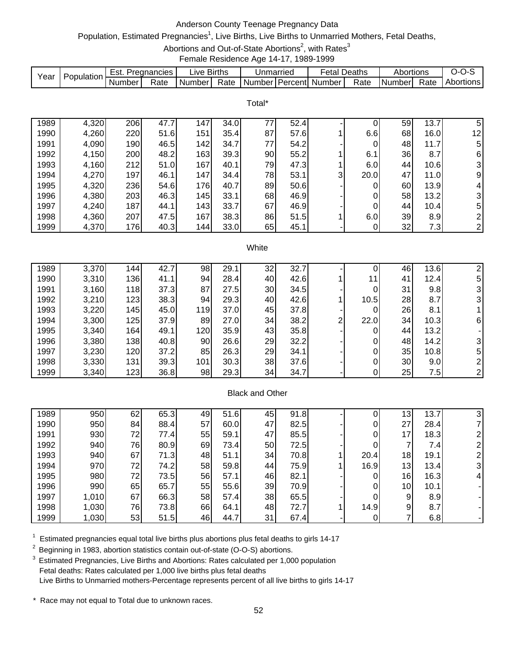# Anderson County Teenage Pregnancy Data

# Population, Estimated Pregnancies<sup>1</sup>, Live Births, Live Births to Unmarried Mothers, Fetal Deaths,

Abortions and Out-of-State Abortions<sup>2</sup>, with Rates<sup>3</sup>

Female Residence Age 14-17, 1989-1999

|      | Population. | Est.     | Pregnancies | ∟lVe ′ | <b>Births</b> | Unmarriec           | -etal    | Deaths | Abortions |      | $\overline{ }$ |
|------|-------------|----------|-------------|--------|---------------|---------------------|----------|--------|-----------|------|----------------|
| Year |             | . Number | Rate        | Number | Rate          | l Number l Percentl | . Number | Rate   | l Numberl | Rate | Abortions      |

Total\*

| 1989 | 4,320 | 206 | 47.7 | 147 | 34.0 | 77 | 52.4 |   |      | 59  | 13.7 | 5              |
|------|-------|-----|------|-----|------|----|------|---|------|-----|------|----------------|
| 1990 | 4,260 | 220 | 51.6 | 151 | 35.4 | 87 | 57.6 |   | 6.6  | 68  | 16.0 | 12             |
| 1991 | 4,090 | 190 | 46.5 | 142 | 34.7 | 77 | 54.2 |   | 0    | 48  | 11.7 | 5              |
| 1992 | 4,150 | 200 | 48.2 | 163 | 39.3 | 90 | 55.2 |   | 6.1  | 36  | 8.7  | 6              |
| 1993 | 4,160 | 212 | 51.0 | 167 | 40.1 | 79 | 47.3 |   | 6.0  | 44  | 10.6 | 3              |
| 1994 | 4,270 | 197 | 46.1 | 147 | 34.4 | 78 | 53.1 | 3 | 20.0 | 47  | 11.0 | 9 <sub>l</sub> |
| 1995 | 4,320 | 236 | 54.6 | 176 | 40.7 | 89 | 50.6 |   |      | 60  | 13.9 | 4              |
| 1996 | 4,380 | 203 | 46.3 | 145 | 33.1 | 68 | 46.9 |   | 0    | 58  | 13.2 | 3              |
| 1997 | 4,240 | 187 | 44.1 | 143 | 33.7 | 67 | 46.9 |   | 0    | 441 | 10.4 | 5              |
| 1998 | 4,360 | 207 | 47.5 | 167 | 38.3 | 86 | 51.5 |   | 6.0  | 39  | 8.9  | $\overline{2}$ |
| 1999 | 4,370 | 176 | 40.3 | 144 | 33.0 | 65 | 45.1 |   |      | 32  | 7.3  | 2              |

#### **White**

| 1989 | 3,370 | 144        | 42.7 | 98  | 29.1 | 32 | 32.7<br>⇁ |   |      | 46 | 13.6 |                |
|------|-------|------------|------|-----|------|----|-----------|---|------|----|------|----------------|
| 1990 | 3,310 | 136        | 41.1 | 94  | 28.4 | 40 | 42.6      |   | 11   | 41 | 12.4 | 5              |
| 1991 | 3,160 | <b>118</b> | 37.3 | 87  | 27.5 | 30 | 34.5      |   |      | 31 | 9.8  | 3              |
| 1992 | 3,210 | 123        | 38.3 | 94  | 29.3 | 40 | 42.6      |   | 10.5 | 28 | 8.7  | 3              |
| 1993 | 3,220 | 145        | 45.0 | 119 | 37.0 | 45 | 37.8      |   |      | 26 | 8.1  |                |
| 1994 | 3,300 | 125        | 37.9 | 89  | 27.0 | 34 | 38.2      | ◠ | 22.0 | 34 | 10.3 | 6 <sub>l</sub> |
| 1995 | 3,340 | 164        | 49.1 | 120 | 35.9 | 43 | 35.8      |   |      | 44 | 13.2 |                |
| 1996 | 3,380 | 138        | 40.8 | 90  | 26.6 | 29 | 32.2      |   |      | 48 | 14.2 | 3 <sub>l</sub> |
| 1997 | 3,230 | 120        | 37.2 | 85  | 26.3 | 29 | 34.1      |   |      | 35 | 10.8 | 5              |
| 1998 | 3,330 | 131        | 39.3 | 101 | 30.3 | 38 | 37.6      |   |      | 30 | 9.0  |                |
| 1999 | 3,340 | $123$      | 36.8 | 98  | 29.3 | 34 | 34.7      |   |      | 25 | 7.5  | 2              |

### Black and Other

| 1989 | 950   | 62 | 65.3 | 49 | 51.6 | 45 | 91.8 | υ    | 13              | 13.7<br>7        |   |
|------|-------|----|------|----|------|----|------|------|-----------------|------------------|---|
| 1990 | 950   | 84 | 88.4 | 57 | 60.0 | 47 | 82.5 |      | 27              | 28.4             |   |
| 1991 | 930   | 72 | 77.4 | 55 | 59.1 | 47 | 85.5 |      | 7               | 18.3             |   |
| 1992 | 940   | 76 | 80.9 | 69 | 73.4 | 50 | 72.5 | 0    |                 | 7.4              |   |
| 1993 | 940   | 67 | 71.3 | 48 | 51.1 | 34 | 70.8 | 20.4 | 18              | 19.1             |   |
| 1994 | 970   | 72 | 74.2 | 58 | 59.8 | 44 | 75.9 | 16.9 | 13 <sub>l</sub> | 13.4             |   |
| 1995 | 980   | 72 | 73.5 | 56 | 57.1 | 46 | 82.1 | 0    | 16              | 16.3             | 4 |
| 1996 | 990   | 65 | 65.7 | 55 | 55.6 | 39 | 70.9 |      | 10 <sub>1</sub> | 10.1             |   |
| 1997 | 1,010 | 67 | 66.3 | 58 | 57.4 | 38 | 65.5 | 0    | 9               | 8.9 <sup>1</sup> |   |
| 1998 | 1,030 | 76 | 73.8 | 66 | 64.1 | 48 | 72.7 | 14.9 | 9               | 8.7              |   |
| 1999 | 1,030 | 53 | 51.5 | 46 | 44.7 | 31 | 67.4 |      |                 | 6.8              |   |

 $1$  Estimated pregnancies equal total live births plus abortions plus fetal deaths to girls 14-17

<sup>2</sup> Beginning in 1983, abortion statistics contain out-of-state (O-O-S) abortions.

<sup>3</sup> Estimated Pregnancies, Live Births and Abortions: Rates calculated per 1,000 population Fetal deaths: Rates calculated per 1,000 live births plus fetal deaths Live Births to Unmarried mothers-Percentage represents percent of all live births to girls 14-17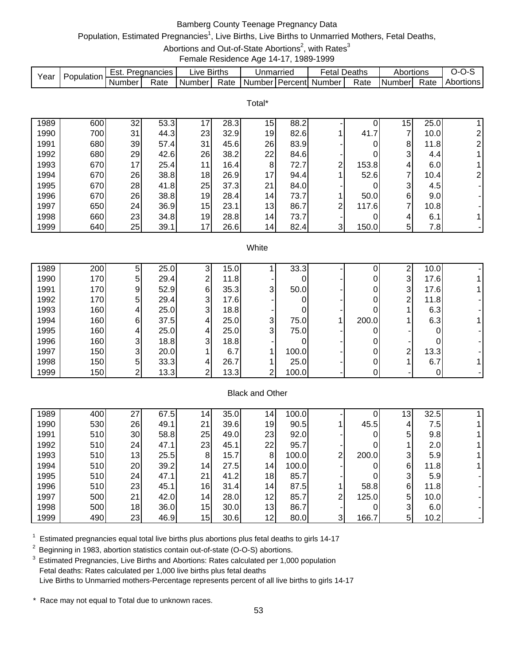# Bamberg County Teenage Pregnancy Data

## Population, Estimated Pregnancies<sup>1</sup>, Live Births, Live Births to Unmarried Mothers, Fetal Deaths,

Abortions and Out-of-State Abortions<sup>2</sup>, with Rates<sup>3</sup>

Female Residence Age 14-17, 1989-1999

|      | Population. | Est.   | Pregnancies | ∟l∨e     | <b>Births</b> | Unmarriec |                | etal   | Deaths | Abortions |      | J-1       |
|------|-------------|--------|-------------|----------|---------------|-----------|----------------|--------|--------|-----------|------|-----------|
| Yeaı |             | Number | Rate        | l Number | Rate          | Number    | <b>Percent</b> | Number | Rate   | I Number  | Rate | Abortions |

Total\*

|      |     |           |      |                 |      | .               |      |   |       |    |      |                |
|------|-----|-----------|------|-----------------|------|-----------------|------|---|-------|----|------|----------------|
| 1989 | 600 | 32        | 53.3 | 17              | 28.3 | 15              | 88.2 |   |       | 15 | 25.0 |                |
| 1990 | 700 | 31        | 44.3 | 23              | 32.9 | 19              | 82.6 |   | 41.7  | ⇁  | 10.0 |                |
| 1991 | 680 | 39        | 57.4 | 31              | 45.6 | 26              | 83.9 |   |       | 8  | 11.8 | ⌒              |
| 1992 | 680 | 29        | 42.6 | 26              | 38.2 | 22              | 84.6 |   | 0     | 3  | 4.4I |                |
| 1993 | 670 | 17        | 25.4 | 11              | 16.4 | 8               | 72.7 | ◠ | 153.8 | 4  | 6.0  |                |
| 1994 | 670 | 26        | 38.8 | 18 <sub>l</sub> | 26.9 | 17              | 94.4 |   | 52.6  | ⇁  | 10.4 | $\overline{2}$ |
| 1995 | 670 | 28        | 41.8 | 25              | 37.3 | 21              | 84.0 |   | 0     | 3  | 4.5  |                |
| 1996 | 670 | 26        | 38.8 | 19              | 28.4 | 14 <sub>1</sub> | 73.7 |   | 50.0  | 6  | 9.0  |                |
| 1997 | 650 | <b>24</b> | 36.9 | 15              | 23.1 | 13              | 86.7 | ົ | 117.6 | ⇁  | 10.8 |                |
| 1998 | 660 | 23        | 34.8 | 19              | 28.8 | 14 <sub>1</sub> | 73.7 |   |       | 4  | 6.1  |                |
| 1999 | 640 | 25        | 39.1 | 17              | 26.6 | 14              | 82.4 | 3 | 150.0 | 5  | 7.8  |                |

#### **White**

| 1989 | 200 | 5  | 25.0 |   | 15.0 |   | 33.3  |       | ⌒ | 10.0 |  |
|------|-----|----|------|---|------|---|-------|-------|---|------|--|
| 1990 | 170 | 5  | 29.4 | ົ | 11.8 |   |       |       | 3 | 17.6 |  |
| 1991 | 170 | 9  | 52.9 | 6 | 35.3 | 3 | 50.0  |       | 3 | 17.6 |  |
| 1992 | 170 | 5  | 29.4 | ີ | 17.6 |   |       |       | ⌒ | 11.8 |  |
| 1993 | 160 | 4  | 25.0 | ີ | 18.8 |   |       |       |   | 6.3  |  |
| 1994 | 160 | 61 | 37.5 |   | 25.0 | 3 | 75.0  | 200.0 |   | 6.3  |  |
| 1995 | 160 | 4  | 25.0 |   | 25.0 | 3 | 75.0  |       |   |      |  |
| 1996 | 160 | 3  | 18.8 | 3 | 18.8 |   |       |       |   |      |  |
| 1997 | 150 | 3  | 20.0 |   | 6.7  |   | 100.0 |       | ⌒ | 13.3 |  |
| 1998 | 150 | 5  | 33.3 |   | 26.7 |   | 25.0  |       |   | 6.7  |  |
| 1999 | 150 | ⌒  | 13.3 |   | 13.3 | ົ | 100.0 |       |   |      |  |

### Black and Other

| 1989 | 400 | 27 | 67.5 | 14              | 35.0 | $\mathsf{I}4$   | 100.0 |   |       | $\mathsf{13}^{\prime}$ | 32.5 |  |
|------|-----|----|------|-----------------|------|-----------------|-------|---|-------|------------------------|------|--|
| 1990 | 530 | 26 | 49.1 | 21              | 39.6 | 19              | 90.5  |   | 45.5  | 4                      | 7.5  |  |
| 1991 | 510 | 30 | 58.8 | 25              | 49.0 | 23              | 92.0  |   |       | 5                      | 9.8  |  |
| 1992 | 510 | 24 | 47.1 | 23              | 45.1 | 22              | 95.7  |   |       |                        | 2.0  |  |
| 1993 | 510 | 13 | 25.5 | 8               | 15.7 | 8               | 100.0 | ົ | 200.0 | 3                      | 5.9  |  |
| 1994 | 510 | 20 | 39.2 | 14              | 27.5 | 14              | 100.0 |   |       | 6                      | 11.8 |  |
| 1995 | 510 | 24 | 47.1 | 21              | 41.2 | 18              | 85.7  |   |       | 3                      | 5.9  |  |
| 1996 | 510 | 23 | 45.1 | 16              | 31.4 | 14 <sub>1</sub> | 87.5  |   | 58.8  | 6                      | 11.8 |  |
| 1997 | 500 | 21 | 42.0 | 14              | 28.0 | 12              | 85.7  | ົ | 125.0 | 5                      | 10.0 |  |
| 1998 | 500 | 18 | 36.0 | 15 <sub>1</sub> | 30.0 | 13              | 86.7  |   |       | 3                      | 6.0  |  |
| 1999 | 490 | 23 | 46.9 | 15              | 30.6 | 12 <sub>1</sub> | 80.0  | 3 | 166.7 | 5                      | 10.2 |  |

 $1$  Estimated pregnancies equal total live births plus abortions plus fetal deaths to girls 14-17

<sup>2</sup> Beginning in 1983, abortion statistics contain out-of-state (O-O-S) abortions.

<sup>3</sup> Estimated Pregnancies, Live Births and Abortions: Rates calculated per 1,000 population Fetal deaths: Rates calculated per 1,000 live births plus fetal deaths Live Births to Unmarried mothers-Percentage represents percent of all live births to girls 14-17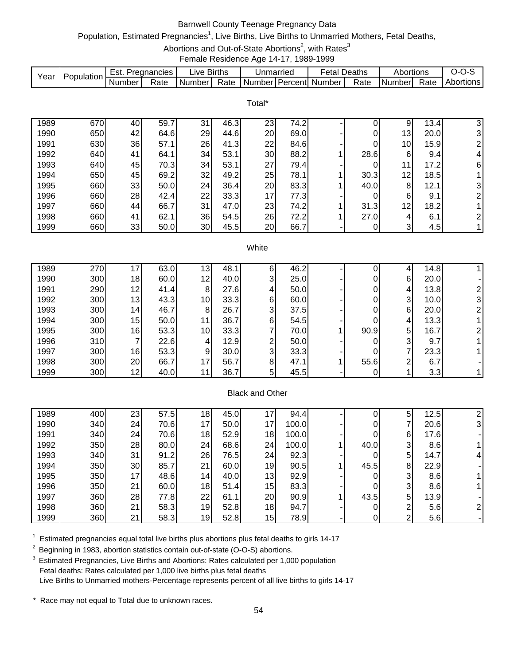# Barnwell County Teenage Pregnancy Data

# Population, Estimated Pregnancies<sup>1</sup>, Live Births, Live Births to Unmarried Mothers, Fetal Deaths,

Abortions and Out-of-State Abortions<sup>2</sup>, with Rates<sup>3</sup>

Female Residence Age 14-17, 1989-1999

|      | Population | Est.   | Pregnancies | Live Births |      | Unmarried |                  | ∹etal  | Deaths | Abortions |      | J-1       |
|------|------------|--------|-------------|-------------|------|-----------|------------------|--------|--------|-----------|------|-----------|
| Year |            | Number | Rate        | Number I    | Rate | Number    | <b>I</b> Percent | Number | Rate   | I Numberl | Rate | Abortions |

|      |     |    |      |                 |      | Total* |      |      |                 |      |                |
|------|-----|----|------|-----------------|------|--------|------|------|-----------------|------|----------------|
| 1989 | 670 | 40 | 59.7 | 31              | 46.3 | 23     | 74.2 |      | 9               | 13.4 | 3              |
| 1990 | 650 | 42 | 64.6 | 29              | 44.6 | 20     | 69.0 | 0    | 13 <sub>l</sub> | 20.0 | 3              |
| 1991 | 630 | 36 | 57.1 | 26              | 41.3 | 22     | 84.6 |      | 10              | 15.9 | 2              |
| 1992 | 640 | 41 | 64.1 | 34              | 53.1 | 30     | 88.2 | 28.6 | 6               | 9.4  | 4              |
| 1993 | 640 | 45 | 70.3 | 34              | 53.1 | 27     | 79.4 |      | 11              | 17.2 | 6              |
| 1994 | 650 | 45 | 69.2 | 32              | 49.2 | 25     | 78.1 | 30.3 | 12 <sub>1</sub> | 18.5 |                |
| 1995 | 660 | 33 | 50.0 | 24              | 36.4 | 20     | 83.3 | 40.0 | 8               | 12.1 | 3              |
| 1996 | 660 | 28 | 42.4 | 22              | 33.3 | 17     | 77.3 |      | 6               | 9.1  | $\overline{2}$ |
| 1997 | 660 | 44 | 66.7 | 31              | 47.0 | 23     | 74.2 | 31.3 | 12              | 18.2 |                |
| 1998 | 660 | 41 | 62.1 | 36              | 54.5 | 26     | 72.2 | 27.0 | 4               | 6.1  | $\overline{2}$ |
| 1999 | 660 | 33 | 50.0 | 30 <sub>1</sub> | 45.5 | 20     | 66.7 |      | 3               | 4.5  |                |

#### **White**

| 1989 | 270 | 17              | 63.0 | 13              | 48.1 | ь  | 46.2 |      |   | 14.8 |   |
|------|-----|-----------------|------|-----------------|------|----|------|------|---|------|---|
| 1990 | 300 | 18              | 60.0 | 12 <sub>1</sub> | 40.0 | 3  | 25.0 |      | 6 | 20.0 |   |
| 1991 | 290 | 12 <sub>1</sub> | 41.4 | 8               | 27.6 | 4  | 50.0 |      | 4 | 13.8 |   |
| 1992 | 300 | 13              | 43.3 | 10 <sup>1</sup> | 33.3 | 6  | 60.0 |      | 3 | 10.0 | 3 |
| 1993 | 300 | 14              | 46.7 | 8               | 26.7 | 3  | 37.5 |      | 6 | 20.0 |   |
| 1994 | 300 | 15              | 50.0 | 11              | 36.7 | 61 | 54.5 |      | 4 | 13.3 |   |
| 1995 | 300 | 16              | 53.3 | 10 <sup>1</sup> | 33.3 |    | 70.0 | 90.9 | 5 | 16.7 |   |
| 1996 | 310 |                 | 22.6 | 4               | 12.9 | ົ  | 50.0 |      | 3 | 9.7  |   |
| 1997 | 300 | 16              | 53.3 | 9               | 30.0 | 3  | 33.3 |      |   | 23.3 |   |
| 1998 | 300 | 20              | 66.7 | 17 <sub>l</sub> | 56.7 | 8  | 47.1 | 55.6 | ⌒ | 6.7  |   |
| 1999 | 300 | 12              | 40.0 |                 | 36.7 | 5  | 45.5 |      |   | 3.3  |   |

### Black and Other

| 1989 | 400 | 23 | 57.5 | 18              | 45.0 | 17 | 94.4  |      | 5 | 12.5 |   |
|------|-----|----|------|-----------------|------|----|-------|------|---|------|---|
| 1990 | 340 | 24 | 70.6 | 17              | 50.0 | 17 | 100.0 |      |   | 20.6 | 3 |
| 1991 | 340 | 24 | 70.6 | 18              | 52.9 | 18 | 100.0 |      | 6 | 17.6 |   |
| 1992 | 350 | 28 | 80.0 | 24              | 68.6 | 24 | 100.0 | 40.0 | 3 | 8.6  |   |
| 1993 | 340 | 31 | 91.2 | 26              | 76.5 | 24 | 92.3  |      | 5 | 14.7 |   |
| 1994 | 350 | 30 | 85.7 | 21              | 60.0 | 19 | 90.5  | 45.5 | 8 | 22.9 |   |
| 1995 | 350 | 17 | 48.6 | 14              | 40.0 | 13 | 92.9  |      | 3 | 8.6  |   |
| 1996 | 350 | 21 | 60.0 | 18 <sub>1</sub> | 51.4 | 15 | 83.3  |      | 3 | 8.6  |   |
| 1997 | 360 | 28 | 77.8 | 22              | 61.1 | 20 | 90.9  | 43.5 | 5 | 13.9 |   |
| 1998 | 360 | 21 | 58.3 | 19              | 52.8 | 18 | 94.7  |      | ◠ | 5.6  |   |
| 1999 | 360 | 21 | 58.3 | 19              | 52.8 | 15 | 78.9  |      | ⌒ | 5.6  |   |

 $1$  Estimated pregnancies equal total live births plus abortions plus fetal deaths to girls 14-17

<sup>2</sup> Beginning in 1983, abortion statistics contain out-of-state (O-O-S) abortions.

<sup>3</sup> Estimated Pregnancies, Live Births and Abortions: Rates calculated per 1,000 population Fetal deaths: Rates calculated per 1,000 live births plus fetal deaths Live Births to Unmarried mothers-Percentage represents percent of all live births to girls 14-17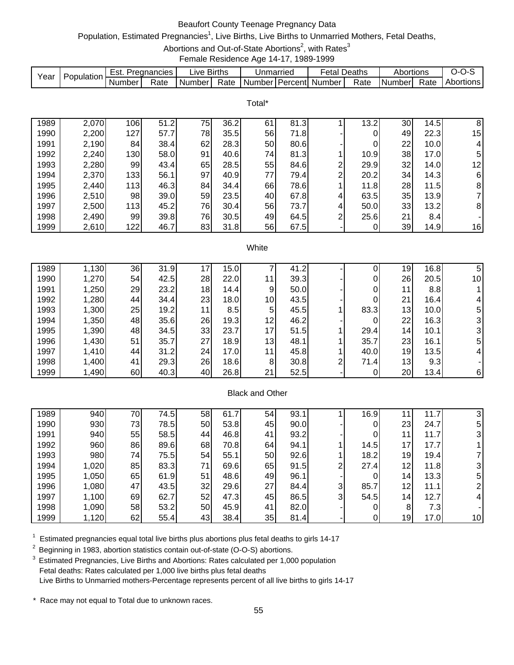# Beaufort County Teenage Pregnancy Data

# Population, Estimated Pregnancies<sup>1</sup>, Live Births, Live Births to Unmarried Mothers, Fetal Deaths,

Abortions and Out-of-State Abortions<sup>2</sup>, with Rates<sup>3</sup>

Female Residence Age 14-17, 1989-1999

|      | Population | ੮st.   | Pregnancies | .ive   | <b>Births</b> | Unmarriec        | -etal  | Deaths | Abortions  |           | ,,,<br>- 75 |
|------|------------|--------|-------------|--------|---------------|------------------|--------|--------|------------|-----------|-------------|
| Year |            | Number | Rate        | Number | Rate          | ⊥NumberTPercentL | Number | Rate   | I Number I | -<br>Rate | Abortions   |

|      |       |     |      |    |      | Total* |      |   |      |    |      |                |
|------|-------|-----|------|----|------|--------|------|---|------|----|------|----------------|
| 1989 | 2,070 | 106 | 51.2 | 75 | 36.2 | 61     | 81.3 |   | 13.2 | 30 | 14.5 | 8              |
| 1990 | 2,200 | 127 | 57.7 | 78 | 35.5 | 56     | 71.8 |   | 0    | 49 | 22.3 | 15             |
| 1991 | 2,190 | 84  | 38.4 | 62 | 28.3 | 50     | 80.6 |   | 0    | 22 | 10.0 | 4              |
| 1992 | 2,240 | 130 | 58.0 | 91 | 40.6 | 74     | 81.3 |   | 10.9 | 38 | 17.0 | 5 <sub>l</sub> |
| 1993 | 2,280 | 99  | 43.4 | 65 | 28.5 | 55     | 84.6 | 2 | 29.9 | 32 | 14.0 | 12             |
| 1994 | 2,370 | 133 | 56.1 | 97 | 40.9 | 77     | 79.4 | 2 | 20.2 | 34 | 14.3 | 6              |
| 1995 | 2,440 | 113 | 46.3 | 84 | 34.4 | 66     | 78.6 |   | 11.8 | 28 | 11.5 | 8              |
| 1996 | 2,510 | 98  | 39.0 | 59 | 23.5 | 40     | 67.8 | 4 | 63.5 | 35 | 13.9 |                |
| 1997 | 2,500 | 113 | 45.2 | 76 | 30.4 | 56     | 73.7 | 4 | 50.0 | 33 | 13.2 | 8              |
| 1998 | 2,490 | 99  | 39.8 | 76 | 30.5 | 49     | 64.5 | 2 | 25.6 | 21 | 8.4  |                |
| 1999 | 2,610 | 122 | 46.7 | 83 | 31.8 | 56     | 67.5 |   | 0    | 39 | 14.9 | 16             |

#### **White**

| 1989 | 1,130 | 36 | 31.9 |     | 15.0 |                 | 41.2 |   |      | 19              | 16.8 | 5              |
|------|-------|----|------|-----|------|-----------------|------|---|------|-----------------|------|----------------|
| 1990 | 1,270 | 54 | 42.5 | 28  | 22.0 | 11              | 39.3 |   |      | 26              | 20.5 | 10             |
| 1991 | 1,250 | 29 | 23.2 | 18  | 14.4 | 9               | 50.0 |   |      | 11              | 8.8  |                |
| 1992 | 1,280 | 44 | 34.4 | 23  | 18.0 | 10 <sub>1</sub> | 43.5 |   |      | 21              | 16.4 | 4              |
| 1993 | 1,300 | 25 | 19.2 | 11l | 8.5  | 5 <sup>1</sup>  | 45.5 |   | 83.3 | 13              | 10.0 | 5              |
| 1994 | 1,350 | 48 | 35.6 | 26  | 19.3 | 12              | 46.2 |   |      | 22              | 16.3 | 3              |
| 1995 | 1,390 | 48 | 34.5 | 33  | 23.7 | 17              | 51.5 |   | 29.4 | 14 <sub>1</sub> | 10.1 | 31             |
| 1996 | 1,430 | 51 | 35.7 | 27  | 18.9 | 13              | 48.1 |   | 35.7 | 23              | 16.1 | 5              |
| 1997 | 1,410 | 44 | 31.2 | 24  | 17.0 | 11              | 45.8 |   | 40.0 | 19              | 13.5 | $\overline{4}$ |
| 1998 | 1,400 | 41 | 29.3 | 26  | 18.6 | 8               | 30.8 | ⌒ | 71.4 | 13              | 9.3  |                |
| 1999 | 1,490 | 60 | 40.3 | 40  | 26.8 | 21              | 52.5 |   |      | 20              | 13.4 | $6 \mid$       |

### Black and Other

| 1989 | 940   | 70 | 74.5 | 58 | 61.7 | 54 | 93.1 |                | 16.9  |                 | 7<br>11.7 |    |
|------|-------|----|------|----|------|----|------|----------------|-------|-----------------|-----------|----|
| 1990 | 930   | 73 | 78.5 | 50 | 53.8 | 45 | 90.0 |                |       | 23              | 24.7      | 5  |
| 1991 | 940   | 55 | 58.5 | 44 | 46.8 | 41 | 93.2 |                |       | 11              | 11.7      |    |
| 1992 | 960   | 86 | 89.6 | 68 | 70.8 | 64 | 94.1 |                | 14.5l | 17 <sub>1</sub> | 17.7      |    |
| 1993 | 980   | 74 | 75.5 | 54 | 55.1 | 50 | 92.6 |                | 18.2  | 19 <sub>l</sub> | 19.4      |    |
| 1994 | 1,020 | 85 | 83.3 | 71 | 69.6 | 65 | 91.5 | ⌒              | 27.4  | 12 <sub>1</sub> | 11.8      |    |
| 1995 | 1,050 | 65 | 61.9 | 51 | 48.6 | 49 | 96.1 |                | 0     | 14 <sub>1</sub> | 13.3      | 5  |
| 1996 | 1,080 | 47 | 43.5 | 32 | 29.6 | 27 | 84.4 | 3 <sub>l</sub> | 85.7  | 12 <sub>1</sub> | 11.1      |    |
| 1997 | 1,100 | 69 | 62.7 | 52 | 47.3 | 45 | 86.5 | 3 <sub>l</sub> | 54.5  | 14 <sub>1</sub> | 12.7      |    |
| 1998 | 1,090 | 58 | 53.2 | 50 | 45.9 | 41 | 82.0 |                |       | 8               | 7.3       |    |
| 1999 | 1,120 | 62 | 55.4 | 43 | 38.4 | 35 | 81.4 |                |       | 19              | 17.0      | 10 |

 $1$  Estimated pregnancies equal total live births plus abortions plus fetal deaths to girls 14-17

<sup>2</sup> Beginning in 1983, abortion statistics contain out-of-state (O-O-S) abortions.

<sup>3</sup> Estimated Pregnancies, Live Births and Abortions: Rates calculated per 1,000 population Fetal deaths: Rates calculated per 1,000 live births plus fetal deaths Live Births to Unmarried mothers-Percentage represents percent of all live births to girls 14-17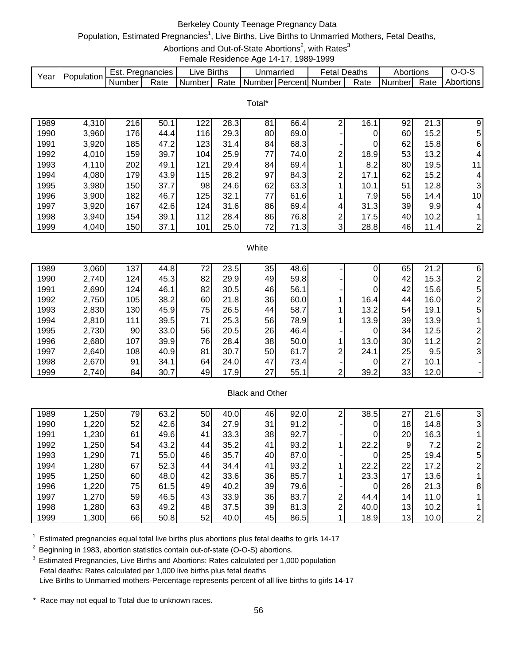# Berkeley County Teenage Pregnancy Data

# Population, Estimated Pregnancies<sup>1</sup>, Live Births, Live Births to Unmarried Mothers, Fetal Deaths,

Abortions and Out-of-State Abortions<sup>2</sup>, with Rates<sup>3</sup>

Female Residence Age 14-17, 1989-1999

|      | Population | Est.   | Pregnancies | _ive   | <b>Births</b> | Unmarried |         | -etal  | Deaths | Abortions      |      |           |
|------|------------|--------|-------------|--------|---------------|-----------|---------|--------|--------|----------------|------|-----------|
| Year |            | Number | Rate        | Number | Rate          | Number    | Percent | Number | Rate   | <b>INumber</b> | Rate | Abortions |

Total\*

| 1989 | 4,310 | 216 | 50.1 | 122 | 28.3 | 81 | 66.4 |   | 16.1 | 92 | 21.3             | 9                      |
|------|-------|-----|------|-----|------|----|------|---|------|----|------------------|------------------------|
| 1990 | 3,960 | 176 | 44.4 | 116 | 29.3 | 80 | 69.0 |   |      | 60 | 15.2             | 51                     |
| 1991 | 3,920 | 185 | 47.2 | 123 | 31.4 | 84 | 68.3 |   | 0    | 62 | 15.8             | 61                     |
| 1992 | 4,010 | 159 | 39.7 | 104 | 25.9 | 77 | 74.0 | ົ | 18.9 | 53 | 13.2             | 4                      |
| 1993 | 4,110 | 202 | 49.1 | 121 | 29.4 | 84 | 69.4 |   | 8.2  | 80 | 19.5             | 11                     |
| 1994 | 4,080 | 179 | 43.9 | 115 | 28.2 | 97 | 84.3 | ⌒ | 17.1 | 62 | 15.2             | 4                      |
| 1995 | 3,980 | 150 | 37.7 | 98  | 24.6 | 62 | 63.3 |   | 10.1 | 51 | 12.8             | 3                      |
| 1996 | 3,900 | 182 | 46.7 | 125 | 32.1 | 77 | 61.6 |   | 7.9  | 56 | 14.4             | 10 <sup>1</sup>        |
| 1997 | 3,920 | 167 | 42.6 | 124 | 31.6 | 86 | 69.4 | 4 | 31.3 | 39 | 9.9 <sub>l</sub> | 4                      |
| 1998 | 3,940 | 154 | 39.1 | 112 | 28.4 | 86 | 76.8 | ົ | 17.5 | 40 | 10.2             |                        |
| 1999 | 4,040 | 150 | 37.1 | 101 | 25.0 | 72 | 71.3 | 3 | 28.8 | 46 | 11.4             | $\mathsf{2}\mathsf{l}$ |

#### **White**

| 1989 | 3,060 | 137 | 44.8 | 72 | 23.5 | 35 | 48.6 |   |      | 65 | 21.2 | 6  |
|------|-------|-----|------|----|------|----|------|---|------|----|------|----|
| 1990 | 2,740 | 124 | 45.3 | 82 | 29.9 | 49 | 59.8 |   |      | 42 | 15.3 |    |
| 1991 | 2,690 | 124 | 46.1 | 82 | 30.5 | 46 | 56.1 |   |      | 42 | 15.6 | 5  |
| 1992 | 2,750 | 105 | 38.2 | 60 | 21.8 | 36 | 60.0 |   | 16.4 | 44 | 16.0 |    |
| 1993 | 2,830 | 130 | 45.9 | 75 | 26.5 | 44 | 58.7 |   | 13.2 | 54 | 19.1 | 5. |
| 1994 | 2,810 | 111 | 39.5 | 71 | 25.3 | 56 | 78.9 |   | 13.9 | 39 | 13.9 |    |
| 1995 | 2,730 | 90  | 33.0 | 56 | 20.5 | 26 | 46.4 |   |      | 34 | 12.5 |    |
| 1996 | 2,680 | 107 | 39.9 | 76 | 28.4 | 38 | 50.0 |   | 13.0 | 30 | 11.2 |    |
| 1997 | 2,640 | 108 | 40.9 | 81 | 30.7 | 50 | 61.7 | ◠ | 24.1 | 25 | 9.5  | 3  |
| 1998 | 2,670 | 91  | 34.1 | 64 | 24.0 | 47 | 73.4 |   |      | 27 | 10.1 |    |
| 1999 | 2,740 | 84  | 30.7 | 49 | 17.9 | 27 | 55.1 | ົ | 39.2 | 33 | 12.0 |    |

### Black and Other

| 1989 | 1,250 | 79 | 63.2 | 50 | 40.0 | 46 | 92.0 |   | 38.5 | 27              | 21.6 |   |
|------|-------|----|------|----|------|----|------|---|------|-----------------|------|---|
| 1990 | 1,220 | 52 | 42.6 | 34 | 27.9 | 31 | 91.2 |   |      | 18              | 14.8 | 3 |
| 1991 | 1,230 | 61 | 49.6 | 41 | 33.3 | 38 | 92.7 |   |      | 20              | 16.3 |   |
| 1992 | 1,250 | 54 | 43.2 | 44 | 35.2 | 41 | 93.2 |   | 22.2 | 9               | 7.2  |   |
| 1993 | 1,290 | 71 | 55.0 | 46 | 35.7 | 40 | 87.0 |   | 0    | 25              | 19.4 | 5 |
| 1994 | 1,280 | 67 | 52.3 | 44 | 34.4 | 41 | 93.2 |   | 22.2 | 22              | 17.2 |   |
| 1995 | 1,250 | 60 | 48.0 | 42 | 33.6 | 36 | 85.7 |   | 23.3 | 17              | 13.6 |   |
| 1996 | 1,220 | 75 | 61.5 | 49 | 40.2 | 39 | 79.6 |   |      | 26              | 21.3 | 8 |
| 1997 | 1,270 | 59 | 46.5 | 43 | 33.9 | 36 | 83.7 | ົ | 44.4 | 14 <sub>1</sub> | 11.0 |   |
| 1998 | 1,280 | 63 | 49.2 | 48 | 37.5 | 39 | 81.3 | ົ | 40.0 | 13 <sub>1</sub> | 10.2 |   |
| 1999 | 1,300 | 66 | 50.8 | 52 | 40.0 | 45 | 86.5 |   | 18.9 | 13              | 10.0 |   |

 $1$  Estimated pregnancies equal total live births plus abortions plus fetal deaths to girls 14-17

<sup>2</sup> Beginning in 1983, abortion statistics contain out-of-state (O-O-S) abortions.

3 Estimated Pregnancies, Live Births and Abortions: Rates calculated per 1,000 population Fetal deaths: Rates calculated per 1,000 live births plus fetal deaths Live Births to Unmarried mothers-Percentage represents percent of all live births to girls 14-17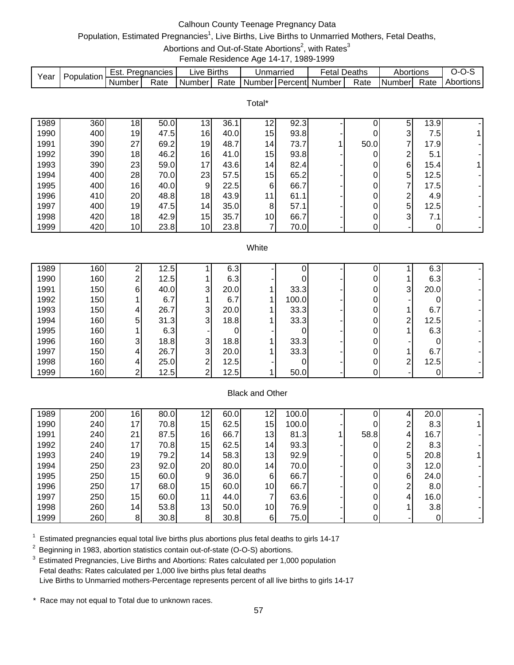# Calhoun County Teenage Pregnancy Data

# Population, Estimated Pregnancies<sup>1</sup>, Live Births, Live Births to Unmarried Mothers, Fetal Deaths,

Abortions and Out-of-State Abortions<sup>2</sup>, with Rates<sup>3</sup>

Female Residence Age 14-17, 1989-1999

|      | Population | ੮st.   | Pregnancies | .ive   | <b>Births</b> | Unmarriec        | -etal  | Deaths | Abortions  |           | ,,,<br>- 75 |
|------|------------|--------|-------------|--------|---------------|------------------|--------|--------|------------|-----------|-------------|
| Year |            | Number | Rate        | Number | Rate          | ⊥NumberTPercentL | Number | Rate   | I Number I | -<br>Rate | Abortions   |

|      |     |    |      |                 |      | Total*          |      |      |                |      |             |
|------|-----|----|------|-----------------|------|-----------------|------|------|----------------|------|-------------|
| 1989 | 360 | 18 | 50.0 | 13              | 36.1 | 12              | 92.3 |      | 5              | 13.9 |             |
| 1990 | 400 | 19 | 47.5 | 16              | 40.0 | 15              | 93.8 |      | $\mathbf{3}$   | 7.5  | $\mathbf 1$ |
| 1991 | 390 | 27 | 69.2 | 19              | 48.7 | 14              | 73.7 | 50.0 | 7              | 17.9 |             |
| 1992 | 390 | 18 | 46.2 | 16              | 41.0 | 15              | 93.8 |      | 2              | 5.1  |             |
| 1993 | 390 | 23 | 59.0 | 17              | 43.6 | 14              | 82.4 |      | $6 \mid$       | 15.4 | $\mathbf 1$ |
| 1994 | 400 | 28 | 70.0 | 23              | 57.5 | 15              | 65.2 |      | 5              | 12.5 | ۰.          |
| 1995 | 400 | 16 | 40.0 | 9               | 22.5 | 6               | 66.7 |      | 7              | 17.5 | ٠           |
| 1996 | 410 | 20 | 48.8 | 18              | 43.9 | 11              | 61.1 |      | 2              | 4.9I | ٠           |
| 1997 | 400 | 19 | 47.5 | 14              | 35.0 | 8               | 57.1 |      | 5              | 12.5 |             |
| 1998 | 420 | 18 | 42.9 | 15              | 35.7 | 10 <sub>l</sub> | 66.7 |      | 3 <sub>l</sub> | 7.1  |             |
| 1999 | 420 | 10 | 23.8 | 10 <sub>1</sub> | 23.8 |                 | 70.0 |      | ۰              |      | ۰.          |

### **White**

| 1989 | 160 |   | 12.5 |   | 6.3  |       |  |   | 6.3  |  |
|------|-----|---|------|---|------|-------|--|---|------|--|
| 1990 | 160 |   | 12.5 |   | 6.3  |       |  |   | 6.3  |  |
| 1991 | 150 | 6 | 40.0 | 3 | 20.0 | 33.3  |  | 3 | 20.0 |  |
| 1992 | 150 |   | 6.7  |   | 6.7  | 100.0 |  |   |      |  |
| 1993 | 150 | 4 | 26.7 | 3 | 20.0 | 33.3  |  |   | 6.7  |  |
| 1994 | 160 | 5 | 31.3 | 3 | 18.8 | 33.3  |  | ⌒ | 12.5 |  |
| 1995 | 160 |   | 6.3  |   |      |       |  |   | 6.3  |  |
| 1996 | 160 | ົ | 18.8 | 3 | 18.8 | 33.3  |  |   |      |  |
| 1997 | 150 | 4 | 26.7 | 3 | 20.0 | 33.3  |  |   | 6.7  |  |
| 1998 | 160 |   | 25.0 | ◠ | 12.5 |       |  | ⌒ | 12.5 |  |
| 1999 | 160 |   | 12.5 | ⌒ | 12.5 | 50.0  |  |   |      |  |

### Black and Other

| 1989 | 200 | 16              | 80.0 | 12              | 60.0 | 12              | 100.0 |      |   | 20.0 |  |
|------|-----|-----------------|------|-----------------|------|-----------------|-------|------|---|------|--|
| 1990 | 240 | 17              | 70.8 | 15              | 62.5 | 15              | 100.0 | 0    | ົ | 8.3  |  |
| 1991 | 240 | 21              | 87.5 | 16              | 66.7 | 13 <sub>1</sub> | 81.3  | 58.8 | 4 | 16.7 |  |
| 1992 | 240 | 17              | 70.8 | 15              | 62.5 | 14 <sub>1</sub> | 93.3  |      | ⌒ | 8.3  |  |
| 1993 | 240 | 19              | 79.2 | 14              | 58.3 | 13              | 92.9  | 0    | 5 | 20.8 |  |
| 1994 | 250 | 23              | 92.0 | 20              | 80.0 | 14              | 70.0  |      | 3 | 12.0 |  |
| 1995 | 250 | 15              | 60.0 | 9               | 36.0 | 6               | 66.7  |      | 6 | 24.0 |  |
| 1996 | 250 | 17              | 68.0 | 15              | 60.0 | 10              | 66.7  |      | ⌒ | 8.0  |  |
| 1997 | 250 | 15              | 60.0 | 11              | 44.0 |                 | 63.6  |      | 4 | 16.0 |  |
| 1998 | 260 | 14 <sub>1</sub> | 53.8 | 13 <sub>1</sub> | 50.0 | 10              | 76.9  |      |   | 3.8  |  |
| 1999 | 260 | 8               | 30.8 | 8               | 30.8 | 6               | 75.0  |      |   |      |  |

 $1$  Estimated pregnancies equal total live births plus abortions plus fetal deaths to girls 14-17

<sup>2</sup> Beginning in 1983, abortion statistics contain out-of-state (O-O-S) abortions.

<sup>3</sup> Estimated Pregnancies, Live Births and Abortions: Rates calculated per 1,000 population Fetal deaths: Rates calculated per 1,000 live births plus fetal deaths Live Births to Unmarried mothers-Percentage represents percent of all live births to girls 14-17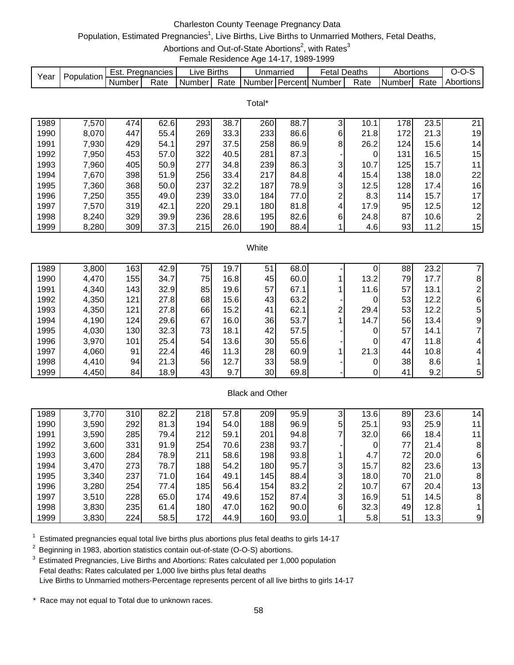# Charleston County Teenage Pregnancy Data

## Population, Estimated Pregnancies<sup>1</sup>, Live Births, Live Births to Unmarried Mothers, Fetal Deaths,

Abortions and Out-of-State Abortions<sup>2</sup>, with Rates<sup>3</sup>

Female Residence Age 14-17, 1989-1999

| Year | Population | ≘st.     | Pregnancies | ∟ive Births |      | Unmarried          | etal   | Deaths | Abortions |      | ,.        |
|------|------------|----------|-------------|-------------|------|--------------------|--------|--------|-----------|------|-----------|
|      |            | . Number | Rate        | Number      | Rate | I Number I Percent | Number | Rate   | Number    | Rate | Abortions |

Total\*

| 1989 | 7,570 | 474 | 62.6 | 293 | 38.7 | 260 | 88.7 | 3 | 10.1 | 178 | 23.5 | 21              |
|------|-------|-----|------|-----|------|-----|------|---|------|-----|------|-----------------|
| 1990 | 8,070 | 447 | 55.4 | 269 | 33.3 | 233 | 86.6 | 6 | 21.8 | 172 | 21.3 | 19              |
| 1991 | 7,930 | 429 | 54.1 | 297 | 37.5 | 258 | 86.9 | 8 | 26.2 | 124 | 15.6 | 14              |
| 1992 | 7,950 | 453 | 57.0 | 322 | 40.5 | 281 | 87.3 |   | 0    | 131 | 16.5 | 15 <sub>1</sub> |
| 1993 | 7,960 | 405 | 50.9 | 277 | 34.8 | 239 | 86.3 | 3 | 10.7 | 125 | 15.7 | 11              |
| 1994 | 7,670 | 398 | 51.9 | 256 | 33.4 | 217 | 84.8 | 4 | 15.4 | 138 | 18.0 | 22              |
| 1995 | 7,360 | 368 | 50.0 | 237 | 32.2 | 187 | 78.9 | 3 | 12.5 | 128 | 17.4 | 16              |
| 1996 | 7,250 | 355 | 49.0 | 239 | 33.0 | 184 | 77.0 | ⌒ | 8.3  | 114 | 15.7 | 17              |
| 1997 | 7,570 | 319 | 42.1 | 220 | 29.1 | 180 | 81.8 | 4 | 17.9 | 95  | 12.5 | 12              |
| 1998 | 8,240 | 329 | 39.9 | 236 | 28.6 | 195 | 82.6 | 6 | 24.8 | 87  | 10.6 | $\overline{2}$  |
| 1999 | 8,280 | 309 | 37.3 | 215 | 26.0 | 190 | 88.4 |   | 4.6  | 93  | 11.2 | 15              |

#### **White**

| 1989 | 3,800 | 1631 | 42.9 | 75 | 19.7 | 51 | 68.0 |   |      | 88 | 23.2 |                |
|------|-------|------|------|----|------|----|------|---|------|----|------|----------------|
| 1990 | 4,470 | 155  | 34.7 | 75 | 16.8 | 45 | 60.0 |   | 13.2 | 79 | 17.7 | 8              |
| 1991 | 4,340 | 143  | 32.9 | 85 | 19.6 | 57 | 67.1 |   | 11.6 | 57 | 13.1 |                |
| 1992 | 4,350 | 121  | 27.8 | 68 | 15.6 | 43 | 63.2 |   |      | 53 | 12.2 | 61             |
| 1993 | 4,350 | 121  | 27.8 | 66 | 15.2 | 41 | 62.1 | ⌒ | 29.4 | 53 | 12.2 | 5              |
| 1994 | 4,190 | 124  | 29.6 | 67 | 16.0 | 36 | 53.7 |   | 14.7 | 56 | 13.4 | 9 <sub>l</sub> |
| 1995 | 4,030 | 130  | 32.3 | 73 | 18.1 | 42 | 57.5 |   |      | 57 | 14.1 |                |
| 1996 | 3,970 | 101  | 25.4 | 54 | 13.6 | 30 | 55.6 |   |      | 47 | 11.8 | 4              |
| 1997 | 4,060 | 91   | 22.4 | 46 | 11.3 | 28 | 60.9 |   | 21.3 | 44 | 10.8 | 4              |
| 1998 | 4,410 | 94   | 21.3 | 56 | 12.7 | 33 | 58.9 |   |      | 38 | 8.6  |                |
| 1999 | 4,450 | 84   | 18.9 | 43 | 9.7  | 30 | 69.8 |   |      | 41 | 9.2  | 5              |

### Black and Other

| 1989 | 3,770 | 310 | 82.2 | 218              | 57.8 | 209 | 95.9 | ົ              | 13.6 | 89 | 23.6 | 14 |
|------|-------|-----|------|------------------|------|-----|------|----------------|------|----|------|----|
| 1990 | 3,590 | 292 | 81.3 | 194.             | 54.0 | 188 | 96.9 | 5              | 25.1 | 93 | 25.9 | 11 |
| 1991 | 3,590 | 285 | 79.4 | 212              | 59.1 | 201 | 94.8 |                | 32.0 | 66 | 18.4 | 11 |
| 1992 | 3,600 | 331 | 91.9 | 254              | 70.6 | 238 | 93.7 |                | 0    | 77 | 21.4 | 8  |
| 1993 | 3,600 | 284 | 78.9 | 211              | 58.6 | 198 | 93.8 |                | 4.7  | 72 | 20.0 | 6  |
| 1994 | 3,470 | 273 | 78.7 | 188              | 54.2 | 180 | 95.7 | 31             | 15.7 | 82 | 23.6 | 13 |
| 1995 | 3,340 | 237 | 71.0 | 164              | 49.1 | 145 | 88.4 | 3 <sub>l</sub> | 18.0 | 70 | 21.0 | 8  |
| 1996 | 3,280 | 254 | 77.4 | 185 <sub>1</sub> | 56.4 | 154 | 83.2 | ົ              | 10.7 | 67 | 20.4 | 13 |
| 1997 | 3,510 | 228 | 65.0 | 174              | 49.6 | 152 | 87.4 | $\mathbf{3}$   | 16.9 | 51 | 14.5 | 8  |
| 1998 | 3,830 | 235 | 61.4 | 180              | 47.0 | 162 | 90.0 | 6              | 32.3 | 49 | 12.8 |    |
| 1999 | 3,830 | 224 | 58.5 | 172              | 44.9 | 160 | 93.0 |                | 5.8  | 51 | 13.3 | 9  |

 $1$  Estimated pregnancies equal total live births plus abortions plus fetal deaths to girls 14-17

2 Beginning in 1983, abortion statistics contain out-of-state (O-O-S) abortions.

<sup>3</sup> Estimated Pregnancies, Live Births and Abortions: Rates calculated per 1,000 population Fetal deaths: Rates calculated per 1,000 live births plus fetal deaths Live Births to Unmarried mothers-Percentage represents percent of all live births to girls 14-17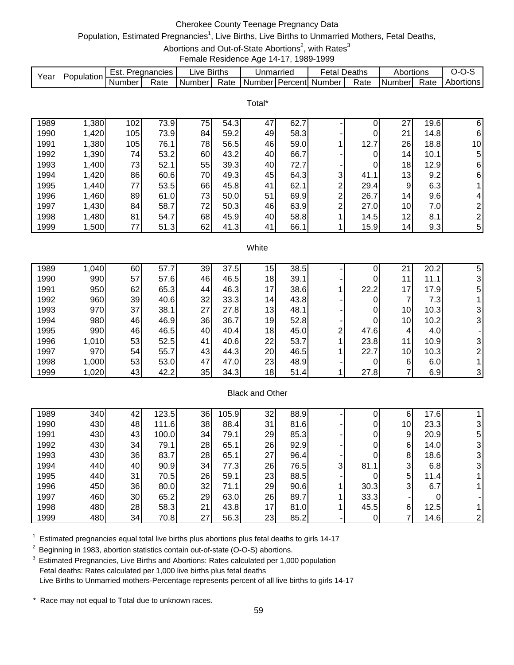# Cherokee County Teenage Pregnancy Data

# Population, Estimated Pregnancies<sup>1</sup>, Live Births, Live Births to Unmarried Mothers, Fetal Deaths,

Abortions and Out-of-State Abortions<sup>2</sup>, with Rates<sup>3</sup>

Female Residence Age 14-17, 1989-1999

|      | Population | ESt.   | Pregnancies | ∟ive   | <b>Births</b> | Unmarried |           | Fetal  | Deaths | Abortions |      | ,,,,      |
|------|------------|--------|-------------|--------|---------------|-----------|-----------|--------|--------|-----------|------|-----------|
| Yeaı |            | Number | Rate        | Number | Rate          | Number    | ⊺PercentI | Number | Rate   | Numberl   | Rate | Abortions |

Total\*

| 1989 | ,380  | 102 | 73.9 | 75 | 54.3 | 47 | 62.7 |   |      | 27              | 19.6 | 6               |
|------|-------|-----|------|----|------|----|------|---|------|-----------------|------|-----------------|
| 1990 | 1,420 | 105 | 73.9 | 84 | 59.2 | 49 | 58.3 |   |      | 21              | 14.8 | 6               |
| 1991 | 1,380 | 105 | 76.1 | 78 | 56.5 | 46 | 59.0 |   | 12.7 | 26              | 18.8 | 10 <sup>1</sup> |
| 1992 | 1,390 | 74  | 53.2 | 60 | 43.2 | 40 | 66.7 |   |      | 14              | 10.1 | 5               |
| 1993 | 1,400 | 73  | 52.1 | 55 | 39.3 | 40 | 72.7 |   |      | 18              | 12.9 | 6               |
| 1994 | 1,420 | 86  | 60.6 | 70 | 49.3 | 45 | 64.3 | 3 | 41.1 | 13              | 9.2  | 6               |
| 1995 | 1,440 | 77  | 53.5 | 66 | 45.8 | 41 | 62.1 | ⌒ | 29.4 | 9               | 6.3  |                 |
| 1996 | 1,460 | 89  | 61.0 | 73 | 50.0 | 51 | 69.9 | ⌒ | 26.7 | 14 <sub>1</sub> | 9.6  | 4               |
| 1997 | 1,430 | 84  | 58.7 | 72 | 50.3 | 46 | 63.9 | ⌒ | 27.0 | 10              | 7.0  | $\overline{2}$  |
| 1998 | 1,480 | 81  | 54.7 | 68 | 45.9 | 40 | 58.8 |   | 14.5 | 12              | 8.1  | $\overline{2}$  |
| 1999 | ,500  | 77  | 51.3 | 62 | 41.3 | 41 | 66.1 |   | 15.9 | 14              | 9.3  | 5               |

#### **White**

| 1989 | 1,040 | 60 | 57.7 | 39 | 37.5 | 15 | 38.5 |   |      | ິ               | 20.2 | 5 |
|------|-------|----|------|----|------|----|------|---|------|-----------------|------|---|
| 1990 | 990   | 57 | 57.6 | 46 | 46.5 | 18 | 39.1 |   |      | 11              | 11.1 |   |
| 1991 | 950   | 62 | 65.3 | 44 | 46.3 | 17 | 38.6 |   | 22.2 | 17.             | 17.9 | 5 |
| 1992 | 960   | 39 | 40.6 | 32 | 33.3 | 14 | 43.8 |   |      |                 | 7.3  |   |
| 1993 | 970   | 37 | 38.1 | 27 | 27.8 | 13 | 48.1 |   |      | 10 <sub>1</sub> | 10.3 |   |
| 1994 | 980   | 46 | 46.9 | 36 | 36.7 | 19 | 52.8 |   |      | 10              | 10.2 | 3 |
| 1995 | 990   | 46 | 46.5 | 40 | 40.4 | 18 | 45.0 | ⌒ | 47.6 | 4               | 4.0  |   |
| 1996 | 1,010 | 53 | 52.5 | 41 | 40.6 | 22 | 53.7 |   | 23.8 | 11.             | 10.9 | 3 |
| 1997 | 970   | 54 | 55.7 | 43 | 44.3 | 20 | 46.5 |   | 22.7 | 10              | 10.3 |   |
| 1998 | 1,000 | 53 | 53.0 | 47 | 47.0 | 23 | 48.9 |   |      | 6               | 6.0  |   |
| 1999 | 1,020 | 43 | 42.2 | 35 | 34.3 | 18 | 51.4 |   | 27.8 |                 | 6.9  | 3 |

### Black and Other

| 1989 | 340 | 42 | 123.5 | 36 | 105.9 | 32 | 88.9 |    |      | 6               | 17.6 |   |
|------|-----|----|-------|----|-------|----|------|----|------|-----------------|------|---|
| 1990 | 430 | 48 | 111.6 | 38 | 88.4  | 31 | 81.6 |    |      | 10 <sub>1</sub> | 23.3 |   |
| 1991 | 430 | 43 | 100.0 | 34 | 79.1  | 29 | 85.3 |    |      | 9               | 20.9 | 5 |
| 1992 | 430 | 34 | 79.1  | 28 | 65.1  | 26 | 92.9 |    |      | 6               | 14.0 |   |
| 1993 | 430 | 36 | 83.7  | 28 | 65.1  | 27 | 96.4 |    | 0    | 8               | 18.6 | 3 |
| 1994 | 440 | 40 | 90.9  | 34 | 77.3  | 26 | 76.5 | 31 | 81.1 | 3               | 6.8  |   |
| 1995 | 440 | 31 | 70.5  | 26 | 59.1  | 23 | 88.5 |    |      | 5               | 11.4 |   |
| 1996 | 450 | 36 | 80.0  | 32 | 71.1  | 29 | 90.6 |    | 30.3 | 3               | 6.7  |   |
| 1997 | 460 | 30 | 65.2  | 29 | 63.0  | 26 | 89.7 |    | 33.3 |                 |      |   |
| 1998 | 480 | 28 | 58.3  | 21 | 43.8  | 17 | 81.0 |    | 45.5 | 6               | 12.5 |   |
| 1999 | 480 | 34 | 70.8  | 27 | 56.3  | 23 | 85.2 |    |      |                 | 14.6 |   |

 $1$  Estimated pregnancies equal total live births plus abortions plus fetal deaths to girls 14-17

<sup>2</sup> Beginning in 1983, abortion statistics contain out-of-state (O-O-S) abortions.

<sup>3</sup> Estimated Pregnancies, Live Births and Abortions: Rates calculated per 1,000 population Fetal deaths: Rates calculated per 1,000 live births plus fetal deaths Live Births to Unmarried mothers-Percentage represents percent of all live births to girls 14-17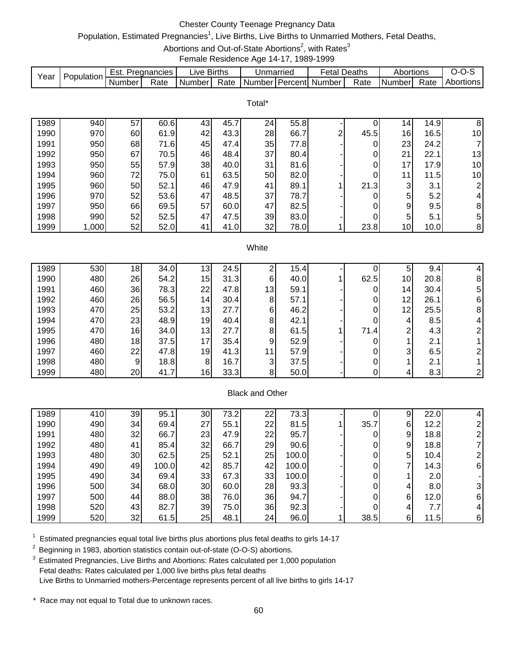# Chester County Teenage Pregnancy Data

## Population, Estimated Pregnancies<sup>1</sup>, Live Births, Live Births to Unmarried Mothers, Fetal Deaths,

Abortions and Out-of-State Abortions<sup>2</sup>, with Rates<sup>3</sup>

Female Residence Age 14-17, 1989-1999

|      |            | ∵ Est. | Pregnancies | ∟ive     | <b>Births</b> | Jnmarried           |                  | -etal  | Deaths | Abortions |      | J-1<br>- 750 |
|------|------------|--------|-------------|----------|---------------|---------------------|------------------|--------|--------|-----------|------|--------------|
| Year | Population | Number | Rate        | Number I | Rate          | Number <sup>1</sup> | <b>I</b> Percent | Number | Rate   | I Numberl | Rate | Abortions    |

|      |       |    |      |    |      | Total* |      |   |                |                 |      |                 |
|------|-------|----|------|----|------|--------|------|---|----------------|-----------------|------|-----------------|
| 1989 | 940   | 57 | 60.6 | 43 | 45.7 | 24     | 55.8 |   |                | 14 <sub>1</sub> | 14.9 | 8               |
| 1990 | 970   | 60 | 61.9 | 42 | 43.3 | 28     | 66.7 | ົ | 45.5           | 16              | 16.5 | 10              |
| 1991 | 950   | 68 | 71.6 | 45 | 47.4 | 35     | 77.8 |   | $\overline{0}$ | 23              | 24.2 |                 |
| 1992 | 950   | 67 | 70.5 | 46 | 48.4 | 37     | 80.4 |   | 0              | 21              | 22.1 | 13              |
| 1993 | 950   | 55 | 57.9 | 38 | 40.0 | 31     | 81.6 |   | 0              | 17              | 17.9 | 10 <sup>1</sup> |
| 1994 | 960   | 72 | 75.0 | 61 | 63.5 | 50     | 82.0 |   | 0              | 11              | 11.5 | 10 <sup>1</sup> |
| 1995 | 960   | 50 | 52.1 | 46 | 47.9 | 41     | 89.1 |   | 21.3           | 3               | 3.1  | 2 <sub>1</sub>  |
| 1996 | 970   | 52 | 53.6 | 47 | 48.5 | 37     | 78.7 |   | $\overline{0}$ | 5               | 5.2  | 4               |
| 1997 | 950   | 66 | 69.5 | 57 | 60.0 | 47     | 82.5 |   | 0              | 9               | 9.5  | 8               |
| 1998 | 990   | 52 | 52.5 | 47 | 47.5 | 39     | 83.0 |   | 0              | 5               | 5.1  | 51              |
| 1999 | 1,000 | 52 | 52.0 | 41 | 41.0 | 32     | 78.0 |   | 23.8           | 10 <sub>1</sub> | 10.0 | 8 <sup>1</sup>  |

### **White**

| 1989 | 530 | 18 <sub>1</sub> | 34.0 | 13'             | 24.5 |    | 15.4 <sub>1</sub> |      | 5               | 9.4  |   |
|------|-----|-----------------|------|-----------------|------|----|-------------------|------|-----------------|------|---|
| 1990 | 480 | 26              | 54.2 | 15              | 31.3 | 6  | 40.0              | 62.5 | 10 <sup>1</sup> | 20.8 | 8 |
| 1991 | 460 | 36              | 78.3 | 22              | 47.8 | 13 | 59.1              |      | 14 <sub>l</sub> | 30.4 | 5 |
| 1992 | 460 | 26              | 56.5 | 14 <sub>1</sub> | 30.4 | 8  | 57.1              |      | 12              | 26.1 | 6 |
| 1993 | 470 | 25              | 53.2 | 13              | 27.7 | 61 | 46.2              |      | 12              | 25.5 | 8 |
| 1994 | 470 | 23              | 48.9 | 19              | 40.4 | 8  | 42.1              |      | 4               | 8.5  |   |
| 1995 | 470 | 16              | 34.0 | 13              | 27.7 | 8  | 61.5              | 71.4 | ◠               | 4.3  |   |
| 1996 | 480 | 18              | 37.5 | 17              | 35.4 | 9  | 52.9              |      |                 | 2.1  |   |
| 1997 | 460 | 22              | 47.8 | 19              | 41.3 | 11 | 57.9              |      | 3               | 6.5  |   |
| 1998 | 480 | 9               | 18.8 | 8               | 16.7 | 3  | 37.5              |      |                 | 2.1  |   |
| 1999 | 480 | 20              | 41.7 | 16              | 33.3 | 8  | 50.0              |      | 4               | 8.3  |   |

### Black and Other

| 1989 | 410 | 39   | 95.   | 30 | 73.2 | 22 | 73.3  |      | 9 | 22.0 |   |
|------|-----|------|-------|----|------|----|-------|------|---|------|---|
| 1990 | 490 | 34 I | 69.4  | 27 | 55.1 | 22 | 81.5  | 35.7 | 6 | 12.2 |   |
| 1991 | 480 | 32   | 66.7  | 23 | 47.9 | 22 | 95.7  |      | 9 | 18.8 |   |
| 1992 | 480 | 41   | 85.4  | 32 | 66.7 | 29 | 90.6  |      | 9 | 18.8 |   |
| 1993 | 480 | 30   | 62.5  | 25 | 52.1 | 25 | 100.0 |      | 5 | 10.4 |   |
| 1994 | 490 | 49   | 100.0 | 42 | 85.7 | 42 | 100.0 |      | ⇁ | 14.3 | 6 |
| 1995 | 490 | 34   | 69.4  | 33 | 67.3 | 33 | 100.0 |      |   | 2.0  |   |
| 1996 | 500 | 34   | 68.0  | 30 | 60.0 | 28 | 93.3  |      | 4 | 8.0  |   |
| 1997 | 500 | 44   | 88.0  | 38 | 76.0 | 36 | 94.7  |      | 6 | 12.0 | 6 |
| 1998 | 520 | 43   | 82.7  | 39 | 75.0 | 36 | 92.3  |      |   | 7.7  | 4 |
| 1999 | 520 | 32   | 61.5  | 25 | 48.1 | 24 | 96.0  | 38.5 | 6 | 11.5 | 6 |

 $1$  Estimated pregnancies equal total live births plus abortions plus fetal deaths to girls 14-17

<sup>2</sup> Beginning in 1983, abortion statistics contain out-of-state (O-O-S) abortions.

<sup>3</sup> Estimated Pregnancies, Live Births and Abortions: Rates calculated per 1,000 population Fetal deaths: Rates calculated per 1,000 live births plus fetal deaths Live Births to Unmarried mothers-Percentage represents percent of all live births to girls 14-17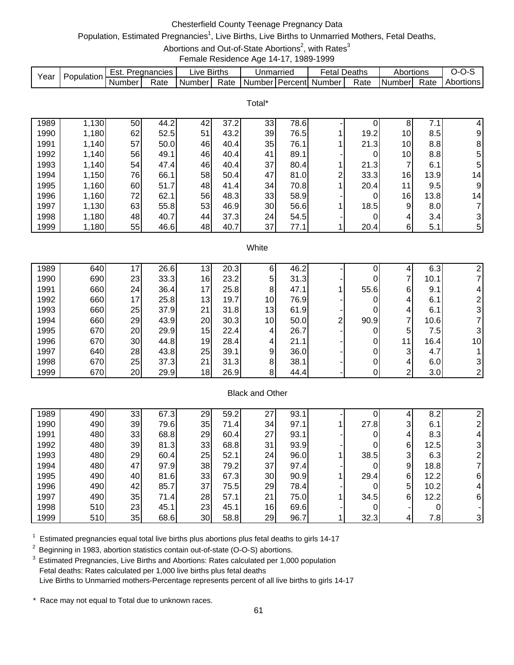# Chesterfield County Teenage Pregnancy Data

# Population, Estimated Pregnancies<sup>1</sup>, Live Births, Live Births to Unmarried Mothers, Fetal Deaths,

Abortions and Out-of-State Abortions<sup>2</sup>, with Rates<sup>3</sup>

Female Residence Age 14-17, 1989-1999

| Year | Population | Est. Pregnancies |      | Live Births | Unmarried | <b>Fetal Deaths</b>              |      | Abortions     |      | 0-0-S       |
|------|------------|------------------|------|-------------|-----------|----------------------------------|------|---------------|------|-------------|
|      |            | <b>Number</b>    | Rate | Number      |           | Rate   Number   Percent   Number | Rate | <b>Number</b> | Rate | Abortions l |
|      |            |                  |      |             |           |                                  |      |               |      |             |
|      |            |                  |      |             | Total*    |                                  |      |               |      |             |

| 1989 | 1,130 | 50 | 44.2 | 42 | 37.2 | 33 | 78.6 |   |      | 8               | 7<br>7.1         | 4              |
|------|-------|----|------|----|------|----|------|---|------|-----------------|------------------|----------------|
| 1990 | 1,180 | 62 | 52.5 | 51 | 43.2 | 39 | 76.5 |   | 19.2 | 10 <sub>1</sub> | 8.5              | 91             |
| 1991 | 1,140 | 57 | 50.0 | 46 | 40.4 | 35 | 76.1 |   | 21.3 | 10              | 8.8              | 8              |
| 1992 | 1,140 | 56 | 49.1 | 46 | 40.4 | 41 | 89.1 |   |      | 10              | 8.8              | 51             |
| 1993 | 1,140 | 54 | 47.4 | 46 | 40.4 | 37 | 80.4 |   | 21.3 | ⇁               | 6.1              | 51             |
| 1994 | 1,150 | 76 | 66.1 | 58 | 50.4 | 47 | 81.0 | ⌒ | 33.3 | 16              | 13.9             | 14             |
| 1995 | 1,160 | 60 | 51.7 | 48 | 41.4 | 34 | 70.8 |   | 20.4 | 11              | 9.5              | 9              |
| 1996 | 1,160 | 72 | 62.1 | 56 | 48.3 | 33 | 58.9 |   |      | 16              | 13.8             | 14             |
| 1997 | 1,130 | 63 | 55.8 | 53 | 46.9 | 30 | 56.6 |   | 18.5 | 9               | 8.0 <sub>l</sub> |                |
| 1998 | 1,180 | 48 | 40.7 | 44 | 37.3 | 24 | 54.5 |   |      | 4               | 3.4              | 31             |
| 1999 | 1,180 | 55 | 46.6 | 48 | 40.7 | 37 | 77.1 |   | 20.4 | 6               | 5.1              | 5 <sup>1</sup> |

#### **White**

| 1989 | 640 | 17              | 26.6 | 3               | 20.3 | ь               | 46.2 |   |      |    | 6.3  |                 |
|------|-----|-----------------|------|-----------------|------|-----------------|------|---|------|----|------|-----------------|
| 1990 | 690 | 23              | 33.3 | 16              | 23.2 | 5               | 31.3 |   |      |    | 10.1 |                 |
| 1991 | 660 | 24              | 36.4 | 17              | 25.8 | 8               | 47.1 |   | 55.6 | 6  | 9.1  |                 |
| 1992 | 660 | 17 <sub>1</sub> | 25.8 | 13 <sub>l</sub> | 19.7 | 10              | 76.9 |   |      | 4  | 6.1  |                 |
| 1993 | 660 | 25              | 37.9 | 21              | 31.8 | 13              | 61.9 |   |      | 4  | 6.1  | 3               |
| 1994 | 660 | 29              | 43.9 | 20              | 30.3 | 10 <sup>1</sup> | 50.0 | ⌒ | 90.9 |    | 10.6 |                 |
| 1995 | 670 | 20              | 29.9 | 15              | 22.4 | 4               | 26.7 |   |      | 5  | 7.5I |                 |
| 1996 | 670 | 30              | 44.8 | 19              | 28.4 | 4               | 21.1 |   |      | 11 | 16.4 | 10 <sub>1</sub> |
| 1997 | 640 | 28              | 43.8 | 25              | 39.1 | 9               | 36.0 |   |      | 3  | 4.7  |                 |
| 1998 | 670 | 25              | 37.3 | 21              | 31.3 | 8               | 38.1 |   |      |    | 6.0  | 3               |
| 1999 | 670 | 20              | 29.9 | 18              | 26.9 | 8               | 44.4 |   |      | ົ  | 3.0  |                 |

### Black and Other

| 1989 | 490 | 33 | 67.3 | 29 | 59.2 | 27 | 93.1 |      |   | 8.2  |   |
|------|-----|----|------|----|------|----|------|------|---|------|---|
| 1990 | 490 | 39 | 79.6 | 35 | 71.4 | 34 | 97.1 | 27.8 | 3 | 6.1  |   |
| 1991 | 480 | 33 | 68.8 | 29 | 60.4 | 27 | 93.1 |      |   | 8.3  | 4 |
| 1992 | 480 | 39 | 81.3 | 33 | 68.8 | 31 | 93.9 | 0    | 6 | 12.5 |   |
| 1993 | 480 | 29 | 60.4 | 25 | 52.1 | 24 | 96.0 | 38.5 | 3 | 6.3  |   |
| 1994 | 480 | 47 | 97.9 | 38 | 79.2 | 37 | 97.4 |      | 9 | 18.8 |   |
| 1995 | 490 | 40 | 81.6 | 33 | 67.3 | 30 | 90.9 | 29.4 | 6 | 12.2 | 6 |
| 1996 | 490 | 42 | 85.7 | 37 | 75.5 | 29 | 78.4 |      | 5 | 10.2 |   |
| 1997 | 490 | 35 | 71.4 | 28 | 57.1 | 21 | 75.0 | 34.5 | 6 | 12.2 | 6 |
| 1998 | 510 | 23 | 45.1 | 23 | 45.1 | 16 | 69.6 |      |   |      |   |
| 1999 | 510 | 35 | 68.6 | 30 | 58.8 | 29 | 96.7 | 32.3 |   | 7.8  |   |

 $1$  Estimated pregnancies equal total live births plus abortions plus fetal deaths to girls 14-17

<sup>2</sup> Beginning in 1983, abortion statistics contain out-of-state (O-O-S) abortions.

<sup>3</sup> Estimated Pregnancies, Live Births and Abortions: Rates calculated per 1,000 population Fetal deaths: Rates calculated per 1,000 live births plus fetal deaths Live Births to Unmarried mothers-Percentage represents percent of all live births to girls 14-17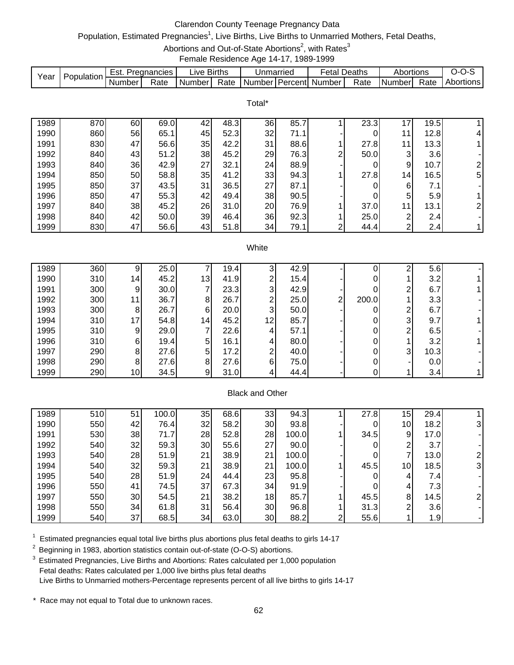# Clarendon County Teenage Pregnancy Data

## Population, Estimated Pregnancies<sup>1</sup>, Live Births, Live Births to Unmarried Mothers, Fetal Deaths,

Abortions and Out-of-State Abortions<sup>2</sup>, with Rates<sup>3</sup>

Female Residence Age 14-17, 1989-1999

|      | Population | ESI.   | Pregnancies | ∟l∨e ˈ   | <b>Births</b> | Unmarried |                | etal   | Deaths | Abortions |      | ,,,              |
|------|------------|--------|-------------|----------|---------------|-----------|----------------|--------|--------|-----------|------|------------------|
| Year |            | Number | Rate        | Number I | Rate          | Number    | <b>Percent</b> | Number | Rate   | I Numberl | Rate | <b>Abortions</b> |

|      |     |    |      |    |      | Total* |      |   |      |                 |      |                |
|------|-----|----|------|----|------|--------|------|---|------|-----------------|------|----------------|
| 1989 | 870 | 60 | 69.0 | 42 | 48.3 | 36     | 85.7 |   | 23.3 | 17              | 19.5 |                |
| 1990 | 860 | 56 | 65.1 | 45 | 52.3 | 32     | 71.1 |   | 0    | 11              | 12.8 | 4              |
| 1991 | 830 | 47 | 56.6 | 35 | 42.2 | 31     | 88.6 |   | 27.8 | 11              | 13.3 |                |
| 1992 | 840 | 43 | 51.2 | 38 | 45.2 | 29     | 76.3 | ົ | 50.0 | 3               | 3.6  |                |
| 1993 | 840 | 36 | 42.9 | 27 | 32.1 | 24     | 88.9 |   | 0    | 9               | 10.7 | $\overline{2}$ |
| 1994 | 850 | 50 | 58.8 | 35 | 41.2 | 33     | 94.3 |   | 27.8 | 14 <sub>1</sub> | 16.5 | 5 <sub>l</sub> |
| 1995 | 850 | 37 | 43.5 | 31 | 36.5 | 27     | 87.1 |   |      | 6               | 7.1  |                |
| 1996 | 850 | 47 | 55.3 | 42 | 49.4 | 38     | 90.5 |   |      | 5               | 5.9  |                |
| 1997 | 840 | 38 | 45.2 | 26 | 31.0 | 20     | 76.9 |   | 37.0 | 11              | 13.1 | $\overline{2}$ |
| 1998 | 840 | 42 | 50.0 | 39 | 46.4 | 36     | 92.3 |   | 25.0 | 2               | 2.4  |                |
| 1999 | 830 | 47 | 56.6 | 43 | 51.8 | 34     | 79.1 | ົ | 44.4 | 2               | 2.4  |                |

#### **White**

| 1989 | 360 | 9               | 25.0 |                 | 19.4 <sub>1</sub> |    | 42.9 |   |       |   | 5.6  |  |
|------|-----|-----------------|------|-----------------|-------------------|----|------|---|-------|---|------|--|
| 1990 | 310 | 14              | 45.2 | 13              | 41.9              | ⌒  | 15.4 |   |       |   | 3.2  |  |
| 1991 | 300 | 91              | 30.0 |                 | 23.3              | 3  | 42.9 |   |       | ◠ | 6.7  |  |
| 1992 | 300 | 11              | 36.7 | 8               | 26.7              | ◠  | 25.0 | ⌒ | 200.0 |   | 3.3  |  |
| 1993 | 300 | 81              | 26.7 | 6               | 20.0              | 3  | 50.0 |   |       | ົ | 6.7  |  |
| 1994 | 310 | 17 <sup>1</sup> | 54.8 | 14 <sub>1</sub> | 45.2              | 12 | 85.7 |   |       | 3 | 9.7  |  |
| 1995 | 310 | 9 <sub>l</sub>  | 29.0 |                 | 22.6              | 4  | 57.1 |   |       | ⌒ | 6.5  |  |
| 1996 | 310 | 61              | 19.4 | 5               | 16.1              | 4  | 80.0 |   |       |   | 3.2  |  |
| 1997 | 290 | 81              | 27.6 | 5               | 17.2              | ◠  | 40.0 |   |       | 3 | 10.3 |  |
| 1998 | 290 | 81              | 27.6 | 8               | 27.6              | 6  | 75.0 |   |       |   | 0.0  |  |
| 1999 | 290 | 10 <sup>1</sup> | 34.5 |                 | 31.0              |    | 44.4 |   |       |   | 3.4  |  |

### Black and Other

| 1989 | 510 | 51 | 100.0 | 35 | 68.6 | 33 | 94.3  |   | 27.8 | 15              | 29.4 |  |
|------|-----|----|-------|----|------|----|-------|---|------|-----------------|------|--|
| 1990 | 550 | 42 | 76.4  | 32 | 58.2 | 30 | 93.8  |   |      | 10              | 18.2 |  |
| 1991 | 530 | 38 | 71.7  | 28 | 52.8 | 28 | 100.0 |   | 34.5 | 9               | 17.0 |  |
| 1992 | 540 | 32 | 59.3  | 30 | 55.6 | 27 | 90.0  |   |      | ⌒               | 3.7  |  |
| 1993 | 540 | 28 | 51.9  | 21 | 38.9 | 21 | 100.0 |   |      | ⇁               | 13.0 |  |
| 1994 | 540 | 32 | 59.3  | 21 | 38.9 | 21 | 100.0 |   | 45.5 | 10 <sub>1</sub> | 18.5 |  |
| 1995 | 540 | 28 | 51.9  | 24 | 44.4 | 23 | 95.8  |   |      |                 | 7.4  |  |
| 1996 | 550 | 41 | 74.5  | 37 | 67.3 | 34 | 91.9  |   |      |                 | 7.3  |  |
| 1997 | 550 | 30 | 54.5  | 21 | 38.2 | 18 | 85.7  |   | 45.5 | 8               | 14.5 |  |
| 1998 | 550 | 34 | 61.8  | 31 | 56.4 | 30 | 96.8  |   | 31.3 | ⌒               | 3.6  |  |
| 1999 | 540 | 37 | 68.5  | 34 | 63.0 | 30 | 88.2  | ⌒ | 55.6 |                 | 1.9  |  |

 $1$  Estimated pregnancies equal total live births plus abortions plus fetal deaths to girls 14-17

<sup>2</sup> Beginning in 1983, abortion statistics contain out-of-state (O-O-S) abortions.

3 Estimated Pregnancies, Live Births and Abortions: Rates calculated per 1,000 population Fetal deaths: Rates calculated per 1,000 live births plus fetal deaths Live Births to Unmarried mothers-Percentage represents percent of all live births to girls 14-17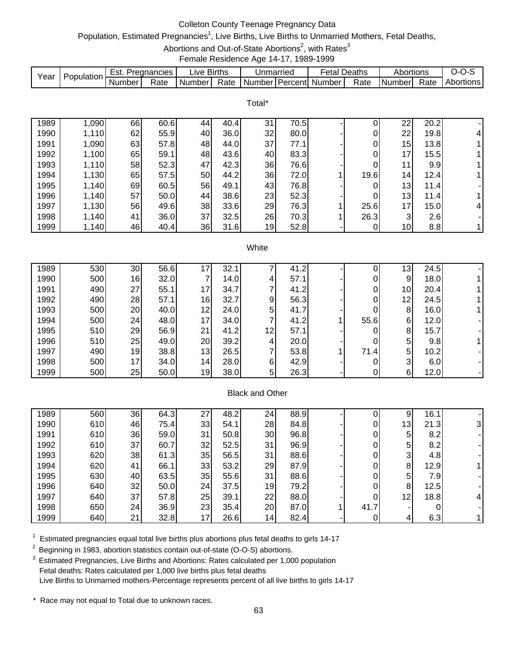# Colleton County Teenage Pregnancy Data

## Population, Estimated Pregnancies<sup>1</sup>, Live Births, Live Births to Unmarried Mothers, Fetal Deaths,

Abortions and Out-of-State Abortions<sup>2</sup>, with Rates<sup>3</sup>

Female Residence Age 14-17, 1989-1999

|      | Population. | Est.     | Pregnancies | ∟lVe ′ | <b>Births</b> | Unmarriec           | -etal    | Deaths | Abortions |      | $I - 1$   |
|------|-------------|----------|-------------|--------|---------------|---------------------|----------|--------|-----------|------|-----------|
| Year |             | . Number | Rate        | Number | Rate          | l Number l Percentl | . Number | Rate   | l Numberl | Rate | Abortions |

|      |       |    |      |    |      | Total* |      |      |                 |      |    |
|------|-------|----|------|----|------|--------|------|------|-----------------|------|----|
| 1989 | 1,090 | 66 | 60.6 | 44 | 40.4 | 31     | 70.5 |      | 22              | 20.2 | ۰. |
| 1990 | 1,110 | 62 | 55.9 | 40 | 36.0 | 32     | 80.0 | 0    | 22              | 19.8 | 4  |
| 1991 | 1,090 | 63 | 57.8 | 48 | 44.0 | 37     | 77.1 | 0    | 15              | 13.8 |    |
| 1992 | 1,100 | 65 | 59.1 | 48 | 43.6 | 40     | 83.3 | 0    | 17              | 15.5 |    |
| 1993 | 1,110 | 58 | 52.3 | 47 | 42.3 | 36     | 76.6 |      | 11              | 9.9  |    |
| 1994 | 1,130 | 65 | 57.5 | 50 | 44.2 | 36     | 72.0 | 19.6 | 14              | 12.4 |    |
| 1995 | 1,140 | 69 | 60.5 | 56 | 49.1 | 43     | 76.8 | 0    | 13              | 11.4 |    |
| 1996 | 1,140 | 57 | 50.0 | 44 | 38.6 | 23     | 52.3 | 0    | 13              | 11.4 |    |
| 1997 | 1,130 | 56 | 49.6 | 38 | 33.6 | 29     | 76.3 | 25.6 | 17              | 15.0 | 4  |
| 1998 | 1,140 | 41 | 36.0 | 37 | 32.5 | 26     | 70.3 | 26.3 | 3               | 2.6  |    |
| 1999 | 1,140 | 46 | 40.4 | 36 | 31.6 | 19     | 52.8 |      | 10 <sub>l</sub> | 8.8  |    |

### **White**

| 1989 | 530 | 30 | 56.6 |    | 32.  |                | 41.2 |      | 13 | 24.5 |  |
|------|-----|----|------|----|------|----------------|------|------|----|------|--|
| 1990 | 500 | 16 | 32.0 |    | 14.0 | 4              | 57.1 |      | 9  | 18.0 |  |
| 1991 | 490 | 27 | 55.1 | 17 | 34.7 |                | 41.2 |      | 10 | 20.4 |  |
| 1992 | 490 | 28 | 57.1 | 16 | 32.7 | 9              | 56.3 |      | 12 | 24.5 |  |
| 1993 | 500 | 20 | 40.0 | 12 | 24.0 | 5 <sup>1</sup> | 41.7 |      | 8  | 16.0 |  |
| 1994 | 500 | 24 | 48.0 | 17 | 34.0 |                | 41.2 | 55.6 | 6  | 12.0 |  |
| 1995 | 510 | 29 | 56.9 | 21 | 41.2 | 12             | 57.1 |      | 8  | 15.7 |  |
| 1996 | 510 | 25 | 49.0 | 20 | 39.2 | 4              | 20.0 |      | 5  | 9.8  |  |
| 1997 | 490 | 19 | 38.8 | 13 | 26.5 |                | 53.8 | 71.4 | 5  | 10.2 |  |
| 1998 | 500 | 17 | 34.0 | 14 | 28.0 | 6              | 42.9 |      | 3  | 6.0  |  |
| 1999 | 500 | 25 | 50.0 | 19 | 38.0 | 5              | 26.3 |      | 6  | 12.0 |  |

### Black and Other

| 1989 | 560 | 36 | 64.3 | 27 | 48.2 | 24  | 88.9 |      | 9               | 16.1 |   |
|------|-----|----|------|----|------|-----|------|------|-----------------|------|---|
| 1990 | 610 | 46 | 75.4 | 33 | 54.1 | 28  | 84.8 |      | 13 <sub>l</sub> | 21.3 |   |
| 1991 | 610 | 36 | 59.0 | 31 | 50.8 | 30  | 96.8 |      | 5               | 8.2  |   |
| 1992 | 610 | 37 | 60.7 | 32 | 52.5 | 31  | 96.9 |      | 5               | 8.2  |   |
| 1993 | 620 | 38 | 61.3 | 35 | 56.5 | 31  | 88.6 |      | 3               | 4.8  |   |
| 1994 | 620 | 41 | 66.1 | 33 | 53.2 | 29  | 87.9 |      | 8               | 12.9 |   |
| 1995 | 630 | 40 | 63.5 | 35 | 55.6 | 31  | 88.6 |      | 5               | 7.9  |   |
| 1996 | 640 | 32 | 50.0 | 24 | 37.5 | 19  | 79.2 |      | 8               | 12.5 |   |
| 1997 | 640 | 37 | 57.8 | 25 | 39.1 | 22  | 88.0 |      | 12 <sub>1</sub> | 18.8 | 4 |
| 1998 | 650 | 24 | 36.9 | 23 | 35.4 | 20  | 87.0 | 41.7 |                 |      |   |
| 1999 | 640 | 21 | 32.8 | 17 | 26.6 | 14, | 82.4 |      |                 | 6.3  |   |

 $1$  Estimated pregnancies equal total live births plus abortions plus fetal deaths to girls 14-17

<sup>2</sup> Beginning in 1983, abortion statistics contain out-of-state (O-O-S) abortions.

<sup>3</sup> Estimated Pregnancies, Live Births and Abortions: Rates calculated per 1,000 population Fetal deaths: Rates calculated per 1,000 live births plus fetal deaths Live Births to Unmarried mothers-Percentage represents percent of all live births to girls 14-17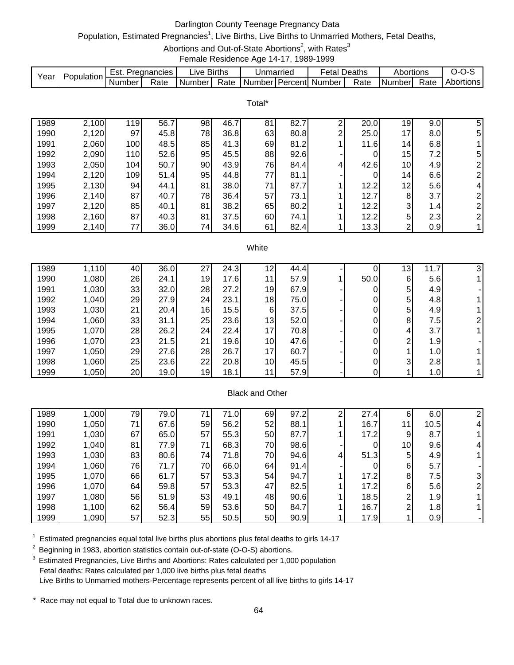# Darlington County Teenage Pregnancy Data

## Population, Estimated Pregnancies<sup>1</sup>, Live Births, Live Births to Unmarried Mothers, Fetal Deaths,

Abortions and Out-of-State Abortions<sup>2</sup>, with Rates<sup>3</sup>

Female Residence Age 14-17, 1989-1999

|      | Population | ESL.   | Pregnancies | ∟ive   | <b>Births</b> | Unmarriec          | -etal  | Deaths | Abortions |      | $\overline{ }$ |
|------|------------|--------|-------------|--------|---------------|--------------------|--------|--------|-----------|------|----------------|
| Year |            | Number | Rate        | Number | Rate          | Number I Percent I | Number | Rate   | Numberl   | Rate | Abortions      |

|      |       |     |      |    |      | Total* |      |   |      |                 |     |                |
|------|-------|-----|------|----|------|--------|------|---|------|-----------------|-----|----------------|
| 1989 | 2,100 | 119 | 56.7 | 98 | 46.7 | 81     | 82.7 | ⌒ | 20.0 | 19              | 9.0 |                |
|      |       |     |      |    |      |        |      | ⌒ |      |                 |     | 5              |
| 1990 | 2,120 | 97  | 45.8 | 78 | 36.8 | 63     | 80.8 |   | 25.0 | 17 <sub>1</sub> | 8.0 | 5              |
| 1991 | 2,060 | 100 | 48.5 | 85 | 41.3 | 69     | 81.2 |   | 11.6 | 14 <sub>l</sub> | 6.8 |                |
| 1992 | 2,090 | 110 | 52.6 | 95 | 45.5 | 88     | 92.6 |   | 0    | 15              | 7.2 | 5 <sup>1</sup> |
| 1993 | 2,050 | 104 | 50.7 | 90 | 43.9 | 76     | 84.4 | 4 | 42.6 | 10 <sub>l</sub> | 4.9 | $\overline{2}$ |
| 1994 | 2,120 | 109 | 51.4 | 95 | 44.8 | 77     | 81.1 |   | 0    | 14              | 6.6 | 2              |
| 1995 | 2,130 | 94  | 44.1 | 81 | 38.0 | 71     | 87.7 |   | 12.2 | 12              | 5.6 | 4              |
| 1996 | 2,140 | 87  | 40.7 | 78 | 36.4 | 57     | 73.1 |   | 12.7 | 8               | 3.7 | $\overline{2}$ |
| 1997 | 2,120 | 85  | 40.1 | 81 | 38.2 | 65     | 80.2 |   | 12.2 | 3               | 1.4 | 2              |
| 1998 | 2,160 | 87  | 40.3 | 81 | 37.5 | 60     | 74.1 |   | 12.2 | 5               | 2.3 | 2 <sub>l</sub> |
| 1999 | 2,140 | 77  | 36.0 | 74 | 34.6 | 61     | 82.4 |   | 13.3 | 2               | 0.9 |                |

#### **White**

| 1989 | 1,110 | 40 | 36.0 | ົ<br>ے | 24.3 | 12              | 44.4 |      | Ι3 | 11.7             | 3 |
|------|-------|----|------|--------|------|-----------------|------|------|----|------------------|---|
| 1990 | 1,080 | 26 | 24.1 | 19     | 17.6 | 11              | 57.9 | 50.0 | 6  | 5.6              |   |
| 1991 | 1,030 | 33 | 32.0 | 28     | 27.2 | 19              | 67.9 |      | 5  | 4.9              |   |
| 1992 | 1,040 | 29 | 27.9 | 24     | 23.1 | 18              | 75.0 |      | 5  | 4.8              |   |
| 1993 | 1,030 | 21 | 20.4 | 16     | 15.5 | $6 \mid$        | 37.5 |      | 5  | 4.9              |   |
| 1994 | 1,060 | 33 | 31.1 | 25     | 23.6 | 13              | 52.0 |      | 8  | 7.5              |   |
| 1995 | 1,070 | 28 | 26.2 | 24     | 22.4 | 17              | 70.8 |      | 4  | 3.7              |   |
| 1996 | 1,070 | 23 | 21.5 | 21     | 19.6 | 10 <sub>l</sub> | 47.6 |      | ົ  | 1.9              |   |
| 1997 | 1,050 | 29 | 27.6 | 28     | 26.7 | 17              | 60.7 |      |    | 1.0 <sub>l</sub> |   |
| 1998 | 1,060 | 25 | 23.6 | 22     | 20.8 | 10 <sub>l</sub> | 45.5 |      | 3  | 2.8              |   |
| 1999 | 1,050 | 20 | 19.0 | 19     | 18.1 | 11 <sub>1</sub> | 57.9 |      |    | 1.0              |   |

### Black and Other

| 1989 | 1,000 | 79 | 79.0 | 71 | 71.0 | 69  | 97.2 |   | 27.4 | 6               | 6.0  |   |
|------|-------|----|------|----|------|-----|------|---|------|-----------------|------|---|
| 1990 | 1,050 | 71 | 67.6 | 59 | 56.2 | 52  | 88.1 |   | 16.7 |                 | 10.5 |   |
| 1991 | 1,030 | 67 | 65.0 | 57 | 55.3 | 50  | 87.7 |   | 17.2 | 9               | 8.7  |   |
| 1992 | 1,040 | 81 | 77.9 | 71 | 68.3 | 70  | 98.6 |   | 0    | 10 <sup>1</sup> | 9.6  | 4 |
| 1993 | 1,030 | 83 | 80.6 | 74 | 71.8 | 70  | 94.6 | 4 | 51.3 | 5               | 4.9  |   |
| 1994 | 1,060 | 76 | 71.7 | 70 | 66.0 | 64  | 91.4 |   |      | $6 \,$          | 5.7  |   |
| 1995 | 1,070 | 66 | 61.7 | 57 | 53.3 | 54I | 94.7 |   | 17.2 | 8               | 7.5  |   |
| 1996 | 1,070 | 64 | 59.8 | 57 | 53.3 | 47  | 82.5 |   | 17.2 | 6               | 5.6  |   |
| 1997 | 1,080 | 56 | 51.9 | 53 | 49.1 | 48  | 90.6 |   | 18.5 | っ               | 1.9  |   |
| 1998 | 1,100 | 62 | 56.4 | 59 | 53.6 | 50  | 84.7 |   | 16.7 | ⌒               | 1.8  |   |
| 1999 | 1,090 | 57 | 52.3 | 55 | 50.5 | 50  | 90.9 |   | 17.9 |                 | 0.9  |   |

 $1$  Estimated pregnancies equal total live births plus abortions plus fetal deaths to girls 14-17

<sup>2</sup> Beginning in 1983, abortion statistics contain out-of-state (O-O-S) abortions.

<sup>3</sup> Estimated Pregnancies, Live Births and Abortions: Rates calculated per 1,000 population Fetal deaths: Rates calculated per 1,000 live births plus fetal deaths Live Births to Unmarried mothers-Percentage represents percent of all live births to girls 14-17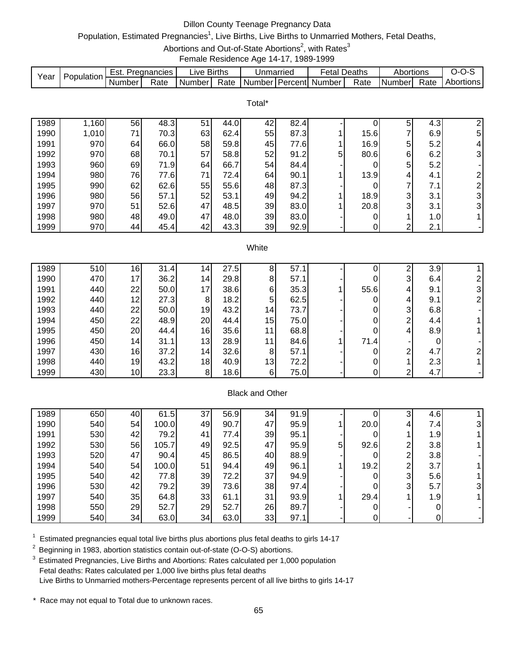# Dillon County Teenage Pregnancy Data

## Population, Estimated Pregnancies<sup>1</sup>, Live Births, Live Births to Unmarried Mothers, Fetal Deaths,

Abortions and Out-of-State Abortions<sup>2</sup>, with Rates<sup>3</sup>

Female Residence Age 14-17, 1989-1999

|      | Population | Est.   | Pregnancies | ∟ive Births |      | Unmarried |            | <b>Fetal Deaths</b> |      | Abortions |      | ∵~∪<br>   |
|------|------------|--------|-------------|-------------|------|-----------|------------|---------------------|------|-----------|------|-----------|
| Year |            | Number | Rate        | Number      | Rate | Numberl   | l Percentl | Number              | Rate | Number    | Rate | Abortions |

Total\*

| 1989 | ,160  | 56 | 48.3 | 51 | 44.0 | 42 | 82.4 |   |      | 5      | 4.3 |    |
|------|-------|----|------|----|------|----|------|---|------|--------|-----|----|
| 1990 | 1,010 | 71 | 70.3 | 63 | 62.4 | 55 | 87.3 |   | 15.6 |        | 6.9 | 5  |
| 1991 | 970   | 64 | 66.0 | 58 | 59.8 | 45 | 77.6 |   | 16.9 | 5      | 5.2 | 4  |
| 1992 | 970   | 68 | 70.1 | 57 | 58.8 | 52 | 91.2 | 5 | 80.6 | 6      | 6.2 | 3  |
| 1993 | 960   | 69 | 71.9 | 64 | 66.7 | 54 | 84.4 |   |      | 5      | 5.2 |    |
| 1994 | 980   | 76 | 77.6 | 71 | 72.4 | 64 | 90.1 |   | 13.9 | 4      | 4.1 | ົ  |
| 1995 | 990   | 62 | 62.6 | 55 | 55.6 | 48 | 87.3 |   |      | ⇁      | 7.1 |    |
| 1996 | 980   | 56 | 57.1 | 52 | 53.1 | 49 | 94.2 |   | 18.9 | 3      | 3.1 | 31 |
| 1997 | 970   | 51 | 52.6 | 47 | 48.5 | 39 | 83.0 |   | 20.8 | 3      | 3.1 | 31 |
| 1998 | 980   | 48 | 49.0 | 47 | 48.0 | 39 | 83.0 |   |      |        | 1.0 |    |
| 1999 | 970   | 44 | 45.4 | 42 | 43.3 | 39 | 92.9 |   | 0    | ◠<br>∠ | 2.1 |    |

#### **White**

| 1989 | 510 | 16              | 31.4 | $\overline{4}$  | 27.5 | 8               | 57.7 |      |   | 3.9 |   |
|------|-----|-----------------|------|-----------------|------|-----------------|------|------|---|-----|---|
| 1990 | 470 | 17 <sub>1</sub> | 36.2 | 14 <sub>1</sub> | 29.8 | 8               | 57.1 |      | 3 | 6.4 |   |
| 1991 | 440 | $22 \,$         | 50.0 | 17              | 38.6 | 6               | 35.3 | 55.6 | 4 | 9.1 | 3 |
| 1992 | 440 | 12 <sub>1</sub> | 27.3 | 8               | 18.2 | 5               | 62.5 |      | 4 | 9.1 |   |
| 1993 | 440 | 22              | 50.0 | 19              | 43.2 | 14              | 73.7 |      | 3 | 6.8 |   |
| 1994 | 450 | 22              | 48.9 | 20              | 44.4 | 15              | 75.0 |      | ົ | 4.4 |   |
| 1995 | 450 | 20              | 44.4 | 16              | 35.6 | 11              | 68.8 |      | 4 | 8.9 |   |
| 1996 | 450 | 14 <sub>1</sub> | 31.1 | 13              | 28.9 | 11              | 84.6 | 71.4 |   |     |   |
| 1997 | 430 | 16              | 37.2 | 14              | 32.6 | 8               | 57.1 |      | ົ | 4.7 |   |
| 1998 | 440 | 19              | 43.2 | 18              | 40.9 | 13 <sub>1</sub> | 72.2 |      |   | 2.3 |   |
| 1999 | 430 | 10 <sub>l</sub> | 23.3 | 8               | 18.6 | 6               | 75.0 |      | ⌒ | 4.7 |   |

### Black and Other

| 1989 | 650 | 40 | 61.5  | 37 | 56.9 | 34 | 91.9 |   |      | ົ | 4.6              |  |
|------|-----|----|-------|----|------|----|------|---|------|---|------------------|--|
| 1990 | 540 | 54 | 100.0 | 49 | 90.7 | 47 | 95.9 |   | 20.0 |   | 7.4              |  |
| 1991 | 530 | 42 | 79.2  | 41 | 77.4 | 39 | 95.1 |   |      |   | .9'<br>4         |  |
| 1992 | 530 | 56 | 105.7 | 49 | 92.5 | 47 | 95.9 | 5 | 92.6 | ◠ | 3.8              |  |
| 1993 | 520 | 47 | 90.4  | 45 | 86.5 | 40 | 88.9 |   |      | ◠ | 3.8 <sub>l</sub> |  |
| 1994 | 540 | 54 | 100.0 | 51 | 94.4 | 49 | 96.1 |   | 19.2 | ⌒ | 3.7              |  |
| 1995 | 540 | 42 | 77.8  | 39 | 72.2 | 37 | 94.9 |   |      | 3 | 5.6              |  |
| 1996 | 530 | 42 | 79.2  | 39 | 73.6 | 38 | 97.4 |   |      | 3 | 5.7              |  |
| 1997 | 540 | 35 | 64.8  | 33 | 61.1 | 31 | 93.9 |   | 29.4 |   | 1.9              |  |
| 1998 | 550 | 29 | 52.7  | 29 | 52.7 | 26 | 89.7 |   |      |   |                  |  |
| 1999 | 540 | 34 | 63.0  | 34 | 63.0 | 33 | 97.1 |   |      |   |                  |  |

 $1$  Estimated pregnancies equal total live births plus abortions plus fetal deaths to girls 14-17

<sup>2</sup> Beginning in 1983, abortion statistics contain out-of-state (O-O-S) abortions.

<sup>3</sup> Estimated Pregnancies, Live Births and Abortions: Rates calculated per 1,000 population Fetal deaths: Rates calculated per 1,000 live births plus fetal deaths Live Births to Unmarried mothers-Percentage represents percent of all live births to girls 14-17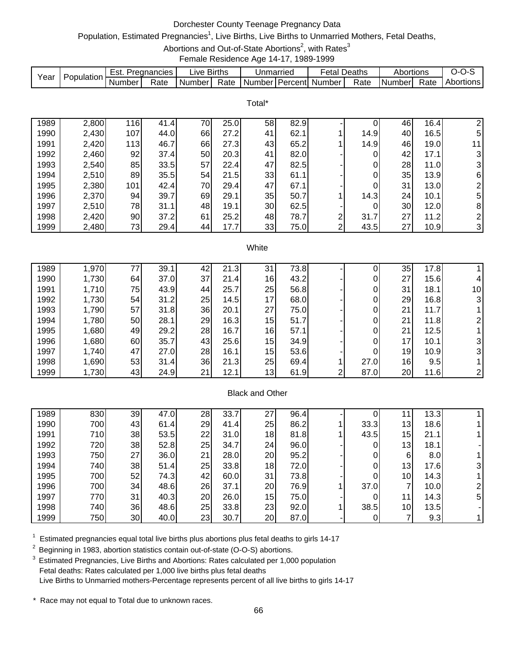# Dorchester County Teenage Pregnancy Data

## Population, Estimated Pregnancies<sup>1</sup>, Live Births, Live Births to Unmarried Mothers, Fetal Deaths,

Abortions and Out-of-State Abortions<sup>2</sup>, with Rates<sup>3</sup>

Female Residence Age 14-17, 1989-1999

|      | Population | Est.   | Pregnancies | ∟ive   | <b>Births</b> | Unmarriec           |         | ∙etal  | Deaths | Abortions |      | $I - 1$   |
|------|------------|--------|-------------|--------|---------------|---------------------|---------|--------|--------|-----------|------|-----------|
| Year |            | Number | Rate        | Number | Rate          | Number <sup>1</sup> | Percent | Number | Rate   | Number    | Rate | Abortions |

|      |       |     |      |    |      | Total* |      |   |      |    |      |                |
|------|-------|-----|------|----|------|--------|------|---|------|----|------|----------------|
| 1989 | 2,800 | 116 | 41.4 | 70 | 25.0 | 58     | 82.9 |   |      | 46 | 16.4 | 2              |
| 1990 | 2,430 | 107 | 44.0 | 66 | 27.2 | 41     | 62.1 |   | 14.9 | 40 | 16.5 | 5              |
| 1991 | 2,420 | 113 | 46.7 | 66 | 27.3 | 43     | 65.2 |   | 14.9 | 46 | 19.0 | 11             |
| 1992 | 2,460 | 92  | 37.4 | 50 | 20.3 | 41     | 82.0 |   | 0    | 42 | 17.1 | 3 <sub>l</sub> |
| 1993 | 2,540 | 85  | 33.5 | 57 | 22.4 | 47     | 82.5 |   | 0    | 28 | 11.0 | 3 <sup>1</sup> |
| 1994 | 2,510 | 89  | 35.5 | 54 | 21.5 | 33     | 61.1 |   | 0    | 35 | 13.9 | 6              |
| 1995 | 2,380 | 101 | 42.4 | 70 | 29.4 | 47     | 67.1 |   |      | 31 | 13.0 | $\overline{2}$ |
| 1996 | 2,370 | 94  | 39.7 | 69 | 29.1 | 35     | 50.7 |   | 14.3 | 24 | 10.1 | 5              |
| 1997 | 2,510 | 78  | 31.1 | 48 | 19.1 | 30     | 62.5 |   | 0    | 30 | 12.0 | 8              |
| 1998 | 2,420 | 90  | 37.2 | 61 | 25.2 | 48     | 78.7 | ⌒ | 31.7 | 27 | 11.2 | 2 <sub>1</sub> |
| 1999 | 2,480 | 73  | 29.4 | 44 | 17.7 | 33     | 75.0 | ົ | 43.5 | 27 | 10.9 | 3 <sup>1</sup> |

#### **White**

| 1989 | 1,970 |    | 39.1 | 42 | 21<br>.3 | 31 | 73.8 |   |      | 35              | 17.8 |                 |
|------|-------|----|------|----|----------|----|------|---|------|-----------------|------|-----------------|
| 1990 | 1,730 | 64 | 37.0 | 37 | 21.4     | 16 | 43.2 |   |      | 27              | 15.6 |                 |
| 1991 | 1,710 | 75 | 43.9 | 44 | 25.7     | 25 | 56.8 |   |      | 31              | 18.1 | 10 <sub>1</sub> |
| 1992 | 1,730 | 54 | 31.2 | 25 | 14.5     | 17 | 68.0 |   |      | 29              | 16.8 | 3               |
| 1993 | 1,790 | 57 | 31.8 | 36 | 20.1     | 27 | 75.0 |   |      | 21              | 11.7 |                 |
| 1994 | 1,780 | 50 | 28.1 | 29 | 16.3     | 15 | 51.7 |   |      | 21              | 11.8 |                 |
| 1995 | 1,680 | 49 | 29.2 | 28 | 16.7     | 16 | 57.1 |   |      | 21              | 12.5 |                 |
| 1996 | 1,680 | 60 | 35.7 | 43 | 25.6     | 15 | 34.9 |   |      | 17 <sub>1</sub> | 10.1 |                 |
| 1997 | 1,740 | 47 | 27.0 | 28 | 16.1     | 15 | 53.6 |   |      | 19              | 10.9 | 3               |
| 1998 | 1,690 | 53 | 31.4 | 36 | 21.3     | 25 | 69.4 |   | 27.0 | 16              | 9.5  |                 |
| 1999 | 1,730 | 43 | 24.9 | 21 | 12.1     | 13 | 61.9 | ົ | 87.0 | 20              | 11.6 |                 |

### Black and Other

| 1989 | 830 | 39 | 47.0 | 28 | 33.7 | 27 | 96.4 |      |                 | 13.3 |   |
|------|-----|----|------|----|------|----|------|------|-----------------|------|---|
| 1990 | 700 | 43 | 61.4 | 29 | 41.4 | 25 | 86.2 | 33.3 | 13              | 18.6 |   |
| 1991 | 710 | 38 | 53.5 | 22 | 31.0 | 18 | 81.8 | 43.5 | 15              | 21.1 |   |
| 1992 | 720 | 38 | 52.8 | 25 | 34.7 | 24 | 96.0 |      | 13 <sub>l</sub> | 18.1 |   |
| 1993 | 750 | 27 | 36.0 | 21 | 28.0 | 20 | 95.2 | 0    | 6               | 8.0  |   |
| 1994 | 740 | 38 | 51.4 | 25 | 33.8 | 18 | 72.0 | 0    | 13 <sub>l</sub> | 17.6 |   |
| 1995 | 700 | 52 | 74.3 | 42 | 60.0 | 31 | 73.8 |      | 10 <sub>1</sub> | 14.3 |   |
| 1996 | 700 | 34 | 48.6 | 26 | 37.1 | 20 | 76.9 | 37.0 |                 | 10.0 |   |
| 1997 | 770 | 31 | 40.3 | 20 | 26.0 | 15 | 75.0 | 0    | 11              | 14.3 | 5 |
| 1998 | 740 | 36 | 48.6 | 25 | 33.8 | 23 | 92.0 | 38.5 | 10 <sub>1</sub> | 13.5 |   |
| 1999 | 750 | 30 | 40.0 | 23 | 30.7 | 20 | 87.0 |      |                 | 9.3  |   |

 $1$  Estimated pregnancies equal total live births plus abortions plus fetal deaths to girls 14-17

<sup>2</sup> Beginning in 1983, abortion statistics contain out-of-state (O-O-S) abortions.

<sup>3</sup> Estimated Pregnancies, Live Births and Abortions: Rates calculated per 1,000 population Fetal deaths: Rates calculated per 1,000 live births plus fetal deaths Live Births to Unmarried mothers-Percentage represents percent of all live births to girls 14-17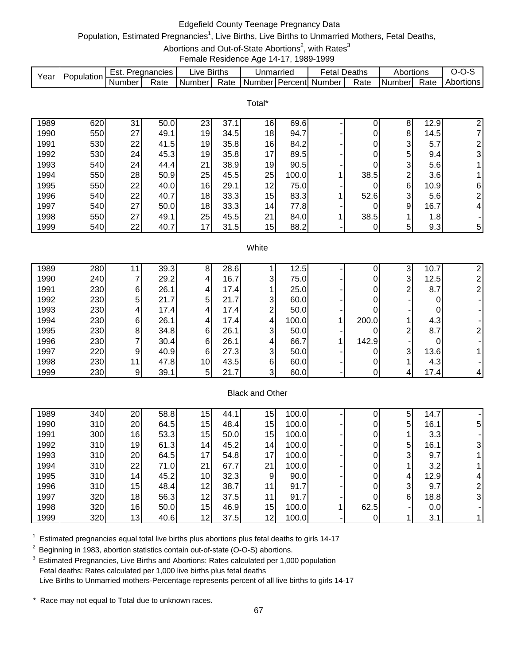# Edgefield County Teenage Pregnancy Data

## Population, Estimated Pregnancies<sup>1</sup>, Live Births, Live Births to Unmarried Mothers, Fetal Deaths,

Abortions and Out-of-State Abortions<sup>2</sup>, with Rates<sup>3</sup>

Female Residence Age 14-17, 1989-1999

|      | Population | ∵ Est. | Pregnancies | ∟l∨e '   | Births | Unmarried |            | Fetal  | Deaths | Abortions |      | J-1       |
|------|------------|--------|-------------|----------|--------|-----------|------------|--------|--------|-----------|------|-----------|
| Year |            | Number | Rate        | Number I | Rate   | Number    | l Percentl | Number | Rate   | I Numberl | Rate | Abortions |

Total\*

| 1989 | 620 | 31 | 50.0 | 23 | 37.1 | 16 | 69.6  |      | 8 | 12.9 | 21             |
|------|-----|----|------|----|------|----|-------|------|---|------|----------------|
| 1990 | 550 | 27 | 49.1 | 19 | 34.5 | 18 | 94.7  |      | 8 | 14.5 | 71             |
| 1991 | 530 | 22 | 41.5 | 19 | 35.8 | 16 | 84.2  |      | 3 | 5.7  | $\overline{2}$ |
| 1992 | 530 | 24 | 45.3 | 19 | 35.8 | 17 | 89.5  |      | 5 | 9.4  | 3              |
| 1993 | 540 | 24 | 44.4 | 21 | 38.9 | 19 | 90.5  |      | 3 | 5.6  |                |
| 1994 | 550 | 28 | 50.9 | 25 | 45.5 | 25 | 100.0 | 38.5 | ⌒ | 3.6  |                |
| 1995 | 550 | 22 | 40.0 | 16 | 29.1 | 12 | 75.0  |      | 6 | 10.9 | 61             |
| 1996 | 540 | 22 | 40.7 | 18 | 33.3 | 15 | 83.3  | 52.6 | 3 | 5.6  | 21             |
| 1997 | 540 | 27 | 50.0 | 18 | 33.3 | 14 | 77.8  |      | 9 | 16.7 | $\overline{4}$ |
| 1998 | 550 | 27 | 49.1 | 25 | 45.5 | 21 | 84.0  | 38.5 |   | 1.8  |                |
| 1999 | 540 | 22 | 40.7 | 17 | 31.5 | 15 | 88.2  |      | 5 | 9.3  | $5\vert$       |

#### **White**

| 1989 | 280 |    | 39.3 | 8  | 28.6 |   | 12.5  |       |   | 10.7 |   |
|------|-----|----|------|----|------|---|-------|-------|---|------|---|
| 1990 | 240 |    | 29.2 | 4  | 16.7 | 3 | 75.0  |       | 3 | 12.5 |   |
| 1991 | 230 | 61 | 26.1 | 4  | 17.4 |   | 25.0  |       | ⌒ | 8.7  |   |
| 1992 | 230 | 5  | 21.7 | 5  | 21.7 | 3 | 60.0  |       |   |      |   |
| 1993 | 230 | 41 | 17.4 |    | 17.4 | ⌒ | 50.0  |       |   |      |   |
| 1994 | 230 | 61 | 26.1 |    | 17.4 | 4 | 100.0 | 200.0 |   | 4.3  |   |
| 1995 | 230 | 81 | 34.8 | 6  | 26.1 | 3 | 50.0  |       | ⌒ | 8.7  |   |
| 1996 | 230 |    | 30.4 | 6  | 26.1 | 4 | 66.7  | 142.9 |   |      |   |
| 1997 | 220 | 9  | 40.9 | 6  | 27.3 | 3 | 50.0  |       | 3 | 13.6 |   |
| 1998 | 230 | 11 | 47.8 | 10 | 43.5 | 6 | 60.0  |       |   | 4.3  |   |
| 1999 | 230 | 9  | 39.1 | 5  | 21.7 | 3 | 60.0  |       |   | 17.4 | 4 |

### Black and Other

| 1989 | 340 | 20 | 58.8 | 15              | 44.1 | 15              | 100.0 |      | 5 | 14.7 |                |
|------|-----|----|------|-----------------|------|-----------------|-------|------|---|------|----------------|
| 1990 | 310 | 20 | 64.5 | 15 <sub>1</sub> | 48.4 | 15              | 100.0 |      | 5 | 16.1 | 5              |
| 1991 | 300 | 16 | 53.3 | 15              | 50.0 | 15              | 100.0 |      |   | 3.3  |                |
| 1992 | 310 | 19 | 61.3 | 14              | 45.2 | 14              | 100.0 |      | 5 | 16.1 | 3              |
| 1993 | 310 | 20 | 64.5 | 17              | 54.8 | 17 <sub>1</sub> | 100.0 |      | 3 | 9.7  |                |
| 1994 | 310 | 22 | 71.0 | 21              | 67.7 | 21              | 100.0 |      |   | 3.2  |                |
| 1995 | 310 | 14 | 45.2 | 10              | 32.3 | 9               | 90.0  |      | 4 | 12.9 | 4              |
| 1996 | 310 | 15 | 48.4 | 12              | 38.7 | 11 <sub>1</sub> | 91.7  |      | 3 | 9.7  | ົ              |
| 1997 | 320 | 18 | 56.3 | 12              | 37.5 | 11              | 91.7  | 0    | 6 | 18.8 | 3 <sub>l</sub> |
| 1998 | 320 | 16 | 50.0 | 15 <sub>1</sub> | 46.9 | 15              | 100.0 | 62.5 | - | 0.01 |                |
| 1999 | 320 | 13 | 40.6 | 12              | 37.5 | 12              | 100.0 |      |   | 3.1  |                |

 $1$  Estimated pregnancies equal total live births plus abortions plus fetal deaths to girls 14-17

<sup>2</sup> Beginning in 1983, abortion statistics contain out-of-state (O-O-S) abortions.

<sup>3</sup> Estimated Pregnancies, Live Births and Abortions: Rates calculated per 1,000 population Fetal deaths: Rates calculated per 1,000 live births plus fetal deaths Live Births to Unmarried mothers-Percentage represents percent of all live births to girls 14-17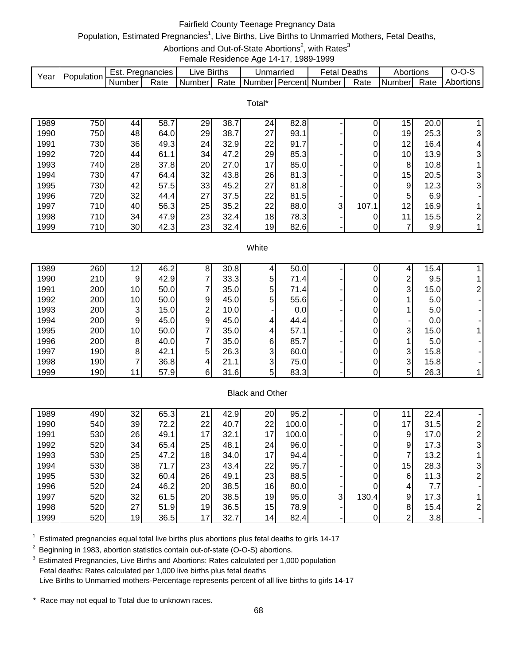# Fairfield County Teenage Pregnancy Data

# Population, Estimated Pregnancies<sup>1</sup>, Live Births, Live Births to Unmarried Mothers, Fetal Deaths,

Abortions and Out-of-State Abortions<sup>2</sup>, with Rates<sup>3</sup>

Female Residence Age 14-17, 1989-1999

|      |             | Est.   | Pregnancies | ∟ive Births |      | Unmarried           | ∙etal  | Deaths | Abortions     |      |           |
|------|-------------|--------|-------------|-------------|------|---------------------|--------|--------|---------------|------|-----------|
| Year | Population. | Number | Rate        | Number      | Rate | l Number I Percentl | Number | Rate   | <b>Number</b> | Rate | Abortions |

Total\*

| 1989 | 750 | 44 | 58.7 | 29 | 38.  | 24 | 82.8 |   |       | 15 | 20.0 |                |
|------|-----|----|------|----|------|----|------|---|-------|----|------|----------------|
| 1990 | 750 | 48 | 64.0 | 29 | 38.7 | 27 | 93.1 |   |       | 19 | 25.3 | 3              |
| 1991 | 730 | 36 | 49.3 | 24 | 32.9 | 22 | 91.7 |   |       | 12 | 16.4 | 4              |
| 1992 | 720 | 44 | 61.1 | 34 | 47.2 | 29 | 85.3 |   |       | 10 | 13.9 | $\overline{3}$ |
| 1993 | 740 | 28 | 37.8 | 20 | 27.0 | 17 | 85.0 |   |       | 8  | 10.8 |                |
| 1994 | 730 | 47 | 64.4 | 32 | 43.8 | 26 | 81.3 |   |       | 15 | 20.5 | $\overline{3}$ |
| 1995 | 730 | 42 | 57.5 | 33 | 45.2 | 27 | 81.8 |   |       | 9  | 12.3 | 3              |
| 1996 | 720 | 32 | 44.4 | 27 | 37.5 | 22 | 81.5 |   |       | 5  | 6.9  |                |
| 1997 | 710 | 40 | 56.3 | 25 | 35.2 | 22 | 88.0 | 3 | 107.1 | 12 | 16.9 |                |
| 1998 | 710 | 34 | 47.9 | 23 | 32.4 | 18 | 78.3 |   |       | 11 | 15.5 | $\mathbf{2}$   |
| 1999 | 710 | 30 | 42.3 | 23 | 32.4 | 19 | 82.6 |   |       | –  | 9.9  |                |

#### **White**

| 1989 | 260 | 12              | 46.2 | 8 | 30.8 |   | 50.0 |  |   | 15.4 |  |
|------|-----|-----------------|------|---|------|---|------|--|---|------|--|
| 1990 | 210 | 9               | 42.9 |   | 33.3 | 5 | 71.4 |  | ົ | 9.5  |  |
| 1991 | 200 | 10 <sup>1</sup> | 50.0 |   | 35.0 | 5 | 71.4 |  | 3 | 15.0 |  |
| 1992 | 200 | 10 <sup>1</sup> | 50.0 | 9 | 45.0 | 5 | 55.6 |  |   | 5.0  |  |
| 1993 | 200 | ົ               | 15.0 | ົ | 10.0 |   | 0.0  |  |   | 5.0  |  |
| 1994 | 200 | 9               | 45.0 | 9 | 45.0 | 4 | 44.4 |  |   | 0.0  |  |
| 1995 | 200 | 10 <sup>1</sup> | 50.0 |   | 35.0 | 4 | 57.1 |  | 3 | 15.0 |  |
| 1996 | 200 | 8               | 40.0 |   | 35.0 | 6 | 85.7 |  |   | 5.0  |  |
| 1997 | 190 | 8               | 42.1 | 5 | 26.3 | 3 | 60.0 |  | 3 | 15.8 |  |
| 1998 | 190 |                 | 36.8 |   | 21.1 | 3 | 75.0 |  | 3 | 15.8 |  |
| 1999 | 190 | 11              | 57.9 | 6 | 31.6 | 5 | 83.3 |  | 5 | 26.3 |  |

### Black and Other

| 1989 | 490 | 32 | 65.3 | 21 | 42.9 | 20              | 95.2  |    |       |    | 22.4 |  |
|------|-----|----|------|----|------|-----------------|-------|----|-------|----|------|--|
| 1990 | 540 | 39 | 72.2 | 22 | 40.7 | 22              | 100.0 |    |       | 7  | 31.5 |  |
| 1991 | 530 | 26 | 49.1 | 17 | 32.1 | 17              | 100.0 |    |       | 9  | 17.0 |  |
| 1992 | 520 | 34 | 65.4 | 25 | 48.1 | 24              | 96.0  |    |       | 9  | 17.3 |  |
| 1993 | 530 | 25 | 47.2 | 18 | 34.0 | 17              | 94.4  |    |       |    | 13.2 |  |
| 1994 | 530 | 38 | 71.7 | 23 | 43.4 | 22              | 95.7  |    |       | 15 | 28.3 |  |
| 1995 | 530 | 32 | 60.4 | 26 | 49.1 | 23              | 88.5  |    |       | 6  | 11.3 |  |
| 1996 | 520 | 24 | 46.2 | 20 | 38.5 | 16              | 80.0  |    |       |    | 7.7  |  |
| 1997 | 520 | 32 | 61.5 | 20 | 38.5 | 19              | 95.0  | 3. | 130.4 | 9  | 17.3 |  |
| 1998 | 520 | 27 | 51.9 | 19 | 36.5 | 15              | 78.9  |    |       | 8  | 15.4 |  |
| 1999 | 520 | 19 | 36.5 | 17 | 32.7 | 14 <sub>1</sub> | 82.4  |    |       | ົ  | 3.8  |  |

 $1$  Estimated pregnancies equal total live births plus abortions plus fetal deaths to girls 14-17

<sup>2</sup> Beginning in 1983, abortion statistics contain out-of-state (O-O-S) abortions.

<sup>3</sup> Estimated Pregnancies, Live Births and Abortions: Rates calculated per 1,000 population Fetal deaths: Rates calculated per 1,000 live births plus fetal deaths Live Births to Unmarried mothers-Percentage represents percent of all live births to girls 14-17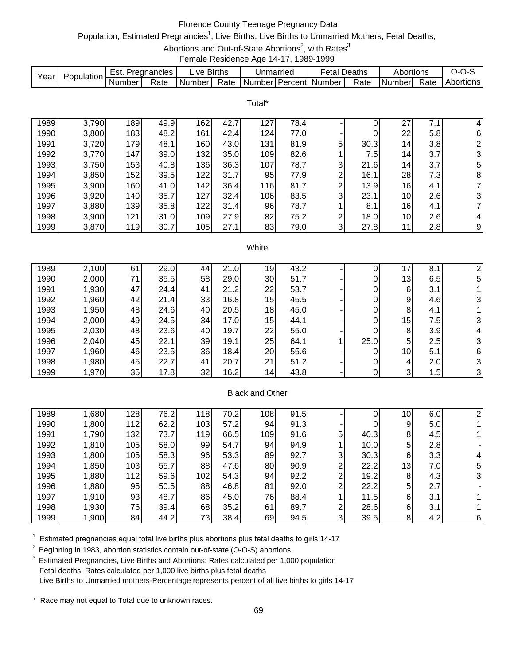# Florence County Teenage Pregnancy Data

# Population, Estimated Pregnancies<sup>1</sup>, Live Births, Live Births to Unmarried Mothers, Fetal Deaths,

Abortions and Out-of-State Abortions<sup>2</sup>, with Rates<sup>3</sup>

Female Residence Age 14-17, 1989-1999

| Year | Population | ⊨st.   | Pregnancies | ∟ive   | <b>Births</b> | Unmarriec |         | -etal Deaths |      | Abortions  |      | ,,,,<br>- ت |
|------|------------|--------|-------------|--------|---------------|-----------|---------|--------------|------|------------|------|-------------|
|      |            | Number | Rate        | Number | Rate          | Numberl   | Percent | Number       | Rate | I Number I | Rate | Abortions   |

Total\*

| 1989 | 3,790 | 189 | 49.9 | 162              | 42.7 | 127 | 78.4 |   |      | 27 | 7.1 | 4              |
|------|-------|-----|------|------------------|------|-----|------|---|------|----|-----|----------------|
| 1990 | 3,800 | 183 | 48.2 | 161              | 42.4 | 124 | 77.0 |   |      | 22 | 5.8 | 6              |
| 1991 | 3,720 | 179 | 48.1 | 160 <sub>1</sub> | 43.0 | 131 | 81.9 | 5 | 30.3 | 14 | 3.8 | $\overline{2}$ |
| 1992 | 3,770 | 147 | 39.0 | 132              | 35.0 | 109 | 82.6 |   | 7.51 | 14 | 3.7 | 3              |
| 1993 | 3,750 | 153 | 40.8 | 136              | 36.3 | 107 | 78.7 | 3 | 21.6 | 14 | 3.7 | 5              |
| 1994 | 3,850 | 152 | 39.5 | 122              | 31.7 | 95  | 77.9 | ົ | 16.1 | 28 | 7.3 | 8              |
| 1995 | 3,900 | 160 | 41.0 | 142 <sub>1</sub> | 36.4 | 116 | 81.7 | ົ | 13.9 | 16 | 4.1 |                |
| 1996 | 3,920 | 140 | 35.7 | 127              | 32.4 | 106 | 83.5 | 3 | 23.1 | 10 | 2.6 | $\overline{3}$ |
| 1997 | 3,880 | 139 | 35.8 | 122              | 31.4 | 96  | 78.7 |   | 8.1  | 16 | 4.1 | 7              |
| 1998 | 3,900 | 121 | 31.0 | 109              | 27.9 | 82  | 75.2 | ົ | 18.0 | 10 | 2.6 | 4              |
| 1999 | 3,870 | 119 | 30.7 | 105 <sub>1</sub> | 27.1 | 83  | 79.0 | 3 | 27.8 | 11 | 2.8 | 9              |

#### **White**

| 1989 | 2,100 | 61 | 29.0 | 44 | 21<br>$\cdot 0$ | 19              | 43.2 |      |    | 8.  |                |
|------|-------|----|------|----|-----------------|-----------------|------|------|----|-----|----------------|
| 1990 | 2,000 | 71 | 35.5 | 58 | 29.0            | 30              | 51.7 |      | 13 | 6.5 | 5              |
| 1991 | 1,930 | 47 | 24.4 | 41 | 21.2            | 22              | 53.7 |      | 6  | 3.1 |                |
| 1992 | 1,960 | 42 | 21.4 | 33 | 16.8            | 15              | 45.5 |      | 9  | 4.6 |                |
| 1993 | 1,950 | 48 | 24.6 | 40 | 20.5            | 18              | 45.0 |      | 8  | 4.1 |                |
| 1994 | 2,000 | 49 | 24.5 | 34 | 17.0            | 15              | 44.1 |      | 15 | 7.5 |                |
| 1995 | 2,030 | 48 | 23.6 | 40 | 19.7            | 22              | 55.0 |      | 8  | 3.9 | 4              |
| 1996 | 2,040 | 45 | 22.1 | 39 | 19.1            | 25              | 64.1 | 25.0 | 5  | 2.5 | 3              |
| 1997 | 1,960 | 46 | 23.5 | 36 | 18.4            | 20              | 55.6 |      | 10 | 5.1 | 6              |
| 1998 | 1,980 | 45 | 22.7 | 41 | 20.7            | 21              | 51.2 |      | 4  | 2.0 | 3              |
| 1999 | 1,970 | 35 | 17.8 | 32 | 16.2            | 14 <sub>1</sub> | 43.8 |      | 3  | 1.5 | 3 <sub>l</sub> |

### Black and Other

| 1989 | 1,680 | 128 | 76.2 | 118 | 70.2 | 108 <sub>1</sub> | 91.5 |   |      | 10              | 6.0 |   |
|------|-------|-----|------|-----|------|------------------|------|---|------|-----------------|-----|---|
| 1990 | 1,800 | 112 | 62.2 | 103 | 57.2 | 94               | 91.3 |   | 0    | 9               | 5.0 |   |
| 1991 | 1,790 | 132 | 73.7 | 119 | 66.5 | 109              | 91.6 | 5 | 40.3 | 8               | 4.5 |   |
| 1992 | 1,810 | 105 | 58.0 | 99  | 54.7 | 94               | 94.9 |   | 10.0 | 5               | 2.8 |   |
| 1993 | 1,800 | 105 | 58.3 | 96  | 53.3 | 89               | 92.7 | 3 | 30.3 | 6               | 3.3 |   |
| 1994 | 1,850 | 103 | 55.7 | 88  | 47.6 | 80               | 90.9 | ⌒ | 22.2 | 13 <sub>1</sub> | 7.0 | 5 |
| 1995 | 1,880 | 112 | 59.6 | 102 | 54.3 | 94               | 92.2 | ◠ | 19.2 | 8               | 4.3 |   |
| 1996 | 1,880 | 95  | 50.5 | 88  | 46.8 | 81               | 92.0 | ◠ | 22.2 | 5               | 2.7 |   |
| 1997 | 1,910 | 93  | 48.7 | 86  | 45.0 | 76               | 88.4 |   | 11.5 | 6               | 3.1 |   |
| 1998 | 1,930 | 76  | 39.4 | 68  | 35.2 | 61               | 89.7 | ົ | 28.6 | 6               | 3.1 |   |
| 1999 | .900  | 84  | 44.2 | 73  | 38.4 | 69               | 94.5 | 3 | 39.5 | 8               | 4.2 | 6 |

 $1$  Estimated pregnancies equal total live births plus abortions plus fetal deaths to girls 14-17

<sup>2</sup> Beginning in 1983, abortion statistics contain out-of-state (O-O-S) abortions.

<sup>3</sup> Estimated Pregnancies, Live Births and Abortions: Rates calculated per 1,000 population Fetal deaths: Rates calculated per 1,000 live births plus fetal deaths Live Births to Unmarried mothers-Percentage represents percent of all live births to girls 14-17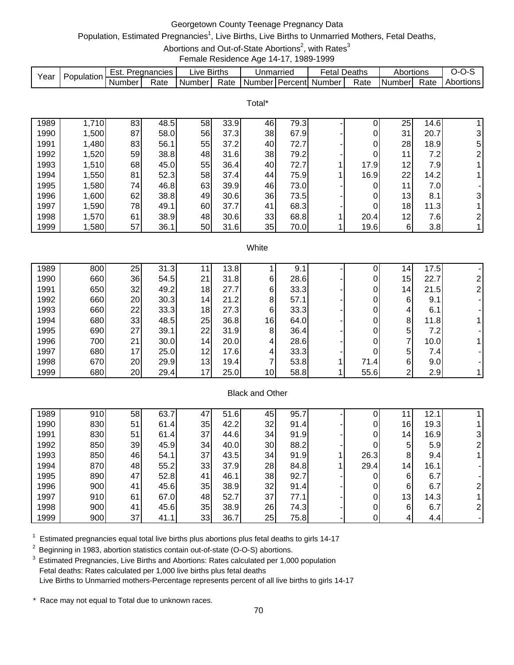# Georgetown County Teenage Pregnancy Data

# Population, Estimated Pregnancies<sup>1</sup>, Live Births, Live Births to Unmarried Mothers, Fetal Deaths,

Abortions and Out-of-State Abortions<sup>2</sup>, with Rates<sup>3</sup>

Female Residence Age 14-17, 1989-1999

|      |            | ESI.   | Pregnancies | _ive   | <b>Births</b> | Unmarriec |         | ∹etal F | Deaths | Abortions      |           | J-1<br>$\cdot$ $\cdot$ |
|------|------------|--------|-------------|--------|---------------|-----------|---------|---------|--------|----------------|-----------|------------------------|
| Year | Population | Number | Rate        | Number | Rate          | Numberl   | Percent | Number  | Rate   | <b>Numberl</b> | -<br>Rate | Abortions              |

Total\*

| 1989 | 1,710 | 83 | 48.5 | 58 | 33.9 | 46 | 79.3 |      | 25 | 14.6 |                |
|------|-------|----|------|----|------|----|------|------|----|------|----------------|
| 1990 | 1,500 | 87 | 58.0 | 56 | 37.3 | 38 | 67.9 |      | 31 | 20.7 | 3              |
| 1991 | ,480  | 83 | 56.1 | 55 | 37.2 | 40 | 72.7 |      | 28 | 18.9 | 5              |
| 1992 | 1,520 | 59 | 38.8 | 48 | 31.6 | 38 | 79.2 |      | 11 | 7.2  | $\overline{2}$ |
| 1993 | 1,510 | 68 | 45.0 | 55 | 36.4 | 40 | 72.7 | 17.9 | 12 | 7.9  |                |
| 1994 | 1,550 | 81 | 52.3 | 58 | 37.4 | 44 | 75.9 | 16.9 | 22 | 14.2 |                |
| 1995 | 1,580 | 74 | 46.8 | 63 | 39.9 | 46 | 73.0 |      | 11 | 7.0  |                |
| 1996 | 1,600 | 62 | 38.8 | 49 | 30.6 | 36 | 73.5 |      | 13 | 8.1  | $\overline{3}$ |
| 1997 | 1,590 | 78 | 49.1 | 60 | 37.7 | 41 | 68.3 |      | 18 | 11.3 |                |
| 1998 | 1,570 | 61 | 38.9 | 48 | 30.6 | 33 | 68.8 | 20.4 | 12 | 7.6  | $\overline{2}$ |
| 1999 | ,580  | 57 | 36.1 | 50 | 31.6 | 35 | 70.0 | 19.6 | 6  | 3.8  |                |

#### **White**

| 1989 | 800 | 25              | 31.3 |                 | 13.8 |                 | 9.1  |      | 4              | 17.5 |   |
|------|-----|-----------------|------|-----------------|------|-----------------|------|------|----------------|------|---|
| 1990 | 660 | 36              | 54.5 | 21              | 31.8 | 6               | 28.6 | 0    | 15             | 22.7 |   |
| 1991 | 650 | 32              | 49.2 | 18              | 27.7 | 6               | 33.3 | 0    | 14             | 21.5 | ⌒ |
| 1992 | 660 | 20              | 30.3 | 14              | 21.2 | 8               | 57.1 | 0    | 6              | 9.1  |   |
| 1993 | 660 | 22              | 33.3 | 18              | 27.3 | 6               | 33.3 | 0    | 4              | 6.1  |   |
| 1994 | 680 | 33              | 48.5 | 25              | 36.8 | 16              | 64.0 | 0    | 8              | 11.8 |   |
| 1995 | 690 | 27              | 39.1 | 22              | 31.9 | 8 <sub>l</sub>  | 36.4 | 0    | 5 <sup>1</sup> | 7.2  |   |
| 1996 | 700 | 21              | 30.0 | 14 <sub>1</sub> | 20.0 | 4               | 28.6 | 0    | 7              | 10.0 |   |
| 1997 | 680 | 17 <sub>1</sub> | 25.0 | 12 <sub>1</sub> | 17.6 | 4               | 33.3 | 0    | 5 <sup>1</sup> | 7.4  |   |
| 1998 | 670 | 20              | 29.9 | 13              | 19.4 |                 | 53.8 | 71.4 | 6              | 9.0  |   |
| 1999 | 680 | 20              | 29.4 | 17              | 25.0 | 10 <sup>1</sup> | 58.8 | 55.6 | ົ              | 2.9  |   |
|      |     |                 |      |                 |      |                 |      |      |                |      |   |

# Black and Other

| 1989 | 910 | 58 | 63.7 | 47 | 51.6 | 45 | 95.7 |      |                 | 12.  |  |
|------|-----|----|------|----|------|----|------|------|-----------------|------|--|
| 1990 | 830 | 51 | 61.4 | 35 | 42.2 | 32 | 91.4 |      | 16              | 19.3 |  |
| 1991 | 830 | 51 | 61.4 | 37 | 44.6 | 34 | 91.9 |      | 14 <sub>1</sub> | 16.9 |  |
| 1992 | 850 | 39 | 45.9 | 34 | 40.0 | 30 | 88.2 | 0    | 5               | 5.9  |  |
| 1993 | 850 | 46 | 54.1 | 37 | 43.5 | 34 | 91.9 | 26.3 | 8               | 9.4  |  |
| 1994 | 870 | 48 | 55.2 | 33 | 37.9 | 28 | 84.8 | 29.4 | 14              | 16.1 |  |
| 1995 | 890 | 47 | 52.8 | 41 | 46.1 | 38 | 92.7 |      | 6               | 6.7  |  |
| 1996 | 900 | 41 | 45.6 | 35 | 38.9 | 32 | 91.4 |      | 6               | 6.7  |  |
| 1997 | 910 | 61 | 67.0 | 48 | 52.7 | 37 | 77.1 |      | 13 <sub>1</sub> | 14.3 |  |
| 1998 | 900 | 41 | 45.6 | 35 | 38.9 | 26 | 74.3 |      | 6               | 6.7  |  |
| 1999 | 900 | 37 | 41.1 | 33 | 36.7 | 25 | 75.8 |      | 4               | 4.4  |  |

 $1$  Estimated pregnancies equal total live births plus abortions plus fetal deaths to girls 14-17

2 Beginning in 1983, abortion statistics contain out-of-state (O-O-S) abortions.

<sup>3</sup> Estimated Pregnancies, Live Births and Abortions: Rates calculated per 1,000 population Fetal deaths: Rates calculated per 1,000 live births plus fetal deaths Live Births to Unmarried mothers-Percentage represents percent of all live births to girls 14-17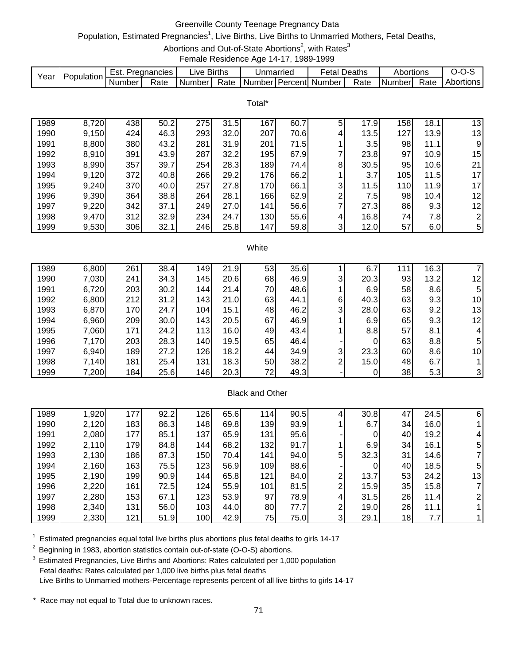# Greenville County Teenage Pregnancy Data

# Population, Estimated Pregnancies<sup>1</sup>, Live Births, Live Births to Unmarried Mothers, Fetal Deaths,

Abortions and Out-of-State Abortions<sup>2</sup>, with Rates<sup>3</sup>

Female Residence Age 14-17, 1989-1999

|      | Population | Est.     | Pregnancies | ∟ive   | <b>Births</b> | Unmarriec |         | ∙etal  | Deaths | Abortions |      | $I - I$   |
|------|------------|----------|-------------|--------|---------------|-----------|---------|--------|--------|-----------|------|-----------|
| Year |            | . Number | Rate        | Number | Rate          | Number!   | Percent | Number | Rate   | Number    | Rate | Abortions |

Total\*

| 1989 | 8,720 | 438 | 50.2 | 275 | 31.5 | 167 | 60.7 | 5 | 17.9 | 158 | 18.1 | 13             |
|------|-------|-----|------|-----|------|-----|------|---|------|-----|------|----------------|
| 1990 | 9,150 | 424 | 46.3 | 293 | 32.0 | 207 | 70.6 | 4 | 13.5 | 127 | 13.9 | 13             |
| 1991 | 8,800 | 380 | 43.2 | 281 | 31.9 | 201 | 71.5 |   | 3.5  | 98  | 11.1 | 9.             |
| 1992 | 8,910 | 391 | 43.9 | 287 | 32.2 | 195 | 67.9 |   | 23.8 | 97  | 10.9 | 15             |
| 1993 | 8,990 | 357 | 39.7 | 254 | 28.3 | 189 | 74.4 | 8 | 30.5 | 95  | 10.6 | 21             |
| 1994 | 9,120 | 372 | 40.8 | 266 | 29.2 | 176 | 66.2 |   | 3.7  | 105 | 11.5 | 17             |
| 1995 | 9,240 | 370 | 40.0 | 257 | 27.8 | 170 | 66.1 | 3 | 11.5 | 110 | 11.9 | 17             |
| 1996 | 9,390 | 364 | 38.8 | 264 | 28.1 | 166 | 62.9 | ົ | 7.5I | 98  | 10.4 | 12             |
| 1997 | 9,220 | 342 | 37.1 | 249 | 27.0 | 141 | 56.6 | ⇁ | 27.3 | 86  | 9.3  | 12             |
| 1998 | 9,470 | 312 | 32.9 | 234 | 24.7 | 130 | 55.6 | 4 | 16.8 | 74  | 7.8  | $\overline{2}$ |
| 1999 | 9,530 | 306 | 32.1 | 246 | 25.8 | 147 | 59.8 | 3 | 12.0 | 57  | 6.0  | 5              |

#### **White**

| 1989 | 6,800 | 261 | 38.4 | 149  | 21.9 | 53 | 35.6 |   | 6.   | 111 | 16.3 |                 |
|------|-------|-----|------|------|------|----|------|---|------|-----|------|-----------------|
| 1990 | 7,030 | 241 | 34.3 | 145  | 20.6 | 68 | 46.9 | 3 | 20.3 | 93  | 13.2 | 12              |
| 1991 | 6,720 | 203 | 30.2 | 1441 | 21.4 | 70 | 48.6 |   | 6.9  | 58  | 8.6  | 5               |
| 1992 | 6,800 | 212 | 31.2 | 143  | 21.0 | 63 | 44.1 | 6 | 40.3 | 63  | 9.3  | 10              |
| 1993 | 6,870 | 170 | 24.7 | 104  | 15.1 | 48 | 46.2 | 3 | 28.0 | 63  | 9.2  | 13              |
| 1994 | 6,960 | 209 | 30.0 | 143  | 20.5 | 67 | 46.9 |   | 6.9  | 65  | 9.3  | 12 <sub>1</sub> |
| 1995 | 7,060 | 171 | 24.2 | 113  | 16.0 | 49 | 43.4 |   | 8.8  | 57  | 8.1  | 4               |
| 1996 | 7,170 | 203 | 28.3 | 140  | 19.5 | 65 | 46.4 |   |      | 63  | 8.8  | 5               |
| 1997 | 6,940 | 189 | 27.2 | 126  | 18.2 | 44 | 34.9 | 3 | 23.3 | 60  | 8.6  | 10 <sub>1</sub> |
| 1998 | 7,140 | 181 | 25.4 | 131  | 18.3 | 50 | 38.2 | ⌒ | 15.0 | 48  | 6.7  |                 |
| 1999 | 7,200 | 184 | 25.6 | 146  | 20.3 | 72 | 49.3 |   |      | 38  | 5.3  | 3               |

#### Black and Other

| 1989 | 1,920 | 177 | 92.2 | 126              | 65.6 | 114 | 90.5 |   | 30.8 | 47              | 24.5 | 6  |
|------|-------|-----|------|------------------|------|-----|------|---|------|-----------------|------|----|
| 1990 | 2,120 | 183 | 86.3 | 148              | 69.8 | 139 | 93.9 |   | 6.7  | 34              | 16.0 |    |
| 1991 | 2,080 | 177 | 85.1 | 137              | 65.9 | 131 | 95.6 |   | 0    | 40              | 19.2 | 4  |
| 1992 | 2,110 | 179 | 84.8 | 144              | 68.2 | 132 | 91.7 |   | 6.9  | 34              | 16.1 | 5  |
| 1993 | 2,130 | 186 | 87.3 | 150              | 70.4 | 141 | 94.0 | 5 | 32.3 | 31              | 14.6 |    |
| 1994 | 2,160 | 163 | 75.5 | 123              | 56.9 | 109 | 88.6 |   | 0    | 40 <sup>I</sup> | 18.5 | 5  |
| 1995 | 2,190 | 199 | 90.9 | 144 <sub>1</sub> | 65.8 | 121 | 84.0 | ົ | 13.7 | 53              | 24.2 | 13 |
| 1996 | 2,220 | 161 | 72.5 | 124              | 55.9 | 101 | 81.5 | C | 15.9 | 35              | 15.8 |    |
| 1997 | 2,280 | 153 | 67.1 | 123              | 53.9 | 97  | 78.9 | 4 | 31.5 | 26              | 11.4 |    |
| 1998 | 2,340 | 131 | 56.0 | 103              | 44.0 | 80  | 77.7 | ົ | 19.0 | 26              | 11.1 |    |
| 1999 | 2,330 | 121 | 51.9 | 100 <sub>1</sub> | 42.9 | 75  | 75.0 | 3 | 29.1 | 18              | 7.7  |    |

 $1$  Estimated pregnancies equal total live births plus abortions plus fetal deaths to girls 14-17

<sup>2</sup> Beginning in 1983, abortion statistics contain out-of-state (O-O-S) abortions.

<sup>3</sup> Estimated Pregnancies, Live Births and Abortions: Rates calculated per 1,000 population Fetal deaths: Rates calculated per 1,000 live births plus fetal deaths Live Births to Unmarried mothers-Percentage represents percent of all live births to girls 14-17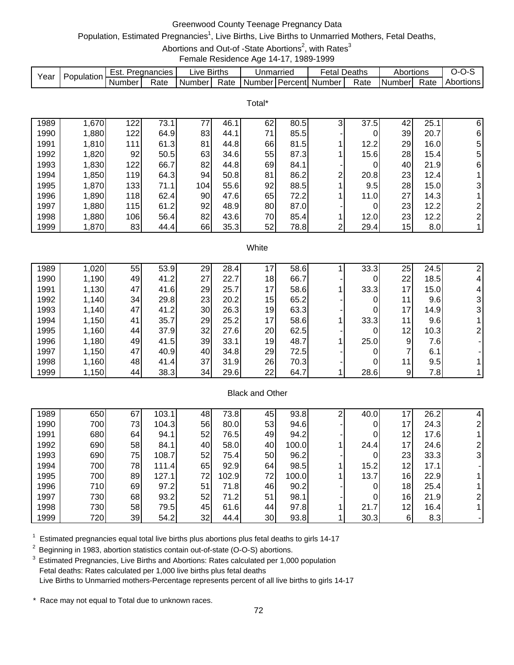# Greenwood County Teenage Pregnancy Data

# Population, Estimated Pregnancies<sup>1</sup>, Live Births, Live Births to Unmarried Mothers, Fetal Deaths,

Abortions and Out-of -State Abortions<sup>2</sup>, with Rates<sup>3</sup>

Female Residence Age 14-17, 1989-1999

|      | Population | ESI.     | Pregnancies | -ive   | <b>Births</b> | Unmarriec         | -etal  | Deaths | Abortions |      | $I - I$   |
|------|------------|----------|-------------|--------|---------------|-------------------|--------|--------|-----------|------|-----------|
| Year |            | . Number | Rate        | Number | Rate          | Number I Percentl | Number | Rate   | I Numberl | Rate | Abortions |

Total\*

| 1989 | 1,670 | 122 | 73.1 | 77               | 46.1 | 62 | 80.5 | っ | 37.5 | 42 | 25.1             | 6              |
|------|-------|-----|------|------------------|------|----|------|---|------|----|------------------|----------------|
| 1990 | 1,880 | 122 | 64.9 | 83               | 44.1 | 71 | 85.5 |   |      | 39 | 20.7             | 6              |
| 1991 | 1,810 | 111 | 61.3 | 81               | 44.8 | 66 | 81.5 |   | 12.2 | 29 | 16.0             | 5              |
| 1992 | 1,820 | 92  | 50.5 | 63               | 34.6 | 55 | 87.3 |   | 15.6 | 28 | 15.4             | 5              |
| 1993 | 1,830 | 122 | 66.7 | 82               | 44.8 | 69 | 84.1 |   |      | 40 | 21.9             | $6 \,$         |
| 1994 | 1,850 | 119 | 64.3 | 94               | 50.8 | 81 | 86.2 | ົ | 20.8 | 23 | 12.4             |                |
| 1995 | 1,870 | 133 | 71.1 | 104 <sub>l</sub> | 55.6 | 92 | 88.5 |   | 9.5  | 28 | 15.0             | 31             |
| 1996 | 1,890 | 118 | 62.4 | 90               | 47.6 | 65 | 72.2 |   | 11.0 | 27 | 14.3             |                |
| 1997 | 1,880 | 115 | 61.2 | 92               | 48.9 | 80 | 87.0 |   |      | 23 | 12.2             | $\overline{2}$ |
| 1998 | 1,880 | 106 | 56.4 | 82               | 43.6 | 70 | 85.4 |   | 12.0 | 23 | 12.2             | 2 <sub>l</sub> |
| 1999 | 1,870 | 83  | 44.4 | 66               | 35.3 | 52 | 78.8 | ົ | 29.4 | 15 | 8.0 <sub>l</sub> |                |

#### **White**

| 1989 | 1,020 | 55 | 53.9 | 29 | 28.4 |    | 58.6 | 33.3 | 25              | 24.5 |              |
|------|-------|----|------|----|------|----|------|------|-----------------|------|--------------|
| 1990 | 1,190 | 49 | 41.2 | 27 | 22.7 | 18 | 66.7 |      | 22              | 18.5 |              |
| 1991 | 1,130 | 47 | 41.6 | 29 | 25.7 | 17 | 58.6 | 33.3 | 17              | 15.0 | 4            |
| 1992 | 1,140 | 34 | 29.8 | 23 | 20.2 | 15 | 65.2 |      | 11              | 9.6  |              |
| 1993 | 1,140 | 47 | 41.2 | 30 | 26.3 | 19 | 63.3 |      | 17 <sub>1</sub> | 14.9 | $\mathbf{3}$ |
| 1994 | 1,150 | 41 | 35.7 | 29 | 25.2 | 17 | 58.6 | 33.3 | 11              | 9.6  |              |
| 1995 | 1,160 | 44 | 37.9 | 32 | 27.6 | 20 | 62.5 |      | 12 <sub>1</sub> | 10.3 |              |
| 1996 | 1,180 | 49 | 41.5 | 39 | 33.1 | 19 | 48.7 | 25.0 | 9               | 7.6  |              |
| 1997 | 1,150 | 47 | 40.9 | 40 | 34.8 | 29 | 72.5 |      |                 | 6.1  |              |
| 1998 | 1,160 | 48 | 41.4 | 37 | 31.9 | 26 | 70.3 |      | 11 <sub>1</sub> | 9.5  |              |
| 1999 | 1,150 | 44 | 38.3 | 34 | 29.6 | 22 | 64.7 | 28.6 | 9               | 7.8  |              |

# Black and Other

| 1989 | 650 | 67 | 103.1 | 48 | 73.8  | 45 | 93.8  | ⌒ | 40.0 | 7               | 26.2 |   |
|------|-----|----|-------|----|-------|----|-------|---|------|-----------------|------|---|
| 1990 | 700 | 73 | 104.3 | 56 | 80.0  | 53 | 94.6  |   |      | 17              | 24.3 |   |
| 1991 | 680 | 64 | 94.1  | 52 | 76.5  | 49 | 94.2  |   |      | 12              | 17.6 |   |
| 1992 | 690 | 58 | 84.1  | 40 | 58.0  | 40 | 100.0 |   | 24.4 | 17 <sub>1</sub> | 24.6 |   |
| 1993 | 690 | 75 | 108.7 | 52 | 75.4  | 50 | 96.2  |   | 0    | 23              | 33.3 | 3 |
| 1994 | 700 | 78 | 111.4 | 65 | 92.9  | 64 | 98.5  |   | 15.2 | 12              | 17.1 |   |
| 1995 | 700 | 89 | 127.1 | 72 | 102.9 | 72 | 100.0 |   | 13.7 | 16              | 22.9 |   |
| 1996 | 710 | 69 | 97.2  | 51 | 71.8  | 46 | 90.2  |   |      | 18              | 25.4 |   |
| 1997 | 730 | 68 | 93.2  | 52 | 71.2  | 51 | 98.1  |   |      | 16 <sub>1</sub> | 21.9 |   |
| 1998 | 730 | 58 | 79.5  | 45 | 61.6  | 44 | 97.8  |   | 21.7 | 12              | 16.4 |   |
| 1999 | 720 | 39 | 54.2  | 32 | 44.4  | 30 | 93.8  |   | 30.3 | 6               | 8.3  |   |

 $1$  Estimated pregnancies equal total live births plus abortions plus fetal deaths to girls 14-17

<sup>2</sup> Beginning in 1983, abortion statistics contain out-of-state (O-O-S) abortions.

<sup>3</sup> Estimated Pregnancies, Live Births and Abortions: Rates calculated per 1,000 population Fetal deaths: Rates calculated per 1,000 live births plus fetal deaths Live Births to Unmarried mothers-Percentage represents percent of all live births to girls 14-17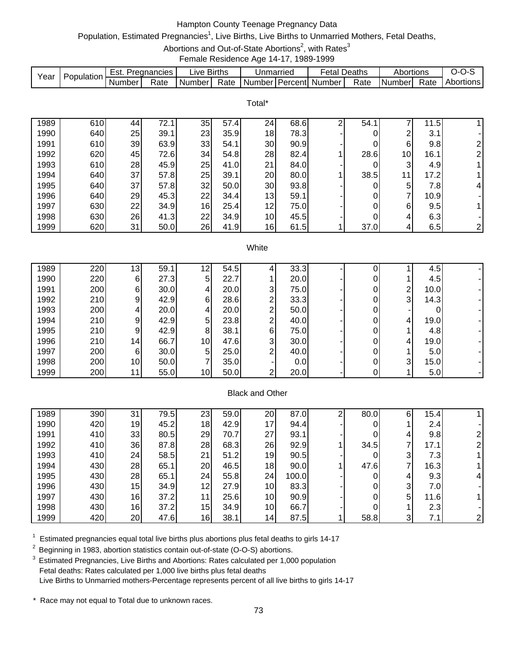# Hampton County Teenage Pregnancy Data

# Population, Estimated Pregnancies<sup>1</sup>, Live Births, Live Births to Unmarried Mothers, Fetal Deaths,

Abortions and Out-of-State Abortions<sup>2</sup>, with Rates<sup>3</sup>

Female Residence Age 14-17, 1989-1999

| Year | Population | Est.   | Pregnancies | ∟ive F | <b>Births</b> | Unmarried |                | Fetal  | Deaths | Abortions     |      | ∵~∪<br>   |
|------|------------|--------|-------------|--------|---------------|-----------|----------------|--------|--------|---------------|------|-----------|
|      |            | Number | Rate        | Number | Rate          | Number    | <b>Percent</b> | Number | Rate   | <b>Number</b> | Rate | Abortions |

Total\*

| 1989 | 610 | 44 | 72.1 | 35 | 57.4 | 24              | 68.6 | 54.1 |                 | 11.5 |              |
|------|-----|----|------|----|------|-----------------|------|------|-----------------|------|--------------|
| 1990 | 640 | 25 | 39.1 | 23 | 35.9 | 18              | 78.3 |      | っ               | 3.1  |              |
| 1991 | 610 | 39 | 63.9 | 33 | 54.1 | 30              | 90.9 |      | 6               | 9.8  | 21           |
| 1992 | 620 | 45 | 72.6 | 34 | 54.8 | 28              | 82.4 | 28.6 | 10 <sub>1</sub> | 16.1 | 21           |
| 1993 | 610 | 28 | 45.9 | 25 | 41.0 | 21              | 84.0 |      | 3               | 4.9  |              |
| 1994 | 640 | 37 | 57.8 | 25 | 39.1 | 20              | 80.0 | 38.5 |                 | 17.2 |              |
| 1995 | 640 | 37 | 57.8 | 32 | 50.0 | 30              | 93.8 |      | 5               | 7.8  | 41           |
| 1996 | 640 | 29 | 45.3 | 22 | 34.4 | 13              | 59.1 |      |                 | 10.9 |              |
| 1997 | 630 | 22 | 34.9 | 16 | 25.4 | 12              | 75.0 |      | 6               | 9.5  |              |
| 1998 | 630 | 26 | 41.3 | 22 | 34.9 | 10 <sup>1</sup> | 45.5 |      | 4               | 6.3  |              |
| 1999 | 620 | 31 | 50.0 | 26 | 41.9 | 16              | 61.5 | 37.0 | 4               | 6.5  | $\mathsf{2}$ |

#### **White**

| 1989 | 220 | 13 <sub>1</sub> | 59.1 | 12              | 54.5 |   | 33.3 |  |   | 4.5  |  |
|------|-----|-----------------|------|-----------------|------|---|------|--|---|------|--|
| 1990 | 220 | 61              | 27.3 | 5               | 22.7 |   | 20.0 |  |   | 4.5  |  |
| 1991 | 200 | 61              | 30.0 | 4               | 20.0 | 3 | 75.0 |  | ⌒ | 10.0 |  |
| 1992 | 210 | 91              | 42.9 | 6               | 28.6 | ົ | 33.3 |  | 3 | 14.3 |  |
| 1993 | 200 | $\overline{4}$  | 20.0 | 4               | 20.0 | ◠ | 50.0 |  |   |      |  |
| 1994 | 210 | 91              | 42.9 | 5               | 23.8 | ◠ | 40.0 |  | 4 | 19.0 |  |
| 1995 | 210 | 9               | 42.9 | 8               | 38.1 | 6 | 75.0 |  |   | 4.8  |  |
| 1996 | 210 | 14              | 66.7 | 10 <sub>l</sub> | 47.6 | 3 | 30.0 |  | 4 | 19.0 |  |
| 1997 | 200 | 61              | 30.0 | 5               | 25.0 | ◠ | 40.0 |  |   | 5.0  |  |
| 1998 | 200 | 10 <sup>1</sup> | 50.0 |                 | 35.0 |   | 0.0  |  | 3 | 15.0 |  |
| 1999 | 200 | 11              | 55.0 | 10 <sub>l</sub> | 50.0 | ⌒ | 20.0 |  |   | 5.0  |  |

## Black and Other

| 1989 | 390 | 31 | 79.5 | 23 | 59.0 | 20 | 87.0  | ⌒ | 80.0 | 6 | 15.4 <sub>1</sub> |  |
|------|-----|----|------|----|------|----|-------|---|------|---|-------------------|--|
| 1990 | 420 | 19 | 45.2 | 18 | 42.9 | 17 | 94.4  |   |      |   | 2.4               |  |
| 1991 | 410 | 33 | 80.5 | 29 | 70.7 | 27 | 93.1  |   |      |   | 9.8               |  |
| 1992 | 410 | 36 | 87.8 | 28 | 68.3 | 26 | 92.9  |   | 34.5 |   | 17.1              |  |
| 1993 | 410 | 24 | 58.5 | 21 | 51.2 | 19 | 90.5  |   | 0    | 3 | 7.3               |  |
| 1994 | 430 | 28 | 65.1 | 20 | 46.5 | 18 | 90.0  |   | 47.6 |   | 16.3              |  |
| 1995 | 430 | 28 | 65.1 | 24 | 55.8 | 24 | 100.0 |   |      |   | 9.3               |  |
| 1996 | 430 | 15 | 34.9 | 12 | 27.9 | 10 | 83.3  |   |      | 3 | 7.0               |  |
| 1997 | 430 | 16 | 37.2 | 11 | 25.6 | 10 | 90.9  |   |      | 5 | 11.6              |  |
| 1998 | 430 | 16 | 37.2 | 15 | 34.9 | 10 | 66.7  |   |      |   | 2.3               |  |
| 1999 | 420 | 20 | 47.6 | 16 | 38.1 | 14 | 87.5  |   | 58.8 | 3 | 7.1               |  |

 $1$  Estimated pregnancies equal total live births plus abortions plus fetal deaths to girls 14-17

<sup>2</sup> Beginning in 1983, abortion statistics contain out-of-state (O-O-S) abortions.

<sup>3</sup> Estimated Pregnancies, Live Births and Abortions: Rates calculated per 1,000 population Fetal deaths: Rates calculated per 1,000 live births plus fetal deaths Live Births to Unmarried mothers-Percentage represents percent of all live births to girls 14-17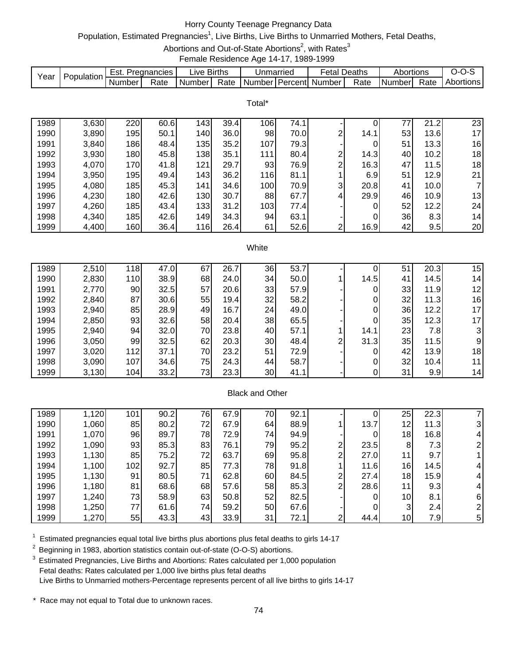# Horry County Teenage Pregnancy Data

# Population, Estimated Pregnancies<sup>1</sup>, Live Births, Live Births to Unmarried Mothers, Fetal Deaths,

Abortions and Out-of-State Abortions<sup>2</sup>, with Rates<sup>3</sup>

Female Residence Age 14-17, 1989-1999

|      | Population. | ⊨st.   | Pregnancies | ive Births. |      | Unmarried |            | -etal  | Deaths | Abortions |      | J-1<br>- 750 |
|------|-------------|--------|-------------|-------------|------|-----------|------------|--------|--------|-----------|------|--------------|
| Year |             | Number | Rate        | Number      | Rate | Number    | l Percentl | Number | Rate   | Numberl   | Rate | Abortions    |

Total\*

| 1989 | 3,630 | 220 | 60.6 | 1431             | 39.4 | 106 | 74.1 |                |      | 77 | 21.2 | 23 |
|------|-------|-----|------|------------------|------|-----|------|----------------|------|----|------|----|
| 1990 | 3,890 | 195 | 50.1 | 140              | 36.0 | 98  | 70.0 | ⌒              | 14.1 | 53 | 13.6 | 17 |
| 1991 | 3,840 | 186 | 48.4 | 135              | 35.2 | 107 | 79.3 |                | 0    | 51 | 13.3 | 16 |
| 1992 | 3,930 | 180 | 45.8 | 138              | 35.1 | 111 | 80.4 | ົ              | 14.3 | 40 | 10.2 | 18 |
| 1993 | 4,070 | 170 | 41.8 | 121              | 29.7 | 93  | 76.9 | ⌒              | 16.3 | 47 | 11.5 | 18 |
| 1994 | 3,950 | 195 | 49.4 | 143              | 36.2 | 116 | 81.1 |                | 6.9  | 51 | 12.9 | 21 |
| 1995 | 4,080 | 185 | 45.3 | 141              | 34.6 | 100 | 70.9 | 3              | 20.8 | 41 | 10.0 | 7  |
| 1996 | 4,230 | 180 | 42.6 | 130 <sub>1</sub> | 30.7 | 88  | 67.7 | $\overline{4}$ | 29.9 | 46 | 10.9 | 13 |
| 1997 | 4,260 | 185 | 43.4 | 133              | 31.2 | 103 | 77.4 |                | 0    | 52 | 12.2 | 24 |
| 1998 | 4,340 | 185 | 42.6 | 149              | 34.3 | 94  | 63.1 |                | 0    | 36 | 8.3  | 14 |
| 1999 | 4,400 | 160 | 36.4 | 116              | 26.4 | 61  | 52.6 | ົ              | 16.9 | 42 | 9.5  | 20 |

#### **White**

| 1989 | 2,510 | 118 | 47.0 | 67 | 26.7 | 36 | 53.7 |   |      | 51 | 20.3 | 15 <sub>1</sub> |
|------|-------|-----|------|----|------|----|------|---|------|----|------|-----------------|
| 1990 | 2,830 | 110 | 38.9 | 68 | 24.0 | 34 | 50.0 |   | 14.5 | 41 | 14.5 | 14 <sub>1</sub> |
| 1991 | 2,770 | 90  | 32.5 | 57 | 20.6 | 33 | 57.9 |   |      | 33 | 11.9 | 12              |
| 1992 | 2,840 | 87  | 30.6 | 55 | 19.4 | 32 | 58.2 |   |      | 32 | 11.3 | 16              |
| 1993 | 2,940 | 85  | 28.9 | 49 | 16.7 | 24 | 49.0 |   |      | 36 | 12.2 | 17              |
| 1994 | 2,850 | 93  | 32.6 | 58 | 20.4 | 38 | 65.5 |   |      | 35 | 12.3 | 17              |
| 1995 | 2,940 | 94  | 32.0 | 70 | 23.8 | 40 | 57.1 |   | 14.1 | 23 | 7.8I |                 |
| 1996 | 3,050 | 99  | 32.5 | 62 | 20.3 | 30 | 48.4 | ົ | 31.3 | 35 | 11.5 | 9               |
| 1997 | 3,020 | 112 | 37.1 | 70 | 23.2 | 51 | 72.9 |   |      | 42 | 13.9 | 18              |
| 1998 | 3,090 | 107 | 34.6 | 75 | 24.3 | 44 | 58.7 |   |      | 32 | 10.4 | 11              |
| 1999 | 3,130 | 104 | 33.2 | 73 | 23.3 | 30 | 41.1 |   |      | 31 | 9.9  | 14              |

## Black and Other

| 1989 | 1,120 | 101 | 90.2 | 76 | 67.9 | 70 | 92.1 |   |      | 25              | 22.3 |   |
|------|-------|-----|------|----|------|----|------|---|------|-----------------|------|---|
| 1990 | 1,060 | 85  | 80.2 | 72 | 67.9 | 64 | 88.9 |   | 13.7 | 12              | 11.3 |   |
| 1991 | 1,070 | 96  | 89.7 | 78 | 72.9 | 74 | 94.9 |   |      | 18              | 16.8 |   |
| 1992 | 1,090 | 93  | 85.3 | 83 | 76.1 | 79 | 95.2 | ົ | 23.5 | 8               | 7.3  |   |
| 1993 | 1,130 | 85  | 75.2 | 72 | 63.7 | 69 | 95.8 | ົ | 27.0 | 11              | 9.7  |   |
| 1994 | 1,100 | 102 | 92.7 | 85 | 77.3 | 78 | 91.8 |   | 11.6 | 16              | 14.5 | 4 |
| 1995 | 1,130 | 91  | 80.5 | 71 | 62.8 | 60 | 84.5 | ົ | 27.4 | 18              | 15.9 | 4 |
| 1996 | 1,180 | 81  | 68.6 | 68 | 57.6 | 58 | 85.3 | ົ | 28.6 | 11              | 9.3  |   |
| 1997 | 1,240 | 73  | 58.9 | 63 | 50.8 | 52 | 82.5 |   | 0    | 10 <sub>1</sub> | 8.1  | 6 |
| 1998 | 1,250 | 77  | 61.6 | 74 | 59.2 | 50 | 67.6 |   | 0    | 3               | 2.4  |   |
| 1999 | 1,270 | 55  | 43.3 | 43 | 33.9 | 31 | 72.1 | ົ | 44.4 | 10 <sub>l</sub> | 7.9  | 5 |

 $1$  Estimated pregnancies equal total live births plus abortions plus fetal deaths to girls 14-17

<sup>2</sup> Beginning in 1983, abortion statistics contain out-of-state (O-O-S) abortions.

<sup>3</sup> Estimated Pregnancies, Live Births and Abortions: Rates calculated per 1,000 population Fetal deaths: Rates calculated per 1,000 live births plus fetal deaths Live Births to Unmarried mothers-Percentage represents percent of all live births to girls 14-17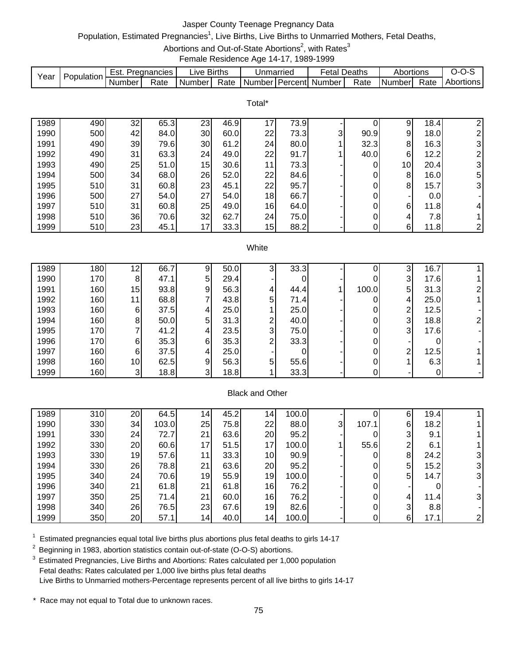# Jasper County Teenage Pregnancy Data

# Population, Estimated Pregnancies<sup>1</sup>, Live Births, Live Births to Unmarried Mothers, Fetal Deaths,

Abortions and Out-of-State Abortions<sup>2</sup>, with Rates<sup>3</sup>

Female Residence Age 14-17, 1989-1999

|      |            | Est.   | Pregnancies | _ive   | <b>Births</b> | Unmarried |             | Fetal  | Deaths | Abortions     |      | J-1       |
|------|------------|--------|-------------|--------|---------------|-----------|-------------|--------|--------|---------------|------|-----------|
| Year | Population | Number | Rate        | Number | Rate          | Number    | ∶I PercentI | Number | Rate   | <b>Number</b> | Rate | Abortions |

|      |     |    |      |                 |      | Total* |      |                |                |                 |      |                |
|------|-----|----|------|-----------------|------|--------|------|----------------|----------------|-----------------|------|----------------|
| 1989 | 490 | 32 | 65.3 | 23              | 46.9 | 17     | 73.9 |                |                | 9               | 18.4 | 2              |
| 1990 | 500 | 42 | 84.0 | 30 <sub>1</sub> | 60.0 | 22     | 73.3 | 3 <sub>l</sub> | 90.9           | 9               | 18.0 | $\overline{2}$ |
| 1991 | 490 | 39 | 79.6 | 30              | 61.2 | 24     | 80.0 |                | 32.3           | 8               | 16.3 | $\overline{3}$ |
| 1992 | 490 | 31 | 63.3 | 24              | 49.0 | 22     | 91.7 |                | 40.0           | 6               | 12.2 | 2 <sub>1</sub> |
| 1993 | 490 | 25 | 51.0 | 15              | 30.6 | 11     | 73.3 |                |                | 10 <sup>1</sup> | 20.4 | 3 <sup>1</sup> |
| 1994 | 500 | 34 | 68.0 | 26              | 52.0 | 22     | 84.6 |                | 0              | 8               | 16.0 | 5              |
| 1995 | 510 | 31 | 60.8 | 23              | 45.1 | 22     | 95.7 |                | $\overline{0}$ | 8               | 15.7 | 3 <sup>1</sup> |
| 1996 | 500 | 27 | 54.0 | 27              | 54.0 | 18     | 66.7 |                | 0              | ۰               | 0.0  |                |
| 1997 | 510 | 31 | 60.8 | 25              | 49.0 | 16     | 64.0 |                | 0              | 6               | 11.8 | 4              |
| 1998 | 510 | 36 | 70.6 | 32              | 62.7 | 24     | 75.0 |                | 0              | 4               | 7.8  |                |
| 1999 | 510 | 23 | 45.1 | 17              | 33.3 | 15     | 88.2 |                | $\mathbf{0}$   | 6               | 11.8 | $\mathbf{2}$   |

#### **White**

| 1989 | 180 | 12              | 66.7 | 9 | 50.0 | ۍ | 33.3 |       | 3              | 16.7 |  |
|------|-----|-----------------|------|---|------|---|------|-------|----------------|------|--|
| 1990 | 170 | 8               | 47.1 | 5 | 29.4 |   |      |       | 3              | 17.6 |  |
| 1991 | 160 | 15              | 93.8 | 9 | 56.3 | 4 | 44.4 | 100.0 | 5              | 31.3 |  |
| 1992 | 160 | 11              | 68.8 |   | 43.8 | 5 | 71.4 |       | 4              | 25.0 |  |
| 1993 | 160 | 6               | 37.5 | 4 | 25.0 |   | 25.0 |       | 2              | 12.5 |  |
| 1994 | 160 | 8               | 50.0 | 5 | 31.3 | ົ | 40.0 |       | 3              | 18.8 |  |
| 1995 | 170 |                 | 41.2 |   | 23.5 | 3 | 75.0 |       | 3 <sub>l</sub> | 17.6 |  |
| 1996 | 170 | 6               | 35.3 | 6 | 35.3 | ◠ | 33.3 |       |                |      |  |
| 1997 | 160 | 6               | 37.5 | 4 | 25.0 |   |      |       | 2              | 12.5 |  |
| 1998 | 160 | 10 <sub>1</sub> | 62.5 | 9 | 56.3 | 5 | 55.6 |       |                | 6.3  |  |
| 1999 | 160 | ົ<br>J          | 18.8 | 3 | 18.8 |   | 33.3 |       |                |      |  |

## Black and Other

| 1989 | 310 | 20   | 64.5  | 14 | 45.2 | 14. | 100.0 |    |       | 6 | 19.4             |   |
|------|-----|------|-------|----|------|-----|-------|----|-------|---|------------------|---|
| 1990 | 330 | 34 I | 103.0 | 25 | 75.8 | 22  | 88.0  | 31 | 107.1 | 6 | 18.2             |   |
| 1991 | 330 | 24   | 72.7  | 21 | 63.6 | 20  | 95.2  |    |       | 3 | 9.1              |   |
| 1992 | 330 | 20   | 60.6  | 17 | 51.5 | 17  | 100.0 |    | 55.6  | ⌒ | 6.1              |   |
| 1993 | 330 | 19   | 57.6  | 11 | 33.3 | 10  | 90.9  |    |       | 8 | 24.2             | 3 |
| 1994 | 330 | 26   | 78.8  | 21 | 63.6 | 20  | 95.2  |    |       | 5 | 15.2             |   |
| 1995 | 340 | 24   | 70.6  | 19 | 55.9 | 19  | 100.0 |    |       | 5 | 14.7             |   |
| 1996 | 340 | 21   | 61.8  | 21 | 61.8 | 16  | 76.2  |    |       |   |                  |   |
| 1997 | 350 | 25   | 71.4  | 21 | 60.0 | 16  | 76.2  |    |       | 4 | 11.4             | 3 |
| 1998 | 340 | 26   | 76.5  | 23 | 67.6 | 19  | 82.6  |    |       | 3 | 8.8 <sub>l</sub> |   |
| 1999 | 350 | 20   | 57.1  | 14 | 40.0 | 14  | 100.0 |    |       | 6 | 17.1             |   |

 $1$  Estimated pregnancies equal total live births plus abortions plus fetal deaths to girls 14-17

<sup>2</sup> Beginning in 1983, abortion statistics contain out-of-state (O-O-S) abortions.

<sup>3</sup> Estimated Pregnancies, Live Births and Abortions: Rates calculated per 1,000 population Fetal deaths: Rates calculated per 1,000 live births plus fetal deaths Live Births to Unmarried mothers-Percentage represents percent of all live births to girls 14-17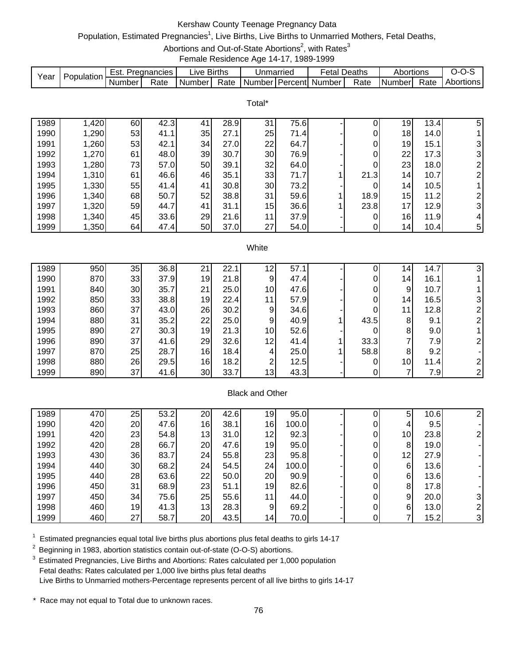# Kershaw County Teenage Pregnancy Data

# Population, Estimated Pregnancies<sup>1</sup>, Live Births, Live Births to Unmarried Mothers, Fetal Deaths,

Abortions and Out-of-State Abortions<sup>2</sup>, with Rates<sup>3</sup>

Female Residence Age 14-17, 1989-1999

|      | Population | Est.   | Pregnancies | _ive l | <b>Births</b> | Unmarried |             | Fetal. | Deaths | Abortions     |      | ∍-ט-י     |
|------|------------|--------|-------------|--------|---------------|-----------|-------------|--------|--------|---------------|------|-----------|
| Year |            | Number | Rate        | Number | Rate          | Number    | 1 Percent l | Number | Rate   | <b>Number</b> | Rate | Abortions |
|      |            |        |             |        |               |           |             |        |        |               |      |           |

Total\*

| 1989 | 1,420 | 60 | 42.3 | 41 | 28.9 | 31 | 75.6 |      | 19 | 13.4 | 5 |
|------|-------|----|------|----|------|----|------|------|----|------|---|
| 1990 | 1,290 | 53 | 41.1 | 35 | 27.1 | 25 | 71.4 | 0    | 18 | 14.0 |   |
| 1991 | 1,260 | 53 | 42.1 | 34 | 27.0 | 22 | 64.7 | 0    | 19 | 15.1 | 3 |
| 1992 | 1,270 | 61 | 48.0 | 39 | 30.7 | 30 | 76.9 | 0    | 22 | 17.3 | 3 |
| 1993 | 1,280 | 73 | 57.0 | 50 | 39.1 | 32 | 64.0 | 0    | 23 | 18.0 |   |
| 1994 | 1,310 | 61 | 46.6 | 46 | 35.1 | 33 | 71.7 | 21.3 | 14 | 10.7 | ⌒ |
| 1995 | 1,330 | 55 | 41.4 | 41 | 30.8 | 30 | 73.2 |      | 14 | 10.5 |   |
| 1996 | 1,340 | 68 | 50.7 | 52 | 38.8 | 31 | 59.6 | 18.9 | 15 | 11.2 |   |
| 1997 | 1,320 | 59 | 44.7 | 41 | 31.1 | 15 | 36.6 | 23.8 | 17 | 12.9 | 3 |
| 1998 | 1,340 | 45 | 33.6 | 29 | 21.6 | 11 | 37.9 |      | 16 | 11.9 | 4 |
| 1999 | 1,350 | 64 | 47.4 | 50 | 37.0 | 27 | 54.0 |      | 14 | 10.4 | 5 |

#### **White**

| 1989 | 950 | 35 | 36.8 | 2٠              | 22.7 | 12 | 57.7 |      | 14              | 14.7 | 3 |
|------|-----|----|------|-----------------|------|----|------|------|-----------------|------|---|
| 1990 | 870 | 33 | 37.9 | 19              | 21.8 | 9  | 47.4 |      | 14              | 16.1 |   |
| 1991 | 840 | 30 | 35.7 | 21              | 25.0 | 10 | 47.6 |      | 9               | 10.7 |   |
| 1992 | 850 | 33 | 38.8 | 19              | 22.4 | 11 | 57.9 |      | 14 <sub>1</sub> | 16.5 |   |
| 1993 | 860 | 37 | 43.0 | 26              | 30.2 | 9  | 34.6 |      | 11              | 12.8 |   |
| 1994 | 880 | 31 | 35.2 | 22              | 25.0 | 9  | 40.9 | 43.5 | 8               | 9.1  |   |
| 1995 | 890 | 27 | 30.3 | 19              | 21.3 | 10 | 52.6 |      | 8               | 9.0  |   |
| 1996 | 890 | 37 | 41.6 | 29              | 32.6 | 12 | 41.4 | 33.3 |                 | 7.9  |   |
| 1997 | 870 | 25 | 28.7 | 16              | 18.4 | 4  | 25.0 | 58.8 | 8               | 9.2  |   |
| 1998 | 880 | 26 | 29.5 | 16 <sup>1</sup> | 18.2 | ◠  | 12.5 |      | 10 <sub>1</sub> | 11.4 |   |
| 1999 | 890 | 37 | 41.6 | 30              | 33.7 | 13 | 43.3 |      |                 | 7.9  |   |

## Black and Other

| 1989 | 470 | 25 | 53.2 | 20 | 42.6 | 19              | 95.0  |  | 5               | 10.6 |  |
|------|-----|----|------|----|------|-----------------|-------|--|-----------------|------|--|
| 1990 | 420 | 20 | 47.6 | 16 | 38.1 | 16              | 100.0 |  |                 | 9.5  |  |
| 1991 | 420 | 23 | 54.8 | 13 | 31.0 | 12              | 92.3  |  | 10 <sub>1</sub> | 23.8 |  |
| 1992 | 420 | 28 | 66.7 | 20 | 47.6 | 19              | 95.0  |  | 8               | 19.0 |  |
| 1993 | 430 | 36 | 83.7 | 24 | 55.8 | 23              | 95.8  |  | 12              | 27.9 |  |
| 1994 | 440 | 30 | 68.2 | 24 | 54.5 | 24              | 100.0 |  | 6               | 13.6 |  |
| 1995 | 440 | 28 | 63.6 | 22 | 50.0 | 20              | 90.9  |  | 6               | 13.6 |  |
| 1996 | 450 | 31 | 68.9 | 23 | 51.1 | 19              | 82.6  |  | 8               | 17.8 |  |
| 1997 | 450 | 34 | 75.6 | 25 | 55.6 | 11 <sub>1</sub> | 44.0  |  | 9               | 20.0 |  |
| 1998 | 460 | 19 | 41.3 | 13 | 28.3 | 9               | 69.2  |  | 6               | 13.0 |  |
| 1999 | 460 | 27 | 58.7 | 20 | 43.5 | 14 <sub>1</sub> | 70.0  |  |                 | 15.2 |  |

 $1$  Estimated pregnancies equal total live births plus abortions plus fetal deaths to girls 14-17

<sup>2</sup> Beginning in 1983, abortion statistics contain out-of-state (O-O-S) abortions.

3 Estimated Pregnancies, Live Births and Abortions: Rates calculated per 1,000 population Fetal deaths: Rates calculated per 1,000 live births plus fetal deaths Live Births to Unmarried mothers-Percentage represents percent of all live births to girls 14-17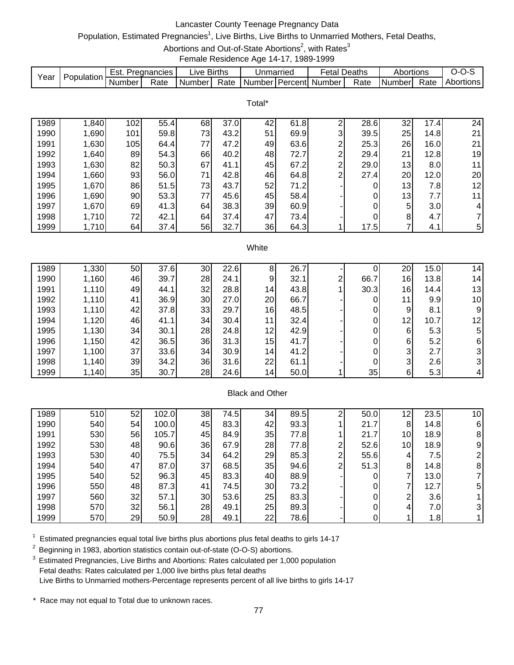# Lancaster County Teenage Pregnancy Data

# Population, Estimated Pregnancies<sup>1</sup>, Live Births, Live Births to Unmarried Mothers, Fetal Deaths,

Abortions and Out-of-State Abortions<sup>2</sup>, with Rates<sup>3</sup>

Female Residence Age 14-17, 1989-1999

|      |            | Est.   | Pregnancies | ∟ive Births |      | Unmarried | Fetal                     | Deaths | Abortions |      | $J-I$     |
|------|------------|--------|-------------|-------------|------|-----------|---------------------------|--------|-----------|------|-----------|
| Year | Population | Number | Rate        | Number I    | Rate |           | l NumberTPercentl Number_ | Rate   | I Numberl | Rate | Abortions |

|      |       |     |      |    |      | Total* |      |   |      |    |      |    |
|------|-------|-----|------|----|------|--------|------|---|------|----|------|----|
| 1989 | 1,840 | 102 | 55.4 | 68 | 37.0 | 42     | 61.8 | ⌒ | 28.6 | 32 | 17.4 | 24 |
| 1990 | 1,690 | 101 | 59.8 | 73 | 43.2 | 51     | 69.9 | 3 | 39.5 | 25 | 14.8 | 21 |
| 1991 | 1,630 | 105 | 64.4 | 77 | 47.2 | 49     | 63.6 | ⌒ | 25.3 | 26 | 16.0 | 21 |
| 1992 | 1,640 | 89  | 54.3 | 66 | 40.2 | 48     | 72.7 | ົ | 29.4 | 21 | 12.8 | 19 |
| 1993 | 1,630 | 82  | 50.3 | 67 | 41.1 | 45     | 67.2 | ⌒ | 29.0 | 13 | 8.0  | 11 |
| 1994 | 1,660 | 93  | 56.0 | 71 | 42.8 | 46     | 64.8 | ⌒ | 27.4 | 20 | 12.0 | 20 |
| 1995 | 1,670 | 86  | 51.5 | 73 | 43.7 | 52     | 71.2 |   | 0    | 13 | 7.8  | 12 |
| 1996 | 1,690 | 90  | 53.3 | 77 | 45.6 | 45     | 58.4 |   | 0    | 13 | 7.7  | 11 |
| 1997 | 1,670 | 69  | 41.3 | 64 | 38.3 | 39     | 60.9 |   | 0    | 5  | 3.0  | 4  |
| 1998 | 1,710 | 72  | 42.1 | 64 | 37.4 | 47     | 73.4 |   | 0    | 8  | 4.7  | 7  |
| 1999 | 1,710 | 64  | 37.4 | 56 | 32.7 | 36     | 64.3 |   | 17.5 | 7  | 4.1  | 5  |

#### **White**

| 1989 | 1,330 | 50 | 37.6 | 30 | 22.6 | 8               | 26.7 |   |      | 20       | 15.0 | 14 <sub>1</sub> |
|------|-------|----|------|----|------|-----------------|------|---|------|----------|------|-----------------|
| 1990 | 1,160 | 46 | 39.7 | 28 | 24.1 | 9               | 32.1 | ⌒ | 66.7 | 16       | 13.8 | 14 <sub>1</sub> |
| 1991 | 1,110 | 49 | 44.1 | 32 | 28.8 | 14              | 43.8 |   | 30.3 | 16       | 14.4 | 13              |
| 1992 | 1,110 | 41 | 36.9 | 30 | 27.0 | 20              | 66.7 |   |      | 11       | 9.9  | 10              |
| 1993 | 1,110 | 42 | 37.8 | 33 | 29.7 | 16              | 48.5 |   |      | 9        | 8.1  | 9               |
| 1994 | 1,120 | 46 | 41.1 | 34 | 30.4 | 11              | 32.4 |   |      | 12       | 10.7 | 12              |
| 1995 | 1,130 | 34 | 30.1 | 28 | 24.8 | 12              | 42.9 |   |      | 6        | 5.3  | 5               |
| 1996 | 1,150 | 42 | 36.5 | 36 | 31.3 | 15              | 41.7 |   |      | 6        | 5.2  | 6               |
| 1997 | 1,100 | 37 | 33.6 | 34 | 30.9 | 14 <sub>1</sub> | 41.2 |   |      | 3        | 2.7  |                 |
| 1998 | 1,140 | 39 | 34.2 | 36 | 31.6 | 22              | 61.1 |   |      | 3        | 2.6  |                 |
| 1999 | 1,140 | 35 | 30.7 | 28 | 24.6 | 14              | 50.0 |   | 35   | $6\vert$ | 5.3  |                 |

# Black and Other

| 1989 | 510 | 52 | 102.0 | 38 | 74.5 | 34 | 89.5 |   | 50.0 | 12                       | 23.5             | 10 <sub>1</sub> |
|------|-----|----|-------|----|------|----|------|---|------|--------------------------|------------------|-----------------|
| 1990 | 540 | 54 | 100.0 | 45 | 83.3 | 42 | 93.3 |   | 21.7 | 8                        | 14.8             | 61              |
| 1991 | 530 | 56 | 105.7 | 45 | 84.9 | 35 | 77.8 |   | 21.7 | 10                       | 18.9             | 8               |
| 1992 | 530 | 48 | 90.6  | 36 | 67.9 | 28 | 77.8 | ⌒ | 52.6 | 10 <sub>l</sub>          | 18.9             | 9               |
| 1993 | 530 | 40 | 75.5  | 34 | 64.2 | 29 | 85.3 | ⌒ | 55.6 | 4                        | 7.5              |                 |
| 1994 | 540 | 47 | 87.0  | 37 | 68.5 | 35 | 94.6 | ⌒ | 51.3 | 8                        | 14.8             | 8               |
| 1995 | 540 | 52 | 96.3  | 45 | 83.3 | 40 | 88.9 |   |      | $\overline{\phantom{a}}$ | 13.0             |                 |
| 1996 | 550 | 48 | 87.3  | 41 | 74.5 | 30 | 73.2 |   |      | ⇁                        | 12.7             | 5               |
| 1997 | 560 | 32 | 57.1  | 30 | 53.6 | 25 | 83.3 |   |      | 2                        | 3.6              |                 |
| 1998 | 570 | 32 | 56.1  | 28 | 49.1 | 25 | 89.3 |   |      | 4                        | 7.0 <sub>l</sub> | 31              |
| 1999 | 570 | 29 | 50.9  | 28 | 49.1 | 22 | 78.6 |   |      |                          | 1.8              |                 |

 $1$  Estimated pregnancies equal total live births plus abortions plus fetal deaths to girls 14-17

<sup>2</sup> Beginning in 1983, abortion statistics contain out-of-state (O-O-S) abortions.

<sup>3</sup> Estimated Pregnancies, Live Births and Abortions: Rates calculated per 1,000 population Fetal deaths: Rates calculated per 1,000 live births plus fetal deaths Live Births to Unmarried mothers-Percentage represents percent of all live births to girls 14-17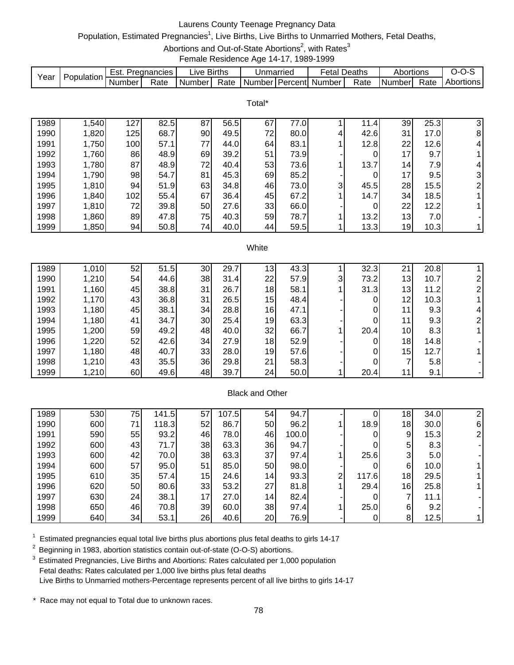# Laurens County Teenage Pregnancy Data

# Population, Estimated Pregnancies<sup>1</sup>, Live Births, Live Births to Unmarried Mothers, Fetal Deaths,

Abortions and Out-of-State Abortions<sup>2</sup>, with Rates<sup>3</sup>

Female Residence Age 14-17, 1989-1999

|      |            | Est.     | Pregnancies | IV <sub>e</sub> | <b>Births</b> | Unmarried |                  | Fetal  | Deaths | Abortions     |      | . J-1     |
|------|------------|----------|-------------|-----------------|---------------|-----------|------------------|--------|--------|---------------|------|-----------|
| Year | Population | . Number | Rate        | . Number        | Rate          | Number    | <b>I</b> Percent | Number | Rate   | <b>Number</b> | Rate | Abortions |

Total\*

| 1989 | ,540  | 127 | 82.5 | 87 | 56.5 | 67 | 77.0I |   | 11.4 | 39              | 25.3 | 3              |
|------|-------|-----|------|----|------|----|-------|---|------|-----------------|------|----------------|
| 1990 | 1,820 | 125 | 68.7 | 90 | 49.5 | 72 | 80.0  | 4 | 42.6 | 31              | 17.0 | 8              |
| 1991 | 1,750 | 100 | 57.1 | 77 | 44.0 | 64 | 83.1  |   | 12.8 | 22              | 12.6 | 4              |
| 1992 | 1,760 | 86  | 48.9 | 69 | 39.2 | 51 | 73.9  |   |      | 17              | 9.7  |                |
| 1993 | 1,780 | 87  | 48.9 | 72 | 40.4 | 53 | 73.6  |   | 13.7 | 14 <sub>1</sub> | 7.9  | 4              |
| 1994 | 1,790 | 98  | 54.7 | 81 | 45.3 | 69 | 85.2  |   |      | 17              | 9.5  | $\mathbf{3}$   |
| 1995 | 1,810 | 94  | 51.9 | 63 | 34.8 | 46 | 73.0  | 3 | 45.5 | 28              | 15.5 | 2 <sub>1</sub> |
| 1996 | 1,840 | 102 | 55.4 | 67 | 36.4 | 45 | 67.2  |   | 14.7 | 34              | 18.5 |                |
| 1997 | 1,810 | 72  | 39.8 | 50 | 27.6 | 33 | 66.0  |   |      | 22              | 12.2 |                |
| 1998 | ,860  | 89  | 47.8 | 75 | 40.3 | 59 | 78.7  |   | 13.2 | 13              | 7.0  |                |
| 1999 | 1,850 | 94  | 50.8 | 74 | 40.0 | 44 | 59.5  |   | 13.3 | 19              | 10.3 |                |

#### **White**

| 1989 | 1,010 | 52 | 51.5 | 30 | 29.7 | 13 <sub>1</sub> | 43.3 |   | 32.3 | <b>O4</b> | 20.8 |   |
|------|-------|----|------|----|------|-----------------|------|---|------|-----------|------|---|
| 1990 | 1,210 | 54 | 44.6 | 38 | 31.4 | 22              | 57.9 | 3 | 73.2 | 13        | 10.7 |   |
| 1991 | 1,160 | 45 | 38.8 | 31 | 26.7 | 18              | 58.1 |   | 31.3 | 13        | 11.2 |   |
| 1992 | 1,170 | 43 | 36.8 | 31 | 26.5 | 15              | 48.4 |   |      | 12        | 10.3 |   |
| 1993 | 1,180 | 45 | 38.1 | 34 | 28.8 | 16              | 47.1 |   |      | 11        | 9.3  | 4 |
| 1994 | 1,180 | 41 | 34.7 | 30 | 25.4 | 19              | 63.3 |   |      | 11        | 9.3  |   |
| 1995 | 1,200 | 59 | 49.2 | 48 | 40.0 | 32              | 66.7 |   | 20.4 | 10        | 8.3  |   |
| 1996 | 1,220 | 52 | 42.6 | 34 | 27.9 | 18              | 52.9 |   |      | 18        | 14.8 |   |
| 1997 | 1,180 | 48 | 40.7 | 33 | 28.0 | 19              | 57.6 |   |      | 15        | 12.7 |   |
| 1998 | 1,210 | 43 | 35.5 | 36 | 29.8 | 21              | 58.3 |   |      | 7         | 5.8  |   |
| 1999 | 1,210 | 60 | 49.6 | 48 | 39.7 | 24              | 50.0 |   | 20.4 | 11        | 9.1  |   |

## Black and Other

| 1989 | 530 | 75 | 141.5 | 57 | 107.5 | 54              | 94.7  |   |       | 18 <sub>1</sub> | 34.0             |   |
|------|-----|----|-------|----|-------|-----------------|-------|---|-------|-----------------|------------------|---|
| 1990 | 600 | 71 | 118.3 | 52 | 86.7  | 50              | 96.2  |   | 18.9  | 18              | 30.0             | 6 |
| 1991 | 590 | 55 | 93.2  | 46 | 78.0  | 46              | 100.0 |   |       | 9               | 15.3             |   |
| 1992 | 600 | 43 | 71.7  | 38 | 63.3  | 36              | 94.7  |   |       | 5               | 8.3              |   |
| 1993 | 600 | 42 | 70.0  | 38 | 63.3  | 37              | 97.4  |   | 25.6  | 3               | 5.0 <sub>l</sub> |   |
| 1994 | 600 | 57 | 95.0  | 51 | 85.0  | 50              | 98.0  |   |       | 6               | 10.0             |   |
| 1995 | 610 | 35 | 57.4  | 15 | 24.6  | 14 <sub>1</sub> | 93.3  | ⌒ | 117.6 | 18              | 29.5             |   |
| 1996 | 620 | 50 | 80.6  | 33 | 53.2  | 27              | 81.8  |   | 29.4  | 16              | 25.8             |   |
| 1997 | 630 | 24 | 38.1  | 17 | 27.0  | 14 <sub>1</sub> | 82.4  |   |       | ⇁               | 11.1             |   |
| 1998 | 650 | 46 | 70.8  | 39 | 60.0  | 38              | 97.4  |   | 25.0  | 6               | 9.2              |   |
| 1999 | 640 | 34 | 53.1  | 26 | 40.6  | 20              | 76.9  |   |       | 8               | 12.5             |   |

 $1$  Estimated pregnancies equal total live births plus abortions plus fetal deaths to girls 14-17

<sup>2</sup> Beginning in 1983, abortion statistics contain out-of-state (O-O-S) abortions.

<sup>3</sup> Estimated Pregnancies, Live Births and Abortions: Rates calculated per 1,000 population Fetal deaths: Rates calculated per 1,000 live births plus fetal deaths Live Births to Unmarried mothers-Percentage represents percent of all live births to girls 14-17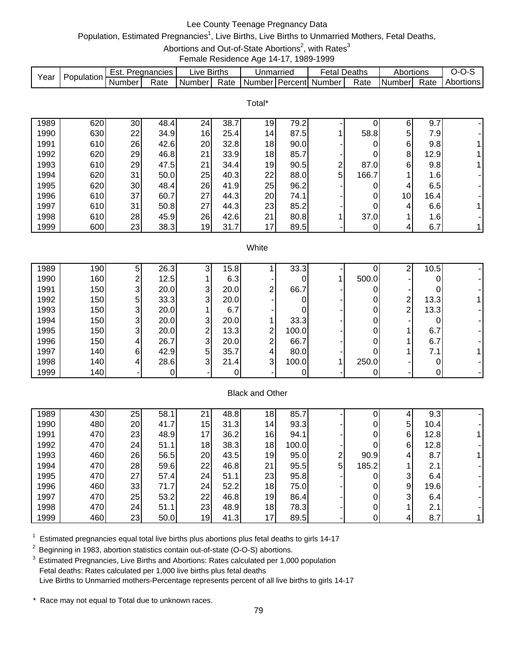# Lee County Teenage Pregnancy Data

# Population, Estimated Pregnancies<sup>1</sup>, Live Births, Live Births to Unmarried Mothers, Fetal Deaths,

Abortions and Out-of-State Abortions<sup>2</sup>, with Rates<sup>3</sup>

Female Residence Age 14-17, 1989-1999

|              |            |                         |              |                         |              |                        | . ,<br>$\sim$ |                         |                     |                         |                     |           |
|--------------|------------|-------------------------|--------------|-------------------------|--------------|------------------------|---------------|-------------------------|---------------------|-------------------------|---------------------|-----------|
| Year         | Population | Est. Pregnancies        |              | Live Births             |              | Unmarried              |               | <b>Fetal Deaths</b>     |                     | Abortions               |                     | $O-O-S$   |
|              |            | Number                  | Rate         | Number                  | Rate         |                        |               | Number Percent Number   | Rate                | Number                  | Rate                | Abortions |
|              |            |                         |              |                         |              | Total*                 |               |                         |                     |                         |                     |           |
|              |            |                         |              |                         |              |                        |               |                         |                     |                         |                     |           |
| 1989         | 620        | 30                      | 48.4         | 24                      | 38.7         | 19                     | 79.2          |                         | 0                   | 6                       | 9.7                 |           |
| 1990         | 630        | 22                      | 34.9         | 16                      | 25.4         | 14                     | 87.5          | 1                       | 58.8                | 5                       | 7.9                 |           |
| 1991         | 610        | 26                      | 42.6         | 20                      | 32.8         | 18                     | 90.0          |                         | 0                   | 6                       | 9.8                 |           |
| 1992         | 620        | 29                      | 46.8         | 21                      | 33.9         | 18                     | 85.7          |                         | 0                   | 8                       | 12.9                |           |
| 1993         | 610        | 29                      | 47.5         | 21                      | 34.4         | 19                     | 90.5          | $\overline{\mathbf{c}}$ | 87.0                | 6                       | 9.8                 |           |
| 1994         | 620        | 31                      | 50.0         | 25                      | 40.3         | 22                     | 88.0          | 5                       | 166.7               | 1                       | 1.6                 |           |
| 1995<br>1996 | 620<br>610 | 30<br>37                | 48.4<br>60.7 | 26<br>27                | 41.9<br>44.3 | 25<br>20               | 96.2<br>74.1  |                         | 0<br>0              | 4<br>10                 | 6.5<br>16.4         |           |
| 1997         | 610        | 31                      | 50.8         | 27                      | 44.3         | 23                     | 85.2          |                         | 0                   | 4                       | 6.6                 | 1         |
| 1998         | 610        | 28                      | 45.9         | 26                      | 42.6         | 21                     | 80.8          | 1                       | 37.0                | 1                       | 1.6                 |           |
| 1999         | 600        | 23                      | 38.3         | 19                      | 31.7         | 17                     | 89.5          |                         | 0                   | 4                       | 6.7                 | 1         |
|              |            |                         |              |                         |              |                        |               |                         |                     |                         |                     |           |
|              |            |                         |              |                         |              | White                  |               |                         |                     |                         |                     |           |
|              |            |                         |              |                         |              |                        |               |                         |                     |                         |                     |           |
| 1989         | 190        | 5                       | 26.3         | $\mathbf{3}$            | 15.8         |                        | 33.3          |                         | 0                   | $\boldsymbol{2}$        | 10.5                |           |
| 1990<br>1991 | 160<br>150 | $\overline{\mathbf{c}}$ | 12.5<br>20.0 | $\mathbf{1}$            | 6.3<br>20.0  | 2                      | 0<br>66.7     | 1                       | 500.0               |                         | 0<br>0              |           |
| 1992         | 150        | 3<br>5                  | 33.3         | 3<br>3                  | 20.0         |                        | 0             |                         | 0<br>0              | $\overline{\mathbf{c}}$ | 13.3                |           |
| 1993         | 150        | 3                       | 20.0         | 1                       | 6.7          |                        | 0             |                         | 0                   | $\overline{c}$          | 13.3                |           |
| 1994         | 150        | 3                       | 20.0         | 3                       | 20.0         | 1                      | 33.3          |                         | 0                   |                         | 0                   |           |
| 1995         | 150        | 3                       | 20.0         | $\overline{\mathbf{c}}$ | 13.3         | $\overline{c}$         | 100.0         |                         | 0                   | 1                       | 6.7                 |           |
| 1996         | 150        | 4                       | 26.7         | 3                       | 20.0         | $\overline{2}$         | 66.7          |                         | 0                   | 1                       | 6.7                 |           |
| 1997         | 140        | 6                       | 42.9         | 5                       | 35.7         | 4                      | 80.0          |                         | 0                   | 1                       | 7.1                 |           |
| 1998         | 140        | 4                       | 28.6         | 3                       | 21.4         | 3                      | 100.0         | 1                       | 250.0               |                         | 0                   |           |
| 1999         | 140        |                         | 0            |                         | 0            |                        | $\pmb{0}$     |                         | $\mathbf 0$         |                         | $\mathsf{O}\xspace$ |           |
|              |            |                         |              |                         |              | <b>Black and Other</b> |               |                         |                     |                         |                     |           |
|              |            |                         |              |                         |              |                        |               |                         |                     |                         |                     |           |
| 1989         | 430        | 25                      | 58.1         | 21                      | 48.8         | 18                     | 85.7          |                         | $\pmb{0}$           | 4                       | 9.3                 |           |
| 1990         | 480        | 20                      | 41.7         | 15                      | 31.3         | 14                     | 93.3          |                         | $\pmb{0}$           | 5                       | 10.4                |           |
| 1991         | 470        | 23                      | 48.9         | 17                      | 36.2         | 16                     | 94.1          |                         | $\overline{0}$      | 6 <sup>1</sup>          | 12.8                | 1         |
| 1992         | 470        | 24                      | 51.1         | 18                      | 38.3         | 18                     | 100.0         |                         | 0                   | 6                       | 12.8                |           |
| 1993         | 460        | 26                      | 56.5         | 20                      | 43.5         | 19                     | 95.0          | 2                       | 90.9                | 4                       | 8.7                 |           |
| 1994         | 470        | 28                      | 59.6         | 22                      | 46.8         | 21                     | 95.5          | 5                       | 185.2               | 1                       | 2.1                 |           |
| 1995         | 470        | 27                      | 57.4         | 24                      | 51.1         | 23                     | 95.8          |                         | $\mathbf 0$         | 3                       | 6.4                 |           |
| 1996<br>1997 | 460<br>470 | 33<br>25                | 71.7<br>53.2 | 24<br>22                | 52.2<br>46.8 | 18                     | 75.0<br>86.4  |                         | 0<br>$\mathbf 0$    | 9<br>3                  | 19.6<br>6.4         |           |
| 1998         | 470        | 24                      | 51.1         | 23                      | 48.9         | 19<br>18               | 78.3          |                         | $\pmb{0}$           | 1                       | 2.1                 |           |
| 1999         | 460        | 23                      | 50.0         | 19                      | 41.3         | 17                     | 89.5          |                         | $\mathsf{O}\xspace$ | 4                       | 8.7                 | 1         |
|              |            |                         |              |                         |              |                        |               |                         |                     |                         |                     |           |

 $1$  Estimated pregnancies equal total live births plus abortions plus fetal deaths to girls 14-17

2 Beginning in 1983, abortion statistics contain out-of-state (O-O-S) abortions.

<sup>3</sup> Estimated Pregnancies, Live Births and Abortions: Rates calculated per 1,000 population Fetal deaths: Rates calculated per 1,000 live births plus fetal deaths Live Births to Unmarried mothers-Percentage represents percent of all live births to girls 14-17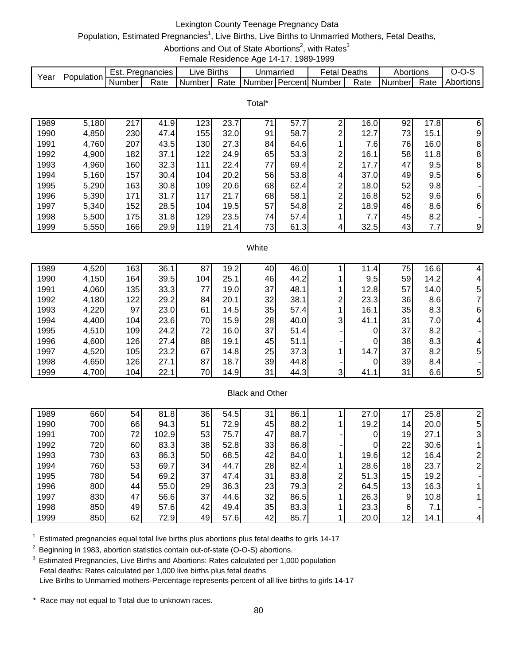# Lexington County Teenage Pregnancy Data

# Population, Estimated Pregnancies<sup>1</sup>, Live Births, Live Births to Unmarried Mothers, Fetal Deaths,

Abortions and Out of State Abortions<sup>2</sup>, with Rates<sup>3</sup>

Female Residence Age 14-17, 1989-1999

|      |            | Est.   | Pregnancies | _ive   | <b>Births</b> | Unmarriec |         | ∙etal  | Deaths | Abortions |      | ,,,,      |
|------|------------|--------|-------------|--------|---------------|-----------|---------|--------|--------|-----------|------|-----------|
| Year | Population | Number | Rate        | Number | Rate          | . Number: | Percent | Number | Rate   | Number    | Rate | Abortions |

Total\*

| 1989 | 5,180 | 217 | 41.9 | 123 | 23.7 | 71 | 57.7 | ົ           | 16.0  | 92 | 17.8 | 6        |
|------|-------|-----|------|-----|------|----|------|-------------|-------|----|------|----------|
| 1990 | 4,850 | 230 | 47.4 | 155 | 32.0 | 91 | 58.7 | ົ           | 12.7  | 73 | 15.1 | 9        |
| 1991 | 4,760 | 207 | 43.5 | 130 | 27.3 | 84 | 64.6 |             | 7.61  | 76 | 16.0 | 8        |
| 1992 | 4,900 | 182 | 37.1 | 122 | 24.9 | 65 | 53.3 | ⌒           | 16.1  | 58 | 11.8 | 8        |
| 1993 | 4,960 | 160 | 32.3 | 111 | 22.4 | 77 | 69.4 | ⌒           | 17.7  | 47 | 9.5  | 8        |
| 1994 | 5,160 | 157 | 30.4 | 104 | 20.2 | 56 | 53.8 | 4           | 37.0I | 49 | 9.5  | $6 \mid$ |
| 1995 | 5,290 | 163 | 30.8 | 109 | 20.6 | 68 | 62.4 | ົ           | 18.0  | 52 | 9.8  |          |
| 1996 | 5,390 | 171 | 31.7 | 117 | 21.7 | 68 | 58.1 | ົ<br>$\sim$ | 16.8  | 52 | 9.6  | $6 \mid$ |
| 1997 | 5,340 | 152 | 28.5 | 104 | 19.5 | 57 | 54.8 | ົ           | 18.9  | 46 | 8.6  | $6 \mid$ |
| 1998 | 5,500 | 175 | 31.8 | 129 | 23.5 | 74 | 57.4 |             | 7.7   | 45 | 8.2  |          |
| 1999 | 5,550 | 166 | 29.9 | 119 | 21.4 | 73 | 61.3 |             | 32.5  | 43 | 7.7  | 9        |

#### **White**

| 1989 | 4,520 | 163 | 36.1 | 87   | 19.2 | 40 | 46.0 |   | 11.4 | 75 | 16.6 | 4              |
|------|-------|-----|------|------|------|----|------|---|------|----|------|----------------|
| 1990 | 4,150 | 164 | 39.5 | 1041 | 25.1 | 46 | 44.2 |   | 9.5  | 59 | 14.2 |                |
| 1991 | 4,060 | 135 | 33.3 | 77   | 19.0 | 37 | 48.1 |   | 12.8 | 57 | 14.0 | 5.             |
| 1992 | 4,180 | 122 | 29.2 | 84   | 20.1 | 32 | 38.1 | ⌒ | 23.3 | 36 | 8.6  |                |
| 1993 | 4,220 | 97  | 23.0 | 61   | 14.5 | 35 | 57.4 |   | 16.1 | 35 | 8.3  | 6              |
| 1994 | 4,400 | 104 | 23.6 | 70   | 15.9 | 28 | 40.0 | 3 | 41.1 | 31 | 7.0I | 4              |
| 1995 | 4,510 | 109 | 24.2 | 72   | 16.0 | 37 | 51.4 |   |      | 37 | 8.2  |                |
| 1996 | 4,600 | 126 | 27.4 | 88   | 19.1 | 45 | 51.1 |   |      | 38 | 8.3  | 4              |
| 1997 | 4,520 | 105 | 23.2 | 67   | 14.8 | 25 | 37.3 |   | 14.7 | 37 | 8.2  | 5 <sub>l</sub> |
| 1998 | 4,650 | 126 | 27.1 | 87   | 18.7 | 39 | 44.8 |   |      | 39 | 8.4  |                |
| 1999 | 4,700 | 104 | 22.1 | 70   | 14.9 | 31 | 44.3 | 3 | 41.1 | 31 | 6.6  | 5              |

## Black and Other

| 1989 | 660 | 54 | 81.8  | 36 | 54.5 | 31 | 86.1 |   | 27.0 | ⇁               | 25.8 |   |
|------|-----|----|-------|----|------|----|------|---|------|-----------------|------|---|
| 1990 | 700 | 66 | 94.3  | 51 | 72.9 | 45 | 88.2 |   | 19.2 | 14 <sub>1</sub> | 20.0 | 5 |
| 1991 | 700 | 72 | 102.9 | 53 | 75.7 | 47 | 88.7 |   |      | 19              | 27.1 |   |
| 1992 | 720 | 60 | 83.3  | 38 | 52.8 | 33 | 86.8 |   | 0    | 22 <sub>1</sub> | 30.6 |   |
| 1993 | 730 | 63 | 86.3  | 50 | 68.5 | 42 | 84.0 |   | 19.6 | 12 <sub>1</sub> | 16.4 |   |
| 1994 | 760 | 53 | 69.7  | 34 | 44.7 | 28 | 82.4 |   | 28.6 | 18              | 23.7 |   |
| 1995 | 780 | 54 | 69.2  | 37 | 47.4 | 31 | 83.8 | ົ | 51.3 | 15              | 19.2 |   |
| 1996 | 800 | 44 | 55.0  | 29 | 36.3 | 23 | 79.3 | ◠ | 64.5 | 13              | 16.3 |   |
| 1997 | 830 | 47 | 56.6  | 37 | 44.6 | 32 | 86.5 |   | 26.3 | 9               | 10.8 |   |
| 1998 | 850 | 49 | 57.6  | 42 | 49.4 | 35 | 83.3 |   | 23.3 | 6               | 7.1  |   |
| 1999 | 850 | 62 | 72.9  | 49 | 57.6 | 42 | 85.7 |   | 20.0 | 12 <sub>1</sub> | 14.1 |   |

 $1$  Estimated pregnancies equal total live births plus abortions plus fetal deaths to girls 14-17

<sup>2</sup> Beginning in 1983, abortion statistics contain out-of-state (O-O-S) abortions.

<sup>3</sup> Estimated Pregnancies, Live Births and Abortions: Rates calculated per 1,000 population Fetal deaths: Rates calculated per 1,000 live births plus fetal deaths Live Births to Unmarried mothers-Percentage represents percent of all live births to girls 14-17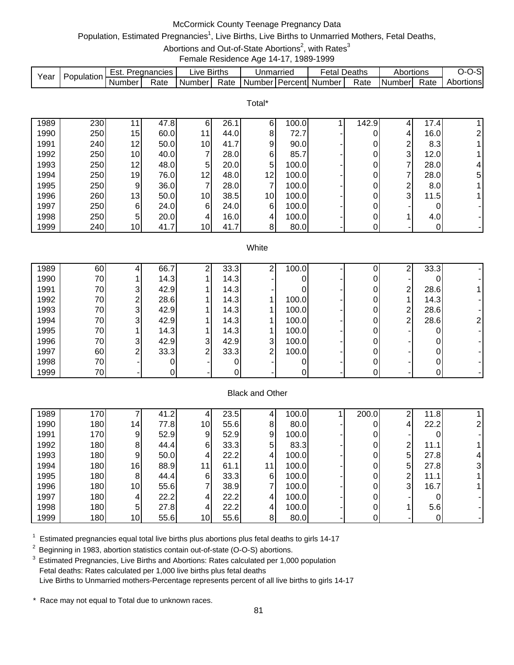# McCormick County Teenage Pregnancy Data

# Population, Estimated Pregnancies<sup>1</sup>, Live Births, Live Births to Unmarried Mothers, Fetal Deaths,

Abortions and Out-of-State Abortions<sup>2</sup>, with Rates<sup>3</sup>

Female Residence Age 14-17, 1989-1999

|      | Population | Est.   | Pregnancies | _ive   | <b>Births</b> | Unmarried |         | ∙etal  | Deaths | Abortions |      | ۰SI<br>- 17 |
|------|------------|--------|-------------|--------|---------------|-----------|---------|--------|--------|-----------|------|-------------|
| Year |            | Number | Rate        | Number | Rate          | Number    | Percent | Number | Rate   | Number    | Rate | Abortionsl  |

|      |     |                 |      |    |      | Total*          |       |       |   |      |                |
|------|-----|-----------------|------|----|------|-----------------|-------|-------|---|------|----------------|
| 1989 | 230 |                 | 47.8 | 6  | 26.1 | 6               | 100.0 | 142.9 |   | 17.4 |                |
| 1990 | 250 | 15              | 60.0 | 11 | 44.0 | 8               | 72.7  |       | 4 | 16.0 | $\overline{2}$ |
| 1991 | 240 | 12 <sub>1</sub> | 50.0 | 10 | 41.7 | 9               | 90.0  | 0     | 2 | 8.3  |                |
| 1992 | 250 | 10 <sub>1</sub> | 40.0 | 7  | 28.0 | 6               | 85.7  |       | 3 | 12.0 |                |
| 1993 | 250 | 12 <sub>1</sub> | 48.0 | 5  | 20.0 | 5               | 100.0 |       | 7 | 28.0 | 4              |
| 1994 | 250 | 19              | 76.0 | 12 | 48.0 | 12              | 100.0 |       | 7 | 28.0 | 5              |
| 1995 | 250 | 9               | 36.0 | 7  | 28.0 | 7               | 100.0 | 0     | ⌒ | 8.0  |                |
| 1996 | 260 | 13              | 50.0 | 10 | 38.5 | 10 <sup>1</sup> | 100.0 | 0     | 3 | 11.5 |                |
| 1997 | 250 | 6               | 24.0 | 6  | 24.0 | 6               | 100.0 | 0     | - |      |                |
| 1998 | 250 | 5               | 20.0 | 4  | 16.0 | 4               | 100.0 |       |   | 4.0  |                |
| 1999 | 240 | 10 <sub>1</sub> | 41.7 | 10 | 41.7 | 8 <sup>1</sup>  | 80.0  |       |   | 0    | ۰.             |

#### **White**

| 1989 | 60  |   | 66.7 | ⌒ | 33.3 | ⌒ | 100.0 |  | ⌒ | 33.3 |  |
|------|-----|---|------|---|------|---|-------|--|---|------|--|
|      |     |   |      |   |      |   |       |  |   |      |  |
| 1990 | 70  |   | 14.3 |   | 14.3 |   |       |  |   |      |  |
| 1991 | 70  | 3 | 42.9 |   | 14.3 |   |       |  | ⌒ | 28.6 |  |
| 1992 | 70  | ົ | 28.6 |   | 14.3 |   | 100.0 |  |   | 14.3 |  |
| 1993 | 70  | 3 | 42.9 |   | 14.3 |   | 100.0 |  | ⌒ | 28.6 |  |
| 1994 | 70  | 3 | 42.9 |   | 14.3 |   | 100.0 |  | ⌒ | 28.6 |  |
| 1995 | 70  |   | 14.3 |   | 14.3 |   | 100.0 |  |   |      |  |
| 1996 | 70  | 3 | 42.9 | 3 | 42.9 | 3 | 100.0 |  |   |      |  |
| 1997 | 60  | ົ | 33.3 | ົ | 33.3 | ົ | 100.0 |  |   |      |  |
| 1998 | 70I |   |      |   |      |   |       |  |   | 01   |  |
| 1999 | 70  |   |      |   | 0    |   |       |  |   | 01   |  |

## Black and Other

| 1989 | 170 |             | 41.2 |    | 23.5 | 41             | 100.0 | 200.0 | ◠              | 11.8 |   |
|------|-----|-------------|------|----|------|----------------|-------|-------|----------------|------|---|
| 1990 | 180 | 14          | 77.8 | 10 | 55.6 | 8              | 80.0  |       | 4              | 22.2 |   |
| 1991 | 170 | 9           | 52.9 | 9  | 52.9 | 91             | 100.0 |       |                |      |   |
| 1992 | 180 | 8           | 44.4 | 6  | 33.3 | 5              | 83.3  |       | 2              | 11.1 |   |
| 1993 | 180 | 9           | 50.0 | 4  | 22.2 | 41             | 100.0 |       | 5 <sup>1</sup> | 27.8 | 4 |
| 1994 | 180 | 16          | 88.9 | 11 | 61.1 | 11             | 100.0 |       | 5 <sup>1</sup> | 27.8 | 3 |
| 1995 | 180 | 8           | 44.4 | 6  | 33.3 | 6              | 100.0 |       | 2              | 11.1 |   |
| 1996 | 180 | 10          | 55.6 |    | 38.9 |                | 100.0 |       | $\overline{3}$ | 16.7 |   |
| 1997 | 180 | 4           | 22.2 |    | 22.2 | $\overline{4}$ | 100.0 |       |                |      |   |
| 1998 | 180 | $5^{\circ}$ | 27.8 |    | 22.2 | $\overline{4}$ | 100.0 |       |                | 5.6  |   |
| 1999 | 180 | 10          | 55.6 | 10 | 55.6 | 8              | 80.0  |       |                |      |   |

 $1$  Estimated pregnancies equal total live births plus abortions plus fetal deaths to girls 14-17

<sup>2</sup> Beginning in 1983, abortion statistics contain out-of-state (O-O-S) abortions.

<sup>3</sup> Estimated Pregnancies, Live Births and Abortions: Rates calculated per 1,000 population Fetal deaths: Rates calculated per 1,000 live births plus fetal deaths Live Births to Unmarried mothers-Percentage represents percent of all live births to girls 14-17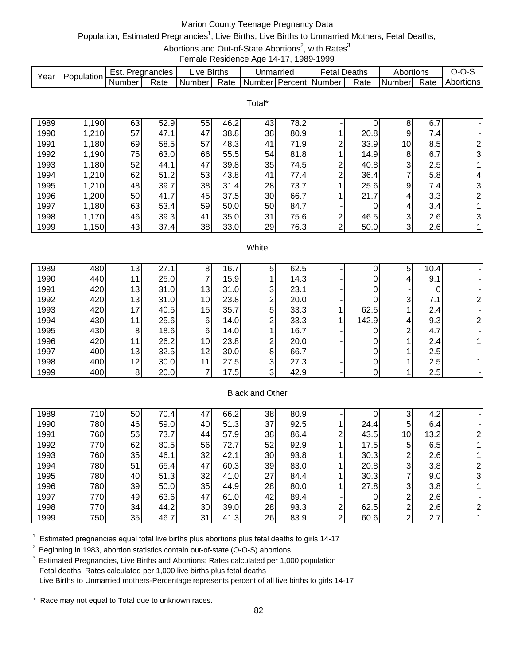# Marion County Teenage Pregnancy Data

# Population, Estimated Pregnancies<sup>1</sup>, Live Births, Live Births to Unmarried Mothers, Fetal Deaths,

Abortions and Out-of-State Abortions<sup>2</sup>, with Rates<sup>3</sup>

Female Residence Age 14-17, 1989-1999

|      |            | ESI.   | Pregnancies | _ive   | <b>Births</b> | Unmarriec |         | ∹etal l | Deaths | Abortions      |           | ,,,,      |
|------|------------|--------|-------------|--------|---------------|-----------|---------|---------|--------|----------------|-----------|-----------|
| Year | Population | Number | Rate        | Number | Rate          | Numberl   | Percent | Number  | Rate   | <b>Numberl</b> | -<br>Rate | Abortions |

Total\*

| 1989 | ,190  | 63 | 52.9 | 55 | 46.2 | 43 | 78.2 |        |      | 8  | 6.7  |                |
|------|-------|----|------|----|------|----|------|--------|------|----|------|----------------|
| 1990 | 1,210 | 57 | 47.1 | 47 | 38.8 | 38 | 80.9 |        | 20.8 | 9  | 7.4  |                |
| 1991 | 1,180 | 69 | 58.5 | 57 | 48.3 | 41 | 71.9 | ◠      | 33.9 | 10 | 8.5  | $\overline{2}$ |
| 1992 | 1,190 | 75 | 63.0 | 66 | 55.5 | 54 | 81.8 |        | 14.9 | 8  | 6.7  | 3 <sup>1</sup> |
| 1993 | 1,180 | 52 | 44.1 | 47 | 39.8 | 35 | 74.5 | ົ<br>∠ | 40.8 | 3  | 2.5  |                |
| 1994 | 1,210 | 62 | 51.2 | 53 | 43.8 | 41 | 77.4 | ⌒      | 36.4 | 7  | 5.8  | 4              |
| 1995 | 1,210 | 48 | 39.7 | 38 | 31.4 | 28 | 73.7 |        | 25.6 | 9  | 7.41 | $\overline{3}$ |
| 1996 | 1,200 | 50 | 41.7 | 45 | 37.5 | 30 | 66.7 |        | 21.7 | 4  | 3.3  | 2 <sub>l</sub> |
| 1997 | 1,180 | 63 | 53.4 | 59 | 50.0 | 50 | 84.7 |        |      | 4  | 3.4  |                |
| 1998 | 1,170 | 46 | 39.3 | 41 | 35.0 | 31 | 75.6 | ◠      | 46.5 | 3  | 2.6I | $\overline{3}$ |
| 1999 | ,150  | 43 | 37.4 | 38 | 33.0 | 29 | 76.3 | ົ      | 50.0 | 3  | 2.6  |                |

#### **White**

| 1989 | 480 | 13             | 27.1 | ິ               | 16.7 |   | 62.5 |       | 5 | 10.4 |  |
|------|-----|----------------|------|-----------------|------|---|------|-------|---|------|--|
| 1990 | 440 | 11             | 25.0 |                 | 15.9 |   | 14.3 |       | 4 | 9.1  |  |
| 1991 | 420 | 13             | 31.0 | 13              | 31.0 | 3 | 23.1 |       |   |      |  |
| 1992 | 420 | 13             | 31.0 | 10              | 23.8 | ົ | 20.0 |       | 3 | 7.1  |  |
| 1993 | 420 | 17             | 40.5 | 15              | 35.7 | 5 | 33.3 | 62.5  |   | 2.4  |  |
| 1994 | 430 | 11             | 25.6 | 6               | 14.0 | ◠ | 33.3 | 142.9 | 4 | 9.3  |  |
| 1995 | 430 | 8              | 18.6 | 6               | 14.0 |   | 16.7 |       | ົ | 4.7  |  |
| 1996 | 420 | 11             | 26.2 | 10 <sup>1</sup> | 23.8 | ົ | 20.0 |       |   | 2.4  |  |
| 1997 | 400 | 13             | 32.5 | 12              | 30.0 | 8 | 66.7 |       |   | 2.5  |  |
| 1998 | 400 | 12             | 30.0 |                 | 27.5 | 3 | 27.3 |       |   | 2.5  |  |
| 1999 | 400 | 8 <sup>1</sup> | 20.0 |                 | 17.5 | 3 | 42.9 |       |   | 2.5  |  |

## Black and Other

| 1989 | 710 | 50 | 70.4 | 47 | 66.2 | 38 | 80.9 |   |      | ⌒  | 4.2  |  |
|------|-----|----|------|----|------|----|------|---|------|----|------|--|
| 1990 | 780 | 46 | 59.0 | 40 | 51.3 | 37 | 92.5 |   | 24.4 | 5  | 6.4  |  |
| 1991 | 760 | 56 | 73.7 | 44 | 57.9 | 38 | 86.4 | ⌒ | 43.5 | 10 | 13.2 |  |
| 1992 | 770 | 62 | 80.5 | 56 | 72.7 | 52 | 92.9 |   | 17.5 | 5  | 6.5  |  |
| 1993 | 760 | 35 | 46.1 | 32 | 42.1 | 30 | 93.8 |   | 30.3 | ⌒  | 2.6  |  |
| 1994 | 780 | 51 | 65.4 | 47 | 60.3 | 39 | 83.0 |   | 20.8 | 3  | 3.8  |  |
| 1995 | 780 | 40 | 51.3 | 32 | 41.0 | 27 | 84.4 |   | 30.3 |    | 9.0  |  |
| 1996 | 780 | 39 | 50.0 | 35 | 44.9 | 28 | 80.0 |   | 27.8 | 3  | 3.8  |  |
| 1997 | 770 | 49 | 63.6 | 47 | 61.0 | 42 | 89.4 |   |      | ⌒  | 2.6  |  |
| 1998 | 770 | 34 | 44.2 | 30 | 39.0 | 28 | 93.3 | ົ | 62.5 | ◠  | 2.6  |  |
| 1999 | 750 | 35 | 46.7 | 31 | 41.3 | 26 | 83.9 | ⌒ | 60.6 | ◠  | 2.7  |  |

 $1$  Estimated pregnancies equal total live births plus abortions plus fetal deaths to girls 14-17

<sup>2</sup> Beginning in 1983, abortion statistics contain out-of-state (O-O-S) abortions.

<sup>3</sup> Estimated Pregnancies, Live Births and Abortions: Rates calculated per 1,000 population Fetal deaths: Rates calculated per 1,000 live births plus fetal deaths Live Births to Unmarried mothers-Percentage represents percent of all live births to girls 14-17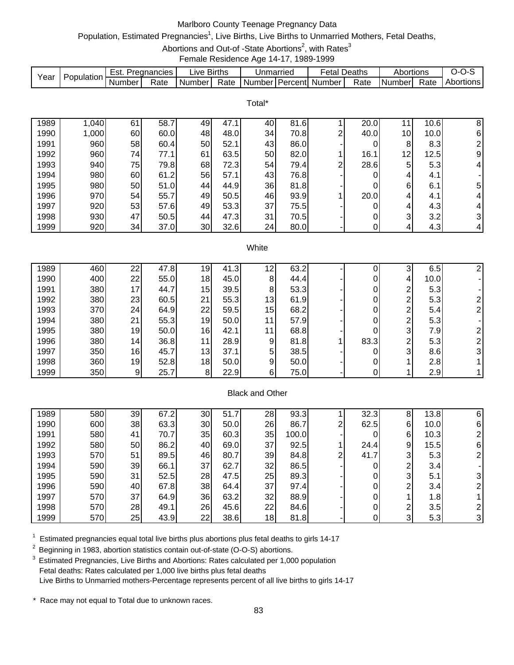# Marlboro County Teenage Pregnancy Data

# Population, Estimated Pregnancies<sup>1</sup>, Live Births, Live Births to Unmarried Mothers, Fetal Deaths,

Abortions and Out-of -State Abortions<sup>2</sup>, with Rates<sup>3</sup>

Female Residence Age 14-17, 1989-1999

|      | Population. | Est.   | Pregnancies | ∟ive F | <b>Births</b> | Unmarried     |          | Fetal  | Deaths | Abortions     |      | v-.<br>-- |
|------|-------------|--------|-------------|--------|---------------|---------------|----------|--------|--------|---------------|------|-----------|
| Year |             | Number | Rate        | Number | Rate          | <b>Number</b> | Percentl | Number | Rate   | <b>Number</b> | Rate | Abortions |

Total\*

| 1989 | 1,040 | 61  | 58.7 | 49 | 47.1 | 40 | 81.6  |   | 20.0 |                 | 10.6             | 8              |
|------|-------|-----|------|----|------|----|-------|---|------|-----------------|------------------|----------------|
| 1990 | 1,000 | 60  | 60.0 | 48 | 48.0 | 34 | 70.8  | ◠ | 40.0 | 10 <sub>1</sub> | 10.0             | 6              |
| 1991 | 960   | 58  | 60.4 | 50 | 52.1 | 43 | 86.0  |   |      | 8               | 8.3              | 2              |
| 1992 | 960   | 741 | 77.1 | 61 | 63.5 | 50 | 82.0  |   | 16.1 | 12              | 12.5             | 9              |
| 1993 | 940   | 75  | 79.8 | 68 | 72.3 | 54 | 79.4  | ⌒ | 28.6 | 5               | 5.3 <sub>l</sub> | 4              |
| 1994 | 980   | 60  | 61.2 | 56 | 57.1 | 43 | 76.8  |   |      | 4               | 4.1              |                |
| 1995 | 980   | 50  | 51.0 | 44 | 44.9 | 36 | 81.8  |   |      | 6               | 6.1              | 5 <sub>l</sub> |
| 1996 | 970   | 541 | 55.7 | 49 | 50.5 | 46 | 93.9  |   | 20.0 | 4               | 4.1              | $\overline{4}$ |
| 1997 | 920   | 53  | 57.6 | 49 | 53.3 | 37 | 75.51 |   |      | 4               | 4.3              | $\overline{4}$ |
| 1998 | 930   | 47  | 50.5 | 44 | 47.3 | 31 | 70.5  |   |      | 3               | 3.2              | $\overline{3}$ |
| 1999 | 920   | 34  | 37.0 | 30 | 32.6 | 24 | 80.0  |   |      | 4               | 4.3              | 4              |

#### **White**

| 1989 | 460 | 22 | 47.8 | 19 | 41.3 | 12 | 63.2 |      |   | 6.5  |   |
|------|-----|----|------|----|------|----|------|------|---|------|---|
| 1990 | 400 | 22 | 55.0 | 18 | 45.0 | 8  | 44.4 |      | 4 | 10.0 |   |
| 1991 | 380 | 17 | 44.7 | 15 | 39.5 | 8  | 53.3 |      | ⌒ | 5.3  |   |
| 1992 | 380 | 23 | 60.5 | 21 | 55.3 | 13 | 61.9 |      | ົ | 5.3  |   |
| 1993 | 370 | 24 | 64.9 | 22 | 59.5 | 15 | 68.2 |      | ⌒ | 5.4  |   |
| 1994 | 380 | 21 | 55.3 | 19 | 50.0 | 11 | 57.9 |      | ⌒ | 5.3  |   |
| 1995 | 380 | 19 | 50.0 | 16 | 42.1 | 11 | 68.8 |      | 3 | 7.9  |   |
| 1996 | 380 | 14 | 36.8 | 11 | 28.9 | 9  | 81.8 | 83.3 | ົ | 5.3  |   |
| 1997 | 350 | 16 | 45.7 | 13 | 37.1 | 5  | 38.5 |      | 3 | 8.6  | 3 |
| 1998 | 360 | 19 | 52.8 | 18 | 50.0 | 9  | 50.0 |      |   | 2.8  |   |
| 1999 | 350 | 9  | 25.7 | 8  | 22.9 | 6  | 75.0 |      |   | 2.9  |   |

# Black and Other

| 1989 | 580 | 39 | 67.2 | 30 | 51.7 | 28 | 93.3  |   | 32.3 | 8 | 13.8 | 6 |
|------|-----|----|------|----|------|----|-------|---|------|---|------|---|
| 1990 | 600 | 38 | 63.3 | 30 | 50.0 | 26 | 86.7  | ົ | 62.5 | 6 | 10.0 | 6 |
| 1991 | 580 | 41 | 70.7 | 35 | 60.3 | 35 | 100.0 |   |      | 6 | 10.3 |   |
| 1992 | 580 | 50 | 86.2 | 40 | 69.0 | 37 | 92.5  |   | 24.4 | 9 | 15.5 | 6 |
| 1993 | 570 | 51 | 89.5 | 46 | 80.7 | 39 | 84.8  | ົ | 41.7 | 3 | 5.3  | ◠ |
| 1994 | 590 | 39 | 66.1 | 37 | 62.7 | 32 | 86.5  |   | 0    | っ | 3.4  |   |
| 1995 | 590 | 31 | 52.5 | 28 | 47.5 | 25 | 89.3  |   |      | 3 | 5.1  |   |
| 1996 | 590 | 40 | 67.8 | 38 | 64.4 | 37 | 97.4  |   |      | ົ | 3.4  |   |
| 1997 | 570 | 37 | 64.9 | 36 | 63.2 | 32 | 88.9  |   |      |   | 1.8  |   |
| 1998 | 570 | 28 | 49.1 | 26 | 45.6 | 22 | 84.6  |   |      | ◠ | 3.5  |   |
| 1999 | 570 | 25 | 43.9 | 22 | 38.6 | 18 | 81.8  |   |      | 3 | 5.3  | 3 |

 $1$  Estimated pregnancies equal total live births plus abortions plus fetal deaths to girls 14-17

<sup>2</sup> Beginning in 1983, abortion statistics contain out-of-state (O-O-S) abortions.

<sup>3</sup> Estimated Pregnancies, Live Births and Abortions: Rates calculated per 1,000 population Fetal deaths: Rates calculated per 1,000 live births plus fetal deaths Live Births to Unmarried mothers-Percentage represents percent of all live births to girls 14-17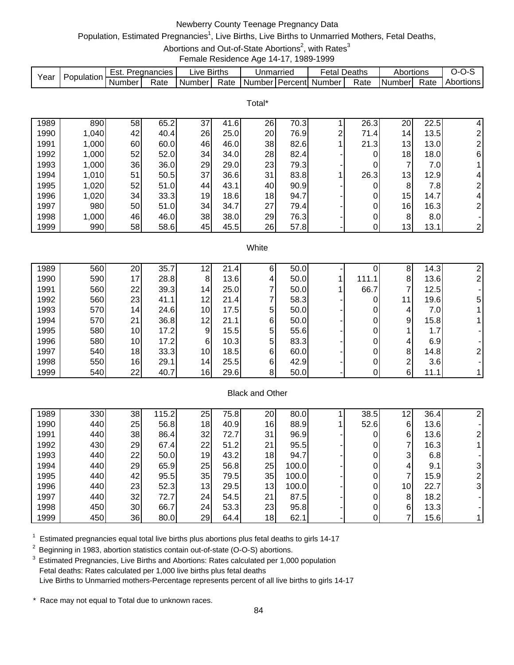# Newberry County Teenage Pregnancy Data

Population, Estimated Pregnancies<sup>1</sup>, Live Births, Live Births to Unmarried Mothers, Fetal Deaths,

Abortions and Out-of-State Abortions<sup>2</sup>, with Rates<sup>3</sup>

Female Residence Age 14-17, 1989-1999

|      | Population. | Est.   | Pregnancies | IVA.   | <b>Births</b> | Unmarried |         | etal   | Deaths | Abortions |      | J-0       |
|------|-------------|--------|-------------|--------|---------------|-----------|---------|--------|--------|-----------|------|-----------|
| Year |             | Number | Rate        | Number | Rate          | Number    | Percent | Number | Rate   | INumberl  | Rate | Abortions |

Total\*

| 1989 | 890   | 58 | 65.2 | 37 | 41.6 | 26 | 70.3 |   | 26.3 | 20              | 22.5             | 4              |
|------|-------|----|------|----|------|----|------|---|------|-----------------|------------------|----------------|
| 1990 | 1,040 | 42 | 40.4 | 26 | 25.0 | 20 | 76.9 | ົ | 71.4 | 14 <sub>1</sub> | 13.5             | 2              |
| 1991 | 1,000 | 60 | 60.0 | 46 | 46.0 | 38 | 82.6 |   | 21.3 | 13              | 13.0             | $\overline{2}$ |
| 1992 | 1,000 | 52 | 52.0 | 34 | 34.0 | 28 | 82.4 |   |      | 18              | 18.0             | 6              |
| 1993 | 1,000 | 36 | 36.0 | 29 | 29.0 | 23 | 79.3 |   |      | 7               | 7.0              |                |
| 1994 | 1,010 | 51 | 50.5 | 37 | 36.6 | 31 | 83.8 |   | 26.3 | 13 <sub>1</sub> | 12.9             | 4              |
| 1995 | 1,020 | 52 | 51.0 | 44 | 43.1 | 40 | 90.9 |   |      | 8               | 7.8              | $\overline{2}$ |
| 1996 | 1,020 | 34 | 33.3 | 19 | 18.6 | 18 | 94.7 |   |      | 15              | 14.7             | $\overline{4}$ |
| 1997 | 980   | 50 | 51.0 | 34 | 34.7 | 27 | 79.4 |   |      | 16              | 16.3             | $\overline{2}$ |
| 1998 | 1,000 | 46 | 46.0 | 38 | 38.0 | 29 | 76.3 |   |      | 8               | 8.0 <sub>l</sub> |                |
| 1999 | 990   | 58 | 58.6 | 45 | 45.5 | 26 | 57.8 |   |      | 13 <sub>1</sub> | 13.1             | 2              |

#### **White**

| 1989 | 560 | 20              | 35.7 | 12              | 21.4 | 6 | 50.0 |       | 8  | 14.3 |   |
|------|-----|-----------------|------|-----------------|------|---|------|-------|----|------|---|
| 1990 | 590 | 17              | 28.8 | 8               | 13.6 | 4 | 50.0 | 111.1 | 8  | 13.6 |   |
| 1991 | 560 | 22              | 39.3 | 14 <sub>l</sub> | 25.0 |   | 50.0 | 66.7  |    | 12.5 |   |
| 1992 | 560 | 23              | 41.1 | 12              | 21.4 |   | 58.3 |       | 11 | 19.6 | 5 |
| 1993 | 570 | 14              | 24.6 | 10 <sub>l</sub> | 17.5 | 5 | 50.0 |       | 4  | 7.0  |   |
| 1994 | 570 | 21              | 36.8 | 12              | 21.1 | 6 | 50.0 |       | 9  | 15.8 |   |
| 1995 | 580 | 10 <sup>1</sup> | 17.2 | 9               | 15.5 | 5 | 55.6 |       |    | 1.7  |   |
| 1996 | 580 | 10 <sub>l</sub> | 17.2 | 6               | 10.3 | 5 | 83.3 |       | 4  | 6.9  |   |
| 1997 | 540 | 18              | 33.3 | 10              | 18.5 | 6 | 60.0 |       | 8  | 14.8 |   |
| 1998 | 550 | 16              | 29.1 | 14 <sub>1</sub> | 25.5 | 6 | 42.9 |       | ⌒  | 3.6  |   |
| 1999 | 540 | 22              | 40.7 | 16              | 29.6 | 8 | 50.0 |       | 6  | 11.1 |   |

#### Black and Other

| 1989 | 330 | 38 | 115.2 | 25              | 75.8 | 20 | 80.0  | 38.5 | 12 | 36.4 |   |
|------|-----|----|-------|-----------------|------|----|-------|------|----|------|---|
| 1990 | 440 | 25 | 56.8  | 18 <sub>1</sub> | 40.9 | 16 | 88.9  | 52.6 | 6  | 13.6 |   |
| 1991 | 440 | 38 | 86.4  | 32              | 72.7 | 31 | 96.9  |      | 6  | 13.6 |   |
| 1992 | 430 | 29 | 67.4  | 22              | 51.2 | 21 | 95.5  |      |    | 16.3 |   |
| 1993 | 440 | 22 | 50.0  | 19              | 43.2 | 18 | 94.7  |      | 3  | 6.8  |   |
| 1994 | 440 | 29 | 65.9  | 25              | 56.8 | 25 | 100.0 |      |    | 9.1  |   |
| 1995 | 440 | 42 | 95.5  | 35              | 79.5 | 35 | 100.0 |      |    | 15.9 |   |
| 1996 | 440 | 23 | 52.3  | 13              | 29.5 | 13 | 100.0 |      | 10 | 22.7 | 3 |
| 1997 | 440 | 32 | 72.7  | 24              | 54.5 | 21 | 87.5  |      | 8  | 18.2 |   |
| 1998 | 450 | 30 | 66.7  | 24              | 53.3 | 23 | 95.8  |      | 6  | 13.3 |   |
| 1999 | 450 | 36 | 80.0  | 29              | 64.4 | 18 | 62.1  |      |    | 15.6 |   |

 $1$  Estimated pregnancies equal total live births plus abortions plus fetal deaths to girls 14-17

<sup>2</sup> Beginning in 1983, abortion statistics contain out-of-state (O-O-S) abortions.

<sup>3</sup> Estimated Pregnancies, Live Births and Abortions: Rates calculated per 1,000 population Fetal deaths: Rates calculated per 1,000 live births plus fetal deaths Live Births to Unmarried mothers-Percentage represents percent of all live births to girls 14-17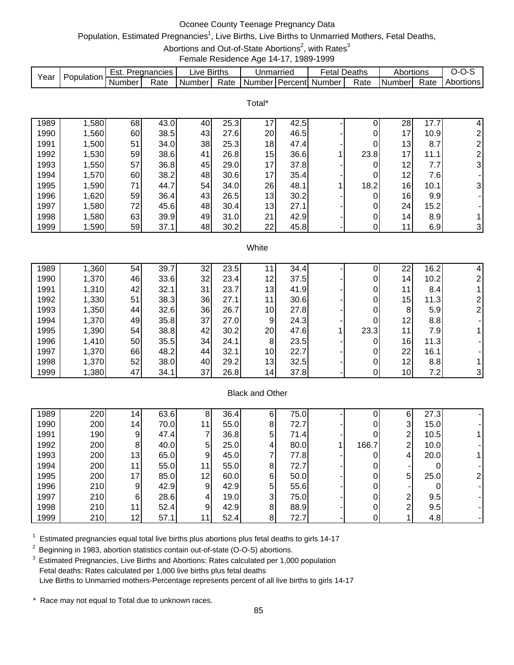# Oconee County Teenage Pregnancy Data

# Population, Estimated Pregnancies<sup>1</sup>, Live Births, Live Births to Unmarried Mothers, Fetal Deaths,

Abortions and Out-of-State Abortions<sup>2</sup>, with Rates<sup>3</sup>

Female Residence Age 14-17, 1989-1999

|      |            | Est.   | Pregnancies | _ive   | <b>Births</b> | Unmarried |            | Fetal  | Deaths | Abortions  |      | J-1       |
|------|------------|--------|-------------|--------|---------------|-----------|------------|--------|--------|------------|------|-----------|
| Year | Population | Number | Rate        | Number | Rate          | Number    | ∃PercentL. | Number | Rate   | I Number I | Rate | Abortions |

Total\*

| 1989 | ,580  | 68 | 43.0 | 40 | 25.3 | 17 | 42.5 |      | 28              | 17.7 | 4                        |
|------|-------|----|------|----|------|----|------|------|-----------------|------|--------------------------|
| 1990 | 1,560 | 60 | 38.5 | 43 | 27.6 | 20 | 46.5 |      | 17              | 10.9 | $\overline{2}$           |
| 1991 | 1,500 | 51 | 34.0 | 38 | 25.3 | 18 | 47.4 | 0    | 13              | 8.7  | $\overline{2}$           |
| 1992 | 1,530 | 59 | 38.6 | 41 | 26.8 | 15 | 36.6 | 23.8 | 17 <sub>1</sub> | 11.1 | 2                        |
| 1993 | 1,550 | 57 | 36.8 | 45 | 29.0 | 17 | 37.8 |      | 12              | 7.7  | 3                        |
| 1994 | 1,570 | 60 | 38.2 | 48 | 30.6 | 17 | 35.4 | 0    | 12              | 7.6  | $\overline{\phantom{a}}$ |
| 1995 | 1,590 | 71 | 44.7 | 54 | 34.0 | 26 | 48.1 | 18.2 | 16              | 10.1 | 3                        |
| 1996 | 1,620 | 59 | 36.4 | 43 | 26.5 | 13 | 30.2 |      | 16              | 9.9  |                          |
| 1997 | ,580  | 72 | 45.6 | 48 | 30.4 | 13 | 27.1 | 0    | 24 I            | 15.2 |                          |
| 1998 | 1,580 | 63 | 39.9 | 49 | 31.0 | 21 | 42.9 |      | 14 <sup>1</sup> | 8.9  |                          |
| 1999 | 1,590 | 59 | 37.1 | 48 | 30.2 | 22 | 45.8 |      | 11              | 6.9  | 3 <sup>1</sup>           |

#### **White**

| 1989 | .360  | 54 | 39.7 | 32 | 23.5 |                 | 34.4 |      | 22              | 16.2 |  |
|------|-------|----|------|----|------|-----------------|------|------|-----------------|------|--|
| 1990 | 1,370 | 46 | 33.6 | 32 | 23.4 | 12              | 37.5 |      | 14 <sub>1</sub> | 10.2 |  |
| 1991 | 1,310 | 42 | 32.1 | 31 | 23.7 | 13              | 41.9 |      | 11              | 8.4  |  |
| 1992 | 1,330 | 51 | 38.3 | 36 | 27.1 | 11              | 30.6 |      | 15              | 11.3 |  |
| 1993 | 1,350 | 44 | 32.6 | 36 | 26.7 | 10 <sup>1</sup> | 27.8 |      | 8               | 5.9  |  |
| 1994 | 1,370 | 49 | 35.8 | 37 | 27.0 | 9               | 24.3 |      | 12              | 8.8  |  |
| 1995 | 1,390 | 54 | 38.8 | 42 | 30.2 | 20              | 47.6 | 23.3 | 11              | 7.9  |  |
| 1996 | 1,410 | 50 | 35.5 | 34 | 24.1 | 8               | 23.5 |      | 16              | 11.3 |  |
| 1997 | 1,370 | 66 | 48.2 | 44 | 32.1 | 10 <sub>1</sub> | 22.7 |      | 22              | 16.1 |  |
| 1998 | 1,370 | 52 | 38.0 | 40 | 29.2 | 13              | 32.5 |      | 12 <sub>1</sub> | 8.8  |  |
| 1999 | 1,380 | 47 | 34.1 | 37 | 26.8 | 14              | 37.8 |      | 10              | 7.2  |  |

## Black and Other

| 1989 | 220 | 14. | 63.6 | 8               | 36.4 | 61             | 75.0 |       | 6 | 27.3 |  |
|------|-----|-----|------|-----------------|------|----------------|------|-------|---|------|--|
| 1990 | 200 | 14  | 70.0 | 11 <sub>1</sub> | 55.0 | 8 <sup>1</sup> | 72.7 |       | 3 | 15.0 |  |
| 1991 | 190 | 9   | 47.4 |                 | 36.8 | 5              | 71.4 |       | 2 | 10.5 |  |
| 1992 | 200 | 8   | 40.0 | 5               | 25.0 | 4              | 80.0 | 166.7 | 2 | 10.0 |  |
| 1993 | 200 | 13  | 65.0 | 9               | 45.0 |                | 77.8 |       | 4 | 20.0 |  |
| 1994 | 200 | 11  | 55.0 | 11              | 55.0 | 8 <sup>1</sup> | 72.7 |       |   |      |  |
| 1995 | 200 | 17  | 85.0 | 12              | 60.0 | 61             | 50.0 |       | 5 | 25.0 |  |
| 1996 | 210 | 9   | 42.9 | 9               | 42.9 | 51             | 55.6 |       |   |      |  |
| 1997 | 210 | 6   | 28.6 |                 | 19.0 | 3              | 75.0 |       | 2 | 9.5  |  |
| 1998 | 210 | 11  | 52.4 | 9               | 42.9 | 8 <sup>1</sup> | 88.9 |       | 2 | 9.5  |  |
| 1999 | 210 | 12  | 57.1 | 11              | 52.4 | 8              | 72.7 |       |   | 4.8  |  |

 $1$  Estimated pregnancies equal total live births plus abortions plus fetal deaths to girls 14-17

<sup>2</sup> Beginning in 1983, abortion statistics contain out-of-state (O-O-S) abortions.

<sup>3</sup> Estimated Pregnancies, Live Births and Abortions: Rates calculated per 1,000 population Fetal deaths: Rates calculated per 1,000 live births plus fetal deaths Live Births to Unmarried mothers-Percentage represents percent of all live births to girls 14-17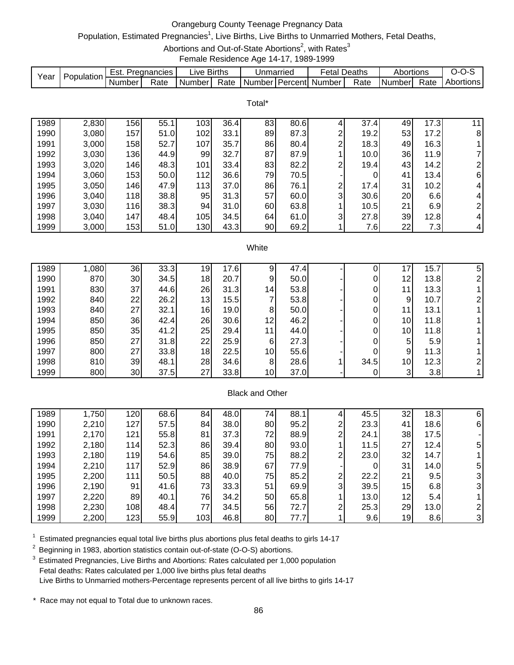# Orangeburg County Teenage Pregnancy Data

# Population, Estimated Pregnancies<sup>1</sup>, Live Births, Live Births to Unmarried Mothers, Fetal Deaths,

Abortions and Out-of-State Abortions<sup>2</sup>, with Rates<sup>3</sup>

Female Residence Age 14-17, 1989-1999

|      |            | Est.   | Pregnancies | _ive   | <b>Births</b> | Unmarriec |         | -etal  | Deaths | Abortions |      | J-0       |
|------|------------|--------|-------------|--------|---------------|-----------|---------|--------|--------|-----------|------|-----------|
| Year | Population | Number | Rate        | Number | Rate          | Numberl   | Percent | Number | Rate   | Number    | Rate | Abortions |

Total\*

| 1989 | 2,830 | 156 | 55.1 | 103 | 36.4 | 83 | 80.6 |   | 37.4 | 49 | 17.3 | 11             |
|------|-------|-----|------|-----|------|----|------|---|------|----|------|----------------|
| 1990 | 3,080 | 157 | 51.0 | 102 | 33.1 | 89 | 87.3 | ⌒ | 19.2 | 53 | 17.2 | 8              |
| 1991 | 3,000 | 158 | 52.7 | 107 | 35.7 | 86 | 80.4 | ⌒ | 18.3 | 49 | 16.3 |                |
| 1992 | 3,030 | 136 | 44.9 | 99  | 32.7 | 87 | 87.9 |   | 10.0 | 36 | 11.9 | $\overline{7}$ |
| 1993 | 3,020 | 146 | 48.3 | 101 | 33.4 | 83 | 82.2 | ົ | 19.4 | 43 | 14.2 | $\overline{c}$ |
| 1994 | 3,060 | 153 | 50.0 | 112 | 36.6 | 79 | 70.5 |   | 0    | 41 | 13.4 | 6              |
| 1995 | 3,050 | 146 | 47.9 | 113 | 37.0 | 86 | 76.1 | ົ | 17.4 | 31 | 10.2 | 4              |
| 1996 | 3,040 | 118 | 38.8 | 95  | 31.3 | 57 | 60.0 | 3 | 30.6 | 20 | 6.6  | 4              |
| 1997 | 3,030 | 116 | 38.3 | 94  | 31.0 | 60 | 63.8 |   | 10.5 | 21 | 6.9  | 2              |
| 1998 | 3,040 | 147 | 48.4 | 105 | 34.5 | 64 | 61.0 | 3 | 27.8 | 39 | 12.8 | $\overline{4}$ |
| 1999 | 3,000 | 153 | 51.0 | 130 | 43.3 | 90 | 69.2 |   | 7.6  | 22 | 7.3  | 4              |

#### **White**

| 1989 | 1,080 | 36              | 33.3 | 19 | 17.6 |                 | 47.4 |      | 7               | 15.7 | 5 |
|------|-------|-----------------|------|----|------|-----------------|------|------|-----------------|------|---|
| 1990 | 870   | 30              | 34.5 | 18 | 20.7 | 9               | 50.0 |      | 12              | 13.8 |   |
| 1991 | 830   | 37              | 44.6 | 26 | 31.3 | 14              | 53.8 |      | 11 <sub>1</sub> | 13.3 |   |
| 1992 | 840   | 22              | 26.2 | 13 | 15.5 |                 | 53.8 |      | 9               | 10.7 |   |
| 1993 | 840   | 27              | 32.1 | 16 | 19.0 | 8               | 50.0 |      | '1.             | 13.1 |   |
| 1994 | 850   | 36              | 42.4 | 26 | 30.6 | 12              | 46.2 |      | 10 <sub>1</sub> | 11.8 |   |
| 1995 | 850   | 35              | 41.2 | 25 | 29.4 | 11              | 44.0 |      | 10 <sub>l</sub> | 11.8 |   |
| 1996 | 850   | 27              | 31.8 | 22 | 25.9 | 6               | 27.3 |      | 5               | 5.9  |   |
| 1997 | 800   | 27 <sub>l</sub> | 33.8 | 18 | 22.5 | 10 <sup>1</sup> | 55.6 |      | 9               | 11.3 |   |
| 1998 | 810   | 39              | 48.1 | 28 | 34.6 | 8               | 28.6 | 34.5 | 10 <sup>1</sup> | 12.3 |   |
| 1999 | 800   | 30              | 37.5 | 27 | 33.8 | 10 <sup>1</sup> | 37.0 |      | 3               | 3.8  |   |

## Black and Other

| 1989 | 1,750 | 120 | 68.6 | 84  | 48.0 | 74 <sub>1</sub> | 88.1 |   | 45.5 | 32 | 18.3 | 6 |
|------|-------|-----|------|-----|------|-----------------|------|---|------|----|------|---|
| 1990 | 2,210 | 127 | 57.5 | 84  | 38.0 | 80              | 95.2 | ົ | 23.3 | 41 | 18.6 | 6 |
| 1991 | 2,170 | 121 | 55.8 | 81  | 37.3 | 72              | 88.9 | ⌒ | 24.1 | 38 | 17.5 |   |
| 1992 | 2,180 | 114 | 52.3 | 86  | 39.4 | 80              | 93.0 |   | 11.5 | 27 | 12.4 | 5 |
| 1993 | 2,180 | 119 | 54.6 | 85  | 39.0 | 75              | 88.2 | ົ | 23.0 | 32 | 14.7 |   |
| 1994 | 2,210 | 117 | 52.9 | 86  | 38.9 | 67              | 77.9 |   | 0    | 31 | 14.0 | 5 |
| 1995 | 2,200 | 111 | 50.5 | 88  | 40.0 | 75              | 85.2 | ົ | 22.2 | 21 | 9.5  |   |
| 1996 | 2,190 | 91  | 41.6 | 73  | 33.3 | 51              | 69.9 | 3 | 39.5 | 15 | 6.8  | 3 |
| 1997 | 2,220 | 89  | 40.1 | 76  | 34.2 | 50              | 65.8 |   | 13.0 | 12 | 5.4  |   |
| 1998 | 2,230 | 108 | 48.4 | 77  | 34.5 | 56              | 72.7 | ົ | 25.3 | 29 | 13.0 |   |
| 1999 | 2,200 | 123 | 55.9 | 103 | 46.8 | 80              | 77.7 |   | 9.6  | 19 | 8.6  | 3 |

 $1$  Estimated pregnancies equal total live births plus abortions plus fetal deaths to girls 14-17

<sup>2</sup> Beginning in 1983, abortion statistics contain out-of-state (O-O-S) abortions.

<sup>3</sup> Estimated Pregnancies, Live Births and Abortions: Rates calculated per 1,000 population Fetal deaths: Rates calculated per 1,000 live births plus fetal deaths Live Births to Unmarried mothers-Percentage represents percent of all live births to girls 14-17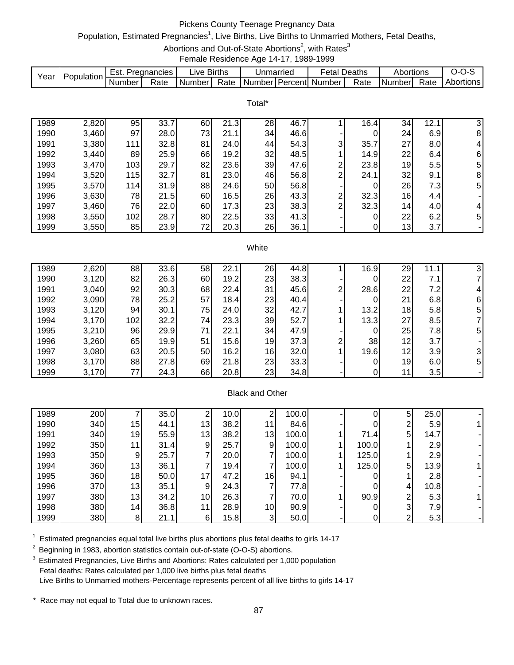# Pickens County Teenage Pregnancy Data

# Population, Estimated Pregnancies<sup>1</sup>, Live Births, Live Births to Unmarried Mothers, Fetal Deaths,

Abortions and Out-of-State Abortions<sup>2</sup>, with Rates<sup>3</sup>

Female Residence Age 14-17, 1989-1999

|      |            | Est.   | Pregnancies | _ive   | <b>Births</b> | Unmarried |             | Fetal  | Deaths | Abortions     |      | J-1       |
|------|------------|--------|-------------|--------|---------------|-----------|-------------|--------|--------|---------------|------|-----------|
| Year | Population | Number | Rate        | Number | Rate          | Number    | ∶I PercentI | Number | Rate   | <b>Number</b> | Rate | Abortions |

Total\*

| 1989 | 2,820 | 95  | 33.7 | 60 | 21.3 | 28 | 46.7 |   | 16.4 | 34  | 12.  | 31             |
|------|-------|-----|------|----|------|----|------|---|------|-----|------|----------------|
| 1990 | 3,460 | 97  | 28.0 | 73 | 21.1 | 34 | 46.6 |   |      | 24  | 6.9  | 8              |
| 1991 | 3,380 | 111 | 32.8 | 81 | 24.0 | 44 | 54.3 | 3 | 35.7 | 27  | 8.0  | 4              |
| 1992 | 3,440 | 89  | 25.9 | 66 | 19.2 | 32 | 48.5 |   | 14.9 | 22  | 6.4  | 6              |
| 1993 | 3,470 | 103 | 29.7 | 82 | 23.6 | 39 | 47.6 | ົ | 23.8 | 19  | 5.5  | 5              |
| 1994 | 3,520 | 115 | 32.7 | 81 | 23.0 | 46 | 56.8 | ົ | 24.1 | 32  | 9.1  | 8              |
| 1995 | 3,570 | 114 | 31.9 | 88 | 24.6 | 50 | 56.8 |   |      | 26  | 7.31 | 5 <sub>l</sub> |
| 1996 | 3,630 | 78  | 21.5 | 60 | 16.5 | 26 | 43.3 | ົ | 32.3 | 16  | 4.4  |                |
| 1997 | 3,460 | 76  | 22.0 | 60 | 17.3 | 23 | 38.3 | ົ | 32.3 | 14. | 4.0  | 4              |
| 1998 | 3,550 | 102 | 28.7 | 80 | 22.5 | 33 | 41.3 |   |      | 22  | 6.2  | 51             |
| 1999 | 3,550 | 85  | 23.9 | 72 | 20.3 | 26 | 36.1 |   |      | 13  | 3.7  |                |

#### **White**

| 1989 | 2,620 | 88  | 33.6 | 58 | 22.7 | 26 | 44.8 |   | 16.9 | 29 | 11.1 | 3  |
|------|-------|-----|------|----|------|----|------|---|------|----|------|----|
| 1990 | 3,120 | 82  | 26.3 | 60 | 19.2 | 23 | 38.3 |   |      | 22 | 7.1  |    |
| 1991 | 3,040 | 92  | 30.3 | 68 | 22.4 | 31 | 45.6 | ⌒ | 28.6 | 22 | 7.2I |    |
| 1992 | 3,090 | 78  | 25.2 | 57 | 18.4 | 23 | 40.4 |   |      | 21 | 6.8  | 6  |
| 1993 | 3,120 | 94  | 30.1 | 75 | 24.0 | 32 | 42.7 |   | 13.2 | 18 | 5.8  | 5. |
| 1994 | 3,170 | 102 | 32.2 | 74 | 23.3 | 39 | 52.7 |   | 13.3 | 27 | 8.5  |    |
| 1995 | 3,210 | 96  | 29.9 | 71 | 22.1 | 34 | 47.9 |   |      | 25 | 7.8  | 5  |
| 1996 | 3,260 | 65  | 19.9 | 51 | 15.6 | 19 | 37.3 | ⌒ | 38   | 12 | 3.7  |    |
| 1997 | 3,080 | 63  | 20.5 | 50 | 16.2 | 16 | 32.0 |   | 19.6 | 12 | 3.9  | 3  |
| 1998 | 3,170 | 88  | 27.8 | 69 | 21.8 | 23 | 33.3 |   |      | 19 | 6.0  | 5  |
| 1999 | 3,170 | 77  | 24.3 | 66 | 20.8 | 23 | 34.8 |   |      | 11 | 3.5  |    |

## Black and Other

| 1989 | 200 |    | 35.0 | ົ               | 10.0 | ◠               | 0.00  |       | 5 | 25.0             |  |
|------|-----|----|------|-----------------|------|-----------------|-------|-------|---|------------------|--|
| 1990 | 340 | 15 | 44.1 | 13 <sub>1</sub> | 38.2 | 11 <sub>1</sub> | 84.6  |       | ◠ | 5.9              |  |
| 1991 | 340 | 19 | 55.9 | 13              | 38.2 | 13 <sub>l</sub> | 100.0 | 71.4  | 5 | 14.7             |  |
| 1992 | 350 | 11 | 31.4 | 9               | 25.7 | 9               | 100.0 | 100.0 |   | 2.9 <sub>l</sub> |  |
| 1993 | 350 | 9  | 25.7 | –               | 20.0 |                 | 100.0 | 125.0 |   | 2.9              |  |
| 1994 | 360 | 13 | 36.1 |                 | 19.4 |                 | 100.0 | 125.0 | 5 | 13.9             |  |
| 1995 | 360 | 18 | 50.0 | 17              | 47.2 | 16              | 94.1  |       |   | 2.8 <sub>l</sub> |  |
| 1996 | 370 | 13 | 35.1 | 9               | 24.3 |                 | 77.8  |       | 4 | 10.8             |  |
| 1997 | 380 | 13 | 34.2 | 10              | 26.3 |                 | 70.0  | 90.9  | 2 | 5.3              |  |
| 1998 | 380 | 14 | 36.8 | 11              | 28.9 | 10              | 90.9  |       | 3 | 7.91             |  |
| 1999 | 380 | 8  | 21.1 | 6               | 15.8 | 3               | 50.0  |       | 2 | 5.3              |  |

 $1$  Estimated pregnancies equal total live births plus abortions plus fetal deaths to girls 14-17

<sup>2</sup> Beginning in 1983, abortion statistics contain out-of-state (O-O-S) abortions.

<sup>3</sup> Estimated Pregnancies, Live Births and Abortions: Rates calculated per 1,000 population Fetal deaths: Rates calculated per 1,000 live births plus fetal deaths Live Births to Unmarried mothers-Percentage represents percent of all live births to girls 14-17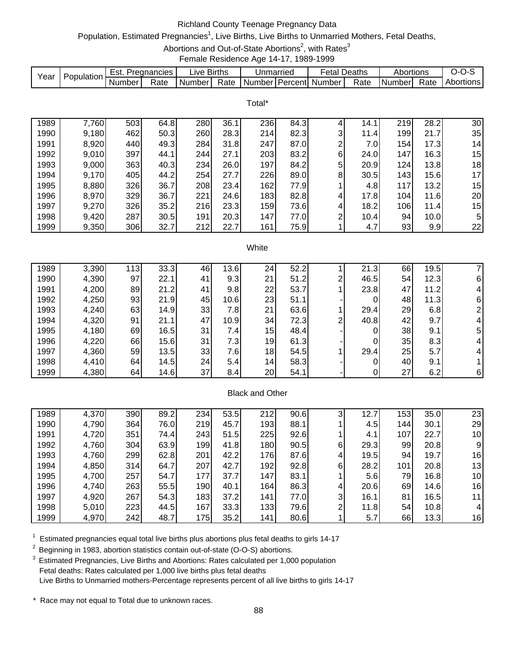# Richland County Teenage Pregnancy Data

# Population, Estimated Pregnancies<sup>1</sup>, Live Births, Live Births to Unmarried Mothers, Fetal Deaths,

Abortions and Out-of-State Abortions<sup>2</sup>, with Rates<sup>3</sup>

Female Residence Age 14-17, 1989-1999

| Year | Population. | '=St.    | Pregnancies | ∟ive Births |      | Jnmarried           | etal   | Deaths | Abortions |      | J-1<br>- 750 |
|------|-------------|----------|-------------|-------------|------|---------------------|--------|--------|-----------|------|--------------|
|      |             | . Number | Rate        | Number      | Rate | l Number I Percentl | Number | Rate   | Number    | Rate | Abortions    |

Total\*

| 1989 | 7,760 | 503 | 64.8 | 280 | 36.1 | 236 | 84.3 |   | 14.1 | 219 | 28.2 | 30              |
|------|-------|-----|------|-----|------|-----|------|---|------|-----|------|-----------------|
| 1990 | 9,180 | 462 | 50.3 | 260 | 28.3 | 214 | 82.3 | 3 | 11.4 | 199 | 21.7 | 35              |
| 1991 | 8,920 | 440 | 49.3 | 284 | 31.8 | 247 | 87.0 | ⌒ | 7.0I | 154 | 17.3 | 14 <sub>1</sub> |
| 1992 | 9,010 | 397 | 44.1 | 244 | 27.1 | 203 | 83.2 | 6 | 24.0 | 147 | 16.3 | 15              |
| 1993 | 9,000 | 363 | 40.3 | 234 | 26.0 | 197 | 84.2 | 5 | 20.9 | 124 | 13.8 | 18              |
| 1994 | 9,170 | 405 | 44.2 | 254 | 27.7 | 226 | 89.0 | 8 | 30.5 | 143 | 15.6 | 17              |
| 1995 | 8,880 | 326 | 36.7 | 208 | 23.4 | 162 | 77.9 |   | 4.8  | 117 | 13.2 | 15              |
| 1996 | 8,970 | 329 | 36.7 | 221 | 24.6 | 183 | 82.8 | 4 | 17.8 | 104 | 11.6 | 20              |
| 1997 | 9,270 | 326 | 35.2 | 216 | 23.3 | 159 | 73.6 | 4 | 18.2 | 106 | 11.4 | 15              |
| 1998 | 9,420 | 287 | 30.5 | 191 | 20.3 | 147 | 77.0 | ⌒ | 10.4 | 94  | 10.0 | 5               |
| 1999 | 9,350 | 306 | 32.7 | 212 | 22.7 | 161 | 75.9 |   | 4.7  | 93  | 9.9  | 22              |

#### **White**

| 1989 | 3,390 | 113 <sub>1</sub> | 33.3 | 46              | 13.6 | 24 | 52.2 |   | 21.3 | 66 | 19.5 |          |
|------|-------|------------------|------|-----------------|------|----|------|---|------|----|------|----------|
| 1990 | 4,390 | 97               | 22.1 | 41              | 9.3  | 21 | 51.2 | ⌒ | 46.5 | 54 | 12.3 | 6        |
| 1991 | 4,200 | 89               | 21.2 | 41              | 9.8  | 22 | 53.7 |   | 23.8 | 47 | 11.2 |          |
| 1992 | 4,250 | 93               | 21.9 | 45              | 10.6 | 23 | 51.1 |   |      | 48 | 11.3 | 6        |
| 1993 | 4,240 | 63               | 14.9 | 33              | 7.81 | 21 | 63.6 |   | 29.4 | 29 | 6.8  |          |
| 1994 | 4,320 | 91               | 21.1 | 47              | 10.9 | 34 | 72.3 | ◠ | 40.8 | 42 | 9.7  |          |
| 1995 | 4,180 | 69               | 16.5 | 31              | 7.41 | 15 | 48.4 |   |      | 38 | 9.1  | 5        |
| 1996 | 4,220 | 66               | 15.6 | 31              | 7.3  | 19 | 61.3 |   |      | 35 | 8.3  |          |
| 1997 | 4,360 | 59               | 13.5 | 33              | 7.61 | 18 | 54.5 |   | 29.4 | 25 | 5.7  |          |
| 1998 | 4,410 | 64               | 14.5 | 24 <sub>l</sub> | 5.4  | 14 | 58.3 |   |      | 40 | 9.1  |          |
| 1999 | 4,380 | 64               | 14.6 | 37              | 8.4  | 20 | 54.1 |   |      | 27 | 6.2  | $6\vert$ |

## Black and Other

| 1989 | 4,370 | 390 | 89.2 | 234              | 53.5 | 212 | 90.6 | ົ              | 12.7  | 153 <sub>1</sub> | 35.0 | 23 |
|------|-------|-----|------|------------------|------|-----|------|----------------|-------|------------------|------|----|
| 1990 | 4,790 | 364 | 76.0 | 219              | 45.7 | 193 | 88.1 |                | 4.5I  | 144              | 30.1 | 29 |
| 1991 | 4,720 | 351 | 74.4 | 243              | 51.5 | 225 | 92.6 |                | 4.1   | 107              | 22.7 | 10 |
| 1992 | 4,760 | 304 | 63.9 | 199              | 41.8 | 180 | 90.5 | 6              | 29.3  | 99               | 20.8 | 9  |
| 1993 | 4,760 | 299 | 62.8 | 201              | 42.2 | 176 | 87.6 | 4              | 19.5l | 94               | 19.7 | 16 |
| 1994 | 4,850 | 314 | 64.7 | 207              | 42.7 | 192 | 92.8 | 6              | 28.2  | 101              | 20.8 | 13 |
| 1995 | 4,700 | 257 | 54.7 | 177              | 37.7 | 147 | 83.1 |                | 5.6   | 79               | 16.8 | 10 |
| 1996 | 4,740 | 263 | 55.5 | 190 <sub>1</sub> | 40.1 | 164 | 86.3 | 4              | 20.6  | 69               | 14.6 | 16 |
| 1997 | 4,920 | 267 | 54.3 | 183              | 37.2 | 141 | 77.0 | $\overline{3}$ | 16.1  | 81               | 16.5 | 11 |
| 1998 | 5,010 | 223 | 44.5 | 167              | 33.3 | 133 | 79.6 | ົ              | 11.8  | 54               | 10.8 |    |
| 1999 | 4,970 | 242 | 48.7 | 175              | 35.2 | 141 | 80.6 |                | 5.7   | 66               | 13.3 | 16 |

 $1$  Estimated pregnancies equal total live births plus abortions plus fetal deaths to girls 14-17

<sup>2</sup> Beginning in 1983, abortion statistics contain out-of-state (O-O-S) abortions.

<sup>3</sup> Estimated Pregnancies, Live Births and Abortions: Rates calculated per 1,000 population Fetal deaths: Rates calculated per 1,000 live births plus fetal deaths Live Births to Unmarried mothers-Percentage represents percent of all live births to girls 14-17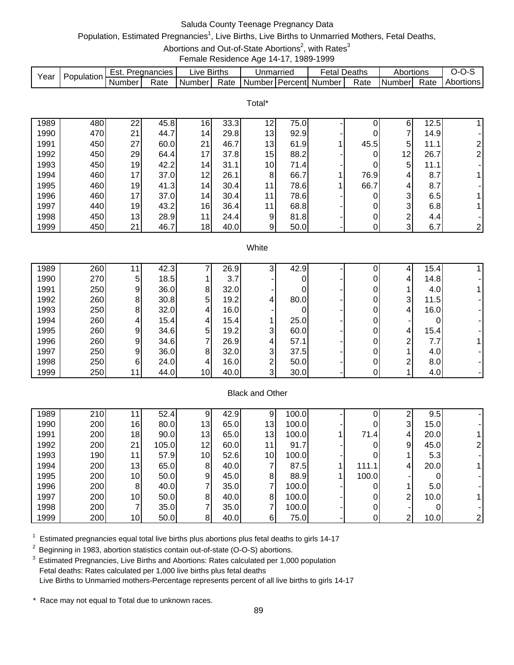# Saluda County Teenage Pregnancy Data

# Population, Estimated Pregnancies<sup>1</sup>, Live Births, Live Births to Unmarried Mothers, Fetal Deaths,

Abortions and Out-of-State Abortions<sup>2</sup>, with Rates<sup>3</sup>

Female Residence Age 14-17, 1989-1999

|      |            | Est.     | Pregnancies | IV <sub>e</sub> | <b>Births</b> | Unmarried |                  | Fetal  | Deaths | Abortions     |      | . J-1     |
|------|------------|----------|-------------|-----------------|---------------|-----------|------------------|--------|--------|---------------|------|-----------|
| Year | Population | . Number | Rate        | . Number        | Rate          | Number    | <b>I</b> Percent | Number | Rate   | <b>Number</b> | Rate | Abortions |

Total\*

| 1989 | 480 | 22 <sub>1</sub> | 45.8 | 16              | 33.3 | 12 | 75.0 |      | 6               | 12.5 |                |
|------|-----|-----------------|------|-----------------|------|----|------|------|-----------------|------|----------------|
| 1990 | 470 | 21              | 44.7 | 14 <sub>1</sub> | 29.8 | 13 | 92.9 | 0    | 7               | 14.9 |                |
| 1991 | 450 | 27              | 60.0 | 21              | 46.7 | 13 | 61.9 | 45.5 | 5               | 11.1 | ⌒              |
| 1992 | 450 | 29              | 64.4 | 17              | 37.8 | 15 | 88.2 |      | 12 <sub>1</sub> | 26.7 | $\overline{2}$ |
| 1993 | 450 | 19              | 42.2 | 14 <sub>1</sub> | 31.1 | 10 | 71.4 | 0    | 5               | 11.1 |                |
| 1994 | 460 | 17 <sub>1</sub> | 37.0 | 12              | 26.1 | 8  | 66.7 | 76.9 | 4               | 8.7  |                |
| 1995 | 460 | 19              | 41.3 | 14 <sub>1</sub> | 30.4 | 11 | 78.6 | 66.7 | 4               | 8.7  |                |
| 1996 | 460 | 17              | 37.0 | 14 <sub>1</sub> | 30.4 | 11 | 78.6 |      | 3               | 6.5  |                |
| 1997 | 440 | 19              | 43.2 | 16              | 36.4 | 11 | 68.8 | 0    | 3               | 6.8  |                |
| 1998 | 450 | 13              | 28.9 | 11              | 24.4 | 9  | 81.8 | 0    | ົ               | 4.4  |                |
| 1999 | 450 | 21              | 46.7 | 18              | 40.0 | 9  | 50.0 | 0    | 3               | 6.7  | $\mathsf{2}$   |

#### **White**

| 1989 | 260 |    | 42.3 |                 | 26.9  |   | 42.9 |  |   | 15.4 |  |
|------|-----|----|------|-----------------|-------|---|------|--|---|------|--|
| 1990 | 270 | 5  | 18.5 |                 | 3.7   |   |      |  |   | 14.8 |  |
| 1991 | 250 | 9  | 36.0 | 8               | 32.0  |   |      |  |   | 4.0  |  |
| 1992 | 260 | 8  | 30.8 | 5               | 19.2  | 4 | 80.0 |  | 3 | 11.5 |  |
| 1993 | 250 | 8  | 32.0 |                 | 16.0  |   |      |  | 4 | 16.0 |  |
| 1994 | 260 |    | 15.4 |                 | 15.41 |   | 25.0 |  |   |      |  |
| 1995 | 260 | 9  | 34.6 | 5               | 19.2  | 3 | 60.0 |  | 4 | 15.4 |  |
| 1996 | 260 | 9  | 34.6 |                 | 26.9  | 4 | 57.1 |  | ົ | 7.7  |  |
| 1997 | 250 | 9  | 36.0 | 8               | 32.0  | 3 | 37.5 |  |   | 4.0  |  |
| 1998 | 250 | 6  | 24.0 |                 | 16.0  | ◠ | 50.0 |  | ົ | 8.0  |  |
| 1999 | 250 | 11 | 44.0 | 10 <sub>l</sub> | 40.0  | 3 | 30.0 |  |   | 4.0  |  |

## Black and Other

| 1989 | 210 |    | 52.4  | 9               | 42.9 | 91              | 100.0  |       | ົ              | 9.5  |   |
|------|-----|----|-------|-----------------|------|-----------------|--------|-------|----------------|------|---|
| 1990 | 200 | 16 | 80.0  | 13              | 65.0 | 13              | 100.0  |       | 3              | 15.0 |   |
| 1991 | 200 | 18 | 90.0  | 13 <sub>l</sub> | 65.0 | 13              | 100.01 | 71.4  | 4              | 20.0 |   |
| 1992 | 200 | 21 | 105.0 | 12 <sub>1</sub> | 60.0 | 11 <sub>1</sub> | 91.7   |       | 9              | 45.0 |   |
| 1993 | 190 | 11 | 57.9  | 10 <sub>l</sub> | 52.6 | 10              | 100.0  |       |                | 5.3  |   |
| 1994 | 200 | 13 | 65.0  | 8               | 40.0 |                 | 87.5   | 111.1 | 4              | 20.0 |   |
| 1995 | 200 | 10 | 50.0  | 9               | 45.0 | 8 <sup>1</sup>  | 88.9   | 100.0 |                |      |   |
| 1996 | 200 | 8  | 40.0  |                 | 35.0 |                 | 100.0  |       |                | 5.0  |   |
| 1997 | 200 | 10 | 50.0  | 8               | 40.0 | 8               | 100.0  |       | 2 <sub>1</sub> | 10.0 |   |
| 1998 | 200 |    | 35.0  |                 | 35.0 |                 | 100.0  |       |                |      |   |
| 1999 | 200 | 10 | 50.0  | 8               | 40.0 | 6               | 75.0   |       | $\overline{2}$ | 10.0 | 2 |

 $1$  Estimated pregnancies equal total live births plus abortions plus fetal deaths to girls 14-17

<sup>2</sup> Beginning in 1983, abortion statistics contain out-of-state (O-O-S) abortions.

<sup>3</sup> Estimated Pregnancies, Live Births and Abortions: Rates calculated per 1,000 population Fetal deaths: Rates calculated per 1,000 live births plus fetal deaths Live Births to Unmarried mothers-Percentage represents percent of all live births to girls 14-17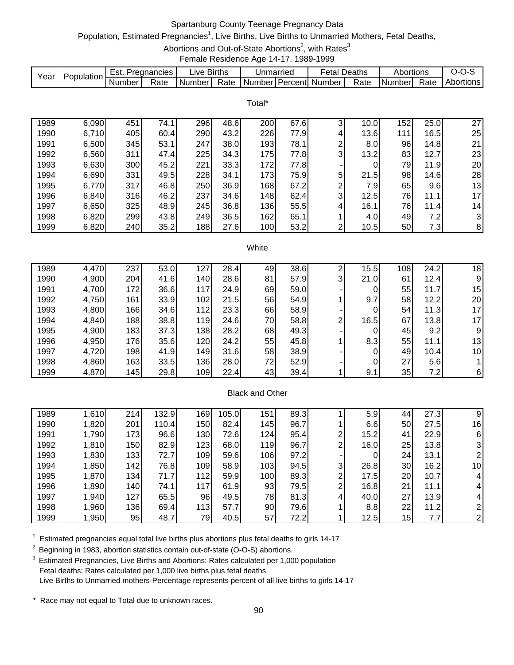# Spartanburg County Teenage Pregnancy Data

# Population, Estimated Pregnancies<sup>1</sup>, Live Births, Live Births to Unmarried Mothers, Fetal Deaths,

Abortions and Out-of-State Abortions<sup>2</sup>, with Rates<sup>3</sup>

Female Residence Age 14-17, 1989-1999

| Year | Population | Est.   | Pregnancies | ∟ive   | <b>Births</b> | Unmarriec           |         | ∙etal  | Deaths | Abortions |      | $I - 1$   |
|------|------------|--------|-------------|--------|---------------|---------------------|---------|--------|--------|-----------|------|-----------|
|      |            | Number | Rate        | Number | Rate          | Number <sup>1</sup> | Percent | Number | Rate   | Number    | Rate | Abortions |

Total\*

| 1989 | 6,090 | 451 | 74.1 | 296 | 48.6 | 200 | 67.6 | 3  | 10.0 | 152 | 25.0 | 27              |
|------|-------|-----|------|-----|------|-----|------|----|------|-----|------|-----------------|
| 1990 | 6,710 | 405 | 60.4 | 290 | 43.2 | 226 | 77.9 | 4. | 13.6 | 111 | 16.5 | 25              |
| 1991 | 6,500 | 345 | 53.1 | 247 | 38.0 | 193 | 78.1 | ⌒  | 8.0  | 96  | 14.8 | 21              |
| 1992 | 6,560 | 311 | 47.4 | 225 | 34.3 | 175 | 77.8 | 3  | 13.2 | 83  | 12.7 | 23              |
| 1993 | 6,630 | 300 | 45.2 | 221 | 33.3 | 172 | 77.8 |    |      | 79  | 11.9 | 20              |
| 1994 | 6,690 | 331 | 49.5 | 228 | 34.1 | 173 | 75.9 | 5  | 21.5 | 98  | 14.6 | 28              |
| 1995 | 6,770 | 317 | 46.8 | 250 | 36.9 | 168 | 67.2 | ົ  | 7.9  | 65  | 9.6  | 13              |
| 1996 | 6,840 | 316 | 46.2 | 237 | 34.6 | 148 | 62.4 | 3  | 12.5 | 76  | 11.1 | 17 <sub>l</sub> |
| 1997 | 6,650 | 325 | 48.9 | 245 | 36.8 | 136 | 55.5 | 4  | 16.1 | 76  | 11.4 | 14              |
| 1998 | 6,820 | 299 | 43.8 | 249 | 36.5 | 162 | 65.1 |    | 4.0  | 49  | 7.2  | $\overline{3}$  |
| 1999 | 6,820 | 240 | 35.2 | 188 | 27.6 | 100 | 53.2 | ⌒  | 10.5 | 50  | 7.3  | 8               |

#### **White**

| 1989 | 4,470 | 237 | 53.0 | 127              | 28.4 | 49 | 38.6 |   | 15.5           | 108             | 24.2 | 18              |
|------|-------|-----|------|------------------|------|----|------|---|----------------|-----------------|------|-----------------|
| 1990 | 4,900 | 204 | 41.6 | 140              | 28.6 | 81 | 57.9 | 3 | 21.0           | 61              | 12.4 | 9               |
| 1991 | 4,700 | 172 | 36.6 | 117              | 24.9 | 69 | 59.0 |   |                | 55              | 11.7 | 15              |
| 1992 | 4,750 | 161 | 33.9 | 102              | 21.5 | 56 | 54.9 |   | 9.7            | 58              | 12.2 | 20              |
| 1993 | 4,800 | 166 | 34.6 | 112              | 23.3 | 66 | 58.9 |   | $\overline{0}$ | 54              | 11.3 | 17              |
| 1994 | 4,840 | 188 | 38.8 | <b>119</b>       | 24.6 | 70 | 58.8 | ◠ | 16.5           | 67              | 13.8 | 17              |
| 1995 | 4,900 | 183 | 37.3 | 138              | 28.2 | 68 | 49.3 |   | $\overline{0}$ | 45              | 9.2  | 9               |
| 1996 | 4,950 | 176 | 35.6 | 120 <sub>1</sub> | 24.2 | 55 | 45.8 |   | 8.3            | 55              | 11.1 | 13              |
| 1997 | 4,720 | 198 | 41.9 | 149              | 31.6 | 58 | 38.9 |   | $\overline{0}$ | 49              | 10.4 | 10 <sub>1</sub> |
| 1998 | 4,860 | 163 | 33.5 | 136              | 28.0 | 72 | 52.9 |   |                | 27 <sub>1</sub> | 5.6  |                 |
| 1999 | 4,870 | 145 | 29.8 | 109              | 22.4 | 43 | 39.4 |   | 9.1            | 35              | 7.2  | 6               |

#### Black and Other

| 1989 | 1,610 | 214 | 132.9 | 169  | 105.0 | 151 | 89.3 |   | 5.9            | 44      | 27.3  | 9               |
|------|-------|-----|-------|------|-------|-----|------|---|----------------|---------|-------|-----------------|
| 1990 | 1,820 | 201 | 110.4 | 150  | 82.4  | 145 | 96.7 |   | 6.6            | 50      | 27.5  | 16              |
| 1991 | 1,790 | 173 | 96.6  | 130  | 72.6I | 124 | 95.4 | ◠ | 15.2           | 41'     | 22.9  | 6 <sub>1</sub>  |
| 1992 | 1,810 | 150 | 82.9  | 123  | 68.0  | 119 | 96.7 | ົ | 16.0           | 25      | 13.8  | 3 <sub>l</sub>  |
| 1993 | 1,830 | 133 | 72.7  | 109  | 59.6  | 106 | 97.2 |   | $\overline{0}$ | 24 I    | 13.1  |                 |
| 1994 | 1,850 | 142 | 76.8  | 109  | 58.9  | 103 | 94.5 | 3 | 26.8           | 30      | 16.2  | 10 <sub>1</sub> |
| 1995 | 1,870 | 134 | 71.7  | 112  | 59.9  | 100 | 89.3 | ົ | 17.5           | 20      | 10.7  | 4               |
| 1996 | 1,890 | 140 | 74.1  | 117  | 61.9  | 93  | 79.5 | ົ | 16.8           | 21      | 11.1  | 4               |
| 1997 | 1,940 | 127 | 65.5  | 96   | 49.5  | 78  | 81.3 | 4 | 40.0           | 27      | 13.9  | 4               |
| 1998 | 1,960 | 136 | 69.4  | 1131 | 57.7  | 90  | 79.6 |   | 8.8            | $22 \,$ | 11.21 |                 |
| 1999 | 1,950 | 95  | 48.7  | 79   | 40.5  | 57  | 72.2 |   | 12.5           | 15      | 7.7I  | 2               |

 $1$  Estimated pregnancies equal total live births plus abortions plus fetal deaths to girls 14-17

<sup>2</sup> Beginning in 1983, abortion statistics contain out-of-state (O-O-S) abortions.

<sup>3</sup> Estimated Pregnancies, Live Births and Abortions: Rates calculated per 1,000 population Fetal deaths: Rates calculated per 1,000 live births plus fetal deaths Live Births to Unmarried mothers-Percentage represents percent of all live births to girls 14-17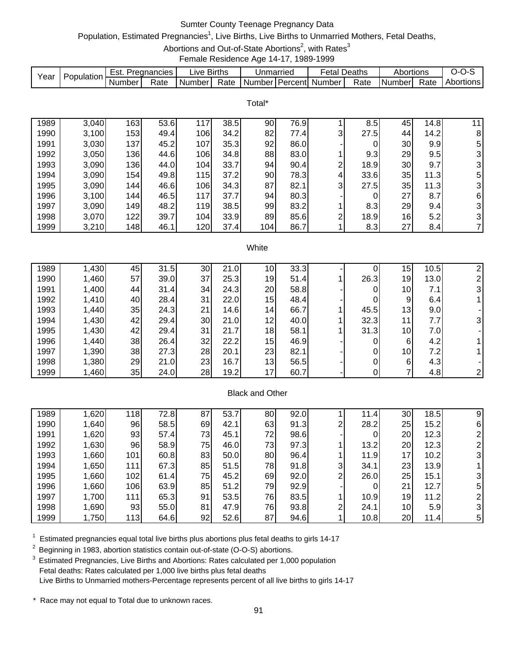# Sumter County Teenage Pregnancy Data

# Population, Estimated Pregnancies<sup>1</sup>, Live Births, Live Births to Unmarried Mothers, Fetal Deaths,

Abortions and Out-of-State Abortions<sup>2</sup>, with Rates<sup>3</sup>

Female Residence Age 14-17, 1989-1999

|      | Population | ESI.   | Pregnancies | ∟lve i   | <b>Births</b> | Unmarried |                | etal   | Deaths | Abortions |      | ,,,              |
|------|------------|--------|-------------|----------|---------------|-----------|----------------|--------|--------|-----------|------|------------------|
| Year |            | Number | Rate        | Number I | Rate          | Number    | <b>Percent</b> | Number | Rate   | I Numberl | Rate | <b>Abortions</b> |

|      |       |     |      |     |      | Total* |      |   |      |     |      |    |
|------|-------|-----|------|-----|------|--------|------|---|------|-----|------|----|
| 1989 | 3,040 | 163 | 53.6 | 117 | 38.5 | 90     | 76.9 |   | 8.5  | 45  | 14.8 | 11 |
| 1990 | 3,100 | 153 | 49.4 | 106 | 34.2 | 82     | 77.4 | 3 | 27.5 | 441 | 14.2 | 8  |
| 1991 | 3,030 | 137 | 45.2 | 107 | 35.3 | 92     | 86.0 |   | 0    | 30  | 9.9  | 5  |
| 1992 | 3,050 | 136 | 44.6 | 106 | 34.8 | 88     | 83.0 |   | 9.3  | 29  | 9.5  | 3  |
| 1993 | 3,090 | 136 | 44.0 | 104 | 33.7 | 94     | 90.4 | ⌒ | 18.9 | 30  | 9.7  | 3  |
| 1994 | 3,090 | 154 | 49.8 | 115 | 37.2 | 90     | 78.3 | 4 | 33.6 | 35  | 11.3 | 5  |
| 1995 | 3,090 | 144 | 46.6 | 106 | 34.3 | 87     | 82.1 | 3 | 27.5 | 35  | 11.3 | 3  |
| 1996 | 3,100 | 144 | 46.5 | 117 | 37.7 | 94     | 80.3 |   | 0    | 27  | 8.7  | 6  |
| 1997 | 3,090 | 149 | 48.2 | 119 | 38.5 | 99     | 83.2 |   | 8.3  | 29  | 9.4  | 3  |
| 1998 | 3,070 | 122 | 39.7 | 104 | 33.9 | 89     | 85.6 | ⌒ | 18.9 | 16  | 5.2  | 3  |
| 1999 | 3,210 | 148 | 46.1 | 120 | 37.4 | 104    | 86.7 |   | 8.3  | 27  | 8.4  | 7  |

#### **White**

| 1989 | 1,430 | 45 | 31.5 | 30 | 21.0 | 10 <sub>1</sub> | 33.3 |      | 15              | 10.5 |   |
|------|-------|----|------|----|------|-----------------|------|------|-----------------|------|---|
| 1990 | 1,460 | 57 | 39.0 | 37 | 25.3 | 19              | 51.4 | 26.3 | 19              | 13.0 |   |
| 1991 | 1,400 | 44 | 31.4 | 34 | 24.3 | 20              | 58.8 |      | 10              | 7.1  | 3 |
| 1992 | 1,410 | 40 | 28.4 | 31 | 22.0 | 15              | 48.4 |      | 9               | 6.4  |   |
| 1993 | 1,440 | 35 | 24.3 | 21 | 14.6 | 14 <sub>1</sub> | 66.7 | 45.5 | 13              | 9.0  |   |
| 1994 | 1,430 | 42 | 29.4 | 30 | 21.0 | 12              | 40.0 | 32.3 | 11              | 7.7  | 3 |
| 1995 | 1,430 | 42 | 29.4 | 31 | 21.7 | 18              | 58.1 | 31.3 | 10 <sub>l</sub> | 7.0  |   |
| 1996 | 1,440 | 38 | 26.4 | 32 | 22.2 | 15              | 46.9 |      | 6               | 4.2  |   |
| 1997 | 1,390 | 38 | 27.3 | 28 | 20.1 | 23              | 82.1 |      | 10              | 7.2  |   |
| 1998 | 1,380 | 29 | 21.0 | 23 | 16.7 | 13 <sub>l</sub> | 56.5 |      | 6               | 4.3  |   |
| 1999 | 1,460 | 35 | 24.0 | 28 | 19.2 | 17              | 60.7 |      |                 | 4.8  |   |

## Black and Other

| 1989 | 1,620 | 118 | 72.8 | 87 | 53.7 | 80  | 92.0 |   | 11.4 | 30              | 18.5 | 9 |
|------|-------|-----|------|----|------|-----|------|---|------|-----------------|------|---|
| 1990 | 1,640 | 96  | 58.5 | 69 | 42.1 | 63  | 91.3 | ົ | 28.2 | 25              | 15.2 | 6 |
| 1991 | 1,620 | 93  | 57.4 | 73 | 45.1 | 72  | 98.6 |   | 0    | 20              | 12.3 |   |
| 1992 | 1,630 | 96  | 58.9 | 75 | 46.0 | 73  | 97.3 |   | 13.2 | 20 <sub>1</sub> | 12.3 |   |
| 1993 | 1,660 | 101 | 60.8 | 83 | 50.0 | 80  | 96.4 |   | 11.9 | 17              | 10.2 | 3 |
| 1994 | 1,650 | 111 | 67.3 | 85 | 51.5 | 78  | 91.8 | 3 | 34.1 | 23              | 13.9 |   |
| 1995 | 1,660 | 102 | 61.4 | 75 | 45.2 | 69  | 92.0 | ົ | 26.0 | 25              | 15.1 |   |
| 1996 | 1,660 | 106 | 63.9 | 85 | 51.2 | 79  | 92.9 |   |      | 21              | 12.7 | 5 |
| 1997 | 1,700 | 111 | 65.3 | 91 | 53.5 | 76  | 83.5 |   | 10.9 | 19              | 11.2 |   |
| 1998 | 1,690 | 93  | 55.0 | 81 | 47.9 | 761 | 93.8 | ົ | 24.1 | 10 <sub>1</sub> | 5.9  |   |
| 1999 | 1,750 | 113 | 64.6 | 92 | 52.6 | 87  | 94.6 |   | 10.8 | 20              | 11.4 | 5 |

 $1$  Estimated pregnancies equal total live births plus abortions plus fetal deaths to girls 14-17

<sup>2</sup> Beginning in 1983, abortion statistics contain out-of-state (O-O-S) abortions.

<sup>3</sup> Estimated Pregnancies, Live Births and Abortions: Rates calculated per 1,000 population Fetal deaths: Rates calculated per 1,000 live births plus fetal deaths Live Births to Unmarried mothers-Percentage represents percent of all live births to girls 14-17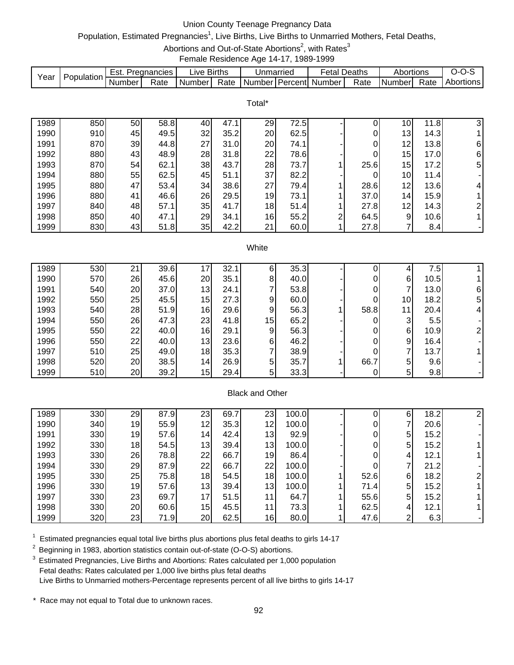# Union County Teenage Pregnancy Data

# Population, Estimated Pregnancies<sup>1</sup>, Live Births, Live Births to Unmarried Mothers, Fetal Deaths,

Abortions and Out-of-State Abortions<sup>2</sup>, with Rates<sup>3</sup>

Female Residence Age 14-17, 1989-1999

|      | Population | Est.   | Pregnancies | ∟ive '   | <b>Births</b> | Unmarried |            | Fetal  | Deaths | Abortions |      | ∵~∪<br>-- |
|------|------------|--------|-------------|----------|---------------|-----------|------------|--------|--------|-----------|------|-----------|
| Year |            | Number | Rate        | l Number | Rate          | Number    | l Percentl | Number | Rate   | Number    | Rate | Abortions |

Total\*

| 1989 | 850 | 50 | 58.8 | 40 | 47.1 | 29 | 72.5 |   |      | 10 <sub>1</sub> | 11.8 | 31             |
|------|-----|----|------|----|------|----|------|---|------|-----------------|------|----------------|
| 1990 | 910 | 45 | 49.5 | 32 | 35.2 | 20 | 62.5 |   | 0    | 13              | 14.3 |                |
| 1991 | 870 | 39 | 44.8 | 27 | 31.0 | 20 | 74.1 |   | 0    | 12              | 13.8 | 6              |
| 1992 | 880 | 43 | 48.9 | 28 | 31.8 | 22 | 78.6 |   | 0    | 15              | 17.0 | 6              |
| 1993 | 870 | 54 | 62.1 | 38 | 43.7 | 28 | 73.7 |   | 25.6 | 15              | 17.2 | 5 <sub>l</sub> |
| 1994 | 880 | 55 | 62.5 | 45 | 51.1 | 37 | 82.2 |   |      | 10              | 11.4 |                |
| 1995 | 880 | 47 | 53.4 | 34 | 38.6 | 27 | 79.4 |   | 28.6 | 12              | 13.6 | 4              |
| 1996 | 880 | 41 | 46.6 | 26 | 29.5 | 19 | 73.1 |   | 37.0 | 14              | 15.9 |                |
| 1997 | 840 | 48 | 57.1 | 35 | 41.7 | 18 | 51.4 |   | 27.8 | 12              | 14.3 | ົ              |
| 1998 | 850 | 40 | 47.1 | 29 | 34.1 | 16 | 55.2 | ົ | 64.5 | 9               | 10.6 |                |
| 1999 | 830 | 43 | 51.8 | 35 | 42.2 | 21 | 60.0 |   | 27.8 |                 | 8.4  |                |

#### **White**

| 1989 | 530 | 21 | 39.6 |                 | 32.7 | ь  | 35.3 |      |                 | 7.5  |   |
|------|-----|----|------|-----------------|------|----|------|------|-----------------|------|---|
| 1990 | 570 | 26 | 45.6 | 20              | 35.1 | 8  | 40.0 |      | 6               | 10.5 |   |
| 1991 | 540 | 20 | 37.0 | 13              | 24.1 |    | 53.8 |      |                 | 13.0 | 6 |
| 1992 | 550 | 25 | 45.5 | 15              | 27.3 | 9  | 60.0 |      | 10 <sub>l</sub> | 18.2 | 5 |
| 1993 | 540 | 28 | 51.9 | 16              | 29.6 | 9  | 56.3 | 58.8 | 11              | 20.4 | 4 |
| 1994 | 550 | 26 | 47.3 | 23              | 41.8 | 15 | 65.2 |      | 3               | 5.5  |   |
| 1995 | 550 | 22 | 40.0 | 16              | 29.1 | 9  | 56.3 |      | 6               | 10.9 |   |
| 1996 | 550 | 22 | 40.0 | 13              | 23.6 | 6  | 46.2 |      | 9               | 16.4 |   |
| 1997 | 510 | 25 | 49.0 | 18              | 35.3 |    | 38.9 |      |                 | 13.7 |   |
| 1998 | 520 | 20 | 38.5 | 14 <sub>1</sub> | 26.9 | 5  | 35.7 | 66.7 | 5               | 9.6  |   |
| 1999 | 510 | 20 | 39.2 | 15              | 29.4 | 5  | 33.3 |      | 5               | 9.8  |   |

## Black and Other

| 1989 | 330 | 29 | 87.9 | 23              | 69.7 | 23              | 100.0 |      | 6              | 18.2 |  |
|------|-----|----|------|-----------------|------|-----------------|-------|------|----------------|------|--|
| 1990 | 340 | 19 | 55.9 | 12              | 35.3 | 12 <sup>1</sup> | 100.0 |      | 7              | 20.6 |  |
| 1991 | 330 | 19 | 57.6 | 14 <sup>1</sup> | 42.4 | 13              | 92.9  |      | 5 <sup>1</sup> | 15.2 |  |
| 1992 | 330 | 18 | 54.5 | 13              | 39.4 | 13              | 100.0 |      | 5 <sup>1</sup> | 15.2 |  |
| 1993 | 330 | 26 | 78.8 | 22              | 66.7 | 19              | 86.4  |      | 4              | 12.1 |  |
| 1994 | 330 | 29 | 87.9 | 22              | 66.7 | 22              | 100.0 |      | 7              | 21.2 |  |
| 1995 | 330 | 25 | 75.8 | 18              | 54.5 | 18              | 100.0 | 52.6 | 6              | 18.2 |  |
| 1996 | 330 | 19 | 57.6 | 13              | 39.4 | 13              | 100.0 | 71.4 | 5              | 15.2 |  |
| 1997 | 330 | 23 | 69.7 | 17              | 51.5 | 11              | 64.7  | 55.6 | 5 <sup>1</sup> | 15.2 |  |
| 1998 | 330 | 20 | 60.6 | 15              | 45.5 | 11 <sub>1</sub> | 73.3  | 62.5 | 4              | 12.1 |  |
| 1999 | 320 | 23 | 71.9 | 20              | 62.5 | 16              | 80.0  | 47.6 | $\overline{2}$ | 6.3  |  |

 $1$  Estimated pregnancies equal total live births plus abortions plus fetal deaths to girls 14-17

<sup>2</sup> Beginning in 1983, abortion statistics contain out-of-state (O-O-S) abortions.

<sup>3</sup> Estimated Pregnancies, Live Births and Abortions: Rates calculated per 1,000 population Fetal deaths: Rates calculated per 1,000 live births plus fetal deaths Live Births to Unmarried mothers-Percentage represents percent of all live births to girls 14-17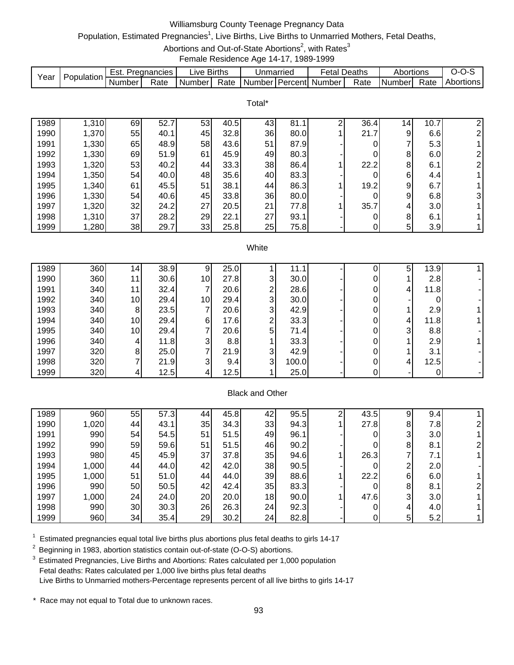# Williamsburg County Teenage Pregnancy Data

# Population, Estimated Pregnancies<sup>1</sup>, Live Births, Live Births to Unmarried Mothers, Fetal Deaths,

Abortions and Out-of-State Abortions<sup>2</sup>, with Rates<sup>3</sup>

Female Residence Age 14-17, 1989-1999

|      | Population | ESL.   | Pregnancies | ∟ive   | <b>Births</b> | Unmarriec          | -etal  | Deaths | Abortions |      | $\overline{ }$ |
|------|------------|--------|-------------|--------|---------------|--------------------|--------|--------|-----------|------|----------------|
| Year |            | Number | Rate        | Number | Rate          | Number I Percent I | Number | Rate   | Numberl   | Rate | Abortions      |

Total\*

| 1989 | ,310  | 69 | 52.7 | 53 | 40.5 | 43 | 81.1 | 36.4 | 14 <sub>1</sub> | 10.7<br>$\overline{7}$ | 2              |
|------|-------|----|------|----|------|----|------|------|-----------------|------------------------|----------------|
| 1990 | 1,370 | 55 | 40.1 | 45 | 32.8 | 36 | 80.0 | 21.7 | 9               | 6.6                    | 2              |
| 1991 | 1,330 | 65 | 48.9 | 58 | 43.6 | 51 | 87.9 |      | 7               | 5.3                    |                |
| 1992 | 1,330 | 69 | 51.9 | 61 | 45.9 | 49 | 80.3 |      | 8               | 6.0                    | $\overline{2}$ |
| 1993 | 1,320 | 53 | 40.2 | 44 | 33.3 | 38 | 86.4 | 22.2 | 8               | 6.1                    | $\overline{2}$ |
| 1994 | 1,350 | 54 | 40.0 | 48 | 35.6 | 40 | 83.3 |      | 6               | 4.4                    |                |
| 1995 | 1,340 | 61 | 45.5 | 51 | 38.1 | 44 | 86.3 | 19.2 | 9               | 6.7                    |                |
| 1996 | 1,330 | 54 | 40.6 | 45 | 33.8 | 36 | 80.0 |      | 9               | 6.8                    | 3              |
| 1997 | 1,320 | 32 | 24.2 | 27 | 20.5 | 21 | 77.8 | 35.7 | 4               | 3.0                    |                |
| 1998 | 1,310 | 37 | 28.2 | 29 | 22.1 | 27 | 93.1 |      | 8               | 6.1                    |                |
| 1999 | ,280  | 38 | 29.7 | 33 | 25.8 | 25 | 75.8 |      | 5               | 3.9                    |                |

#### **White**

| 1989 | 360 | 14 <sub>l</sub> | 38.9 |    | 25.0 |   | 11.1  |  | 5 | 13.9 |  |
|------|-----|-----------------|------|----|------|---|-------|--|---|------|--|
| 1990 | 360 | 11              | 30.6 | 10 | 27.8 | 3 | 30.0  |  |   | 2.8  |  |
| 1991 | 340 | 11              | 32.4 |    | 20.6 | ◠ | 28.6  |  | 4 | 11.8 |  |
| 1992 | 340 | 10 <sup>1</sup> | 29.4 | 10 | 29.4 | 3 | 30.0  |  |   |      |  |
| 1993 | 340 | 81              | 23.5 |    | 20.6 | 3 | 42.9  |  |   | 2.9  |  |
| 1994 | 340 | 10 <sub>l</sub> | 29.4 | 6  | 17.6 | ົ | 33.3  |  | 4 | 11.8 |  |
| 1995 | 340 | 10 <sup>1</sup> | 29.4 |    | 20.6 | 5 | 71.4  |  | 3 | 8.8  |  |
| 1996 | 340 | 4               | 11.8 | 3  | 8.8  |   | 33.3  |  |   | 2.9  |  |
| 1997 | 320 | 81              | 25.0 |    | 21.9 | 3 | 42.9  |  |   | 3.1  |  |
| 1998 | 320 |                 | 21.9 | 3  | 9.4  | 3 | 100.0 |  | 4 | 12.5 |  |
| 1999 | 320 | 41              | 12.5 |    | 12.5 |   | 25.0  |  |   |      |  |

## Black and Other

| 1989 | 960   | 55  | 57.3 | 44 | 45.8 | 42 | 95.5 | ⌒ | 43.5 | 9 | 9.4              |  |
|------|-------|-----|------|----|------|----|------|---|------|---|------------------|--|
| 1990 | 1,020 | 44  | 43.1 | 35 | 34.3 | 33 | 94.3 |   | 27.8 | 8 | 7.81             |  |
| 1991 | 990   | 541 | 54.5 | 51 | 51.5 | 49 | 96.1 |   |      | 3 | 3.0 <sub>l</sub> |  |
| 1992 | 990   | 59  | 59.6 | 51 | 51.5 | 46 | 90.2 |   |      | 8 | 8.1              |  |
| 1993 | 980   | 45  | 45.9 | 37 | 37.8 | 35 | 94.6 |   | 26.3 |   | 7.1              |  |
| 1994 | 1,000 | 441 | 44.0 | 42 | 42.0 | 38 | 90.5 |   |      | ◠ | 2.0              |  |
| 1995 | 1,000 | 51  | 51.0 | 44 | 44.0 | 39 | 88.6 |   | 22.2 | 6 | 6.0              |  |
| 1996 | 990   | 50  | 50.5 | 42 | 42.4 | 35 | 83.3 |   |      | 8 | 8.1              |  |
| 1997 | 1,000 | 24  | 24.0 | 20 | 20.0 | 18 | 90.0 |   | 47.6 | 3 | 3.0 <sub>l</sub> |  |
| 1998 | 990   | 30  | 30.3 | 26 | 26.3 | 24 | 92.3 |   |      |   | 4.0              |  |
| 1999 | 960   | 34  | 35.4 | 29 | 30.2 | 24 | 82.8 |   |      | 5 | 5.2              |  |

 $1$  Estimated pregnancies equal total live births plus abortions plus fetal deaths to girls 14-17

<sup>2</sup> Beginning in 1983, abortion statistics contain out-of-state (O-O-S) abortions.

<sup>3</sup> Estimated Pregnancies, Live Births and Abortions: Rates calculated per 1,000 population Fetal deaths: Rates calculated per 1,000 live births plus fetal deaths Live Births to Unmarried mothers-Percentage represents percent of all live births to girls 14-17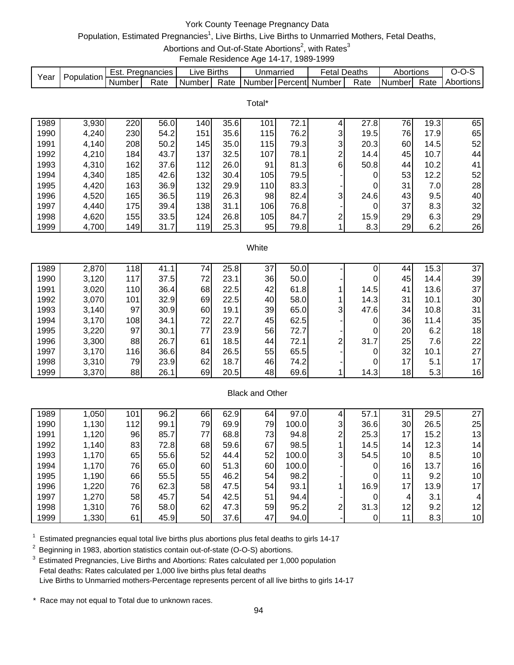# York County Teenage Pregnancy Data

# Population, Estimated Pregnancies<sup>1</sup>, Live Births, Live Births to Unmarried Mothers, Fetal Deaths,

Abortions and Out-of-State Abortions<sup>2</sup>, with Rates<sup>3</sup>

Female Residence Age 14-17, 1989-1999

|      |            | =st.   | Pregnancies | ∟ive Births |      | Jnmarried |                  | etal   | Deaths | Abortions |      |           |
|------|------------|--------|-------------|-------------|------|-----------|------------------|--------|--------|-----------|------|-----------|
| Year | Population | Number | Rate        | Number      | Rate | Number I  | <b>I</b> Percent | Number | Rate   | I Numberl | Rate | Abortions |

Total\*

| 1989 | 3,930 | 220 | 56.0 | 140 | 35.6 | 101 | 72.1 |   | 27.8 | 76 | 19.3 | 65 |
|------|-------|-----|------|-----|------|-----|------|---|------|----|------|----|
| 1990 | 4,240 | 230 | 54.2 | 151 | 35.6 | 115 | 76.2 | 3 | 19.5 | 76 | 17.9 | 65 |
| 1991 | 4,140 | 208 | 50.2 | 145 | 35.0 | 115 | 79.3 | 3 | 20.3 | 60 | 14.5 | 52 |
| 1992 | 4,210 | 184 | 43.7 | 137 | 32.5 | 107 | 78.1 | ⌒ | 14.4 | 45 | 10.7 | 44 |
| 1993 | 4,310 | 162 | 37.6 | 112 | 26.0 | 91  | 81.3 | 6 | 50.8 | 44 | 10.2 | 41 |
| 1994 | 4,340 | 185 | 42.6 | 132 | 30.4 | 105 | 79.5 |   | 0    | 53 | 12.2 | 52 |
| 1995 | 4,420 | 163 | 36.9 | 132 | 29.9 | 110 | 83.3 |   | 0    | 31 | 7.0  | 28 |
| 1996 | 4,520 | 165 | 36.5 | 119 | 26.3 | 98  | 82.4 | 3 | 24.6 | 43 | 9.5  | 40 |
| 1997 | 4,440 | 175 | 39.4 | 138 | 31.1 | 106 | 76.8 |   | 0    | 37 | 8.3  | 32 |
| 1998 | 4,620 | 155 | 33.5 | 124 | 26.8 | 105 | 84.7 | ⌒ | 15.9 | 29 | 6.3  | 29 |
| 1999 | 4,700 | 149 | 31.7 | 119 | 25.3 | 95  | 79.8 |   | 8.3  | 29 | 6.2  | 26 |

#### **White**

| 1989 | 2,870 | 118 | 41.1 | 74 | 25.8 | 37 | 50.0 |   |      | 44 | 15.3 | 37 |
|------|-------|-----|------|----|------|----|------|---|------|----|------|----|
| 1990 | 3,120 | 117 | 37.5 | 72 | 23.1 | 36 | 50.0 |   |      | 45 | 14.4 | 39 |
| 1991 | 3,020 | 110 | 36.4 | 68 | 22.5 | 42 | 61.8 |   | 14.5 | 41 | 13.6 | 37 |
| 1992 | 3,070 | 101 | 32.9 | 69 | 22.5 | 40 | 58.0 |   | 14.3 | 31 | 10.1 | 30 |
| 1993 | 3,140 | 97  | 30.9 | 60 | 19.1 | 39 | 65.0 | 3 | 47.6 | 34 | 10.8 | 31 |
| 1994 | 3,170 | 108 | 34.1 | 72 | 22.7 | 45 | 62.5 |   |      | 36 | 11.4 | 35 |
| 1995 | 3,220 | 97  | 30.1 | 77 | 23.9 | 56 | 72.7 |   |      | 20 | 6.2  | 18 |
| 1996 | 3,300 | 88  | 26.7 | 61 | 18.5 | 44 | 72.1 | ⌒ | 31.7 | 25 | 7.6  | 22 |
| 1997 | 3,170 | 116 | 36.6 | 84 | 26.5 | 55 | 65.5 |   |      | 32 | 10.1 | 27 |
| 1998 | 3,310 | 79  | 23.9 | 62 | 18.7 | 46 | 74.2 |   |      | 17 | 5.1  | 17 |
| 1999 | 3,370 | 88  | 26.1 | 69 | 20.5 | 48 | 69.6 |   | 14.3 | 18 | 5.3  | 16 |

#### Black and Other

| 1989 | 1,050 | 101 | 96.2 | 66 | 62.9 | 64 | 97.0  |    | 57.1 | 3 <sup>1</sup>  | 29.5 | 27 |
|------|-------|-----|------|----|------|----|-------|----|------|-----------------|------|----|
| 1990 | 1,130 | 112 | 99.1 | 79 | 69.9 | 79 | 100.0 | 3  | 36.6 | 30              | 26.5 | 25 |
| 1991 | 1,120 | 96  | 85.7 | 77 | 68.8 | 73 | 94.8  | ⌒  | 25.3 | 17              | 15.2 | 13 |
| 1992 | 1,140 | 83  | 72.8 | 68 | 59.6 | 67 | 98.5  |    | 14.5 | 14 <sub>1</sub> | 12.3 | 14 |
| 1993 | 1,170 | 65  | 55.6 | 52 | 44.4 | 52 | 100.0 | 31 | 54.5 | 10 <sub>1</sub> | 8.5  | 10 |
| 1994 | 1,170 | 76  | 65.0 | 60 | 51.3 | 60 | 100.0 |    |      | 16              | 13.7 | 16 |
| 1995 | 1,190 | 66  | 55.5 | 55 | 46.2 | 54 | 98.2  |    | 0    | 11              | 9.2  | 10 |
| 1996 | 1,220 | 76  | 62.3 | 58 | 47.5 | 54 | 93.1  |    | 16.9 | 17              | 13.9 | 17 |
| 1997 | 1,270 | 58  | 45.7 | 54 | 42.5 | 51 | 94.4  |    |      |                 | 3.1  |    |
| 1998 | 1,310 | 76  | 58.0 | 62 | 47.3 | 59 | 95.2  | ົ  | 31.3 | 12              | 9.2  | 12 |
| 1999 | 1,330 | 61  | 45.9 | 50 | 37.6 | 47 | 94.0  |    |      |                 | 8.3  | 10 |

 $1$  Estimated pregnancies equal total live births plus abortions plus fetal deaths to girls 14-17

<sup>2</sup> Beginning in 1983, abortion statistics contain out-of-state (O-O-S) abortions.

<sup>3</sup> Estimated Pregnancies, Live Births and Abortions: Rates calculated per 1,000 population Fetal deaths: Rates calculated per 1,000 live births plus fetal deaths Live Births to Unmarried mothers-Percentage represents percent of all live births to girls 14-17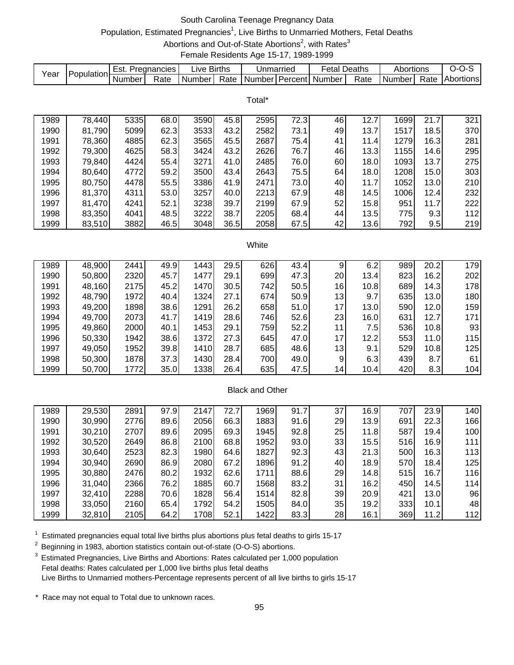# South Carolina Teenage Pregnancy Data

# Population, Estimated Pregnancies<sup>1</sup>, Live Births to Unmarried Mothers, Fetal Deaths

Abortions and Out-of-State Abortions<sup>2</sup>, with Rates<sup>3</sup>

Female Residents Age 15-17, 1989-1999

| Year |                   | Est.   | Pregnancies | ive Births |      | Unmarriec | Fetal Deaths                |      | Abortions |      | J-1              |
|------|-------------------|--------|-------------|------------|------|-----------|-----------------------------|------|-----------|------|------------------|
|      | <b>Population</b> | Number | Rate        | Number I   | Rate |           | I Number I Percent I Number | Rate | Numberl   | Rate | <b>Abortions</b> |

|      |        |      |      |      |      | Total* |      |    |      |      |      |     |
|------|--------|------|------|------|------|--------|------|----|------|------|------|-----|
| 1989 | 78,440 | 5335 | 68.0 | 3590 | 45.8 | 2595   | 72.3 | 46 | 12.7 | 1699 | 21.7 | 321 |
| 1990 | 81,790 | 5099 | 62.3 | 3533 | 43.2 | 2582   | 73.1 | 49 | 13.7 | 1517 | 18.5 | 370 |
| 1991 | 78,360 | 4885 | 62.3 | 3565 | 45.5 | 2687   | 75.4 | 41 | 11.4 | 1279 | 16.3 | 281 |
| 1992 | 79,300 | 4625 | 58.3 | 3424 | 43.2 | 2626   | 76.7 | 46 | 13.3 | 1155 | 14.6 | 295 |
| 1993 | 79,840 | 4424 | 55.4 | 3271 | 41.0 | 2485   | 76.0 | 60 | 18.0 | 1093 | 13.7 | 275 |
| 1994 | 80,640 | 4772 | 59.2 | 3500 | 43.4 | 2643   | 75.5 | 64 | 18.0 | 1208 | 15.0 | 303 |
| 1995 | 80,750 | 4478 | 55.5 | 3386 | 41.9 | 2471   | 73.0 | 40 | 11.7 | 1052 | 13.0 | 210 |
| 1996 | 81,370 | 4311 | 53.0 | 3257 | 40.0 | 2213   | 67.9 | 48 | 14.5 | 1006 | 12.4 | 232 |
| 1997 | 81,470 | 4241 | 52.1 | 3238 | 39.7 | 2199   | 67.9 | 52 | 15.8 | 951  | 11.7 | 222 |
| 1998 | 83,350 | 4041 | 48.5 | 3222 | 38.7 | 2205   | 68.4 | 44 | 13.5 | 775  | 9.3  | 112 |
| 1999 | 83,510 | 3882 | 46.5 | 3048 | 36.5 | 2058   | 67.5 | 42 | 13.6 | 792  | 9.5  | 219 |
|      |        |      |      |      |      |        |      |    |      |      |      |     |

#### White

| 1989 | 48,900 | 2441 | 49.9 | 1443 | 29.5 | 626 | 43.4 |     | 6.2  | 989 | 20.2 | 179 |
|------|--------|------|------|------|------|-----|------|-----|------|-----|------|-----|
| 1990 | 50,800 | 2320 | 45.7 | 1477 | 29.1 | 699 | 47.3 | 20  | 13.4 | 823 | 16.2 | 202 |
| 1991 | 48,160 | 2175 | 45.2 | 1470 | 30.5 | 742 | 50.5 | 16  | 10.8 | 689 | 14.3 | 178 |
| 1992 | 48,790 | 1972 | 40.4 | 1324 | 27.1 | 674 | 50.9 | 13  | 9.7  | 635 | 13.0 | 180 |
| 1993 | 49,200 | 1898 | 38.6 | 1291 | 26.2 | 658 | 51.0 | 17  | 13.0 | 590 | 12.0 | 159 |
| 1994 | 49,700 | 2073 | 41.7 | 1419 | 28.6 | 746 | 52.6 | 23  | 16.0 | 631 | 12.7 | 171 |
| 1995 | 49,860 | 2000 | 40.1 | 1453 | 29.1 | 759 | 52.2 | 11  | 7.51 | 536 | 10.8 | 93  |
| 1996 | 50,330 | 1942 | 38.6 | 1372 | 27.3 | 645 | 47.0 | 17  | 12.2 | 553 | 11.0 | 115 |
| 1997 | 49,050 | 1952 | 39.8 | 1410 | 28.7 | 685 | 48.6 | 131 | 9.1  | 529 | 10.8 | 125 |
| 1998 | 50,300 | 1878 | 37.3 | 1430 | 28.4 | 700 | 49.0 | 9   | 6.3  | 439 | 8.7  | 61  |
| 1999 | 50,700 | 1772 | 35.0 | 1338 | 26.4 | 635 | 47.5 | 14  | 10.4 | 420 | 8.3  | 104 |

#### Black and Other

| 1989 | 29,530 | 2891 | 97.9 | 2147 | 72.7 | 1969 | 91.7 | 37 | 16.9 | 707 | 23.9 | 140 |
|------|--------|------|------|------|------|------|------|----|------|-----|------|-----|
| 1990 | 30,990 | 2776 | 89.6 | 2056 | 66.3 | 1883 | 91.6 | 29 | 13.9 | 691 | 22.3 | 166 |
| 1991 | 30,210 | 2707 | 89.6 | 2095 | 69.3 | 1945 | 92.8 | 25 | 11.8 | 587 | 19.4 | 100 |
| 1992 | 30,520 | 2649 | 86.8 | 2100 | 68.8 | 1952 | 93.0 | 33 | 15.5 | 516 | 16.9 | 111 |
| 1993 | 30,640 | 2523 | 82.3 | 1980 | 64.6 | 1827 | 92.3 | 43 | 21.3 | 500 | 16.3 | 113 |
| 1994 | 30,940 | 2690 | 86.9 | 2080 | 67.2 | 1896 | 91.2 | 40 | 18.9 | 570 | 18.4 | 125 |
| 1995 | 30,880 | 2476 | 80.2 | 1932 | 62.6 | 1711 | 88.6 | 29 | 14.8 | 515 | 16.7 | 116 |
| 1996 | 31,040 | 2366 | 76.2 | 1885 | 60.7 | 1568 | 83.2 | 31 | 16.2 | 450 | 14.5 | 114 |
| 1997 | 32,410 | 2288 | 70.6 | 1828 | 56.4 | 1514 | 82.8 | 39 | 20.9 | 421 | 13.0 | 96  |
| 1998 | 33,050 | 2160 | 65.4 | 1792 | 54.2 | 1505 | 84.0 | 35 | 19.2 | 333 | 10.1 | 48  |
| 1999 | 32,810 | 2105 | 64.2 | 1708 | 52.1 | 1422 | 83.3 | 28 | 16.1 | 369 | 11.2 | 112 |

 $1$  Estimated pregnancies equal total live births plus abortions plus fetal deaths to girls 15-17

<sup>2</sup> Beginning in 1983, abortion statistics contain out-of-state (O-O-S) abortions.

<sup>3</sup> Estimated Pregnancies, Live Births and Abortions: Rates calculated per 1,000 population Fetal deaths: Rates calculated per 1,000 live births plus fetal deaths Live Births to Unmarried mothers-Percentage represents percent of all live births to girls 15-17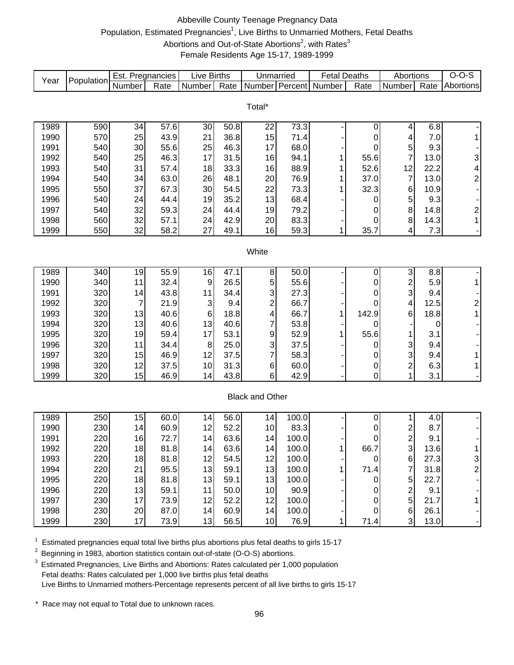# Abbeville County Teenage Pregnancy Data Population, Estimated Pregnancies<sup>1</sup>, Live Births to Unmarried Mothers, Fetal Deaths Abortions and Out-of-State Abortions<sup>2</sup>, with Rates<sup>3</sup> Female Residents Age 15-17, 1989-1999

| Year | Population | Est. Pregnancies |      | <b>Live Births</b> |      | Unmarried               |       | <b>Fetal Deaths</b> |                  | Abortions                                  |      | $O-O-S$                  |
|------|------------|------------------|------|--------------------|------|-------------------------|-------|---------------------|------------------|--------------------------------------------|------|--------------------------|
|      |            | Number           | Rate | Number             | Rate | Number                  |       | Percent Number      | Rate             | Number                                     | Rate | Abortions                |
|      |            |                  |      |                    |      |                         |       |                     |                  |                                            |      |                          |
|      |            |                  |      |                    |      | Total*                  |       |                     |                  |                                            |      |                          |
| 1989 | 590        | 34               | 57.6 | 30                 | 50.8 | 22                      | 73.3  |                     | 0                | 4                                          | 6.8  |                          |
| 1990 | 570        | 25               | 43.9 | 21                 | 36.8 | 15                      | 71.4  |                     | 0                | 4                                          | 7.0  | 1                        |
| 1991 | 540        | 30               | 55.6 | 25                 | 46.3 | 17                      | 68.0  |                     | 0                | 5                                          | 9.3  |                          |
| 1992 | 540        | 25               | 46.3 | 17                 | 31.5 | 16                      | 94.1  | 1                   | 55.6             | $\overline{7}$                             | 13.0 | 3                        |
| 1993 | 540        | 31               | 57.4 | 18                 | 33.3 | 16                      | 88.9  | 1                   | 52.6             | 12                                         | 22.2 | 4                        |
| 1994 | 540        | 34               | 63.0 | 26                 | 48.1 | 20                      | 76.9  | 1                   | 37.0             | $\overline{7}$                             | 13.0 | $\overline{c}$           |
| 1995 | 550        | 37               | 67.3 | 30                 | 54.5 | 22                      | 73.3  | 1                   | 32.3             | 6                                          | 10.9 | $\overline{\phantom{a}}$ |
| 1996 | 540        | 24               | 44.4 | 19                 | 35.2 | 13                      | 68.4  |                     | 0                | 5                                          | 9.3  |                          |
| 1997 | 540        | 32               | 59.3 | 24                 | 44.4 | 19                      | 79.2  |                     | 0                | 8                                          | 14.8 | $\overline{\mathbf{c}}$  |
| 1998 | 560        | 32               | 57.1 | 24                 | 42.9 | 20                      | 83.3  |                     | 0                | 8                                          | 14.3 | $\mathbf{1}$             |
| 1999 | 550        | 32               | 58.2 | 27                 | 49.1 | 16                      | 59.3  | 1                   | 35.7             | 4                                          | 7.3  |                          |
|      |            |                  |      |                    |      |                         |       |                     |                  |                                            |      |                          |
|      |            |                  |      |                    |      | White                   |       |                     |                  |                                            |      |                          |
|      |            |                  |      |                    |      |                         |       |                     |                  |                                            |      |                          |
| 1989 | 340        | 19               | 55.9 | 16                 | 47.1 | 8                       | 50.0  |                     | 0                | $\ensuremath{\mathsf{3}}$                  | 8.8  |                          |
| 1990 | 340        | 11               | 32.4 | $\boldsymbol{9}$   | 26.5 | 5                       | 55.6  |                     | 0                | $\overline{c}$                             | 5.9  | $\mathbf{1}$             |
| 1991 | 320        | 14               | 43.8 | 11                 | 34.4 | 3                       | 27.3  |                     | 0                | 3                                          | 9.4  |                          |
| 1992 | 320        | $\overline{7}$   | 21.9 | 3                  | 9.4  | $\overline{\mathbf{c}}$ | 66.7  |                     | 0                | 4                                          | 12.5 | $\overline{\mathbf{c}}$  |
| 1993 | 320        | 13               | 40.6 | 6                  | 18.8 | 4                       | 66.7  | 1                   | 142.9            | 6                                          | 18.8 | $\mathbf{1}$             |
| 1994 | 320        | 13               | 40.6 | 13                 | 40.6 | 7                       | 53.8  |                     | 0                |                                            | 0    |                          |
| 1995 | 320        | 19               | 59.4 | 17                 | 53.1 | 9                       | 52.9  | 1                   | 55.6             | 1                                          | 3.1  |                          |
| 1996 | 320        | 11               | 34.4 | 8                  | 25.0 | 3                       | 37.5  |                     | 0                | 3                                          | 9.4  |                          |
| 1997 | 320        | 15               | 46.9 | 12                 | 37.5 | 7                       | 58.3  |                     | 0                | 3                                          | 9.4  | $\mathbf 1$              |
| 1998 | 320        | 12               | 37.5 | 10                 | 31.3 | $\,6$                   | 60.0  |                     | 0                | $\overline{\mathbf{c}}$                    | 6.3  | $\mathbf 1$              |
| 1999 | 320        | 15               | 46.9 | 14                 | 43.8 | 6                       | 42.9  |                     | $\boldsymbol{0}$ | 1                                          | 3.1  |                          |
|      |            |                  |      |                    |      |                         |       |                     |                  |                                            |      |                          |
|      |            |                  |      |                    |      | <b>Black and Other</b>  |       |                     |                  |                                            |      |                          |
| 1989 | 250        | 15               | 60.0 | 14                 | 56.0 | 14                      | 100.0 |                     | 0                | 1                                          | 4.0  |                          |
| 1990 | 230        | 14               | 60.9 | 12                 | 52.2 | 10                      | 83.3  |                     | 0                |                                            | 8.7  |                          |
| 1991 | 220        | 16               | 72.7 | 14                 | 63.6 | 14                      | 100.0 |                     | 0                |                                            | 9.1  |                          |
| 1992 | 220        | 18               | 81.8 | 14                 | 63.6 | 14                      | 100.0 | 1                   | 66.7             | $\begin{array}{c} 2 \\ 2 \\ 3 \end{array}$ | 13.6 |                          |
| 1993 | 220        | 18               | 81.8 | 12                 | 54.5 | 12                      | 100.0 |                     | $\mathbf 0$      | $\,6$                                      | 27.3 | 3                        |
| 1994 | 220        | 21               | 95.5 | 13                 | 59.1 | 13                      | 100.0 |                     | 71.4             | $\overline{7}$                             | 31.8 | $\overline{\mathbf{c}}$  |
| 1995 | 220        | 18               | 81.8 | 13                 | 59.1 | 13                      | 100.0 |                     | 0                | 5                                          | 22.7 |                          |
| 1996 | 220        | 13               | 59.1 | 11                 | 50.0 | 10                      | 90.9  |                     | 0                | $\overline{\mathbf{c}}$                    | 9.1  |                          |
| 1997 | 230        | 17               | 73.9 | 12                 | 52.2 | 12                      | 100.0 |                     | 0                | 5                                          | 21.7 |                          |
| 1998 | 230        | 20               | 87.0 | 14                 | 60.9 | 14                      | 100.0 |                     | 0                | $\,6$                                      | 26.1 |                          |
| 1999 | 230        | 17               | 73.9 | 13                 | 56.5 | 10                      | 76.9  | 1                   | 71.4             | 3 <sup>1</sup>                             | 13.0 |                          |
|      |            |                  |      |                    |      |                         |       |                     |                  |                                            |      |                          |

 $1$  Estimated pregnancies equal total live births plus abortions plus fetal deaths to girls 15-17

<sup>2</sup> Beginning in 1983, abortion statistics contain out-of-state (O-O-S) abortions.

<sup>3</sup> Estimated Pregnancies, Live Births and Abortions: Rates calculated per 1,000 population Fetal deaths: Rates calculated per 1,000 live births plus fetal deaths Live Births to Unmarried mothers-Percentage represents percent of all live births to girls 15-17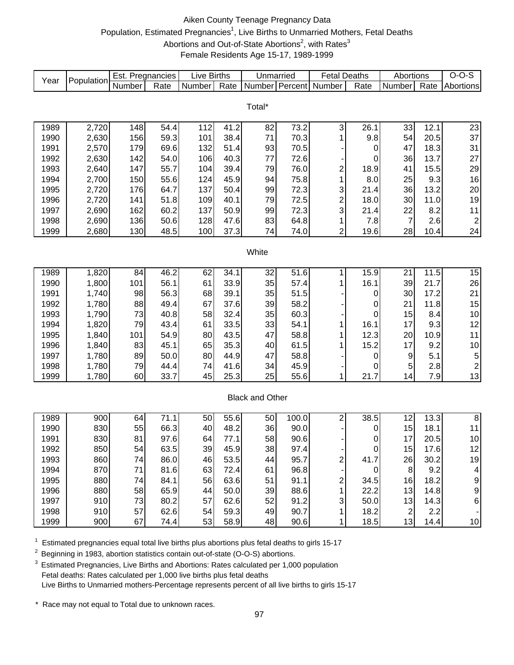# Aiken County Teenage Pregnancy Data Population, Estimated Pregnancies<sup>1</sup>, Live Births to Unmarried Mothers, Fetal Deaths Abortions and Out-of-State Abortions<sup>2</sup>, with Rates<sup>3</sup> Female Residents Age 15-17, 1989-1999

| Year         | Population     | Est. Pregnancies |              | <b>Live Births</b> |                  | Unmarried              |              | <b>Fetal Deaths</b>     |             | Abortions            |              | $O-O-S$                       |
|--------------|----------------|------------------|--------------|--------------------|------------------|------------------------|--------------|-------------------------|-------------|----------------------|--------------|-------------------------------|
|              |                | Number           | Rate         | Number             | Rate             | Number                 | Percent      | Number                  | Rate        | Number               | Rate         | Abortions                     |
|              |                |                  |              |                    |                  |                        |              |                         |             |                      |              |                               |
|              |                |                  |              |                    |                  | Total*                 |              |                         |             |                      |              |                               |
|              |                |                  |              |                    |                  |                        | 73.2         |                         |             |                      | 12.1         | 23                            |
| 1989         | 2,720          | 148              | 54.4         | 112<br>101         | 41.2<br>38.4     | 82<br>71               |              | 3                       | 26.1<br>9.8 | 33<br>54             |              | 37                            |
| 1990         | 2,630          | 156              | 59.3         | 132                | 51.4             |                        | 70.3         | 1                       |             |                      | 20.5         | 31                            |
| 1991<br>1992 | 2,570<br>2,630 | 179<br>142       | 69.6<br>54.0 | 106                | 40.3             | 93<br>77               | 70.5<br>72.6 |                         | 0<br>0      | 47<br>36             | 18.3<br>13.7 | 27                            |
| 1993         |                | 147              | 55.7         |                    |                  |                        |              |                         |             |                      |              |                               |
| 1994         | 2,640          |                  |              | 104<br>124         | 39.4             | 79                     | 76.0         | $\overline{c}$          | 18.9<br>8.0 | 41                   | 15.5         | 29                            |
|              | 2,700          | 150              | 55.6         | 137                | 45.9             | 94<br>99               | 75.8<br>72.3 | 1                       |             | 25                   | 9.3          | 16                            |
| 1995         | 2,720          | 176<br>141       | 64.7<br>51.8 |                    | 50.4             |                        | 72.5         | 3                       | 21.4        | 36                   | 13.2         | 20<br>19                      |
| 1996         | 2,720          | 162              | 60.2         | 109<br>137         | 40.1             | 79                     |              | $\overline{c}$          | 18.0        | 30                   | 11.0         |                               |
| 1997<br>1998 | 2,690          |                  |              |                    | 50.9             | 99                     | 72.3         | 3                       | 21.4        | 22<br>$\overline{7}$ | 8.2          | 11<br>$\overline{\mathbf{c}}$ |
| 1999         | 2,690<br>2,680 | 136<br>130       | 50.6<br>48.5 | 128<br>100         | 47.6<br>37.3     | 83<br>74               | 64.8<br>74.0 | 1<br>$\overline{2}$     | 7.8<br>19.6 | 28                   | 2.6<br>10.4  | 24                            |
|              |                |                  |              |                    |                  |                        |              |                         |             |                      |              |                               |
|              |                |                  |              |                    |                  | White                  |              |                         |             |                      |              |                               |
|              |                |                  |              |                    |                  |                        |              |                         |             |                      |              |                               |
| 1989         | 1,820          | 84               | 46.2         | 62                 | 34.1             | 32                     | 51.6         | 1                       | 15.9        | 21                   | 11.5         | 15                            |
| 1990         | 1,800          | 101              | 56.1         | 61                 | 33.9             | 35                     | 57.4         | 1                       | 16.1        | 39                   | 21.7         | 26                            |
| 1991         | 1,740          | 98               | 56.3         | 68                 | 39.1             | 35                     | 51.5         |                         | 0           | 30                   | 17.2         | 21                            |
| 1992         | 1,780          | 88               | 49.4         | 67                 | 37.6             | 39                     | 58.2         |                         | 0           | 21                   | 11.8         | 15                            |
| 1993         | 1,790          | 73               | 40.8         | 58                 | 32.4             | 35                     | 60.3         |                         | $\mathbf 0$ | 15                   | 8.4          | 10                            |
| 1994         | 1,820          | 79               | 43.4         | 61                 | 33.5             | 33                     | 54.1         | 1                       | 16.1        | 17                   | 9.3          | 12                            |
| 1995         | 1,840          | 101              | 54.9         | 80                 | 43.5             | 47                     | 58.8         | 1                       | 12.3        | 20                   | 10.9         | 11                            |
| 1996         | 1,840          | 83               | 45.1         | 65                 | 35.3             | 40                     | 61.5         |                         | 15.2        | 17                   | 9.2          | $10$                          |
| 1997         | 1,780          | 89               | 50.0         | 80                 | 44.9             | 47                     | 58.8         |                         | 0           | 9                    | 5.1          | 5                             |
| 1998         | 1,780          | 79               | 44.4         | 74                 | 41.6             | 34                     | 45.9         |                         | 0           | 5                    | 2.8          | $\overline{\mathbf{c}}$       |
| 1999         | 1,780          | 60               | 33.7         | 45                 | 25.3             | 25                     | 55.6         | 1                       | 21.7        | 14                   | 7.9          | 13                            |
|              |                |                  |              |                    |                  |                        |              |                         |             |                      |              |                               |
|              |                |                  |              |                    |                  | <b>Black and Other</b> |              |                         |             |                      |              |                               |
|              |                |                  |              |                    |                  |                        |              |                         |             |                      |              |                               |
| 1989         | 900            | 64               | 71.1         | 50                 | $\frac{1}{55.6}$ | 50                     | 100.0        | $\overline{\mathbf{c}}$ | 38.5        | 12                   | 13.3         | $\overline{8}$                |
| 1990         | 830            | 55               | 66.3         | 40                 | 48.2             | 36                     | 90.0         |                         | 0           | 15                   | 18.1         | 11                            |
| 1991         | 830            | 81               | 97.6         | 64                 | 77.1             | 58                     | 90.6         |                         | 0           | 17                   | 20.5         | $10$                          |
| 1992         | 850            | 54               | 63.5         | 39                 | 45.9             | 38                     | 97.4         |                         | $\pmb{0}$   | 15                   | 17.6         | 12                            |
| 1993         | 860            | 74               | 86.0         | 46                 | 53.5             | 44                     | 95.7         | $\boldsymbol{2}$        | 41.7        | 26                   | 30.2         | 19                            |
| 1994         | 870            | 71               | 81.6         | 63                 | 72.4             | 61                     | 96.8         |                         | 0           | 8                    | 9.2          | $\overline{\mathbf{4}}$       |
| 1995         | 880            | 74               | 84.1         | 56                 | 63.6             | 51                     | 91.1         | 2                       | 34.5        | 16                   | 18.2         | $\boldsymbol{9}$              |
| 1996         | 880            | 58               | 65.9         | 44                 | 50.0             | 39                     | 88.6         | 1                       | 22.2        | 13                   | 14.8         | $\boldsymbol{9}$              |
| 1997         | 910            | 73               | 80.2         | 57                 | 62.6             | 52                     | 91.2         | 3                       | 50.0        | 13                   | 14.3         | $\,6$                         |
| 1998         | 910            | 57               | 62.6         | 54                 | 59.3             | 49                     | 90.7         | 1                       | 18.2        | $\overline{c}$       | 2.2          |                               |
| 1999         | 900            | 67               | 74.4         | 53                 | 58.9             | 48                     | 90.6         | 1                       | 18.5        | 13                   | 14.4         | $10$                          |

 $1$  Estimated pregnancies equal total live births plus abortions plus fetal deaths to girls 15-17

2 Beginning in 1983, abortion statistics contain out-of-state (O-O-S) abortions.

 $3$  Estimated Pregnancies, Live Births and Abortions: Rates calculated per 1,000 population Fetal deaths: Rates calculated per 1,000 live births plus fetal deaths Live Births to Unmarried mothers-Percentage represents percent of all live births to girls 15-17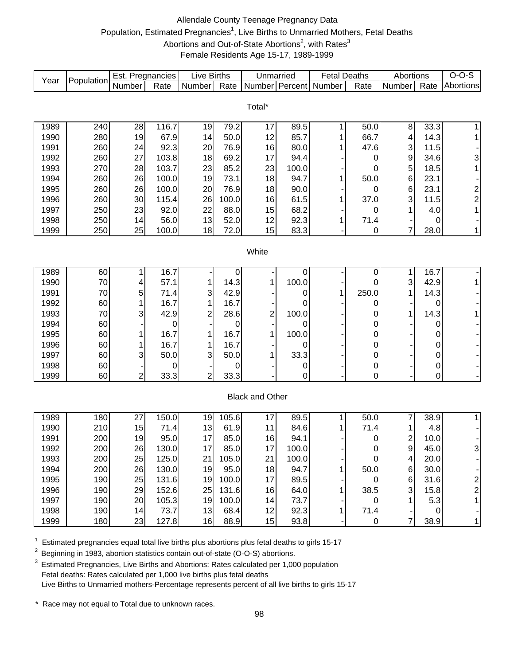# Allendale County Teenage Pregnancy Data Population, Estimated Pregnancies<sup>1</sup>, Live Births to Unmarried Mothers, Fetal Deaths Abortions and Out-of-State Abortions<sup>2</sup>, with Rates<sup>3</sup> Female Residents Age 15-17, 1989-1999

| Year         | Population | Est. Pregnancies |                | <b>Live Births</b> |               | Unmarried              |              | <b>Fetal Deaths</b>   |             | Abortions                                 |                  | $O-O-S$                 |
|--------------|------------|------------------|----------------|--------------------|---------------|------------------------|--------------|-----------------------|-------------|-------------------------------------------|------------------|-------------------------|
|              |            | Number           | Rate           | Number             | Rate          |                        |              | Number Percent Number | Rate        | Number                                    | Rate             | Abortions               |
|              |            |                  |                |                    |               |                        |              |                       |             |                                           |                  |                         |
|              |            |                  |                |                    |               | Total*                 |              |                       |             |                                           |                  |                         |
| 1989         | 240        | 28               | 116.7          | 19                 | 79.2          | 17                     | 89.5         | 1                     | 50.0        | $\bf 8$                                   | 33.3             |                         |
| 1990         | 280        | 19               | 67.9           | 14                 | 50.0          | 12                     | 85.7         |                       | 66.7        | 4                                         | 14.3             | 1                       |
| 1991         | 260        | 24               | 92.3           | 20                 | 76.9          | 16                     | 80.0         | 1                     | 47.6        | 3                                         | 11.5             |                         |
| 1992         | 260        | 27               | 103.8          | 18                 | 69.2          | 17                     | 94.4         |                       | 0           | 9                                         | 34.6             | 3                       |
| 1993         | 270        | 28               | 103.7          | 23                 | 85.2          | 23                     | 100.0        |                       | 0           | 5                                         | 18.5             | 1                       |
| 1994         | 260        | 26               | 100.0          | 19                 | 73.1          | 18                     | 94.7         | 1                     | 50.0        | 6                                         | 23.1             |                         |
| 1995         | 260        | 26               | 100.0          | 20                 | 76.9          | 18                     | 90.0         |                       | 0           | 6                                         | 23.1             | $\overline{\mathbf{c}}$ |
| 1996         | 260        | 30               | 115.4          | 26                 | 100.0         | 16                     | 61.5         | 1                     | 37.0        | 3                                         | 11.5             | $\overline{\mathbf{c}}$ |
| 1997         | 250        | 23               | 92.0           | 22                 | 88.0          | 15                     | 68.2         |                       | 0           | 1                                         | 4.0              | $\mathbf{1}$            |
| 1998         | 250        | 14               | 56.0           | 13                 | 52.0          | 12                     | 92.3         | 1                     | 71.4        |                                           | 0                |                         |
| 1999         | 250        | 25               | 100.0          | 18                 | 72.0          | 15                     | 83.3         |                       | 0           | 7                                         | 28.0             | 1                       |
|              |            |                  |                |                    |               |                        |              |                       |             |                                           |                  |                         |
|              |            |                  |                |                    |               | White                  |              |                       |             |                                           |                  |                         |
|              |            |                  |                |                    |               |                        |              |                       |             |                                           |                  |                         |
| 1989         | 60         | 1                | 16.7           |                    | 0             |                        | 0            |                       | 0           | 1                                         | 16.7             |                         |
| 1990         | 70         | 4                | 57.1           |                    | 14.3          | 1                      | 100.0        |                       | 0           | 3                                         | 42.9             | $\mathbf{1}$            |
| 1991         | 70         | 5                | 71.4           | 3                  | 42.9          |                        | 0            | 1                     | 250.0       | 1                                         | 14.3             |                         |
| 1992         | 60         | 1                | 16.7           |                    | 16.7          |                        | 0            |                       | 0           |                                           | 0                |                         |
| 1993         | 70         | 3                | 42.9           | 2                  | 28.6          | 2                      | 100.0        |                       | 0           | 1                                         | 14.3             | 1                       |
| 1994         | 60         |                  | 0              |                    | 0             |                        | 0            |                       | 0           |                                           | 0                |                         |
| 1995         | 60         |                  | 16.7           |                    | 16.7          | 1                      | 100.0        |                       | 0           |                                           | 0                |                         |
| 1996         | 60         |                  | 16.7           | 1                  | 16.7          |                        | 0            |                       | 0           |                                           | 0                |                         |
| 1997         | 60         | 3                | 50.0           | 3                  | 50.0          |                        | 33.3         |                       | 0           |                                           | 0                |                         |
| 1998         | 60         |                  | 0              |                    | 0             |                        | 0            |                       | 0           |                                           | 0                |                         |
| 1999         | 60         | $\overline{2}$   | 33.3           | $\overline{2}$     | 33.3          |                        | 0            |                       | $\mathbf 0$ |                                           | $\boldsymbol{0}$ |                         |
|              |            |                  |                |                    |               |                        |              |                       |             |                                           |                  |                         |
|              |            |                  |                |                    |               | <b>Black and Other</b> |              |                       |             |                                           |                  |                         |
|              |            |                  |                |                    |               |                        |              |                       |             |                                           |                  |                         |
| 1989         | 180        | 27               | 150.0<br>71.4  | 19                 | 105.6         | 17                     | 89.5         | 1                     | 50.0        | 7                                         | 38.9             | 1                       |
| 1990<br>1991 | 210        | 15               | 95.0           | 13<br>17           | 61.9<br>85.0  | 11                     | 84.6<br>94.1 | 1                     | 71.4        | 1                                         | 4.8              |                         |
|              | 200        | 19               |                | 17                 |               | 16<br>17               |              |                       | 0<br>∩      | $\overline{\mathbf{c}}$<br>$\overline{9}$ | 10.0             | へ                       |
| 1992         | 200        | 26               | 130.0          |                    | 85.0          |                        | 100.0        |                       |             |                                           | 45.0             |                         |
| 1993<br>1994 | 200        | 25               | 125.0<br>130.0 | 21                 | 105.0         | 21                     | 100.0        |                       | 0           | 4                                         | 20.0<br>30.0     |                         |
|              | 200<br>190 | 26<br>25         | 131.6          | 19                 | 95.0<br>100.0 | 18<br>17               | 94.7<br>89.5 | 1                     | 50.0        | 6                                         | 31.6             |                         |
| 1995         | 190        | 29               | 152.6          | 19                 | 131.6         | 16                     | 64.0         |                       | 0<br>38.5   | 6<br>3                                    | 15.8             | 2<br>2                  |
| 1996         |            | 20               | 105.3          | 25                 | 100.0         |                        | 73.7         |                       |             |                                           | 5.3              |                         |
| 1997         | 190        |                  |                | 19                 | 68.4          | 14                     |              |                       | 0           |                                           |                  | 1                       |
| 1998         | 190        | 14               | 73.7           | 13                 |               | 12                     | 92.3         | 1                     | 71.4        |                                           | $\mathbf 0$      |                         |
| 1999         | 180        | 23               | 127.8          | 16                 | 88.9          | 15                     | 93.8         |                       | $\mathbf 0$ | 7                                         | 38.9             | 1                       |

 $1$  Estimated pregnancies equal total live births plus abortions plus fetal deaths to girls 15-17

<sup>2</sup> Beginning in 1983, abortion statistics contain out-of-state (O-O-S) abortions.

<sup>3</sup> Estimated Pregnancies, Live Births and Abortions: Rates calculated per 1,000 population Fetal deaths: Rates calculated per 1,000 live births plus fetal deaths Live Births to Unmarried mothers-Percentage represents percent of all live births to girls 15-17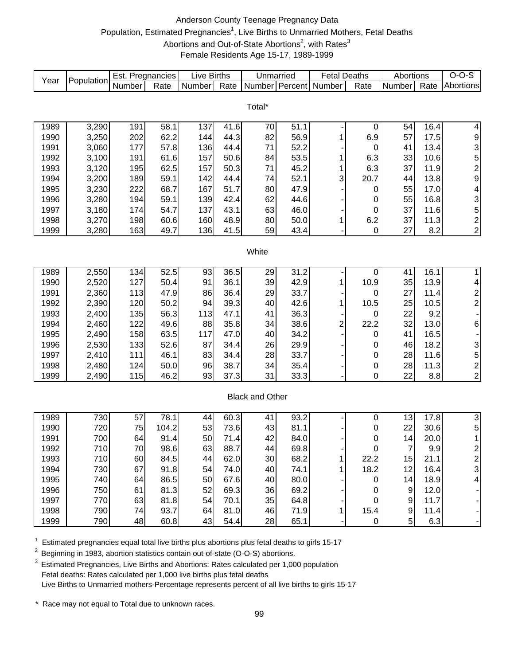# Anderson County Teenage Pregnancy Data Population, Estimated Pregnancies<sup>1</sup>, Live Births to Unmarried Mothers, Fetal Deaths Abortions and Out-of-State Abortions<sup>2</sup>, with Rates<sup>3</sup> Female Residents Age 15-17, 1989-1999

| Year | Population | Est. Pregnancies |       | <b>Live Births</b> |      | Unmarried              |      | <b>Fetal Deaths</b> |                  | Abortions        |      | $O-O-S$                 |
|------|------------|------------------|-------|--------------------|------|------------------------|------|---------------------|------------------|------------------|------|-------------------------|
|      |            | Number           | Rate  | Number             | Rate | Number Percent         |      | Number              | Rate             | Number           | Rate | Abortions               |
|      |            |                  |       |                    |      |                        |      |                     |                  |                  |      |                         |
|      |            |                  |       |                    |      | Total*                 |      |                     |                  |                  |      |                         |
| 1989 | 3,290      | 191              | 58.1  | 137                | 41.6 | 70                     | 51.1 |                     | $\pmb{0}$        | 54               | 16.4 | 4                       |
| 1990 | 3,250      | 202              | 62.2  | 144                | 44.3 | 82                     | 56.9 | 1                   | 6.9              | 57               | 17.5 | 9                       |
| 1991 | 3,060      | 177              | 57.8  | 136                | 44.4 | 71                     | 52.2 |                     | $\mathbf 0$      | 41               | 13.4 | 3                       |
| 1992 | 3,100      | 191              | 61.6  | 157                | 50.6 | 84                     | 53.5 | 1                   | 6.3              | 33               | 10.6 | 5                       |
| 1993 | 3,120      | 195              | 62.5  | 157                | 50.3 | 71                     | 45.2 | 1                   | 6.3              | 37               | 11.9 | $\overline{\mathbf{c}}$ |
| 1994 | 3,200      | 189              | 59.1  | 142                | 44.4 | 74                     | 52.1 | 3                   | 20.7             | 44               | 13.8 | 9                       |
| 1995 | 3,230      | 222              | 68.7  | 167                | 51.7 | 80                     | 47.9 |                     | 0                | 55               | 17.0 | 4                       |
| 1996 | 3,280      | 194              | 59.1  | 139                | 42.4 | 62                     | 44.6 |                     | 0                | 55               | 16.8 | 3                       |
| 1997 | 3,180      | 174              | 54.7  | 137                | 43.1 | 63                     | 46.0 |                     | 0                | 37               | 11.6 | 5                       |
| 1998 | 3,270      | 198              | 60.6  | 160                | 48.9 | 80                     | 50.0 | 1                   | 6.2              | 37               | 11.3 | $\overline{c}$          |
| 1999 | 3,280      | 163              | 49.7  | 136                | 41.5 | 59                     | 43.4 |                     | $\pmb{0}$        | 27               | 8.2  | $\overline{c}$          |
|      |            |                  |       |                    |      |                        |      |                     |                  |                  |      |                         |
|      |            |                  |       |                    |      | White                  |      |                     |                  |                  |      |                         |
|      |            |                  |       |                    |      |                        |      |                     |                  |                  |      |                         |
| 1989 | 2,550      | 134              | 52.5  | 93                 | 36.5 | 29                     | 31.2 |                     | 0                | 41               | 16.1 | 1                       |
| 1990 | 2,520      | 127              | 50.4  | 91                 | 36.1 | 39                     | 42.9 | 1                   | 10.9             | 35               | 13.9 | 4                       |
| 1991 | 2,360      | 113              | 47.9  | 86                 | 36.4 | 29                     | 33.7 |                     | 0                | 27               | 11.4 |                         |
| 1992 | 2,390      | 120              | 50.2  | 94                 | 39.3 | 40                     | 42.6 | 1                   | 10.5             | 25               | 10.5 | $\frac{2}{2}$           |
| 1993 | 2,400      | 135              | 56.3  | 113                | 47.1 | 41                     | 36.3 |                     | 0                | 22               | 9.2  |                         |
| 1994 | 2,460      | 122              | 49.6  | 88                 | 35.8 | 34                     | 38.6 | 2                   | 22.2             | 32               | 13.0 | 6                       |
| 1995 | 2,490      | 158              | 63.5  | 117                | 47.0 | 40                     | 34.2 |                     | 0                | 41               | 16.5 |                         |
| 1996 | 2,530      | 133              | 52.6  | 87                 | 34.4 | 26                     | 29.9 |                     | 0                | 46               | 18.2 | 3                       |
| 1997 | 2,410      | 111              | 46.1  | 83                 | 34.4 | 28                     | 33.7 |                     | $\boldsymbol{0}$ | 28               | 11.6 | 5                       |
| 1998 | 2,480      | 124              | 50.0  | 96                 | 38.7 | 34                     | 35.4 |                     | $\pmb{0}$        | 28               | 11.3 | $\overline{c}$          |
| 1999 | 2,490      | 115              | 46.2  | 93                 | 37.3 | 31                     | 33.3 |                     | 0                | 22               | 8.8  | $\overline{c}$          |
|      |            |                  |       |                    |      |                        |      |                     |                  |                  |      |                         |
|      |            |                  |       |                    |      | <b>Black and Other</b> |      |                     |                  |                  |      |                         |
|      |            |                  |       |                    |      |                        |      |                     |                  |                  |      |                         |
| 1989 | 730        | 57               | 78.1  | 44                 | 60.3 | 41                     | 93.2 |                     | $\boldsymbol{0}$ | 13               | 17.8 | $\overline{3}$          |
| 1990 | 720        | 75               | 104.2 | 53                 | 73.6 | 43                     | 81.1 |                     | $\pmb{0}$        | 22               | 30.6 | 5                       |
| 1991 | 700        | 64               | 91.4  | 50                 | 71.4 | 42                     | 84.0 |                     | $\boldsymbol{0}$ | 14               | 20.0 | 1                       |
| 1992 | 710        | 70               | 98.6  | 63                 | 88.7 | 44                     | 69.8 |                     | $\cup$           | $\sqrt{ }$       | 9.9  | 2                       |
| 1993 | 710        | 60               | 84.5  | 44                 | 62.0 | 30                     | 68.2 | 1                   | 22.2             | 15               | 21.1 | $\overline{2}$          |
| 1994 | 730        | 67               | 91.8  | 54                 | 74.0 | 40                     | 74.1 |                     | 18.2             | 12               | 16.4 | 3                       |
| 1995 | 740        | 64               | 86.5  | 50                 | 67.6 | 40                     | 80.0 |                     | $\pmb{0}$        | 14               | 18.9 | 4                       |
| 1996 | 750        | 61               | 81.3  | 52                 | 69.3 | 36                     | 69.2 |                     | 0                | $\boldsymbol{9}$ | 12.0 |                         |
| 1997 | 770        | 63               | 81.8  | 54                 | 70.1 | 35                     | 64.8 |                     | 0                | 9                | 11.7 |                         |
| 1998 | 790        | 74               | 93.7  | 64                 | 81.0 | 46                     | 71.9 | 1.                  | 15.4             | 9                | 11.4 |                         |
| 1999 | 790        | 48               | 60.8  | 43                 | 54.4 | 28                     | 65.1 |                     | $\mathbf 0$      | 5                | 6.3  |                         |

 $1$  Estimated pregnancies equal total live births plus abortions plus fetal deaths to girls 15-17

<sup>2</sup> Beginning in 1983, abortion statistics contain out-of-state (O-O-S) abortions.

<sup>3</sup> Estimated Pregnancies, Live Births and Abortions: Rates calculated per 1,000 population Fetal deaths: Rates calculated per 1,000 live births plus fetal deaths Live Births to Unmarried mothers-Percentage represents percent of all live births to girls 15-17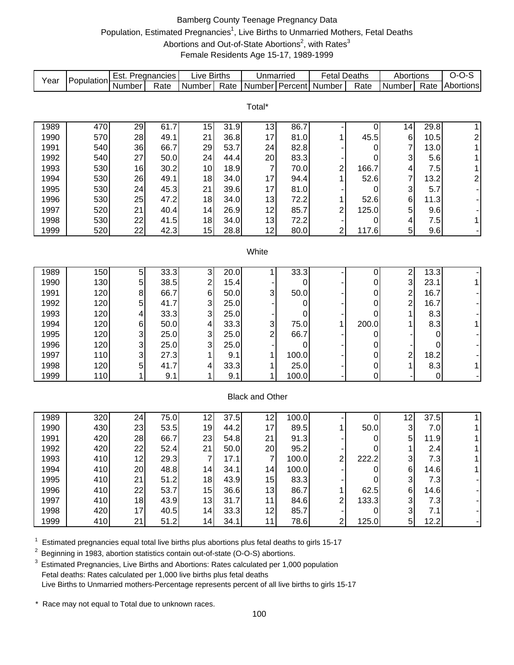# Bamberg County Teenage Pregnancy Data Population, Estimated Pregnancies<sup>1</sup>, Live Births to Unmarried Mothers, Fetal Deaths Abortions and Out-of-State Abortions<sup>2</sup>, with Rates<sup>3</sup> Female Residents Age 15-17, 1989-1999

| Year         | Population | Est. Pregnancies |              | <b>Live Births</b>      |             | Unmarried              |               | <b>Fetal Deaths</b>     |                       | Abortions               |          | $O-O-S$                 |
|--------------|------------|------------------|--------------|-------------------------|-------------|------------------------|---------------|-------------------------|-----------------------|-------------------------|----------|-------------------------|
|              |            | Number           | Rate         | Number                  | Rate        |                        |               | Number Percent Number   | Rate                  | Number                  | Rate     | Abortions               |
|              |            |                  |              |                         |             |                        |               |                         |                       |                         |          |                         |
|              |            |                  |              |                         |             | Total*                 |               |                         |                       |                         |          |                         |
| 1989         | 470        | 29               | 61.7         | 15                      | 31.9        | 13                     | 86.7          |                         | 0                     | 14                      | 29.8     | $\mathbf{1}$            |
| 1990         | 570        | 28               | 49.1         | 21                      | 36.8        | 17                     | 81.0          | 1                       | 45.5                  | 6                       | 10.5     | $\overline{\mathbf{c}}$ |
| 1991         | 540        | 36               | 66.7         | 29                      | 53.7        | 24                     | 82.8          |                         | 0                     | 7                       | 13.0     | $\mathbf{1}$            |
| 1992         | 540        | 27               | 50.0         | 24                      | 44.4        | 20                     | 83.3          |                         | 0                     | 3                       | 5.6      | $\mathbf 1$             |
| 1993         | 530        | 16               | 30.2         | 10                      | 18.9        | $\overline{7}$         | 70.0          | $\overline{\mathbf{c}}$ | 166.7                 | 4                       | 7.5      | 1                       |
| 1994         | 530        | 26               | 49.1         | 18                      | 34.0        | 17                     | 94.4          | 1                       | 52.6                  | $\overline{7}$          | 13.2     | $\overline{\mathbf{c}}$ |
| 1995         | 530        | 24               | 45.3         | 21                      | 39.6        | 17                     | 81.0          |                         | 0                     | 3                       | 5.7      |                         |
| 1996         | 530        | 25               | 47.2         | 18                      | 34.0        | 13                     | 72.2          | 1                       | 52.6                  | 6                       | 11.3     |                         |
| 1997         | 520        | 21               | 40.4         | 14                      | 26.9        | 12                     | 85.7          | 2                       | 125.0                 | 5                       | 9.6      |                         |
| 1998         | 530        | 22               | 41.5         | 18                      | 34.0        | 13                     | 72.2          |                         | 0                     | 4                       | 7.5      | $\mathbf{1}$            |
| 1999         | 520        | 22               | 42.3         | 15                      | 28.8        | 12                     | 80.0          | 2                       | 117.6                 | 5                       | 9.6      |                         |
|              |            |                  |              |                         |             |                        |               |                         |                       |                         |          |                         |
|              |            |                  |              |                         |             | White                  |               |                         |                       |                         |          |                         |
|              |            |                  |              |                         |             |                        |               |                         |                       |                         |          |                         |
| 1989         | 150        | 5                | 33.3         | 3                       | 20.0        |                        | 33.3          |                         | 0                     | $\overline{\mathbf{c}}$ | 13.3     |                         |
| 1990         | 130        | 5                | 38.5         | $\overline{\mathbf{c}}$ | 15.4        |                        | 0             |                         | 0                     | 3                       | 23.1     | $\mathbf 1$             |
| 1991         | 120        | 8                | 66.7         | 6                       | 50.0        | 3                      | 50.0          |                         | 0                     | $\overline{c}$          | 16.7     |                         |
| 1992         | 120        | 5                | 41.7         | 3                       | 25.0        |                        | 0             |                         | 0                     | $\overline{c}$          | 16.7     |                         |
| 1993         | 120        | 4                | 33.3         | 3                       | 25.0        |                        | 0             |                         | 0                     | 1                       | 8.3      |                         |
| 1994         | 120        | 6                | 50.0         | 4                       | 33.3        | 3                      | 75.0          | 1                       | 200.0                 |                         | 8.3      | 1                       |
| 1995         | 120        | 3                | 25.0         | 3                       | 25.0        | $\overline{c}$         | 66.7          |                         | 0                     |                         | 0        |                         |
| 1996         | 120        | 3                | 25.0         | 3                       | 25.0        |                        | 0             |                         | 0                     |                         | 0        |                         |
| 1997<br>1998 | 110<br>120 | 3<br>5           | 27.3<br>41.7 | 1                       | 9.1<br>33.3 | 1<br>1                 | 100.0<br>25.0 |                         | 0                     | $\overline{c}$<br>1     | 18.2     | $\mathbf{1}$            |
| 1999         | 110        | $\mathbf{1}$     | 9.1          | 4                       | 9.1         | 1                      | 100.0         |                         | 0<br>$\boldsymbol{0}$ |                         | 8.3<br>0 |                         |
|              |            |                  |              |                         |             |                        |               |                         |                       |                         |          |                         |
|              |            |                  |              |                         |             | <b>Black and Other</b> |               |                         |                       |                         |          |                         |
|              |            |                  |              |                         |             |                        |               |                         |                       |                         |          |                         |
| 1989         | 320        | 24               | 75.0         | 12                      | 37.5        | 12                     | 100.0         |                         | 0                     | 12                      | 37.5     | $\mathbf{1}$            |
| 1990         | 430        | 23               | 53.5         | 19                      | 44.2        | 17                     | 89.5          | 1                       | 50.0                  | 3                       | 7.0      | 1                       |
| 1991         | 420        | 28               | 66.7         | 23                      | 54.8        | 21                     | 91.3          |                         | 0                     | 5                       | 11.9     | $\mathbf{1}$            |
| 1992         | 420        | 22               | 52.4         | 21                      | 50.0        | 20                     | 95.2          |                         | O                     |                         | 2.4      |                         |
| 1993         | 410        | 12               | 29.3         | 7                       | 17.1        | $\overline{7}$         | 100.0         | 2                       | 222.2                 | 3                       | 7.3      |                         |
| 1994         | 410        | 20               | 48.8         | 14                      | 34.1        | 14                     | 100.0         |                         | 0                     | 6                       | 14.6     | 1                       |
| 1995         | 410        | 21               | 51.2         | 18                      | 43.9        | 15                     | 83.3          |                         | 0                     | 3                       | 7.3      |                         |
| 1996         | 410        | 22               | 53.7         | 15                      | 36.6        | 13                     | 86.7          | 1                       | 62.5                  | 6                       | 14.6     |                         |
| 1997         | 410        | 18               | 43.9         | 13                      | 31.7        | 11                     | 84.6          | $\overline{2}$          | 133.3                 | 3                       | 7.3      |                         |
| 1998         | 420        | 17               | 40.5         | 14                      | 33.3        | 12                     | 85.7          |                         | 0                     | 3                       | 7.1      |                         |
| 1999         | 410        | 21               | 51.2         | 14                      | 34.1        | 11                     | 78.6          | $\overline{c}$          | 125.0                 | 5 <sup>1</sup>          | 12.2     |                         |

 $1$  Estimated pregnancies equal total live births plus abortions plus fetal deaths to girls 15-17

<sup>2</sup> Beginning in 1983, abortion statistics contain out-of-state (O-O-S) abortions.

<sup>3</sup> Estimated Pregnancies, Live Births and Abortions: Rates calculated per 1,000 population Fetal deaths: Rates calculated per 1,000 live births plus fetal deaths Live Births to Unmarried mothers-Percentage represents percent of all live births to girls 15-17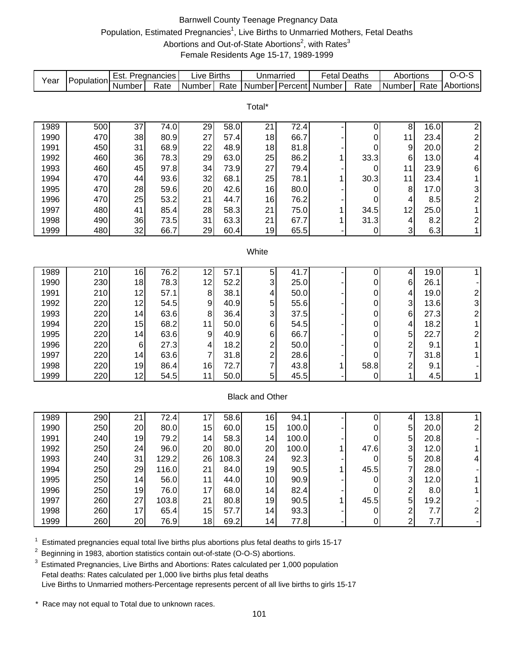# Barnwell County Teenage Pregnancy Data Population, Estimated Pregnancies<sup>1</sup>, Live Births to Unmarried Mothers, Fetal Deaths Abortions and Out-of-State Abortions<sup>2</sup>, with Rates<sup>3</sup> Female Residents Age 15-17, 1989-1999

| Year | Population | Est. Pregnancies |       | <b>Live Births</b> |       | Unmarried               |       | <b>Fetal Deaths</b> |                  | Abortions               |      | $O-O-S$                                         |
|------|------------|------------------|-------|--------------------|-------|-------------------------|-------|---------------------|------------------|-------------------------|------|-------------------------------------------------|
|      |            | Number           | Rate  | Number             | Rate  | Number Percent          |       | Number              | Rate             | Number                  | Rate | Abortions                                       |
|      |            |                  |       |                    |       |                         |       |                     |                  |                         |      |                                                 |
|      |            |                  |       |                    |       | Total*                  |       |                     |                  |                         |      |                                                 |
| 1989 | 500        | 37               | 74.0  | 29                 | 58.0  | 21                      | 72.4  |                     | 0                | 8                       | 16.0 | $\overline{2}$                                  |
| 1990 | 470        | 38               | 80.9  | 27                 | 57.4  | 18                      | 66.7  |                     | 0                | 11                      | 23.4 |                                                 |
| 1991 | 450        | 31               | 68.9  | 22                 | 48.9  | 18                      | 81.8  |                     | 0                | 9                       | 20.0 | $\frac{2}{2}$                                   |
| 1992 | 460        | 36               | 78.3  | 29                 | 63.0  | 25                      | 86.2  | 1                   | 33.3             | 6                       | 13.0 | $\overline{\mathbf{4}}$                         |
| 1993 | 460        | 45               | 97.8  | 34                 | 73.9  | 27                      | 79.4  |                     | 0                | 11                      | 23.9 | 6                                               |
| 1994 | 470        | 44               | 93.6  | 32                 | 68.1  | 25                      | 78.1  | 1                   | 30.3             | 11                      | 23.4 | $\mathbf 1$                                     |
| 1995 | 470        | 28               | 59.6  | 20                 | 42.6  | 16                      | 80.0  |                     | 0                | 8                       | 17.0 | 3                                               |
| 1996 | 470        | 25               | 53.2  | 21                 | 44.7  | 16                      | 76.2  |                     | 0                | 4                       | 8.5  | $\overline{\mathbf{c}}$                         |
| 1997 | 480        | 41               | 85.4  | 28                 | 58.3  | 21                      | 75.0  | 1                   | 34.5             | 12                      | 25.0 | $\mathbf{1}$                                    |
| 1998 | 490        | 36               | 73.5  | 31                 | 63.3  | 21                      | 67.7  | 1                   | 31.3             | 4                       | 8.2  | $\overline{\mathbf{c}}$                         |
| 1999 | 480        | 32               | 66.7  | 29                 | 60.4  | 19                      | 65.5  |                     | $\pmb{0}$        | $\mathbf{3}$            | 6.3  | $\mathbf{1}$                                    |
|      |            |                  |       |                    |       |                         |       |                     |                  |                         |      |                                                 |
|      |            |                  |       |                    |       | White                   |       |                     |                  |                         |      |                                                 |
|      |            |                  |       |                    |       |                         |       |                     |                  |                         |      |                                                 |
| 1989 | 210        | 16               | 76.2  | 12                 | 57.1  | 5                       | 41.7  |                     | 0                | 4                       | 19.0 | $\mathbf{1}$                                    |
| 1990 | 230        | 18               | 78.3  | 12                 | 52.2  | 3                       | 25.0  |                     | 0                | 6                       | 26.1 |                                                 |
| 1991 | 210        | 12               | 57.1  | $\, 8$             | 38.1  | 4                       | 50.0  |                     | 0                | 4                       | 19.0 | $\begin{array}{c} 2 \\ 3 \\ 2 \\ 1 \end{array}$ |
| 1992 | 220        | 12               | 54.5  | 9                  | 40.9  | 5                       | 55.6  |                     | $\mathbf 0$      | 3                       | 13.6 |                                                 |
| 1993 | 220        | 14               | 63.6  | 8                  | 36.4  | 3                       | 37.5  |                     | 0                | $\,6$                   | 27.3 |                                                 |
| 1994 | 220        | 15               | 68.2  | 11                 | 50.0  | 6                       | 54.5  |                     | 0                | 4                       | 18.2 |                                                 |
| 1995 | 220        | 14               | 63.6  | $\boldsymbol{9}$   | 40.9  | $\,6$                   | 66.7  |                     | 0                | 5                       | 22.7 | $\begin{array}{c} 2 \\ 1 \end{array}$           |
| 1996 | 220        | $6\phantom{1}6$  | 27.3  | 4                  | 18.2  | $\overline{\mathbf{c}}$ | 50.0  |                     | 0                | $\overline{\mathbf{c}}$ | 9.1  |                                                 |
| 1997 | 220        | 14               | 63.6  | 7                  | 31.8  | $\overline{\mathbf{c}}$ | 28.6  |                     | $\Omega$         | $\overline{7}$          | 31.8 | $\mathbf{1}$                                    |
| 1998 | 220        | 19               | 86.4  | 16                 | 72.7  | $\overline{7}$          | 43.8  | 1                   | 58.8             | $\overline{\mathbf{c}}$ | 9.1  |                                                 |
| 1999 | 220        | 12               | 54.5  | 11                 | 50.0  | 5                       | 45.5  |                     | 0                | 1                       | 4.5  | $\mathbf{1}$                                    |
|      |            |                  |       |                    |       |                         |       |                     |                  |                         |      |                                                 |
|      |            |                  |       |                    |       | <b>Black and Other</b>  |       |                     |                  |                         |      |                                                 |
| 1989 | 290        | 21               | 72.4  | 17                 | 58.6  | 16                      | 94.1  |                     | 0                | $\overline{\mathbf{4}}$ | 13.8 | $\mathbf{1}$                                    |
| 1990 | 250        | 20               | 80.0  | 15                 | 60.0  | 15                      | 100.0 |                     | 0                | 5                       | 20.0 | $\overline{\mathbf{c}}$                         |
| 1991 | 240        | 19               | 79.2  | 14                 | 58.3  | 14                      | 100.0 |                     | 0                | 5                       | 20.8 |                                                 |
| 1992 | 250        | 24               | 96.0  | 20                 | 80.0  | 20                      | 100.0 |                     | 47.6             | 3                       | 12.0 |                                                 |
| 1993 | 240        | 31               | 129.2 | 26                 | 108.3 | 24                      | 92.3  |                     | 0                | 5                       | 20.8 | 4                                               |
| 1994 | 250        | 29               | 116.0 | 21                 | 84.0  | 19                      | 90.5  | 1                   | 45.5             | $\overline{7}$          | 28.0 |                                                 |
| 1995 | 250        | 14               | 56.0  | 11                 | 44.0  | 10                      | 90.9  |                     | 0                | 3                       | 12.0 | 1                                               |
| 1996 | 250        | 19               | 76.0  | 17                 | 68.0  | 14                      | 82.4  |                     | 0                | $\overline{c}$          | 8.0  | 1                                               |
| 1997 | 260        | 27               | 103.8 | 21                 | 80.8  | 19                      | 90.5  | 1                   | 45.5             | 5                       | 19.2 |                                                 |
| 1998 | 260        | 17               | 65.4  | 15                 | 57.7  | 14                      | 93.3  |                     | $\pmb{0}$        | $\overline{\mathbf{c}}$ | 7.7  | 2                                               |
| 1999 | 260        | 20               | 76.9  | 18                 | 69.2  | 14                      | 77.8  |                     | $\boldsymbol{0}$ | $\overline{2}$          | 7.7  |                                                 |
|      |            |                  |       |                    |       |                         |       |                     |                  |                         |      |                                                 |

 $1$  Estimated pregnancies equal total live births plus abortions plus fetal deaths to girls 15-17

<sup>2</sup> Beginning in 1983, abortion statistics contain out-of-state (O-O-S) abortions.

<sup>3</sup> Estimated Pregnancies, Live Births and Abortions: Rates calculated per 1,000 population Fetal deaths: Rates calculated per 1,000 live births plus fetal deaths Live Births to Unmarried mothers-Percentage represents percent of all live births to girls 15-17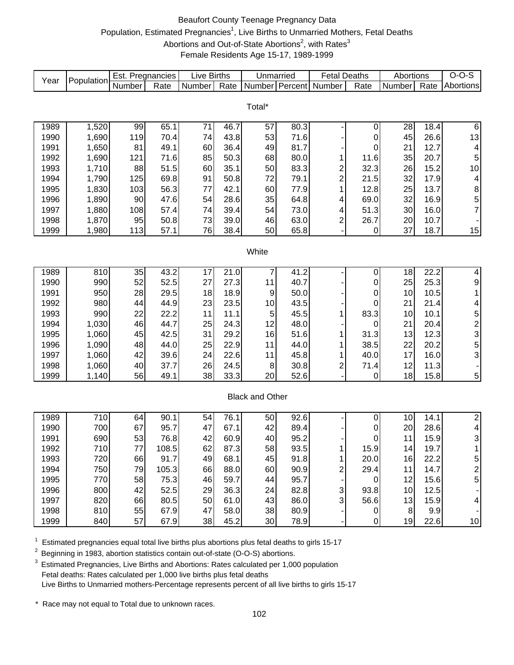# Beaufort County Teenage Pregnancy Data Population, Estimated Pregnancies<sup>1</sup>, Live Births to Unmarried Mothers, Fetal Deaths Abortions and Out-of-State Abortions<sup>2</sup>, with Rates<sup>3</sup> Female Residents Age 15-17, 1989-1999

| Year | Population | Est. Pregnancies |       | Live Births |      | Unmarried              |      | <b>Fetal Deaths</b>     |           | Abortions |      | $O-O-S$                                      |
|------|------------|------------------|-------|-------------|------|------------------------|------|-------------------------|-----------|-----------|------|----------------------------------------------|
|      |            | Number           | Rate  | Number      | Rate | Number Percent         |      | Number                  | Rate      | Number    | Rate | Abortions                                    |
|      |            |                  |       |             |      |                        |      |                         |           |           |      |                                              |
|      |            |                  |       |             |      | Total*                 |      |                         |           |           |      |                                              |
|      |            |                  |       |             |      |                        |      |                         |           |           |      |                                              |
| 1989 | 1,520      | 99               | 65.1  | 71          | 46.7 | 57                     | 80.3 |                         | 0         | 28        | 18.4 | $\overline{6}$                               |
| 1990 | 1,690      | 119              | 70.4  | 74          | 43.8 | 53                     | 71.6 |                         | $\pmb{0}$ | 45        | 26.6 | 13                                           |
| 1991 | 1,650      | 81               | 49.1  | 60          | 36.4 | 49                     | 81.7 |                         | 0         | 21        | 12.7 | $\overline{\mathbf{4}}$                      |
| 1992 | 1,690      | 121              | 71.6  | 85          | 50.3 | 68                     | 80.0 | 1                       | 11.6      | 35        | 20.7 | $\sqrt{5}$                                   |
| 1993 | 1,710      | 88               | 51.5  | 60          | 35.1 | 50                     | 83.3 | $\overline{\mathbf{c}}$ | 32.3      | 26        | 15.2 | 10                                           |
| 1994 | 1,790      | 125              | 69.8  | 91          | 50.8 | 72                     | 79.1 | $\overline{c}$          | 21.5      | 32        | 17.9 | $\overline{\mathbf{4}}$                      |
| 1995 | 1,830      | 103              | 56.3  | 77          | 42.1 | 60                     | 77.9 | 1                       | 12.8      | 25        | 13.7 |                                              |
| 1996 | 1,890      | 90               | 47.6  | 54          | 28.6 | 35                     | 64.8 | 4                       | 69.0      | 32        | 16.9 | $\begin{array}{c}\n8 \\ 5 \\ 7\n\end{array}$ |
| 1997 | 1,880      | 108              | 57.4  | 74          | 39.4 | 54                     | 73.0 | 4                       | 51.3      | 30        | 16.0 |                                              |
| 1998 | 1,870      | 95               | 50.8  | 73          | 39.0 | 46                     | 63.0 | 2                       | 26.7      | 20        | 10.7 |                                              |
| 1999 | 1,980      | 113              | 57.1  | 76          | 38.4 | 50                     | 65.8 |                         | 0         | 37        | 18.7 | 15                                           |
|      |            |                  |       |             |      |                        |      |                         |           |           |      |                                              |
|      |            |                  |       |             |      | White                  |      |                         |           |           |      |                                              |
| 1989 | 810        | 35               | 43.2  | 17          | 21.0 | 7                      | 41.2 |                         | 0         | 18        | 22.2 | $\overline{\mathbf{4}}$                      |
| 1990 | 990        | 52               | 52.5  | 27          | 27.3 | 11                     | 40.7 |                         | 0         | 25        | 25.3 | 9                                            |
| 1991 | 950        | 28               | 29.5  | 18          | 18.9 | 9                      | 50.0 |                         | $\pmb{0}$ | 10        | 10.5 | $\mathbf 1$                                  |
| 1992 | 980        | 44               | 44.9  | 23          | 23.5 | 10                     | 43.5 |                         | 0         | 21        | 21.4 | $\overline{\mathbf{4}}$                      |
| 1993 | 990        | 22               | 22.2  | 11          | 11.1 | 5                      | 45.5 | 1                       | 83.3      | 10        | 10.1 |                                              |
| 1994 | 1,030      | 46               | 44.7  | 25          | 24.3 | 12                     | 48.0 |                         | $\pmb{0}$ | 21        | 20.4 | 5<br>3<br>5<br>3<br>5<br>3                   |
| 1995 | 1,060      | 45               | 42.5  | 31          | 29.2 | 16                     | 51.6 |                         | 31.3      | 13        | 12.3 |                                              |
| 1996 | 1,090      | 48               | 44.0  | 25          | 22.9 | 11                     | 44.0 | 1                       | 38.5      | 22        | 20.2 |                                              |
| 1997 | 1,060      | 42               | 39.6  | 24          | 22.6 | 11                     | 45.8 | 1                       | 40.0      | 17        | 16.0 |                                              |
| 1998 | 1,060      | 40               | 37.7  | 26          | 24.5 | 8                      | 30.8 | 2                       | 71.4      | 12        | 11.3 | ۰                                            |
| 1999 | 1,140      | 56               | 49.1  | 38          | 33.3 | 20                     | 52.6 |                         | 0         | 18        | 15.8 | 5                                            |
|      |            |                  |       |             |      |                        |      |                         |           |           |      |                                              |
|      |            |                  |       |             |      | <b>Black and Other</b> |      |                         |           |           |      |                                              |
|      |            |                  |       |             |      |                        |      |                         |           |           |      |                                              |
| 1989 | 710        | 64               | 90.1  | 54          | 76.1 | 50                     | 92.6 |                         | 0         | 10        | 14.1 | $\overline{2}$                               |
| 1990 | 700        | 67               | 95.7  | 47          | 67.1 | 42                     | 89.4 |                         | 0         | 20        | 28.6 | $\frac{4}{3}$                                |
| 1991 | 690        | 53               | 76.8  | 42          | 60.9 | 40                     | 95.2 |                         | 0         | 11        | 15.9 | $\overline{1}$                               |
| 1992 | 710        | $77 \,$          | 108.5 | 62          | 87.3 | 58                     | 93.5 | 1                       | 15.9      | 14        | 19.7 |                                              |
| 1993 | 720        | 66               | 91.7  | 49          | 68.1 | 45                     | 91.8 | 1.                      | 20.0      | 16        | 22.2 | 5                                            |
| 1994 | 750        | 79               | 105.3 | 66          | 88.0 | 60                     | 90.9 | 2                       | 29.4      | 11        | 14.7 | $\boldsymbol{2}$                             |
| 1995 | 770        | 58               | 75.3  | 46          | 59.7 | 44                     | 95.7 |                         | 0         | 12        | 15.6 | 5                                            |
| 1996 | 800        | 42               | 52.5  | 29          | 36.3 | 24                     | 82.8 | 3                       | 93.8      | 10        | 12.5 |                                              |
| 1997 | 820        | 66               | 80.5  | 50          | 61.0 | 43                     | 86.0 | 3                       | 56.6      | 13        | 15.9 | $\overline{\mathbf{4}}$                      |
| 1998 | 810        | 55               | 67.9  | 47          | 58.0 | 38                     | 80.9 |                         | 0         | 8         | 9.9  |                                              |
| 1999 | 840        | 57               | 67.9  | 38          | 45.2 | 30                     | 78.9 |                         | 0         | 19        | 22.6 | 10                                           |

 $1$  Estimated pregnancies equal total live births plus abortions plus fetal deaths to girls 15-17

<sup>2</sup> Beginning in 1983, abortion statistics contain out-of-state (O-O-S) abortions.

<sup>3</sup> Estimated Pregnancies, Live Births and Abortions: Rates calculated per 1,000 population Fetal deaths: Rates calculated per 1,000 live births plus fetal deaths Live Births to Unmarried mothers-Percentage represents percent of all live births to girls 15-17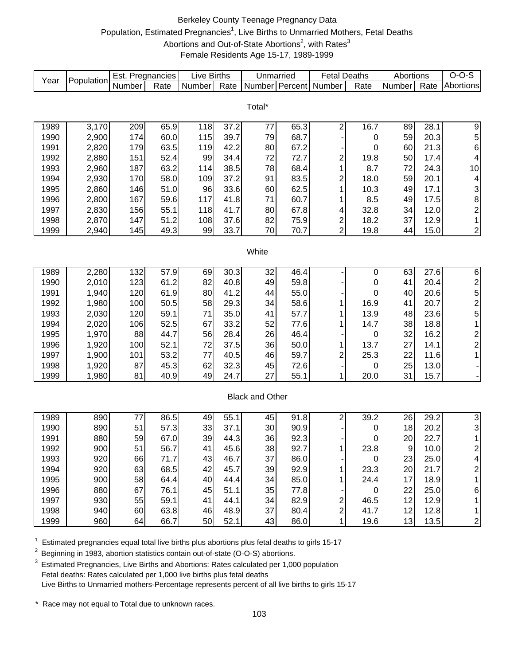# Berkeley County Teenage Pregnancy Data Population, Estimated Pregnancies<sup>1</sup>, Live Births to Unmarried Mothers, Fetal Deaths Abortions and Out-of-State Abortions<sup>2</sup>, with Rates<sup>3</sup> Female Residents Age 15-17, 1989-1999

| Year                   | Population | Est. Pregnancies |              | Live Births |              | Unmarried      |      | <b>Fetal Deaths</b>     |      | Abortions |      | $O-O-S$                                         |
|------------------------|------------|------------------|--------------|-------------|--------------|----------------|------|-------------------------|------|-----------|------|-------------------------------------------------|
|                        |            | Number           | Rate         | Number      | Rate         | Number Percent |      | Number                  | Rate | Number    | Rate | Abortions                                       |
|                        |            |                  |              |             |              |                |      |                         |      |           |      |                                                 |
| Total*                 |            |                  |              |             |              |                |      |                         |      |           |      |                                                 |
| 1989                   | 3,170      | 209              | 65.9         | 118         | 37.2         | 77             | 65.3 | $\boldsymbol{2}$        | 16.7 | 89        | 28.1 |                                                 |
| 1990                   | 2,900      | 174              | 60.0         | 115         | 39.7         | 79             | 68.7 |                         | 0    | 59        | 20.3 | 9                                               |
| 1991                   | 2,820      | 179              | 63.5         | 119         | 42.2         | 80             | 67.2 |                         | 0    | 60        | 21.3 | 5<br>$\overline{6}$                             |
|                        | 2,880      | 151              | 52.4         | 99          | 34.4         |                |      |                         |      | 50        | 17.4 |                                                 |
| 1992                   |            |                  |              |             |              | 72<br>78       | 72.7 | 2                       | 19.8 |           |      | 4                                               |
| 1993<br>1994           | 2,960      | 187<br>170       | 63.2<br>58.0 | 114         | 38.5<br>37.2 | 91             | 68.4 | 1                       | 8.7  | 72<br>59  | 24.3 | 10                                              |
|                        | 2,930      |                  |              | 109         |              |                | 83.5 | $\overline{c}$          | 18.0 |           | 20.1 | 4                                               |
| 1995                   | 2,860      | 146              | 51.0         | 96          | 33.6         | 60             | 62.5 | 1                       | 10.3 | 49        | 17.1 | 3                                               |
| 1996                   | 2,800      | 167              | 59.6         | 117         | 41.8         | 71             | 60.7 | 1                       | 8.5  | 49        | 17.5 | 8                                               |
| 1997                   | 2,830      | 156              | 55.1         | 118         | 41.7         | 80             | 67.8 | 4                       | 32.8 | 34        | 12.0 | $\overline{\mathbf{c}}$                         |
| 1998                   | 2,870      | 147              | 51.2         | 108         | 37.6         | 82             | 75.9 | $\overline{\mathbf{c}}$ | 18.2 | 37        | 12.9 | $\mathbf{1}$                                    |
| 1999                   | 2,940      | 145              | 49.3         | 99          | 33.7         | 70             | 70.7 | $\overline{2}$          | 19.8 | 44        | 15.0 | $\overline{\mathbf{c}}$                         |
|                        |            |                  |              |             |              |                |      |                         |      |           |      |                                                 |
|                        |            |                  |              |             |              | White          |      |                         |      |           |      |                                                 |
| 1989                   | 2,280      | 132              | 57.9         | 69          | 30.3         | 32             | 46.4 |                         | 0    | 63        | 27.6 | 6                                               |
| 1990                   | 2,010      | 123              | 61.2         | 82          | 40.8         | 49             | 59.8 |                         | 0    | 41        | 20.4 |                                                 |
| 1991                   | 1,940      | 120              | 61.9         | 80          | 41.2         | 44             | 55.0 |                         | 0    | 40        | 20.6 |                                                 |
| 1992                   | 1,980      | 100              | 50.5         | 58          | 29.3         | 34             | 58.6 | 1                       | 16.9 | 41        | 20.7 |                                                 |
| 1993                   | 2,030      | 120              | 59.1         | 71          | 35.0         | 41             | 57.7 | 1                       | 13.9 | 48        | 23.6 | $\begin{array}{c} 2 \\ 5 \\ 2 \\ 5 \end{array}$ |
| 1994                   | 2,020      | 106              | 52.5         | 67          | 33.2         | 52             | 77.6 | 1                       | 14.7 | 38        | 18.8 | $\mathbf 1$                                     |
| 1995                   | 1,970      | 88               | 44.7         | 56          | 28.4         | 26             | 46.4 |                         | 0    | 32        | 16.2 |                                                 |
| 1996                   | 1,920      | 100              | 52.1         | 72          | 37.5         | 36             | 50.0 | 1                       | 13.7 | 27        | 14.1 |                                                 |
| 1997                   | 1,900      | 101              | 53.2         | 77          | 40.5         | 46             | 59.7 | 2                       | 25.3 | 22        | 11.6 | $\begin{array}{c} 2 \\ 2 \\ 1 \end{array}$      |
| 1998                   | 1,920      | 87               | 45.3         | 62          | 32.3         | 45             | 72.6 |                         | 0    | 25        | 13.0 |                                                 |
| 1999                   | 1,980      | 81               | 40.9         | 49          | 24.7         | 27             | 55.1 | 1                       | 20.0 | 31        | 15.7 |                                                 |
|                        |            |                  |              |             |              |                |      |                         |      |           |      |                                                 |
| <b>Black and Other</b> |            |                  |              |             |              |                |      |                         |      |           |      |                                                 |
|                        |            |                  |              |             |              |                |      |                         |      |           |      |                                                 |
| 1989                   | 890        | 77               | 86.5         | 49          | 55.1         | 45             | 91.8 | 2                       | 39.2 | 26        | 29.2 | $\overline{3}$                                  |
| 1990                   | 890        | 51               | 57.3         | 33          | 37.1         | 30             | 90.9 |                         | 0    | 18        | 20.2 | 3                                               |
| 1991                   | 880        | 59               | 67.0         | 39          | 44.3         | 36             | 92.3 |                         | 0    | 20        | 22.7 | $\mathbf{1}$                                    |
| 1992                   | 900        | 51               | 56.7         | 41          | 45.6         | 38             | 92.7 |                         | 23.8 | 9         | 10.0 | $\overline{\mathbf{c}}$                         |
| 1993                   | 920        | 66               | 71.7         | 43          | 46.7         | 37             | 86.0 |                         | 0    | 23        | 25.0 | 4                                               |
| 1994                   | 920        | 63               | 68.5         | 42          | 45.7         | 39             | 92.9 | 1                       | 23.3 | 20        | 21.7 | $\overline{\mathbf{c}}$                         |
| 1995                   | 900        | 58               | 64.4         | 40          | 44.4         | 34             | 85.0 |                         | 24.4 | 17        | 18.9 | 1                                               |
| 1996                   | 880        | 67               | 76.1         | 45          | 51.1         | 35             | 77.8 |                         | 0    | 22        | 25.0 | 6                                               |
| 1997                   | 930        | 55               | 59.1         | 41          | 44.1         | 34             | 82.9 | 2                       | 46.5 | 12        | 12.9 | 1                                               |
| 1998                   | 940        | 60               | 63.8         | 46          | 48.9         | 37             | 80.4 | 2                       | 41.7 | 12        | 12.8 | 1                                               |
| 1999                   | 960        | 64               | 66.7         | 50          | 52.1         | 43             | 86.0 | 1                       | 19.6 | 13        | 13.5 | $\overline{\mathbf{c}}$                         |
|                        |            |                  |              |             |              |                |      |                         |      |           |      |                                                 |

 $1$  Estimated pregnancies equal total live births plus abortions plus fetal deaths to girls 15-17

<sup>2</sup> Beginning in 1983, abortion statistics contain out-of-state (O-O-S) abortions.

<sup>3</sup> Estimated Pregnancies, Live Births and Abortions: Rates calculated per 1,000 population Fetal deaths: Rates calculated per 1,000 live births plus fetal deaths Live Births to Unmarried mothers-Percentage represents percent of all live births to girls 15-17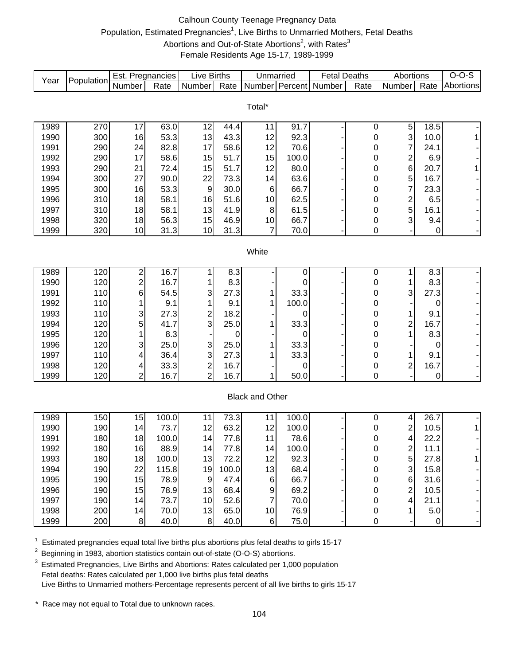# Calhoun County Teenage Pregnancy Data Population, Estimated Pregnancies<sup>1</sup>, Live Births to Unmarried Mothers, Fetal Deaths Abortions and Out-of-State Abortions<sup>2</sup>, with Rates<sup>3</sup> Female Residents Age 15-17, 1989-1999

| Year                   | Population | Est. Pregnancies |                   | <b>Live Births</b> |              | Unmarried            |              | <b>Fetal Deaths</b>   |               | Abortions                    |              | $O-O-S$                  |
|------------------------|------------|------------------|-------------------|--------------------|--------------|----------------------|--------------|-----------------------|---------------|------------------------------|--------------|--------------------------|
|                        |            | Number           | Rate              | Number             | Rate         |                      |              | Number Percent Number | Rate          | Number                       | Rate         | Abortions                |
|                        |            |                  |                   |                    |              |                      |              |                       |               |                              |              |                          |
| Total*                 |            |                  |                   |                    |              |                      |              |                       |               |                              |              |                          |
|                        |            |                  |                   |                    |              |                      |              |                       |               |                              |              |                          |
| 1989                   | 270        | 17               | 63.0<br>53.3      | 12<br>13           | 44.4<br>43.3 | 11<br>12             | 91.7<br>92.3 |                       | 0             | 5<br>3 <sup>1</sup>          | 18.5         |                          |
| 1990                   | 300        | 16               | 82.8              | 17                 | 58.6         | 12                   | 70.6         |                       | 0             | $\overline{7}$               | 10.0<br>24.1 | $\mathbf{1}$             |
| 1991                   | 290        | 24<br>17         |                   | 15                 | 51.7         | 15                   | 100.0        |                       | 0             |                              |              | $\overline{\phantom{a}}$ |
| 1992                   | 290        |                  | 58.6              |                    | 51.7         |                      |              |                       | 0             | $\overline{\mathbf{c}}$<br>6 | 6.9          | ÷,                       |
| 1993                   | 290        | 21<br>27         | 72.4              | 15                 |              | 12                   | 80.0         |                       | 0             |                              | 20.7         | $\mathbf{1}$             |
| 1994                   | 300        |                  | 90.0              | 22<br>$9\,$        | 73.3         | 14                   | 63.6         |                       | 0             | 5<br>$\overline{7}$          | 16.7         | ÷,                       |
| 1995                   | 300        | 16               | 53.3              |                    | 30.0<br>51.6 | 6                    | 66.7         |                       | 0             |                              | 23.3         | ÷,                       |
| 1996                   | 310        | 18               | 58.1              | 16                 |              | 10                   | 62.5         |                       | 0             | $\overline{c}$               | 6.5          | $\overline{\phantom{a}}$ |
| 1997                   | 310        | 18               | 58.1              | 13                 | 41.9         | 8                    | 61.5         |                       | 0             | 5<br>3                       | 16.1         | ÷,                       |
| 1998<br>1999           | 320<br>320 | 18<br>10         | 56.3<br>31.3      | 15<br>10           | 46.9         | 10<br>$\overline{7}$ | 66.7         |                       | 0<br>0        |                              | 9.4          | ÷                        |
|                        |            |                  |                   |                    | 31.3         |                      | 70.0         |                       |               |                              | 0            | $\blacksquare$           |
| White                  |            |                  |                   |                    |              |                      |              |                       |               |                              |              |                          |
|                        |            |                  |                   |                    |              |                      |              |                       |               |                              |              |                          |
| 1989                   | 120        | 2                | $\overline{16.7}$ | 1                  | 8.3          |                      | 0            |                       | 0             | 1                            | 8.3          |                          |
| 1990                   | 120        | $\boldsymbol{2}$ | 16.7              | 1                  | 8.3          |                      | 0            |                       | 0             | 1                            | 8.3          |                          |
| 1991                   | 110        | 6                | 54.5              | 3                  | 27.3         | 1                    | 33.3         |                       | 0             | 3                            | 27.3         |                          |
| 1992                   | 110        | 1                | 9.1               | 1                  | 9.1          | 1                    | 100.0        |                       | 0             |                              | 0            |                          |
| 1993                   | 110        | 3                | 27.3              | 2                  | 18.2         |                      | 0            |                       | 0             | 1                            | 9.1          |                          |
| 1994                   | 120        | 5                | 41.7              | 3                  | 25.0         |                      | 33.3         |                       | 0             | $\overline{\mathbf{c}}$      | 16.7         |                          |
| 1995                   | 120        |                  | 8.3               |                    | $\pmb{0}$    |                      | 0            |                       | 0             | 1                            | 8.3          |                          |
| 1996                   | 120        | 3                | 25.0              | 3                  | 25.0         |                      | 33.3         |                       | 0             |                              | 0            |                          |
| 1997                   | 110        | 4                | 36.4              | 3                  | 27.3         |                      | 33.3         |                       | 0             | 1                            | 9.1          | $\overline{\phantom{a}}$ |
| 1998                   | 120        | 4                | 33.3              | 2                  | 16.7         |                      | 0            |                       | 0             | $\overline{c}$               | 16.7         | ÷,                       |
| 1999                   | 120        | $\overline{2}$   | 16.7              | $\overline{2}$     | 16.7         | 1                    | 50.0         |                       | 0             |                              | 0            | ٠                        |
|                        |            |                  |                   |                    |              |                      |              |                       |               |                              |              |                          |
| <b>Black and Other</b> |            |                  |                   |                    |              |                      |              |                       |               |                              |              |                          |
| 1989                   | 150        | 15               | 100.0             | 11                 | 73.3         | 11                   | 100.0        |                       |               |                              | 26.7         |                          |
| 1990                   | 190        | 14               | 73.7              | 12                 | 63.2         | 12                   | 100.0        |                       | 0             | 4<br>$\overline{\mathbf{c}}$ | 10.5         | $\mathbf{1}$             |
| 1991                   | 180        | 18               | 100.0             | 14                 | 77.8         | 11                   | 78.6         |                       | 0             |                              |              |                          |
|                        |            | 16               | 88.9              | 14                 |              | 14                   | 100.0        |                       | 0<br>$\Omega$ | 4<br>$\overline{c}$          | 22.2         | $\overline{\phantom{a}}$ |
| 1992                   | 180        |                  |                   |                    | 77.8         |                      |              |                       |               |                              | 11.1         |                          |
| 1993<br>1994           | 180        | 18               | 100.0<br>115.8    | 13                 | 72.2         | 12<br>13             | 92.3         |                       | 0             | 5<br>3                       | 27.8         | 1                        |
|                        | 190        | 22<br>15         |                   | 19                 | 100.0        |                      | 68.4         |                       | 0             |                              | 15.8<br>31.6 |                          |
| 1995                   | 190        |                  | 78.9              | $\boldsymbol{9}$   | 47.4         | 6                    | 66.7         |                       | 0             | 6                            |              |                          |
| 1996                   | 190        | 15               | 78.9              | 13                 | 68.4         | $\boldsymbol{9}$     | 69.2         |                       | 0             | 2                            | 10.5         |                          |
| 1997                   | 190        | 14               | 73.7              | 10                 | 52.6         | $\overline{7}$       | 70.0         |                       | 0             | 4                            | 21.1         |                          |
| 1998                   | 200        | 14               | 70.0              | 13                 | 65.0         | 10                   | 76.9         |                       | 0             |                              | 5.0          |                          |
| 1999                   | 200        | 8 <sup>1</sup>   | 40.0              | 8                  | 40.0         | $\,6$                | 75.0         |                       | 0             |                              | $\pmb{0}$    |                          |

 $1$  Estimated pregnancies equal total live births plus abortions plus fetal deaths to girls 15-17

<sup>2</sup> Beginning in 1983, abortion statistics contain out-of-state (O-O-S) abortions.

<sup>3</sup> Estimated Pregnancies, Live Births and Abortions: Rates calculated per 1,000 population Fetal deaths: Rates calculated per 1,000 live births plus fetal deaths Live Births to Unmarried mothers-Percentage represents percent of all live births to girls 15-17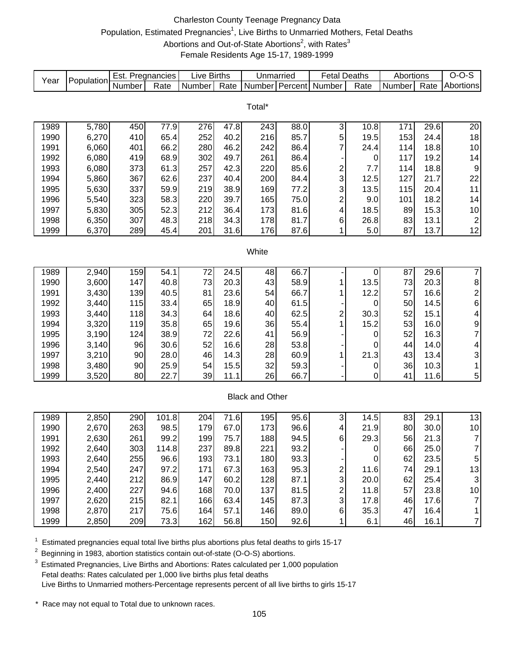# Charleston County Teenage Pregnancy Data Population, Estimated Pregnancies<sup>1</sup>, Live Births to Unmarried Mothers, Fetal Deaths Abortions and Out-of-State Abortions<sup>2</sup>, with Rates<sup>3</sup> Female Residents Age 15-17, 1989-1999

| Year                   | Population | Est. Pregnancies |       | <b>Live Births</b> |      | Unmarried      |      | <b>Fetal Deaths</b>     |                  | Abortions |      | $O-O-S$                 |
|------------------------|------------|------------------|-------|--------------------|------|----------------|------|-------------------------|------------------|-----------|------|-------------------------|
|                        |            | Number           | Rate  | Number             | Rate | Number Percent |      | Number                  | Rate             | Number    | Rate | Abortions               |
|                        |            |                  |       |                    |      |                |      |                         |                  |           |      |                         |
| Total*                 |            |                  |       |                    |      |                |      |                         |                  |           |      |                         |
|                        |            |                  |       |                    |      |                |      |                         |                  |           |      |                         |
| 1989                   | 5,780      | 450              | 77.9  | 276                | 47.8 | 243            | 88.0 | $\mathsf 3$             | 10.8             | 171       | 29.6 | 20                      |
| 1990                   | 6,270      | 410              | 65.4  | 252                | 40.2 | 216            | 85.7 | 5<br>7                  | 19.5             | 153       | 24.4 | 18                      |
| 1991                   | 6,060      | 401              | 66.2  | 280                | 46.2 | 242            | 86.4 |                         | 24.4             | 114       | 18.8 | 10                      |
| 1992                   | 6,080      | 419              | 68.9  | 302                | 49.7 | 261            | 86.4 |                         | 0                | 117       | 19.2 | 14                      |
| 1993                   | 6,080      | 373              | 61.3  | 257                | 42.3 | 220            | 85.6 | $\overline{\mathbf{c}}$ | 7.7              | 114       | 18.8 | 9                       |
| 1994                   | 5,860      | 367              | 62.6  | 237                | 40.4 | 200            | 84.4 | 3                       | 12.5             | 127       | 21.7 | 22                      |
| 1995                   | 5,630      | 337              | 59.9  | 219                | 38.9 | 169            | 77.2 | 3                       | 13.5             | 115       | 20.4 | 11                      |
| 1996                   | 5,540      | 323              | 58.3  | 220                | 39.7 | 165            | 75.0 | $\overline{\mathbf{c}}$ | 9.0              | 101       | 18.2 | 14                      |
| 1997                   | 5,830      | 305              | 52.3  | 212                | 36.4 | 173            | 81.6 | 4                       | 18.5             | 89        | 15.3 | 10                      |
| 1998                   | 6,350      | 307              | 48.3  | 218                | 34.3 | 178            | 81.7 | 6                       | 26.8             | 83        | 13.1 | $\overline{c}$          |
| 1999                   | 6,370      | 289              | 45.4  | 201                | 31.6 | 176            | 87.6 | 1                       | 5.0              | 87        | 13.7 | 12                      |
|                        |            |                  |       |                    |      |                |      |                         |                  |           |      |                         |
| White                  |            |                  |       |                    |      |                |      |                         |                  |           |      |                         |
| 1989                   | 2,940      | 159              | 54.1  | 72                 | 24.5 | 48             | 66.7 |                         | 0                | 87        | 29.6 | $\overline{7}$          |
| 1990                   | 3,600      | 147              | 40.8  | 73                 | 20.3 | 43             | 58.9 | 1                       | 13.5             | 73        | 20.3 | 8                       |
| 1991                   | 3,430      | 139              | 40.5  | 81                 | 23.6 | 54             | 66.7 | 1                       | 12.2             | 57        | 16.6 | $\overline{\mathbf{c}}$ |
| 1992                   | 3,440      | 115              | 33.4  | 65                 | 18.9 | 40             | 61.5 |                         | 0                | 50        | 14.5 | 6                       |
| 1993                   | 3,440      | 118              | 34.3  | 64                 | 18.6 | 40             | 62.5 | $\overline{\mathbf{c}}$ | 30.3             | 52        | 15.1 | 4                       |
| 1994                   | 3,320      | 119              | 35.8  | 65                 | 19.6 | 36             | 55.4 | 1                       | 15.2             | 53        | 16.0 | 9                       |
| 1995                   | 3,190      | 124              | 38.9  | 72                 | 22.6 | 41             | 56.9 |                         | 0                | 52        | 16.3 | $\overline{7}$          |
| 1996                   | 3,140      | 96               | 30.6  | 52                 | 16.6 | 28             | 53.8 |                         | 0                | 44        | 14.0 | 4                       |
| 1997                   | 3,210      | 90               | 28.0  | 46                 | 14.3 | 28             | 60.9 | 1                       | 21.3             | 43        | 13.4 | 3                       |
| 1998                   | 3,480      | 90               | 25.9  | 54                 | 15.5 | 32             | 59.3 |                         | 0                | 36        | 10.3 | 1                       |
| 1999                   | 3,520      | 80               | 22.7  | 39                 | 11.1 | 26             | 66.7 |                         | 0                | 41        | 11.6 | 5                       |
|                        |            |                  |       |                    |      |                |      |                         |                  |           |      |                         |
| <b>Black and Other</b> |            |                  |       |                    |      |                |      |                         |                  |           |      |                         |
|                        |            |                  |       |                    |      |                |      |                         |                  |           |      |                         |
| 1989                   | 2,850      | 290              | 101.8 | 204                | 71.6 | 195            | 95.6 | 3                       | 14.5             | 83        | 29.1 | 13                      |
| 1990                   | 2,670      | 263              | 98.5  | 179                | 67.0 | 173            | 96.6 | 4                       | 21.9             | 80        | 30.0 | 10                      |
| 1991                   | 2,630      | 261              | 99.2  | 199                | 75.7 | 188            | 94.5 | 6                       | 29.3             | 56        | 21.3 | $\overline{7}$          |
| 1992                   | 2,640      | 303              | 114.8 | 237                | 89.8 | 221            | 93.2 |                         | U                | 66        | 25.0 | $\overline{7}$          |
| 1993                   | 2,640      | 255              | 96.6  | 193                | 73.1 | 180            | 93.3 |                         | $\boldsymbol{0}$ | 62        | 23.5 | 5                       |
| 1994                   | 2,540      | 247              | 97.2  | 171                | 67.3 | 163            | 95.3 | 2                       | 11.6             | 74        | 29.1 | 13                      |
| 1995                   | 2,440      | 212              | 86.9  | 147                | 60.2 | 128            | 87.1 | 3                       | 20.0             | 62        | 25.4 | 3                       |
| 1996                   | 2,400      | 227              | 94.6  | 168                | 70.0 | 137            | 81.5 | $\boldsymbol{2}$        | 11.8             | 57        | 23.8 | 10                      |
| 1997                   | 2,620      | 215              | 82.1  | 166                | 63.4 | 145            | 87.3 | 3                       | 17.8             | 46        | 17.6 | $\overline{7}$          |
| 1998                   | 2,870      | 217              | 75.6  | 164                | 57.1 | 146            | 89.0 | 6                       | 35.3             | 47        | 16.4 | 1                       |
| 1999                   | 2,850      | 209              | 73.3  | 162                | 56.8 | 150            | 92.6 | 1                       | 6.1              | 46        | 16.1 | $\overline{7}$          |

 $1$  Estimated pregnancies equal total live births plus abortions plus fetal deaths to girls 15-17

<sup>2</sup> Beginning in 1983, abortion statistics contain out-of-state (O-O-S) abortions.

<sup>3</sup> Estimated Pregnancies, Live Births and Abortions: Rates calculated per 1,000 population Fetal deaths: Rates calculated per 1,000 live births plus fetal deaths Live Births to Unmarried mothers-Percentage represents percent of all live births to girls 15-17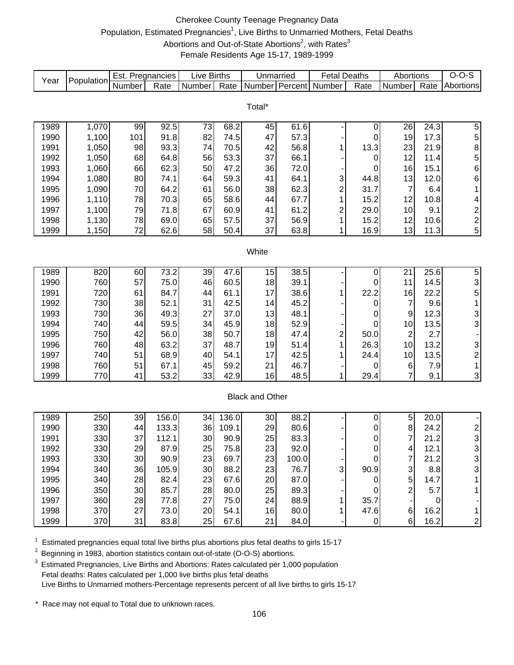# Cherokee County Teenage Pregnancy Data Population, Estimated Pregnancies<sup>1</sup>, Live Births to Unmarried Mothers, Fetal Deaths Abortions and Out-of-State Abortions<sup>2</sup>, with Rates<sup>3</sup> Female Residents Age 15-17, 1989-1999

| Year | Population | Est. Pregnancies |       | <b>Live Births</b> |       | Unmarried              |               | <b>Fetal Deaths</b>     |                  | Abortions           |                    | $O-O-S$                 |
|------|------------|------------------|-------|--------------------|-------|------------------------|---------------|-------------------------|------------------|---------------------|--------------------|-------------------------|
|      |            | Number           | Rate  | Number             | Rate  | Number Percent         |               | Number                  | Rate             | Number              | Rate               | Abortions               |
|      |            |                  |       |                    |       |                        |               |                         |                  |                     |                    |                         |
|      |            |                  |       |                    |       | Total*                 |               |                         |                  |                     |                    |                         |
| 1989 | 1,070      | 99               | 92.5  | 73                 | 68.2  | 45                     | 61.6          |                         | 0                | 26                  | $\overline{2}$ 4.3 | 5                       |
| 1990 | 1,100      | 101              | 91.8  | 82                 | 74.5  | 47                     | 57.3          |                         | 0                | 19                  | 17.3               | 5                       |
| 1991 | 1,050      | 98               | 93.3  | 74                 | 70.5  | 42                     | 56.8          | 1                       | 13.3             | 23                  | 21.9               | 8                       |
| 1992 | 1,050      | 68               | 64.8  | 56                 | 53.3  | 37                     | 66.1          |                         | $\mathbf 0$      | 12                  | 11.4               | 5                       |
| 1993 | 1,060      | 66               | 62.3  | 50                 | 47.2  | 36                     | 72.0          |                         | 0                | 16                  | 15.1               | 6                       |
| 1994 | 1,080      | 80               | 74.1  | 64                 | 59.3  | 41                     | 64.1          | 3                       | 44.8             | 13                  | 12.0               | 6                       |
| 1995 | 1,090      | 70               | 64.2  | 61                 | 56.0  | 38                     | 62.3          | $\overline{\mathbf{c}}$ | 31.7             | $\overline{7}$      | 6.4                | 1                       |
| 1996 | 1,110      | 78               | 70.3  | 65                 | 58.6  | 44                     | 67.7          | 1                       | 15.2             | 12                  | 10.8               | 4                       |
| 1997 | 1,100      | 79               | 71.8  | 67                 | 60.9  | 41                     | 61.2          | $\overline{\mathbf{c}}$ | 29.0             | 10                  | 9.1                | $\overline{\mathbf{c}}$ |
| 1998 | 1,130      | 78               | 69.0  | 65                 | 57.5  | 37                     | 56.9          | 1                       | 15.2             | 12                  | 10.6               | $\overline{\mathbf{c}}$ |
| 1999 | 1,150      | 72               | 62.6  | 58                 | 50.4  | 37                     | 63.8          | 1                       | 16.9             | 13                  | 11.3               | 5                       |
|      |            |                  |       |                    |       |                        |               |                         |                  |                     |                    |                         |
|      |            |                  |       |                    |       | White                  |               |                         |                  |                     |                    |                         |
|      |            |                  |       |                    |       |                        |               |                         |                  |                     |                    |                         |
| 1989 | 820        | 60               | 73.2  | 39                 | 47.6  | 15                     | 38.5          |                         | 0                | 21                  | 25.6               | 5                       |
| 1990 | 760        | 57               | 75.0  | 46                 | 60.5  | 18                     | 39.1          |                         | 0                | 11                  | 14.5               | 3                       |
| 1991 | 720        | 61               | 84.7  | 44                 | 61.1  | 17                     | 38.6          | 1                       | 22.2             | 16                  | 22.2               | 5                       |
| 1992 | 730        | 38               | 52.1  | 31                 | 42.5  | 14                     | 45.2          |                         | 0                | $\overline{7}$      | 9.6                | 1                       |
| 1993 | 730        | 36               | 49.3  | 27                 | 37.0  | 13                     | 48.1          |                         | 0                | 9                   | 12.3               | $\frac{3}{3}$           |
| 1994 | 740        | 44               | 59.5  | 34                 | 45.9  | 18                     | 52.9          |                         | 0                | 10                  | 13.5               |                         |
| 1995 | 750        | 42               | 56.0  | 38                 | 50.7  | 18                     | 47.4          | $\overline{\mathbf{c}}$ | 50.0             | $\overline{c}$      | 2.7                |                         |
| 1996 | 760        | 48               | 63.2  | 37                 | 48.7  | 19                     | 51.4          | 1                       | 26.3             | 10                  | 13.2               | 3                       |
| 1997 | 740        | 51               | 68.9  | 40                 | 54.1  | 17                     | 42.5          | 1                       | 24.4             | 10                  | 13.5               | $\overline{\mathbf{c}}$ |
| 1998 | 760        | 51               | 67.1  | 45                 | 59.2  | 21                     | 46.7          |                         | 0                | 6                   | 7.9                | 1                       |
| 1999 | 770        | 41               | 53.2  | 33                 | 42.9  | 16                     | 48.5          | 1                       | 29.4             | $\overline{7}$      | 9.1                | 3                       |
|      |            |                  |       |                    |       |                        |               |                         |                  |                     |                    |                         |
|      |            |                  |       |                    |       | <b>Black and Other</b> |               |                         |                  |                     |                    |                         |
| 1989 | 250        | 39               | 156.0 | 34                 | 136.0 |                        | 88.2          |                         |                  | $\sqrt{5}$          |                    |                         |
| 1990 | 330        | 44               | 133.3 | 36                 | 109.1 | 30<br>29               | 80.6          |                         | 0<br>$\mathbf 0$ | $\bf 8$             | 20.0<br>24.2       | $\overline{\mathbf{c}}$ |
| 1991 | 330        | 37               | 112.1 | 30                 | 90.9  | 25                     | 83.3          |                         | 0                | 7                   | 21.2               | 3                       |
| 1992 | 330        | 29               | 87.9  | 25                 | 75.8  | 23                     |               |                         |                  |                     | 12.1               | 3                       |
| 1993 | 330        | 30               | 90.9  | 23                 | 69.7  | 23                     | 92.0<br>100.0 |                         | O<br>0           | 4<br>$\overline{7}$ | 21.2               | 3                       |
| 1994 | 340        | 36               | 105.9 | 30                 | 88.2  | 23                     | 76.7          | 3                       | 90.9             | 3                   | 8.8                | 3                       |
| 1995 | 340        | 28               | 82.4  | 23                 | 67.6  | 20                     | 87.0          |                         | $\mathbf 0$      | 5                   | 14.7               | 1                       |
| 1996 | 350        | 30               | 85.7  | 28                 | 80.0  | 25                     | 89.3          |                         | 0                | $\overline{2}$      | 5.7                | 1                       |
| 1997 | 360        | 28               | 77.8  | 27                 | 75.0  | 24                     | 88.9          | 1                       | 35.7             |                     | $\pmb{0}$          |                         |
| 1998 | 370        | 27               | 73.0  | 20                 | 54.1  | 16                     | 80.0          | 1                       | 47.6             | 6                   | 16.2               | 1                       |
| 1999 | 370        | 31               | 83.8  | 25                 | 67.6  | 21                     | 84.0          |                         | $\pmb{0}$        | $\,6$               | 16.2               | $\overline{\mathbf{c}}$ |
|      |            |                  |       |                    |       |                        |               |                         |                  |                     |                    |                         |

 $1$  Estimated pregnancies equal total live births plus abortions plus fetal deaths to girls 15-17

<sup>2</sup> Beginning in 1983, abortion statistics contain out-of-state (O-O-S) abortions.

<sup>3</sup> Estimated Pregnancies, Live Births and Abortions: Rates calculated per 1,000 population Fetal deaths: Rates calculated per 1,000 live births plus fetal deaths Live Births to Unmarried mothers-Percentage represents percent of all live births to girls 15-17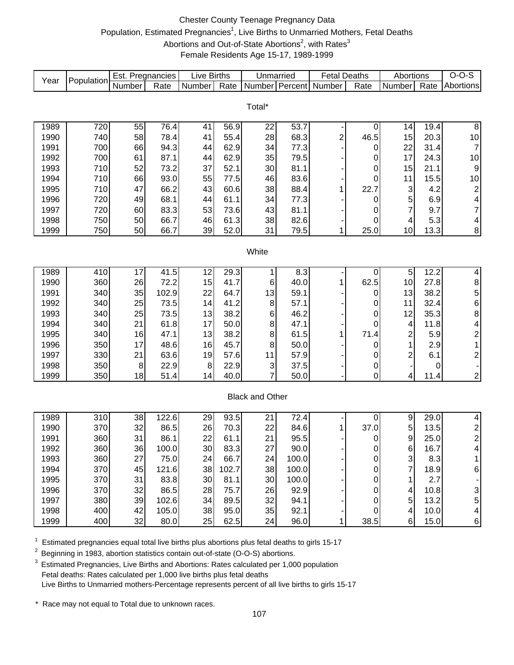# Chester County Teenage Pregnancy Data Population, Estimated Pregnancies<sup>1</sup>, Live Births to Unmarried Mothers, Fetal Deaths Abortions and Out-of-State Abortions<sup>2</sup>, with Rates<sup>3</sup> Female Residents Age 15-17, 1989-1999

| Year         | Population | Est. Pregnancies |              | <b>Live Births</b> |              | Unmarried              |              | <b>Fetal Deaths</b> |           | Abortions           |              | $O-O-S$                 |
|--------------|------------|------------------|--------------|--------------------|--------------|------------------------|--------------|---------------------|-----------|---------------------|--------------|-------------------------|
|              |            | Number           | Rate         | Number             | Rate         | <b>Number</b>          | Percent      | Number              | Rate      | Number              | Rate         | Abortions               |
|              |            |                  |              |                    |              |                        |              |                     |           |                     |              |                         |
|              |            |                  |              |                    |              | Total*                 |              |                     |           |                     |              |                         |
| 1989         | 720        | 55               | 76.4         | 41                 | 56.9         | 22                     | 53.7         |                     | 0         | 14                  | 19.4         | $\, 8$                  |
| 1990         | 740        | 58               | 78.4         | 41                 | 55.4         | 28                     | 68.3         | $\overline{c}$      | 46.5      | 15                  | 20.3         | $10$                    |
| 1991         | 700        | 66               | 94.3         | 44                 | 62.9         | 34                     | 77.3         |                     | 0         | 22                  | 31.4         | $\overline{7}$          |
| 1992         | 700        | 61               | 87.1         | 44                 | 62.9         | 35                     | 79.5         |                     | 0         | 17                  | 24.3         | $10$                    |
| 1993         | 710        | 52               | 73.2         | 37                 | 52.1         | 30                     | 81.1         |                     | 0         | 15                  | 21.1         | $\boldsymbol{9}$        |
| 1994         | 710        | 66               | 93.0         | 55                 | 77.5         | 46                     | 83.6         |                     | 0         | 11                  | 15.5         | $10$                    |
| 1995         | 710        | 47               | 66.2         | 43                 | 60.6         | 38                     | 88.4         | 1                   | 22.7      | 3                   | 4.2          | $\overline{\mathbf{c}}$ |
| 1996         | 720        | 49               | 68.1         | 44                 | 61.1         | 34                     | 77.3         |                     | 0         | 5                   | 6.9          | 4                       |
| 1997         | 720        | 60               | 83.3         | 53                 | 73.6         | 43                     | 81.1         |                     | 0         | $\overline{7}$      | 9.7          | $\overline{7}$          |
| 1998         | 750        | 50               | 66.7         | 46                 | 61.3         | 38                     | 82.6         |                     | 0         | 4                   | 5.3          | $\overline{\mathbf{4}}$ |
| 1999         | 750        | 50               | 66.7         | 39                 | 52.0         | 31                     | 79.5         | 1                   | 25.0      | 10                  | 13.3         | 8                       |
|              |            |                  |              |                    |              |                        |              |                     |           |                     |              |                         |
|              |            |                  |              |                    |              | White                  |              |                     |           |                     |              |                         |
|              |            |                  |              |                    |              |                        |              |                     |           |                     |              |                         |
| 1989         | 410        | 17               | 41.5         | 12                 | 29.3         | 1                      | 8.3          |                     | $\pmb{0}$ | 5                   | 12.2         | 4                       |
| 1990         | 360        | 26               | 72.2         | 15                 | 41.7         | 6                      | 40.0         | 1                   | 62.5      | 10                  | 27.8         | 8568421                 |
| 1991         | 340        | 35               | 102.9        | 22                 | 64.7         | 13                     | 59.1         |                     | 0         | 13                  | 38.2         |                         |
| 1992         | 340        | 25               | 73.5         | 14                 | 41.2         | 8                      | 57.1         |                     | 0         | 11                  | 32.4         |                         |
| 1993<br>1994 | 340<br>340 | 25<br>21         | 73.5<br>61.8 | 13<br>17           | 38.2<br>50.0 | 6                      | 46.2<br>47.1 |                     | 0<br>0    | 12                  | 35.3<br>11.8 |                         |
| 1995         | 340        | 16               | 47.1         | 13                 | 38.2         | 8<br>8                 | 61.5         | 1                   | 71.4      | 4<br>$\overline{c}$ | 5.9          |                         |
| 1996         | 350        | 17               | 48.6         | 16                 | 45.7         | 8                      | 50.0         |                     | 0         | 1                   | 2.9          |                         |
| 1997         | 330        | 21               | 63.6         | 19                 | 57.6         | 11                     | 57.9         |                     | 0         | $\overline{2}$      | 6.1          | $\overline{2}$          |
| 1998         | 350        | 8                | 22.9         | 8                  | 22.9         | 3                      | 37.5         |                     | 0         |                     | 0            |                         |
| 1999         | 350        | 18               | 51.4         | 14                 | 40.0         | 7                      | 50.0         |                     | 0         | 4                   | 11.4         | -<br>$\overline{2}$     |
|              |            |                  |              |                    |              |                        |              |                     |           |                     |              |                         |
|              |            |                  |              |                    |              | <b>Black and Other</b> |              |                     |           |                     |              |                         |
|              |            |                  |              |                    |              |                        |              |                     |           |                     |              |                         |
| 1989         | 310        | 38               | 122.6        | 29                 | 93.5         | 21                     | 72.4         |                     | 0         | 9                   | 29.0         | 4                       |
| 1990         | 370        | 32               | 86.5         | 26                 | 70.3         | 22                     | 84.6         | 1                   | 37.0      | 5                   | 13.5         | $\frac{2}{2}$           |
| 1991         | 360        | 31               | 86.1         | 22                 | 61.1         | 21                     | 95.5         |                     | 0         | $\boldsymbol{9}$    | 25.0         |                         |
| 1992         | 360        | 36               | 100.0        | 30                 | 83.3         | 27                     | 90.0         |                     | 0         | 6                   | 16.7         | 4'                      |
| 1993         | 360        | 27               | 75.0         | 24                 | 66.7         | 24                     | 100.0        |                     | 0         | 3                   | 8.3          | 1                       |
| 1994         | 370        | 45               | 121.6        | 38                 | 102.7        | 38                     | 100.0        |                     | 0         | $\overline{7}$      | 18.9         | 6                       |
| 1995         | 370        | 31               | 83.8         | 30                 | 81.1         | 30                     | 100.0        |                     | 0         | 1                   | 2.7          |                         |
| 1996         | 370        | 32               | 86.5         | 28                 | 75.7         | 26                     | 92.9         |                     | 0         | 4                   | 10.8         | 3                       |
| 1997         | 380        | 39               | 102.6        | 34                 | 89.5         | 32                     | 94.1         |                     | 0         | 5                   | 13.2         | 5                       |
| 1998         | 400        | 42               | 105.0        | 38                 | 95.0         | 35                     | 92.1         |                     | 0         | 4                   | 10.0         | 4                       |
| 1999         | 400        | 32               | 80.0         | 25                 | 62.5         | 24                     | 96.0         | 1                   | 38.5      | 6 <sup>1</sup>      | 15.0         | 6                       |

 $1$  Estimated pregnancies equal total live births plus abortions plus fetal deaths to girls 15-17

<sup>2</sup> Beginning in 1983, abortion statistics contain out-of-state (O-O-S) abortions.

 $3$  Estimated Pregnancies, Live Births and Abortions: Rates calculated per 1,000 population Fetal deaths: Rates calculated per 1,000 live births plus fetal deaths Live Births to Unmarried mothers-Percentage represents percent of all live births to girls 15-17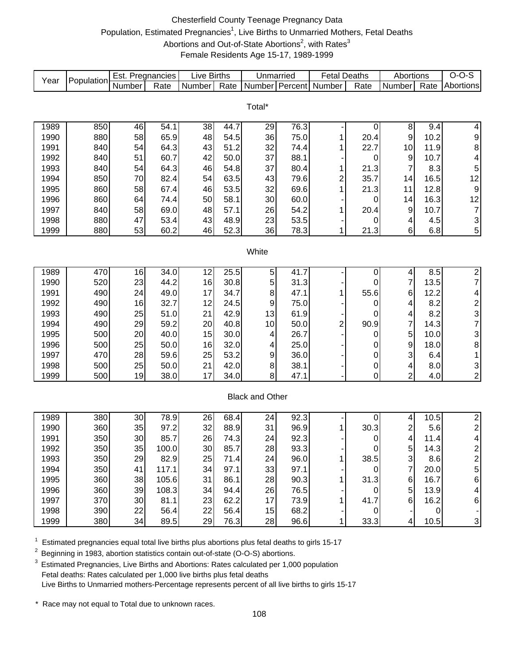# Chesterfield County Teenage Pregnancy Data Population, Estimated Pregnancies<sup>1</sup>, Live Births to Unmarried Mothers, Fetal Deaths Abortions and Out-of-State Abortions<sup>2</sup>, with Rates<sup>3</sup> Female Residents Age 15-17, 1989-1999

| Year         | Population | Est. Pregnancies |              | <b>Live Births</b> |              | Unmarried              |              | <b>Fetal Deaths</b> |             | Abortions               |              | $O-O-S$                                         |
|--------------|------------|------------------|--------------|--------------------|--------------|------------------------|--------------|---------------------|-------------|-------------------------|--------------|-------------------------------------------------|
|              |            | Number           | Rate         | Number             | Rate         | Number Percent         |              | Number              | Rate        | Number                  | Rate         | Abortions                                       |
|              |            |                  |              |                    |              |                        |              |                     |             |                         |              |                                                 |
|              |            |                  |              |                    |              | Total*                 |              |                     |             |                         |              |                                                 |
| 1989         | 850        | 46               | 54.1         | 38                 | 44.7         | 29                     | 76.3         |                     | 0           | 8                       | 9.4          | 4                                               |
| 1990         | 880        | 58               | 65.9         | 48                 | 54.5         | 36                     | 75.0         |                     | 20.4        | 9                       | 10.2         | 9                                               |
| 1991         | 840        | 54               | 64.3         | 43                 | 51.2         | 32                     | 74.4         | 1                   | 22.7        | 10                      | 11.9         | 8                                               |
| 1992         | 840        | 51               | 60.7         | 42                 | 50.0         | 37                     | 88.1         |                     | 0           | $\boldsymbol{9}$        | 10.7         | 4                                               |
| 1993         | 840        | 54               | 64.3         | 46                 | 54.8         | 37                     | 80.4         | 1                   | 21.3        | $\overline{7}$          | 8.3          | 5                                               |
| 1994         | 850        | 70               | 82.4         | 54                 | 63.5         | 43                     | 79.6         | $\overline{c}$      | 35.7        | 14                      | 16.5         | 12                                              |
| 1995         | 860        | 58               | 67.4         | 46                 | 53.5         | 32                     | 69.6         | 1                   | 21.3        | 11                      | 12.8         | 9                                               |
| 1996         | 860        | 64               | 74.4         | 50                 | 58.1         | 30                     | 60.0         |                     | 0           | 14                      | 16.3         | 12                                              |
| 1997         | 840        | 58               | 69.0         | 48                 | 57.1         | 26                     | 54.2         | 1                   | 20.4        | 9                       | 10.7         | $\overline{\mathbf{7}}$                         |
| 1998         | 880        | 47               | 53.4         | 43                 | 48.9         | 23                     | 53.5         |                     | 0           | 4                       | 4.5          | 3                                               |
| 1999         | 880        | 53               | 60.2         | 46                 | 52.3         | 36                     | 78.3         | 1                   | 21.3        | 6                       | 6.8          | 5                                               |
|              |            |                  |              |                    |              |                        |              |                     |             |                         |              |                                                 |
|              |            |                  |              |                    |              | White                  |              |                     |             |                         |              |                                                 |
|              |            |                  |              |                    |              |                        |              |                     |             |                         |              |                                                 |
| 1989         | 470        | 16               | 34.0         | 12                 | 25.5         | 5                      | 41.7         |                     | 0           | 4                       | 8.5          | $\frac{2}{7}$                                   |
| 1990         | 520        | 23               | 44.2         | 16                 | 30.8         | 5                      | 31.3         |                     | 0           | $\overline{7}$          | 13.5         |                                                 |
| 1991         | 490        | 24               | 49.0         | 17                 | 34.7         | 8                      | 47.1         | 1                   | 55.6        | $\,6$                   | 12.2         |                                                 |
| 1992         | 490        | 16               | 32.7         | 12                 | 24.5         | 9                      | 75.0         |                     | 0           | 4                       | 8.2          | $\begin{array}{c} 4 \\ 2 \\ 3 \\ 7 \end{array}$ |
| 1993         | 490        | 25               | 51.0         | 21                 | 42.9         | 13                     | 61.9         |                     | 0           | 4<br>$\overline{7}$     | 8.2          |                                                 |
| 1994<br>1995 | 490<br>500 | 29<br>20         | 59.2<br>40.0 | 20<br>15           | 40.8<br>30.0 | 10                     | 50.0<br>26.7 | 2                   | 90.9        | 5                       | 14.3<br>10.0 |                                                 |
| 1996         | 500        | 25               | 50.0         | 16                 | 32.0         | 4<br>4                 | 25.0         |                     | 0<br>0      | 9                       | 18.0         | $\frac{3}{8}$                                   |
| 1997         | 470        | 28               | 59.6         | 25                 | 53.2         | $\boldsymbol{9}$       | 36.0         |                     | 0           | 3                       | 6.4          | $\mathbf 1$                                     |
| 1998         | 500        | 25               | 50.0         | 21                 | 42.0         | $\bf 8$                | 38.1         |                     | 0           | 4                       | 8.0          | 3                                               |
| 1999         | 500        | 19               | 38.0         | 17                 | 34.0         | 8 <sup>1</sup>         | 47.1         |                     | $\mathbf 0$ | $\overline{2}$          | 4.0          | $\boldsymbol{2}$                                |
|              |            |                  |              |                    |              |                        |              |                     |             |                         |              |                                                 |
|              |            |                  |              |                    |              | <b>Black and Other</b> |              |                     |             |                         |              |                                                 |
|              |            |                  |              |                    |              |                        |              |                     |             |                         |              |                                                 |
| 1989         | 380        | 30               | 78.9         | 26                 | 68.4         | 24                     | 92.3         |                     | 0           | 4                       | 10.5         | $\overline{2}$                                  |
| 1990         | 360        | 35               | 97.2         | 32                 | 88.9         | 31                     | 96.9         | 1                   | 30.3        | $\overline{\mathbf{c}}$ | 5.6          | $\overline{\mathbf{c}}$                         |
| 1991         | 350        | 30               | 85.7         | 26                 | 74.3         | 24                     | 92.3         |                     | 0           | 4                       | 11.4         | 4                                               |
| 1992         | 350        | 35               | 100.0        | 30                 | 85.7         | 28                     | 93.3         |                     | 0           | 5                       | 14.3         | 2                                               |
| 1993         | 350        | 29               | 82.9         | 25                 | 71.4         | 24                     | 96.0         |                     | 38.5        | 3                       | 8.6          | $\overline{\mathbf{c}}$                         |
| 1994         | 350        | 41               | 117.1        | 34                 | 97.1         | 33                     | 97.1         |                     | 0           | 7                       | 20.0         | 5                                               |
| 1995         | 360        | 38               | 105.6        | 31                 | 86.1         | 28                     | 90.3         |                     | 31.3        | $\,6$                   | 16.7         | 6                                               |
| 1996         | 360        | 39               | 108.3        | 34                 | 94.4         | 26                     | 76.5         |                     | 0           | 5                       | 13.9         | 4                                               |
| 1997         | 370        | 30               | 81.1         | 23                 | 62.2         | 17                     | 73.9         |                     | 41.7        | 6                       | 16.2         | 6                                               |
| 1998         | 390        | 22               | 56.4         | 22                 | 56.4         | 15                     | 68.2         |                     | 0           |                         | $\pmb{0}$    |                                                 |
| 1999         | 380        | 34               | 89.5         | 29                 | 76.3         | 28                     | 96.6         | 1                   | 33.3        | 4                       | 10.5         | 3                                               |

 $1$  Estimated pregnancies equal total live births plus abortions plus fetal deaths to girls 15-17

<sup>2</sup> Beginning in 1983, abortion statistics contain out-of-state (O-O-S) abortions.

<sup>3</sup> Estimated Pregnancies, Live Births and Abortions: Rates calculated per 1,000 population Fetal deaths: Rates calculated per 1,000 live births plus fetal deaths Live Births to Unmarried mothers-Percentage represents percent of all live births to girls 15-17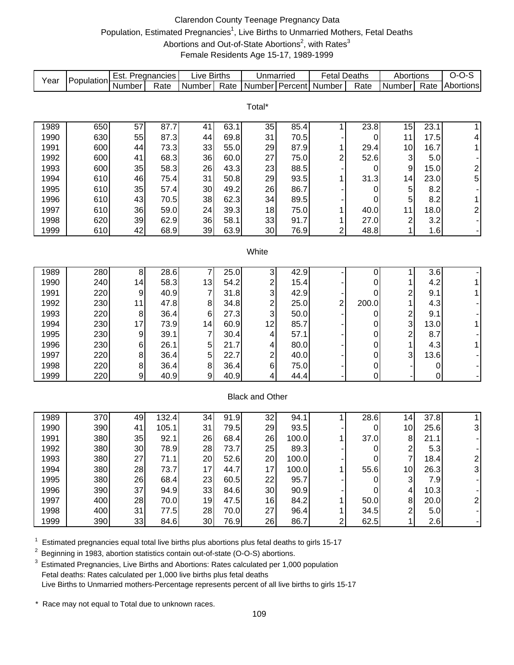### Clarendon County Teenage Pregnancy Data Population, Estimated Pregnancies<sup>1</sup>, Live Births to Unmarried Mothers, Fetal Deaths Abortions and Out-of-State Abortions<sup>2</sup>, with Rates<sup>3</sup> Female Residents Age 15-17, 1989-1999

| Year | Population | Est. Pregnancies |       | <b>Live Births</b> |      | Unmarried               |       | <b>Fetal Deaths</b>     |                  | Abortions               |                   | $O-O-S$                 |
|------|------------|------------------|-------|--------------------|------|-------------------------|-------|-------------------------|------------------|-------------------------|-------------------|-------------------------|
|      |            | Number           | Rate  | Number             | Rate | Number Percent          |       | Number                  | Rate             | Number                  | Rate              | Abortions               |
|      |            |                  |       |                    |      |                         |       |                         |                  |                         |                   |                         |
|      |            |                  |       |                    |      | Total*                  |       |                         |                  |                         |                   |                         |
| 1989 | 650        | 57               | 87.7  | 41                 | 63.1 | 35                      | 85.4  | 1                       | 23.8             | 15                      | 23.1              | $\mathbf{1}$            |
| 1990 | 630        | 55               | 87.3  | 44                 | 69.8 | 31                      | 70.5  |                         | 0                | 11                      | 17.5              | 4                       |
| 1991 | 600        | 44               | 73.3  | 33                 | 55.0 | 29                      | 87.9  | 1                       | 29.4             | 10                      | 16.7              | $\mathbf{1}$            |
| 1992 | 600        | 41               | 68.3  | 36                 | 60.0 | 27                      | 75.0  | 2                       | 52.6             | 3                       | 5.0               |                         |
| 1993 | 600        | 35               | 58.3  | 26                 | 43.3 | 23                      | 88.5  |                         | 0                | 9                       | 15.0              |                         |
| 1994 | 610        | 46               | 75.4  | 31                 | 50.8 | 29                      | 93.5  |                         | 31.3             | 14                      | 23.0              | $\frac{2}{5}$           |
| 1995 | 610        | 35               | 57.4  | 30                 | 49.2 | 26                      | 86.7  |                         | 0                | 5                       | 8.2               |                         |
| 1996 | 610        | 43               | 70.5  | 38                 | 62.3 | 34                      | 89.5  |                         | 0                | 5                       | 8.2               | 1                       |
| 1997 | 610        | 36               | 59.0  | 24                 | 39.3 | 18                      | 75.0  | 1                       | 40.0             | 11                      | 18.0              | $\overline{\mathbf{c}}$ |
| 1998 | 620        | 39               | 62.9  | 36                 | 58.1 | 33                      | 91.7  | 1                       | 27.0             | 2                       | 3.2               |                         |
| 1999 | 610        | 42               | 68.9  | 39                 | 63.9 | 30                      | 76.9  | $\overline{2}$          | 48.8             | 1                       | 1.6               |                         |
|      |            |                  |       |                    |      |                         |       |                         |                  |                         |                   |                         |
|      |            |                  |       |                    |      | White                   |       |                         |                  |                         |                   |                         |
|      |            |                  |       |                    |      |                         |       |                         |                  |                         |                   |                         |
| 1989 | 280        | 8                | 28.6  | 7                  | 25.0 | $\mathbf{3}$            | 42.9  |                         | 0                | 1                       | 3.6               |                         |
| 1990 | 240        | 14               | 58.3  | 13                 | 54.2 | 2                       | 15.4  |                         | 0                | 1                       | 4.2               | $\mathbf{1}$            |
| 1991 | 220        | 9                | 40.9  | $\overline{7}$     | 31.8 | 3                       | 42.9  |                         | 0                | $\overline{c}$          | 9.1               | $\mathbf{1}$            |
| 1992 | 230        | 11               | 47.8  | 8                  | 34.8 | $\overline{\mathbf{c}}$ | 25.0  | $\overline{\mathbf{c}}$ | 200.0            | 1                       | 4.3               |                         |
| 1993 | 220        | 8                | 36.4  | 6                  | 27.3 | 3                       | 50.0  |                         | 0                | $\overline{\mathbf{c}}$ | 9.1               |                         |
| 1994 | 230        | 17               | 73.9  | 14                 | 60.9 | 12                      | 85.7  |                         | 0                | 3                       | 13.0              | 1                       |
| 1995 | 230        | 9                | 39.1  | 7                  | 30.4 | 4                       | 57.1  |                         | 0                | $\overline{c}$          | 8.7               |                         |
| 1996 | 230        | 6                | 26.1  | 5                  | 21.7 | 4                       | 80.0  |                         | 0                | 1                       | 4.3               | $\mathbf{1}$            |
| 1997 | 220        | 8                | 36.4  | 5                  | 22.7 | 2                       | 40.0  |                         | 0                | 3                       | 13.6              |                         |
| 1998 | 220        | 8                | 36.4  | 8                  | 36.4 | 6                       | 75.0  |                         | 0<br>$\mathbf 0$ |                         | 0                 |                         |
| 1999 | 220        | 9                | 40.9  | 9                  | 40.9 | 4                       | 44.4  |                         |                  |                         | 0                 |                         |
|      |            |                  |       |                    |      | <b>Black and Other</b>  |       |                         |                  |                         |                   |                         |
|      |            |                  |       |                    |      |                         |       |                         |                  |                         |                   |                         |
| 1989 | 370        | 49               | 132.4 | 34                 | 91.9 | 32                      | 94.1  | 1                       | 28.6             | 14                      | $\overline{37.8}$ | $\mathbf{1}$            |
| 1990 | 390        | 41               | 105.1 | 31                 | 79.5 | 29                      | 93.5  |                         | 0                | 10                      | 25.6              | 3                       |
| 1991 | 380        | 35               | 92.1  | 26                 | 68.4 | 26                      | 100.0 | 1                       | 37.0             | 8                       | 21.1              |                         |
| 1992 | 380        | 30               | 78.9  | 28                 | 73.7 | 25                      | 89.3  |                         | 0                | $\overline{\mathbf{c}}$ | 5.3               |                         |
| 1993 | 380        | 27               | 71.1  | 20                 | 52.6 | 20                      | 100.0 |                         | 0                | $\overline{7}$          | 18.4              | 2                       |
| 1994 | 380        | 28               | 73.7  | 17                 | 44.7 | 17                      | 100.0 |                         | 55.6             | 10                      | 26.3              | 3                       |
| 1995 | 380        | 26               | 68.4  | 23                 | 60.5 | 22                      | 95.7  |                         | 0                | 3                       | 7.9               |                         |
| 1996 | 390        | 37               | 94.9  | 33                 | 84.6 | 30                      | 90.9  |                         | 0                | 4                       | 10.3              |                         |
| 1997 | 400        | 28               | 70.0  | 19                 | 47.5 | 16                      | 84.2  |                         | 50.0             | 8                       | 20.0              | $\overline{\mathbf{c}}$ |
| 1998 | 400        | 31               | 77.5  | 28                 | 70.0 | 27                      | 96.4  |                         | 34.5             | $\overline{\mathbf{c}}$ | 5.0               |                         |
| 1999 | 390        | 33               | 84.6  | 30                 | 76.9 | 26                      | 86.7  | 2                       | 62.5             | 1                       | 2.6               |                         |

 $1$  Estimated pregnancies equal total live births plus abortions plus fetal deaths to girls 15-17

<sup>2</sup> Beginning in 1983, abortion statistics contain out-of-state (O-O-S) abortions.

<sup>3</sup> Estimated Pregnancies, Live Births and Abortions: Rates calculated per 1,000 population Fetal deaths: Rates calculated per 1,000 live births plus fetal deaths Live Births to Unmarried mothers-Percentage represents percent of all live births to girls 15-17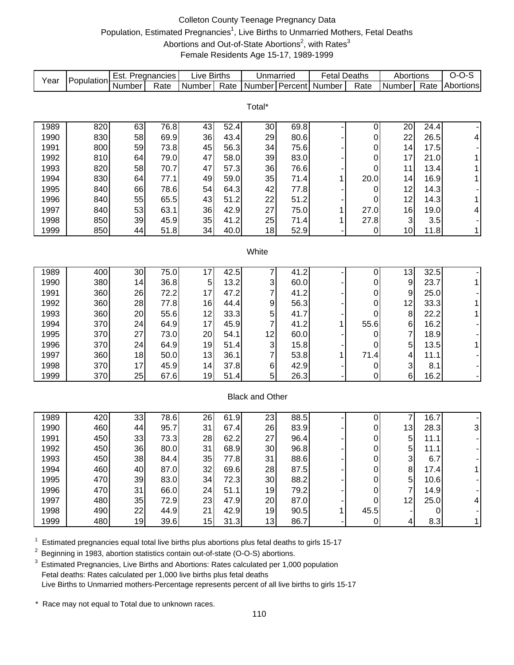# Colleton County Teenage Pregnancy Data Population, Estimated Pregnancies<sup>1</sup>, Live Births to Unmarried Mothers, Fetal Deaths Abortions and Out-of-State Abortions<sup>2</sup>, with Rates<sup>3</sup> Female Residents Age 15-17, 1989-1999

| Year         | Population | Est. Pregnancies |                   | Live Births |              | Unmarried              |              | <b>Fetal Deaths</b> |                  | Abortions        |             | $O-O-S$      |
|--------------|------------|------------------|-------------------|-------------|--------------|------------------------|--------------|---------------------|------------------|------------------|-------------|--------------|
|              |            | Number           | Rate              | Number      | Rate         | Number                 | Percent      | Number              | Rate             | Number           | Rate        | Abortions    |
|              |            |                  |                   |             |              |                        |              |                     |                  |                  |             |              |
|              |            |                  |                   |             |              | Total*                 |              |                     |                  |                  |             |              |
| 1989         | 820        | 63               | 76.8              | 43          | 52.4         | 30                     | 69.8         |                     | 0                | 20               | 24.4        |              |
| 1990         | 830        | 58               | 69.9              | 36          | 43.4         | 29                     | 80.6         |                     | 0                | 22               | 26.5        | 4            |
| 1991         | 800        | 59               | 73.8              | 45          | 56.3         | 34                     | 75.6         |                     | 0                | 14               | 17.5        |              |
| 1992         | 810        | 64               | 79.0              | 47          | 58.0         | 39                     | 83.0         |                     | 0                | 17               | 21.0        | 1            |
| 1993         | 820        | 58               | 70.7              | 47          | 57.3         | 36                     | 76.6         |                     | 0                | 11               | 13.4        | $\mathbf{1}$ |
| 1994         | 830        | 64               | 77.1              | 49          | 59.0         | 35                     | 71.4         | 1                   | 20.0             | 14               | 16.9        | 1            |
| 1995         | 840        | 66               | 78.6              | 54          | 64.3         | 42                     | 77.8         |                     | 0                | 12               | 14.3        |              |
| 1996         | 840        | 55               | 65.5              | 43          | 51.2         | 22                     | 51.2         |                     | 0                | 12               | 14.3        | 1            |
| 1997         | 840        | 53               | 63.1              | 36          | 42.9         | 27                     | 75.0         | 1                   | 27.0             | 16               | 19.0        | 4            |
| 1998         | 850        | 39               | 45.9              | 35          | 41.2         | 25                     | 71.4         | 1                   | 27.8             | 3                | 3.5         |              |
| 1999         | 850        | 44               | 51.8              | 34          | 40.0         | 18                     | 52.9         |                     | $\pmb{0}$        | 10               | 11.8        | $\mathbf{1}$ |
|              |            |                  |                   |             |              |                        |              |                     |                  |                  |             |              |
|              |            |                  |                   |             |              | White                  |              |                     |                  |                  |             |              |
|              |            |                  |                   |             |              |                        |              |                     |                  |                  |             |              |
| 1989         | 400        | 30               | 75.0              | 17          | 42.5         | 7                      | 41.2         |                     | 0                | 13               | 32.5        |              |
| 1990         | 380        | 14               | 36.8              | 5           | 13.2         | 3                      | 60.0         |                     | 0                | 9                | 23.7        | $\mathbf 1$  |
| 1991         | 360        | 26               | 72.2              | 17          | 47.2         | 7                      | 41.2         |                     | 0                | $\boldsymbol{9}$ | 25.0        |              |
| 1992         | 360        | 28               | 77.8              | 16          | 44.4         | 9                      | 56.3         |                     | 0                | 12               | 33.3        | 1            |
| 1993         | 360        | 20               | 55.6              | 12          | 33.3         | 5                      | 41.7         |                     | 0                | 8                | 22.2        | $\mathbf{1}$ |
| 1994         | 370        | 24               | 64.9              | 17          | 45.9         | 7                      | 41.2         | 1                   | 55.6             | 6                | 16.2        |              |
| 1995         | 370        | 27               | 73.0              | 20          | 54.1         | 12                     | 60.0         |                     | 0                | $\overline{7}$   | 18.9        |              |
| 1996         | 370        | 24<br>18         | 64.9              | 19<br>13    | 51.4         | 3<br>7                 | 15.8<br>53.8 |                     | 0<br>71.4        | 5<br>4           | 13.5        | 1            |
| 1997<br>1998 | 360<br>370 | 17               | 50.0<br>45.9      | 14          | 36.1<br>37.8 | $\,6$                  | 42.9         | 1                   |                  | 3                | 11.1<br>8.1 |              |
| 1999         | 370        | 25               | 67.6              | 19          | 51.4         | 5                      | 26.3         |                     | 0<br>0           | 6                | 16.2        |              |
|              |            |                  |                   |             |              |                        |              |                     |                  |                  |             |              |
|              |            |                  |                   |             |              | <b>Black and Other</b> |              |                     |                  |                  |             |              |
|              |            |                  |                   |             |              |                        |              |                     |                  |                  |             |              |
| 1989         | 420        | 33               | $\overline{78.6}$ | 26          | 61.9         | 23                     | 88.5         |                     | 0                | 7                | 16.7        |              |
| 1990         | 460        | 44               | 95.7              | 31          | 67.4         | 26                     | 83.9         |                     | 0                | 13               | 28.3        | 3            |
| 1991         | 450        | 33               | 73.3              | 28          | 62.2         | 27                     | 96.4         |                     | $\pmb{0}$        | 5                | 11.1        |              |
| 1992         | 450        | 36               | 80.0              | 31          | 68.9         | 30                     | 96.8         |                     |                  | 5                | 11.1        |              |
| 1993         | 450        | 38               | 84.4              | 35          | 77.8         | 31                     | 88.6         |                     | $\pmb{0}$        | 3                | 6.7         |              |
| 1994         | 460        | 40               | 87.0              | 32          | 69.6         | 28                     | 87.5         |                     | 0                | 8                | 17.4        | 1            |
| 1995         | 470        | 39               | 83.0              | 34          | 72.3         | 30                     | 88.2         |                     | 0                | 5                | 10.6        |              |
| 1996         | 470        | 31               | 66.0              | 24          | 51.1         | 19                     | 79.2         |                     | 0                | $\overline{7}$   | 14.9        |              |
| 1997         | 480        | 35               | 72.9              | 23          | 47.9         | 20                     | 87.0         |                     | 0                | 12               | 25.0        | 4            |
| 1998         | 490        | 22               | 44.9              | 21          | 42.9         | 19                     | 90.5         | 1                   | 45.5             |                  | 0           |              |
| 1999         | 480        | 19               | 39.6              | 15          | 31.3         | 13                     | 86.7         |                     | $\boldsymbol{0}$ | 4                | 8.3         | $\mathbf{1}$ |

 $1$  Estimated pregnancies equal total live births plus abortions plus fetal deaths to girls 15-17

<sup>2</sup> Beginning in 1983, abortion statistics contain out-of-state (O-O-S) abortions.

<sup>3</sup> Estimated Pregnancies, Live Births and Abortions: Rates calculated per 1,000 population Fetal deaths: Rates calculated per 1,000 live births plus fetal deaths Live Births to Unmarried mothers-Percentage represents percent of all live births to girls 15-17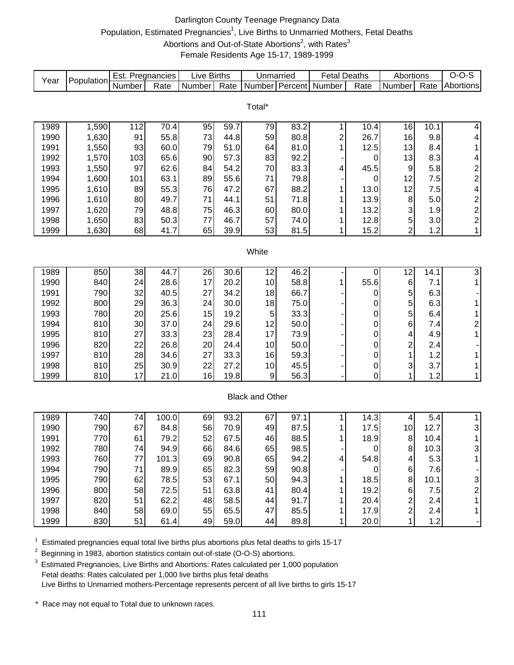# Darlington County Teenage Pregnancy Data Population, Estimated Pregnancies<sup>1</sup>, Live Births to Unmarried Mothers, Fetal Deaths Abortions and Out-of-State Abortions<sup>2</sup>, with Rates<sup>3</sup> Female Residents Age 15-17, 1989-1999

| Number Percent<br>Number<br>Abortions<br>Total*<br>112<br>1989<br>1,590<br>70.4<br>95<br>59.7<br>79<br>83.2<br>10.4<br>16<br>10.1<br>4<br>1<br>1,630<br>91<br>73<br>44.8<br>59<br>80.8<br>$\overline{c}$<br>26.7<br>16<br>9.8<br>1990<br>55.8<br>4<br>1991<br>1,550<br>93<br>51.0<br>81.0<br>12.5<br>60.0<br>79<br>64<br>1<br>13<br>8.4<br>1<br>92.2<br>8.3<br>1992<br>1,570<br>103<br>65.6<br>90<br>57.3<br>83<br>13<br>4<br>0<br>$\overline{\mathbf{c}}$<br>97<br>83.3<br>5.8<br>1993<br>1,550<br>62.6<br>84<br>54.2<br>70<br>45.5<br>9<br>4<br>$\overline{\mathbf{c}}$<br>63.1<br>89<br>55.6<br>7.5<br>1994<br>1,600<br>101<br>71<br>79.8<br>12<br>0<br>67<br>88.2<br>12<br>$\overline{\mathcal{L}}$<br>1995<br>1,610<br>89<br>55.3<br>76<br>47.2<br>13.0<br>7.5<br>1<br>8<br>$\overline{\mathbf{c}}$<br>1996<br>1,610<br>80<br>49.7<br>71<br>44.1<br>51<br>71.8<br>13.9<br>5.0<br>$\overline{\mathbf{c}}$<br>3<br>80.0<br>1997<br>1,620<br>79<br>48.8<br>75<br>46.3<br>60<br>13.2<br>1.9<br>1<br>$\mathbf 5$<br>$\overline{\mathbf{c}}$<br>1998<br>1,650<br>83<br>50.3<br>77<br>46.7<br>57<br>74.0<br>12.8<br>3.0<br>1<br>$\overline{2}$<br>1999<br>1,630<br>68<br>41.7<br>65<br>39.9<br>53<br>81.5<br>15.2<br>1.2<br>$\mathbf{1}$<br>1<br>White<br>38<br>46.2<br>3<br>1989<br>850<br>44.7<br>26<br>30.6<br>12<br>12<br>14.1<br>$\boldsymbol{0}$<br>840<br>24<br>28.6<br>17<br>20.2<br>58.8<br>55.6<br>6<br>1990<br>10<br>7.1<br>1<br>$\mathbf 1$<br>790<br>32<br>5<br>27<br>34.2<br>66.7<br>6.3<br>1991<br>40.5<br>18<br>0<br>5<br>800<br>1992<br>30.0<br>6.3<br>29<br>36.3<br>24<br>18<br>75.0<br>1<br>0<br>5<br>780<br>15<br>19.2<br>33.3<br>1993<br>20<br>25.6<br>5<br>6.4<br>1<br>0<br>$\overline{\mathbf{c}}$<br>810<br>29.6<br>12<br>50.0<br>6<br>1994<br>30<br>37.0<br>24<br>$\mathbf 0$<br>7.4<br>$\mathbf{1}$<br>810<br>27<br>23<br>28.4<br>17<br>1995<br>33.3<br>73.9<br>0<br>4.9<br>4<br>$\overline{c}$<br>820<br>20<br>1996<br>22<br>26.8<br>24.4<br>10<br>50.0<br>0<br>2.4<br>1<br>810<br>28<br>27<br>33.3<br>1.2<br>1997<br>34.6<br>16<br>59.3<br>$\mathbf 0$<br>1<br>3<br>810<br>25<br>30.9<br>22<br>45.5<br>1998<br>27.2<br>10<br>$\boldsymbol{0}$<br>3.7<br>1<br>1999<br>810<br>17<br>16<br>19.8<br>$\boldsymbol{9}$<br>56.3<br>0<br>1.2<br>21.0<br>1<br>$\mathbf{1}$<br><b>Black and Other</b><br>100.0<br>93.2<br>5.4<br>1989<br>740<br>74<br>97.1<br>14.3<br>1<br>69<br>67<br>1<br>4<br>790<br>67<br>56<br>70.9<br>3<br>1990<br>84.8<br>49<br>87.5<br>17.5<br>10<br>12.7<br>770<br>79.2<br>52<br>67.5<br>46<br>88.5<br>1<br>1991<br>61<br>18.9<br>8<br>10.4<br>1<br>780<br>66<br>84.6<br>1992<br>74<br>94.9<br>65<br>98.5<br>8<br>10.3<br>3<br>0<br>760<br>90.8<br>94.2<br>5.3<br>1993<br>77<br>101.3<br>69<br>65<br>54.8<br>4<br>4 | Year | Population | Est. Pregnancies |      | <b>Live Births</b> |      | Unmarried |      | <b>Fetal Deaths</b> |      | Abortions |      | $O-O-S$ |
|--------------------------------------------------------------------------------------------------------------------------------------------------------------------------------------------------------------------------------------------------------------------------------------------------------------------------------------------------------------------------------------------------------------------------------------------------------------------------------------------------------------------------------------------------------------------------------------------------------------------------------------------------------------------------------------------------------------------------------------------------------------------------------------------------------------------------------------------------------------------------------------------------------------------------------------------------------------------------------------------------------------------------------------------------------------------------------------------------------------------------------------------------------------------------------------------------------------------------------------------------------------------------------------------------------------------------------------------------------------------------------------------------------------------------------------------------------------------------------------------------------------------------------------------------------------------------------------------------------------------------------------------------------------------------------------------------------------------------------------------------------------------------------------------------------------------------------------------------------------------------------------------------------------------------------------------------------------------------------------------------------------------------------------------------------------------------------------------------------------------------------------------------------------------------------------------------------------------------------------------------------------------------------------------------------------------------------------------------------------------------------------------------------------------------------------------------------------------------------------------------------------------------------------------------------------------------------------------------------------------------------------------------------------------------------------------------------------------------------------------------------------|------|------------|------------------|------|--------------------|------|-----------|------|---------------------|------|-----------|------|---------|
|                                                                                                                                                                                                                                                                                                                                                                                                                                                                                                                                                                                                                                                                                                                                                                                                                                                                                                                                                                                                                                                                                                                                                                                                                                                                                                                                                                                                                                                                                                                                                                                                                                                                                                                                                                                                                                                                                                                                                                                                                                                                                                                                                                                                                                                                                                                                                                                                                                                                                                                                                                                                                                                                                                                                                              |      |            |                  | Rate | Number             | Rate |           |      | Number              | Rate | Number    | Rate |         |
|                                                                                                                                                                                                                                                                                                                                                                                                                                                                                                                                                                                                                                                                                                                                                                                                                                                                                                                                                                                                                                                                                                                                                                                                                                                                                                                                                                                                                                                                                                                                                                                                                                                                                                                                                                                                                                                                                                                                                                                                                                                                                                                                                                                                                                                                                                                                                                                                                                                                                                                                                                                                                                                                                                                                                              |      |            |                  |      |                    |      |           |      |                     |      |           |      |         |
|                                                                                                                                                                                                                                                                                                                                                                                                                                                                                                                                                                                                                                                                                                                                                                                                                                                                                                                                                                                                                                                                                                                                                                                                                                                                                                                                                                                                                                                                                                                                                                                                                                                                                                                                                                                                                                                                                                                                                                                                                                                                                                                                                                                                                                                                                                                                                                                                                                                                                                                                                                                                                                                                                                                                                              |      |            |                  |      |                    |      |           |      |                     |      |           |      |         |
|                                                                                                                                                                                                                                                                                                                                                                                                                                                                                                                                                                                                                                                                                                                                                                                                                                                                                                                                                                                                                                                                                                                                                                                                                                                                                                                                                                                                                                                                                                                                                                                                                                                                                                                                                                                                                                                                                                                                                                                                                                                                                                                                                                                                                                                                                                                                                                                                                                                                                                                                                                                                                                                                                                                                                              |      |            |                  |      |                    |      |           |      |                     |      |           |      |         |
|                                                                                                                                                                                                                                                                                                                                                                                                                                                                                                                                                                                                                                                                                                                                                                                                                                                                                                                                                                                                                                                                                                                                                                                                                                                                                                                                                                                                                                                                                                                                                                                                                                                                                                                                                                                                                                                                                                                                                                                                                                                                                                                                                                                                                                                                                                                                                                                                                                                                                                                                                                                                                                                                                                                                                              |      |            |                  |      |                    |      |           |      |                     |      |           |      |         |
|                                                                                                                                                                                                                                                                                                                                                                                                                                                                                                                                                                                                                                                                                                                                                                                                                                                                                                                                                                                                                                                                                                                                                                                                                                                                                                                                                                                                                                                                                                                                                                                                                                                                                                                                                                                                                                                                                                                                                                                                                                                                                                                                                                                                                                                                                                                                                                                                                                                                                                                                                                                                                                                                                                                                                              |      |            |                  |      |                    |      |           |      |                     |      |           |      |         |
|                                                                                                                                                                                                                                                                                                                                                                                                                                                                                                                                                                                                                                                                                                                                                                                                                                                                                                                                                                                                                                                                                                                                                                                                                                                                                                                                                                                                                                                                                                                                                                                                                                                                                                                                                                                                                                                                                                                                                                                                                                                                                                                                                                                                                                                                                                                                                                                                                                                                                                                                                                                                                                                                                                                                                              |      |            |                  |      |                    |      |           |      |                     |      |           |      |         |
|                                                                                                                                                                                                                                                                                                                                                                                                                                                                                                                                                                                                                                                                                                                                                                                                                                                                                                                                                                                                                                                                                                                                                                                                                                                                                                                                                                                                                                                                                                                                                                                                                                                                                                                                                                                                                                                                                                                                                                                                                                                                                                                                                                                                                                                                                                                                                                                                                                                                                                                                                                                                                                                                                                                                                              |      |            |                  |      |                    |      |           |      |                     |      |           |      |         |
|                                                                                                                                                                                                                                                                                                                                                                                                                                                                                                                                                                                                                                                                                                                                                                                                                                                                                                                                                                                                                                                                                                                                                                                                                                                                                                                                                                                                                                                                                                                                                                                                                                                                                                                                                                                                                                                                                                                                                                                                                                                                                                                                                                                                                                                                                                                                                                                                                                                                                                                                                                                                                                                                                                                                                              |      |            |                  |      |                    |      |           |      |                     |      |           |      |         |
|                                                                                                                                                                                                                                                                                                                                                                                                                                                                                                                                                                                                                                                                                                                                                                                                                                                                                                                                                                                                                                                                                                                                                                                                                                                                                                                                                                                                                                                                                                                                                                                                                                                                                                                                                                                                                                                                                                                                                                                                                                                                                                                                                                                                                                                                                                                                                                                                                                                                                                                                                                                                                                                                                                                                                              |      |            |                  |      |                    |      |           |      |                     |      |           |      |         |
|                                                                                                                                                                                                                                                                                                                                                                                                                                                                                                                                                                                                                                                                                                                                                                                                                                                                                                                                                                                                                                                                                                                                                                                                                                                                                                                                                                                                                                                                                                                                                                                                                                                                                                                                                                                                                                                                                                                                                                                                                                                                                                                                                                                                                                                                                                                                                                                                                                                                                                                                                                                                                                                                                                                                                              |      |            |                  |      |                    |      |           |      |                     |      |           |      |         |
|                                                                                                                                                                                                                                                                                                                                                                                                                                                                                                                                                                                                                                                                                                                                                                                                                                                                                                                                                                                                                                                                                                                                                                                                                                                                                                                                                                                                                                                                                                                                                                                                                                                                                                                                                                                                                                                                                                                                                                                                                                                                                                                                                                                                                                                                                                                                                                                                                                                                                                                                                                                                                                                                                                                                                              |      |            |                  |      |                    |      |           |      |                     |      |           |      |         |
|                                                                                                                                                                                                                                                                                                                                                                                                                                                                                                                                                                                                                                                                                                                                                                                                                                                                                                                                                                                                                                                                                                                                                                                                                                                                                                                                                                                                                                                                                                                                                                                                                                                                                                                                                                                                                                                                                                                                                                                                                                                                                                                                                                                                                                                                                                                                                                                                                                                                                                                                                                                                                                                                                                                                                              |      |            |                  |      |                    |      |           |      |                     |      |           |      |         |
|                                                                                                                                                                                                                                                                                                                                                                                                                                                                                                                                                                                                                                                                                                                                                                                                                                                                                                                                                                                                                                                                                                                                                                                                                                                                                                                                                                                                                                                                                                                                                                                                                                                                                                                                                                                                                                                                                                                                                                                                                                                                                                                                                                                                                                                                                                                                                                                                                                                                                                                                                                                                                                                                                                                                                              |      |            |                  |      |                    |      |           |      |                     |      |           |      |         |
|                                                                                                                                                                                                                                                                                                                                                                                                                                                                                                                                                                                                                                                                                                                                                                                                                                                                                                                                                                                                                                                                                                                                                                                                                                                                                                                                                                                                                                                                                                                                                                                                                                                                                                                                                                                                                                                                                                                                                                                                                                                                                                                                                                                                                                                                                                                                                                                                                                                                                                                                                                                                                                                                                                                                                              |      |            |                  |      |                    |      |           |      |                     |      |           |      |         |
|                                                                                                                                                                                                                                                                                                                                                                                                                                                                                                                                                                                                                                                                                                                                                                                                                                                                                                                                                                                                                                                                                                                                                                                                                                                                                                                                                                                                                                                                                                                                                                                                                                                                                                                                                                                                                                                                                                                                                                                                                                                                                                                                                                                                                                                                                                                                                                                                                                                                                                                                                                                                                                                                                                                                                              |      |            |                  |      |                    |      |           |      |                     |      |           |      |         |
|                                                                                                                                                                                                                                                                                                                                                                                                                                                                                                                                                                                                                                                                                                                                                                                                                                                                                                                                                                                                                                                                                                                                                                                                                                                                                                                                                                                                                                                                                                                                                                                                                                                                                                                                                                                                                                                                                                                                                                                                                                                                                                                                                                                                                                                                                                                                                                                                                                                                                                                                                                                                                                                                                                                                                              |      |            |                  |      |                    |      |           |      |                     |      |           |      |         |
|                                                                                                                                                                                                                                                                                                                                                                                                                                                                                                                                                                                                                                                                                                                                                                                                                                                                                                                                                                                                                                                                                                                                                                                                                                                                                                                                                                                                                                                                                                                                                                                                                                                                                                                                                                                                                                                                                                                                                                                                                                                                                                                                                                                                                                                                                                                                                                                                                                                                                                                                                                                                                                                                                                                                                              |      |            |                  |      |                    |      |           |      |                     |      |           |      |         |
|                                                                                                                                                                                                                                                                                                                                                                                                                                                                                                                                                                                                                                                                                                                                                                                                                                                                                                                                                                                                                                                                                                                                                                                                                                                                                                                                                                                                                                                                                                                                                                                                                                                                                                                                                                                                                                                                                                                                                                                                                                                                                                                                                                                                                                                                                                                                                                                                                                                                                                                                                                                                                                                                                                                                                              |      |            |                  |      |                    |      |           |      |                     |      |           |      |         |
|                                                                                                                                                                                                                                                                                                                                                                                                                                                                                                                                                                                                                                                                                                                                                                                                                                                                                                                                                                                                                                                                                                                                                                                                                                                                                                                                                                                                                                                                                                                                                                                                                                                                                                                                                                                                                                                                                                                                                                                                                                                                                                                                                                                                                                                                                                                                                                                                                                                                                                                                                                                                                                                                                                                                                              |      |            |                  |      |                    |      |           |      |                     |      |           |      |         |
|                                                                                                                                                                                                                                                                                                                                                                                                                                                                                                                                                                                                                                                                                                                                                                                                                                                                                                                                                                                                                                                                                                                                                                                                                                                                                                                                                                                                                                                                                                                                                                                                                                                                                                                                                                                                                                                                                                                                                                                                                                                                                                                                                                                                                                                                                                                                                                                                                                                                                                                                                                                                                                                                                                                                                              |      |            |                  |      |                    |      |           |      |                     |      |           |      |         |
|                                                                                                                                                                                                                                                                                                                                                                                                                                                                                                                                                                                                                                                                                                                                                                                                                                                                                                                                                                                                                                                                                                                                                                                                                                                                                                                                                                                                                                                                                                                                                                                                                                                                                                                                                                                                                                                                                                                                                                                                                                                                                                                                                                                                                                                                                                                                                                                                                                                                                                                                                                                                                                                                                                                                                              |      |            |                  |      |                    |      |           |      |                     |      |           |      |         |
|                                                                                                                                                                                                                                                                                                                                                                                                                                                                                                                                                                                                                                                                                                                                                                                                                                                                                                                                                                                                                                                                                                                                                                                                                                                                                                                                                                                                                                                                                                                                                                                                                                                                                                                                                                                                                                                                                                                                                                                                                                                                                                                                                                                                                                                                                                                                                                                                                                                                                                                                                                                                                                                                                                                                                              |      |            |                  |      |                    |      |           |      |                     |      |           |      |         |
|                                                                                                                                                                                                                                                                                                                                                                                                                                                                                                                                                                                                                                                                                                                                                                                                                                                                                                                                                                                                                                                                                                                                                                                                                                                                                                                                                                                                                                                                                                                                                                                                                                                                                                                                                                                                                                                                                                                                                                                                                                                                                                                                                                                                                                                                                                                                                                                                                                                                                                                                                                                                                                                                                                                                                              |      |            |                  |      |                    |      |           |      |                     |      |           |      |         |
|                                                                                                                                                                                                                                                                                                                                                                                                                                                                                                                                                                                                                                                                                                                                                                                                                                                                                                                                                                                                                                                                                                                                                                                                                                                                                                                                                                                                                                                                                                                                                                                                                                                                                                                                                                                                                                                                                                                                                                                                                                                                                                                                                                                                                                                                                                                                                                                                                                                                                                                                                                                                                                                                                                                                                              |      |            |                  |      |                    |      |           |      |                     |      |           |      |         |
|                                                                                                                                                                                                                                                                                                                                                                                                                                                                                                                                                                                                                                                                                                                                                                                                                                                                                                                                                                                                                                                                                                                                                                                                                                                                                                                                                                                                                                                                                                                                                                                                                                                                                                                                                                                                                                                                                                                                                                                                                                                                                                                                                                                                                                                                                                                                                                                                                                                                                                                                                                                                                                                                                                                                                              |      |            |                  |      |                    |      |           |      |                     |      |           |      |         |
|                                                                                                                                                                                                                                                                                                                                                                                                                                                                                                                                                                                                                                                                                                                                                                                                                                                                                                                                                                                                                                                                                                                                                                                                                                                                                                                                                                                                                                                                                                                                                                                                                                                                                                                                                                                                                                                                                                                                                                                                                                                                                                                                                                                                                                                                                                                                                                                                                                                                                                                                                                                                                                                                                                                                                              |      |            |                  |      |                    |      |           |      |                     |      |           |      |         |
|                                                                                                                                                                                                                                                                                                                                                                                                                                                                                                                                                                                                                                                                                                                                                                                                                                                                                                                                                                                                                                                                                                                                                                                                                                                                                                                                                                                                                                                                                                                                                                                                                                                                                                                                                                                                                                                                                                                                                                                                                                                                                                                                                                                                                                                                                                                                                                                                                                                                                                                                                                                                                                                                                                                                                              |      |            |                  |      |                    |      |           |      |                     |      |           |      |         |
|                                                                                                                                                                                                                                                                                                                                                                                                                                                                                                                                                                                                                                                                                                                                                                                                                                                                                                                                                                                                                                                                                                                                                                                                                                                                                                                                                                                                                                                                                                                                                                                                                                                                                                                                                                                                                                                                                                                                                                                                                                                                                                                                                                                                                                                                                                                                                                                                                                                                                                                                                                                                                                                                                                                                                              |      |            |                  |      |                    |      |           |      |                     |      |           |      |         |
|                                                                                                                                                                                                                                                                                                                                                                                                                                                                                                                                                                                                                                                                                                                                                                                                                                                                                                                                                                                                                                                                                                                                                                                                                                                                                                                                                                                                                                                                                                                                                                                                                                                                                                                                                                                                                                                                                                                                                                                                                                                                                                                                                                                                                                                                                                                                                                                                                                                                                                                                                                                                                                                                                                                                                              |      |            |                  |      |                    |      |           |      |                     |      |           |      |         |
|                                                                                                                                                                                                                                                                                                                                                                                                                                                                                                                                                                                                                                                                                                                                                                                                                                                                                                                                                                                                                                                                                                                                                                                                                                                                                                                                                                                                                                                                                                                                                                                                                                                                                                                                                                                                                                                                                                                                                                                                                                                                                                                                                                                                                                                                                                                                                                                                                                                                                                                                                                                                                                                                                                                                                              |      |            |                  |      |                    |      |           |      |                     |      |           |      |         |
|                                                                                                                                                                                                                                                                                                                                                                                                                                                                                                                                                                                                                                                                                                                                                                                                                                                                                                                                                                                                                                                                                                                                                                                                                                                                                                                                                                                                                                                                                                                                                                                                                                                                                                                                                                                                                                                                                                                                                                                                                                                                                                                                                                                                                                                                                                                                                                                                                                                                                                                                                                                                                                                                                                                                                              |      |            |                  |      |                    |      |           |      |                     |      |           |      |         |
|                                                                                                                                                                                                                                                                                                                                                                                                                                                                                                                                                                                                                                                                                                                                                                                                                                                                                                                                                                                                                                                                                                                                                                                                                                                                                                                                                                                                                                                                                                                                                                                                                                                                                                                                                                                                                                                                                                                                                                                                                                                                                                                                                                                                                                                                                                                                                                                                                                                                                                                                                                                                                                                                                                                                                              |      |            |                  |      |                    |      |           |      |                     |      |           |      |         |
|                                                                                                                                                                                                                                                                                                                                                                                                                                                                                                                                                                                                                                                                                                                                                                                                                                                                                                                                                                                                                                                                                                                                                                                                                                                                                                                                                                                                                                                                                                                                                                                                                                                                                                                                                                                                                                                                                                                                                                                                                                                                                                                                                                                                                                                                                                                                                                                                                                                                                                                                                                                                                                                                                                                                                              |      |            |                  |      |                    |      |           |      |                     |      |           |      |         |
|                                                                                                                                                                                                                                                                                                                                                                                                                                                                                                                                                                                                                                                                                                                                                                                                                                                                                                                                                                                                                                                                                                                                                                                                                                                                                                                                                                                                                                                                                                                                                                                                                                                                                                                                                                                                                                                                                                                                                                                                                                                                                                                                                                                                                                                                                                                                                                                                                                                                                                                                                                                                                                                                                                                                                              |      |            |                  |      |                    |      |           |      |                     |      |           |      |         |
|                                                                                                                                                                                                                                                                                                                                                                                                                                                                                                                                                                                                                                                                                                                                                                                                                                                                                                                                                                                                                                                                                                                                                                                                                                                                                                                                                                                                                                                                                                                                                                                                                                                                                                                                                                                                                                                                                                                                                                                                                                                                                                                                                                                                                                                                                                                                                                                                                                                                                                                                                                                                                                                                                                                                                              | 1994 | 790        | 71               | 89.9 | 65                 | 82.3 | 59        | 90.8 |                     | 0    | 6         | 7.6  |         |
| 53<br>1995<br>790<br>94.3<br>62<br>78.5<br>67.1<br>50<br>18.5<br>8<br>10.1<br>3                                                                                                                                                                                                                                                                                                                                                                                                                                                                                                                                                                                                                                                                                                                                                                                                                                                                                                                                                                                                                                                                                                                                                                                                                                                                                                                                                                                                                                                                                                                                                                                                                                                                                                                                                                                                                                                                                                                                                                                                                                                                                                                                                                                                                                                                                                                                                                                                                                                                                                                                                                                                                                                                              |      |            |                  |      |                    |      |           |      |                     |      |           |      |         |
| 800<br>58<br>72.5<br>63.8<br>80.4<br>$\overline{\mathbf{c}}$<br>1996<br>51<br>19.2<br>6<br>7.5<br>41                                                                                                                                                                                                                                                                                                                                                                                                                                                                                                                                                                                                                                                                                                                                                                                                                                                                                                                                                                                                                                                                                                                                                                                                                                                                                                                                                                                                                                                                                                                                                                                                                                                                                                                                                                                                                                                                                                                                                                                                                                                                                                                                                                                                                                                                                                                                                                                                                                                                                                                                                                                                                                                         |      |            |                  |      |                    |      |           |      |                     |      |           |      |         |
| 820<br>51<br>62.2<br>48<br>91.7<br>20.4<br>2<br>1997<br>58.5<br>2.4<br>44<br>1                                                                                                                                                                                                                                                                                                                                                                                                                                                                                                                                                                                                                                                                                                                                                                                                                                                                                                                                                                                                                                                                                                                                                                                                                                                                                                                                                                                                                                                                                                                                                                                                                                                                                                                                                                                                                                                                                                                                                                                                                                                                                                                                                                                                                                                                                                                                                                                                                                                                                                                                                                                                                                                                               |      |            |                  |      |                    |      |           |      |                     |      |           |      |         |
| $\overline{c}$<br>840<br>55<br>69.0<br>65.5<br>85.5<br>1998<br>58<br>47<br>17.9<br>2.4<br>1                                                                                                                                                                                                                                                                                                                                                                                                                                                                                                                                                                                                                                                                                                                                                                                                                                                                                                                                                                                                                                                                                                                                                                                                                                                                                                                                                                                                                                                                                                                                                                                                                                                                                                                                                                                                                                                                                                                                                                                                                                                                                                                                                                                                                                                                                                                                                                                                                                                                                                                                                                                                                                                                  |      |            |                  |      |                    |      |           |      |                     |      |           |      |         |
| 49<br>1999<br>830<br>51<br>59.0<br>89.8<br>20.0<br>1.2<br>61.4<br>44<br>1                                                                                                                                                                                                                                                                                                                                                                                                                                                                                                                                                                                                                                                                                                                                                                                                                                                                                                                                                                                                                                                                                                                                                                                                                                                                                                                                                                                                                                                                                                                                                                                                                                                                                                                                                                                                                                                                                                                                                                                                                                                                                                                                                                                                                                                                                                                                                                                                                                                                                                                                                                                                                                                                                    |      |            |                  |      |                    |      |           |      |                     |      |           |      |         |

 $1$  Estimated pregnancies equal total live births plus abortions plus fetal deaths to girls 15-17

<sup>2</sup> Beginning in 1983, abortion statistics contain out-of-state (O-O-S) abortions.

 $3$  Estimated Pregnancies, Live Births and Abortions: Rates calculated per 1,000 population Fetal deaths: Rates calculated per 1,000 live births plus fetal deaths Live Births to Unmarried mothers-Percentage represents percent of all live births to girls 15-17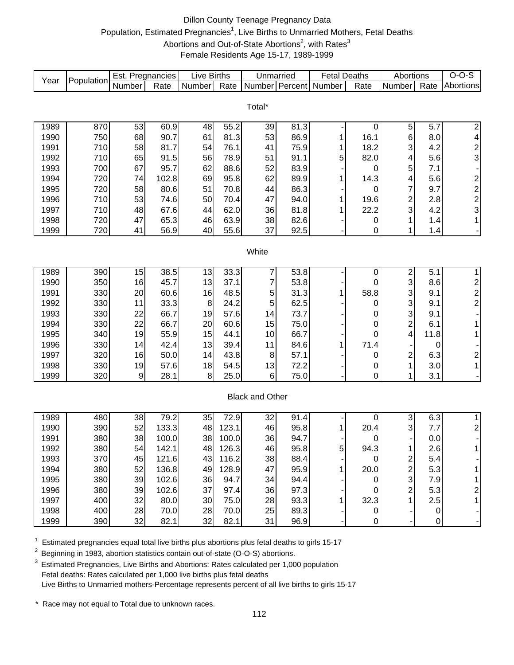### Dillon County Teenage Pregnancy Data Population, Estimated Pregnancies<sup>1</sup>, Live Births to Unmarried Mothers, Fetal Deaths Abortions and Out-of-State Abortions<sup>2</sup>, with Rates<sup>3</sup> Female Residents Age 15-17, 1989-1999

| Year         | Population | Est. Pregnancies |                | <b>Live Births</b> |                | Unmarried              |              | <b>Fetal Deaths</b>   |                  | Abortions                    |            | $O-O-S$                                      |
|--------------|------------|------------------|----------------|--------------------|----------------|------------------------|--------------|-----------------------|------------------|------------------------------|------------|----------------------------------------------|
|              |            | Number           | Rate           | Number             | Rate           |                        |              | Number Percent Number | Rate             | Number                       | Rate       | Abortions                                    |
|              |            |                  |                |                    |                |                        |              |                       |                  |                              |            |                                              |
|              |            |                  |                |                    |                | Total*                 |              |                       |                  |                              |            |                                              |
| 1989         | 870        | 53               | 60.9           | 48                 | 55.2           | 39                     | 81.3         |                       | 0                | $\mathbf 5$                  | 5.7        | 2                                            |
| 1990         | 750        | 68               | 90.7           | 61                 | 81.3           | 53                     | 86.9         | 1                     | 16.1             | 6                            | 8.0        | 4                                            |
| 1991         | 710        | 58               | 81.7           | 54                 | 76.1           | 41                     | 75.9         | 1                     | 18.2             | 3                            | 4.2        |                                              |
| 1992         | 710        | 65               | 91.5           | 56                 | 78.9           | 51                     | 91.1         | 5                     | 82.0             | 4                            | 5.6        | $\frac{2}{3}$                                |
| 1993         | 700        | 67               | 95.7           | 62                 | 88.6           | 52                     | 83.9         |                       | 0                | 5                            | 7.1        |                                              |
| 1994         | 720        | 74               | 102.8          | 69                 | 95.8           | 62                     | 89.9         | 1                     | 14.3             | 4                            | 5.6        |                                              |
| 1995         | 720        | 58               | 80.6           | 51                 | 70.8           | 44                     | 86.3         |                       | 0                | $\overline{7}$               | 9.7        | $\begin{array}{c}\n2 \\ 2 \\ 3\n\end{array}$ |
| 1996         | 710        | 53               | 74.6           | 50                 | 70.4           | 47                     | 94.0         | 1                     | 19.6             | $\overline{\mathbf{c}}$      | 2.8        |                                              |
| 1997         | 710        | 48               | 67.6           | 44                 | 62.0           | 36                     | 81.8         | 1                     | 22.2             | 3                            | 4.2        |                                              |
| 1998         | 720        | 47               | 65.3           | 46                 | 63.9           | 38                     | 82.6         |                       | 0                | 1                            | 1.4        | $\mathbf{1}$                                 |
| 1999         | 720        | 41               | 56.9           | 40                 | 55.6           | 37                     | 92.5         |                       | $\boldsymbol{0}$ | 1                            | 1.4        |                                              |
|              |            |                  |                |                    |                |                        |              |                       |                  |                              |            |                                              |
|              |            |                  |                |                    |                | White                  |              |                       |                  |                              |            |                                              |
|              |            |                  |                |                    |                |                        |              |                       |                  |                              |            |                                              |
| 1989         | 390        | 15               | 38.5           | 13                 | 33.3           | 7                      | 53.8         |                       | 0                |                              | 5.1        | $\mathbf{1}$                                 |
| 1990         | 350        | 16               | 45.7           | 13                 | 37.1           | 7                      | 53.8         |                       | 0                | $\frac{2}{3}$                | 8.6        | $\overline{\mathbf{c}}$                      |
| 1991         | 330        | 20               | 60.6           | 16                 | 48.5           | 5                      | 31.3         | 1                     | 58.8             | 3                            | 9.1        | $\overline{\mathbf{c}}$                      |
| 1992         | 330        | 11               | 33.3           | $\bf 8$            | 24.2           | 5                      | 62.5         |                       | 0                | 3                            | 9.1        | $\overline{2}$                               |
| 1993         | 330        | 22               | 66.7           | 19                 | 57.6           | 14                     | 73.7         |                       | 0                | 3                            | 9.1        |                                              |
| 1994         | 330        | 22               | 66.7           | 20                 | 60.6           | 15                     | 75.0         |                       | 0                | $\overline{c}$               | 6.1        | 1                                            |
| 1995         | 340        | 19               | 55.9           | 15                 | 44.1           | 10                     | 66.7         |                       | 0                | 4                            | 11.8       | 1                                            |
| 1996         | 330        | 14               | 42.4           | 13                 | 39.4           | 11                     | 84.6         | 1                     | 71.4             |                              | 0          |                                              |
| 1997         | 320        | 16               | 50.0           | 14                 | 43.8           | 8                      | 57.1         |                       | 0                | $\overline{\mathbf{c}}$      | 6.3        | $\overline{\mathbf{c}}$                      |
| 1998         | 330        | 19               | 57.6           | 18                 | 54.5           | 13                     | 72.2         |                       | 0                | 1                            | 3.0        | $\overline{1}$                               |
| 1999         | 320        | 9                | 28.1           | 8                  | 25.0           | 6                      | 75.0         |                       | 0                | 1                            | 3.1        | $\blacksquare$                               |
|              |            |                  |                |                    |                |                        |              |                       |                  |                              |            |                                              |
|              |            |                  |                |                    |                | <b>Black and Other</b> |              |                       |                  |                              |            |                                              |
|              |            |                  |                |                    |                |                        |              |                       |                  |                              |            |                                              |
| 1989         | 480        | 38               | 79.2           | 35                 | 72.9           | 32                     | 91.4         |                       | 0                | 3                            | 6.3        | $\mathbf{1}$                                 |
| 1990         | 390        | 52               | 133.3          | 48                 | 123.1          | 46                     | 95.8         | 1                     | 20.4             | 3                            | 7.7        | $\overline{\mathbf{c}}$                      |
| 1991         | 380        | 38               | 100.0          | 38                 | 100.0          | 36                     | 94.7         |                       | 0                | $\overline{1}$               | 0.0        | 1                                            |
| 1992         | 380        | 54               | 142.1          | 48                 | 126.3          | 46                     | 95.8         | 5                     | 94.3             |                              | 2.6        |                                              |
| 1993<br>1994 | 370<br>380 | 45<br>52         | 121.6<br>136.8 | 43<br>49           | 116.2<br>128.9 | 38<br>47               | 88.4<br>95.9 |                       | 0<br>20.0        | 2<br>$\overline{\mathbf{c}}$ | 5.4<br>5.3 |                                              |
| 1995         | 380        | 39               | 102.6          | 36                 | 94.7           | 34                     | 94.4         |                       | 0                | 3                            | 7.9        |                                              |
| 1996         | 380        | 39               | 102.6          | 37                 | 97.4           | 36                     | 97.3         |                       | 0                | 2                            | 5.3        | 2                                            |
| 1997         | 400        | 32               | 80.0           | 30                 | 75.0           | 28                     | 93.3         |                       | 32.3             |                              | 2.5        | 1                                            |
| 1998         | 400        | 28               | 70.0           | 28                 | 70.0           | 25                     | 89.3         |                       | 0                |                              | 0          |                                              |
| 1999         | 390        | 32               | 82.1           | 32                 | 82.1           | 31                     | 96.9         |                       |                  |                              |            |                                              |
|              |            |                  |                |                    |                |                        |              |                       | 0                |                              | 0          |                                              |

 $1$  Estimated pregnancies equal total live births plus abortions plus fetal deaths to girls 15-17

<sup>2</sup> Beginning in 1983, abortion statistics contain out-of-state (O-O-S) abortions.

 $3$  Estimated Pregnancies, Live Births and Abortions: Rates calculated per 1,000 population Fetal deaths: Rates calculated per 1,000 live births plus fetal deaths Live Births to Unmarried mothers-Percentage represents percent of all live births to girls 15-17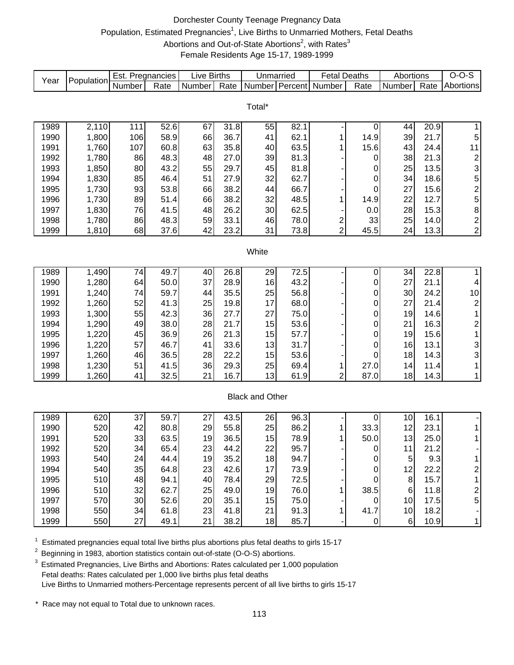#### Dorchester County Teenage Pregnancy Data Population, Estimated Pregnancies<sup>1</sup>, Live Births to Unmarried Mothers, Fetal Deaths Abortions and Out-of-State Abortions<sup>2</sup>, with Rates<sup>3</sup> Female Residents Age 15-17, 1989-1999

| Year | Population | Est. Pregnancies |      | Live Births |      | Unmarried              |      | <b>Fetal Deaths</b>     |             | Abortions |      | $O-O-S$                 |
|------|------------|------------------|------|-------------|------|------------------------|------|-------------------------|-------------|-----------|------|-------------------------|
|      |            | Number           | Rate | Number      | Rate | Number Percent         |      | Number                  | Rate        | Number    | Rate | Abortions               |
|      |            |                  |      |             |      |                        |      |                         |             |           |      |                         |
|      |            |                  |      |             |      | Total*                 |      |                         |             |           |      |                         |
| 1989 | 2,110      | $11\overline{1}$ | 52.6 | 67          | 31.8 | 55                     | 82.1 |                         | 0           | 44        | 20.9 | $\mathbf 1$             |
| 1990 | 1,800      | 106              | 58.9 | 66          | 36.7 | 41                     | 62.1 | 1                       | 14.9        | 39        | 21.7 | 5                       |
| 1991 | 1,760      | 107              | 60.8 | 63          | 35.8 | 40                     | 63.5 | 1                       | 15.6        | 43        | 24.4 | 11                      |
| 1992 | 1,780      | 86               | 48.3 | 48          | 27.0 | 39                     | 81.3 |                         | 0           | 38        | 21.3 | $\overline{\mathbf{c}}$ |
| 1993 | 1,850      | 80               | 43.2 | 55          | 29.7 | 45                     | 81.8 |                         | 0           | 25        | 13.5 | 3                       |
| 1994 | 1,830      | 85               | 46.4 | 51          | 27.9 | 32                     | 62.7 |                         | 0           | 34        | 18.6 | 5                       |
| 1995 | 1,730      | 93               | 53.8 | 66          | 38.2 | 44                     | 66.7 |                         | 0           | 27        | 15.6 | $\overline{\mathbf{c}}$ |
| 1996 | 1,730      | 89               | 51.4 | 66          | 38.2 | 32                     | 48.5 | 1                       | 14.9        | 22        | 12.7 | 5                       |
| 1997 | 1,830      | 76               | 41.5 | 48          | 26.2 | 30                     | 62.5 |                         | 0.0         | 28        | 15.3 | 8                       |
| 1998 | 1,780      | 86               | 48.3 | 59          | 33.1 | 46                     | 78.0 | $\overline{\mathbf{c}}$ | 33          | 25        | 14.0 | $\overline{\mathbf{c}}$ |
| 1999 | 1,810      | 68               | 37.6 | 42          | 23.2 | 31                     | 73.8 | $\overline{2}$          | 45.5        | 24        | 13.3 | $\overline{\mathbf{c}}$ |
|      |            |                  |      |             |      |                        |      |                         |             |           |      |                         |
|      |            |                  |      |             |      | White                  |      |                         |             |           |      |                         |
|      |            |                  |      |             |      |                        |      |                         |             |           |      |                         |
| 1989 | 1,490      | 74               | 49.7 | 40          | 26.8 | 29                     | 72.5 |                         | 0           | 34        | 22.8 | $\mathbf{1}$            |
| 1990 | 1,280      | 64               | 50.0 | 37          | 28.9 | 16                     | 43.2 |                         | 0           | 27        | 21.1 | 4                       |
| 1991 | 1,240      | 74               | 59.7 | 44          | 35.5 | 25                     | 56.8 |                         | 0           | 30        | 24.2 | 10                      |
| 1992 | 1,260      | 52               | 41.3 | 25          | 19.8 | 17                     | 68.0 |                         | 0           | 27        | 21.4 | $\overline{c}$          |
| 1993 | 1,300      | 55               | 42.3 | 36          | 27.7 | 27                     | 75.0 |                         | 0           | 19        | 14.6 | 1                       |
| 1994 | 1,290      | 49               | 38.0 | 28          | 21.7 | 15                     | 53.6 |                         | 0           | 21        | 16.3 | $\overline{\mathbf{c}}$ |
| 1995 | 1,220      | 45               | 36.9 | 26          | 21.3 | 15                     | 57.7 |                         | 0           | 19        | 15.6 | 1                       |
| 1996 | 1,220      | 57               | 46.7 | 41          | 33.6 | 13                     | 31.7 |                         | 0           | 16        | 13.1 | 3                       |
| 1997 | 1,260      | 46               | 36.5 | 28          | 22.2 | 15                     | 53.6 |                         | $\mathbf 0$ | 18        | 14.3 | 3                       |
| 1998 | 1,230      | 51               | 41.5 | 36          | 29.3 | 25                     | 69.4 | 1                       | 27.0        | 14        | 11.4 | $\mathbf{1}$            |
| 1999 | 1,260      | 41               | 32.5 | 21          | 16.7 | 13                     | 61.9 | $\overline{2}$          | 87.0        | 18        | 14.3 | $\mathbf{1}$            |
|      |            |                  |      |             |      |                        |      |                         |             |           |      |                         |
|      |            |                  |      |             |      | <b>Black and Other</b> |      |                         |             |           |      |                         |
| 1989 | 620        | 37               | 59.7 | 27          | 43.5 | 26                     | 96.3 |                         | 0           | 10        | 16.1 |                         |
| 1990 | 520        | 42               | 80.8 | 29          | 55.8 | 25                     | 86.2 | 1                       | 33.3        | 12        | 23.1 | 1                       |
| 1991 | 520        | 33               | 63.5 | 19          | 36.5 | 15                     | 78.9 | 1                       | 50.0        | 13        | 25.0 | 1                       |
| 1992 | 520        | 34               | 65.4 | 23          | 44.2 | 22                     | 95.7 |                         | 0           | 11        | 21.2 |                         |
| 1993 | 540        | 24               | 44.4 | 19          | 35.2 | 18                     | 94.7 |                         | 0           | 5         | 9.3  | 1                       |
| 1994 | 540        | 35               | 64.8 | 23          | 42.6 | 17                     | 73.9 |                         | 0           | 12        | 22.2 | $\overline{\mathbf{c}}$ |
| 1995 | 510        | 48               | 94.1 | 40          | 78.4 | 29                     | 72.5 |                         | $\mathbf 0$ | 8         | 15.7 | 1                       |
| 1996 | 510        | 32               | 62.7 | 25          | 49.0 | 19                     | 76.0 | 1                       | 38.5        | 6         | 11.8 | $\overline{\mathbf{c}}$ |
| 1997 | 570        | 30               | 52.6 | 20          | 35.1 | 15                     | 75.0 |                         | $\mathbf 0$ | 10        | 17.5 | 5                       |
| 1998 | 550        | 34               | 61.8 | 23          | 41.8 | 21                     | 91.3 | 1                       | 41.7        | 10        | 18.2 |                         |
| 1999 | 550        | 27               | 49.1 | 21          | 38.2 | 18                     | 85.7 |                         | $\pmb{0}$   | $\,6$     | 10.9 | 1                       |
|      |            |                  |      |             |      |                        |      |                         |             |           |      |                         |

 $1$  Estimated pregnancies equal total live births plus abortions plus fetal deaths to girls 15-17

<sup>2</sup> Beginning in 1983, abortion statistics contain out-of-state (O-O-S) abortions.

 $3$  Estimated Pregnancies, Live Births and Abortions: Rates calculated per 1,000 population Fetal deaths: Rates calculated per 1,000 live births plus fetal deaths Live Births to Unmarried mothers-Percentage represents percent of all live births to girls 15-17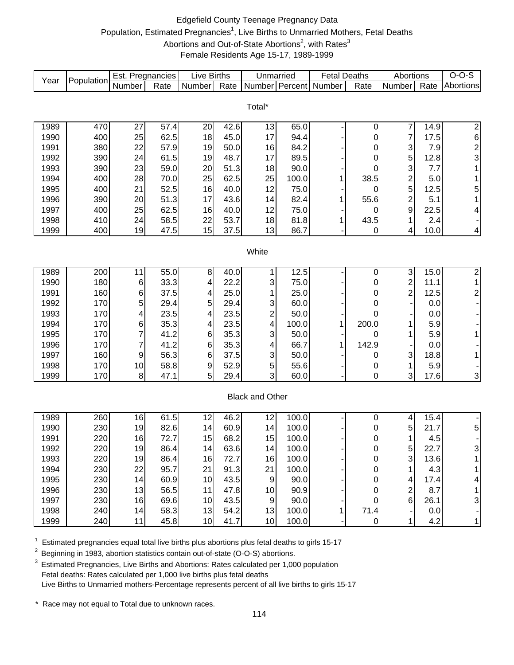# Edgefield County Teenage Pregnancy Data Population, Estimated Pregnancies<sup>1</sup>, Live Births to Unmarried Mothers, Fetal Deaths Abortions and Out-of-State Abortions<sup>2</sup>, with Rates<sup>3</sup> Female Residents Age 15-17, 1989-1999

| Year | Population | Est. Pregnancies |      | <b>Live Births</b> |      | Unmarried              |       | <b>Fetal Deaths</b>   |           | Abortions                 |      | $O-O-S$           |
|------|------------|------------------|------|--------------------|------|------------------------|-------|-----------------------|-----------|---------------------------|------|-------------------|
|      |            | Number           | Rate | Number             | Rate |                        |       | Number Percent Number | Rate      | Number                    | Rate | Abortions         |
|      |            |                  |      |                    |      |                        |       |                       |           |                           |      |                   |
|      |            |                  |      |                    |      | Total*                 |       |                       |           |                           |      |                   |
| 1989 | 470        | 27               | 57.4 | 20                 | 42.6 |                        | 65.0  |                       |           | 7                         | 14.9 |                   |
| 1990 | 400        | 25               | 62.5 | 18                 | 45.0 | 13<br>17               | 94.4  |                       | 0<br>0    | $\overline{7}$            | 17.5 | $\overline{2}$    |
| 1991 | 380        | 22               | 57.9 | 19                 | 50.0 | 16                     | 84.2  |                       | 0         | 3                         | 7.9  | 6                 |
| 1992 | 390        | 24               | 61.5 | 19                 | 48.7 | 17                     | 89.5  |                       | 0         | 5                         | 12.8 | $\frac{2}{3}$     |
| 1993 | 390        | 23               | 59.0 | 20                 | 51.3 | 18                     | 90.0  |                       | 0         | 3                         | 7.7  | $\mathbf{1}$      |
| 1994 | 400        | 28               | 70.0 | 25                 | 62.5 | 25                     | 100.0 | 1                     | 38.5      | $\overline{\mathbf{c}}$   | 5.0  | $\mathbf{1}$      |
| 1995 | 400        | 21               | 52.5 | 16                 | 40.0 | 12                     | 75.0  |                       | 0         | 5                         | 12.5 |                   |
| 1996 | 390        | 20               | 51.3 | 17                 | 43.6 | 14                     | 82.4  | 1                     | 55.6      | $\overline{c}$            | 5.1  | 5<br>$\mathbf{1}$ |
| 1997 | 400        | 25               | 62.5 | 16                 | 40.0 | 12                     | 75.0  |                       | 0         | 9                         | 22.5 |                   |
| 1998 | 410        | 24               | 58.5 | 22                 | 53.7 | 18                     | 81.8  |                       | 43.5      | 1                         | 2.4  | 4                 |
| 1999 | 400        | 19               | 47.5 | 15                 | 37.5 | 13                     | 86.7  | 1                     | 0         | 4                         | 10.0 | 4                 |
|      |            |                  |      |                    |      |                        |       |                       |           |                           |      |                   |
|      |            |                  |      |                    |      | White                  |       |                       |           |                           |      |                   |
|      |            |                  |      |                    |      |                        |       |                       |           |                           |      |                   |
| 1989 | 200        | 11               | 55.0 | 8 <sup>1</sup>     | 40.0 |                        | 12.5  |                       | 0         | $\ensuremath{\mathsf{3}}$ | 15.0 | $\overline{2}$    |
| 1990 | 180        | 6                | 33.3 | $\overline{4}$     | 22.2 | 3                      | 75.0  |                       | 0         | $\overline{c}$            | 11.1 | $\mathbf{1}$      |
| 1991 | 160        | 6                | 37.5 | 4                  | 25.0 |                        | 25.0  |                       | 0         | $\overline{c}$            | 12.5 | $\overline{c}$    |
| 1992 | 170        | 5                | 29.4 | 5                  | 29.4 | 3                      | 60.0  |                       | 0         |                           | 0.0  |                   |
| 1993 | 170        | 4                | 23.5 | 4                  | 23.5 | $\overline{c}$         | 50.0  |                       | 0         |                           | 0.0  |                   |
| 1994 | 170        | 6                | 35.3 | 4                  | 23.5 | 4                      | 100.0 | 1                     | 200.0     | 1                         | 5.9  |                   |
| 1995 | 170        | 7                | 41.2 | 6                  | 35.3 | 3                      | 50.0  |                       | 0         | 1                         | 5.9  | $\mathbf{1}$      |
| 1996 | 170        | 7                | 41.2 | 6                  | 35.3 | 4                      | 66.7  | 1                     | 142.9     |                           | 0.0  |                   |
| 1997 | 160        | 9                | 56.3 | $\,6$              | 37.5 | 3                      | 50.0  |                       | 0         | 3                         | 18.8 | $\mathbf{1}$      |
| 1998 | 170        | 10               | 58.8 | $\boldsymbol{9}$   | 52.9 | 5                      | 55.6  |                       | 0         | 1                         | 5.9  |                   |
| 1999 | 170        | 8                | 47.1 | 5                  | 29.4 | 3                      | 60.0  |                       | 0         | 3                         | 17.6 | 3                 |
|      |            |                  |      |                    |      |                        |       |                       |           |                           |      |                   |
|      |            |                  |      |                    |      | <b>Black and Other</b> |       |                       |           |                           |      |                   |
|      |            |                  |      |                    |      |                        |       |                       |           |                           |      |                   |
| 1989 | 260        | 16               | 61.5 | 12                 | 46.2 | 12                     | 100.0 |                       | 0         | 4                         | 15.4 |                   |
| 1990 | 230        | 19               | 82.6 | 14                 | 60.9 | 14                     | 100.0 |                       | 0         | 5                         | 21.7 | 5                 |
| 1991 | 220        | 16               | 72.7 | 15                 | 68.2 | 15                     | 100.0 |                       | 0         | $\mathbf{1}$              | 4.5  |                   |
| 1992 | 220        | 19               | 86.4 | 14                 | 63.6 | 14                     | 100.0 |                       | 0         | 5 <sup>1</sup>            | 22.7 | 3                 |
| 1993 | 220        | 19               | 86.4 | 16                 | 72.7 | 16                     | 100.0 |                       | $\pmb{0}$ | 3                         | 13.6 | 1                 |
| 1994 | 230        | 22               | 95.7 | 21                 | 91.3 | 21                     | 100.0 |                       | 0         | 1                         | 4.3  | 1                 |
| 1995 | 230        | 14               | 60.9 | 10                 | 43.5 | 9                      | 90.0  |                       | 0         | 4                         | 17.4 | 4                 |
| 1996 | 230        | 13               | 56.5 | 11                 | 47.8 | 10                     | 90.9  |                       | 0         | $\overline{c}$            | 8.7  | 1                 |
| 1997 | 230        | 16               | 69.6 | 10                 | 43.5 | 9                      | 90.0  |                       | 0         | $6\phantom{1}$            | 26.1 | 3                 |
| 1998 | 240        | 14               | 58.3 | 13                 | 54.2 | 13                     | 100.0 | 1                     | 71.4      |                           | 0.0  |                   |
| 1999 | 240        | 11               | 45.8 | 10                 | 41.7 | 10 <sub>1</sub>        | 100.0 |                       | $\pmb{0}$ | 1                         | 4.2  | $\mathbf{1}$      |

 $1$  Estimated pregnancies equal total live births plus abortions plus fetal deaths to girls 15-17

<sup>2</sup> Beginning in 1983, abortion statistics contain out-of-state (O-O-S) abortions.

<sup>3</sup> Estimated Pregnancies, Live Births and Abortions: Rates calculated per 1,000 population Fetal deaths: Rates calculated per 1,000 live births plus fetal deaths Live Births to Unmarried mothers-Percentage represents percent of all live births to girls 15-17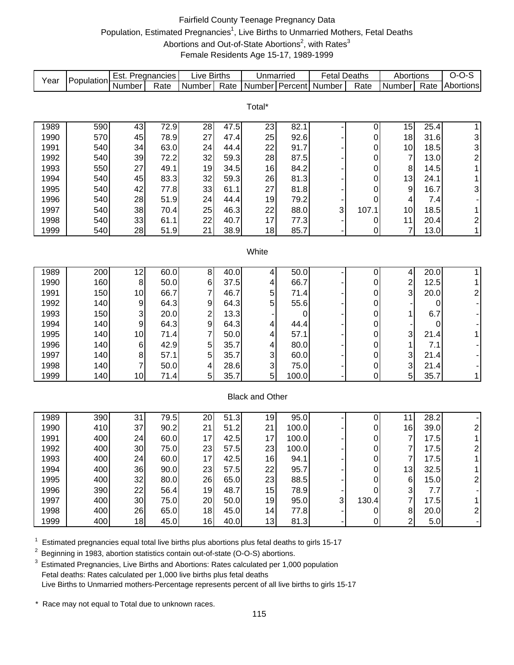# Fairfield County Teenage Pregnancy Data Population, Estimated Pregnancies<sup>1</sup>, Live Births to Unmarried Mothers, Fetal Deaths Abortions and Out-of-State Abortions<sup>2</sup>, with Rates<sup>3</sup> Female Residents Age 15-17, 1989-1999

| Population<br>Year<br>Number Percent<br>Number<br>Rate<br>Number<br>Rate<br>Number<br>Rate<br>Number |                |      | $O-O-S$                                         |
|------------------------------------------------------------------------------------------------------|----------------|------|-------------------------------------------------|
|                                                                                                      |                | Rate | Abortions                                       |
|                                                                                                      |                |      |                                                 |
| Total*                                                                                               |                |      |                                                 |
| 72.9<br>47.5<br>82.1<br>1989<br>590<br>43<br>28<br>23                                                | 15             | 25.4 | $\mathbf{1}$                                    |
| 0<br>570<br>45<br>78.9<br>27<br>25<br>92.6<br>1990<br>47.4<br>0                                      | 18             | 31.6 |                                                 |
| 540<br>63.0<br>22<br>91.7<br>1991<br>34<br>24<br>44.4<br>0                                           | 10             | 18.5 |                                                 |
| 1992<br>540<br>39<br>72.2<br>32<br>59.3<br>28<br>87.5<br>0                                           | $\overline{7}$ | 13.0 | $\begin{array}{c} 3 \\ 3 \\ 2 \\ 1 \end{array}$ |
| 550<br>27<br>49.1<br>19<br>34.5<br>16<br>84.2<br>1993<br>0                                           | 8              | 14.5 |                                                 |
| 1994<br>540<br>45<br>83.3<br>32<br>59.3<br>26<br>81.3<br>0                                           | 13             | 24.1 | $\mathbf{1}$                                    |
| 1995<br>540<br>42<br>33<br>61.1<br>27<br>81.8<br>77.8<br>0                                           | 9              | 16.7 |                                                 |
| 1996<br>540<br>51.9<br>24<br>44.4                                                                    |                | 7.4  | 3                                               |
| 28<br>19<br>79.2<br>0<br>540<br>38<br>25<br>46.3                                                     | 4<br>10        |      | $\overline{\phantom{a}}$                        |
| 3<br>107.1<br>1997<br>70.4<br>22<br>88.0                                                             |                | 18.5 | $\mathbf{1}$                                    |
| 33<br>17<br>1998<br>540<br>61.1<br>22<br>40.7<br>77.3<br>0                                           | 11             | 20.4 | $\begin{array}{c} 2 \\ 1 \end{array}$           |
| 1999<br>540<br>28<br>85.7<br>51.9<br>21<br>38.9<br>18<br>0                                           | 7              | 13.0 |                                                 |
| White                                                                                                |                |      |                                                 |
|                                                                                                      |                |      |                                                 |
| 12<br>60.0<br>1989<br>200<br>$\bf 8$<br>40.0<br>50.0<br>4<br>0                                       | 4              | 20.0 | $\mathbf 1$                                     |
| 160<br>$\, 8$<br>$\,6$<br>66.7<br>1990<br>50.0<br>37.5<br>0<br>4                                     | $\overline{c}$ | 12.5 | $\mathbf 1$                                     |
| 7<br>150<br>66.7<br>1991<br>46.7<br>5<br>71.4<br>10<br>0                                             | 3              | 20.0 | $\boldsymbol{2}$                                |
| 140<br>9<br>5<br>55.6<br>1992<br>9<br>64.3<br>64.3<br>0                                              |                | 0    | $\blacksquare$                                  |
| $\overline{\mathbf{c}}$<br>150<br>$\sqrt{3}$<br>13.3<br>1993<br>20.0<br>0<br>0                       | 1              | 6.7  | $\overline{\phantom{a}}$                        |
| 9<br>140<br>64.3<br>64.3<br>1994<br>$\boldsymbol{9}$<br>44.4<br>0<br>4                               |                | 0    | $\overline{\phantom{a}}$                        |
| 7<br>1995<br>140<br>10<br>50.0<br>57.1<br>71.4<br>0<br>4                                             | 3              | 21.4 | $\mathbf 1$                                     |
| 5<br>140<br>42.9<br>35.7<br>80.0<br>1996<br>6<br>0<br>4                                              | 1              | 7.1  | ÷                                               |
| 5<br>1997<br>140<br>35.7<br>60.0<br>8<br>57.1<br>3<br>0                                              | 3              | 21.4 | $\overline{\phantom{a}}$                        |
| 1998<br>140<br>75.0<br>50.0<br>28.6<br>3<br>4<br>0<br>7                                              | 3              | 21.4 | $\overline{\phantom{a}}$                        |
| 5<br>35.7<br>5<br>0<br>1999<br>140<br>10<br>71.4<br>100.0                                            | 5              | 35.7 | $\mathbf{1}$                                    |
|                                                                                                      |                |      |                                                 |
| <b>Black and Other</b>                                                                               |                |      |                                                 |
|                                                                                                      |                |      |                                                 |
| 79.5<br>$\overline{51}$ .3<br>1989<br>390<br>31<br>20<br>95.0<br>0<br>19                             | 11             | 28.2 | $\overline{\phantom{a}}$                        |
| 410<br>37<br>90.2<br>100.0<br>1990<br>21<br>51.2<br>21<br>0                                          | 16             | 39.0 | $\begin{array}{c} 2 \\ 1 \end{array}$           |
| 1991<br>400<br>42.5<br>17<br>24<br>60.0<br>17<br>100.0<br>0                                          | 7              | 17.5 |                                                 |
| 30<br>23<br>23<br>100.0<br>1992<br>400<br>75.0<br>57.5<br>$\Omega$                                   | $\overline{7}$ | 17.5 | $\overline{2}$                                  |
| 400<br>60.0<br>17<br>42.5<br>1993<br>24<br>16<br>94.1<br>0                                           | $\overline{7}$ | 17.5 | 1                                               |
| 1994<br>400<br>90.0<br>57.5<br>95.7<br>36<br>23<br>22<br>0                                           | 13             | 32.5 | 1                                               |
| 400<br>32<br>26<br>65.0<br>23<br>88.5<br>1995<br>80.0<br>0                                           | 6              | 15.0 | $\overline{\mathbf{c}}$                         |
| 390<br>1996<br>22<br>56.4<br>19<br>48.7<br>15<br>78.9<br>0                                           | 3              | 7.7  |                                                 |
| 1997<br>400<br>30<br>75.0<br>20<br>50.0<br>19<br>95.0<br>3<br>130.4                                  | 7              | 17.5 | $\mathbf{1}$                                    |
| 400<br>26<br>65.0<br>18<br>45.0<br>1998<br>14<br>77.8<br>0                                           | 8              | 20.0 | $\overline{\mathbf{c}}$                         |
| 1999<br>400<br>18<br>45.0<br>16<br>40.0<br>13<br>0<br>81.3                                           | $\overline{2}$ | 5.0  | $\blacksquare$                                  |

 $1$  Estimated pregnancies equal total live births plus abortions plus fetal deaths to girls 15-17

<sup>2</sup> Beginning in 1983, abortion statistics contain out-of-state (O-O-S) abortions.

 $3$  Estimated Pregnancies, Live Births and Abortions: Rates calculated per 1,000 population Fetal deaths: Rates calculated per 1,000 live births plus fetal deaths Live Births to Unmarried mothers-Percentage represents percent of all live births to girls 15-17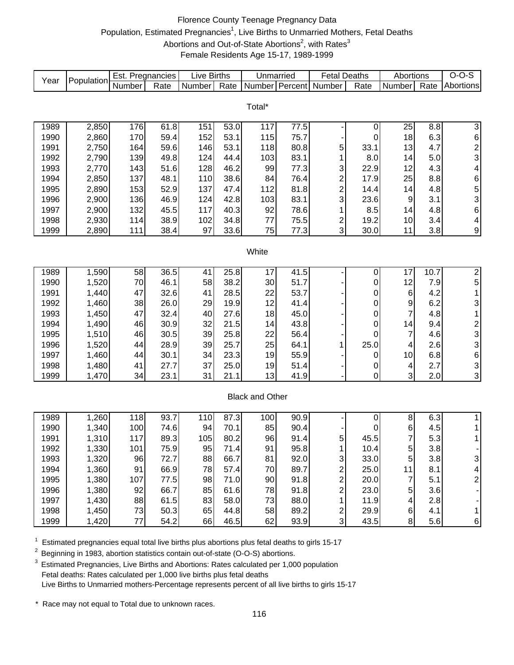#### Florence County Teenage Pregnancy Data Population, Estimated Pregnancies<sup>1</sup>, Live Births to Unmarried Mothers, Fetal Deaths Abortions and Out-of-State Abortions<sup>2</sup>, with Rates<sup>3</sup> Female Residents Age 15-17, 1989-1999

| Year | Population | Est. Pregnancies |      | <b>Live Births</b> |      | Unmarried              |      | <b>Fetal Deaths</b>     |             | Abortions                |      | $O-O-S$                                    |
|------|------------|------------------|------|--------------------|------|------------------------|------|-------------------------|-------------|--------------------------|------|--------------------------------------------|
|      |            | Number           | Rate | Number             | Rate | Number Percent         |      | Number                  | Rate        | Number                   | Rate | Abortions                                  |
|      |            |                  |      |                    |      |                        |      |                         |             |                          |      |                                            |
|      |            |                  |      |                    |      | Total*                 |      |                         |             |                          |      |                                            |
| 1989 | 2,850      | 176              | 61.8 | 151                | 53.0 | 117                    | 77.5 |                         | 0           | 25                       | 8.8  | $\ensuremath{\mathsf{3}}$                  |
| 1990 | 2,860      | 170              | 59.4 | 152                | 53.1 | 115                    | 75.7 |                         | 0           | 18                       | 6.3  |                                            |
| 1991 | 2,750      | 164              | 59.6 | 146                | 53.1 | 118                    | 80.8 | 5                       | 33.1        | 13                       | 4.7  | $\begin{array}{c} 6 \\ 2 \\ 3 \end{array}$ |
| 1992 | 2,790      | 139              | 49.8 | 124                | 44.4 | 103                    | 83.1 | 1                       | 8.0         | 14                       | 5.0  |                                            |
| 1993 | 2,770      | 143              | 51.6 | 128                | 46.2 | 99                     | 77.3 | 3                       | 22.9        | 12                       | 4.3  | 4                                          |
| 1994 | 2,850      | 137              | 48.1 | 110                | 38.6 | 84                     | 76.4 | $\overline{\mathbf{c}}$ | 17.9        | 25                       | 8.8  | 6                                          |
| 1995 | 2,890      | 153              | 52.9 | 137                | 47.4 | 112                    | 81.8 | $\overline{c}$          | 14.4        | 14                       | 4.8  | 5                                          |
| 1996 | 2,900      | 136              | 46.9 | 124                | 42.8 | 103                    | 83.1 | 3                       | 23.6        | 9                        | 3.1  | 3                                          |
| 1997 | 2,900      | 132              | 45.5 | 117                | 40.3 | 92                     | 78.6 | 1                       | 8.5         | 14                       | 4.8  | 6                                          |
| 1998 | 2,930      | 114              | 38.9 | 102                | 34.8 | 77                     | 75.5 | $\overline{\mathbf{c}}$ | 19.2        | 10                       | 3.4  | 4                                          |
| 1999 | 2,890      | 111              | 38.4 | 97                 | 33.6 | 75                     | 77.3 | 3 <sub>l</sub>          | 30.0        | 11                       | 3.8  | 9                                          |
|      |            |                  |      |                    |      |                        |      |                         |             |                          |      |                                            |
|      |            |                  |      |                    |      | White                  |      |                         |             |                          |      |                                            |
|      |            |                  |      |                    |      |                        |      |                         |             |                          |      |                                            |
| 1989 | 1,590      | 58               | 36.5 | 41                 | 25.8 | 17                     | 41.5 |                         | 0           | 17                       | 10.7 | $\overline{2}$                             |
| 1990 | 1,520      | 70               | 46.1 | 58                 | 38.2 | 30                     | 51.7 |                         | 0           | 12                       | 7.9  | 5                                          |
| 1991 | 1,440      | 47               | 32.6 | 41                 | 28.5 | 22                     | 53.7 |                         | 0           | 6                        | 4.2  | $\mathbf 1$                                |
| 1992 | 1,460      | 38               | 26.0 | 29                 | 19.9 | 12                     | 41.4 |                         | 0           | 9                        | 6.2  | 3                                          |
| 1993 | 1,450      | 47               | 32.4 | 40                 | 27.6 | 18                     | 45.0 |                         | $\mathbf 0$ | 7                        | 4.8  | $\mathbf{1}$                               |
| 1994 | 1,490      | 46               | 30.9 | 32                 | 21.5 | 14                     | 43.8 |                         | $\mathbf 0$ | 14                       | 9.4  |                                            |
| 1995 | 1,510      | 46               | 30.5 | 39                 | 25.8 | 22                     | 56.4 |                         | 0           | 7                        | 4.6  | $\begin{array}{c} 2 \\ 3 \\ 3 \end{array}$ |
| 1996 | 1,520      | 44               | 28.9 | 39                 | 25.7 | 25                     | 64.1 | 1                       | 25.0        | 4                        | 2.6  |                                            |
| 1997 | 1,460      | 44               | 30.1 | 34                 | 23.3 | 19                     | 55.9 |                         | 0           | 10                       | 6.8  | 6                                          |
| 1998 | 1,480      | 41               | 27.7 | 37                 | 25.0 | 19                     | 51.4 |                         | 0           | $\overline{\mathcal{A}}$ | 2.7  | 3                                          |
| 1999 | 1,470      | 34               | 23.1 | 31                 | 21.1 | 13                     | 41.9 |                         | 0           | 3                        | 2.0  | 3                                          |
|      |            |                  |      |                    |      |                        |      |                         |             |                          |      |                                            |
|      |            |                  |      |                    |      | <b>Black and Other</b> |      |                         |             |                          |      |                                            |
|      |            |                  |      |                    |      |                        |      |                         |             |                          |      |                                            |
| 1989 | 1,260      | 118              | 93.7 | 110                | 87.3 | 100                    | 90.9 |                         | 0           | $\bf{8}$                 | 6.3  | $\mathbf{1}$                               |
| 1990 | 1,340      | 100              | 74.6 | 94                 | 70.1 | 85                     | 90.4 |                         | 0           | 6                        | 4.5  | 1                                          |
| 1991 | 1,310      | 117              | 89.3 | 105                | 80.2 | 96                     | 91.4 | 5                       | 45.5        | 7                        | 5.3  | 1                                          |
| 1992 | 1,330      | 101              | 75.9 | 95                 | 71.4 | 91                     | 95.8 | 1                       | 10.4        | 5                        | 3.8  |                                            |
| 1993 | 1,320      | 96               | 72.7 | 88                 | 66.7 | 81                     | 92.0 | 3                       | 33.0        | $\overline{5}$           | 3.8  | 3                                          |
| 1994 | 1,360      | 91               | 66.9 | 78                 | 57.4 | 70                     | 89.7 | $\overline{\mathbf{c}}$ | 25.0        | 11                       | 8.1  | 4                                          |
| 1995 | 1,380      | 107              | 77.5 | 98                 | 71.0 | 90                     | 91.8 | 2                       | 20.0        | $\overline{7}$           | 5.1  | $\overline{\mathbf{c}}$                    |
| 1996 | 1,380      | 92               | 66.7 | 85                 | 61.6 | 78                     | 91.8 | $\overline{\mathbf{c}}$ | 23.0        | 5                        | 3.6  |                                            |
| 1997 | 1,430      | 88               | 61.5 | 83                 | 58.0 | 73                     | 88.0 | 1                       | 11.9        | 4                        | 2.8  |                                            |
| 1998 | 1,450      | 73               | 50.3 | 65                 | 44.8 | 58                     | 89.2 | $\overline{\mathbf{c}}$ | 29.9        | $\,6$                    | 4.1  | 1                                          |
| 1999 | 1,420      | 77               | 54.2 | 66                 | 46.5 | 62                     | 93.9 | 3                       | 43.5        | 8                        | 5.6  | 6                                          |

 $1$  Estimated pregnancies equal total live births plus abortions plus fetal deaths to girls 15-17

<sup>2</sup> Beginning in 1983, abortion statistics contain out-of-state (O-O-S) abortions.

<sup>3</sup> Estimated Pregnancies, Live Births and Abortions: Rates calculated per 1,000 population Fetal deaths: Rates calculated per 1,000 live births plus fetal deaths Live Births to Unmarried mothers-Percentage represents percent of all live births to girls 15-17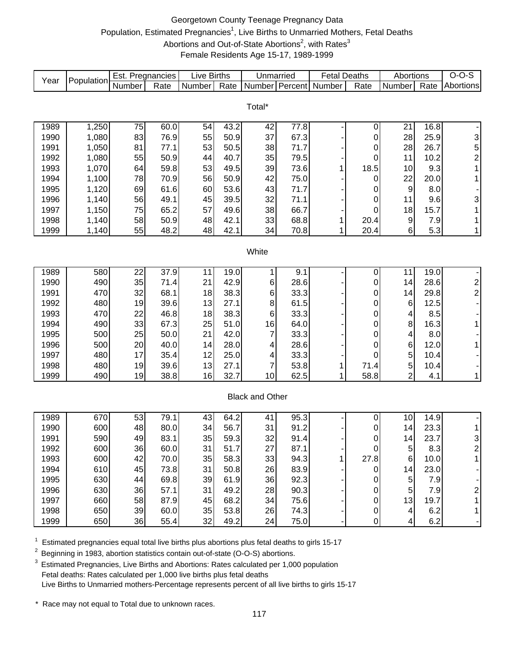# Georgetown County Teenage Pregnancy Data Population, Estimated Pregnancies<sup>1</sup>, Live Births to Unmarried Mothers, Fetal Deaths Abortions and Out-of-State Abortions<sup>2</sup>, with Rates<sup>3</sup> Female Residents Age 15-17, 1989-1999

| Year | Population | Est. Pregnancies |      | Live Births |      | Unmarried              |         | <b>Fetal Deaths</b> |                  | Abortions        |      | $O-O-S$                 |
|------|------------|------------------|------|-------------|------|------------------------|---------|---------------------|------------------|------------------|------|-------------------------|
|      |            | Number           | Rate | Number      | Rate | Number                 | Percent | Number              | Rate             | Number           | Rate | Abortions               |
|      |            |                  |      |             |      |                        |         |                     |                  |                  |      |                         |
|      |            |                  |      |             |      | Total*                 |         |                     |                  |                  |      |                         |
| 1989 | 1,250      | 75               | 60.0 | 54          | 43.2 | 42                     | 77.8    |                     | 0                | 21               | 16.8 |                         |
| 1990 | 1,080      | 83               | 76.9 | 55          | 50.9 | 37                     | 67.3    |                     | 0                | 28               | 25.9 | 3                       |
| 1991 | 1,050      | 81               | 77.1 | 53          | 50.5 | 38                     | 71.7    |                     | 0                | 28               | 26.7 |                         |
| 1992 | 1,080      | 55               | 50.9 | 44          | 40.7 | 35                     | 79.5    |                     | 0                | 11               | 10.2 | $\frac{5}{2}$           |
| 1993 | 1,070      | 64               | 59.8 | 53          | 49.5 | 39                     | 73.6    | 1                   | 18.5             | 10               | 9.3  | $\mathbf{1}$            |
| 1994 | 1,100      | 78               | 70.9 | 56          | 50.9 | 42                     | 75.0    |                     | 0                | 22               | 20.0 | 1                       |
| 1995 | 1,120      | 69               | 61.6 | 60          | 53.6 | 43                     | 71.7    |                     | 0                | 9                | 8.0  |                         |
| 1996 | 1,140      | 56               | 49.1 | 45          | 39.5 | 32                     | 71.1    |                     | 0                | 11               | 9.6  | 3                       |
| 1997 | 1,150      | 75               | 65.2 | 57          | 49.6 | 38                     | 66.7    |                     | 0                | 18               | 15.7 | $\mathbf{1}$            |
| 1998 | 1,140      | 58               | 50.9 | 48          | 42.1 | 33                     | 68.8    | 1                   | 20.4             | $\boldsymbol{9}$ | 7.9  | $\mathbf{1}$            |
| 1999 | 1,140      | 55               | 48.2 | 48          | 42.1 | 34                     | 70.8    | 1                   | 20.4             | 6                | 5.3  | $\mathbf{1}$            |
|      |            |                  |      |             |      |                        |         |                     |                  |                  |      |                         |
|      |            |                  |      |             |      | White                  |         |                     |                  |                  |      |                         |
|      |            |                  |      |             |      |                        |         |                     |                  |                  |      |                         |
| 1989 | 580        | 22               | 37.9 | 11          | 19.0 | 1                      | 9.1     |                     | 0                | 11               | 19.0 |                         |
| 1990 | 490        | 35               | 71.4 | 21          | 42.9 | 6                      | 28.6    |                     | 0                | 14               | 28.6 | $\frac{2}{2}$           |
| 1991 | 470        | 32               | 68.1 | 18          | 38.3 | 6                      | 33.3    |                     | 0                | 14               | 29.8 |                         |
| 1992 | 480        | 19               | 39.6 | 13          | 27.1 | 8                      | 61.5    |                     | 0                | 6                | 12.5 |                         |
| 1993 | 470        | 22               | 46.8 | 18          | 38.3 | 6                      | 33.3    |                     | 0                | 4                | 8.5  |                         |
| 1994 | 490        | 33               | 67.3 | 25          | 51.0 | 16                     | 64.0    |                     | 0                | 8                | 16.3 | $\mathbf{1}$            |
| 1995 | 500        | 25               | 50.0 | 21          | 42.0 | 7                      | 33.3    |                     | 0                | 4                | 8.0  |                         |
| 1996 | 500        | 20               | 40.0 | 14          | 28.0 | 4                      | 28.6    |                     | 0                | 6                | 12.0 | $\mathbf{1}$            |
| 1997 | 480        | 17               | 35.4 | 12          | 25.0 | 4                      | 33.3    |                     | 0                | 5                | 10.4 |                         |
| 1998 | 480        | 19               | 39.6 | 13          | 27.1 | 7                      | 53.8    | 1                   | 71.4             | 5                | 10.4 |                         |
| 1999 | 490        | 19               | 38.8 | 16          | 32.7 | 10                     | 62.5    | 1                   | 58.8             | $\overline{2}$   | 4.1  | $\mathbf{1}$            |
|      |            |                  |      |             |      | <b>Black and Other</b> |         |                     |                  |                  |      |                         |
|      |            |                  |      |             |      |                        |         |                     |                  |                  |      |                         |
| 1989 | 670        | 53               | 79.1 | 43          | 64.2 | 41                     | 95.3    |                     | 0                | 10               | 14.9 |                         |
| 1990 | 600        | 48               | 80.0 | 34          | 56.7 | 31                     | 91.2    |                     | 0                | 14               | 23.3 | 1                       |
| 1991 | 590        | 49               | 83.1 | 35          | 59.3 | 32                     | 91.4    |                     | 0                | 14               | 23.7 | 3                       |
| 1992 | 600        | 36               | 60.0 | 31          | 51.7 | 27                     | 87.1    |                     | U                | 5                | 8.3  | $\overline{2}$          |
| 1993 | 600        | 42               | 70.0 | 35          | 58.3 | 33                     | 94.3    | 1                   | 27.8             | $\,6$            | 10.0 | 1                       |
| 1994 | 610        | 45               | 73.8 | 31          | 50.8 | 26                     | 83.9    |                     | 0                | 14               | 23.0 |                         |
| 1995 | 630        | 44               | 69.8 | 39          | 61.9 | 36                     | 92.3    |                     | 0                | 5                | 7.9  |                         |
| 1996 | 630        | 36               | 57.1 | 31          | 49.2 | 28                     | 90.3    |                     | 0                | 5                | 7.9  | $\overline{\mathbf{c}}$ |
| 1997 | 660        | 58               | 87.9 | 45          | 68.2 | 34                     | 75.6    |                     | 0                | 13               | 19.7 | 1                       |
| 1998 | 650        | 39               | 60.0 | 35          | 53.8 | 26                     | 74.3    |                     | $\boldsymbol{0}$ | 4                | 6.2  | $\mathbf{1}$            |
| 1999 | 650        | 36               | 55.4 | 32          | 49.2 | 24                     | 75.0    |                     | $\boldsymbol{0}$ | 4                | 6.2  |                         |

 $1$  Estimated pregnancies equal total live births plus abortions plus fetal deaths to girls 15-17

<sup>2</sup> Beginning in 1983, abortion statistics contain out-of-state (O-O-S) abortions.

 $3$  Estimated Pregnancies, Live Births and Abortions: Rates calculated per 1,000 population Fetal deaths: Rates calculated per 1,000 live births plus fetal deaths Live Births to Unmarried mothers-Percentage represents percent of all live births to girls 15-17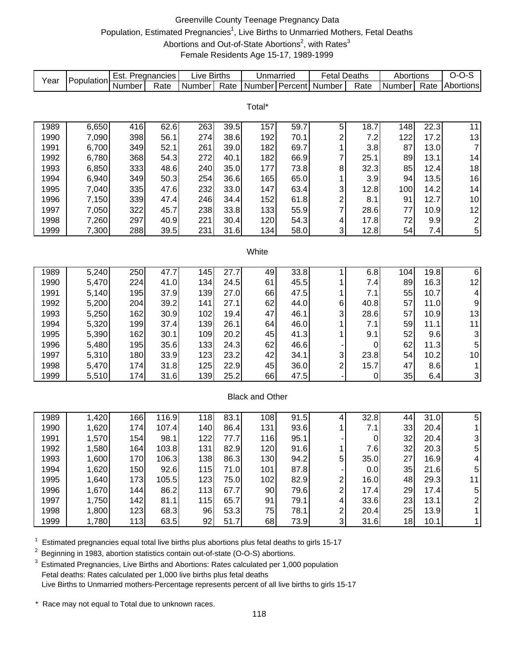# Greenville County Teenage Pregnancy Data Population, Estimated Pregnancies<sup>1</sup>, Live Births to Unmarried Mothers, Fetal Deaths Abortions and Out-of-State Abortions<sup>2</sup>, with Rates<sup>3</sup> Female Residents Age 15-17, 1989-1999

| Year | Population | Est. Pregnancies |       | Live Births |      | Unmarried              |      | <b>Fetal Deaths</b>     |           | Abortions |      | $O-O-S$                 |
|------|------------|------------------|-------|-------------|------|------------------------|------|-------------------------|-----------|-----------|------|-------------------------|
|      |            | Number           | Rate  | Number      | Rate | Number Percent         |      | Number                  | Rate      | Number    | Rate | Abortions               |
|      |            |                  |       |             |      |                        |      |                         |           |           |      |                         |
|      |            |                  |       |             |      | Total*                 |      |                         |           |           |      |                         |
| 1989 | 6,650      | 416              | 62.6  | 263         | 39.5 | 157                    | 59.7 | $\mathbf 5$             | 18.7      | 148       | 22.3 | 11                      |
| 1990 | 7,090      | 398              | 56.1  | 274         | 38.6 | 192                    | 70.1 | $\overline{\mathbf{c}}$ | 7.2       | 122       | 17.2 | 13                      |
| 1991 | 6,700      | 349              | 52.1  | 261         | 39.0 | 182                    | 69.7 | 1                       | 3.8       | 87        | 13.0 | $\overline{7}$          |
| 1992 | 6,780      | 368              | 54.3  | 272         | 40.1 | 182                    | 66.9 | 7                       | 25.1      | 89        | 13.1 | 14                      |
| 1993 | 6,850      | 333              | 48.6  | 240         | 35.0 | 177                    | 73.8 | 8                       | 32.3      | 85        | 12.4 | 18                      |
| 1994 | 6,940      | 349              | 50.3  | 254         | 36.6 | 165                    | 65.0 |                         | 3.9       | 94        | 13.5 | 16                      |
| 1995 | 7,040      |                  | 47.6  | 232         | 33.0 | 147                    | 63.4 | 1                       | 12.8      |           | 14.2 | 14                      |
| 1996 |            | 335              | 47.4  | 246         | 34.4 | 152                    | 61.8 | 3<br>$\overline{c}$     | 8.1       | 100<br>91 | 12.7 |                         |
| 1997 | 7,150      | 339              | 45.7  |             | 33.8 | 133                    | 55.9 | 7                       | 28.6      | 77        | 10.9 | $10$                    |
|      | 7,050      | 322              |       | 238         |      |                        |      |                         |           |           |      | 12                      |
| 1998 | 7,260      | 297              | 40.9  | 221         | 30.4 | 120                    | 54.3 | 4<br>3                  | 17.8      | 72        | 9.9  | $\boldsymbol{2}$        |
| 1999 | 7,300      | 288              | 39.5  | 231         | 31.6 | 134                    | 58.0 |                         | 12.8      | 54        | 7.4  | 5                       |
|      |            |                  |       |             |      | White                  |      |                         |           |           |      |                         |
|      |            |                  |       |             |      |                        |      |                         |           |           |      |                         |
| 1989 | 5,240      | 250              | 47.7  | 145         | 27.7 | 49                     | 33.8 | 1                       | 6.8       | 104       | 19.8 | $\overline{6}$          |
| 1990 | 5,470      | 224              | 41.0  | 134         | 24.5 | 61                     | 45.5 | 1                       | 7.4       | 89        | 16.3 | 12                      |
| 1991 | 5,140      | 195              | 37.9  | 139         | 27.0 | 66                     | 47.5 | 1                       | 7.1       | 55        | 10.7 | $\overline{\mathbf{4}}$ |
| 1992 | 5,200      | 204              | 39.2  | 141         | 27.1 | 62                     | 44.0 | 6                       | 40.8      | 57        | 11.0 | $\boldsymbol{9}$        |
| 1993 | 5,250      | 162              | 30.9  | 102         | 19.4 | 47                     | 46.1 | 3                       | 28.6      | 57        | 10.9 | 13                      |
| 1994 | 5,320      | 199              | 37.4  | 139         | 26.1 | 64                     | 46.0 | 1                       | 7.1       | 59        | 11.1 | 11                      |
| 1995 | 5,390      | 162              | 30.1  | 109         | 20.2 | 45                     | 41.3 |                         | 9.1       | 52        | 9.6  | 3                       |
| 1996 | 5,480      | 195              | 35.6  | 133         | 24.3 | 62                     | 46.6 |                         | 0         | 62        | 11.3 | 5                       |
| 1997 | 5,310      | 180              | 33.9  | 123         | 23.2 | 42                     | 34.1 | 3                       | 23.8      | 54        | 10.2 | 10                      |
| 1998 | 5,470      | 174              | 31.8  | 125         | 22.9 | 45                     | 36.0 | $\overline{\mathbf{c}}$ | 15.7      | 47        | 8.6  | 1                       |
| 1999 | 5,510      | 174              | 31.6  | 139         | 25.2 | 66                     | 47.5 |                         | $\pmb{0}$ | 35        | 6.4  | 3                       |
|      |            |                  |       |             |      |                        |      |                         |           |           |      |                         |
|      |            |                  |       |             |      | <b>Black and Other</b> |      |                         |           |           |      |                         |
|      |            |                  |       |             |      |                        |      |                         |           |           |      |                         |
| 1989 | 1,420      | 166              | 116.9 | 118         | 83.1 | 108                    | 91.5 | 4                       | 32.8      | 44        | 31.0 | 5                       |
| 1990 | 1,620      | 174              | 107.4 | 140         | 86.4 | 131                    | 93.6 | 1                       | 7.1       | 33        | 20.4 | $\mathbf{1}$            |
| 1991 | 1,570      | 154              | 98.1  | 122         | 77.7 | 116                    | 95.1 |                         | $\pmb{0}$ | 32        | 20.4 | 3                       |
| 1992 | 1,580      | 164              | 103.8 | 131         | 82.9 | 120                    | 91.6 |                         | 7.6       | 32        | 20.3 | 5                       |
| 1993 | 1,600      | 170              | 106.3 | 138         | 86.3 | 130                    | 94.2 | 5                       | 35.0      | 27        | 16.9 | 4                       |
| 1994 | 1,620      | 150              | 92.6  | 115         | 71.0 | 101                    | 87.8 |                         | 0.0       | 35        | 21.6 | 5                       |
| 1995 | 1,640      | 173              | 105.5 | 123         | 75.0 | 102                    | 82.9 | 2                       | 16.0      | 48        | 29.3 | 11                      |
| 1996 | 1,670      | 144              | 86.2  | 113         | 67.7 | 90                     | 79.6 | 2                       | 17.4      | 29        | 17.4 | 5                       |
| 1997 | 1,750      | 142              | 81.1  | 115         | 65.7 | 91                     | 79.1 | 4                       | 33.6      | 23        | 13.1 | $\overline{\mathbf{c}}$ |
| 1998 | 1,800      | 123              | 68.3  | 96          | 53.3 | 75                     | 78.1 | $\boldsymbol{2}$        | 20.4      | 25        | 13.9 | $\mathbf{1}$            |
| 1999 | 1,780      | 113              | 63.5  | 92          | 51.7 | 68                     | 73.9 | 3                       | 31.6      | 18        | 10.1 | $\mathbf{1}$            |

 $1$  Estimated pregnancies equal total live births plus abortions plus fetal deaths to girls 15-17

<sup>2</sup> Beginning in 1983, abortion statistics contain out-of-state (O-O-S) abortions.

<sup>3</sup> Estimated Pregnancies, Live Births and Abortions: Rates calculated per 1,000 population Fetal deaths: Rates calculated per 1,000 live births plus fetal deaths Live Births to Unmarried mothers-Percentage represents percent of all live births to girls 15-17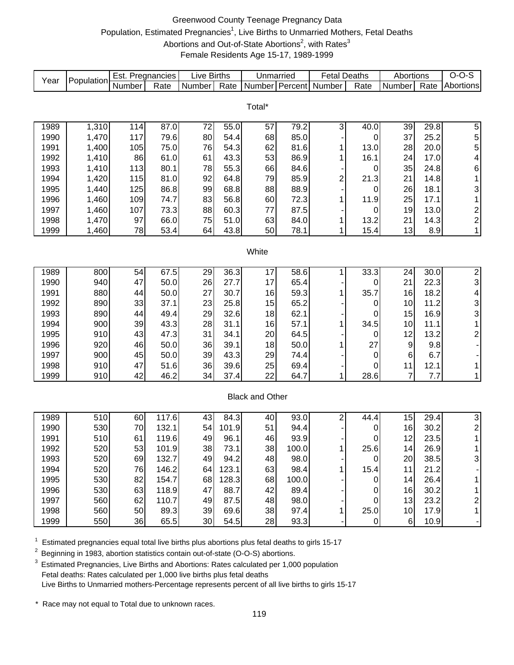# Greenwood County Teenage Pregnancy Data Population, Estimated Pregnancies<sup>1</sup>, Live Births to Unmarried Mothers, Fetal Deaths Abortions and Out-of-State Abortions<sup>2</sup>, with Rates<sup>3</sup> Female Residents Age 15-17, 1989-1999

| Year | Population | Est. Pregnancies |       | <b>Live Births</b> |       | Unmarried              |       | <b>Fetal Deaths</b> |             | Abortions      |      | $O-O-S$                  |
|------|------------|------------------|-------|--------------------|-------|------------------------|-------|---------------------|-------------|----------------|------|--------------------------|
|      |            | Number           | Rate  | Number             | Rate  | Number Percent         |       | Number              | Rate        | Number         | Rate | Abortions                |
|      |            |                  |       |                    |       |                        |       |                     |             |                |      |                          |
|      |            |                  |       |                    |       | Total*                 |       |                     |             |                |      |                          |
| 1989 | 1,310      | 114              | 87.0  | 72                 | 55.0  | 57                     | 79.2  | 3                   | 40.0        | 39             | 29.8 | 5                        |
| 1990 | 1,470      | 117              | 79.6  | 80                 | 54.4  | 68                     | 85.0  |                     | 0           | 37             | 25.2 |                          |
| 1991 | 1,400      | 105              | 75.0  | 76                 | 54.3  | 62                     | 81.6  | 1                   | 13.0        | 28             | 20.0 | 5<br>5                   |
| 1992 | 1,410      | 86               | 61.0  | 61                 | 43.3  | 53                     | 86.9  | 1                   | 16.1        | 24             | 17.0 | 4                        |
| 1993 | 1,410      | 113              | 80.1  | 78                 | 55.3  | 66                     | 84.6  |                     | 0           | 35             | 24.8 | 6                        |
| 1994 | 1,420      | 115              | 81.0  | 92                 | 64.8  | 79                     | 85.9  | $\overline{c}$      | 21.3        | 21             | 14.8 | 1                        |
| 1995 | 1,440      | 125              | 86.8  | 99                 | 68.8  | 88                     | 88.9  |                     | $\mathbf 0$ | 26             | 18.1 | 3                        |
| 1996 | 1,460      | 109              | 74.7  | 83                 | 56.8  | 60                     | 72.3  | 1                   | 11.9        | 25             | 17.1 | 1                        |
| 1997 | 1,460      | 107              | 73.3  | 88                 | 60.3  | 77                     | 87.5  |                     | 0           | 19             | 13.0 | $\overline{\mathbf{c}}$  |
| 1998 | 1,470      | 97               | 66.0  | 75                 | 51.0  | 63                     | 84.0  | 1                   | 13.2        | 21             | 14.3 | $\overline{c}$           |
| 1999 | 1,460      | 78               | 53.4  | 64                 | 43.8  | 50                     | 78.1  | 1                   | 15.4        | 13             | 8.9  | 1                        |
|      |            |                  |       |                    |       |                        |       |                     |             |                |      |                          |
|      |            |                  |       |                    |       | White                  |       |                     |             |                |      |                          |
|      |            |                  |       |                    |       |                        |       |                     |             |                |      |                          |
| 1989 | 800        | 54               | 67.5  | 29                 | 36.3  | 17                     | 58.6  | 1                   | 33.3        | 24             | 30.0 | $\overline{2}$           |
| 1990 | 940        | 47               | 50.0  | 26                 | 27.7  | 17                     | 65.4  |                     | 0           | 21             | 22.3 | 3                        |
| 1991 | 880        | 44               | 50.0  | 27                 | 30.7  | 16                     | 59.3  | 1                   | 35.7        | 16             | 18.2 | $\overline{\mathcal{L}}$ |
| 1992 | 890        | 33               | 37.1  | 23                 | 25.8  | 15                     | 65.2  |                     | 0           | 10             | 11.2 | $\frac{3}{3}$            |
| 1993 | 890        | 44               | 49.4  | 29                 | 32.6  | 18                     | 62.1  |                     | 0           | 15             | 16.9 |                          |
| 1994 | 900        | 39               | 43.3  | 28                 | 31.1  | 16                     | 57.1  | 1                   | 34.5        | 10             | 11.1 | 1                        |
| 1995 | 910        | 43               | 47.3  | 31                 | 34.1  | 20                     | 64.5  |                     | 0           | 12             | 13.2 | $\overline{\mathbf{c}}$  |
| 1996 | 920        | 46               | 50.0  | 36                 | 39.1  | 18                     | 50.0  | 1                   | 27          | 9              | 9.8  |                          |
| 1997 | 900        | 45               | 50.0  | 39                 | 43.3  | 29                     | 74.4  |                     | $\mathbf 0$ | 6              | 6.7  |                          |
| 1998 | 910        | 47               | 51.6  | 36                 | 39.6  | 25                     | 69.4  |                     | 0           | 11             | 12.1 | 1                        |
| 1999 | 910        | 42               | 46.2  | 34                 | 37.4  | 22                     | 64.7  | 1                   | 28.6        | $\overline{7}$ | 7.7  | 1                        |
|      |            |                  |       |                    |       | <b>Black and Other</b> |       |                     |             |                |      |                          |
|      |            |                  |       |                    |       |                        |       |                     |             |                |      |                          |
| 1989 | 510        | 60               | 117.6 | 43                 | 84.3  | 40                     | 93.0  | $\overline{c}$      | 44.4        | 15             | 29.4 | 3                        |
| 1990 | 530        | 70               | 132.1 | 54                 | 101.9 | 51                     | 94.4  |                     | $\mathbf 0$ | 16             | 30.2 | $\boldsymbol{2}$         |
| 1991 | 510        | 61               | 119.6 | 49                 | 96.1  | 46                     | 93.9  |                     | 0           | 12             | 23.5 | $\mathbf 1$              |
| 1992 | 520        | 53               | 101.9 | 38                 | 73.1  | 38                     | 100.0 |                     | 25.6        | 14             | 26.9 |                          |
| 1993 | 520        | 69               | 132.7 | 49                 | 94.2  | 48                     | 98.0  |                     | 0           | 20             | 38.5 | 3                        |
| 1994 | 520        | 76               | 146.2 | 64                 | 123.1 | 63                     | 98.4  | 1                   | 15.4        | 11             | 21.2 |                          |
| 1995 | 530        | 82               | 154.7 | 68                 | 128.3 | 68                     | 100.0 |                     | 0           | 14             | 26.4 |                          |
| 1996 | 530        | 63               | 118.9 | 47                 | 88.7  | 42                     | 89.4  |                     | 0           | 16             | 30.2 |                          |
| 1997 | 560        | 62               | 110.7 | 49                 | 87.5  | 48                     | 98.0  |                     | $\mathbf 0$ | 13             | 23.2 | $\overline{c}$           |
| 1998 | 560        | 50               | 89.3  | 39                 | 69.6  | 38                     | 97.4  | 1                   | 25.0        | 10             | 17.9 | 1                        |
| 1999 | 550        | 36               | 65.5  | 30                 | 54.5  | 28                     | 93.3  |                     | $\pmb{0}$   | $6\phantom{1}$ | 10.9 |                          |

 $1$  Estimated pregnancies equal total live births plus abortions plus fetal deaths to girls 15-17

<sup>2</sup> Beginning in 1983, abortion statistics contain out-of-state (O-O-S) abortions.

 $3$  Estimated Pregnancies, Live Births and Abortions: Rates calculated per 1,000 population Fetal deaths: Rates calculated per 1,000 live births plus fetal deaths Live Births to Unmarried mothers-Percentage represents percent of all live births to girls 15-17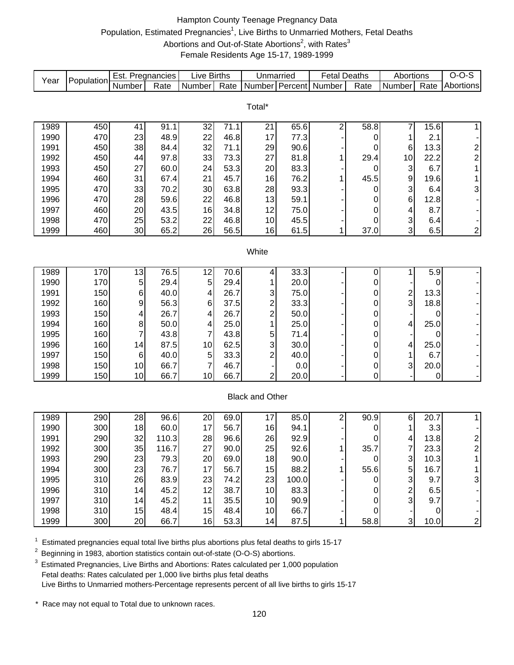# Hampton County Teenage Pregnancy Data Population, Estimated Pregnancies<sup>1</sup>, Live Births to Unmarried Mothers, Fetal Deaths Abortions and Out-of-State Abortions<sup>2</sup>, with Rates<sup>3</sup> Female Residents Age 15-17, 1989-1999

| Year | Population | Est. Pregnancies |       | Live Births    |      | Unmarried               |       | <b>Fetal Deaths</b>     |             | Abortions               |           | $O-O-S$                 |
|------|------------|------------------|-------|----------------|------|-------------------------|-------|-------------------------|-------------|-------------------------|-----------|-------------------------|
|      |            | Number           | Rate  | Number         | Rate |                         |       | Number Percent Number   | Rate        | Number                  | Rate      | Abortions               |
|      |            |                  |       |                |      |                         |       |                         |             |                         |           |                         |
|      |            |                  |       |                |      | Total*                  |       |                         |             |                         |           |                         |
| 1989 | 450        | 41               | 91.1  | 32             | 71.1 | 21                      | 65.6  | $\overline{\mathbf{c}}$ | 58.8        | 7                       | 15.6      | 1                       |
| 1990 | 470        | 23               | 48.9  | 22             | 46.8 | 17                      | 77.3  |                         | 0           | 1                       | 2.1       |                         |
| 1991 | 450        | 38               | 84.4  | 32             | 71.1 | 29                      | 90.6  |                         | 0           | 6                       | 13.3      | $\overline{\mathbf{c}}$ |
| 1992 | 450        | 44               | 97.8  | 33             | 73.3 | 27                      | 81.8  | 1                       | 29.4        | 10                      | 22.2      | $\overline{c}$          |
| 1993 | 450        | 27               | 60.0  | 24             | 53.3 | 20                      | 83.3  |                         | 0           | 3                       | 6.7       | 1                       |
| 1994 | 460        | 31               | 67.4  | 21             | 45.7 | 16                      | 76.2  | 1                       | 45.5        | 9                       | 19.6      | 1                       |
| 1995 | 470        | 33               | 70.2  | 30             | 63.8 | 28                      | 93.3  |                         | 0           | 3                       | 6.4       | 3                       |
| 1996 | 470        | 28               | 59.6  | 22             | 46.8 | 13                      | 59.1  |                         | 0           | 6                       | 12.8      |                         |
| 1997 | 460        | 20               | 43.5  | 16             | 34.8 | 12                      | 75.0  |                         | 0           | 4                       | 8.7       |                         |
| 1998 | 470        | 25               | 53.2  | 22             | 46.8 | 10                      | 45.5  |                         | 0           | 3                       | 6.4       |                         |
| 1999 | 460        | 30               | 65.2  | 26             | 56.5 | 16                      | 61.5  | 1                       | 37.0        | 3                       | 6.5       | $\overline{\mathbf{c}}$ |
|      |            |                  |       |                |      |                         |       |                         |             |                         |           |                         |
|      |            |                  |       |                |      | White                   |       |                         |             |                         |           |                         |
|      |            |                  |       |                |      |                         |       |                         |             |                         |           |                         |
| 1989 | 170        | 13               | 76.5  | 12             | 70.6 | 4                       | 33.3  |                         | 0           | 1                       | 5.9       |                         |
| 1990 | 170        | 5                | 29.4  | 5              | 29.4 |                         | 20.0  |                         | 0           |                         | 0         |                         |
| 1991 | 150        | 6                | 40.0  | 4              | 26.7 | 3                       | 75.0  |                         | 0           | $\overline{\mathbf{c}}$ | 13.3      |                         |
| 1992 | 160        | 9                | 56.3  | 6              | 37.5 | $\overline{\mathbf{c}}$ | 33.3  |                         | 0           | 3                       | 18.8      |                         |
| 1993 | 150        | 4                | 26.7  | 4              | 26.7 | $\overline{\mathbf{c}}$ | 50.0  |                         | 0           |                         | 0         |                         |
| 1994 | 160        | 8                | 50.0  | 4              | 25.0 | 1                       | 25.0  |                         | 0           | 4                       | 25.0      |                         |
| 1995 | 160        | 7                | 43.8  | 7              | 43.8 | 5                       | 71.4  |                         | 0           |                         | 0         |                         |
| 1996 | 160        | 14               | 87.5  | 10             | 62.5 | 3                       | 30.0  |                         | 0           | 4                       | 25.0      |                         |
| 1997 | 150        | 6                | 40.0  | $\,$ 5 $\,$    | 33.3 | 2                       | 40.0  |                         | 0           | 1                       | 6.7       |                         |
| 1998 | 150        | 10               | 66.7  | $\overline{7}$ | 46.7 |                         | 0.0   |                         | 0           | 3                       | 20.0      |                         |
| 1999 | 150        | 10               | 66.7  | 10             | 66.7 | 2                       | 20.0  |                         | $\mathbf 0$ |                         | 0         |                         |
|      |            |                  |       |                |      |                         |       |                         |             |                         |           |                         |
|      |            |                  |       |                |      | <b>Black and Other</b>  |       |                         |             |                         |           |                         |
|      |            |                  |       |                |      |                         |       |                         |             |                         |           |                         |
| 1989 | 290        | 28               | 96.6  | 20             | 69.0 | 17                      | 85.0  | $\overline{c}$          | 90.9        | 6                       | 20.7      | 1                       |
| 1990 | 300        | 18               | 60.0  | 17             | 56.7 | 16                      | 94.1  |                         | 0           | 1                       | 3.3       |                         |
| 1991 | 290        | 32               | 110.3 | 28             | 96.6 | 26                      | 92.9  |                         | 0           | 4                       | 13.8      | $\overline{\mathbf{c}}$ |
| 1992 | 300        | 35               | 116.7 | 27             | 90.0 | 25                      | 92.6  | 1                       | 35.7        | $\overline{7}$          | 23.3      | $\overline{2}$          |
| 1993 | 290        | 23               | 79.3  | 20             | 69.0 | 18                      | 90.0  |                         | $\mathbf 0$ | 3                       | 10.3      |                         |
| 1994 | 300        | 23               | 76.7  | 17             | 56.7 | 15                      | 88.2  | 1                       | 55.6        | 5                       | 16.7      |                         |
| 1995 | 310        | 26               | 83.9  | 23             | 74.2 | 23                      | 100.0 |                         | 0           | 3                       | 9.7       | 3                       |
| 1996 | 310        | 14               | 45.2  | 12             | 38.7 | 10                      | 83.3  |                         | 0           | $\overline{c}$          | 6.5       |                         |
| 1997 | 310        | 14               | 45.2  | 11             | 35.5 | 10                      | 90.9  |                         | 0           | 3                       | 9.7       |                         |
| 1998 | 310        | 15               | 48.4  | 15             | 48.4 | 10                      | 66.7  |                         | $\mathbf 0$ |                         | $\pmb{0}$ |                         |
| 1999 | 300        | 20               | 66.7  | 16             | 53.3 | 14                      | 87.5  | 1                       | 58.8        | $\overline{3}$          | 10.0      | $\overline{\mathbf{c}}$ |

 $1$  Estimated pregnancies equal total live births plus abortions plus fetal deaths to girls 15-17

<sup>2</sup> Beginning in 1983, abortion statistics contain out-of-state (O-O-S) abortions.

 $3$  Estimated Pregnancies, Live Births and Abortions: Rates calculated per 1,000 population Fetal deaths: Rates calculated per 1,000 live births plus fetal deaths Live Births to Unmarried mothers-Percentage represents percent of all live births to girls 15-17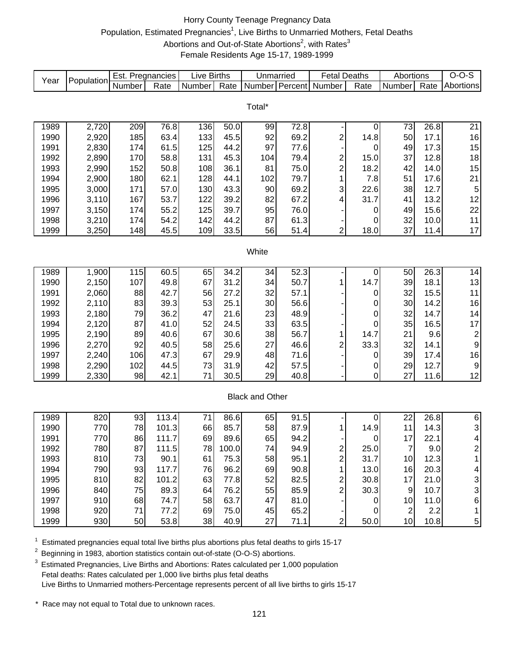# Horry County Teenage Pregnancy Data Population, Estimated Pregnancies<sup>1</sup>, Live Births to Unmarried Mothers, Fetal Deaths Abortions and Out-of-State Abortions<sup>2</sup>, with Rates<sup>3</sup> Female Residents Age 15-17, 1989-1999

| Year | Population | Est. Pregnancies |       | <b>Live Births</b> |       | Unmarried              |      | <b>Fetal Deaths</b>     |                  | Abortions      |      | $O-O-S$                 |
|------|------------|------------------|-------|--------------------|-------|------------------------|------|-------------------------|------------------|----------------|------|-------------------------|
|      |            | Number           | Rate  | Number             | Rate  |                        |      | Number Percent Number   | Rate             | Number         | Rate | Abortions               |
|      |            |                  |       |                    |       |                        |      |                         |                  |                |      |                         |
|      |            |                  |       |                    |       | Total*                 |      |                         |                  |                |      |                         |
| 1989 | 2,720      | 209              | 76.8  | 136                | 50.0  | 99                     | 72.8 |                         | $\boldsymbol{0}$ | 73             | 26.8 | 21                      |
| 1990 | 2,920      | 185              | 63.4  | 133                | 45.5  | 92                     | 69.2 | $\overline{c}$          | 14.8             | 50             | 17.1 | 16                      |
| 1991 | 2,830      | 174              | 61.5  | 125                | 44.2  | 97                     | 77.6 |                         | 0                | 49             | 17.3 | 15                      |
| 1992 | 2,890      | 170              | 58.8  | 131                | 45.3  | 104                    | 79.4 | $\overline{\mathbf{c}}$ | 15.0             | 37             | 12.8 | $18\,$                  |
| 1993 | 2,990      | 152              | 50.8  | 108                | 36.1  | 81                     | 75.0 | $\overline{c}$          | 18.2             | 42             | 14.0 | 15                      |
| 1994 | 2,900      | 180              | 62.1  | 128                | 44.1  | 102                    | 79.7 | 1                       | 7.8              | 51             | 17.6 | 21                      |
| 1995 | 3,000      | 171              | 57.0  | 130                | 43.3  | 90                     | 69.2 | 3                       | 22.6             | 38             | 12.7 | 5                       |
| 1996 | 3,110      | 167              | 53.7  | 122                | 39.2  | 82                     | 67.2 | 4                       | 31.7             | 41             | 13.2 | 12                      |
| 1997 | 3,150      | 174              | 55.2  | 125                | 39.7  | 95                     | 76.0 |                         |                  | 49             | 15.6 |                         |
| 1998 | 3,210      | 174              | 54.2  | 142                | 44.2  | 87                     | 61.3 |                         | 0                | 32             | 10.0 | 22<br>11                |
| 1999 | 3,250      | 148              | 45.5  | 109                | 33.5  | 56                     | 51.4 | $\overline{2}$          | 0<br>18.0        | 37             | 11.4 | 17                      |
|      |            |                  |       |                    |       |                        |      |                         |                  |                |      |                         |
|      |            |                  |       |                    |       | White                  |      |                         |                  |                |      |                         |
|      |            |                  |       |                    |       |                        |      |                         |                  |                |      |                         |
| 1989 | 1,900      | 115              | 60.5  | 65                 | 34.2  | 34                     | 52.3 |                         | $\pmb{0}$        | 50             | 26.3 | $\overline{14}$         |
| 1990 | 2,150      | 107              | 49.8  | 67                 | 31.2  | 34                     | 50.7 | 1                       | 14.7             | 39             | 18.1 | 13                      |
| 1991 | 2,060      | 88               | 42.7  | 56                 | 27.2  | 32                     | 57.1 |                         | 0                | 32             | 15.5 | 11                      |
| 1992 | 2,110      | 83               | 39.3  | 53                 | 25.1  | 30                     | 56.6 |                         | 0                | 30             | 14.2 | 16                      |
| 1993 | 2,180      | 79               | 36.2  | 47                 | 21.6  | 23                     | 48.9 |                         | $\mathbf 0$      | 32             | 14.7 | 14                      |
| 1994 | 2,120      | 87               | 41.0  | 52                 | 24.5  | 33                     | 63.5 |                         | 0                | 35             | 16.5 | 17                      |
| 1995 | 2,190      | 89               | 40.6  | 67                 | 30.6  | 38                     | 56.7 | 1                       | 14.7             | 21             | 9.6  |                         |
| 1996 | 2,270      | 92               | 40.5  | 58                 | 25.6  | 27                     | 46.6 | $\overline{c}$          | 33.3             | 32             | 14.1 | $\frac{2}{9}$           |
| 1997 | 2,240      | 106              | 47.3  | 67                 | 29.9  | 48                     | 71.6 |                         | 0                | 39             | 17.4 | $16\,$                  |
| 1998 | 2,290      | 102              | 44.5  | 73                 | 31.9  | 42                     | 57.5 |                         | 0                | 29             | 12.7 | $\boldsymbol{9}$        |
| 1999 | 2,330      | 98               | 42.1  | 71                 | 30.5  | 29                     | 40.8 |                         | 0                | 27             | 11.6 | 12                      |
|      |            |                  |       |                    |       |                        |      |                         |                  |                |      |                         |
|      |            |                  |       |                    |       | <b>Black and Other</b> |      |                         |                  |                |      |                         |
|      |            |                  |       |                    |       |                        |      |                         |                  |                |      |                         |
| 1989 | 820        | 93               | 113.4 | 71                 | 86.6  | 65                     | 91.5 |                         | 0                | 22             | 26.8 | $\boldsymbol{6}$        |
| 1990 | 770        | 78               | 101.3 | 66                 | 85.7  | 58                     | 87.9 | 1                       | 14.9             | 11             | 14.3 | 3                       |
| 1991 | 770        | 86               | 111.7 | 69                 | 89.6  | 65                     | 94.2 |                         | 0                | 17             | 22.1 | $\overline{\mathbf{4}}$ |
| 1992 | 780        | 87               | 111.5 | 78                 | 100.0 | 74                     | 94.9 | $\overline{2}$          | 25.0             | $\overline{7}$ | 9.0  | $\overline{2}$          |
| 1993 | 810        | 73               | 90.1  | 61                 | 75.3  | 58                     | 95.1 | 2                       | 31.7             | 10             | 12.3 | 1                       |
| 1994 | 790        | 93               | 117.7 | 76                 | 96.2  | 69                     | 90.8 | 1                       | 13.0             | 16             | 20.3 | $\overline{\mathbf{4}}$ |
| 1995 | 810        | 82               | 101.2 | 63                 | 77.8  | 52                     | 82.5 | $\overline{c}$          | 30.8             | 17             | 21.0 | 3                       |
| 1996 | 840        | 75               | 89.3  | 64                 | 76.2  | 55                     | 85.9 | $\overline{2}$          | 30.3             | 9              | 10.7 | 3                       |
| 1997 | 910        | 68               | 74.7  | 58                 | 63.7  | 47                     | 81.0 |                         | 0                | 10             | 11.0 | $\,6$                   |
| 1998 | 920        | 71               | 77.2  | 69                 | 75.0  | 45                     | 65.2 |                         | 0                | $\mathbf{2}$   | 2.2  | $\mathbf 1$             |
| 1999 | 930        | 50               | 53.8  | 38                 | 40.9  | 27                     | 71.1 | $\overline{2}$          | 50.0             | 10             | 10.8 | 5                       |

 $1$  Estimated pregnancies equal total live births plus abortions plus fetal deaths to girls 15-17

<sup>2</sup> Beginning in 1983, abortion statistics contain out-of-state (O-O-S) abortions.

 $3$  Estimated Pregnancies, Live Births and Abortions: Rates calculated per 1,000 population Fetal deaths: Rates calculated per 1,000 live births plus fetal deaths Live Births to Unmarried mothers-Percentage represents percent of all live births to girls 15-17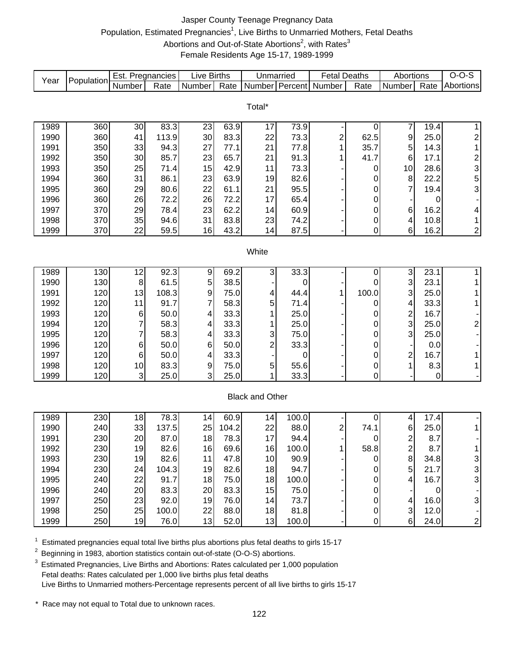# Jasper County Teenage Pregnancy Data Population, Estimated Pregnancies<sup>1</sup>, Live Births to Unmarried Mothers, Fetal Deaths Abortions and Out-of-State Abortions<sup>2</sup>, with Rates<sup>3</sup> Female Residents Age 15-17, 1989-1999

| Year | Population | Est. Pregnancies |                   | <b>Live Births</b> |       | Unmarried              |       | <b>Fetal Deaths</b> |                  | Abortions               |      | $O-O-S$                                         |
|------|------------|------------------|-------------------|--------------------|-------|------------------------|-------|---------------------|------------------|-------------------------|------|-------------------------------------------------|
|      |            | Number           | Rate              | Number             | Rate  | Number                 |       | Percent Number      | Rate             | Number                  | Rate | Abortions                                       |
|      |            |                  |                   |                    |       |                        |       |                     |                  |                         |      |                                                 |
|      |            |                  |                   |                    |       | Total*                 |       |                     |                  |                         |      |                                                 |
| 1989 | 360        | 30               | 83.3              | 23                 | 63.9  | 17                     | 73.9  |                     | 0                | 7                       | 19.4 | $\mathbf{1}$                                    |
| 1990 | 360        | 41               | 113.9             | 30                 | 83.3  | 22                     | 73.3  | 2                   | 62.5             | 9                       | 25.0 | $\overline{\mathbf{c}}$                         |
| 1991 | 350        | 33               | 94.3              | 27                 | 77.1  | 21                     | 77.8  | 1                   | 35.7             | 5                       | 14.3 | $\mathbf{1}$                                    |
| 1992 | 350        | 30               | 85.7              | 23                 | 65.7  | 21                     | 91.3  | 1                   | 41.7             | $\,6$                   | 17.1 |                                                 |
| 1993 | 350        | 25               | 71.4              | 15                 | 42.9  | 11                     | 73.3  |                     | 0                | 10                      | 28.6 | $\begin{array}{c} 2 \\ 3 \\ 5 \\ 3 \end{array}$ |
| 1994 | 360        | 31               | 86.1              | 23                 | 63.9  | 19                     | 82.6  |                     | 0                | 8                       | 22.2 |                                                 |
| 1995 | 360        | 29               | 80.6              | 22                 | 61.1  | 21                     | 95.5  |                     | 0                | $\overline{7}$          | 19.4 |                                                 |
| 1996 | 360        | 26               | 72.2              | 26                 | 72.2  | 17                     | 65.4  |                     | 0                |                         | 0    |                                                 |
| 1997 | 370        | 29               | 78.4              | 23                 | 62.2  | 14                     | 60.9  |                     | 0                | 6                       | 16.2 | 4                                               |
| 1998 | 370        | 35               | 94.6              | 31                 | 83.8  | 23                     | 74.2  |                     | $\boldsymbol{0}$ | 4                       | 10.8 | $\mathbf{1}$                                    |
| 1999 | 370        | 22               | 59.5              | 16                 | 43.2  | 14                     | 87.5  |                     | $\boldsymbol{0}$ | 6                       | 16.2 | $\overline{\mathbf{c}}$                         |
|      |            |                  |                   |                    |       |                        |       |                     |                  |                         |      |                                                 |
|      |            |                  |                   |                    |       | White                  |       |                     |                  |                         |      |                                                 |
|      |            |                  |                   |                    |       |                        |       |                     |                  |                         |      |                                                 |
| 1989 | 130        | 12               | 92.3              | 9                  | 69.2  | 3                      | 33.3  |                     | 0                | 3                       | 23.1 | $\mathbf{1}$                                    |
| 1990 | 130        | $\, 8$           | 61.5              | 5                  | 38.5  |                        | 0     |                     | 0                | 3                       | 23.1 | $\mathbf 1$                                     |
| 1991 | 120        | 13               | 108.3             | 9                  | 75.0  | 4                      | 44.4  | 1                   | 100.0            | 3                       | 25.0 | 1                                               |
| 1992 | 120        | 11               | 91.7              | 7                  | 58.3  | 5                      | 71.4  |                     | 0                | 4                       | 33.3 | $\mathbf 1$                                     |
| 1993 | 120        | $\,6$            | 50.0              | 4                  | 33.3  | 1                      | 25.0  |                     | 0                | $\overline{\mathbf{c}}$ | 16.7 |                                                 |
| 1994 | 120        | 7                | 58.3              | 4                  | 33.3  | 1                      | 25.0  |                     | 0                | 3                       | 25.0 | $\overline{\mathbf{c}}$                         |
| 1995 | 120        | 7                | 58.3              | 4                  | 33.3  | 3                      | 75.0  |                     | 0                | 3                       | 25.0 |                                                 |
| 1996 | 120        | 6                | 50.0              | 6                  | 50.0  | $\overline{c}$         | 33.3  |                     | 0                |                         | 0.0  |                                                 |
| 1997 | 120        | 6                | 50.0              | 4                  | 33.3  |                        | 0     |                     | 0                | $\overline{\mathbf{c}}$ | 16.7 | $\mathbf{1}$                                    |
| 1998 | 120        | 10               | 83.3              | 9                  | 75.0  | 5                      | 55.6  |                     | 0                | 1                       | 8.3  | $\mathbf 1$                                     |
| 1999 | 120        | $\overline{3}$   | 25.0              | 3                  | 25.0  | 1                      | 33.3  |                     | $\mathbf 0$      |                         | 0    | $\overline{\phantom{a}}$                        |
|      |            |                  |                   |                    |       |                        |       |                     |                  |                         |      |                                                 |
|      |            |                  |                   |                    |       | <b>Black and Other</b> |       |                     |                  |                         |      |                                                 |
|      |            |                  |                   |                    |       |                        |       |                     |                  |                         |      |                                                 |
| 1989 | 230        | 18               | $\overline{78.3}$ | 14                 | 60.9  | 14                     | 100.0 |                     | 0                | 4                       | 17.4 |                                                 |
| 1990 | 240        | 33               | 137.5             | 25                 | 104.2 | 22                     | 88.0  | 2                   | 74.1             | 6                       | 25.0 | 1                                               |
| 1991 | 230        | 20               | 87.0              | 18                 | 78.3  | 17                     | 94.4  |                     | 0                | $\frac{2}{2}$           | 8.7  |                                                 |
| 1992 | 230        | 19               | 82.6              | 16                 | 69.6  | 16                     | 100.0 | 1                   | 58.8             |                         | 8.7  | 1                                               |
| 1993 | 230        | 19               | 82.6              | 11                 | 47.8  | 10                     | 90.9  |                     | 0                | $\bf 8$                 | 34.8 | 3                                               |
| 1994 | 230        | 24               | 104.3             | 19                 | 82.6  | 18                     | 94.7  |                     | 0                | $\overline{5}$          | 21.7 | 3                                               |
| 1995 | 240        | 22               | 91.7              | 18                 | 75.0  | 18                     | 100.0 |                     | 0                | 4                       | 16.7 | 3                                               |
| 1996 | 240        | 20               | 83.3              | 20                 | 83.3  | 15                     | 75.0  |                     | 0                |                         | 0    |                                                 |
| 1997 | 250        | 23               | 92.0              | 19                 | 76.0  | 14                     | 73.7  |                     | 0                | 4                       | 16.0 | 3                                               |
| 1998 | 250        | 25               | 100.0             | 22                 | 88.0  | 18                     | 81.8  |                     | $\pmb{0}$        | $\mathbf{3}$            | 12.0 |                                                 |
| 1999 | 250        | 19               | 76.0              | 13                 | 52.0  | 13                     | 100.0 |                     | $\boldsymbol{0}$ | $6\phantom{1}$          | 24.0 | $\overline{\mathbf{c}}$                         |

 $1$  Estimated pregnancies equal total live births plus abortions plus fetal deaths to girls 15-17

<sup>2</sup> Beginning in 1983, abortion statistics contain out-of-state (O-O-S) abortions.

 $3$  Estimated Pregnancies, Live Births and Abortions: Rates calculated per 1,000 population Fetal deaths: Rates calculated per 1,000 live births plus fetal deaths Live Births to Unmarried mothers-Percentage represents percent of all live births to girls 15-17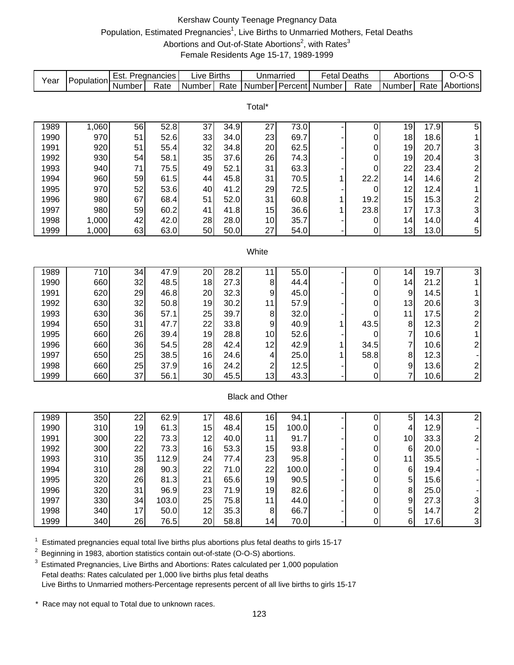# Kershaw County Teenage Pregnancy Data Population, Estimated Pregnancies<sup>1</sup>, Live Births to Unmarried Mothers, Fetal Deaths Abortions and Out-of-State Abortions<sup>2</sup>, with Rates<sup>3</sup> Female Residents Age 15-17, 1989-1999

| Number Percent<br>Number<br>Number<br>Number<br>Rate<br>Rate<br>Number<br>Rate<br>Rate<br>Abortions<br>Total*<br>1,060<br>56<br>52.8<br>19<br>5<br>1989<br>37<br>34.9<br>73.0<br>0<br>17.9<br>27<br>33<br>970<br>51<br>52.6<br>23<br>69.7<br>18<br>1990<br>34.0<br>18.6<br>0<br>1<br>$\frac{3}{3}$<br>920<br>55.4<br>32<br>20<br>62.5<br>1991<br>51<br>34.8<br>19<br>20.7<br>0<br>35<br>930<br>58.1<br>37.6<br>1992<br>54<br>26<br>74.3<br>0<br>19<br>20.4<br>$\overline{c}$<br>940<br>49<br>52.1<br>63.3<br>23.4<br>1993<br>71<br>75.5<br>31<br>22<br>0<br>$\overline{\mathbf{c}}$<br>960<br>45.8<br>1994<br>59<br>61.5<br>44<br>31<br>70.5<br>22.2<br>14<br>14.6<br>1<br>970<br>52<br>53.6<br>1<br>1995<br>40<br>41.2<br>29<br>72.5<br>12<br>12.4<br>0<br>$\overline{\mathbf{c}}$<br>980<br>67<br>60.8<br>1996<br>68.4<br>51<br>52.0<br>31<br>19.2<br>15<br>15.3<br>1<br>3<br>980<br>41.8<br>23.8<br>1997<br>59<br>60.2<br>15<br>36.6<br>17<br>17.3<br>41<br>1<br>1,000<br>42.0<br>28.0<br>35.7<br>1998<br>42<br>28<br>14.0<br>4<br>10<br>14<br>0<br>5<br>1999<br>1,000<br>63<br>50<br>50.0<br>27<br>54.0<br>13<br>13.0<br>63.0<br>0<br>White<br>55.0<br>3<br>1989<br>710<br>47.9<br>28.2<br>19.7<br>34<br>20<br>11<br>0<br>14<br>660<br>32<br>18<br>27.3<br>44.4<br>1990<br>48.5<br>8<br>14<br>21.2<br>$\mathbf{1}$<br>0<br>620<br>20<br>32.3<br>45.0<br>1<br>1991<br>29<br>46.8<br>14.5<br>9<br>0<br>9<br>$\begin{array}{c} 3 \\ 2 \\ 2 \end{array}$<br>630<br>32<br>1992<br>19<br>30.2<br>13<br>50.8<br>11<br>57.9<br>0<br>20.6<br>630<br>1993<br>36<br>25<br>39.7<br>32.0<br>57.1<br>8<br>11<br>17.5<br>0<br>650<br>31<br>22<br>33.8<br>43.5<br>1994<br>47.7<br>9<br>40.9<br>12.3<br>8<br>1<br>$\mathbf 1$<br>660<br>26<br>19<br>28.8<br>7<br>1995<br>39.4<br>10<br>52.6<br>10.6<br>0<br>$\overline{c}$<br>660<br>28<br>42.4<br>12<br>42.9<br>7<br>1996<br>36<br>54.5<br>34.5<br>10.6<br>1<br>650<br>25<br>16<br>25.0<br>58.8<br>8<br>1997<br>38.5<br>24.6<br>12.3<br>4<br>1<br>$\overline{\mathbf{c}}$<br>660<br>25<br>2<br>9<br>1998<br>37.9<br>16<br>24.2<br>12.5<br>13.6<br>0<br>37<br>7<br>$\overline{c}$<br>1999<br>660<br>30<br>45.5<br>13<br>43.3<br>56.1<br>10.6<br>0<br><b>Black and Other</b><br>$\overline{2}$<br>350<br>22<br>62.9<br>5<br>1989<br>48.6<br>16<br>94.1<br>$\boldsymbol{0}$<br>14.3<br>17<br>310<br>19<br>48.4<br>15<br>1990<br>61.3<br>15<br>100.0<br>12.9<br>4<br>0<br>300<br>22<br>73.3<br>12<br>40.0<br>91.7<br>33.3<br>$\overline{\mathbf{c}}$<br>1991<br>11<br>10<br>$\pmb{0}$<br>53.3<br>300<br>22<br>73.3<br>15<br>93.8<br>1992<br>16<br>20.0<br>6<br>U<br>310<br>35<br>23<br>95.8<br>35.5<br>1993<br>112.9<br>24<br>77.4<br>11<br>$\pmb{0}$<br>310<br>28<br>22<br>71.0<br>22<br>100.0<br>1994<br>90.3<br>$\,6$<br>19.4<br>0<br>320<br>1995<br>26<br>21<br>65.6<br>90.5<br>5<br>81.3<br>19<br>15.6<br>0<br>320<br>23<br>31<br>96.9<br>71.9<br>82.6<br>8<br>25.0<br>1996<br>19<br>0<br>330<br>25<br>34<br>103.0<br>75.8<br>44.0<br>9<br>27.3<br>1997<br>11<br>$\mathbf 0$<br>3<br>$\overline{c}$<br>12<br>340<br>17<br>35.3<br>66.7<br>5<br>1998<br>50.0<br>8<br>14.7<br>$\pmb{0}$<br>20<br>58.8<br>$\boldsymbol{0}$<br>$6\overline{6}$<br>17.6 | Year | Population | Est. Pregnancies |      | <b>Live Births</b> | Unmarried |      | <b>Fetal Deaths</b> | Abortions | $O-O-S$ |
|-----------------------------------------------------------------------------------------------------------------------------------------------------------------------------------------------------------------------------------------------------------------------------------------------------------------------------------------------------------------------------------------------------------------------------------------------------------------------------------------------------------------------------------------------------------------------------------------------------------------------------------------------------------------------------------------------------------------------------------------------------------------------------------------------------------------------------------------------------------------------------------------------------------------------------------------------------------------------------------------------------------------------------------------------------------------------------------------------------------------------------------------------------------------------------------------------------------------------------------------------------------------------------------------------------------------------------------------------------------------------------------------------------------------------------------------------------------------------------------------------------------------------------------------------------------------------------------------------------------------------------------------------------------------------------------------------------------------------------------------------------------------------------------------------------------------------------------------------------------------------------------------------------------------------------------------------------------------------------------------------------------------------------------------------------------------------------------------------------------------------------------------------------------------------------------------------------------------------------------------------------------------------------------------------------------------------------------------------------------------------------------------------------------------------------------------------------------------------------------------------------------------------------------------------------------------------------------------------------------------------------------------------------------------------------------------------------------------------------------------------------------------------------------------------------------------------------------------------------------------------------------------------------------------------------------------------------------------------------------------------------------------------------------------------------------------------------------------------------------------------------------------------------------------------------------------|------|------------|------------------|------|--------------------|-----------|------|---------------------|-----------|---------|
|                                                                                                                                                                                                                                                                                                                                                                                                                                                                                                                                                                                                                                                                                                                                                                                                                                                                                                                                                                                                                                                                                                                                                                                                                                                                                                                                                                                                                                                                                                                                                                                                                                                                                                                                                                                                                                                                                                                                                                                                                                                                                                                                                                                                                                                                                                                                                                                                                                                                                                                                                                                                                                                                                                                                                                                                                                                                                                                                                                                                                                                                                                                                                                                         |      |            |                  |      |                    |           |      |                     |           |         |
|                                                                                                                                                                                                                                                                                                                                                                                                                                                                                                                                                                                                                                                                                                                                                                                                                                                                                                                                                                                                                                                                                                                                                                                                                                                                                                                                                                                                                                                                                                                                                                                                                                                                                                                                                                                                                                                                                                                                                                                                                                                                                                                                                                                                                                                                                                                                                                                                                                                                                                                                                                                                                                                                                                                                                                                                                                                                                                                                                                                                                                                                                                                                                                                         |      |            |                  |      |                    |           |      |                     |           |         |
|                                                                                                                                                                                                                                                                                                                                                                                                                                                                                                                                                                                                                                                                                                                                                                                                                                                                                                                                                                                                                                                                                                                                                                                                                                                                                                                                                                                                                                                                                                                                                                                                                                                                                                                                                                                                                                                                                                                                                                                                                                                                                                                                                                                                                                                                                                                                                                                                                                                                                                                                                                                                                                                                                                                                                                                                                                                                                                                                                                                                                                                                                                                                                                                         |      |            |                  |      |                    |           |      |                     |           |         |
|                                                                                                                                                                                                                                                                                                                                                                                                                                                                                                                                                                                                                                                                                                                                                                                                                                                                                                                                                                                                                                                                                                                                                                                                                                                                                                                                                                                                                                                                                                                                                                                                                                                                                                                                                                                                                                                                                                                                                                                                                                                                                                                                                                                                                                                                                                                                                                                                                                                                                                                                                                                                                                                                                                                                                                                                                                                                                                                                                                                                                                                                                                                                                                                         |      |            |                  |      |                    |           |      |                     |           |         |
|                                                                                                                                                                                                                                                                                                                                                                                                                                                                                                                                                                                                                                                                                                                                                                                                                                                                                                                                                                                                                                                                                                                                                                                                                                                                                                                                                                                                                                                                                                                                                                                                                                                                                                                                                                                                                                                                                                                                                                                                                                                                                                                                                                                                                                                                                                                                                                                                                                                                                                                                                                                                                                                                                                                                                                                                                                                                                                                                                                                                                                                                                                                                                                                         |      |            |                  |      |                    |           |      |                     |           |         |
|                                                                                                                                                                                                                                                                                                                                                                                                                                                                                                                                                                                                                                                                                                                                                                                                                                                                                                                                                                                                                                                                                                                                                                                                                                                                                                                                                                                                                                                                                                                                                                                                                                                                                                                                                                                                                                                                                                                                                                                                                                                                                                                                                                                                                                                                                                                                                                                                                                                                                                                                                                                                                                                                                                                                                                                                                                                                                                                                                                                                                                                                                                                                                                                         |      |            |                  |      |                    |           |      |                     |           |         |
|                                                                                                                                                                                                                                                                                                                                                                                                                                                                                                                                                                                                                                                                                                                                                                                                                                                                                                                                                                                                                                                                                                                                                                                                                                                                                                                                                                                                                                                                                                                                                                                                                                                                                                                                                                                                                                                                                                                                                                                                                                                                                                                                                                                                                                                                                                                                                                                                                                                                                                                                                                                                                                                                                                                                                                                                                                                                                                                                                                                                                                                                                                                                                                                         |      |            |                  |      |                    |           |      |                     |           |         |
|                                                                                                                                                                                                                                                                                                                                                                                                                                                                                                                                                                                                                                                                                                                                                                                                                                                                                                                                                                                                                                                                                                                                                                                                                                                                                                                                                                                                                                                                                                                                                                                                                                                                                                                                                                                                                                                                                                                                                                                                                                                                                                                                                                                                                                                                                                                                                                                                                                                                                                                                                                                                                                                                                                                                                                                                                                                                                                                                                                                                                                                                                                                                                                                         |      |            |                  |      |                    |           |      |                     |           |         |
|                                                                                                                                                                                                                                                                                                                                                                                                                                                                                                                                                                                                                                                                                                                                                                                                                                                                                                                                                                                                                                                                                                                                                                                                                                                                                                                                                                                                                                                                                                                                                                                                                                                                                                                                                                                                                                                                                                                                                                                                                                                                                                                                                                                                                                                                                                                                                                                                                                                                                                                                                                                                                                                                                                                                                                                                                                                                                                                                                                                                                                                                                                                                                                                         |      |            |                  |      |                    |           |      |                     |           |         |
|                                                                                                                                                                                                                                                                                                                                                                                                                                                                                                                                                                                                                                                                                                                                                                                                                                                                                                                                                                                                                                                                                                                                                                                                                                                                                                                                                                                                                                                                                                                                                                                                                                                                                                                                                                                                                                                                                                                                                                                                                                                                                                                                                                                                                                                                                                                                                                                                                                                                                                                                                                                                                                                                                                                                                                                                                                                                                                                                                                                                                                                                                                                                                                                         |      |            |                  |      |                    |           |      |                     |           |         |
|                                                                                                                                                                                                                                                                                                                                                                                                                                                                                                                                                                                                                                                                                                                                                                                                                                                                                                                                                                                                                                                                                                                                                                                                                                                                                                                                                                                                                                                                                                                                                                                                                                                                                                                                                                                                                                                                                                                                                                                                                                                                                                                                                                                                                                                                                                                                                                                                                                                                                                                                                                                                                                                                                                                                                                                                                                                                                                                                                                                                                                                                                                                                                                                         |      |            |                  |      |                    |           |      |                     |           |         |
|                                                                                                                                                                                                                                                                                                                                                                                                                                                                                                                                                                                                                                                                                                                                                                                                                                                                                                                                                                                                                                                                                                                                                                                                                                                                                                                                                                                                                                                                                                                                                                                                                                                                                                                                                                                                                                                                                                                                                                                                                                                                                                                                                                                                                                                                                                                                                                                                                                                                                                                                                                                                                                                                                                                                                                                                                                                                                                                                                                                                                                                                                                                                                                                         |      |            |                  |      |                    |           |      |                     |           |         |
|                                                                                                                                                                                                                                                                                                                                                                                                                                                                                                                                                                                                                                                                                                                                                                                                                                                                                                                                                                                                                                                                                                                                                                                                                                                                                                                                                                                                                                                                                                                                                                                                                                                                                                                                                                                                                                                                                                                                                                                                                                                                                                                                                                                                                                                                                                                                                                                                                                                                                                                                                                                                                                                                                                                                                                                                                                                                                                                                                                                                                                                                                                                                                                                         |      |            |                  |      |                    |           |      |                     |           |         |
|                                                                                                                                                                                                                                                                                                                                                                                                                                                                                                                                                                                                                                                                                                                                                                                                                                                                                                                                                                                                                                                                                                                                                                                                                                                                                                                                                                                                                                                                                                                                                                                                                                                                                                                                                                                                                                                                                                                                                                                                                                                                                                                                                                                                                                                                                                                                                                                                                                                                                                                                                                                                                                                                                                                                                                                                                                                                                                                                                                                                                                                                                                                                                                                         |      |            |                  |      |                    |           |      |                     |           |         |
|                                                                                                                                                                                                                                                                                                                                                                                                                                                                                                                                                                                                                                                                                                                                                                                                                                                                                                                                                                                                                                                                                                                                                                                                                                                                                                                                                                                                                                                                                                                                                                                                                                                                                                                                                                                                                                                                                                                                                                                                                                                                                                                                                                                                                                                                                                                                                                                                                                                                                                                                                                                                                                                                                                                                                                                                                                                                                                                                                                                                                                                                                                                                                                                         |      |            |                  |      |                    |           |      |                     |           |         |
|                                                                                                                                                                                                                                                                                                                                                                                                                                                                                                                                                                                                                                                                                                                                                                                                                                                                                                                                                                                                                                                                                                                                                                                                                                                                                                                                                                                                                                                                                                                                                                                                                                                                                                                                                                                                                                                                                                                                                                                                                                                                                                                                                                                                                                                                                                                                                                                                                                                                                                                                                                                                                                                                                                                                                                                                                                                                                                                                                                                                                                                                                                                                                                                         |      |            |                  |      |                    |           |      |                     |           |         |
|                                                                                                                                                                                                                                                                                                                                                                                                                                                                                                                                                                                                                                                                                                                                                                                                                                                                                                                                                                                                                                                                                                                                                                                                                                                                                                                                                                                                                                                                                                                                                                                                                                                                                                                                                                                                                                                                                                                                                                                                                                                                                                                                                                                                                                                                                                                                                                                                                                                                                                                                                                                                                                                                                                                                                                                                                                                                                                                                                                                                                                                                                                                                                                                         |      |            |                  |      |                    |           |      |                     |           |         |
|                                                                                                                                                                                                                                                                                                                                                                                                                                                                                                                                                                                                                                                                                                                                                                                                                                                                                                                                                                                                                                                                                                                                                                                                                                                                                                                                                                                                                                                                                                                                                                                                                                                                                                                                                                                                                                                                                                                                                                                                                                                                                                                                                                                                                                                                                                                                                                                                                                                                                                                                                                                                                                                                                                                                                                                                                                                                                                                                                                                                                                                                                                                                                                                         |      |            |                  |      |                    |           |      |                     |           |         |
|                                                                                                                                                                                                                                                                                                                                                                                                                                                                                                                                                                                                                                                                                                                                                                                                                                                                                                                                                                                                                                                                                                                                                                                                                                                                                                                                                                                                                                                                                                                                                                                                                                                                                                                                                                                                                                                                                                                                                                                                                                                                                                                                                                                                                                                                                                                                                                                                                                                                                                                                                                                                                                                                                                                                                                                                                                                                                                                                                                                                                                                                                                                                                                                         |      |            |                  |      |                    |           |      |                     |           |         |
|                                                                                                                                                                                                                                                                                                                                                                                                                                                                                                                                                                                                                                                                                                                                                                                                                                                                                                                                                                                                                                                                                                                                                                                                                                                                                                                                                                                                                                                                                                                                                                                                                                                                                                                                                                                                                                                                                                                                                                                                                                                                                                                                                                                                                                                                                                                                                                                                                                                                                                                                                                                                                                                                                                                                                                                                                                                                                                                                                                                                                                                                                                                                                                                         |      |            |                  |      |                    |           |      |                     |           |         |
|                                                                                                                                                                                                                                                                                                                                                                                                                                                                                                                                                                                                                                                                                                                                                                                                                                                                                                                                                                                                                                                                                                                                                                                                                                                                                                                                                                                                                                                                                                                                                                                                                                                                                                                                                                                                                                                                                                                                                                                                                                                                                                                                                                                                                                                                                                                                                                                                                                                                                                                                                                                                                                                                                                                                                                                                                                                                                                                                                                                                                                                                                                                                                                                         |      |            |                  |      |                    |           |      |                     |           |         |
|                                                                                                                                                                                                                                                                                                                                                                                                                                                                                                                                                                                                                                                                                                                                                                                                                                                                                                                                                                                                                                                                                                                                                                                                                                                                                                                                                                                                                                                                                                                                                                                                                                                                                                                                                                                                                                                                                                                                                                                                                                                                                                                                                                                                                                                                                                                                                                                                                                                                                                                                                                                                                                                                                                                                                                                                                                                                                                                                                                                                                                                                                                                                                                                         |      |            |                  |      |                    |           |      |                     |           |         |
|                                                                                                                                                                                                                                                                                                                                                                                                                                                                                                                                                                                                                                                                                                                                                                                                                                                                                                                                                                                                                                                                                                                                                                                                                                                                                                                                                                                                                                                                                                                                                                                                                                                                                                                                                                                                                                                                                                                                                                                                                                                                                                                                                                                                                                                                                                                                                                                                                                                                                                                                                                                                                                                                                                                                                                                                                                                                                                                                                                                                                                                                                                                                                                                         |      |            |                  |      |                    |           |      |                     |           |         |
|                                                                                                                                                                                                                                                                                                                                                                                                                                                                                                                                                                                                                                                                                                                                                                                                                                                                                                                                                                                                                                                                                                                                                                                                                                                                                                                                                                                                                                                                                                                                                                                                                                                                                                                                                                                                                                                                                                                                                                                                                                                                                                                                                                                                                                                                                                                                                                                                                                                                                                                                                                                                                                                                                                                                                                                                                                                                                                                                                                                                                                                                                                                                                                                         |      |            |                  |      |                    |           |      |                     |           |         |
|                                                                                                                                                                                                                                                                                                                                                                                                                                                                                                                                                                                                                                                                                                                                                                                                                                                                                                                                                                                                                                                                                                                                                                                                                                                                                                                                                                                                                                                                                                                                                                                                                                                                                                                                                                                                                                                                                                                                                                                                                                                                                                                                                                                                                                                                                                                                                                                                                                                                                                                                                                                                                                                                                                                                                                                                                                                                                                                                                                                                                                                                                                                                                                                         |      |            |                  |      |                    |           |      |                     |           |         |
|                                                                                                                                                                                                                                                                                                                                                                                                                                                                                                                                                                                                                                                                                                                                                                                                                                                                                                                                                                                                                                                                                                                                                                                                                                                                                                                                                                                                                                                                                                                                                                                                                                                                                                                                                                                                                                                                                                                                                                                                                                                                                                                                                                                                                                                                                                                                                                                                                                                                                                                                                                                                                                                                                                                                                                                                                                                                                                                                                                                                                                                                                                                                                                                         |      |            |                  |      |                    |           |      |                     |           |         |
|                                                                                                                                                                                                                                                                                                                                                                                                                                                                                                                                                                                                                                                                                                                                                                                                                                                                                                                                                                                                                                                                                                                                                                                                                                                                                                                                                                                                                                                                                                                                                                                                                                                                                                                                                                                                                                                                                                                                                                                                                                                                                                                                                                                                                                                                                                                                                                                                                                                                                                                                                                                                                                                                                                                                                                                                                                                                                                                                                                                                                                                                                                                                                                                         |      |            |                  |      |                    |           |      |                     |           |         |
|                                                                                                                                                                                                                                                                                                                                                                                                                                                                                                                                                                                                                                                                                                                                                                                                                                                                                                                                                                                                                                                                                                                                                                                                                                                                                                                                                                                                                                                                                                                                                                                                                                                                                                                                                                                                                                                                                                                                                                                                                                                                                                                                                                                                                                                                                                                                                                                                                                                                                                                                                                                                                                                                                                                                                                                                                                                                                                                                                                                                                                                                                                                                                                                         |      |            |                  |      |                    |           |      |                     |           |         |
|                                                                                                                                                                                                                                                                                                                                                                                                                                                                                                                                                                                                                                                                                                                                                                                                                                                                                                                                                                                                                                                                                                                                                                                                                                                                                                                                                                                                                                                                                                                                                                                                                                                                                                                                                                                                                                                                                                                                                                                                                                                                                                                                                                                                                                                                                                                                                                                                                                                                                                                                                                                                                                                                                                                                                                                                                                                                                                                                                                                                                                                                                                                                                                                         |      |            |                  |      |                    |           |      |                     |           |         |
|                                                                                                                                                                                                                                                                                                                                                                                                                                                                                                                                                                                                                                                                                                                                                                                                                                                                                                                                                                                                                                                                                                                                                                                                                                                                                                                                                                                                                                                                                                                                                                                                                                                                                                                                                                                                                                                                                                                                                                                                                                                                                                                                                                                                                                                                                                                                                                                                                                                                                                                                                                                                                                                                                                                                                                                                                                                                                                                                                                                                                                                                                                                                                                                         |      |            |                  |      |                    |           |      |                     |           |         |
|                                                                                                                                                                                                                                                                                                                                                                                                                                                                                                                                                                                                                                                                                                                                                                                                                                                                                                                                                                                                                                                                                                                                                                                                                                                                                                                                                                                                                                                                                                                                                                                                                                                                                                                                                                                                                                                                                                                                                                                                                                                                                                                                                                                                                                                                                                                                                                                                                                                                                                                                                                                                                                                                                                                                                                                                                                                                                                                                                                                                                                                                                                                                                                                         |      |            |                  |      |                    |           |      |                     |           |         |
|                                                                                                                                                                                                                                                                                                                                                                                                                                                                                                                                                                                                                                                                                                                                                                                                                                                                                                                                                                                                                                                                                                                                                                                                                                                                                                                                                                                                                                                                                                                                                                                                                                                                                                                                                                                                                                                                                                                                                                                                                                                                                                                                                                                                                                                                                                                                                                                                                                                                                                                                                                                                                                                                                                                                                                                                                                                                                                                                                                                                                                                                                                                                                                                         |      |            |                  |      |                    |           |      |                     |           |         |
|                                                                                                                                                                                                                                                                                                                                                                                                                                                                                                                                                                                                                                                                                                                                                                                                                                                                                                                                                                                                                                                                                                                                                                                                                                                                                                                                                                                                                                                                                                                                                                                                                                                                                                                                                                                                                                                                                                                                                                                                                                                                                                                                                                                                                                                                                                                                                                                                                                                                                                                                                                                                                                                                                                                                                                                                                                                                                                                                                                                                                                                                                                                                                                                         |      |            |                  |      |                    |           |      |                     |           |         |
|                                                                                                                                                                                                                                                                                                                                                                                                                                                                                                                                                                                                                                                                                                                                                                                                                                                                                                                                                                                                                                                                                                                                                                                                                                                                                                                                                                                                                                                                                                                                                                                                                                                                                                                                                                                                                                                                                                                                                                                                                                                                                                                                                                                                                                                                                                                                                                                                                                                                                                                                                                                                                                                                                                                                                                                                                                                                                                                                                                                                                                                                                                                                                                                         |      |            |                  |      |                    |           |      |                     |           |         |
|                                                                                                                                                                                                                                                                                                                                                                                                                                                                                                                                                                                                                                                                                                                                                                                                                                                                                                                                                                                                                                                                                                                                                                                                                                                                                                                                                                                                                                                                                                                                                                                                                                                                                                                                                                                                                                                                                                                                                                                                                                                                                                                                                                                                                                                                                                                                                                                                                                                                                                                                                                                                                                                                                                                                                                                                                                                                                                                                                                                                                                                                                                                                                                                         |      |            |                  |      |                    |           |      |                     |           |         |
|                                                                                                                                                                                                                                                                                                                                                                                                                                                                                                                                                                                                                                                                                                                                                                                                                                                                                                                                                                                                                                                                                                                                                                                                                                                                                                                                                                                                                                                                                                                                                                                                                                                                                                                                                                                                                                                                                                                                                                                                                                                                                                                                                                                                                                                                                                                                                                                                                                                                                                                                                                                                                                                                                                                                                                                                                                                                                                                                                                                                                                                                                                                                                                                         |      |            |                  |      |                    |           |      |                     |           |         |
|                                                                                                                                                                                                                                                                                                                                                                                                                                                                                                                                                                                                                                                                                                                                                                                                                                                                                                                                                                                                                                                                                                                                                                                                                                                                                                                                                                                                                                                                                                                                                                                                                                                                                                                                                                                                                                                                                                                                                                                                                                                                                                                                                                                                                                                                                                                                                                                                                                                                                                                                                                                                                                                                                                                                                                                                                                                                                                                                                                                                                                                                                                                                                                                         |      |            |                  |      |                    |           |      |                     |           |         |
|                                                                                                                                                                                                                                                                                                                                                                                                                                                                                                                                                                                                                                                                                                                                                                                                                                                                                                                                                                                                                                                                                                                                                                                                                                                                                                                                                                                                                                                                                                                                                                                                                                                                                                                                                                                                                                                                                                                                                                                                                                                                                                                                                                                                                                                                                                                                                                                                                                                                                                                                                                                                                                                                                                                                                                                                                                                                                                                                                                                                                                                                                                                                                                                         |      |            |                  |      |                    |           |      |                     |           |         |
|                                                                                                                                                                                                                                                                                                                                                                                                                                                                                                                                                                                                                                                                                                                                                                                                                                                                                                                                                                                                                                                                                                                                                                                                                                                                                                                                                                                                                                                                                                                                                                                                                                                                                                                                                                                                                                                                                                                                                                                                                                                                                                                                                                                                                                                                                                                                                                                                                                                                                                                                                                                                                                                                                                                                                                                                                                                                                                                                                                                                                                                                                                                                                                                         |      |            |                  |      |                    |           |      |                     |           |         |
|                                                                                                                                                                                                                                                                                                                                                                                                                                                                                                                                                                                                                                                                                                                                                                                                                                                                                                                                                                                                                                                                                                                                                                                                                                                                                                                                                                                                                                                                                                                                                                                                                                                                                                                                                                                                                                                                                                                                                                                                                                                                                                                                                                                                                                                                                                                                                                                                                                                                                                                                                                                                                                                                                                                                                                                                                                                                                                                                                                                                                                                                                                                                                                                         |      |            |                  |      |                    |           |      |                     |           |         |
|                                                                                                                                                                                                                                                                                                                                                                                                                                                                                                                                                                                                                                                                                                                                                                                                                                                                                                                                                                                                                                                                                                                                                                                                                                                                                                                                                                                                                                                                                                                                                                                                                                                                                                                                                                                                                                                                                                                                                                                                                                                                                                                                                                                                                                                                                                                                                                                                                                                                                                                                                                                                                                                                                                                                                                                                                                                                                                                                                                                                                                                                                                                                                                                         | 1999 | 340        | 26               | 76.5 |                    | 14        | 70.0 |                     |           | 3       |

 $1$  Estimated pregnancies equal total live births plus abortions plus fetal deaths to girls 15-17

<sup>2</sup> Beginning in 1983, abortion statistics contain out-of-state (O-O-S) abortions.

<sup>3</sup> Estimated Pregnancies, Live Births and Abortions: Rates calculated per 1,000 population Fetal deaths: Rates calculated per 1,000 live births plus fetal deaths Live Births to Unmarried mothers-Percentage represents percent of all live births to girls 15-17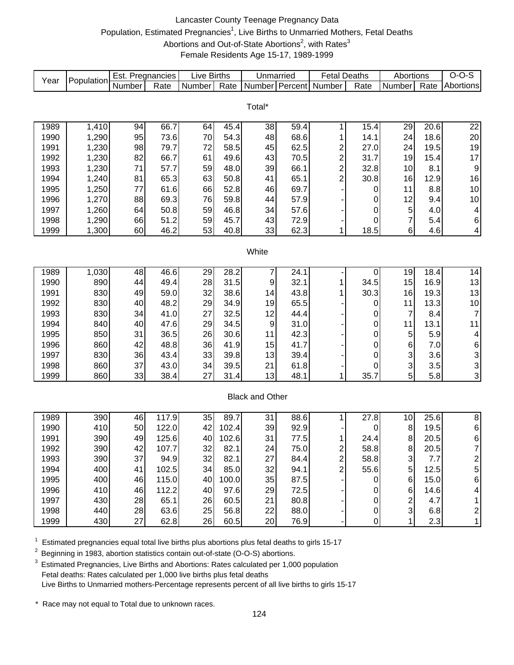# Lancaster County Teenage Pregnancy Data Population, Estimated Pregnancies<sup>1</sup>, Live Births to Unmarried Mothers, Fetal Deaths Abortions and Out-of-State Abortions<sup>2</sup>, with Rates<sup>3</sup> Female Residents Age 15-17, 1989-1999

| Year | Population     | Est. Pregnancies |       | Live Births |       | Unmarried              |      | <b>Fetal Deaths</b>     |           | Abortions           |      | $O-O-S$                 |
|------|----------------|------------------|-------|-------------|-------|------------------------|------|-------------------------|-----------|---------------------|------|-------------------------|
|      |                | Number           | Rate  | Number      | Rate  | Number Percent         |      | Number                  | Rate      | Number              | Rate | Abortions               |
|      |                |                  |       |             |       |                        |      |                         |           |                     |      |                         |
|      |                |                  |       |             |       | Total*                 |      |                         |           |                     |      |                         |
| 1989 |                | 94               | 66.7  | 64          | 45.4  | 38                     | 59.4 | 1                       | 15.4      |                     | 20.6 |                         |
| 1990 | 1,410<br>1,290 | 95               | 73.6  | 70          | 54.3  | 48                     | 68.6 | 1                       | 14.1      | 29<br>24            | 18.6 | 22<br>20                |
| 1991 | 1,230          | 98               | 79.7  | 72          | 58.5  | 45                     | 62.5 | $\overline{c}$          | 27.0      | 24                  | 19.5 | 19                      |
| 1992 | 1,230          | 82               | 66.7  | 61          | 49.6  | 43                     | 70.5 | $\overline{c}$          | 31.7      | 19                  | 15.4 | 17                      |
| 1993 | 1,230          | 71               | 57.7  | 59          | 48.0  | 39                     | 66.1 | $\overline{c}$          | 32.8      | 10                  | 8.1  | 9                       |
| 1994 | 1,240          | 81               | 65.3  | 63          | 50.8  | 41                     | 65.1 | $\overline{c}$          | 30.8      | 16                  | 12.9 | 16                      |
| 1995 | 1,250          | 77               | 61.6  | 66          | 52.8  | 46                     | 69.7 |                         |           | 11                  | 8.8  | $10$                    |
| 1996 | 1,270          | 88               | 69.3  | 76          | 59.8  | 44                     | 57.9 |                         | 0         | 12                  | 9.4  | 10                      |
| 1997 | 1,260          | 64               | 50.8  | 59          | 46.8  | 34                     | 57.6 |                         | 0         |                     | 4.0  | 4                       |
| 1998 | 1,290          | 66               | 51.2  | 59          | 45.7  | 43                     | 72.9 |                         | 0<br>0    | 5<br>$\overline{7}$ | 5.4  | 6                       |
| 1999 | 1,300          | 60               | 46.2  | 53          | 40.8  | 33                     | 62.3 | 1                       | 18.5      | 6                   | 4.6  | 4                       |
|      |                |                  |       |             |       |                        |      |                         |           |                     |      |                         |
|      |                |                  |       |             |       | White                  |      |                         |           |                     |      |                         |
|      |                |                  |       |             |       |                        |      |                         |           |                     |      |                         |
| 1989 | 1,030          | 48               | 46.6  | 29          | 28.2  | 7                      | 24.1 |                         | 0         | 19                  | 18.4 | 14                      |
| 1990 | 890            | 44               | 49.4  | 28          | 31.5  | 9                      | 32.1 | 1                       | 34.5      | 15                  | 16.9 | 13                      |
| 1991 | 830            | 49               | 59.0  | 32          | 38.6  | 14                     | 43.8 | 1                       | 30.3      | 16                  | 19.3 | 13                      |
| 1992 | 830            | 40               | 48.2  | 29          | 34.9  | 19                     | 65.5 |                         | 0         | 11                  | 13.3 | 10                      |
| 1993 | 830            | 34               | 41.0  | 27          | 32.5  | 12                     | 44.4 |                         | 0         | 7                   | 8.4  | $\overline{7}$          |
| 1994 | 840            | 40               | 47.6  | 29          | 34.5  | 9                      | 31.0 |                         | 0         | 11                  | 13.1 | 11                      |
| 1995 | 850            | 31               | 36.5  | 26          | 30.6  | 11                     | 42.3 |                         | 0         | 5                   | 5.9  | 4                       |
| 1996 | 860            | 42               | 48.8  | 36          | 41.9  | 15                     | 41.7 |                         | 0         | $\,6\,$             | 7.0  | $\,6$                   |
| 1997 | 830            | 36               | 43.4  | 33          | 39.8  | 13                     | 39.4 |                         | 0         | 3                   | 3.6  |                         |
| 1998 | 860            | 37               | 43.0  | 34          | 39.5  | 21                     | 61.8 |                         | 0         | 3                   | 3.5  | $\frac{3}{3}$           |
| 1999 | 860            | 33               | 38.4  | 27          | 31.4  | 13                     | 48.1 | 1                       | 35.7      | 5                   | 5.8  | 3                       |
|      |                |                  |       |             |       |                        |      |                         |           |                     |      |                         |
|      |                |                  |       |             |       | <b>Black and Other</b> |      |                         |           |                     |      |                         |
|      |                |                  |       |             |       |                        |      |                         |           |                     |      |                         |
| 1989 | 390            | 46               | 117.9 | 35          | 89.7  | 31                     | 88.6 | 1                       | 27.8      | 10                  | 25.6 | $\overline{8}$          |
| 1990 | 410            | 50               | 122.0 | 42          | 102.4 | 39                     | 92.9 |                         | 0         | 8                   | 19.5 | $\,6$                   |
| 1991 | 390            | 49               | 125.6 | 40          | 102.6 | 31                     | 77.5 | 1                       | 24.4      | $\bf 8$             | 20.5 | 6                       |
| 1992 | 390            | 42               | 107.7 | 32          | 82.1  | 24                     | 75.0 | $\overline{\mathbf{c}}$ | 58.8      | 8                   | 20.5 | $\overline{7}$          |
| 1993 | 390            | 37               | 94.9  | 32          | 82.1  | 27                     | 84.4 | $\overline{\mathbf{c}}$ | 58.8      | 3                   | 7.7  | 2                       |
| 1994 | 400            | 41               | 102.5 | 34          | 85.0  | 32                     | 94.1 | $\overline{c}$          | 55.6      | 5                   | 12.5 | 5                       |
| 1995 | 400            | 46               | 115.0 | 40          | 100.0 | 35                     | 87.5 |                         | 0         | $\,6$               | 15.0 | 6                       |
| 1996 | 410            | 46               | 112.2 | 40          | 97.6  | 29                     | 72.5 |                         | 0         | 6                   | 14.6 | 4                       |
| 1997 | 430            | 28               | 65.1  | 26          | 60.5  | 21                     | 80.8 |                         | 0         | $\overline{c}$      | 4.7  | 1                       |
| 1998 | 440            | 28               | 63.6  | 25          | 56.8  | 22                     | 88.0 |                         | $\pmb{0}$ | 3                   | 6.8  | $\overline{\mathbf{c}}$ |
| 1999 | 430            | 27               | 62.8  | 26          | 60.5  | 20                     | 76.9 |                         | $\pmb{0}$ | 1                   | 2.3  | $\mathbf{1}$            |

 $1$  Estimated pregnancies equal total live births plus abortions plus fetal deaths to girls 15-17

<sup>2</sup> Beginning in 1983, abortion statistics contain out-of-state (O-O-S) abortions.

 $3$  Estimated Pregnancies, Live Births and Abortions: Rates calculated per 1,000 population Fetal deaths: Rates calculated per 1,000 live births plus fetal deaths Live Births to Unmarried mothers-Percentage represents percent of all live births to girls 15-17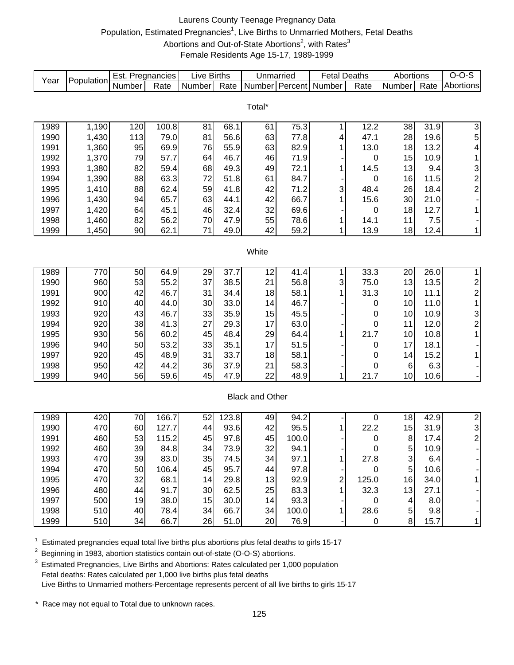# Laurens County Teenage Pregnancy Data Population, Estimated Pregnancies<sup>1</sup>, Live Births to Unmarried Mothers, Fetal Deaths Abortions and Out-of-State Abortions<sup>2</sup>, with Rates<sup>3</sup> Female Residents Age 15-17, 1989-1999

| Year | Population | Est. Pregnancies |       | Live Births |       | Unmarried              |       | <b>Fetal Deaths</b> |             | Abortions  |      | $O-O-S$                 |
|------|------------|------------------|-------|-------------|-------|------------------------|-------|---------------------|-------------|------------|------|-------------------------|
|      |            | Number           | Rate  | Number      | Rate  | Number Percent         |       | Number              | Rate        | Number     | Rate | Abortions               |
|      |            |                  |       |             |       |                        |       |                     |             |            |      |                         |
|      |            |                  |       |             |       | Total*                 |       |                     |             |            |      |                         |
| 1989 | 1,190      | 120              | 100.8 | 81          | 68.1  | 61                     | 75.3  | 1                   | 12.2        | 38         | 31.9 | $\overline{3}$          |
| 1990 | 1,430      | 113              | 79.0  | 81          | 56.6  | 63                     | 77.8  | 4                   | 47.1        | 28         | 19.6 | 5                       |
| 1991 | 1,360      | 95               | 69.9  | 76          | 55.9  | 63                     | 82.9  | 1                   | 13.0        | 18         | 13.2 | 4                       |
| 1992 | 1,370      | 79               | 57.7  | 64          | 46.7  | 46                     | 71.9  |                     | 0           | 15         | 10.9 | 1                       |
| 1993 | 1,380      | 82               | 59.4  | 68          | 49.3  | 49                     | 72.1  | 1                   | 14.5        | 13         | 9.4  | 3                       |
| 1994 | 1,390      | 88               | 63.3  | 72          | 51.8  | 61                     | 84.7  |                     | 0           | 16         | 11.5 | $\overline{\mathbf{c}}$ |
| 1995 | 1,410      | 88               | 62.4  | 59          | 41.8  | 42                     | 71.2  | 3                   | 48.4        | 26         | 18.4 | $\overline{\mathbf{c}}$ |
| 1996 | 1,430      | 94               | 65.7  | 63          | 44.1  | 42                     | 66.7  | 1                   | 15.6        | 30         | 21.0 |                         |
| 1997 | 1,420      | 64               | 45.1  | 46          | 32.4  | 32                     | 69.6  |                     | 0           | 18         | 12.7 | 1                       |
| 1998 | 1,460      | 82               | 56.2  | 70          | 47.9  | 55                     | 78.6  | 1                   | 14.1        | 11         | 7.5  |                         |
| 1999 | 1,450      | 90               | 62.1  | 71          | 49.0  | 42                     | 59.2  | 1                   | 13.9        | 18         | 12.4 | $\mathbf{1}$            |
|      |            |                  |       |             |       |                        |       |                     |             |            |      |                         |
|      |            |                  |       |             |       | White                  |       |                     |             |            |      |                         |
|      |            |                  |       |             |       |                        |       |                     |             |            |      |                         |
| 1989 | 770        | 50               | 64.9  | 29          | 37.7  | 12                     | 41.4  | 1                   | 33.3        | 20         | 26.0 | $\mathbf{1}$            |
| 1990 | 960        | 53               | 55.2  | 37          | 38.5  | 21                     | 56.8  | 3                   | 75.0        | 13         | 13.5 | $\overline{\mathbf{c}}$ |
| 1991 | 900        | 42               | 46.7  | 31          | 34.4  | 18                     | 58.1  | 1                   | 31.3        | 10         | 11.1 | $\overline{c}$          |
| 1992 | 910        | 40               | 44.0  | 30          | 33.0  | 14                     | 46.7  |                     | 0           | 10         | 11.0 | 1                       |
| 1993 | 920        | 43               | 46.7  | 33          | 35.9  | 15                     | 45.5  |                     | 0           | 10         | 10.9 | 3                       |
| 1994 | 920        | 38               | 41.3  | 27          | 29.3  | 17                     | 63.0  |                     | 0           | 11         | 12.0 | $\overline{\mathbf{c}}$ |
| 1995 | 930        | 56               | 60.2  | 45          | 48.4  | 29                     | 64.4  | 1                   | 21.7        | 10         | 10.8 | $\mathbf{1}$            |
| 1996 | 940        | 50               | 53.2  | 33          | 35.1  | 17                     | 51.5  |                     | 0           | 17         | 18.1 |                         |
| 1997 | 920        | 45               | 48.9  | 31          | 33.7  | 18                     | 58.1  |                     | 0           | 14         | 15.2 | 1                       |
| 1998 | 950        | 42               | 44.2  | 36          | 37.9  | 21                     | 58.3  |                     | 0           | 6          | 6.3  |                         |
| 1999 | 940        | 56               | 59.6  | 45          | 47.9  | 22                     | 48.9  | 1                   | 21.7        | 10         | 10.6 |                         |
|      |            |                  |       |             |       |                        |       |                     |             |            |      |                         |
|      |            |                  |       |             |       | <b>Black and Other</b> |       |                     |             |            |      |                         |
|      |            |                  |       |             |       |                        |       |                     |             |            |      |                         |
| 1989 | 420        | 70               | 166.7 | 52          | 123.8 | 49                     | 94.2  |                     | 0           | 18         | 42.9 | $\overline{2}$          |
| 1990 | 470        | 60               | 127.7 | 44          | 93.6  | 42                     | 95.5  | 1                   | 22.2        | 15         | 31.9 | 3                       |
| 1991 | 460        | 53               | 115.2 | 45          | 97.8  | 45                     | 100.0 |                     | 0           | 8          | 17.4 | $\overline{2}$          |
| 1992 | 460        | 39               | 84.8  | 34          | 73.9  | 32                     | 94.1  |                     | 0           | 5          | 10.9 |                         |
| 1993 | 470        | 39               | 83.0  | 35          | 74.5  | 34                     | 97.1  | 1                   | 27.8        | 3          | 6.4  |                         |
| 1994 | 470        | 50               | 106.4 | 45          | 95.7  | 44                     | 97.8  |                     | 0           | $\sqrt{5}$ | 10.6 |                         |
| 1995 | 470        | 32               | 68.1  | 14          | 29.8  | 13                     | 92.9  | 2                   | 125.0       | 16         | 34.0 |                         |
| 1996 | 480        | 44               | 91.7  | 30          | 62.5  | 25                     | 83.3  |                     | 32.3        | 13         | 27.1 |                         |
| 1997 | 500        | 19               | 38.0  | 15          | 30.0  | 14                     | 93.3  |                     | 0           | 4          | 8.0  |                         |
| 1998 | 510        | 40               | 78.4  | 34          | 66.7  | 34                     | 100.0 | 1                   | 28.6        | 5          | 9.8  |                         |
| 1999 | 510        | 34               | 66.7  | 26          | 51.0  | 20                     | 76.9  |                     | $\mathbf 0$ | $\bf 8$    | 15.7 | 1                       |

 $1$  Estimated pregnancies equal total live births plus abortions plus fetal deaths to girls 15-17

<sup>2</sup> Beginning in 1983, abortion statistics contain out-of-state (O-O-S) abortions.

 $3$  Estimated Pregnancies, Live Births and Abortions: Rates calculated per 1,000 population Fetal deaths: Rates calculated per 1,000 live births plus fetal deaths Live Births to Unmarried mothers-Percentage represents percent of all live births to girls 15-17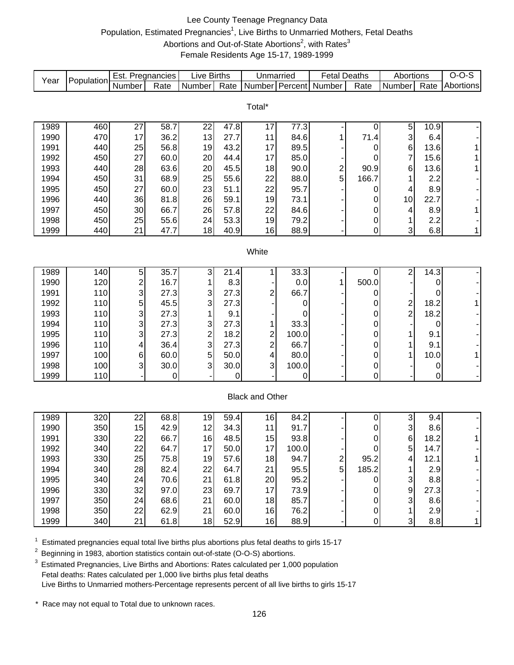### Lee County Teenage Pregnancy Data Population, Estimated Pregnancies<sup>1</sup>, Live Births to Unmarried Mothers, Fetal Deaths Abortions and Out-of-State Abortions<sup>2</sup>, with Rates<sup>3</sup> Female Residents Age 15-17, 1989-1999

| Year | Population | Est. Pregnancies        |      | <b>Live Births</b>      |      | Unmarried               |       | <b>Fetal Deaths</b>     |                  | Abortions               |      | $O-O-S$      |
|------|------------|-------------------------|------|-------------------------|------|-------------------------|-------|-------------------------|------------------|-------------------------|------|--------------|
|      |            | Number                  | Rate | Number                  | Rate |                         |       | Number Percent Number   | Rate             | Number                  | Rate | Abortions    |
|      |            |                         |      |                         |      |                         |       |                         |                  |                         |      |              |
|      |            |                         |      |                         |      | Total*                  |       |                         |                  |                         |      |              |
| 1989 | 460        | 27                      | 58.7 | 22                      | 47.8 | 17                      | 77.3  |                         | $\pmb{0}$        | 5                       | 10.9 |              |
| 1990 | 470        | 17                      | 36.2 | 13                      | 27.7 | 11                      | 84.6  | 1                       | 71.4             | 3                       | 6.4  |              |
| 1991 | 440        | 25                      | 56.8 | 19                      | 43.2 | 17                      | 89.5  |                         | 0                | 6                       | 13.6 | 1            |
| 1992 | 450        | 27                      | 60.0 | 20                      | 44.4 | 17                      | 85.0  |                         | 0                | $\overline{7}$          | 15.6 | 1            |
| 1993 | 440        | 28                      | 63.6 | 20                      | 45.5 | 18                      | 90.0  | $\overline{\mathbf{c}}$ | 90.9             | 6                       | 13.6 | $\mathbf{1}$ |
| 1994 | 450        | 31                      | 68.9 | 25                      | 55.6 | 22                      | 88.0  | 5                       | 166.7            | 1                       | 2.2  |              |
| 1995 | 450        | 27                      | 60.0 | 23                      | 51.1 | 22                      | 95.7  |                         | 0                | 4                       | 8.9  |              |
| 1996 | 440        | 36                      | 81.8 | 26                      | 59.1 | 19                      | 73.1  |                         | 0                | 10                      | 22.7 |              |
| 1997 | 450        | 30                      | 66.7 | 26                      | 57.8 | 22                      | 84.6  |                         | 0                | 4                       | 8.9  | $\mathbf{1}$ |
| 1998 | 450        | 25                      | 55.6 | 24                      | 53.3 | 19                      | 79.2  |                         | 0                | 1                       | 2.2  |              |
| 1999 | 440        | 21                      | 47.7 | 18                      | 40.9 | 16                      | 88.9  |                         | $\boldsymbol{0}$ | 3                       | 6.8  | $\mathbf{1}$ |
|      |            |                         |      |                         |      |                         |       |                         |                  |                         |      |              |
|      |            |                         |      |                         |      | White                   |       |                         |                  |                         |      |              |
|      |            |                         |      |                         |      |                         |       |                         |                  |                         |      |              |
| 1989 | 140        | 5                       | 35.7 | 3                       | 21.4 |                         | 33.3  |                         | 0                | 2                       | 14.3 |              |
| 1990 | 120        | $\overline{\mathbf{c}}$ | 16.7 | 1                       | 8.3  |                         | 0.0   | 1                       | 500.0            |                         | 0    |              |
| 1991 | 110        | 3                       | 27.3 | 3                       | 27.3 | 2                       | 66.7  |                         | 0                |                         | 0    |              |
| 1992 | 110        | 5                       | 45.5 | 3                       | 27.3 |                         | 0     |                         | 0                | $\overline{\mathbf{c}}$ | 18.2 | $\mathbf{1}$ |
| 1993 | 110        | 3                       | 27.3 | 1                       | 9.1  |                         | 0     |                         | 0                | $\overline{c}$          | 18.2 |              |
| 1994 | 110        | 3                       | 27.3 | 3                       | 27.3 | 1                       | 33.3  |                         | 0                |                         | 0    |              |
| 1995 | 110        | 3                       | 27.3 | $\overline{\mathbf{c}}$ | 18.2 | $\overline{\mathbf{c}}$ | 100.0 |                         | 0                | 1                       | 9.1  |              |
| 1996 | 110        | 4                       | 36.4 | 3                       | 27.3 | 2                       | 66.7  |                         | 0                | 1                       | 9.1  |              |
| 1997 | 100        | 6                       | 60.0 | 5                       | 50.0 | 4                       | 80.0  |                         | 0                | 1                       | 10.0 | 1            |
| 1998 | 100        | 3                       | 30.0 | 3                       | 30.0 | 3                       | 100.0 |                         | 0                |                         | 0    |              |
| 1999 | 110        |                         | 0    |                         | 0    |                         | 0     |                         | $\mathbf 0$      |                         | 0    |              |
|      |            |                         |      |                         |      |                         |       |                         |                  |                         |      |              |
|      |            |                         |      |                         |      | <b>Black and Other</b>  |       |                         |                  |                         |      |              |
|      |            |                         |      |                         |      |                         |       |                         |                  |                         |      |              |
| 1989 | 320        | 22                      | 68.8 | 19                      | 59.4 | 16                      | 84.2  |                         | 0                | 3                       | 9.4  |              |
| 1990 | 350        | 15                      | 42.9 | 12                      | 34.3 | 11                      | 91.7  |                         | 0                | 3                       | 8.6  |              |
| 1991 | 330        | 22                      | 66.7 | 16                      | 48.5 | 15                      | 93.8  |                         | 0<br>$\Omega$    | 6                       | 18.2 | 1            |
| 1992 | 340        | 22                      | 64.7 | 17                      | 50.0 | 17                      | 100.0 |                         |                  | 5                       | 14.7 |              |
| 1993 | 330        | 25                      | 75.8 | 19                      | 57.6 | 18                      | 94.7  | 2                       | 95.2             | 4                       | 12.1 | 1            |
| 1994 | 340        | 28                      | 82.4 | 22                      | 64.7 | 21                      | 95.5  | 5                       | 185.2            |                         | 2.9  |              |
| 1995 | 340        | 24                      | 70.6 | 21                      | 61.8 | 20                      | 95.2  |                         | 0                | 3                       | 8.8  |              |
| 1996 | 330        | 32                      | 97.0 | 23                      | 69.7 | 17                      | 73.9  |                         | 0                | 9                       | 27.3 |              |
| 1997 | 350        | 24                      | 68.6 | 21                      | 60.0 | 18                      | 85.7  |                         | 0                | 3                       | 8.6  |              |
| 1998 | 350        | 22                      | 62.9 | 21                      | 60.0 | 16                      | 76.2  |                         | 0                | 1                       | 2.9  |              |
| 1999 | 340        | 21                      | 61.8 | 18                      | 52.9 | 16                      | 88.9  |                         | 0                | 3                       | 8.8  | $\mathbf{1}$ |

 $1$  Estimated pregnancies equal total live births plus abortions plus fetal deaths to girls 15-17

<sup>2</sup> Beginning in 1983, abortion statistics contain out-of-state (O-O-S) abortions.

 $3$  Estimated Pregnancies, Live Births and Abortions: Rates calculated per 1,000 population Fetal deaths: Rates calculated per 1,000 live births plus fetal deaths Live Births to Unmarried mothers-Percentage represents percent of all live births to girls 15-17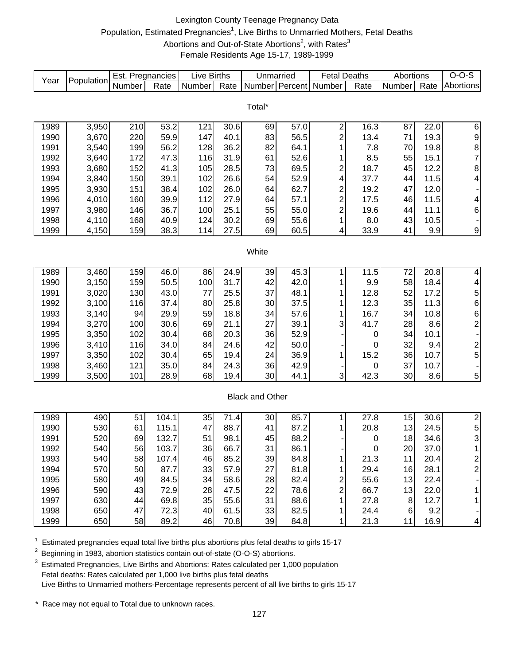# Lexington County Teenage Pregnancy Data Population, Estimated Pregnancies<sup>1</sup>, Live Births to Unmarried Mothers, Fetal Deaths Abortions and Out-of-State Abortions<sup>2</sup>, with Rates<sup>3</sup> Female Residents Age 15-17, 1989-1999

| Year | Population | Est. Pregnancies |       | <b>Live Births</b> |      | Unmarried              |      | <b>Fetal Deaths</b>     |      | Abortions |      | $O-O-S$                  |
|------|------------|------------------|-------|--------------------|------|------------------------|------|-------------------------|------|-----------|------|--------------------------|
|      |            | Number           | Rate  | Number             | Rate | Number Percent         |      | Number                  | Rate | Number    | Rate | Abortions                |
|      |            |                  |       |                    |      |                        |      |                         |      |           |      |                          |
|      |            |                  |       |                    |      | Total*                 |      |                         |      |           |      |                          |
|      |            |                  |       |                    |      |                        |      |                         |      |           |      |                          |
| 1989 | 3,950      | 210              | 53.2  | 121                | 30.6 | 69                     | 57.0 | 2                       | 16.3 | 87        | 22.0 | $\,6$                    |
| 1990 | 3,670      | 220              | 59.9  | 147                | 40.1 | 83                     | 56.5 | 2                       | 13.4 | 71        | 19.3 | 9                        |
| 1991 | 3,540      | 199              | 56.2  | 128                | 36.2 | 82                     | 64.1 | 1                       | 7.8  | 70        | 19.8 | 8                        |
| 1992 | 3,640      | 172              | 47.3  | 116                | 31.9 | 61                     | 52.6 | 1                       | 8.5  | 55        | 15.1 | $\overline{7}$           |
| 1993 | 3,680      | 152              | 41.3  | 105                | 28.5 | 73                     | 69.5 | 2                       | 18.7 | 45        | 12.2 | 8                        |
| 1994 | 3,840      | 150              | 39.1  | 102                | 26.6 | 54                     | 52.9 | 4                       | 37.7 | 44        | 11.5 | 4                        |
| 1995 | 3,930      | 151              | 38.4  | 102                | 26.0 | 64                     | 62.7 | 2                       | 19.2 | 47        | 12.0 |                          |
| 1996 | 4,010      | 160              | 39.9  | 112                | 27.9 | 64                     | 57.1 | $\overline{\mathbf{c}}$ | 17.5 | 46        | 11.5 | 4                        |
| 1997 | 3,980      | 146              | 36.7  | 100                | 25.1 | 55                     | 55.0 | 2                       | 19.6 | 44        | 11.1 | 6                        |
| 1998 | 4,110      | 168              | 40.9  | 124                | 30.2 | 69                     | 55.6 | 1                       | 8.0  | 43        | 10.5 |                          |
| 1999 | 4,150      | 159              | 38.3  | 114                | 27.5 | 69                     | 60.5 | 4                       | 33.9 | 41        | 9.9  | 9                        |
|      |            |                  |       |                    |      | White                  |      |                         |      |           |      |                          |
|      |            |                  |       |                    |      |                        |      |                         |      |           |      |                          |
| 1989 | 3,460      | 159              | 46.0  | 86                 | 24.9 | 39                     | 45.3 | 1                       | 11.5 | 72        | 20.8 | 4                        |
| 1990 | 3,150      | 159              | 50.5  | 100                | 31.7 | 42                     | 42.0 | 1                       | 9.9  | 58        | 18.4 | $\overline{\mathcal{A}}$ |
| 1991 | 3,020      | 130              | 43.0  | 77                 | 25.5 | 37                     | 48.1 | 1                       | 12.8 | 52        | 17.2 | 5                        |
| 1992 | 3,100      | 116              | 37.4  | 80                 | 25.8 | 30                     | 37.5 | 1                       | 12.3 | 35        | 11.3 | 6                        |
| 1993 | 3,140      | 94               | 29.9  | 59                 | 18.8 | 34                     | 57.6 | 1                       | 16.7 | 34        | 10.8 | 6                        |
| 1994 | 3,270      | 100              | 30.6  | 69                 | 21.1 | 27                     | 39.1 | 3                       | 41.7 | 28        | 8.6  | $\overline{c}$           |
| 1995 | 3,350      | 102              | 30.4  | 68                 | 20.3 | 36                     | 52.9 |                         | 0    | 34        | 10.1 |                          |
| 1996 | 3,410      | 116              | 34.0  | 84                 | 24.6 | 42                     | 50.0 |                         | 0    | 32        | 9.4  | $\overline{c}$           |
| 1997 | 3,350      | 102              | 30.4  | 65                 | 19.4 | 24                     | 36.9 | 1                       | 15.2 | 36        | 10.7 | 5                        |
| 1998 | 3,460      | 121              | 35.0  | 84                 | 24.3 | 36                     | 42.9 |                         | 0    | 37        | 10.7 |                          |
| 1999 | 3,500      | 101              | 28.9  | 68                 | 19.4 | 30                     | 44.1 | 3                       | 42.3 | 30        | 8.6  | 5                        |
|      |            |                  |       |                    |      |                        |      |                         |      |           |      |                          |
|      |            |                  |       |                    |      | <b>Black and Other</b> |      |                         |      |           |      |                          |
|      |            |                  |       |                    |      |                        |      |                         |      |           |      |                          |
| 1989 | 490        | 51               | 104.1 | 35                 | 71.4 | 30                     | 85.7 | 1                       | 27.8 | 15        | 30.6 | $\overline{2}$           |
| 1990 | 530        | 61               | 115.1 | 47                 | 88.7 | 41                     | 87.2 | 1                       | 20.8 | 13        | 24.5 | 5                        |
| 1991 | 520        | 69               | 132.7 | 51                 | 98.1 | 45                     | 88.2 |                         | 0    | 18        | 34.6 | 3                        |
| 1992 | 540        | 56               | 103.7 | 36                 | 66.7 | 31                     | 86.1 |                         | 0    | 20        | 37.0 |                          |
| 1993 | 540        | 58               | 107.4 | 46                 | 85.2 | 39                     | 84.8 |                         | 21.3 | 11        | 20.4 | $\overline{\mathbf{c}}$  |
| 1994 | 570        | 50               | 87.7  | 33                 | 57.9 | 27                     | 81.8 |                         | 29.4 | 16        | 28.1 | $\overline{c}$           |
| 1995 | 580        | 49               | 84.5  | 34                 | 58.6 | 28                     | 82.4 | 2                       | 55.6 | 13        | 22.4 |                          |
| 1996 | 590        | 43               | 72.9  | 28                 | 47.5 | 22                     | 78.6 | 2                       | 66.7 | 13        | 22.0 | 1                        |
| 1997 | 630        | 44               | 69.8  | 35                 | 55.6 | 31                     | 88.6 | 1                       | 27.8 | $\bf 8$   | 12.7 | 1                        |
| 1998 | 650        | 47               | 72.3  | 40                 | 61.5 | 33                     | 82.5 | 1                       | 24.4 | 6         | 9.2  |                          |
| 1999 | 650        | 58               | 89.2  | 46                 | 70.8 | 39                     | 84.8 | $1 \mid$                | 21.3 | 11        | 16.9 | 4                        |

 $1$  Estimated pregnancies equal total live births plus abortions plus fetal deaths to girls 15-17

<sup>2</sup> Beginning in 1983, abortion statistics contain out-of-state (O-O-S) abortions.

 $3$  Estimated Pregnancies, Live Births and Abortions: Rates calculated per 1,000 population Fetal deaths: Rates calculated per 1,000 live births plus fetal deaths Live Births to Unmarried mothers-Percentage represents percent of all live births to girls 15-17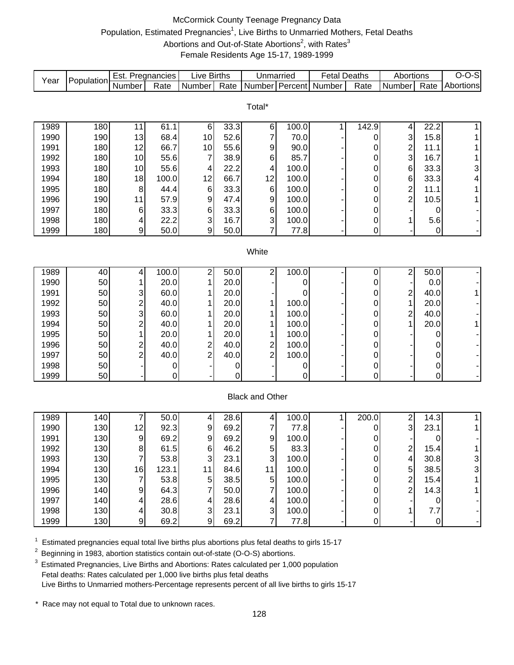# McCormick County Teenage Pregnancy Data Population, Estimated Pregnancies<sup>1</sup>, Live Births to Unmarried Mothers, Fetal Deaths Abortions and Out-of-State Abortions<sup>2</sup>, with Rates<sup>3</sup> Female Residents Age 15-17, 1989-1999

| Year | Population | Est. Pregnancies |       | Live Births               |      | Unmarried              |       | <b>Fetal Deaths</b> |       | Abortions               |           | $O-O-S$   |
|------|------------|------------------|-------|---------------------------|------|------------------------|-------|---------------------|-------|-------------------------|-----------|-----------|
|      |            | Number           | Rate  | Number                    | Rate | Number Percent Number  |       |                     | Rate  | Number                  | Rate      | Abortions |
|      |            |                  |       |                           |      |                        |       |                     |       |                         |           |           |
|      |            |                  |       |                           |      | Total*                 |       |                     |       |                         |           |           |
| 1989 | 180        | 11               | 61.1  | $\,6$                     | 33.3 | 6                      | 100.0 | 1                   | 142.9 | 4                       | 22.2      |           |
| 1990 | 190        | 13               | 68.4  | 10                        | 52.6 | 7                      | 70.0  |                     | 0     | 3                       | 15.8      |           |
| 1991 | 180        | 12               | 66.7  | 10                        | 55.6 | 9                      | 90.0  |                     | 0     | $\overline{\mathbf{c}}$ | 11.1      |           |
| 1992 | 180        | 10               | 55.6  | $\overline{7}$            | 38.9 | 6                      | 85.7  |                     | 0     | 3                       | 16.7      |           |
| 1993 | 180        | 10               | 55.6  | 4                         | 22.2 | 4                      | 100.0 |                     | 0     | $6\phantom{1}6$         | 33.3      | 3         |
| 1994 | 180        | 18               | 100.0 | 12                        | 66.7 | 12                     | 100.0 |                     | 0     | $\,6$                   | 33.3      | 4         |
| 1995 | 180        | 8                | 44.4  | $\,6$                     | 33.3 | 6                      | 100.0 |                     | 0     | $\overline{\mathbf{c}}$ | 11.1      |           |
| 1996 | 190        | 11               | 57.9  | 9                         | 47.4 | 9                      | 100.0 |                     | 0     | $\overline{2}$          | 10.5      |           |
| 1997 | 180        | 6                | 33.3  | 6                         | 33.3 | 6                      | 100.0 |                     | 0     |                         | 0         |           |
| 1998 | 180        | 4                | 22.2  | 3                         | 16.7 | 3                      | 100.0 |                     | 0     | 1                       | 5.6       |           |
| 1999 | 180        | 9                | 50.0  | 9                         | 50.0 | 7                      | 77.8  |                     | 0     |                         | 0         |           |
|      |            |                  |       |                           |      |                        |       |                     |       |                         |           |           |
|      |            |                  |       |                           |      | White                  |       |                     |       |                         |           |           |
| 1989 | 40         | 4                | 100.0 | 2                         | 50.0 | 2                      | 100.0 |                     | 0     | $\overline{c}$          | 50.0      |           |
| 1990 | 50         | 1                | 20.0  | 1                         | 20.0 |                        | 0     |                     | 0     |                         | 0.0       |           |
| 1991 | 50         | 3                | 60.0  | 1                         | 20.0 |                        | 0     |                     | 0     | $\overline{\mathbf{c}}$ | 40.0      |           |
| 1992 | 50         | $\overline{c}$   | 40.0  | 1                         | 20.0 |                        | 100.0 |                     | 0     | 1                       | 20.0      |           |
| 1993 | 50         | 3                | 60.0  | 1                         | 20.0 | 1                      | 100.0 |                     | 0     | $\overline{\mathbf{c}}$ | 40.0      |           |
| 1994 | 50         | 2                | 40.0  | 1                         | 20.0 |                        | 100.0 |                     | 0     | 1                       | 20.0      |           |
| 1995 | 50         |                  | 20.0  | 1                         | 20.0 | 1                      | 100.0 |                     | 0     |                         | 0         |           |
| 1996 | 50         | 2                | 40.0  | $\overline{c}$            | 40.0 | 2                      | 100.0 |                     | 0     |                         | 0         |           |
| 1997 | 50         | $\overline{2}$   | 40.0  | $\overline{2}$            | 40.0 | $\overline{2}$         | 100.0 |                     | 0     |                         | 0         |           |
| 1998 | 50         |                  | 0     |                           | 0    |                        | 0     |                     | 0     |                         | 0         |           |
| 1999 | 50         |                  | 0     |                           | 0    |                        | 0     |                     | 0     |                         | 0         |           |
|      |            |                  |       |                           |      | <b>Black and Other</b> |       |                     |       |                         |           |           |
|      |            |                  |       |                           |      |                        |       |                     |       |                         |           |           |
| 1989 | 140        | 7                | 50.0  | 4                         | 28.6 | 4                      | 100.0 | 1                   | 200.0 | $\overline{\mathbf{c}}$ | 14.3      | 1         |
| 1990 | 130        | 12               | 92.3  | 9                         | 69.2 | 7                      | 77.8  |                     | 0     | 3                       | 23.1      |           |
| 1991 | 130        | 9                | 69.2  | 9                         | 69.2 | 9                      | 100.0 |                     | 0     |                         | 0         |           |
| 1992 | 130        | 8                | 61.5  | $\,$ 6 $\,$               | 46.2 | 5                      | 83.3  |                     | U     | $\overline{\mathbf{c}}$ | 15.4      | 1         |
| 1993 | 130        | 7                | 53.8  | $\mathbf{3}$              | 23.1 | 3                      | 100.0 |                     | 0     | 4                       | 30.8      | 3         |
| 1994 | 130        | 16               | 123.1 | 11                        | 84.6 | 11                     | 100.0 |                     | 0     | $\mathbf 5$             | 38.5      | 3         |
| 1995 | 130        | 7                | 53.8  | $\sqrt{5}$                | 38.5 | 5                      | 100.0 |                     | 0     | $\overline{\mathbf{c}}$ | 15.4      |           |
| 1996 | 140        | 9                | 64.3  | 7                         | 50.0 |                        | 100.0 |                     | 0     | $\overline{2}$          | 14.3      |           |
| 1997 | 140        | 4                | 28.6  | 4                         | 28.6 | 4                      | 100.0 |                     | 0     |                         | 0         |           |
| 1998 | 130        | 4                | 30.8  | $\ensuremath{\mathsf{3}}$ | 23.1 | 3                      | 100.0 |                     | 0     |                         | 7.7       |           |
| 1999 | 130        | $\mathsf 9$      | 69.2  | 9                         | 69.2 |                        | 77.8  |                     | 0     |                         | $\pmb{0}$ |           |

 $1$  Estimated pregnancies equal total live births plus abortions plus fetal deaths to girls 15-17

<sup>2</sup> Beginning in 1983, abortion statistics contain out-of-state (O-O-S) abortions.

 $3$  Estimated Pregnancies, Live Births and Abortions: Rates calculated per 1,000 population Fetal deaths: Rates calculated per 1,000 live births plus fetal deaths Live Births to Unmarried mothers-Percentage represents percent of all live births to girls 15-17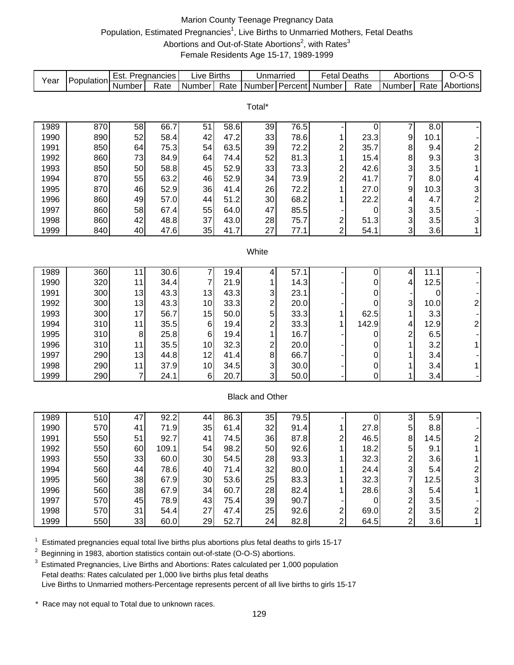# Marion County Teenage Pregnancy Data Population, Estimated Pregnancies<sup>1</sup>, Live Births to Unmarried Mothers, Fetal Deaths Abortions and Out-of-State Abortions<sup>2</sup>, with Rates<sup>3</sup> Female Residents Age 15-17, 1989-1999

| Year         | Population | Est. Pregnancies |              | <b>Live Births</b> |              | Unmarried               |              | <b>Fetal Deaths</b>     |             | Abortions                    |             | $O-O-S$                 |
|--------------|------------|------------------|--------------|--------------------|--------------|-------------------------|--------------|-------------------------|-------------|------------------------------|-------------|-------------------------|
|              |            | Number           | Rate         | Number             | Rate         | Number Percent          |              | Number                  | Rate        | Number                       | Rate        | Abortions               |
|              |            |                  |              |                    |              |                         |              |                         |             |                              |             |                         |
|              |            |                  |              |                    |              | Total*                  |              |                         |             |                              |             |                         |
| 1989         | 870        | 58               | 66.7         | 51                 | 58.6         | 39                      | 76.5         |                         | 0           | 7                            | 8.0         |                         |
| 1990         | 890        | 52               | 58.4         | 42                 | 47.2         | 33                      | 78.6         | 1                       | 23.3        | 9                            | 10.1        |                         |
| 1991         | 850        | 64               | 75.3         | 54                 | 63.5         | 39                      | 72.2         | $\overline{c}$          | 35.7        | 8                            | 9.4         |                         |
| 1992         | 860        | 73               | 84.9         | 64                 | 74.4         | 52                      | 81.3         | 1                       | 15.4        | 8                            | 9.3         | $\frac{2}{3}$           |
| 1993         | 850        | 50               | 58.8         | 45                 | 52.9         | 33                      | 73.3         | $\overline{\mathbf{c}}$ | 42.6        | 3                            | 3.5         | $\mathbf{1}$            |
| 1994         | 870        | 55               | 63.2         | 46                 | 52.9         | 34                      | 73.9         | $\overline{c}$          | 41.7        | $\overline{7}$               | 8.0         | 4                       |
| 1995         | 870        | 46               | 52.9         | 36                 | 41.4         | 26                      | 72.2         | 1                       | 27.0        | 9                            | 10.3        |                         |
| 1996         | 860        | 49               | 57.0         | 44                 | 51.2         | 30                      | 68.2         | 1                       | 22.2        | 4                            | 4.7         | $\frac{3}{2}$           |
| 1997         | 860        | 58               | 67.4         | 55                 | 64.0         | 47                      | 85.5         |                         | 0           | 3                            | 3.5         |                         |
| 1998         | 860        | 42               | 48.8         | 37                 | 43.0         | 28                      | 75.7         | $\overline{\mathbf{c}}$ | 51.3        | 3                            | 3.5         | 3                       |
| 1999         | 840        | 40               | 47.6         | 35                 | 41.7         | 27                      | 77.1         | $\overline{2}$          | 54.1        | 3                            | 3.6         | $\mathbf{1}$            |
|              |            |                  |              |                    |              |                         |              |                         |             |                              |             |                         |
|              |            |                  |              |                    |              | White                   |              |                         |             |                              |             |                         |
|              |            |                  |              |                    |              |                         |              |                         |             |                              |             |                         |
| 1989         | 360        | 11               | 30.6         | 7                  | 19.4         | 4                       | 57.1         |                         | 0           | 4                            | 11.1        |                         |
| 1990         | 320        | 11               | 34.4         | 7                  | 21.9         |                         | 14.3         |                         | 0           | 4                            | 12.5        |                         |
| 1991         | 300        | 13               | 43.3         | 13                 | 43.3         | 3                       | 23.1         |                         | 0           |                              | 0           |                         |
| 1992         | 300        | 13               | 43.3         | 10                 | 33.3         | $\overline{c}$          | 20.0         |                         | 0           | 3                            | 10.0        | $\overline{\mathbf{c}}$ |
| 1993         | 300        | 17               | 56.7         | 15                 | 50.0         | 5                       | 33.3         | 1                       | 62.5        | 1                            | 3.3         |                         |
| 1994<br>1995 | 310<br>310 | 11<br>8          | 35.5<br>25.8 | 6                  | 19.4<br>19.4 | $\overline{c}$<br>1     | 33.3<br>16.7 | 1                       | 142.9       | 4<br>$\overline{\mathbf{c}}$ | 12.9<br>6.5 | $\overline{\mathbf{c}}$ |
| 1996         | 310        | 11               | 35.5         | 6<br>10            | 32.3         | $\overline{\mathbf{c}}$ | 20.0         |                         | 0<br>0      | 1                            | 3.2         | $\mathbf{1}$            |
| 1997         | 290        | 13               | 44.8         | 12                 | 41.4         | 8                       | 66.7         |                         | 0           | 1                            | 3.4         |                         |
| 1998         | 290        | 11               | 37.9         | 10                 | 34.5         | 3                       | 30.0         |                         | 0           | 1                            | 3.4         | $\mathbf{1}$            |
| 1999         | 290        | $\overline{7}$   | 24.1         | 6                  | 20.7         | 3                       | 50.0         |                         | $\mathbf 0$ | 1                            | 3.4         |                         |
|              |            |                  |              |                    |              |                         |              |                         |             |                              |             |                         |
|              |            |                  |              |                    |              | <b>Black and Other</b>  |              |                         |             |                              |             |                         |
|              |            |                  |              |                    |              |                         |              |                         |             |                              |             |                         |
| 1989         | 510        | 47               | 92.2         | 44                 | 86.3         | 35                      | 79.5         |                         | 0           | $\ensuremath{\mathsf{3}}$    | 5.9         |                         |
| 1990         | 570        | 41               | 71.9         | 35                 | 61.4         | 32                      | 91.4         | 1                       | 27.8        | 5                            | 8.8         |                         |
| 1991         | 550        | 51               | 92.7         | 41                 | 74.5         | 36                      | 87.8         | 2                       | 46.5        | 8                            | 14.5        | $\overline{\mathbf{c}}$ |
| 1992         | 550        | 60               | 109.1        | 54                 | 98.2         | 50                      | 92.6         |                         | 18.2        | 5                            | 9.1         | $\overline{A}$          |
| 1993         | 550        | 33               | 60.0         | 30                 | 54.5         | 28                      | 93.3         | 1                       | 32.3        | $\overline{\mathbf{c}}$      | 3.6         | 1                       |
| 1994         | 560        | 44               | 78.6         | 40                 | 71.4         | 32                      | 80.0         |                         | 24.4        | $\mathsf 3$                  | 5.4         | 2                       |
| 1995         | 560        | 38               | 67.9         | 30                 | 53.6         | 25                      | 83.3         |                         | 32.3        | 7                            | 12.5        | 3                       |
| 1996         | 560        | 38               | 67.9         | 34                 | 60.7         | 28                      | 82.4         |                         | 28.6        | 3                            | 5.4         | 1                       |
| 1997         | 570        | 45               | 78.9         | 43                 | 75.4         | 39                      | 90.7         |                         | $\pmb{0}$   | $\overline{\mathbf{c}}$      | 3.5         |                         |
| 1998         | 570        | 31               | 54.4         | 27                 | 47.4         | 25                      | 92.6         | $\boldsymbol{2}$        | 69.0        | $\overline{c}$               | 3.5         | $\overline{\mathbf{c}}$ |
| 1999         | 550        | 33               | 60.0         | 29                 | 52.7         | 24                      | 82.8         | $\overline{2}$          | 64.5        | $\overline{2}$               | 3.6         | $\mathbf{1}$            |

 $1$  Estimated pregnancies equal total live births plus abortions plus fetal deaths to girls 15-17

<sup>2</sup> Beginning in 1983, abortion statistics contain out-of-state (O-O-S) abortions.

 $3$  Estimated Pregnancies, Live Births and Abortions: Rates calculated per 1,000 population Fetal deaths: Rates calculated per 1,000 live births plus fetal deaths Live Births to Unmarried mothers-Percentage represents percent of all live births to girls 15-17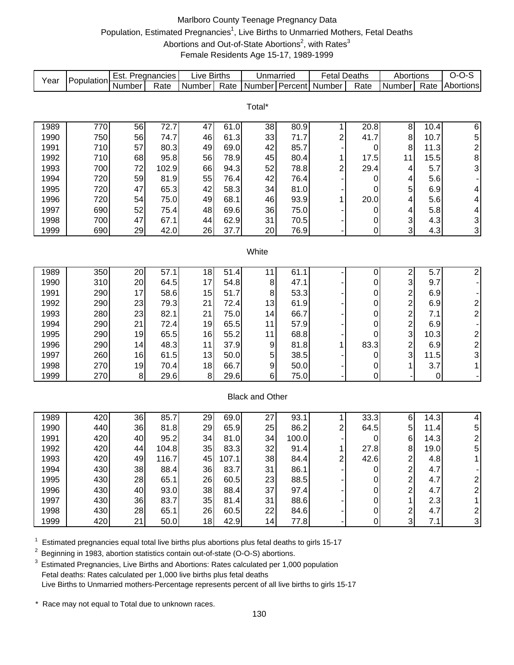# Marlboro County Teenage Pregnancy Data Population, Estimated Pregnancies<sup>1</sup>, Live Births to Unmarried Mothers, Fetal Deaths Abortions and Out-of-State Abortions<sup>2</sup>, with Rates<sup>3</sup> Female Residents Age 15-17, 1989-1999

| Number Percent<br>Number<br>Rate<br>Number<br>Rate<br>Rate<br>Abortions<br>Rate<br>Total*<br>56<br>72.7<br>20.8<br>1989<br>770<br>47<br>61.0<br>38<br>80.9<br>8<br>10.4<br>$\,6$<br>1<br>750<br>56<br>46<br>33<br>8<br>$\frac{5}{2}$<br>1990<br>74.7<br>61.3<br>71.7<br>2<br>41.7<br>10.7<br>710<br>69.0<br>85.7<br>1991<br>57<br>80.3<br>49<br>42<br>8<br>11.3<br>0<br>8<br>710<br>68<br>95.8<br>78.9<br>45<br>80.4<br>1992<br>56<br>17.5<br>11<br>15.5<br>1<br>3<br>700<br>72<br>94.3<br>78.8<br>2<br>29.4<br>1993<br>102.9<br>66<br>52<br>5.7<br>4<br>720<br>59<br>55<br>76.4<br>42<br>1994<br>81.9<br>76.4<br>5.6<br>0<br>4<br>1995<br>720<br>42<br>58.3<br>81.0<br>5<br>47<br>65.3<br>34<br>6.9<br>4<br>0<br>720<br>68.1<br>93.9<br>20.0<br>1996<br>75.0<br>49<br>46<br>1<br>5.6<br>4<br>54<br>4<br>690<br>52<br>69.6<br>1997<br>75.4<br>48<br>36<br>75.0<br>5.8<br>4<br>4<br>0<br>3<br>700<br>62.9<br>3<br>1998<br>47<br>67.1<br>44<br>31<br>70.5<br>4.3<br>0<br>3<br>3<br>690<br>29<br>42.0<br>26<br>37.7<br>20<br>76.9<br>4.3<br>1999<br>0<br>White<br>61.1<br>$\overline{\mathbf{c}}$<br>1989<br>350<br>20<br>57.1<br>18<br>51.4<br>11<br>$\overline{\mathbf{c}}$<br>5.7<br>0<br>3<br>310<br>20<br>17<br>54.8<br>47.1<br>9.7<br>1990<br>64.5<br>8<br>0<br>$\overline{\phantom{a}}$<br>$\overline{\mathbf{c}}$<br>290<br>17<br>51.7<br>53.3<br>1991<br>58.6<br>15<br>8<br>6.9<br>0<br>$\overline{c}$<br>$\frac{2}{2}$<br>290<br>23<br>13<br>$\mathbf 0$<br>1992<br>79.3<br>21<br>72.4<br>61.9<br>6.9<br>$\overline{2}$<br>280<br>23<br>82.1<br>75.0<br>$\mathbf 0$<br>1993<br>21<br>14<br>66.7<br>7.1<br>$\overline{2}$<br>290<br>21<br>65.5<br>1994<br>72.4<br>19<br>11<br>57.9<br>0<br>6.9<br>$\blacksquare$<br>3<br>$\overline{\mathbf{c}}$<br>290<br>19<br>65.5<br>55.2<br>68.8<br>1995<br>16<br>11<br>0<br>10.3<br>$\overline{\mathbf{c}}$<br>$\overline{\mathbf{c}}$<br>290<br>83.3<br>1996<br>48.3<br>37.9<br>9<br>81.8<br>6.9<br>14<br>11<br>1<br>3<br>3<br>260<br>5<br>1997<br>16<br>61.5<br>13<br>50.0<br>38.5<br>11.5<br>0<br>66.7<br>$\boldsymbol{9}$<br>1998<br>270<br>19<br>70.4<br>18<br>50.0<br>3.7<br>1<br>0<br>1<br>270<br>1999<br>$\bf{8}$<br>29.6<br>8<br>29.6<br>6<br>75.0<br>0<br>$\pmb{0}$<br><b>Black and Other</b><br>85.7<br>33.3<br>1989<br>420<br>36<br>69.0<br>93.1<br>14.3<br>4<br>29<br>1<br>6<br>27<br>440<br>36<br>29<br>65.9<br>86.2<br>64.5<br>5<br>1990<br>81.8<br>25<br>2<br>5<br>11.4<br>$\overline{c}$<br>420<br>1991<br>40<br>81.0<br>34<br>95.2<br>34<br>100.0<br>6<br>14.3<br>0<br>1992<br>420<br>44<br>104.8<br>35<br>83.3<br>32<br>91.4<br>1<br>27.8<br>8<br>19.0<br>5<br>420<br>$\mathbf{2}$<br>49<br>116.7<br>107.1<br>38<br>2<br>42.6<br>4.8<br>1993<br>45<br>84.4<br>$\overline{c}$<br>430<br>38<br>36<br>83.7<br>31<br>86.1<br>4.7<br>1994<br>88.4<br>0<br>$\overline{\mathbf{c}}$<br>430<br>26<br>65.1<br>60.5<br>88.5<br>1995<br>28<br>23<br>4.7<br>$\overline{\mathbf{c}}$<br>0<br>$\overline{2}$<br>38<br>$\overline{c}$<br>430<br>93.0<br>88.4<br>37<br>1996<br>40<br>97.4<br>4.7<br>0<br>35<br>$\mathbf{1}$<br>430<br>83.7<br>88.6<br>2.3<br>1997<br>36<br>81.4<br>31<br>0<br>1<br>$\frac{2}{3}$<br>$\overline{\mathbf{c}}$<br>430<br>26<br>60.5<br>4.7<br>1998<br>28<br>65.1<br>22<br>84.6<br>$\boldsymbol{0}$ | Year | Population | Est. Pregnancies |      | <b>Live Births</b> |      | Unmarried |      | <b>Fetal Deaths</b> |                  | Abortions |     | $O-O-S$ |
|--------------------------------------------------------------------------------------------------------------------------------------------------------------------------------------------------------------------------------------------------------------------------------------------------------------------------------------------------------------------------------------------------------------------------------------------------------------------------------------------------------------------------------------------------------------------------------------------------------------------------------------------------------------------------------------------------------------------------------------------------------------------------------------------------------------------------------------------------------------------------------------------------------------------------------------------------------------------------------------------------------------------------------------------------------------------------------------------------------------------------------------------------------------------------------------------------------------------------------------------------------------------------------------------------------------------------------------------------------------------------------------------------------------------------------------------------------------------------------------------------------------------------------------------------------------------------------------------------------------------------------------------------------------------------------------------------------------------------------------------------------------------------------------------------------------------------------------------------------------------------------------------------------------------------------------------------------------------------------------------------------------------------------------------------------------------------------------------------------------------------------------------------------------------------------------------------------------------------------------------------------------------------------------------------------------------------------------------------------------------------------------------------------------------------------------------------------------------------------------------------------------------------------------------------------------------------------------------------------------------------------------------------------------------------------------------------------------------------------------------------------------------------------------------------------------------------------------------------------------------------------------------------------------------------------------------------------------------------------------------------------------------------------------------------------------------------------------------------------------------------------------------------------------------------------------------------------------------------------------------------------------------------------|------|------------|------------------|------|--------------------|------|-----------|------|---------------------|------------------|-----------|-----|---------|
|                                                                                                                                                                                                                                                                                                                                                                                                                                                                                                                                                                                                                                                                                                                                                                                                                                                                                                                                                                                                                                                                                                                                                                                                                                                                                                                                                                                                                                                                                                                                                                                                                                                                                                                                                                                                                                                                                                                                                                                                                                                                                                                                                                                                                                                                                                                                                                                                                                                                                                                                                                                                                                                                                                                                                                                                                                                                                                                                                                                                                                                                                                                                                                                                                                                                                |      |            | Number           |      |                    |      |           |      |                     |                  | Number    |     |         |
|                                                                                                                                                                                                                                                                                                                                                                                                                                                                                                                                                                                                                                                                                                                                                                                                                                                                                                                                                                                                                                                                                                                                                                                                                                                                                                                                                                                                                                                                                                                                                                                                                                                                                                                                                                                                                                                                                                                                                                                                                                                                                                                                                                                                                                                                                                                                                                                                                                                                                                                                                                                                                                                                                                                                                                                                                                                                                                                                                                                                                                                                                                                                                                                                                                                                                |      |            |                  |      |                    |      |           |      |                     |                  |           |     |         |
|                                                                                                                                                                                                                                                                                                                                                                                                                                                                                                                                                                                                                                                                                                                                                                                                                                                                                                                                                                                                                                                                                                                                                                                                                                                                                                                                                                                                                                                                                                                                                                                                                                                                                                                                                                                                                                                                                                                                                                                                                                                                                                                                                                                                                                                                                                                                                                                                                                                                                                                                                                                                                                                                                                                                                                                                                                                                                                                                                                                                                                                                                                                                                                                                                                                                                |      |            |                  |      |                    |      |           |      |                     |                  |           |     |         |
|                                                                                                                                                                                                                                                                                                                                                                                                                                                                                                                                                                                                                                                                                                                                                                                                                                                                                                                                                                                                                                                                                                                                                                                                                                                                                                                                                                                                                                                                                                                                                                                                                                                                                                                                                                                                                                                                                                                                                                                                                                                                                                                                                                                                                                                                                                                                                                                                                                                                                                                                                                                                                                                                                                                                                                                                                                                                                                                                                                                                                                                                                                                                                                                                                                                                                |      |            |                  |      |                    |      |           |      |                     |                  |           |     |         |
|                                                                                                                                                                                                                                                                                                                                                                                                                                                                                                                                                                                                                                                                                                                                                                                                                                                                                                                                                                                                                                                                                                                                                                                                                                                                                                                                                                                                                                                                                                                                                                                                                                                                                                                                                                                                                                                                                                                                                                                                                                                                                                                                                                                                                                                                                                                                                                                                                                                                                                                                                                                                                                                                                                                                                                                                                                                                                                                                                                                                                                                                                                                                                                                                                                                                                |      |            |                  |      |                    |      |           |      |                     |                  |           |     |         |
|                                                                                                                                                                                                                                                                                                                                                                                                                                                                                                                                                                                                                                                                                                                                                                                                                                                                                                                                                                                                                                                                                                                                                                                                                                                                                                                                                                                                                                                                                                                                                                                                                                                                                                                                                                                                                                                                                                                                                                                                                                                                                                                                                                                                                                                                                                                                                                                                                                                                                                                                                                                                                                                                                                                                                                                                                                                                                                                                                                                                                                                                                                                                                                                                                                                                                |      |            |                  |      |                    |      |           |      |                     |                  |           |     |         |
|                                                                                                                                                                                                                                                                                                                                                                                                                                                                                                                                                                                                                                                                                                                                                                                                                                                                                                                                                                                                                                                                                                                                                                                                                                                                                                                                                                                                                                                                                                                                                                                                                                                                                                                                                                                                                                                                                                                                                                                                                                                                                                                                                                                                                                                                                                                                                                                                                                                                                                                                                                                                                                                                                                                                                                                                                                                                                                                                                                                                                                                                                                                                                                                                                                                                                |      |            |                  |      |                    |      |           |      |                     |                  |           |     |         |
|                                                                                                                                                                                                                                                                                                                                                                                                                                                                                                                                                                                                                                                                                                                                                                                                                                                                                                                                                                                                                                                                                                                                                                                                                                                                                                                                                                                                                                                                                                                                                                                                                                                                                                                                                                                                                                                                                                                                                                                                                                                                                                                                                                                                                                                                                                                                                                                                                                                                                                                                                                                                                                                                                                                                                                                                                                                                                                                                                                                                                                                                                                                                                                                                                                                                                |      |            |                  |      |                    |      |           |      |                     |                  |           |     |         |
|                                                                                                                                                                                                                                                                                                                                                                                                                                                                                                                                                                                                                                                                                                                                                                                                                                                                                                                                                                                                                                                                                                                                                                                                                                                                                                                                                                                                                                                                                                                                                                                                                                                                                                                                                                                                                                                                                                                                                                                                                                                                                                                                                                                                                                                                                                                                                                                                                                                                                                                                                                                                                                                                                                                                                                                                                                                                                                                                                                                                                                                                                                                                                                                                                                                                                |      |            |                  |      |                    |      |           |      |                     |                  |           |     |         |
|                                                                                                                                                                                                                                                                                                                                                                                                                                                                                                                                                                                                                                                                                                                                                                                                                                                                                                                                                                                                                                                                                                                                                                                                                                                                                                                                                                                                                                                                                                                                                                                                                                                                                                                                                                                                                                                                                                                                                                                                                                                                                                                                                                                                                                                                                                                                                                                                                                                                                                                                                                                                                                                                                                                                                                                                                                                                                                                                                                                                                                                                                                                                                                                                                                                                                |      |            |                  |      |                    |      |           |      |                     |                  |           |     |         |
|                                                                                                                                                                                                                                                                                                                                                                                                                                                                                                                                                                                                                                                                                                                                                                                                                                                                                                                                                                                                                                                                                                                                                                                                                                                                                                                                                                                                                                                                                                                                                                                                                                                                                                                                                                                                                                                                                                                                                                                                                                                                                                                                                                                                                                                                                                                                                                                                                                                                                                                                                                                                                                                                                                                                                                                                                                                                                                                                                                                                                                                                                                                                                                                                                                                                                |      |            |                  |      |                    |      |           |      |                     |                  |           |     |         |
|                                                                                                                                                                                                                                                                                                                                                                                                                                                                                                                                                                                                                                                                                                                                                                                                                                                                                                                                                                                                                                                                                                                                                                                                                                                                                                                                                                                                                                                                                                                                                                                                                                                                                                                                                                                                                                                                                                                                                                                                                                                                                                                                                                                                                                                                                                                                                                                                                                                                                                                                                                                                                                                                                                                                                                                                                                                                                                                                                                                                                                                                                                                                                                                                                                                                                |      |            |                  |      |                    |      |           |      |                     |                  |           |     |         |
|                                                                                                                                                                                                                                                                                                                                                                                                                                                                                                                                                                                                                                                                                                                                                                                                                                                                                                                                                                                                                                                                                                                                                                                                                                                                                                                                                                                                                                                                                                                                                                                                                                                                                                                                                                                                                                                                                                                                                                                                                                                                                                                                                                                                                                                                                                                                                                                                                                                                                                                                                                                                                                                                                                                                                                                                                                                                                                                                                                                                                                                                                                                                                                                                                                                                                |      |            |                  |      |                    |      |           |      |                     |                  |           |     |         |
|                                                                                                                                                                                                                                                                                                                                                                                                                                                                                                                                                                                                                                                                                                                                                                                                                                                                                                                                                                                                                                                                                                                                                                                                                                                                                                                                                                                                                                                                                                                                                                                                                                                                                                                                                                                                                                                                                                                                                                                                                                                                                                                                                                                                                                                                                                                                                                                                                                                                                                                                                                                                                                                                                                                                                                                                                                                                                                                                                                                                                                                                                                                                                                                                                                                                                |      |            |                  |      |                    |      |           |      |                     |                  |           |     |         |
|                                                                                                                                                                                                                                                                                                                                                                                                                                                                                                                                                                                                                                                                                                                                                                                                                                                                                                                                                                                                                                                                                                                                                                                                                                                                                                                                                                                                                                                                                                                                                                                                                                                                                                                                                                                                                                                                                                                                                                                                                                                                                                                                                                                                                                                                                                                                                                                                                                                                                                                                                                                                                                                                                                                                                                                                                                                                                                                                                                                                                                                                                                                                                                                                                                                                                |      |            |                  |      |                    |      |           |      |                     |                  |           |     |         |
|                                                                                                                                                                                                                                                                                                                                                                                                                                                                                                                                                                                                                                                                                                                                                                                                                                                                                                                                                                                                                                                                                                                                                                                                                                                                                                                                                                                                                                                                                                                                                                                                                                                                                                                                                                                                                                                                                                                                                                                                                                                                                                                                                                                                                                                                                                                                                                                                                                                                                                                                                                                                                                                                                                                                                                                                                                                                                                                                                                                                                                                                                                                                                                                                                                                                                |      |            |                  |      |                    |      |           |      |                     |                  |           |     |         |
|                                                                                                                                                                                                                                                                                                                                                                                                                                                                                                                                                                                                                                                                                                                                                                                                                                                                                                                                                                                                                                                                                                                                                                                                                                                                                                                                                                                                                                                                                                                                                                                                                                                                                                                                                                                                                                                                                                                                                                                                                                                                                                                                                                                                                                                                                                                                                                                                                                                                                                                                                                                                                                                                                                                                                                                                                                                                                                                                                                                                                                                                                                                                                                                                                                                                                |      |            |                  |      |                    |      |           |      |                     |                  |           |     |         |
|                                                                                                                                                                                                                                                                                                                                                                                                                                                                                                                                                                                                                                                                                                                                                                                                                                                                                                                                                                                                                                                                                                                                                                                                                                                                                                                                                                                                                                                                                                                                                                                                                                                                                                                                                                                                                                                                                                                                                                                                                                                                                                                                                                                                                                                                                                                                                                                                                                                                                                                                                                                                                                                                                                                                                                                                                                                                                                                                                                                                                                                                                                                                                                                                                                                                                |      |            |                  |      |                    |      |           |      |                     |                  |           |     |         |
|                                                                                                                                                                                                                                                                                                                                                                                                                                                                                                                                                                                                                                                                                                                                                                                                                                                                                                                                                                                                                                                                                                                                                                                                                                                                                                                                                                                                                                                                                                                                                                                                                                                                                                                                                                                                                                                                                                                                                                                                                                                                                                                                                                                                                                                                                                                                                                                                                                                                                                                                                                                                                                                                                                                                                                                                                                                                                                                                                                                                                                                                                                                                                                                                                                                                                |      |            |                  |      |                    |      |           |      |                     |                  |           |     |         |
|                                                                                                                                                                                                                                                                                                                                                                                                                                                                                                                                                                                                                                                                                                                                                                                                                                                                                                                                                                                                                                                                                                                                                                                                                                                                                                                                                                                                                                                                                                                                                                                                                                                                                                                                                                                                                                                                                                                                                                                                                                                                                                                                                                                                                                                                                                                                                                                                                                                                                                                                                                                                                                                                                                                                                                                                                                                                                                                                                                                                                                                                                                                                                                                                                                                                                |      |            |                  |      |                    |      |           |      |                     |                  |           |     |         |
|                                                                                                                                                                                                                                                                                                                                                                                                                                                                                                                                                                                                                                                                                                                                                                                                                                                                                                                                                                                                                                                                                                                                                                                                                                                                                                                                                                                                                                                                                                                                                                                                                                                                                                                                                                                                                                                                                                                                                                                                                                                                                                                                                                                                                                                                                                                                                                                                                                                                                                                                                                                                                                                                                                                                                                                                                                                                                                                                                                                                                                                                                                                                                                                                                                                                                |      |            |                  |      |                    |      |           |      |                     |                  |           |     |         |
|                                                                                                                                                                                                                                                                                                                                                                                                                                                                                                                                                                                                                                                                                                                                                                                                                                                                                                                                                                                                                                                                                                                                                                                                                                                                                                                                                                                                                                                                                                                                                                                                                                                                                                                                                                                                                                                                                                                                                                                                                                                                                                                                                                                                                                                                                                                                                                                                                                                                                                                                                                                                                                                                                                                                                                                                                                                                                                                                                                                                                                                                                                                                                                                                                                                                                |      |            |                  |      |                    |      |           |      |                     |                  |           |     |         |
|                                                                                                                                                                                                                                                                                                                                                                                                                                                                                                                                                                                                                                                                                                                                                                                                                                                                                                                                                                                                                                                                                                                                                                                                                                                                                                                                                                                                                                                                                                                                                                                                                                                                                                                                                                                                                                                                                                                                                                                                                                                                                                                                                                                                                                                                                                                                                                                                                                                                                                                                                                                                                                                                                                                                                                                                                                                                                                                                                                                                                                                                                                                                                                                                                                                                                |      |            |                  |      |                    |      |           |      |                     |                  |           |     |         |
|                                                                                                                                                                                                                                                                                                                                                                                                                                                                                                                                                                                                                                                                                                                                                                                                                                                                                                                                                                                                                                                                                                                                                                                                                                                                                                                                                                                                                                                                                                                                                                                                                                                                                                                                                                                                                                                                                                                                                                                                                                                                                                                                                                                                                                                                                                                                                                                                                                                                                                                                                                                                                                                                                                                                                                                                                                                                                                                                                                                                                                                                                                                                                                                                                                                                                |      |            |                  |      |                    |      |           |      |                     |                  |           |     |         |
|                                                                                                                                                                                                                                                                                                                                                                                                                                                                                                                                                                                                                                                                                                                                                                                                                                                                                                                                                                                                                                                                                                                                                                                                                                                                                                                                                                                                                                                                                                                                                                                                                                                                                                                                                                                                                                                                                                                                                                                                                                                                                                                                                                                                                                                                                                                                                                                                                                                                                                                                                                                                                                                                                                                                                                                                                                                                                                                                                                                                                                                                                                                                                                                                                                                                                |      |            |                  |      |                    |      |           |      |                     |                  |           |     |         |
|                                                                                                                                                                                                                                                                                                                                                                                                                                                                                                                                                                                                                                                                                                                                                                                                                                                                                                                                                                                                                                                                                                                                                                                                                                                                                                                                                                                                                                                                                                                                                                                                                                                                                                                                                                                                                                                                                                                                                                                                                                                                                                                                                                                                                                                                                                                                                                                                                                                                                                                                                                                                                                                                                                                                                                                                                                                                                                                                                                                                                                                                                                                                                                                                                                                                                |      |            |                  |      |                    |      |           |      |                     |                  |           |     |         |
|                                                                                                                                                                                                                                                                                                                                                                                                                                                                                                                                                                                                                                                                                                                                                                                                                                                                                                                                                                                                                                                                                                                                                                                                                                                                                                                                                                                                                                                                                                                                                                                                                                                                                                                                                                                                                                                                                                                                                                                                                                                                                                                                                                                                                                                                                                                                                                                                                                                                                                                                                                                                                                                                                                                                                                                                                                                                                                                                                                                                                                                                                                                                                                                                                                                                                |      |            |                  |      |                    |      |           |      |                     |                  |           |     |         |
|                                                                                                                                                                                                                                                                                                                                                                                                                                                                                                                                                                                                                                                                                                                                                                                                                                                                                                                                                                                                                                                                                                                                                                                                                                                                                                                                                                                                                                                                                                                                                                                                                                                                                                                                                                                                                                                                                                                                                                                                                                                                                                                                                                                                                                                                                                                                                                                                                                                                                                                                                                                                                                                                                                                                                                                                                                                                                                                                                                                                                                                                                                                                                                                                                                                                                |      |            |                  |      |                    |      |           |      |                     |                  |           |     |         |
|                                                                                                                                                                                                                                                                                                                                                                                                                                                                                                                                                                                                                                                                                                                                                                                                                                                                                                                                                                                                                                                                                                                                                                                                                                                                                                                                                                                                                                                                                                                                                                                                                                                                                                                                                                                                                                                                                                                                                                                                                                                                                                                                                                                                                                                                                                                                                                                                                                                                                                                                                                                                                                                                                                                                                                                                                                                                                                                                                                                                                                                                                                                                                                                                                                                                                |      |            |                  |      |                    |      |           |      |                     |                  |           |     |         |
|                                                                                                                                                                                                                                                                                                                                                                                                                                                                                                                                                                                                                                                                                                                                                                                                                                                                                                                                                                                                                                                                                                                                                                                                                                                                                                                                                                                                                                                                                                                                                                                                                                                                                                                                                                                                                                                                                                                                                                                                                                                                                                                                                                                                                                                                                                                                                                                                                                                                                                                                                                                                                                                                                                                                                                                                                                                                                                                                                                                                                                                                                                                                                                                                                                                                                |      |            |                  |      |                    |      |           |      |                     |                  |           |     |         |
|                                                                                                                                                                                                                                                                                                                                                                                                                                                                                                                                                                                                                                                                                                                                                                                                                                                                                                                                                                                                                                                                                                                                                                                                                                                                                                                                                                                                                                                                                                                                                                                                                                                                                                                                                                                                                                                                                                                                                                                                                                                                                                                                                                                                                                                                                                                                                                                                                                                                                                                                                                                                                                                                                                                                                                                                                                                                                                                                                                                                                                                                                                                                                                                                                                                                                |      |            |                  |      |                    |      |           |      |                     |                  |           |     |         |
|                                                                                                                                                                                                                                                                                                                                                                                                                                                                                                                                                                                                                                                                                                                                                                                                                                                                                                                                                                                                                                                                                                                                                                                                                                                                                                                                                                                                                                                                                                                                                                                                                                                                                                                                                                                                                                                                                                                                                                                                                                                                                                                                                                                                                                                                                                                                                                                                                                                                                                                                                                                                                                                                                                                                                                                                                                                                                                                                                                                                                                                                                                                                                                                                                                                                                |      |            |                  |      |                    |      |           |      |                     |                  |           |     |         |
|                                                                                                                                                                                                                                                                                                                                                                                                                                                                                                                                                                                                                                                                                                                                                                                                                                                                                                                                                                                                                                                                                                                                                                                                                                                                                                                                                                                                                                                                                                                                                                                                                                                                                                                                                                                                                                                                                                                                                                                                                                                                                                                                                                                                                                                                                                                                                                                                                                                                                                                                                                                                                                                                                                                                                                                                                                                                                                                                                                                                                                                                                                                                                                                                                                                                                |      |            |                  |      |                    |      |           |      |                     |                  |           |     |         |
|                                                                                                                                                                                                                                                                                                                                                                                                                                                                                                                                                                                                                                                                                                                                                                                                                                                                                                                                                                                                                                                                                                                                                                                                                                                                                                                                                                                                                                                                                                                                                                                                                                                                                                                                                                                                                                                                                                                                                                                                                                                                                                                                                                                                                                                                                                                                                                                                                                                                                                                                                                                                                                                                                                                                                                                                                                                                                                                                                                                                                                                                                                                                                                                                                                                                                |      |            |                  |      |                    |      |           |      |                     |                  |           |     |         |
|                                                                                                                                                                                                                                                                                                                                                                                                                                                                                                                                                                                                                                                                                                                                                                                                                                                                                                                                                                                                                                                                                                                                                                                                                                                                                                                                                                                                                                                                                                                                                                                                                                                                                                                                                                                                                                                                                                                                                                                                                                                                                                                                                                                                                                                                                                                                                                                                                                                                                                                                                                                                                                                                                                                                                                                                                                                                                                                                                                                                                                                                                                                                                                                                                                                                                |      |            |                  |      |                    |      |           |      |                     |                  |           |     |         |
|                                                                                                                                                                                                                                                                                                                                                                                                                                                                                                                                                                                                                                                                                                                                                                                                                                                                                                                                                                                                                                                                                                                                                                                                                                                                                                                                                                                                                                                                                                                                                                                                                                                                                                                                                                                                                                                                                                                                                                                                                                                                                                                                                                                                                                                                                                                                                                                                                                                                                                                                                                                                                                                                                                                                                                                                                                                                                                                                                                                                                                                                                                                                                                                                                                                                                |      |            |                  |      |                    |      |           |      |                     |                  |           |     |         |
|                                                                                                                                                                                                                                                                                                                                                                                                                                                                                                                                                                                                                                                                                                                                                                                                                                                                                                                                                                                                                                                                                                                                                                                                                                                                                                                                                                                                                                                                                                                                                                                                                                                                                                                                                                                                                                                                                                                                                                                                                                                                                                                                                                                                                                                                                                                                                                                                                                                                                                                                                                                                                                                                                                                                                                                                                                                                                                                                                                                                                                                                                                                                                                                                                                                                                |      |            |                  |      |                    |      |           |      |                     |                  |           |     |         |
|                                                                                                                                                                                                                                                                                                                                                                                                                                                                                                                                                                                                                                                                                                                                                                                                                                                                                                                                                                                                                                                                                                                                                                                                                                                                                                                                                                                                                                                                                                                                                                                                                                                                                                                                                                                                                                                                                                                                                                                                                                                                                                                                                                                                                                                                                                                                                                                                                                                                                                                                                                                                                                                                                                                                                                                                                                                                                                                                                                                                                                                                                                                                                                                                                                                                                |      |            |                  |      |                    |      |           |      |                     |                  |           |     |         |
|                                                                                                                                                                                                                                                                                                                                                                                                                                                                                                                                                                                                                                                                                                                                                                                                                                                                                                                                                                                                                                                                                                                                                                                                                                                                                                                                                                                                                                                                                                                                                                                                                                                                                                                                                                                                                                                                                                                                                                                                                                                                                                                                                                                                                                                                                                                                                                                                                                                                                                                                                                                                                                                                                                                                                                                                                                                                                                                                                                                                                                                                                                                                                                                                                                                                                |      |            |                  |      |                    |      |           |      |                     |                  |           |     |         |
|                                                                                                                                                                                                                                                                                                                                                                                                                                                                                                                                                                                                                                                                                                                                                                                                                                                                                                                                                                                                                                                                                                                                                                                                                                                                                                                                                                                                                                                                                                                                                                                                                                                                                                                                                                                                                                                                                                                                                                                                                                                                                                                                                                                                                                                                                                                                                                                                                                                                                                                                                                                                                                                                                                                                                                                                                                                                                                                                                                                                                                                                                                                                                                                                                                                                                |      |            |                  |      |                    |      |           |      |                     |                  |           |     |         |
|                                                                                                                                                                                                                                                                                                                                                                                                                                                                                                                                                                                                                                                                                                                                                                                                                                                                                                                                                                                                                                                                                                                                                                                                                                                                                                                                                                                                                                                                                                                                                                                                                                                                                                                                                                                                                                                                                                                                                                                                                                                                                                                                                                                                                                                                                                                                                                                                                                                                                                                                                                                                                                                                                                                                                                                                                                                                                                                                                                                                                                                                                                                                                                                                                                                                                | 1999 | 420        | 21               | 50.0 | 18                 | 42.9 | 14        | 77.8 |                     | $\boldsymbol{0}$ |           | 7.1 | 3       |

 $1$  Estimated pregnancies equal total live births plus abortions plus fetal deaths to girls 15-17

<sup>2</sup> Beginning in 1983, abortion statistics contain out-of-state (O-O-S) abortions.

<sup>3</sup> Estimated Pregnancies, Live Births and Abortions: Rates calculated per 1,000 population Fetal deaths: Rates calculated per 1,000 live births plus fetal deaths Live Births to Unmarried mothers-Percentage represents percent of all live births to girls 15-17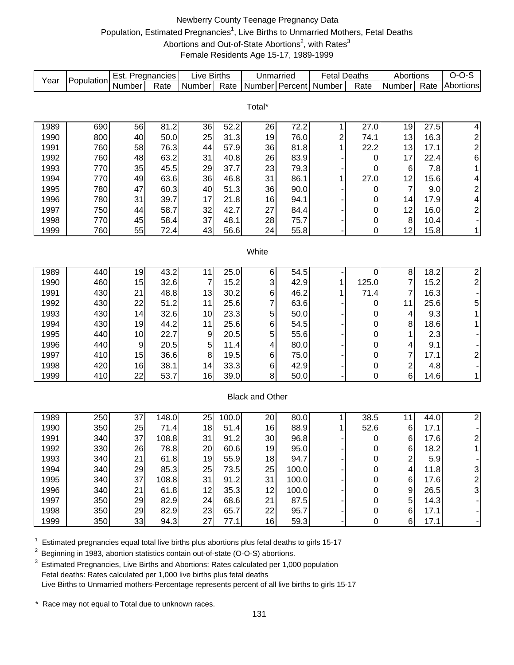# Newberry County Teenage Pregnancy Data Population, Estimated Pregnancies<sup>1</sup>, Live Births to Unmarried Mothers, Fetal Deaths Abortions and Out-of-State Abortions<sup>2</sup>, with Rates<sup>3</sup> Female Residents Age 15-17, 1989-1999

| Year         | Population | Est. Pregnancies |               | <b>Live Births</b> |              | Unmarried              |              | <b>Fetal Deaths</b> |                       | Abortions                    |              | $O-O-S$                      |
|--------------|------------|------------------|---------------|--------------------|--------------|------------------------|--------------|---------------------|-----------------------|------------------------------|--------------|------------------------------|
|              |            | Number           | Rate          | Number             | Rate         | Number Percent         |              | Number              | Rate                  | Number                       | Rate         | Abortions                    |
|              |            |                  |               |                    |              |                        |              |                     |                       |                              |              |                              |
|              |            |                  |               |                    |              | Total*                 |              |                     |                       |                              |              |                              |
| 1989         | 690        | 56               | 81.2          | 36                 | 52.2         | 26                     | 72.2         | 1                   | 27.0                  | 19                           | 27.5         | $\overline{\mathbf{4}}$      |
| 1990         | 800        | 40               | 50.0          | 25                 | 31.3         | 19                     | 76.0         | $\overline{c}$      | 74.1                  | 13                           | 16.3         | $\overline{\mathbf{c}}$      |
| 1991         | 760        | 58               | 76.3          | 44                 | 57.9         | 36                     | 81.8         | 1                   | 22.2                  | 13                           | 17.1         | $\overline{\mathbf{c}}$      |
| 1992         | 760        | 48               | 63.2          | 31                 | 40.8         | 26                     | 83.9         |                     | $\boldsymbol{0}$      | 17                           | 22.4         | 6                            |
| 1993         | 770        | 35               | 45.5          | 29                 | 37.7         | 23                     | 79.3         |                     | 0                     | $\,6$                        | 7.8          | 1                            |
| 1994         | 770        | 49               | 63.6          | 36                 | 46.8         | 31                     | 86.1         | 1                   | 27.0                  | 12                           | 15.6         | 4                            |
| 1995         | 780        | 47               | 60.3          | 40                 | 51.3         | 36                     | 90.0         |                     | 0                     | $\overline{7}$               | 9.0          | $\overline{\mathbf{c}}$      |
| 1996         | 780        | 31               | 39.7          | 17                 | 21.8         | 16                     | 94.1         |                     | 0                     | 14                           | 17.9         | 4                            |
| 1997         | 750        | 44               | 58.7          | 32                 | 42.7         | 27                     | 84.4         |                     | 0                     | 12                           | 16.0         | $\overline{\mathbf{c}}$      |
| 1998         | 770        | 45               | 58.4          | 37                 | 48.1         | 28                     | 75.7         |                     | $\pmb{0}$             | 8                            | 10.4         |                              |
| 1999         | 760        | 55               | 72.4          | 43                 | 56.6         | 24                     | 55.8         |                     | 0                     | 12                           | 15.8         | 1                            |
|              |            |                  |               |                    |              |                        |              |                     |                       |                              |              |                              |
|              |            |                  |               |                    |              | White                  |              |                     |                       |                              |              |                              |
|              |            |                  |               |                    |              |                        |              |                     |                       |                              |              |                              |
| 1989         | 440        | 19               | 43.2          | 11                 | 25.0         | 6                      | 54.5         |                     | 0                     | 8                            | 18.2         | $\overline{c}$               |
| 1990         | 460        | 15               | 32.6          | $\overline{7}$     | 15.2         | 3                      | 42.9         | 1                   | 125.0                 | $\overline{7}$               | 15.2         | $\overline{c}$               |
| 1991         | 430        | 21               | 48.8          | 13                 | 30.2         | 6                      | 46.2         | 1                   | 71.4                  | 7                            | 16.3         |                              |
| 1992         | 430        | 22               | 51.2          | 11                 | 25.6         | 7                      | 63.6         |                     | 0                     | 11                           | 25.6         | 5                            |
| 1993         | 430        | 14               | 32.6          | 10                 | 23.3         | 5                      | 50.0         |                     | 0                     | 4                            | 9.3          | 1                            |
| 1994         | 430        | 19               | 44.2          | 11                 | 25.6         | 6                      | 54.5         |                     | 0                     | 8                            | 18.6         | 1                            |
| 1995         | 440        | 10               | 22.7          | 9                  | 20.5         | 5                      | 55.6         |                     | 0                     | 1                            | 2.3          |                              |
| 1996         | 440        | $\boldsymbol{9}$ | 20.5          | 5                  | 11.4         | 4                      | 80.0         |                     | 0                     | 4                            | 9.1          |                              |
| 1997         | 410        | 15               | 36.6          | 8                  | 19.5         | 6                      | 75.0         |                     | $\mathbf 0$           | 7                            | 17.1         | $\overline{\mathbf{c}}$      |
| 1998         | 420        | 16               | 38.1          | 14                 | 33.3         | 6                      | 42.9         |                     | 0                     | $\overline{\mathbf{c}}$      | 4.8          |                              |
| 1999         | 410        | 22               | 53.7          | 16                 | 39.0         | 8                      | 50.0         |                     | 0                     | 6                            | 14.6         | 1                            |
|              |            |                  |               |                    |              |                        |              |                     |                       |                              |              |                              |
|              |            |                  |               |                    |              | <b>Black and Other</b> |              |                     |                       |                              |              |                              |
|              |            |                  |               |                    |              |                        |              |                     |                       |                              |              |                              |
| 1989         | 250        | 37               | 148.0         | 25                 | 100.0        | 20                     | 80.0         | 1                   | 38.5                  | 11                           | 44.0         | $\overline{2}$               |
| 1990         | 350<br>340 | 25<br>37         | 71.4          | 18<br>31           | 51.4<br>91.2 | 16<br>30               | 88.9<br>96.8 |                     | 52.6                  | 6                            | 17.1<br>17.6 | $\overline{\mathbf{c}}$      |
| 1991         | 330        | 26               | 108.8<br>78.8 | 20                 | 60.6         | 19                     | 95.0         |                     | 0                     | 6                            |              |                              |
| 1992         | 340        | 21               |               |                    | 55.9         |                        | 94.7         |                     | U<br>$\boldsymbol{0}$ | 6                            | 18.2         |                              |
| 1993<br>1994 | 340        | 29               | 61.8<br>85.3  | 19<br>25           | 73.5         | 18<br>25               | 100.0        |                     | 0                     | $\overline{\mathbf{c}}$<br>4 | 5.9<br>11.8  |                              |
| 1995         | 340        | 37               | 108.8         | 31                 | 91.2         | 31                     | 100.0        |                     | 0                     | 6                            | 17.6         | 3<br>$\overline{\mathbf{c}}$ |
| 1996         | 340        | 21               | 61.8          | 12                 | 35.3         | 12                     | 100.0        |                     | 0                     | 9                            | 26.5         | 3                            |
| 1997         | 350        | 29               | 82.9          | 24                 | 68.6         | 21                     | 87.5         |                     | 0                     | 5                            | 14.3         |                              |
| 1998         | 350        | 29               | 82.9          | 23                 | 65.7         | 22                     | 95.7         |                     | $\boldsymbol{0}$      | $\,6$                        | 17.1         |                              |
| 1999         | 350        | 33               | 94.3          | 27                 | 77.1         | 16                     | 59.3         |                     | $\pmb{0}$             | $\,6$                        | 17.1         |                              |
|              |            |                  |               |                    |              |                        |              |                     |                       |                              |              |                              |

 $1$  Estimated pregnancies equal total live births plus abortions plus fetal deaths to girls 15-17

<sup>2</sup> Beginning in 1983, abortion statistics contain out-of-state (O-O-S) abortions.

<sup>3</sup> Estimated Pregnancies, Live Births and Abortions: Rates calculated per 1,000 population Fetal deaths: Rates calculated per 1,000 live births plus fetal deaths Live Births to Unmarried mothers-Percentage represents percent of all live births to girls 15-17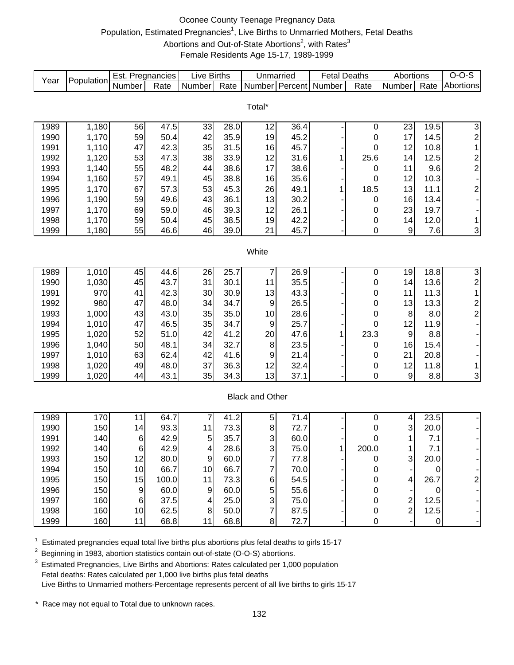# Oconee County Teenage Pregnancy Data Population, Estimated Pregnancies<sup>1</sup>, Live Births to Unmarried Mothers, Fetal Deaths Abortions and Out-of-State Abortions<sup>2</sup>, with Rates<sup>3</sup> Female Residents Age 15-17, 1989-1999

| Year | Population | Est. Pregnancies |       | <b>Live Births</b> |      | Unmarried              |      | <b>Fetal Deaths</b> |             | Abortions                                 |           | $O-O-S$                  |
|------|------------|------------------|-------|--------------------|------|------------------------|------|---------------------|-------------|-------------------------------------------|-----------|--------------------------|
|      |            | Number           | Rate  | Number             | Rate | Number Percent         |      | Number              | Rate        | Number                                    | Rate      | Abortions                |
|      |            |                  |       |                    |      |                        |      |                     |             |                                           |           |                          |
|      |            |                  |       |                    |      | Total*                 |      |                     |             |                                           |           |                          |
| 1989 | 1,180      | 56               | 47.5  | 33                 | 28.0 | 12                     | 36.4 |                     | $\pmb{0}$   | 23                                        | 19.5      | $\overline{3}$           |
| 1990 | 1,170      | 59               | 50.4  | 42                 | 35.9 | 19                     | 45.2 |                     | 0           | 17                                        | 14.5      | $\overline{\mathbf{c}}$  |
| 1991 | 1,110      | 47               | 42.3  | 35                 | 31.5 | 16                     | 45.7 |                     | 0           | 12                                        | 10.8      | $\mathbf{1}$             |
| 1992 | 1,120      | 53               | 47.3  | 38                 | 33.9 | 12                     | 31.6 | 1                   | 25.6        | 14                                        | 12.5      |                          |
| 1993 | 1,140      | 55               | 48.2  | 44                 | 38.6 | 17                     | 38.6 |                     | 0           | 11                                        | 9.6       | $\frac{2}{2}$            |
| 1994 | 1,160      | 57               | 49.1  | 45                 | 38.8 | 16                     | 35.6 |                     | 0           | 12                                        | 10.3      |                          |
| 1995 | 1,170      | 67               | 57.3  | 53                 | 45.3 | 26                     | 49.1 | 1                   | 18.5        | 13                                        | 11.1      | $\overline{\mathbf{c}}$  |
| 1996 | 1,190      | 59               | 49.6  | 43                 | 36.1 | 13                     | 30.2 |                     | 0           | 16                                        | 13.4      | $\overline{\phantom{a}}$ |
| 1997 | 1,170      | 69               | 59.0  | 46                 | 39.3 | 12                     | 26.1 |                     | 0           | 23                                        | 19.7      |                          |
| 1998 | 1,170      | 59               | 50.4  | 45                 | 38.5 | 19                     | 42.2 |                     | 0           | 14                                        | 12.0      | 1                        |
| 1999 | 1,180      | 55               | 46.6  | 46                 | 39.0 | 21                     | 45.7 |                     | $\mathbf 0$ | $\boldsymbol{9}$                          | 7.6       | 3                        |
|      |            |                  |       |                    |      |                        |      |                     |             |                                           |           |                          |
|      |            |                  |       |                    |      | White                  |      |                     |             |                                           |           |                          |
|      |            |                  |       |                    |      |                        |      |                     |             |                                           |           |                          |
| 1989 | 1,010      | 45               | 44.6  | 26                 | 25.7 | 7                      | 26.9 |                     | 0           | 19                                        | 18.8      | $\overline{3}$           |
| 1990 | 1,030      | 45               | 43.7  | 31                 | 30.1 | 11                     | 35.5 |                     | $\pmb{0}$   | 14                                        | 13.6      | $\overline{c}$           |
| 1991 | 970        | 41               | 42.3  | 30                 | 30.9 | 13                     | 43.3 |                     | 0           | 11                                        | 11.3      | $\mathbf{1}$             |
| 1992 | 980        | 47               | 48.0  | 34                 | 34.7 | $9\,$                  | 26.5 |                     | $\pmb{0}$   | 13                                        | 13.3      | $\boldsymbol{2}$         |
| 1993 | 1,000      | 43               | 43.0  | 35                 | 35.0 | 10                     | 28.6 |                     | $\pmb{0}$   | 8                                         | 8.0       | $\overline{c}$           |
| 1994 | 1,010      | 47               | 46.5  | 35                 | 34.7 | 9                      | 25.7 |                     | 0           | 12                                        | 11.9      |                          |
| 1995 | 1,020      | 52               | 51.0  | 42                 | 41.2 | 20                     | 47.6 | 1                   | 23.3        | 9                                         | 8.8       |                          |
| 1996 | 1,040      | 50               | 48.1  | 34                 | 32.7 | 8                      | 23.5 |                     | 0           | 16                                        | 15.4      |                          |
| 1997 | 1,010      | 63               | 62.4  | 42                 | 41.6 | 9                      | 21.4 |                     | 0           | 21                                        | 20.8      |                          |
| 1998 | 1,020      | 49               | 48.0  | 37                 | 36.3 | 12                     | 32.4 |                     | 0           | 12                                        | 11.8      | $\mathbf 1$              |
| 1999 | 1,020      | 44               | 43.1  | 35                 | 34.3 | 13                     | 37.1 |                     | $\mathbf 0$ | $9\,$                                     | 8.8       | 3                        |
|      |            |                  |       |                    |      |                        |      |                     |             |                                           |           |                          |
|      |            |                  |       |                    |      | <b>Black and Other</b> |      |                     |             |                                           |           |                          |
|      |            |                  |       |                    |      |                        |      |                     |             |                                           |           |                          |
| 1989 | 170        | 11               | 64.7  | $\overline{7}$     | 41.2 | 5                      | 71.4 |                     | 0           | 4                                         | 23.5      |                          |
| 1990 | 150        | 14               | 93.3  | 11                 | 73.3 | 8                      | 72.7 |                     | 0           | 3                                         | 20.0      |                          |
| 1991 | 140        | 6                | 42.9  | 5                  | 35.7 | 3                      | 60.0 | 1                   | 0           | 1                                         | 7.1       |                          |
| 1992 | 140        | $6 \mid$         | 42.9  | 4                  | 28.6 | $\overline{3}$         | 75.0 |                     | 200.0       | 1                                         | $7.1$     |                          |
| 1993 | 150        | 12               | 80.0  | $\boldsymbol{9}$   | 60.0 | $\overline{7}$         | 77.8 |                     | 0           | 3                                         | 20.0      |                          |
| 1994 | 150        | 10               | 66.7  | 10                 | 66.7 | 7                      | 70.0 |                     | 0           |                                           | 0         |                          |
| 1995 | 150        | 15               | 100.0 | 11                 | 73.3 | $\,6$                  | 54.5 |                     | 0           | 4                                         | 26.7      | 2                        |
| 1996 | 150        | 9                | 60.0  | 9                  | 60.0 | 5                      | 55.6 |                     | 0           |                                           | 0         |                          |
| 1997 | 160        | 6                | 37.5  | 4                  | 25.0 | 3                      | 75.0 |                     | 0           | $\overline{\mathbf{c}}$<br>$\overline{c}$ | 12.5      |                          |
| 1998 | 160        | 10               | 62.5  | 8                  | 50.0 | 7                      | 87.5 |                     | 0           |                                           | 12.5      |                          |
| 1999 | 160        | 11               | 68.8  | 11                 | 68.8 | 8 <sup>1</sup>         | 72.7 |                     | $\pmb{0}$   |                                           | $\pmb{0}$ |                          |

 $1$  Estimated pregnancies equal total live births plus abortions plus fetal deaths to girls 15-17

<sup>2</sup> Beginning in 1983, abortion statistics contain out-of-state (O-O-S) abortions.

 $3$  Estimated Pregnancies, Live Births and Abortions: Rates calculated per 1,000 population Fetal deaths: Rates calculated per 1,000 live births plus fetal deaths Live Births to Unmarried mothers-Percentage represents percent of all live births to girls 15-17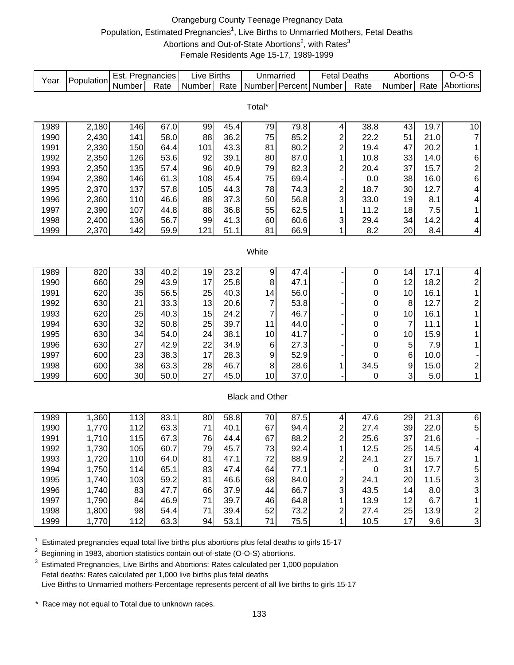# Orangeburg County Teenage Pregnancy Data Population, Estimated Pregnancies<sup>1</sup>, Live Births to Unmarried Mothers, Fetal Deaths Abortions and Out-of-State Abortions<sup>2</sup>, with Rates<sup>3</sup> Female Residents Age 15-17, 1989-1999

| Year         | Population     | Est. Pregnancies |              | <b>Live Births</b> |              | Unmarried              |              | <b>Fetal Deaths</b>                       |                  | Abortions      |              | $O-O-S$                 |
|--------------|----------------|------------------|--------------|--------------------|--------------|------------------------|--------------|-------------------------------------------|------------------|----------------|--------------|-------------------------|
|              |                | Number           | Rate         | Number             | Rate         | Number Percent         |              | Number                                    | Rate             | Number         | Rate         | Abortions               |
|              |                |                  |              |                    |              |                        |              |                                           |                  |                |              |                         |
|              |                |                  |              |                    |              | Total*                 |              |                                           |                  |                |              |                         |
| 1989         | 2,180          | 146              | 67.0         | 99                 | 45.4         | 79                     | 79.8         | 4                                         | 38.8             | 43             | 19.7         | 10                      |
| 1990         | 2,430          | 141              | 58.0         | 88                 | 36.2         | 75                     | 85.2         | $\overline{\mathbf{c}}$                   | 22.2             | 51             | 21.0         | $\boldsymbol{7}$        |
| 1991         | 2,330          | 150              | 64.4         | 101                | 43.3         | 81                     | 80.2         | $\overline{c}$                            | 19.4             | 47             | 20.2         | 1                       |
| 1992         | 2,350          | 126              | 53.6         | 92                 | 39.1         | 80                     | 87.0         | 1                                         | 10.8             | 33             | 14.0         | 6                       |
| 1993         | 2,350          | 135              | 57.4         | 96                 | 40.9         | 79                     | 82.3         | $\overline{c}$                            | 20.4             | 37             | 15.7         | $\overline{\mathbf{c}}$ |
| 1994         | 2,380          | 146              | 61.3         | 108                | 45.4         | 75                     | 69.4         |                                           | 0.0              | 38             | 16.0         | 6                       |
| 1995         | 2,370          | 137              | 57.8         | 105                | 44.3         | 78                     | 74.3         | $\overline{\mathbf{c}}$                   | 18.7             | 30             | 12.7         | 4                       |
| 1996         | 2,360          | 110              | 46.6         | 88                 | 37.3         | 50                     | 56.8         | 3                                         | 33.0             | 19             | 8.1          | 4                       |
| 1997         | 2,390          | 107              | 44.8         | 88                 | 36.8         | 55                     | 62.5         | 1                                         | 11.2             | 18             | 7.5          | 1                       |
| 1998         | 2,400          | 136              | 56.7         | 99                 | 41.3         | 60                     | 60.6         | 3                                         | 29.4             | 34             | 14.2         | 4                       |
| 1999         | 2,370          | 142              | 59.9         | 121                | 51.1         | 81                     | 66.9         | 1                                         | 8.2              | 20             | 8.4          | 4                       |
|              |                |                  |              |                    |              |                        |              |                                           |                  |                |              |                         |
|              |                |                  |              |                    |              | White                  |              |                                           |                  |                |              |                         |
|              |                |                  |              |                    |              |                        |              |                                           |                  |                |              |                         |
| 1989         | 820            | 33               | 40.2         | 19                 | 23.2         | 9                      | 47.4         |                                           | 0                | 14             | 17.1         | 4                       |
| 1990         | 660            | 29               | 43.9         | 17                 | 25.8         | 8                      | 47.1         |                                           | 0                | 12             | 18.2         | $\overline{\mathbf{c}}$ |
| 1991         | 620            | 35               | 56.5         | 25                 | 40.3         | 14                     | 56.0         |                                           | 0                | 10             | 16.1         | $\mathbf 1$             |
| 1992         | 630            | 21               | 33.3         | 13                 | 20.6         | 7                      | 53.8         |                                           | $\boldsymbol{0}$ | 8              | 12.7         | $\overline{\mathbf{c}}$ |
| 1993         | 620            | 25               | 40.3         | 15                 | 24.2         | 7                      | 46.7         |                                           | $\boldsymbol{0}$ | 10             | 16.1         | 1                       |
| 1994         | 630            | 32               | 50.8         | 25                 | 39.7         | 11                     | 44.0         |                                           | 0                | $\overline{7}$ | 11.1         | 1                       |
| 1995         | 630            | 34               | 54.0         | 24                 | 38.1         | 10                     | 41.7         |                                           | 0                | 10             | 15.9         | 1                       |
| 1996         | 630            | 27               | 42.9         | 22                 | 34.9         | 6                      | 27.3         |                                           | 0                | 5              | 7.9          | $\mathbf{1}$            |
| 1997         | 600            | 23               | 38.3         | 17                 | 28.3         | 9                      | 52.9         |                                           | 0                | 6              | 10.0         |                         |
| 1998         | 600            | 38               | 63.3         | 28                 | 46.7         | 8                      | 28.6         | 1                                         | 34.5             | 9              | 15.0         | $\overline{\mathbf{c}}$ |
| 1999         | 600            | 30               | 50.0         | 27                 | 45.0         | 10                     | 37.0         |                                           | 0                | 3              | 5.0          | $\mathbf{1}$            |
|              |                |                  |              |                    |              |                        |              |                                           |                  |                |              |                         |
|              |                |                  |              |                    |              | <b>Black and Other</b> |              |                                           |                  |                |              |                         |
|              |                |                  |              |                    |              |                        |              |                                           |                  |                |              |                         |
| 1989         | 1,360          | 113              | 83.1         | 80                 | 58.8         | 70                     | 87.5         | 4                                         | 47.6             | 29             | 21.3         | 6                       |
| 1990         | 1,770          | 112              | 63.3         | 71                 | 40.1         | 67                     | 94.4         | 2                                         | 27.4             | 39             | 22.0         | 5                       |
| 1991         | 1,710          | 115<br>105       | 67.3         | 76                 | 44.4<br>45.7 | 67                     | 88.2         | $\overline{\mathbf{c}}$<br>$\overline{A}$ | 25.6             | 37             | 21.6         |                         |
| 1992         | 1,730          |                  | 60.7         | 79                 |              | 73                     | 92.4         |                                           | 12.5             | 25             | 14.5         |                         |
| 1993         | 1,720          | 110<br>114       | 64.0<br>65.1 | 81<br>83           | 47.1<br>47.4 | 72<br>64               | 88.9<br>77.1 | 2                                         | 24.1             | 27<br>31       | 15.7<br>17.7 | 1                       |
| 1994<br>1995 | 1,750<br>1,740 | 103              | 59.2         | 81                 | 46.6         | 68                     | 84.0         |                                           | 0<br>24.1        | 20             | 11.5         | 5                       |
| 1996         | 1,740          | 83               | 47.7         | 66                 | 37.9         | 44                     | 66.7         | 2<br>3                                    | 43.5             | 14             | 8.0          | 3<br>3                  |
| 1997         | 1,790          | 84               | 46.9         | 71                 | 39.7         | 46                     | 64.8         | 1                                         | 13.9             | 12             | 6.7          | 1                       |
| 1998         | 1,800          | 98               | 54.4         | 71                 | 39.4         | 52                     | 73.2         | $\boldsymbol{2}$                          | 27.4             | 25             | 13.9         | $\boldsymbol{2}$        |
| 1999         | 1,770          | 112              | 63.3         | 94                 | 53.1         | 71                     | 75.5         | $\mathbf{1}$                              | 10.5             | 17             | 9.6          | 3                       |
|              |                |                  |              |                    |              |                        |              |                                           |                  |                |              |                         |

 $1$  Estimated pregnancies equal total live births plus abortions plus fetal deaths to girls 15-17

<sup>2</sup> Beginning in 1983, abortion statistics contain out-of-state (O-O-S) abortions.

 $3$  Estimated Pregnancies, Live Births and Abortions: Rates calculated per 1,000 population Fetal deaths: Rates calculated per 1,000 live births plus fetal deaths Live Births to Unmarried mothers-Percentage represents percent of all live births to girls 15-17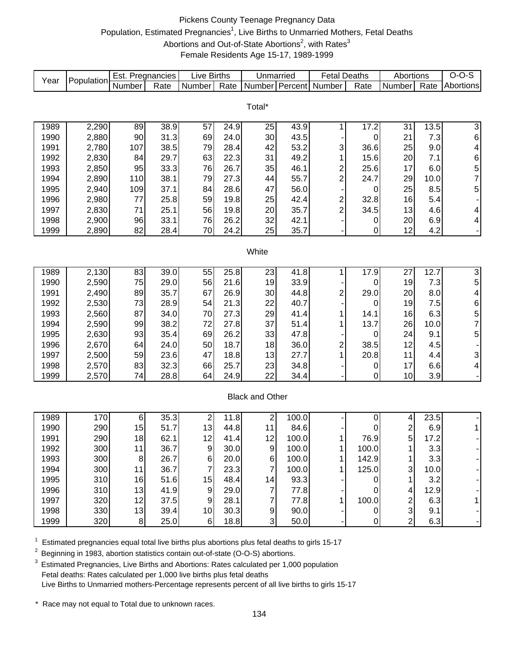### Pickens County Teenage Pregnancy Data Population, Estimated Pregnancies<sup>1</sup>, Live Births to Unmarried Mothers, Fetal Deaths Abortions and Out-of-State Abortions<sup>2</sup>, with Rates<sup>3</sup> Female Residents Age 15-17, 1989-1999

| Year | Population | Est. Pregnancies |      | <b>Live Births</b> |      | Unmarried              |       | <b>Fetal Deaths</b>                       |                   | Abortions               |      | $O-O-S$                 |
|------|------------|------------------|------|--------------------|------|------------------------|-------|-------------------------------------------|-------------------|-------------------------|------|-------------------------|
|      |            | Number           | Rate | Number             | Rate | Number Percent         |       | Number                                    | Rate              | Number                  | Rate | Abortions               |
|      |            |                  |      |                    |      |                        |       |                                           |                   |                         |      |                         |
|      |            |                  |      |                    |      | Total*                 |       |                                           |                   |                         |      |                         |
| 1989 | 2,290      | 89               | 38.9 | 57                 | 24.9 | 25                     | 43.9  | 1                                         | $\overline{17.2}$ | 31                      | 13.5 | 3                       |
| 1990 | 2,880      | 90               | 31.3 | 69                 | 24.0 | 30                     | 43.5  |                                           | 0                 | 21                      | 7.3  | 6                       |
| 1991 | 2,780      | 107              | 38.5 | 79                 | 28.4 | 42                     | 53.2  | 3                                         | 36.6              | 25                      | 9.0  | $\overline{\mathbf{4}}$ |
| 1992 | 2,830      | 84               | 29.7 | 63                 | 22.3 | 31                     | 49.2  | 1                                         | 15.6              | 20                      | 7.1  |                         |
| 1993 | 2,850      | 95               | 33.3 | 76                 | 26.7 | 35                     | 46.1  | $\overline{c}$                            | 25.6              | 17                      | 6.0  | 6<br>5<br>7             |
| 1994 | 2,890      | 110              | 38.1 | 79                 | 27.3 | 44                     | 55.7  | $\overline{c}$                            | 24.7              | 29                      | 10.0 |                         |
| 1995 | 2,940      | 109              | 37.1 | 84                 | 28.6 | 47                     | 56.0  |                                           | 0                 | 25                      | 8.5  | 5                       |
| 1996 | 2,980      | 77               | 25.8 | 59                 | 19.8 | 25                     | 42.4  |                                           | 32.8              | 16                      | 5.4  |                         |
| 1997 | 2,830      | 71               | 25.1 | 56                 | 19.8 | 20                     | 35.7  | $\overline{\mathbf{c}}$<br>$\overline{c}$ | 34.5              | 13                      | 4.6  |                         |
| 1998 | 2,900      | 96               | 33.1 | 76                 | 26.2 | 32                     | 42.1  |                                           |                   | 20                      | 6.9  | 4<br>4                  |
| 1999 | 2,890      | 82               | 28.4 | 70                 | 24.2 | 25                     | 35.7  |                                           | 0<br>0            | 12                      | 4.2  |                         |
|      |            |                  |      |                    |      |                        |       |                                           |                   |                         |      |                         |
|      |            |                  |      |                    |      | White                  |       |                                           |                   |                         |      |                         |
|      |            |                  |      |                    |      |                        |       |                                           |                   |                         |      |                         |
| 1989 | 2,130      | 83               | 39.0 | 55                 | 25.8 | 23                     | 41.8  | 1                                         | 17.9              | 27                      | 12.7 | $\overline{3}$          |
| 1990 | 2,590      | 75               | 29.0 | 56                 | 21.6 | 19                     | 33.9  |                                           | 0                 | 19                      | 7.3  | 5                       |
| 1991 | 2,490      | 89               | 35.7 | 67                 | 26.9 | 30                     | 44.8  | $\overline{\mathbf{c}}$                   | 29.0              | 20                      | 8.0  | 4                       |
| 1992 | 2,530      | 73               | 28.9 | 54                 | 21.3 | 22                     | 40.7  |                                           | 0                 | 19                      | 7.5  | 6                       |
| 1993 | 2,560      | 87               | 34.0 | 70                 | 27.3 | 29                     | 41.4  | 1                                         | 14.1              | 16                      | 6.3  |                         |
| 1994 | 2,590      | 99               | 38.2 | 72                 | 27.8 | 37                     | 51.4  | 1                                         | 13.7              | 26                      | 10.0 | $\frac{5}{7}$           |
| 1995 | 2,630      | 93               | 35.4 | 69                 | 26.2 | 33                     | 47.8  |                                           | 0                 | 24                      | 9.1  | 5                       |
| 1996 | 2,670      | 64               | 24.0 | 50                 | 18.7 | 18                     | 36.0  | $\overline{\mathbf{c}}$                   | 38.5              | 12                      | 4.5  |                         |
| 1997 | 2,500      | 59               | 23.6 | 47                 | 18.8 | 13                     | 27.7  | 1                                         | 20.8              | 11                      | 4.4  | 3                       |
| 1998 | 2,570      | 83               | 32.3 | 66                 | 25.7 | 23                     | 34.8  |                                           | 0                 | 17                      | 6.6  | 4                       |
| 1999 | 2,570      | 74               | 28.8 | 64                 | 24.9 | 22                     | 34.4  |                                           | 0                 | 10                      | 3.9  | -                       |
|      |            |                  |      |                    |      |                        |       |                                           |                   |                         |      |                         |
|      |            |                  |      |                    |      | <b>Black and Other</b> |       |                                           |                   |                         |      |                         |
|      |            |                  |      |                    |      |                        |       |                                           |                   |                         |      |                         |
| 1989 | 170        | 6                | 35.3 | $\mathbf 2$        | 11.8 | $\overline{c}$         | 100.0 |                                           | 0                 | 4                       | 23.5 |                         |
| 1990 | 290        | 15               | 51.7 | 13                 | 44.8 | 11                     | 84.6  |                                           | 0                 | $\overline{\mathbf{c}}$ | 6.9  | $\mathbf{1}$            |
| 1991 | 290        | 18               | 62.1 | 12                 | 41.4 | 12                     | 100.0 | 1                                         | 76.9              | 5                       | 17.2 |                         |
| 1992 | 300        | 11               | 36.7 | $\boldsymbol{9}$   | 30.0 | 9                      | 100.0 | 1                                         | 100.0             | $\overline{A}$          | 3.3  |                         |
| 1993 | 300        | 8                | 26.7 | $6 \mid$           | 20.0 | 6                      | 100.0 | 1                                         | 142.9             | 1                       | 3.3  |                         |
| 1994 | 300        | 11               | 36.7 | 7                  | 23.3 | $\overline{7}$         | 100.0 |                                           | 125.0             | 3                       | 10.0 |                         |
| 1995 | 310        | 16               | 51.6 | 15                 | 48.4 | 14                     | 93.3  |                                           | 0                 | 1                       | 3.2  |                         |
| 1996 | 310        | 13               | 41.9 | 9                  | 29.0 | 7                      | 77.8  |                                           | 0                 | 4                       | 12.9 |                         |
| 1997 | 320        | 12               | 37.5 | 9                  | 28.1 | 7                      | 77.8  |                                           | 100.0             | $\overline{\mathbf{c}}$ | 6.3  |                         |
| 1998 | 330        | 13               | 39.4 | 10                 | 30.3 | $\overline{9}$         | 90.0  |                                           | 0                 | 3                       | 9.1  |                         |
| 1999 | 320        | 8 <sup>1</sup>   | 25.0 | $\,6$              | 18.8 | 3 <sup>1</sup>         | 50.0  |                                           | $\mathbf 0$       | $\overline{2}$          | 6.3  |                         |

 $1$  Estimated pregnancies equal total live births plus abortions plus fetal deaths to girls 15-17

<sup>2</sup> Beginning in 1983, abortion statistics contain out-of-state (O-O-S) abortions.

 $3$  Estimated Pregnancies, Live Births and Abortions: Rates calculated per 1,000 population Fetal deaths: Rates calculated per 1,000 live births plus fetal deaths Live Births to Unmarried mothers-Percentage represents percent of all live births to girls 15-17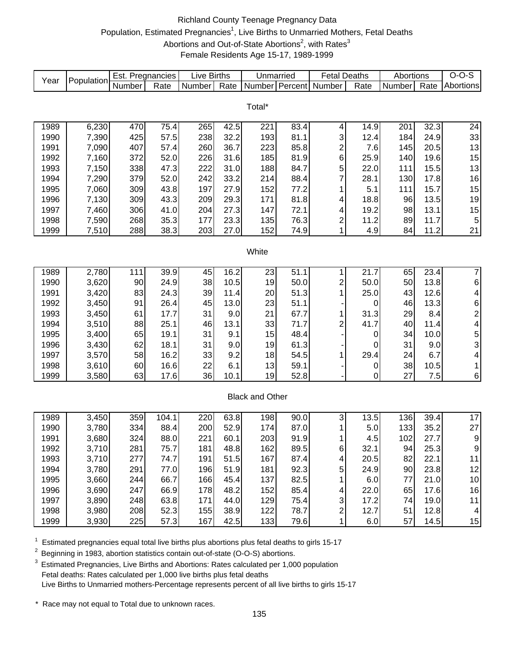# Richland County Teenage Pregnancy Data Population, Estimated Pregnancies<sup>1</sup>, Live Births to Unmarried Mothers, Fetal Deaths Abortions and Out-of-State Abortions<sup>2</sup>, with Rates<sup>3</sup> Female Residents Age 15-17, 1989-1999

| Year | Population | Est. Pregnancies |       | Live Births |      | Unmarried              |         | <b>Fetal Deaths</b>     |      | Abortions |      | $O-O-S$                 |
|------|------------|------------------|-------|-------------|------|------------------------|---------|-------------------------|------|-----------|------|-------------------------|
|      |            | Number           | Rate  | Number      | Rate | Number                 | Percent | Number                  | Rate | Number    | Rate | Abortions               |
|      |            |                  |       |             |      |                        |         |                         |      |           |      |                         |
|      |            |                  |       |             |      | Total*                 |         |                         |      |           |      |                         |
|      |            |                  |       |             |      |                        |         |                         |      |           |      |                         |
| 1989 | 6,230      | 470              | 75.4  | 265         | 42.5 | 221                    | 83.4    | 4                       | 14.9 | 201       | 32.3 | 24                      |
| 1990 | 7,390      | 425              | 57.5  | 238         | 32.2 | 193                    | 81.1    | 3                       | 12.4 | 184       | 24.9 | 33                      |
| 1991 | 7,090      | 407              | 57.4  | 260         | 36.7 | 223                    | 85.8    | $\overline{\mathbf{c}}$ | 7.6  | 145       | 20.5 | 13                      |
| 1992 | 7,160      | 372              | 52.0  | 226         | 31.6 | 185                    | 81.9    | 6                       | 25.9 | 140       | 19.6 | 15                      |
| 1993 | 7,150      | 338              | 47.3  | 222         | 31.0 | 188                    | 84.7    | 5                       | 22.0 | 111       | 15.5 | 13                      |
| 1994 | 7,290      | 379              | 52.0  | 242         | 33.2 | 214                    | 88.4    | 7                       | 28.1 | 130       | 17.8 | 16                      |
| 1995 | 7,060      | 309              | 43.8  | 197         | 27.9 | 152                    | 77.2    | 1                       | 5.1  | 111       | 15.7 | 15                      |
| 1996 | 7,130      | 309              | 43.3  | 209         | 29.3 | 171                    | 81.8    | 4                       | 18.8 | 96        | 13.5 | 19                      |
| 1997 | 7,460      | 306              | 41.0  | 204         | 27.3 | 147                    | 72.1    | 4                       | 19.2 | 98        | 13.1 | 15                      |
| 1998 | 7,590      | 268              | 35.3  | 177         | 23.3 | 135                    | 76.3    | $\overline{\mathbf{c}}$ | 11.2 | 89        | 11.7 | 5                       |
| 1999 | 7,510      | 288              | 38.3  | 203         | 27.0 | 152                    | 74.9    | 1                       | 4.9  | 84        | 11.2 | 21                      |
|      |            |                  |       |             |      |                        |         |                         |      |           |      |                         |
|      |            |                  |       |             |      | White                  |         |                         |      |           |      |                         |
| 1989 | 2,780      | 111              | 39.9  | 45          | 16.2 | 23                     | 51.1    | 1                       | 21.7 | 65        | 23.4 | $\overline{7}$          |
| 1990 | 3,620      | 90               | 24.9  | 38          | 10.5 | 19                     | 50.0    | $\overline{\mathbf{c}}$ | 50.0 | 50        | 13.8 | 6                       |
| 1991 | 3,420      | 83               | 24.3  | 39          | 11.4 | 20                     | 51.3    | 1                       | 25.0 | 43        | 12.6 | 4                       |
| 1992 | 3,450      | 91               | 26.4  | 45          | 13.0 | 23                     | 51.1    |                         | 0    | 46        | 13.3 | 6                       |
| 1993 | 3,450      | 61               | 17.7  | 31          | 9.0  | 21                     | 67.7    | 1                       | 31.3 | 29        | 8.4  | $\overline{\mathbf{c}}$ |
| 1994 | 3,510      | 88               | 25.1  | 46          | 13.1 | 33                     | 71.7    | $\overline{\mathbf{c}}$ | 41.7 | 40        | 11.4 | 4                       |
| 1995 | 3,400      | 65               | 19.1  | 31          | 9.1  | 15                     | 48.4    |                         | 0    | 34        | 10.0 |                         |
| 1996 | 3,430      | 62               | 18.1  | 31          | 9.0  | 19                     | 61.3    |                         | 0    | 31        | 9.0  | 5<br>3                  |
| 1997 | 3,570      | 58               | 16.2  | 33          | 9.2  | 18                     | 54.5    | 1                       | 29.4 | 24        | 6.7  | 4                       |
| 1998 | 3,610      | 60               | 16.6  | 22          | 6.1  | 13                     | 59.1    |                         | 0    | 38        | 10.5 | 1                       |
| 1999 | 3,580      | 63               | 17.6  | 36          | 10.1 | 19                     | 52.8    |                         | 0    | 27        | 7.5  | 6                       |
|      |            |                  |       |             |      |                        |         |                         |      |           |      |                         |
|      |            |                  |       |             |      | <b>Black and Other</b> |         |                         |      |           |      |                         |
|      |            |                  |       |             |      |                        |         |                         |      |           |      |                         |
| 1989 | 3,450      | 359              | 104.1 | 220         | 63.8 | 198                    | 90.0    | 3                       | 13.5 | 136       | 39.4 | 17                      |
| 1990 | 3,780      | 334              | 88.4  | 200         | 52.9 | 174                    | 87.0    | 1                       | 5.0  | 133       | 35.2 | 27                      |
| 1991 | 3,680      | 324              | 88.0  | 221         | 60.1 | 203                    | 91.9    | 1                       | 4.5  | 102       | 27.7 | 9                       |
| 1992 | 3,710      | 281              | 75.7  | 181         | 48.8 | 162                    | 89.5    | $\,6$                   | 32.1 | 94        | 25.3 | $\boldsymbol{9}$        |
| 1993 | 3,710      | 277              | 74.7  | 191         | 51.5 | 167                    | 87.4    | 4                       | 20.5 | 82        | 22.1 | 11                      |
| 1994 | 3,780      | 291              | 77.0  | 196         | 51.9 | 181                    | 92.3    | 5                       | 24.9 | 90        | 23.8 | 12                      |
| 1995 | 3,660      | 244              | 66.7  | 166         | 45.4 | 137                    | 82.5    | 1                       | 6.0  | 77        | 21.0 | 10                      |
| 1996 | 3,690      | 247              | 66.9  | 178         | 48.2 | 152                    | 85.4    | 4                       | 22.0 | 65        | 17.6 | 16                      |
| 1997 | 3,890      | 248              | 63.8  | 171         | 44.0 | 129                    | 75.4    | 3                       | 17.2 | 74        | 19.0 | 11                      |
| 1998 | 3,980      | 208              | 52.3  | 155         | 38.9 | 122                    | 78.7    | $\overline{\mathbf{c}}$ | 12.7 | 51        | 12.8 | 4                       |
| 1999 | 3,930      | 225              | 57.3  | 167         | 42.5 | 133                    | 79.6    | 1                       | 6.0  | 57        | 14.5 | 15                      |

 $1$  Estimated pregnancies equal total live births plus abortions plus fetal deaths to girls 15-17

<sup>2</sup> Beginning in 1983, abortion statistics contain out-of-state (O-O-S) abortions.

<sup>3</sup> Estimated Pregnancies, Live Births and Abortions: Rates calculated per 1,000 population Fetal deaths: Rates calculated per 1,000 live births plus fetal deaths Live Births to Unmarried mothers-Percentage represents percent of all live births to girls 15-17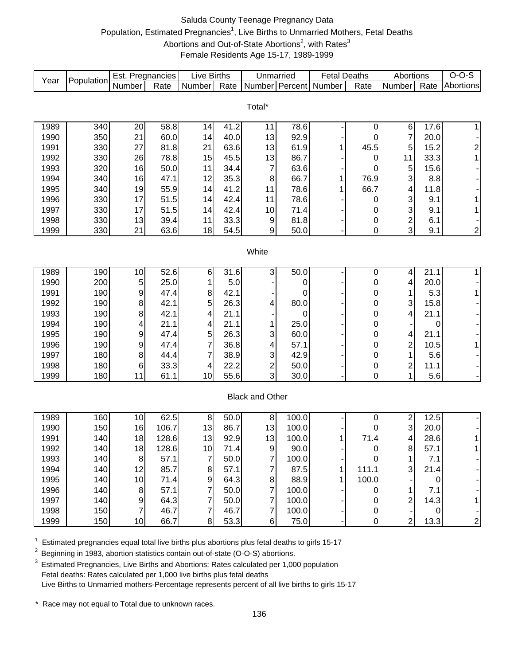# Saluda County Teenage Pregnancy Data Population, Estimated Pregnancies<sup>1</sup>, Live Births to Unmarried Mothers, Fetal Deaths Abortions and Out-of-State Abortions<sup>2</sup>, with Rates<sup>3</sup> Female Residents Age 15-17, 1989-1999

| Year | Population | Est. Pregnancies |       | <b>Live Births</b> |      | Unmarried               |             | <b>Fetal Deaths</b>   |             | Abortions               |      | $O-O-S$                 |
|------|------------|------------------|-------|--------------------|------|-------------------------|-------------|-----------------------|-------------|-------------------------|------|-------------------------|
|      |            | Number           | Rate  | Number             | Rate |                         |             | Number Percent Number | Rate        | Number                  | Rate | Abortions               |
|      |            |                  |       |                    |      |                         |             |                       |             |                         |      |                         |
|      |            |                  |       |                    |      | Total*                  |             |                       |             |                         |      |                         |
|      |            |                  |       |                    |      |                         |             |                       |             |                         |      |                         |
| 1989 | 340        | 20               | 58.8  | 14                 | 41.2 | 11                      | 78.6        |                       | $\pmb{0}$   | $\,6$                   | 17.6 | $\mathbf{1}$            |
| 1990 | 350        | 21               | 60.0  | 14                 | 40.0 | 13                      | 92.9        |                       | 0           | 7                       | 20.0 |                         |
| 1991 | 330        | 27               | 81.8  | 21                 | 63.6 | 13                      | 61.9        | 1                     | 45.5        | $\mathbf 5$             | 15.2 | $\overline{\mathbf{c}}$ |
| 1992 | 330        | 26               | 78.8  | 15                 | 45.5 | 13                      | 86.7        |                       | 0           | 11                      | 33.3 | $\mathbf{1}$            |
| 1993 | 320        | 16               | 50.0  | 11                 | 34.4 | $\overline{7}$          | 63.6        |                       | 0           | 5                       | 15.6 |                         |
| 1994 | 340        | 16               | 47.1  | 12                 | 35.3 | 8                       | 66.7        |                       | 76.9        | 3                       | 8.8  |                         |
| 1995 | 340        | 19               | 55.9  | 14                 | 41.2 | 11                      | 78.6        |                       | 66.7        | 4                       | 11.8 |                         |
| 1996 | 330        | 17               | 51.5  | 14                 | 42.4 | 11                      | 78.6        |                       | 0           | 3                       | 9.1  | $\mathbf{1}$            |
| 1997 | 330        | 17               | 51.5  | 14                 | 42.4 | 10                      | 71.4        |                       | 0           | 3                       | 9.1  | $\mathbf{1}$            |
| 1998 | 330        | 13               | 39.4  | 11                 | 33.3 | 9                       | 81.8        |                       | 0           | $\overline{\mathbf{c}}$ | 6.1  |                         |
| 1999 | 330        | 21               | 63.6  | 18                 | 54.5 | 9                       | 50.0        |                       | $\pmb{0}$   | 3                       | 9.1  | $\boldsymbol{2}$        |
|      |            |                  |       |                    |      |                         |             |                       |             |                         |      |                         |
|      |            |                  |       |                    |      | White                   |             |                       |             |                         |      |                         |
| 1989 | 190        | 10               | 52.6  | 6                  | 31.6 | 3                       | 50.0        |                       | 0           | 4                       | 21.1 | $\mathbf{1}$            |
| 1990 | 200        | 5                | 25.0  | 1                  | 5.0  |                         | 0           |                       | 0           | 4                       | 20.0 |                         |
| 1991 | 190        | 9                | 47.4  | 8                  | 42.1 |                         | 0           |                       | 0           | 1                       | 5.3  | $\mathbf{1}$            |
| 1992 | 190        | 8                | 42.1  | 5                  | 26.3 | 4                       | 80.0        |                       | 0           | 3                       | 15.8 |                         |
| 1993 | 190        | 8                | 42.1  | 4                  | 21.1 |                         | $\mathbf 0$ |                       | $\pmb{0}$   | 4                       | 21.1 |                         |
| 1994 | 190        | 4                | 21.1  | 4                  | 21.1 |                         | 25.0        |                       | 0           |                         | 0    |                         |
| 1995 | 190        | 9                | 47.4  | 5                  | 26.3 | 3                       | 60.0        |                       | 0           | 4                       | 21.1 |                         |
| 1996 | 190        | 9                | 47.4  | 7                  | 36.8 | 4                       | 57.1        |                       | 0           | $\overline{\mathbf{c}}$ | 10.5 | $\mathbf{1}$            |
| 1997 | 180        | 8                | 44.4  | 7                  | 38.9 | 3                       | 42.9        |                       | 0           | 1                       | 5.6  |                         |
| 1998 | 180        | 6                | 33.3  | 4                  | 22.2 | $\overline{\mathbf{c}}$ | 50.0        |                       | 0           | $\overline{\mathbf{c}}$ | 11.1 |                         |
| 1999 | 180        | 11               | 61.1  | 10                 | 55.6 | 3                       | 30.0        |                       | 0           | 1                       | 5.6  | -                       |
|      |            |                  |       |                    |      |                         |             |                       |             |                         |      |                         |
|      |            |                  |       |                    |      | <b>Black and Other</b>  |             |                       |             |                         |      |                         |
|      |            |                  |       |                    |      |                         |             |                       |             |                         |      |                         |
| 1989 | 160        | 10               | 62.5  | 8                  | 50.0 | 8                       | 100.0       |                       | 0           | 2                       | 12.5 |                         |
| 1990 | 150        | 16               | 106.7 | 13                 | 86.7 | 13                      | 100.0       |                       | 0           | 3                       | 20.0 |                         |
| 1991 | 140        | 18               | 128.6 | 13                 | 92.9 | 13                      | 100.0       | 1                     | 71.4        | 4                       | 28.6 | 1                       |
| 1992 | 140        | 18               | 128.6 | 10 <sub>1</sub>    | 71.4 | $\boldsymbol{9}$        | 90.0        |                       | $\mathbf 0$ | $\bf8$                  | 57.1 | $\overline{1}$          |
| 1993 | 140        | $\,8\,$          | 57.1  | $\boldsymbol{7}$   | 50.0 | 7                       | 100.0       |                       | 0           | 1                       | 7.1  |                         |
| 1994 | 140        | 12               | 85.7  | 8                  | 57.1 | 7                       | 87.5        |                       | 111.1       | 3                       | 21.4 |                         |
| 1995 | 140        | 10               | 71.4  | $\boldsymbol{9}$   | 64.3 | 8                       | 88.9        |                       | 100.0       |                         | 0    |                         |
| 1996 | 140        | 8                | 57.1  | 7                  | 50.0 | $\overline{7}$          | 100.0       |                       | 0           | 1                       | 7.1  |                         |
| 1997 | 140        | 9                | 64.3  | 7                  | 50.0 | 7                       | 100.0       |                       | 0           | 2                       | 14.3 | 1                       |
| 1998 | 150        |                  | 46.7  | 7                  | 46.7 | 7                       | 100.0       |                       | 0           |                         | 0    |                         |
| 1999 | 150        | 10 <sub>1</sub>  | 66.7  | 8                  | 53.3 | 6 <sup>1</sup>          | 75.0        |                       | $\pmb{0}$   | $\overline{2}$          | 13.3 | $\mathbf{2}$            |

 $1$  Estimated pregnancies equal total live births plus abortions plus fetal deaths to girls 15-17

<sup>2</sup> Beginning in 1983, abortion statistics contain out-of-state (O-O-S) abortions.

 $3$  Estimated Pregnancies, Live Births and Abortions: Rates calculated per 1,000 population Fetal deaths: Rates calculated per 1,000 live births plus fetal deaths Live Births to Unmarried mothers-Percentage represents percent of all live births to girls 15-17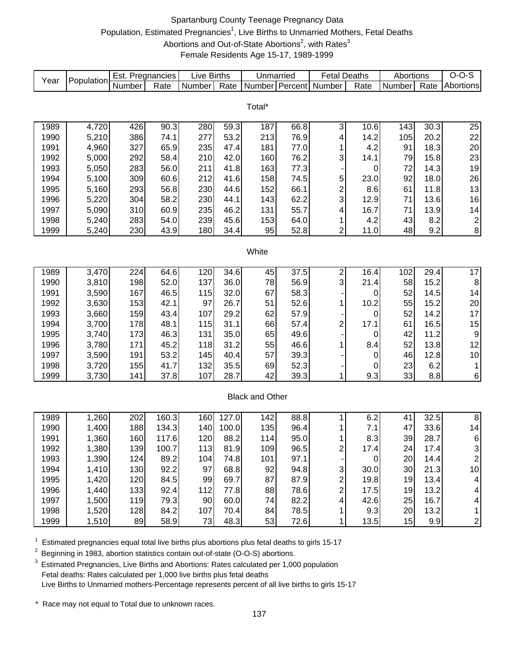# Spartanburg County Teenage Pregnancy Data Population, Estimated Pregnancies<sup>1</sup>, Live Births to Unmarried Mothers, Fetal Deaths Abortions and Out-of-State Abortions<sup>2</sup>, with Rates<sup>3</sup> Female Residents Age 15-17, 1989-1999

| Year | Population | Est. Pregnancies |       | Live Births |       | Unmarried              |      | <b>Fetal Deaths</b>     |           | Abortions |      | $O-O-S$                 |
|------|------------|------------------|-------|-------------|-------|------------------------|------|-------------------------|-----------|-----------|------|-------------------------|
|      |            | Number           | Rate  | Number      | Rate  | Number Percent         |      | Number                  | Rate      | Number    | Rate | Abortions               |
|      |            |                  |       |             |       |                        |      |                         |           |           |      |                         |
|      |            |                  |       |             |       | Total*                 |      |                         |           |           |      |                         |
| 1989 | 4,720      | 426              | 90.3  | 280         | 59.3  | 187                    | 66.8 | 3                       | 10.6      | 143       | 30.3 | 25                      |
| 1990 | 5,210      | 386              | 74.1  | 277         | 53.2  | 213                    | 76.9 | 4                       | 14.2      | 105       | 20.2 | 22                      |
| 1991 | 4,960      | 327              | 65.9  | 235         | 47.4  | 181                    | 77.0 | 1                       | 4.2       | 91        | 18.3 | 20                      |
| 1992 | 5,000      | 292              | 58.4  | 210         | 42.0  | 160                    | 76.2 | 3                       | 14.1      | 79        | 15.8 | 23                      |
| 1993 | 5,050      | 283              | 56.0  | 211         | 41.8  | 163                    | 77.3 |                         | 0         | 72        | 14.3 | 19                      |
| 1994 | 5,100      | 309              | 60.6  | 212         | 41.6  | 158                    | 74.5 | 5                       | 23.0      | 92        | 18.0 | 26                      |
| 1995 | 5,160      | 293              | 56.8  | 230         | 44.6  | 152                    | 66.1 | $\overline{\mathbf{c}}$ | 8.6       | 61        | 11.8 | 13                      |
| 1996 | 5,220      | 304              | 58.2  | 230         | 44.1  | 143                    | 62.2 | 3                       | 12.9      | 71        | 13.6 | 16                      |
| 1997 | 5,090      | 310              | 60.9  | 235         | 46.2  | 131                    | 55.7 | 4                       | 16.7      | 71        | 13.9 | 14                      |
| 1998 | 5,240      | 283              | 54.0  | 239         | 45.6  | 153                    | 64.0 | 1                       | 4.2       | 43        | 8.2  | $\overline{\mathbf{c}}$ |
| 1999 | 5,240      | 230              | 43.9  | 180         | 34.4  | 95                     | 52.8 | $\overline{\mathbf{c}}$ | 11.0      | 48        | 9.2  | 8                       |
|      |            |                  |       |             |       |                        |      |                         |           |           |      |                         |
|      |            |                  |       |             |       | White                  |      |                         |           |           |      |                         |
|      |            |                  |       |             |       |                        |      |                         |           |           |      |                         |
| 1989 | 3,470      | 224              | 64.6  | 120         | 34.6  | 45                     | 37.5 | $\overline{\mathbf{c}}$ | 16.4      | 102       | 29.4 | $\overline{17}$         |
| 1990 | 3,810      | 198              | 52.0  | 137         | 36.0  | 78                     | 56.9 | 3                       | 21.4      | 58        | 15.2 | 8                       |
| 1991 | 3,590      | 167              | 46.5  | 115         | 32.0  | 67                     | 58.3 |                         | 0         | 52        | 14.5 | 14                      |
| 1992 | 3,630      | 153              | 42.1  | 97          | 26.7  | 51                     | 52.6 | 1                       | 10.2      | 55        | 15.2 | 20                      |
| 1993 | 3,660      | 159              | 43.4  | 107         | 29.2  | 62                     | 57.9 |                         | 0         | 52        | 14.2 | 17                      |
| 1994 | 3,700      | 178              | 48.1  | 115         | 31.1  | 66                     | 57.4 | $\overline{\mathbf{c}}$ | 17.1      | 61        | 16.5 | 15                      |
| 1995 | 3,740      | 173              | 46.3  | 131         | 35.0  | 65                     | 49.6 |                         | 0         | 42        | 11.2 | $\boldsymbol{9}$        |
| 1996 | 3,780      | 171              | 45.2  | 118         | 31.2  | 55                     | 46.6 | 1                       | 8.4       | 52        | 13.8 | 12                      |
| 1997 | 3,590      | 191              | 53.2  | 145         | 40.4  | 57                     | 39.3 |                         | 0         | 46        | 12.8 | $10$                    |
| 1998 | 3,720      | 155              | 41.7  | 132         | 35.5  | 69                     | 52.3 |                         | 0         | 23        | 6.2  | $\mathbf{1}$            |
| 1999 | 3,730      | 141              | 37.8  | 107         | 28.7  | 42                     | 39.3 | 1                       | 9.3       | 33        | 8.8  | 6                       |
|      |            |                  |       |             |       |                        |      |                         |           |           |      |                         |
|      |            |                  |       |             |       | <b>Black and Other</b> |      |                         |           |           |      |                         |
|      |            |                  |       |             |       |                        |      |                         |           |           |      |                         |
| 1989 | 1,260      | 202              | 160.3 | 160         | 127.0 | 142                    | 88.8 | 1                       | 6.2       | 41        | 32.5 | 8                       |
| 1990 | 1,400      | 188              | 134.3 | 140         | 100.0 | 135                    | 96.4 |                         | 7.1       | 47        | 33.6 | 14                      |
| 1991 | 1,360      | 160              | 117.6 | 120         | 88.2  | 114                    | 95.0 | 1                       | 8.3       | 39        | 28.7 | $\,6$                   |
| 1992 | 1,380      | 139              | 100.7 | 113         | 81.9  | 109                    | 96.5 | $\overline{\mathbf{c}}$ | 17.4      | 24        | 17.4 | 3                       |
| 1993 | 1,390      | 124              | 89.2  | 104         | 74.8  | 101                    | 97.1 |                         | $\pmb{0}$ | 20        | 14.4 | $\overline{\mathbf{c}}$ |
| 1994 | 1,410      | 130              | 92.2  | 97          | 68.8  | 92                     | 94.8 | 3                       | 30.0      | 30        | 21.3 | 10                      |
| 1995 | 1,420      | 120              | 84.5  | 99          | 69.7  | 87                     | 87.9 | 2                       | 19.8      | 19        | 13.4 | 4                       |
| 1996 | 1,440      | 133              | 92.4  | 112         | 77.8  | 88                     | 78.6 | 2                       | 17.5      | 19        | 13.2 | 4                       |
| 1997 | 1,500      | 119              | 79.3  | 90          | 60.0  | 74                     | 82.2 | 4                       | 42.6      | 25        | 16.7 | 4                       |
| 1998 | 1,520      | 128              | 84.2  | 107         | 70.4  | 84                     | 78.5 | 1                       | 9.3       | 20        | 13.2 | $\mathbf{1}$            |
| 1999 | 1,510      | 89               | 58.9  | 73          | 48.3  | 53                     | 72.6 | 1                       | 13.5      | 15        | 9.9  | $\overline{\mathbf{c}}$ |

 $1$  Estimated pregnancies equal total live births plus abortions plus fetal deaths to girls 15-17

<sup>2</sup> Beginning in 1983, abortion statistics contain out-of-state (O-O-S) abortions.

 $3$  Estimated Pregnancies, Live Births and Abortions: Rates calculated per 1,000 population Fetal deaths: Rates calculated per 1,000 live births plus fetal deaths Live Births to Unmarried mothers-Percentage represents percent of all live births to girls 15-17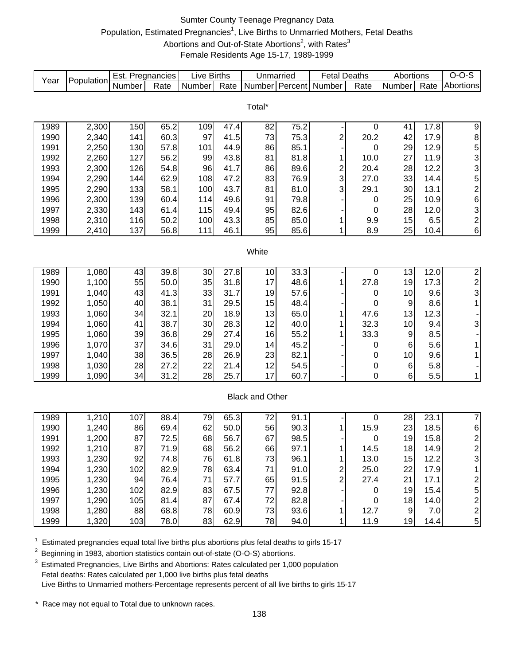# Sumter County Teenage Pregnancy Data Population, Estimated Pregnancies<sup>1</sup>, Live Births to Unmarried Mothers, Fetal Deaths Abortions and Out-of-State Abortions<sup>2</sup>, with Rates<sup>3</sup> Female Residents Age 15-17, 1989-1999

| Year         | Population     | Est. Pregnancies |              | <b>Live Births</b> |      | Unmarried              |              | <b>Fetal Deaths</b>     |             | Abortions        |      | $O-O-S$                 |
|--------------|----------------|------------------|--------------|--------------------|------|------------------------|--------------|-------------------------|-------------|------------------|------|-------------------------|
|              |                | Number           | Rate         | Number             | Rate | Number Percent         |              | Number                  | Rate        | Number           | Rate | Abortions               |
|              |                |                  |              |                    |      |                        |              |                         |             |                  |      |                         |
|              |                |                  |              |                    |      | Total*                 |              |                         |             |                  |      |                         |
|              |                |                  |              |                    |      |                        |              |                         |             |                  |      |                         |
| 1989         | 2,300          | 150              | 65.2<br>60.3 | 109<br>97          | 47.4 | 82                     | 75.2         |                         | 0           | 41<br>42         | 17.8 | 9                       |
| 1990<br>1991 | 2,340          | 141              |              | 101                | 41.5 | 73                     | 75.3<br>85.1 | $\overline{\mathbf{c}}$ | 20.2        | 29               | 17.9 | 8                       |
|              | 2,250          | 130<br>127       | 57.8         |                    | 44.9 | 86                     |              |                         | 0           | 27               | 12.9 | $\frac{5}{3}$           |
| 1992         | 2,260<br>2,300 |                  | 56.2         | 99                 | 43.8 | 81                     | 81.8         | 1                       | 10.0        |                  | 11.9 |                         |
| 1993         |                | 126              | 54.8         | 96                 | 41.7 | 86                     | 89.6         | $\frac{2}{3}$           | 20.4        | 28               | 12.2 | 3                       |
| 1994         | 2,290          | 144              | 62.9         | 108                | 47.2 | 83                     | 76.9         |                         | 27.0        | 33               | 14.4 | 5                       |
| 1995         | 2,290          | 133              | 58.1         | 100                | 43.7 | 81                     | 81.0         | 3                       | 29.1        | 30               | 13.1 | $\overline{\mathbf{c}}$ |
| 1996         | 2,300          | 139              | 60.4         | 114                | 49.6 | 91                     | 79.8         |                         | 0           | 25               | 10.9 | 6                       |
| 1997         | 2,330          | 143              | 61.4         | 115                | 49.4 | 95                     | 82.6         |                         | 0           | 28               | 12.0 | 3                       |
| 1998         | 2,310          | 116              | 50.2         | 100                | 43.3 | 85                     | 85.0         | 1                       | 9.9         | 15               | 6.5  | $\overline{c}$          |
| 1999         | 2,410          | 137              | 56.8         | 111                | 46.1 | 95                     | 85.6         | 1                       | 8.9         | 25               | 10.4 | 6                       |
|              |                |                  |              |                    |      | White                  |              |                         |             |                  |      |                         |
|              |                |                  |              |                    |      |                        |              |                         |             |                  |      |                         |
| 1989         | 1,080          | 43               | 39.8         | 30                 | 27.8 | 10                     | 33.3         |                         | 0           | 13               | 12.0 | $\overline{2}$          |
| 1990         | 1,100          | 55               | 50.0         | 35                 | 31.8 | 17                     | 48.6         | 1                       | 27.8        | 19               | 17.3 |                         |
| 1991         | 1,040          | 43               | 41.3         | 33                 | 31.7 | 19                     | 57.6         |                         | 0           | 10               | 9.6  | $\frac{2}{3}$           |
| 1992         | 1,050          | 40               | 38.1         | 31                 | 29.5 | 15                     | 48.4         |                         | 0           | 9                | 8.6  | $\mathbf{1}$            |
| 1993         | 1,060          | 34               | 32.1         | 20                 | 18.9 | 13                     | 65.0         | 1                       | 47.6        | 13               | 12.3 |                         |
| 1994         | 1,060          | 41               | 38.7         | 30                 | 28.3 | 12                     | 40.0         | 1                       | 32.3        | 10               | 9.4  | 3                       |
| 1995         | 1,060          | 39               | 36.8         | 29                 | 27.4 | 16                     | 55.2         | 1                       | 33.3        | 9                | 8.5  |                         |
| 1996         | 1,070          | 37               | 34.6         | 31                 | 29.0 | 14                     | 45.2         |                         | 0           | 6                | 5.6  | 1                       |
| 1997         | 1,040          | 38               | 36.5         | 28                 | 26.9 | 23                     | 82.1         |                         | 0           | 10               | 9.6  | 1                       |
| 1998         | 1,030          | 28               | 27.2         | 22                 | 21.4 | 12                     | 54.5         |                         | 0           | 6                | 5.8  |                         |
| 1999         | 1,090          | 34               | 31.2         | 28                 | 25.7 | 17                     | 60.7         |                         | $\mathbf 0$ | 6                | 5.5  | 1                       |
|              |                |                  |              |                    |      |                        |              |                         |             |                  |      |                         |
|              |                |                  |              |                    |      | <b>Black and Other</b> |              |                         |             |                  |      |                         |
|              |                |                  |              |                    |      |                        |              |                         |             |                  |      |                         |
| 1989         | 1,210          | 107              | 88.4         | 79                 | 65.3 | 72                     | 91.1         |                         | 0           | 28               | 23.1 | $\overline{7}$          |
| 1990         | 1,240          | 86               | 69.4         | 62                 | 50.0 | 56                     | 90.3         | 1                       | 15.9        | 23               | 18.5 | 6                       |
| 1991         | 1,200          | 87               | 72.5         | 68                 | 56.7 | 67                     | 98.5         |                         | 0           | 19               | 15.8 | $\overline{c}$          |
| 1992         | 1,210          | 87               | 71.9         | 68                 | 56.2 | 66                     | 97.1         |                         | 14.5        | 18               | 14.9 | 2                       |
| 1993         | 1,230          | 92               | 74.8         | 76                 | 61.8 | 73                     | 96.1         | 1                       | 13.0        | 15               | 12.2 | 3                       |
| 1994         | 1,230          | 102              | 82.9         | 78                 | 63.4 | 71                     | 91.0         | $\overline{\mathbf{c}}$ | 25.0        | 22               | 17.9 | 1                       |
| 1995         | 1,230          | 94               | 76.4         | 71                 | 57.7 | 65                     | 91.5         | $\overline{2}$          | 27.4        | 21               | 17.1 | 2                       |
| 1996         | 1,230          | 102              | 82.9         | 83                 | 67.5 | 77                     | 92.8         |                         | $\mathbf 0$ | 19               | 15.4 | 5                       |
| 1997         | 1,290          | 105              | 81.4         | 87                 | 67.4 | 72                     | 82.8         |                         | 0           | 18               | 14.0 | $\overline{\mathbf{c}}$ |
| 1998         | 1,280          | 88               | 68.8         | 78                 | 60.9 | 73                     | 93.6         | 1                       | 12.7        | $\boldsymbol{9}$ | 7.0  | $\overline{\mathbf{c}}$ |
| 1999         | 1,320          | 103              | 78.0         | 83                 | 62.9 | 78                     | 94.0         | 1                       | 11.9        | 19               | 14.4 | 5                       |

 $1$  Estimated pregnancies equal total live births plus abortions plus fetal deaths to girls 15-17

<sup>2</sup> Beginning in 1983, abortion statistics contain out-of-state (O-O-S) abortions.

<sup>3</sup> Estimated Pregnancies, Live Births and Abortions: Rates calculated per 1,000 population Fetal deaths: Rates calculated per 1,000 live births plus fetal deaths Live Births to Unmarried mothers-Percentage represents percent of all live births to girls 15-17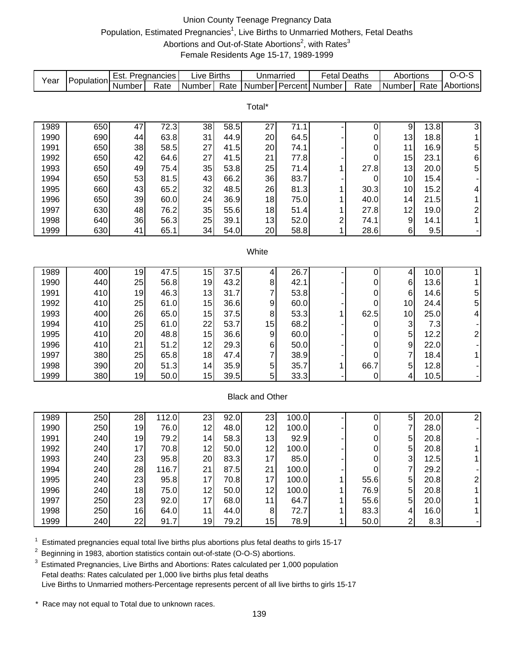# Union County Teenage Pregnancy Data Population, Estimated Pregnancies<sup>1</sup>, Live Births to Unmarried Mothers, Fetal Deaths Abortions and Out-of-State Abortions<sup>2</sup>, with Rates<sup>3</sup> Female Residents Age 15-17, 1989-1999

| Year         | Population | Est. Pregnancies |              | <b>Live Births</b> |      | Unmarried              |       | <b>Fetal Deaths</b> |           | Abortions                 |             | $O-O-S$                               |
|--------------|------------|------------------|--------------|--------------------|------|------------------------|-------|---------------------|-----------|---------------------------|-------------|---------------------------------------|
|              |            | Number           | Rate         | Number             | Rate | Number Percent         |       | Number              | Rate      | Number                    | Rate        | Abortions                             |
|              |            |                  |              |                    |      |                        |       |                     |           |                           |             |                                       |
|              |            |                  |              |                    |      | Total*                 |       |                     |           |                           |             |                                       |
| 1989         | 650        | 47               | 72.3         | 38                 | 58.5 | 27                     | 71.1  |                     |           | 9                         | 13.8        | $\overline{3}$                        |
| 1990         | 690        | 44               | 63.8         | 31                 | 44.9 | 20                     | 64.5  |                     | 0<br>0    | 13                        | 18.8        | $\mathbf{1}$                          |
| 1991         | 650        | 38               | 58.5         | 27                 | 41.5 | 20                     | 74.1  |                     | 0         | 11                        | 16.9        | 5                                     |
| 1992         | 650        | 42               | 64.6         | 27                 | 41.5 | 21                     | 77.8  |                     | $\pmb{0}$ | 15                        | 23.1        |                                       |
| 1993         | 650        | 49               | 75.4         | 35                 | 53.8 | 25                     | 71.4  |                     | 27.8      | 13                        | 20.0        | 6<br>5                                |
| 1994         | 650        | 53               | 81.5         | 43                 | 66.2 | 36                     | 83.7  |                     | 0         | 10                        | 15.4        |                                       |
| 1995         | 660        | 43               | 65.2         | 32                 | 48.5 | 26                     | 81.3  |                     | 30.3      | 10                        | 15.2        | $\overline{\phantom{a}}$              |
| 1996         | 650        | 39               | 60.0         | 24                 | 36.9 | 18                     | 75.0  |                     | 40.0      |                           |             | 4                                     |
| 1997         | 630        |                  |              | 35                 | 55.6 |                        |       |                     | 27.8      | 14                        | 21.5        | $\mathbf{1}$                          |
|              |            | 48               | 76.2         |                    |      | 18                     | 51.4  |                     |           | 12                        | 19.0        | $\begin{array}{c} 2 \\ 1 \end{array}$ |
| 1998<br>1999 | 640        | 36<br>41         | 56.3<br>65.1 | 25<br>34           | 39.1 | 13<br>20               | 52.0  | 2                   | 74.1      | 9<br>6                    | 14.1<br>9.5 |                                       |
|              | 630        |                  |              |                    | 54.0 |                        | 58.8  |                     | 28.6      |                           |             | $\blacksquare$                        |
|              |            |                  |              |                    |      | White                  |       |                     |           |                           |             |                                       |
|              |            |                  |              |                    |      |                        |       |                     |           |                           |             |                                       |
| 1989         | 400        | 19               | 47.5         | 15                 | 37.5 | 4                      | 26.7  |                     | 0         | 4                         | 10.0        | $\mathbf{1}$                          |
| 1990         | 440        | 25               | 56.8         | 19                 | 43.2 | 8                      | 42.1  |                     | 0         | 6                         | 13.6        | 1                                     |
| 1991         | 410        | 19               | 46.3         | 13                 | 31.7 | 7                      | 53.8  |                     | 0         | $\,6$                     | 14.6        |                                       |
| 1992         | 410        | 25               | 61.0         | 15                 | 36.6 | 9                      | 60.0  |                     | 0         | 10                        | 24.4        | $\frac{5}{5}$                         |
| 1993         | 400        | 26               | 65.0         | 15                 | 37.5 | 8                      | 53.3  | 1                   | 62.5      | 10                        | 25.0        | $\overline{\mathbf{4}}$               |
| 1994         | 410        | 25               | 61.0         | 22                 | 53.7 | 15                     | 68.2  |                     | 0         | 3                         | 7.3         | ۰                                     |
| 1995         | 410        | 20               | 48.8         | 15                 | 36.6 | 9                      | 60.0  |                     | 0         | 5                         | 12.2        | $\overline{\mathbf{c}}$               |
| 1996         | 410        | 21               | 51.2         | 12                 | 29.3 | 6                      | 50.0  |                     | 0         | 9                         | 22.0        | $\blacksquare$                        |
| 1997         | 380        | 25               | 65.8         | 18                 | 47.4 | $\overline{7}$         | 38.9  |                     | 0         | $\overline{7}$            | 18.4        | $\mathbf 1$                           |
| 1998         | 390        | 20               | 51.3         | 14                 | 35.9 | 5                      | 35.7  |                     | 66.7      | 5                         | 12.8        | $\overline{\phantom{a}}$              |
| 1999         | 380        | 19               | 50.0         | 15                 | 39.5 | 5                      | 33.3  |                     | 0         | 4                         | 10.5        | ۰                                     |
|              |            |                  |              |                    |      |                        |       |                     |           |                           |             |                                       |
|              |            |                  |              |                    |      | <b>Black and Other</b> |       |                     |           |                           |             |                                       |
|              |            |                  |              |                    |      |                        |       |                     |           |                           |             |                                       |
| 1989         | 250        | 28               | 112.0        | 23                 | 92.0 | 23                     | 100.0 |                     | 0         | 5                         | 20.0        | $\overline{2}$                        |
| 1990         | 250        | 19               | 76.0         | 12                 | 48.0 | 12                     | 100.0 |                     | 0         | $\overline{7}$            | 28.0        | $\blacksquare$                        |
| 1991         | 240        | 19               | 79.2         | 14                 | 58.3 | 13                     | 92.9  |                     | 0         | 5                         | 20.8        | $\overline{\phantom{a}}$              |
| 1992         | 240        | 17               | 70.8         | 12                 | 50.0 | 12                     | 100.0 |                     | $\Omega$  | 5                         | 20.8        | $\blacktriangleleft$                  |
| 1993         | 240        | 23               | 95.8         | 20                 | 83.3 | 17                     | 85.0  |                     | 0         | $\ensuremath{\mathsf{3}}$ | 12.5        | 1                                     |
| 1994         | 240        | 28               | 116.7        | 21                 | 87.5 | 21                     | 100.0 |                     | 0         | $\overline{7}$            | 29.2        |                                       |
| 1995         | 240        | 23               | 95.8         | 17                 | 70.8 | 17                     | 100.0 |                     | 55.6      | $\mathbf 5$               | 20.8        | $\overline{\mathbf{c}}$               |
| 1996         | 240        | 18               | 75.0         | 12                 | 50.0 | 12                     | 100.0 |                     | 76.9      | 5                         | 20.8        | $\mathbf{1}$                          |
| 1997         | 250        | 23               | 92.0         | 17                 | 68.0 | 11                     | 64.7  |                     | 55.6      | 5                         | 20.0        | 1                                     |
| 1998         | 250        | 16               | 64.0         | 11                 | 44.0 | 8                      | 72.7  |                     | 83.3      | 4                         | 16.0        | $\mathbf{1}$                          |
| 1999         | 240        | 22               | 91.7         | 19                 | 79.2 | 15                     | 78.9  |                     | 50.0      | $\overline{2}$            | 8.3         | ۰                                     |

 $1$  Estimated pregnancies equal total live births plus abortions plus fetal deaths to girls 15-17

<sup>2</sup> Beginning in 1983, abortion statistics contain out-of-state (O-O-S) abortions.

 $3$  Estimated Pregnancies, Live Births and Abortions: Rates calculated per 1,000 population Fetal deaths: Rates calculated per 1,000 live births plus fetal deaths Live Births to Unmarried mothers-Percentage represents percent of all live births to girls 15-17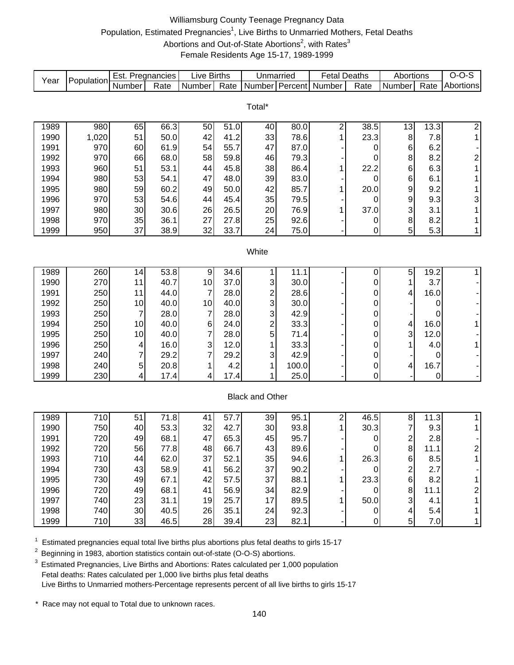# Williamsburg County Teenage Pregnancy Data Population, Estimated Pregnancies<sup>1</sup>, Live Births to Unmarried Mothers, Fetal Deaths Abortions and Out-of-State Abortions<sup>2</sup>, with Rates<sup>3</sup> Female Residents Age 15-17, 1989-1999

| Year         | Population   | Est. Pregnancies |                   | Live Births    |      | Unmarried               |              | <b>Fetal Deaths</b>          |                  | Abortions     |                   | $O-O-S$                 |
|--------------|--------------|------------------|-------------------|----------------|------|-------------------------|--------------|------------------------------|------------------|---------------|-------------------|-------------------------|
|              |              | Number           | Rate              | Number         | Rate |                         |              | Number Percent Number        | Rate             | Number        | Rate              | Abortions               |
|              |              |                  |                   |                |      |                         |              |                              |                  |               |                   |                         |
|              |              |                  |                   |                |      | Total*                  |              |                              |                  |               |                   |                         |
|              |              | 65               | 66.3              |                | 51.0 |                         |              |                              | 38.5             |               |                   | $\overline{2}$          |
| 1989<br>1990 | 980<br>1,020 | 51               | 50.0              | 50<br>42       | 41.2 | 40<br>33                | 80.0<br>78.6 | $\overline{\mathbf{c}}$<br>1 | 23.3             | 13<br>$\bf 8$ | 13.3<br>7.8       | 1                       |
| 1991         | 970          | 60               | 61.9              | 54             | 55.7 | 47                      | 87.0         |                              |                  | 6             | 6.2               |                         |
| 1992         | 970          | 66               | 68.0              | 58             | 59.8 | 46                      | 79.3         |                              | 0<br>0           | 8             | 8.2               |                         |
| 1993         | 960          | 51               | 53.1              | 44             | 45.8 | 38                      | 86.4         | 1                            | 22.2             | 6             | 6.3               | $\overline{\mathbf{c}}$ |
| 1994         | 980          | 53               | 54.1              | 47             | 48.0 | 39                      | 83.0         |                              |                  | 6             | 6.1               | 1<br>1                  |
| 1995         |              | 59               | 60.2              | 49             | 50.0 |                         | 85.7         |                              | 0                | 9             | 9.2               |                         |
|              | 980          |                  |                   |                | 45.4 | 42                      |              | 1                            | 20.0             |               |                   | 1                       |
| 1996         | 970          | 53               | 54.6              | 44             |      | 35                      | 79.5         |                              | 0                | 9             | 9.3               | 3                       |
| 1997         | 980          | 30               | 30.6<br>36.1      | 26             | 26.5 | 20                      | 76.9         | 1                            | 37.0             | 3<br>8        | 3.1               | 1                       |
| 1998         | 970          | 35<br>37         |                   | 27<br>32       | 27.8 | 25                      | 92.6         |                              | 0                |               | 8.2               | 1                       |
| 1999         | 950          |                  | 38.9              |                | 33.7 | 24                      | 75.0         |                              | 0                | 5             | 5.3               | 1                       |
|              |              |                  |                   |                |      | White                   |              |                              |                  |               |                   |                         |
|              |              |                  |                   |                |      |                         |              |                              |                  |               |                   |                         |
| 1989         | 260          | 14               | 53.8              | 9              | 34.6 |                         | 11.1         |                              | 0                | 5             | $19.\overline{2}$ | 1                       |
| 1990         | 270          | 11               | 40.7              | 10             | 37.0 | 3                       | 30.0         |                              | 0                | 1             | 3.7               |                         |
| 1991         | 250          | 11               | 44.0              | $\overline{7}$ | 28.0 | $\overline{\mathbf{c}}$ | 28.6         |                              | 0                | 4             | 16.0              |                         |
| 1992         | 250          | 10               | 40.0              | 10             | 40.0 | 3                       | 30.0         |                              | 0                |               | 0                 |                         |
| 1993         | 250          | 7                | 28.0              | $\overline{7}$ | 28.0 | 3                       | 42.9         |                              | 0                |               | 0                 |                         |
| 1994         | 250          | 10               | 40.0              | $\,6$          | 24.0 | 2                       | 33.3         |                              | 0                | 4             | 16.0              | 1                       |
| 1995         | 250          | 10               | 40.0              | 7              | 28.0 | 5                       | 71.4         |                              | 0                | 3             | 12.0              |                         |
| 1996         | 250          | 4                | 16.0              | 3              | 12.0 | 1                       | 33.3         |                              | 0                | 1             | 4.0               | 1                       |
| 1997         | 240          | 7                | 29.2              | 7              | 29.2 | 3                       | 42.9         |                              | 0                |               | 0                 |                         |
| 1998         | 240          | 5                | 20.8              |                | 4.2  | 1                       | 100.0        |                              | 0                | 4             | 16.7              |                         |
| 1999         | 230          | 4                | 17.4              | 4              | 17.4 | 1                       | 25.0         |                              | 0                |               | 0                 |                         |
|              |              |                  |                   |                |      |                         |              |                              |                  |               |                   |                         |
|              |              |                  |                   |                |      | <b>Black and Other</b>  |              |                              |                  |               |                   |                         |
|              |              |                  |                   |                |      |                         |              |                              |                  |               |                   |                         |
| 1989         | 710          | 51               | $\overline{71.8}$ | 41             | 57.7 | 39                      | 95.1         | $\overline{\mathbf{c}}$      | 46.5             | 8             | 11.3              | 1                       |
| 1990         | 750          | 40               | 53.3              | 32             | 42.7 | 30                      | 93.8         | 1                            | 30.3             | 7             | 9.3               | 1                       |
| 1991         | 720          | 49               | 68.1              | 47             | 65.3 | 45                      | 95.7         |                              | 0                | $\frac{2}{8}$ | 2.8               |                         |
| 1992         | 720          | 56               | 77.8              | 48             | 66.7 | 43                      | 89.6         |                              | ∩                |               | 11.1              | っ                       |
| 1993         | 710          | 44               | 62.0              | 37             | 52.1 | 35                      | 94.6         | 1                            | 26.3             | 6             | 8.5               |                         |
| 1994         | 730          | 43               | 58.9              | 41             | 56.2 | 37                      | 90.2         |                              | 0                | 2             | 2.7               |                         |
| 1995         | 730          | 49               | 67.1              | 42             | 57.5 | 37                      | 88.1         |                              | 23.3             | 6             | 8.2               |                         |
| 1996         | 720          | 49               | 68.1              | 41             | 56.9 | 34                      | 82.9         |                              | 0                | 8             | 11.1              | 2                       |
| 1997         | 740          | 23               | 31.1              | 19             | 25.7 | 17                      | 89.5         |                              | 50.0             | 3             | 4.1               |                         |
| 1998         | 740          | 30               | 40.5              | 26             | 35.1 | 24                      | 92.3         |                              | 0                | 4             | 5.4               |                         |
| 1999         | 710          | 33               | 46.5              | 28             | 39.4 | 23                      | 82.1         |                              | $\boldsymbol{0}$ | 5             | 7.0               | 1                       |

 $1$  Estimated pregnancies equal total live births plus abortions plus fetal deaths to girls 15-17

<sup>2</sup> Beginning in 1983, abortion statistics contain out-of-state (O-O-S) abortions.

<sup>3</sup> Estimated Pregnancies, Live Births and Abortions: Rates calculated per 1,000 population Fetal deaths: Rates calculated per 1,000 live births plus fetal deaths Live Births to Unmarried mothers-Percentage represents percent of all live births to girls 15-17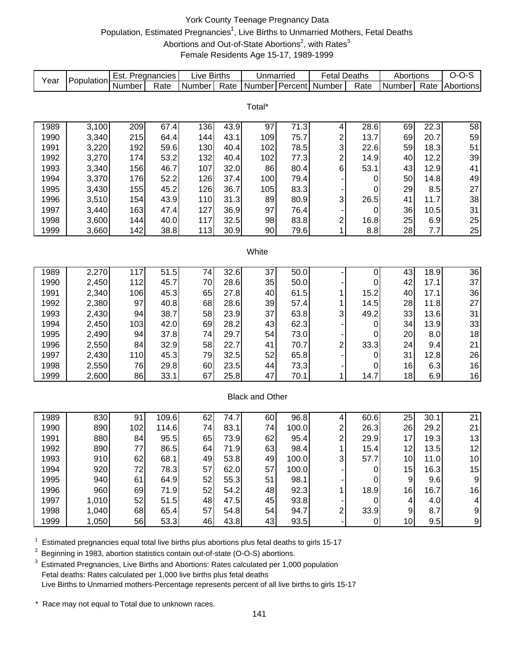# York County Teenage Pregnancy Data Population, Estimated Pregnancies<sup>1</sup>, Live Births to Unmarried Mothers, Fetal Deaths Abortions and Out-of-State Abortions<sup>2</sup>, with Rates<sup>3</sup> Female Residents Age 15-17, 1989-1999

| Year | Population | Est. Pregnancies |                   | Live Births |      | Unmarried              |       | <b>Fetal Deaths</b>       |                | Abortions        |      | $O-O-S$          |
|------|------------|------------------|-------------------|-------------|------|------------------------|-------|---------------------------|----------------|------------------|------|------------------|
|      |            | Number           | Rate              | Number      | Rate | Number Percent         |       | Number                    | Rate           | Number           | Rate | Abortions        |
|      |            |                  |                   |             |      |                        |       |                           |                |                  |      |                  |
|      |            |                  |                   |             |      | Total*                 |       |                           |                |                  |      |                  |
|      |            |                  |                   |             |      |                        |       |                           |                |                  |      |                  |
| 1989 | 3,100      | 209              | 67.4              | 136         | 43.9 | 97                     | 71.3  | 4                         | 28.6           | 69               | 22.3 | 58               |
| 1990 | 3,340      | 215              | 64.4              | 144         | 43.1 | 109                    | 75.7  | $\overline{\mathbf{c}}$   | 13.7           | 69               | 20.7 | 59               |
| 1991 | 3,220      | 192              | 59.6              | 130         | 40.4 | 102                    | 78.5  | 3                         | 22.6           | 59               | 18.3 | 51               |
| 1992 | 3,270      | 174              | 53.2              | 132         | 40.4 | 102                    | 77.3  | $\overline{c}$            | 14.9           | 40               | 12.2 | 39               |
| 1993 | 3,340      | 156              | 46.7              | 107         | 32.0 | 86                     | 80.4  | 6                         | 53.1           | 43               | 12.9 | 41               |
| 1994 | 3,370      | 176              | 52.2              | 126         | 37.4 | 100                    | 79.4  |                           | 0              | 50               | 14.8 | 49               |
| 1995 | 3,430      | 155              | 45.2              | 126         | 36.7 | 105                    | 83.3  |                           | 0              | 29               | 8.5  | 27               |
| 1996 | 3,510      | 154              | 43.9              | 110         | 31.3 | 89                     | 80.9  | 3                         | 26.5           | 41               | 11.7 | 38               |
| 1997 | 3,440      | 163              | 47.4              | 127         | 36.9 | 97                     | 76.4  |                           | 0              | 36               | 10.5 | 31               |
| 1998 | 3,600      | 144              | 40.0              | 117         | 32.5 | 98                     | 83.8  | $\overline{\mathbf{c}}$   | 16.8           | 25               | 6.9  | 25               |
| 1999 | 3,660      | 142              | 38.8              | 113         | 30.9 | 90                     | 79.6  | 1                         | 8.8            | 28               | 7.7  | 25               |
|      |            |                  |                   |             |      |                        |       |                           |                |                  |      |                  |
|      |            |                  |                   |             |      | White                  |       |                           |                |                  |      |                  |
|      |            |                  |                   |             |      |                        |       |                           |                |                  |      |                  |
| 1989 | 2,270      | 117              | $\overline{51.5}$ | 74          | 32.6 | 37                     | 50.0  |                           | 0              | 43               | 18.9 | $\overline{36}$  |
| 1990 | 2,450      | 112              | 45.7              | 70          | 28.6 | 35                     | 50.0  |                           | 0              | 42               | 17.1 | 37               |
| 1991 | 2,340      | 106              | 45.3              | 65          | 27.8 | 40                     | 61.5  | 1                         | 15.2           | 40               | 17.1 | 36               |
| 1992 | 2,380      | 97               | 40.8              | 68          | 28.6 | 39                     | 57.4  | 1                         | 14.5           | 28               | 11.8 | 27               |
| 1993 | 2,430      | 94               | 38.7              | 58          | 23.9 | 37                     | 63.8  | 3                         | 49.2           | 33               | 13.6 | 31               |
| 1994 | 2,450      | 103              | 42.0              | 69          | 28.2 | 43                     | 62.3  |                           | 0              | 34               | 13.9 | 33               |
| 1995 | 2,490      | 94               | 37.8              | 74          | 29.7 | 54                     | 73.0  |                           | 0              | 20               | 8.0  | 18               |
| 1996 | 2,550      | 84               | 32.9              | 58          | 22.7 | 41                     | 70.7  | $\overline{\mathbf{c}}$   | 33.3           | 24               | 9.4  | 21               |
| 1997 | 2,430      | 110              | 45.3              | 79          | 32.5 | 52                     | 65.8  |                           | 0              | 31               | 12.8 | 26               |
| 1998 | 2,550      | 76               | 29.8              | 60          | 23.5 | 44                     | 73.3  |                           | 0              | 16               | 6.3  | 16               |
| 1999 | 2,600      | 86               | 33.1              | 67          | 25.8 | 47                     | 70.1  | 1                         | 14.7           | 18               | 6.9  | 16               |
|      |            |                  |                   |             |      |                        |       |                           |                |                  |      |                  |
|      |            |                  |                   |             |      | <b>Black and Other</b> |       |                           |                |                  |      |                  |
|      |            |                  |                   |             |      |                        |       |                           |                |                  |      |                  |
| 1989 | 830        | 91               | 109.6             | 62          | 74.7 | 60                     | 96.8  | 4                         | 60.6           | 25               | 30.1 | 21               |
| 1990 | 890        | 102              | 114.6             | 74          | 83.1 | 74                     | 100.0 | $\overline{\mathbf{c}}$   | 26.3           | 26               | 29.2 | 21               |
| 1991 | 880        | 84               | 95.5              | 65          | 73.9 | 62                     | 95.4  | $\overline{\mathbf{c}}$   | 29.9           | 17               | 19.3 | 13               |
| 1992 | 890        | $77 \,$          | 86.5              | 64          | 71.9 | 63                     | 98.4  | 1                         | 15.4           | 12               | 13.5 | 12               |
| 1993 | 910        | 62               | 68.1              | 49          | 53.8 | 49                     | 100.0 | $\ensuremath{\mathsf{3}}$ | 57.7           | 10               | 11.0 | 10               |
| 1994 | 920        | 72               | 78.3              | 57          | 62.0 | 57                     | 100.0 |                           | 0              | 15               | 16.3 | 15               |
| 1995 | 940        | 61               | 64.9              | 52          | 55.3 | 51                     | 98.1  |                           | 0              | $\boldsymbol{9}$ | 9.6  | $\boldsymbol{9}$ |
| 1996 | 960        | 69               | 71.9              | 52          | 54.2 | 48                     | 92.3  | 1                         | 18.9           | 16               | 16.7 | 16               |
| 1997 | 1,010      | 52               | 51.5              | 48          | 47.5 | 45                     | 93.8  |                           | $\pmb{0}$      | 4                | 4.0  | 4                |
| 1998 | 1,040      | 68               | 65.4              | 57          | 54.8 | 54                     | 94.7  | 2                         | 33.9           | $\boldsymbol{9}$ | 8.7  | $\boldsymbol{9}$ |
| 1999 | 1,050      | 56               | 53.3              | 46          | 43.8 | 43                     | 93.5  |                           | $\overline{0}$ | 10               | 9.5  | 9                |

 $1$  Estimated pregnancies equal total live births plus abortions plus fetal deaths to girls 15-17

<sup>2</sup> Beginning in 1983, abortion statistics contain out-of-state (O-O-S) abortions.

<sup>3</sup> Estimated Pregnancies, Live Births and Abortions: Rates calculated per 1,000 population Fetal deaths: Rates calculated per 1,000 live births plus fetal deaths Live Births to Unmarried mothers-Percentage represents percent of all live births to girls 15-17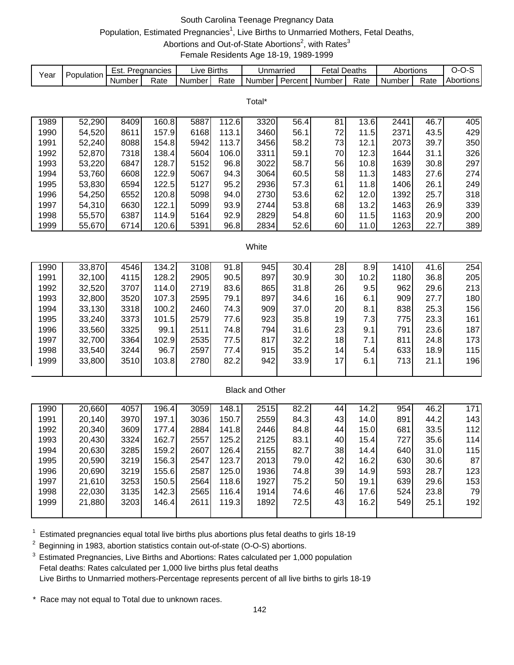# South Carolina Teenage Pregnancy Data Population, Estimated Pregnancies<sup>1</sup>, Live Births to Unmarried Mothers, Fetal Deaths, Abortions and Out-of-State Abortions<sup>2</sup>, with Rates<sup>3</sup>

Female Residents Age 18-19, 1989-1999

| Year | Population | Est. Pregnancies |       | Live Births |       | Unmarried              |                | <b>Fetal Deaths</b> |      | Abortions |      | $O-O-S$          |
|------|------------|------------------|-------|-------------|-------|------------------------|----------------|---------------------|------|-----------|------|------------------|
|      |            | Number           | Rate  | Number      | Rate  |                        | Number Percent | Number              | Rate | Number    | Rate | <b>Abortions</b> |
|      |            |                  |       |             |       |                        |                |                     |      |           |      |                  |
|      |            |                  |       |             |       | Total*                 |                |                     |      |           |      |                  |
|      |            |                  |       |             |       |                        |                |                     |      |           |      |                  |
| 1989 | 52,290     | 8409             | 160.8 | 5887        | 112.6 | 3320                   | 56.4           | 81                  | 13.6 | 2441      | 46.7 | 405              |
| 1990 | 54,520     | 8611             | 157.9 | 6168        | 113.1 | 3460                   | 56.1           | 72                  | 11.5 | 2371      | 43.5 | 429              |
| 1991 | 52,240     | 8088             | 154.8 | 5942        | 113.7 | 3456                   | 58.2           | 73                  | 12.1 | 2073      | 39.7 | 350              |
| 1992 | 52,870     | 7318             | 138.4 | 5604        | 106.0 | 3311                   | 59.1           | 70                  | 12.3 | 1644      | 31.1 | 326              |
| 1993 | 53,220     | 6847             | 128.7 | 5152        | 96.8  | 3022                   | 58.7           | 56                  | 10.8 | 1639      | 30.8 | 297              |
| 1994 | 53,760     | 6608             | 122.9 | 5067        | 94.3  | 3064                   | 60.5           | 58                  | 11.3 | 1483      | 27.6 | 274              |
| 1995 | 53,830     | 6594             | 122.5 | 5127        | 95.2  | 2936                   | 57.3           | 61                  | 11.8 | 1406      | 26.1 | 249              |
| 1996 | 54,250     | 6552             | 120.8 | 5098        | 94.0  | 2730                   | 53.6           | 62                  | 12.0 | 1392      | 25.7 | 318              |
| 1997 | 54,310     | 6630             | 122.1 | 5099        | 93.9  | 2744                   | 53.8           | 68                  | 13.2 | 1463      | 26.9 | 339              |
| 1998 | 55,570     | 6387             | 114.9 | 5164        | 92.9  | 2829                   | 54.8           | 60                  | 11.5 | 1163      | 20.9 | 200              |
| 1999 | 55,670     | 6714             | 120.6 | 5391        | 96.8  | 2834                   | 52.6           | 60                  | 11.0 | 1263      | 22.7 | 389              |
|      |            |                  |       |             |       |                        |                |                     |      |           |      |                  |
|      |            |                  |       |             |       | White                  |                |                     |      |           |      |                  |
| 1990 | 33,870     | 4546             | 134.2 | 3108        | 91.8  | 945                    | 30.4           | 28                  | 8.9  | 1410      | 41.6 | 254              |
| 1991 | 32,100     | 4115             | 128.2 | 2905        | 90.5  | 897                    | 30.9           | 30                  | 10.2 | 1180      | 36.8 | 205              |
| 1992 | 32,520     | 3707             | 114.0 | 2719        | 83.6  | 865                    | 31.8           | 26                  | 9.5  | 962       | 29.6 | 213              |
| 1993 | 32,800     | 3520             | 107.3 | 2595        | 79.1  | 897                    | 34.6           | 16                  | 6.1  | 909       | 27.7 | 180              |
| 1994 | 33,130     | 3318             | 100.2 | 2460        | 74.3  | 909                    | 37.0           | 20                  | 8.1  | 838       | 25.3 | 156              |
| 1995 | 33,240     | 3373             | 101.5 | 2579        | 77.6  | 923                    | 35.8           | 19                  | 7.3  | 775       | 23.3 | 161              |
| 1996 | 33,560     | 3325             | 99.1  | 2511        | 74.8  | 794                    | 31.6           | 23                  | 9.1  | 791       | 23.6 | 187              |
| 1997 | 32,700     | 3364             | 102.9 | 2535        | 77.5  | 817                    | 32.2           | 18                  | 7.1  | 811       | 24.8 | 173              |
| 1998 | 33,540     | 3244             | 96.7  | 2597        | 77.4  | 915                    | 35.2           | 14                  | 5.4  | 633       | 18.9 | 115              |
| 1999 | 33,800     | 3510             | 103.8 | 2780        | 82.2  | 942                    | 33.9           | 17                  | 6.1  | 713       | 21.1 | 196              |
|      |            |                  |       |             |       |                        |                |                     |      |           |      |                  |
|      |            |                  |       |             |       |                        |                |                     |      |           |      |                  |
|      |            |                  |       |             |       | <b>Black and Other</b> |                |                     |      |           |      |                  |
| 1990 | 20,660     | 4057             | 196.4 | 3059        | 148.1 | 2515                   | 82.2           | 44                  | 14.2 | 954       | 46.2 | 171              |
| 1991 | 20,140     | 3970             | 197.1 | 3036        | 150.7 | 2559                   | 84.3           | 43                  | 14.0 | 891       | 44.2 | 143              |
| 1992 | 20,340     | 3609             | 177.4 | 2884        | 141.8 | 2446                   | 84.8           | 44                  | 15.0 | 681       | 33.5 | 112              |
| 1993 | 20,430     | 3324             | 162.7 | 2557        | 125.2 | 2125                   | 83.1           | 40                  | 15.4 | 727       | 35.6 | 114              |
| 1994 | 20,630     | 3285             | 159.2 | 2607        | 126.4 | 2155                   | 82.7           | 38                  | 14.4 | 640       | 31.0 | 115              |
| 1995 | 20,590     | 3219             | 156.3 | 2547        | 123.7 | 2013                   | 79.0           | 42                  | 16.2 | 630       | 30.6 | 87               |
| 1996 | 20,690     | 3219             | 155.6 | 2587        | 125.0 | 1936                   | 74.8           | 39                  | 14.9 | 593       | 28.7 | 123              |
| 1997 | 21,610     | 3253             | 150.5 | 2564        | 118.6 | 1927                   | 75.2           | 50                  | 19.1 | 639       | 29.6 | 153              |
| 1998 | 22,030     | 3135             | 142.3 | 2565        | 116.4 | 1914                   | 74.6           | 46                  | 17.6 | 524       | 23.8 | 79               |
| 1999 | 21,880     | 3203             | 146.4 | 2611        | 119.3 | 1892                   | 72.5           | 43                  | 16.2 | 549       | 25.1 | 192              |
|      |            |                  |       |             |       |                        |                |                     |      |           |      |                  |

 $1$  Estimated pregnancies equal total live births plus abortions plus fetal deaths to girls 18-19

<sup>2</sup> Beginning in 1983, abortion statistics contain out-of-state (O-O-S) abortions.

<sup>3</sup> Estimated Pregnancies, Live Births and Abortions: Rates calculated per 1,000 population Fetal deaths: Rates calculated per 1,000 live births plus fetal deaths Live Births to Unmarried mothers-Percentage represents percent of all live births to girls 18-19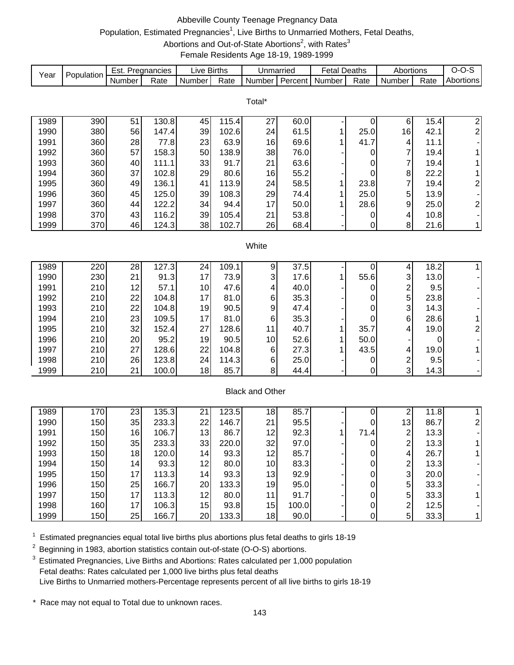# Abbeville County Teenage Pregnancy Data Population, Estimated Pregnancies<sup>1</sup>, Live Births to Unmarried Mothers, Fetal Deaths, Abortions and Out-of-State Abortions<sup>2</sup>, with Rates<sup>3</sup>

Female Residents Age 18-19, 1989-1999

| Year | Population |        | Est. Pregnancies | <b>Live Births</b> |       | Unmarried              |         | <b>Fetal Deaths</b> |      | Abortions                        |      | $O-O-S$                 |
|------|------------|--------|------------------|--------------------|-------|------------------------|---------|---------------------|------|----------------------------------|------|-------------------------|
|      |            | Number | Rate             | Number             | Rate  | Number                 | Percent | Number              | Rate | Number                           | Rate | Abortions               |
|      |            |        |                  |                    |       |                        |         |                     |      |                                  |      |                         |
|      |            |        |                  |                    |       | Total*                 |         |                     |      |                                  |      |                         |
|      |            |        |                  |                    |       |                        |         |                     |      |                                  |      |                         |
| 1989 | 390        | 51     | 130.8            | 45                 | 115.4 | 27                     | 60.0    |                     | 0    | 6                                | 15.4 | $\overline{\mathbf{c}}$ |
| 1990 | 380        | 56     | 147.4            | 39                 | 102.6 | 24                     | 61.5    | 1                   | 25.0 | 16                               | 42.1 | $\overline{\mathbf{c}}$ |
| 1991 | 360        | 28     | 77.8             | 23                 | 63.9  | 16                     | 69.6    | 1                   | 41.7 | $\vert 4 \vert$                  | 11.1 |                         |
| 1992 | 360        | 57     | 158.3            | 50                 | 138.9 | 38<br>21               | 76.0    |                     | 0    | $\overline{7}$<br>$\overline{7}$ | 19.4 | 1                       |
| 1993 | 360        | 40     | 111.1            | 33                 | 91.7  |                        | 63.6    |                     | 0    |                                  | 19.4 | 1                       |
| 1994 | 360        | 37     | 102.8            | 29                 | 80.6  | 16                     | 55.2    |                     | 0    | 8 <sup>1</sup>                   | 22.2 | 1                       |
| 1995 | 360        | 49     | 136.1            | 41                 | 113.9 | 24                     | 58.5    | 1                   | 23.8 | $\overline{7}$                   | 19.4 | $\overline{\mathbf{c}}$ |
| 1996 | 360        | 45     | 125.0            | 39                 | 108.3 | 29                     | 74.4    |                     | 25.0 | $\overline{5}$                   | 13.9 |                         |
| 1997 | 360        | 44     | 122.2            | 34                 | 94.4  | 17                     | 50.0    |                     | 28.6 | $\overline{9}$                   | 25.0 | $\overline{\mathbf{c}}$ |
| 1998 | 370        | 43     | 116.2            | 39                 | 105.4 | 21                     | 53.8    |                     | 0    | 4                                | 10.8 |                         |
| 1999 | 370        | 46     | 124.3            | 38                 | 102.7 | 26                     | 68.4    |                     | 0    | 8 <sup>1</sup>                   | 21.6 | 1                       |
|      |            |        |                  |                    |       |                        |         |                     |      |                                  |      |                         |
|      |            |        |                  |                    |       | White                  |         |                     |      |                                  |      |                         |
| 1989 | 220        | 28     | 127.3            | 24                 | 109.1 | 9                      | 37.5    |                     | 0    | 4                                | 18.2 | 1                       |
| 1990 | 230        | 21     | 91.3             | 17                 | 73.9  | 3                      | 17.6    | 1                   | 55.6 | 3                                | 13.0 |                         |
| 1991 | 210        | 12     | 57.1             | 10                 | 47.6  | 4                      | 40.0    |                     | 0    | $\overline{\mathbf{c}}$          | 9.5  |                         |
| 1992 | 210        | 22     | 104.8            | 17                 | 81.0  | 6                      | 35.3    |                     | 0    | $\overline{5}$                   | 23.8 |                         |
| 1993 | 210        | 22     | 104.8            | 19                 | 90.5  | 9                      | 47.4    |                     | 0    | $\overline{3}$                   | 14.3 |                         |
| 1994 | 210        | 23     | 109.5            | 17                 | 81.0  | $\,6$                  | 35.3    |                     | 0    | $6 \mid$                         | 28.6 | 1                       |
| 1995 | 210        | 32     | 152.4            | 27                 | 128.6 | 11                     | 40.7    | 1                   | 35.7 | $\vert 4 \vert$                  | 19.0 | $\overline{\mathbf{c}}$ |
| 1996 | 210        | 20     | 95.2             | 19                 | 90.5  | 10                     | 52.6    | 1                   | 50.0 |                                  | 0    |                         |
| 1997 | 210        | 27     | 128.6            | 22                 | 104.8 | 6                      | 27.3    |                     | 43.5 | $\vert 4 \vert$                  | 19.0 | 1                       |
| 1998 | 210        | 26     | 123.8            | 24                 | 114.3 | 6                      | 25.0    |                     | 0    |                                  | 9.5  |                         |
| 1999 | 210        | 21     | 100.0            | 18                 | 85.7  | 8                      | 44.4    |                     | 0    | $\frac{2}{3}$                    | 14.3 |                         |
|      |            |        |                  |                    |       |                        |         |                     |      |                                  |      |                         |
|      |            |        |                  |                    |       | <b>Black and Other</b> |         |                     |      |                                  |      |                         |
|      |            |        |                  |                    |       |                        |         |                     |      |                                  |      |                         |
| 1989 | 170        | 23     | 135.3            | 21                 | 123.5 | 18                     | 85.7    |                     | 0    | $\mathbf{2}$                     | 11.8 | $\mathbf{1}$            |
| 1990 | 150        | 35     | 233.3            | 22                 | 146.7 | 21                     | 95.5    |                     | 0    | 13                               | 86.7 | $\overline{\mathbf{c}}$ |
| 1991 | 150        | 16     | 106.7            | 13                 | 86.7  | 12                     | 92.3    | 1                   | 71.4 | $\mathbf{Z}$                     | 13.3 |                         |
| 1992 | 150        | 35     | 233.3            | 33                 | 220.0 | 32                     | 97.0    |                     | 0    | $\overline{2}$                   | 13.3 | $\mathbf{1}$            |
| 1993 | 150        | 18     | 120.0            | 14                 | 93.3  | 12                     | 85.7    |                     | 0    | $\vert 4 \vert$                  | 26.7 |                         |
| 1994 | 150        | 14     | 93.3             | 12                 | 80.0  | 10                     | 83.3    |                     | 0    | $\overline{c}$                   | 13.3 |                         |
| 1995 | 150        | 17     | 113.3            | 14                 | 93.3  | 13                     | 92.9    |                     | 0    | $\overline{3}$                   | 20.0 |                         |
| 1996 | 150        | 25     | 166.7            | 20                 | 133.3 | 19                     | 95.0    |                     | 0    | 5 <sup>1</sup>                   | 33.3 |                         |
| 1997 | 150        | 17     | 113.3            | 12                 | 80.0  | 11                     | 91.7    |                     | 0    | 5 <sup>1</sup>                   | 33.3 |                         |
| 1998 | 160        | 17     | 106.3            | 15                 | 93.8  | 15                     | 100.0   |                     | 0    | $\mathbf{2}$                     | 12.5 |                         |
| 1999 | 150        | 25     | 166.7            | 20                 | 133.3 | 18                     | 90.0    |                     | 0    | 5 <sup>1</sup>                   | 33.3 | 1                       |

 $1$  Estimated pregnancies equal total live births plus abortions plus fetal deaths to girls 18-19

<sup>2</sup> Beginning in 1983, abortion statistics contain out-of-state (O-O-S) abortions.

<sup>3</sup> Estimated Pregnancies, Live Births and Abortions: Rates calculated per 1,000 population Fetal deaths: Rates calculated per 1,000 live births plus fetal deaths Live Births to Unmarried mothers-Percentage represents percent of all live births to girls 18-19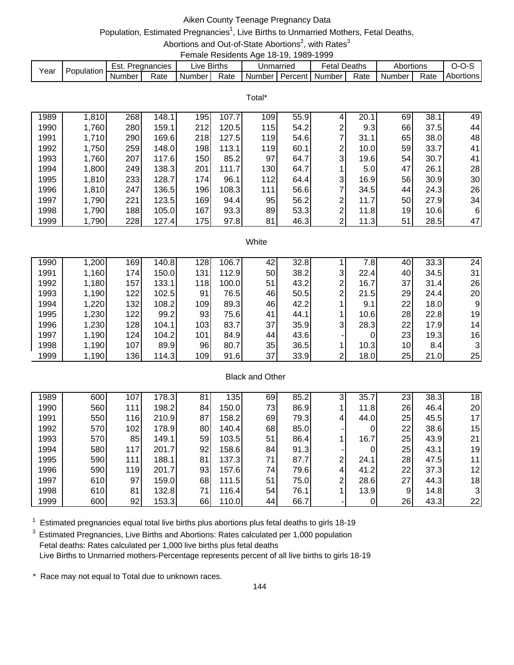# Aiken County Teenage Pregnancy Data

## Population, Estimated Pregnancies<sup>1</sup>, Live Births to Unmarried Mothers, Fetal Deaths,

Abortions and Out-of-State Abortions<sup>2</sup>, with Rates<sup>3</sup>

|      |            |        |                  |             |      | Female Residents Age 18-19, 1989-1999 |           |                     |      |           |      |                  |
|------|------------|--------|------------------|-------------|------|---------------------------------------|-----------|---------------------|------|-----------|------|------------------|
| Year | Population |        | Est. Pregnancies | Live Births |      |                                       | Unmarried | <b>Fetal Deaths</b> |      | Abortions |      | $O-O-S$          |
|      |            | Number | Rate             | Number      | Rate | Number   Percent   Number             |           |                     | Rate | Number    | Rate | <b>Abortions</b> |

Total\*

| 1989 | 1,810 | 268 | 148.1 | 195              | 107.7 | 109        | 55.9 | 4 | 20.1             | 69 | 38.1 | 49 |
|------|-------|-----|-------|------------------|-------|------------|------|---|------------------|----|------|----|
| 1990 | 1,760 | 280 | 159.1 | 212              | 120.5 | 115        | 54.2 | 2 | 9.3              | 66 | 37.5 | 44 |
| 1991 | 1,710 | 290 | 169.6 | 218              | 127.5 | <b>119</b> | 54.6 |   | 31.1             | 65 | 38.0 | 48 |
| 1992 | 1,750 | 259 | 148.0 | 198              | 113.1 | 119        | 60.1 | 2 | 10.0             | 59 | 33.7 | 41 |
| 1993 | 1,760 | 207 | 117.6 | 150              | 85.2  | 97         | 64.7 | 3 | 19.6             | 54 | 30.7 | 41 |
| 1994 | 1,800 | 249 | 138.3 | 201              | 111.7 | 130        | 64.7 |   | 5.0 <sub>1</sub> | 47 | 26.1 | 28 |
| 1995 | 1,810 | 233 | 128.7 | 174              | 96.1  | 112        | 64.4 | 3 | 16.9             | 56 | 30.9 | 30 |
| 1996 | 1,810 | 247 | 136.5 | 196              | 108.3 | 111        | 56.6 | ⇁ | 34.5             | 44 | 24.3 | 26 |
| 1997 | 1,790 | 221 | 123.5 | 169              | 94.4  | 95         | 56.2 | 2 | 11.7             | 50 | 27.9 | 34 |
| 1998 | 1,790 | 188 | 105.0 | 167 <sub>1</sub> | 93.3  | 89         | 53.3 | 2 | 11.8             | 19 | 10.6 | 6  |
| 1999 | 1,790 | 228 | 127.4 | 175              | 97.8  | 81         | 46.3 | ົ | 11.3             | 51 | 28.5 | 47 |
|      |       |     |       |                  |       |            |      |   |                  |    |      |    |

#### **White**

| 1990                 | 1,200 | 169 | 140.8                | 128           | 106.7 | 42                     | 32.8          |   | 7.8      | 40            | 33.3   | 24            |
|----------------------|-------|-----|----------------------|---------------|-------|------------------------|---------------|---|----------|---------------|--------|---------------|
| 1991                 | 1,160 | 174 | 150.0                | 131           | 112.9 | 50                     | 38.2          | 3 | 22.4     | 40            | 34.5   | 31            |
| 1992                 | 1,180 | 157 | 133.1                | 118           | 100.0 | 51                     | 43.2          | 2 | 16.7     | 37            | 31.4   | 26            |
| 1993                 | 1,190 | 122 | 102.5                | 91            | 76.5  | 46                     | 50.5          | 2 | 21.5     | 29            | 24.4   | 20            |
| 1994                 | 1,220 | 132 | 108.2                | 109           | 89.3  | 46                     | 42.2          |   | 9.1      | 22            | 18.0   | 9             |
| 1995                 | 1,230 | 122 | 99.2                 | 93            | 75.6  | 41                     | 44.1          |   | 10.6     | 28            | 22.8   | 19            |
| 1996                 | 1,230 | 128 | 104.1                | 103           | 83.7  | 37                     | 35.9          | 3 | 28.3     | 22            | 17.9   | 14            |
| 1997                 | 1,190 | 124 | 104.2                | 101           | 84.9  | 44                     | 43.6          |   | 0        | 23            | 19.3   | 16            |
| 1998                 | 1,190 | 107 | 89.9                 | 96            | 80.7  | 35                     | 36.5          |   | 10.3     | 10            | 8.4    | 3             |
| 1999                 | 1,190 | 136 | 114.3                | 109           | 91.6  | 37                     | 33.9          | 2 | 18.0     | 25            | 21.0   | 25            |
|                      |       |     |                      |               |       | <b>Black and Other</b> |               |   |          |               |        |               |
| 1989                 | 600   | 107 | 178.3                | 81            | 135   | 69                     | 85.2          | 3 | 35.7     | 23            | 38.3   | 18            |
| $\sim$ $\sim$ $\sim$ | $ -$  | .   | $\sim$ $\sim$ $\sim$ | $\sim$ $\sim$ | $ -$  | --                     | $\sim$ $\sim$ |   | $\cdots$ | $\sim$ $\sim$ | $\sim$ | $\sim$ $\sim$ |

| 1989 | 600 | 107 | 178.3 | 81 | 135   | 69 | 85.2 | 3 | 35.7 | 23 | 38.3 | 18 |
|------|-----|-----|-------|----|-------|----|------|---|------|----|------|----|
| 1990 | 560 | 111 | 198.2 | 84 | 150.0 | 73 | 86.9 |   | 11.8 | 26 | 46.4 | 20 |
| 1991 | 550 | 116 | 210.9 | 87 | 158.2 | 69 | 79.3 |   | 44.0 | 25 | 45.5 | 17 |
| 1992 | 570 | 102 | 178.9 | 80 | 140.4 | 68 | 85.0 |   | 0    | 22 | 38.6 | 15 |
| 1993 | 570 | 85  | 149.1 | 59 | 103.5 | 51 | 86.4 |   | 16.7 | 25 | 43.9 | 21 |
| 1994 | 580 | 117 | 201.7 | 92 | 158.6 | 84 | 91.3 |   | 0    | 25 | 43.1 | 19 |
| 1995 | 590 | 111 | 188.1 | 81 | 137.3 | 71 | 87.7 |   | 24.1 | 28 | 47.5 | 11 |
| 1996 | 590 | 119 | 201.7 | 93 | 157.6 | 74 | 79.6 |   | 41.2 | 22 | 37.3 | 12 |
| 1997 | 610 | 97  | 159.0 | 68 | 111.5 | 51 | 75.0 |   | 28.6 | 27 | 44.3 | 18 |
| 1998 | 610 | 81  | 132.8 | 71 | 116.4 | 54 | 76.1 |   | 13.9 | 9  | 14.8 |    |
| 1999 | 600 | 92  | 153.3 | 66 | 110.0 | 44 | 66.7 |   |      | 26 | 43.3 | 22 |

 $1$  Estimated pregnancies equal total live births plus abortions plus fetal deaths to girls 18-19

<sup>3</sup> Estimated Pregnancies, Live Births and Abortions: Rates calculated per 1,000 population Fetal deaths: Rates calculated per 1,000 live births plus fetal deaths Live Births to Unmarried mothers-Percentage represents percent of all live births to girls 18-19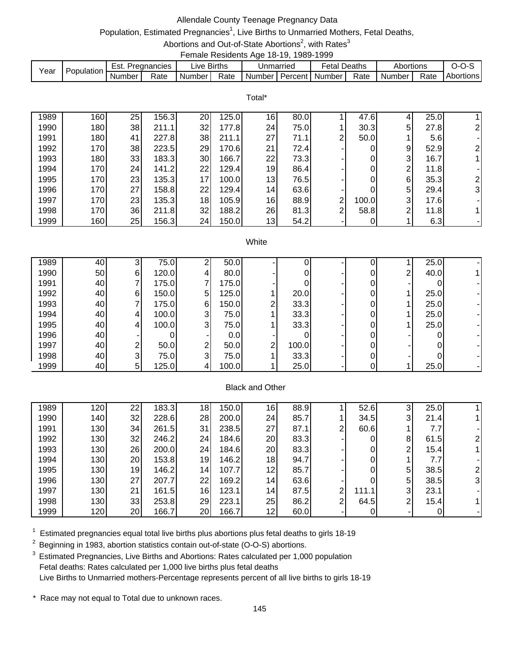## Allendale County Teenage Pregnancy Data

# Population, Estimated Pregnancies<sup>1</sup>, Live Births to Unmarried Mothers, Fetal Deaths,

#### Abortions and Out-of-State Abortions<sup>2</sup>, with Rates<sup>3</sup> Female Residents Age 18-19, 1989-1999

|      |            |               |             |                        |      |                               |           | .                   |      |           |      |                  |
|------|------------|---------------|-------------|------------------------|------|-------------------------------|-----------|---------------------|------|-----------|------|------------------|
| Year | Population | Est. I        | Pregnancies | $\lrcorner$ ive Births |      |                               | Jnmarried | <b>Fetal Deaths</b> |      | Abortions |      | リーリー・            |
|      |            | <b>Number</b> | Rate        | Number I               | Rate | I Number I Percent I Number I |           |                     | Rate | Number.   | Rate | <b>Abortions</b> |

Total\*

| 1989 | 160 | 25 | 156.3 | <b>20</b>       | 125.0  | 16              | 80.0 |                | 47.6  |   | 25.0 |                |
|------|-----|----|-------|-----------------|--------|-----------------|------|----------------|-------|---|------|----------------|
| 1990 | 180 | 38 | 211.1 | 32              | 177.81 | 24              | 75.0 |                | 30.3  | 5 | 27.8 | 21             |
| 1991 | 180 | 41 | 227.8 | 38              | 211.1  | 27              | 71.1 | 2 <sub>1</sub> | 50.0  |   | 5.6  |                |
| 1992 | 170 | 38 | 223.5 | 29              | 170.61 | 21              | 72.4 |                |       | 9 | 52.9 | 2              |
| 1993 | 180 | 33 | 183.3 | 30              | 166.7  | 22              | 73.3 |                | 0     | 3 | 16.7 |                |
| 1994 | 170 | 24 | 141.2 | 22              | 129.4  | 19              | 86.4 |                | 0     | ົ | 11.8 |                |
| 1995 | 170 | 23 | 135.3 | 17              | 100.0  | 13 <sub>l</sub> | 76.5 |                | 0     | 6 | 35.3 | $\overline{2}$ |
| 1996 | 170 | 27 | 158.8 | 22              | 129.4  | 14 <sub>1</sub> | 63.6 |                |       | 5 | 29.4 | 31             |
| 1997 | 170 | 23 | 135.3 | 18              | 105.9  | 16              | 88.9 | 2              | 100.0 | 3 | 17.6 |                |
| 1998 | 170 | 36 | 211.8 | 32 <sub>1</sub> | 188.2  | 26              | 81.3 | $\overline{2}$ | 58.8  | ົ | 11.8 |                |
| 1999 | 160 | 25 | 156.3 | 24              | 150.0  | 13              | 54.2 |                | 0     |   | 6.3  |                |

#### **White**

| 1989 | 40 | ◠              | 75.0  | ◠ | 50.0  |   |       |  |   | 25.0 |  |
|------|----|----------------|-------|---|-------|---|-------|--|---|------|--|
| 1990 | 50 | 61             | 120.0 |   | 80.0  |   |       |  | 2 | 40.0 |  |
| 1991 | 40 |                | 175.0 |   | 175.0 |   |       |  |   |      |  |
| 1992 | 40 | 61             | 150.0 | 5 | 125.0 |   | 20.0  |  |   | 25.0 |  |
| 1993 | 40 |                | 175.0 | 6 | 150.0 | ⌒ | 33.3  |  |   | 25.0 |  |
| 1994 | 40 | 4              | 100.0 | 3 | 75.0  |   | 33.3  |  |   | 25.0 |  |
| 1995 | 40 | 41             | 100.0 | 3 | 75.0  |   | 33.3  |  |   | 25.0 |  |
| 1996 | 40 |                |       |   | 0.0   |   |       |  |   |      |  |
| 1997 | 40 | ົ              | 50.0  | າ | 50.0  | ⌒ | 100.0 |  |   |      |  |
| 1998 | 40 | 31             | 75.0  | 3 | 75.0  |   | 33.3  |  |   |      |  |
| 1999 | 40 | 5 <sub>l</sub> | 125.0 |   | 100.0 |   | 25.0  |  |   | 25.0 |  |

### Black and Other

| 1989 | 120 <sub>1</sub> | 22 | 183.3 | 18 | 150.0 | 16              | 88.9 |                | 52.6  | 3 | 25.0 |    |
|------|------------------|----|-------|----|-------|-----------------|------|----------------|-------|---|------|----|
| 1990 | 140              | 32 | 228.6 | 28 | 200.0 | 24              | 85.7 |                | 34.5  | 3 | 21.4 |    |
| 1991 | 130              | 34 | 261.5 | 31 | 238.5 | 27 <sub>l</sub> | 87.1 | 2              | 60.6  |   | 7.7  |    |
| 1992 | 130              | 32 | 246.2 | 24 | 184.6 | <b>20</b>       | 83.3 |                | 0     | 8 | 61.5 |    |
| 1993 | 130              | 26 | 200.0 | 24 | 184.6 | 20              | 83.3 |                | 0     | ົ | 15.4 |    |
| 1994 | 130              | 20 | 153.8 | 19 | 146.2 | 18              | 94.7 |                | 0     |   | 7.7  |    |
| 1995 | 130              | 19 | 146.2 | 14 | 107.7 | 12              | 85.7 |                | 0     | 5 | 38.5 |    |
| 1996 | 130              | 27 | 207.7 | 22 | 169.2 | 14              | 63.6 |                |       | 5 | 38.5 | 31 |
| 1997 | 130              | 21 | 161.5 | 16 | 123.1 | 14              | 87.5 | っ              | 111.1 | 3 | 23.1 |    |
| 1998 | 130              | 33 | 253.8 | 29 | 223.1 | 25              | 86.2 | $\overline{2}$ | 64.5  | ⌒ | 15.4 |    |
| 1999 | 120              | 20 | 166.7 | 20 | 166.7 | 12              | 60.0 |                |       |   |      |    |

 $1$  Estimated pregnancies equal total live births plus abortions plus fetal deaths to girls 18-19

 $2$  Beginning in 1983, abortion statistics contain out-of-state (O-O-S) abortions.

<sup>3</sup> Estimated Pregnancies, Live Births and Abortions: Rates calculated per 1,000 population Fetal deaths: Rates calculated per 1,000 live births plus fetal deaths Live Births to Unmarried mothers-Percentage represents percent of all live births to girls 18-19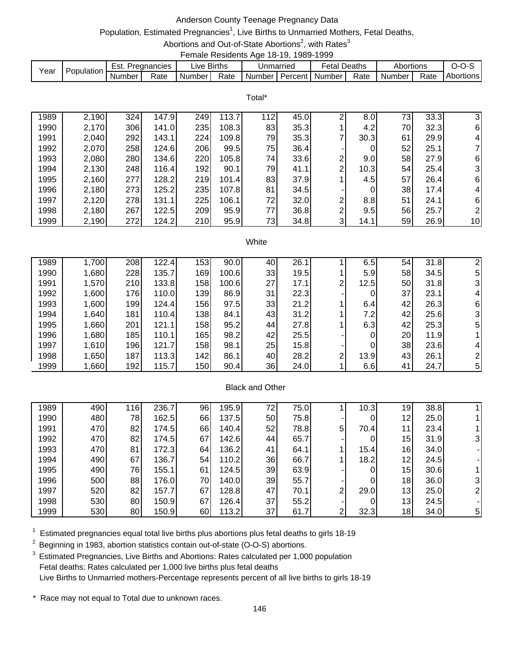## Anderson County Teenage Pregnancy Data

# Population, Estimated Pregnancies<sup>1</sup>, Live Births to Unmarried Mothers, Fetal Deaths,

Abortions and Out-of-State Abortions<sup>2</sup>, with Rates<sup>3</sup> Female Residents Age 18-19, 1989-1999

|      |            |        |             |             | --------------------- |           |         |        |        |           |      |           |
|------|------------|--------|-------------|-------------|-----------------------|-----------|---------|--------|--------|-----------|------|-----------|
| Year | Population | Est.   | Pregnancies | ive Births. |                       | Jnmarried |         | ∓etal  | Deaths | Abortions |      | J-U-7     |
|      |            | Number | Rate        | Number      | Rate                  | Number I  | Percent | Number | Rate   | Number    | Rate | Abortions |

Total\*

| 1989 | 2,190 | 324 | 147.9 | 249 | 113.7 | 12 | 45.0 | ⌒ | 8.0  | 73 | 33.3 | 31                      |
|------|-------|-----|-------|-----|-------|----|------|---|------|----|------|-------------------------|
| 1990 | 2,170 | 306 | 141.0 | 235 | 108.3 | 83 | 35.3 |   | 4.2  | 70 | 32.3 | 61                      |
| 1991 | 2,040 | 292 | 143.1 | 224 | 109.8 | 79 | 35.3 |   | 30.3 | 61 | 29.9 | 4                       |
| 1992 | 2,070 | 258 | 124.6 | 206 | 99.5  | 75 | 36.4 |   |      | 52 | 25.1 |                         |
| 1993 | 2,080 | 280 | 134.6 | 220 | 105.8 | 74 | 33.6 | 2 | 9.0  | 58 | 27.9 | 61                      |
| 1994 | 2,130 | 248 | 116.4 | 192 | 90.1  | 79 | 41.1 | 2 | 10.3 | 54 | 25.4 | $\overline{\mathbf{3}}$ |
| 1995 | 2,160 | 277 | 128.2 | 219 | 101.4 | 83 | 37.9 |   | 4.5  | 57 | 26.4 | 61                      |
| 1996 | 2,180 | 273 | 125.2 | 235 | 107.8 | 81 | 34.5 |   |      | 38 | 17.4 | 4                       |
| 1997 | 2,120 | 278 | 131.1 | 225 | 106.1 | 72 | 32.0 | 2 | 8.8  | 51 | 24.1 | 61                      |
| 1998 | 2,180 | 267 | 122.5 | 209 | 95.9  | 77 | 36.8 | າ | 9.5  | 56 | 25.7 | 21                      |
| 1999 | 2,190 | 272 | 124.2 | 210 | 95.9  | 73 | 34.8 | 3 | 14.1 | 59 | 26.9 | 10 <sub>1</sub>         |

#### **White**

| 1989 | 1,700 | 208        | 122.4 | 153 <sub>1</sub> | 90.0  | 40 | 26.1 |                | 6.5  | 54 | 31.8 |   |
|------|-------|------------|-------|------------------|-------|----|------|----------------|------|----|------|---|
| 1990 | 1,680 | 228        | 135.7 | 169              | 100.6 | 33 | 19.5 |                | 5.9  | 58 | 34.5 | 5 |
| 1991 | 1,570 | 210        | 133.8 | 158              | 100.6 | 27 | 17.1 | $\overline{2}$ | 12.5 | 50 | 31.8 |   |
| 1992 | 1,600 | <b>176</b> | 110.0 | 139              | 86.9  | 31 | 22.3 |                | 0    | 37 | 23.1 |   |
| 1993 | 1,600 | 199        | 124.4 | 156              | 97.5  | 33 | 21.2 |                | 6.4  | 42 | 26.3 | 6 |
| 1994 | 1,640 | 181        | 110.4 | 138              | 84.1  | 43 | 31.2 |                | 7.2  | 42 | 25.6 |   |
| 1995 | 1,660 | 201        | 121.1 | 158              | 95.2  | 44 | 27.8 |                | 6.3  | 42 | 25.3 | 5 |
| 1996 | 1,680 | 185        | 110.1 | 165              | 98.2  | 42 | 25.5 |                | 0    | 20 | 11.9 |   |
| 1997 | 1,610 | 196        | 121.7 | 158              | 98.1  | 25 | 15.8 |                | 0    | 38 | 23.6 |   |
| 1998 | 1,650 | 187        | 113.3 | 142              | 86.1  | 40 | 28.2 | $\overline{2}$ | 13.9 | 43 | 26.1 |   |
| 1999 | 1,660 | 192        | 115.7 | 150              | 90.4  | 36 | 24.0 |                | 6.6  | 41 | 24.7 | 5 |

### Black and Other

| 1989 | 490 | 116 | 236.7 | 96 | 195.9 | 72  | 75.0 |   | 10.3 | 19              | 38.8 |                |
|------|-----|-----|-------|----|-------|-----|------|---|------|-----------------|------|----------------|
| 1990 | 480 | 78  | 162.5 | 66 | 137.5 | 50  | 75.8 |   | 0    | 12              | 25.0 |                |
| 1991 | 470 | 82  | 174.5 | 66 | 140.4 | 52  | 78.8 | 5 | 70.4 | 11              | 23.4 |                |
| 1992 | 470 | 82  | 174.5 | 67 | 142.6 | 441 | 65.7 |   | 0    | 15              | 31.9 | 31             |
| 1993 | 470 | 81  | 172.3 | 64 | 136.2 | 41  | 64.1 |   | 15.4 | 16              | 34.0 |                |
| 1994 | 490 | 67  | 136.7 | 54 | 110.2 | 36  | 66.7 |   | 18.2 | 12              | 24.5 |                |
| 1995 | 490 | 76  | 155.1 | 61 | 124.5 | 39  | 63.9 |   | 0    | 15 <sub>l</sub> | 30.6 |                |
| 1996 | 500 | 88  | 176.0 | 70 | 140.0 | 39  | 55.7 |   | 0    | 18              | 36.0 | 31             |
| 1997 | 520 | 82  | 157.7 | 67 | 128.8 | 47  | 70.1 | 2 | 29.0 | 13              | 25.0 |                |
| 1998 | 530 | 80  | 150.9 | 67 | 126.4 | 37  | 55.2 |   | 0    | 13              | 24.5 |                |
| 1999 | 530 | 80  | 150.9 | 60 | 113.2 | 37  | 61.7 | ⌒ | 32.3 | 18              | 34.0 | 5 <sup>1</sup> |

 $1$  Estimated pregnancies equal total live births plus abortions plus fetal deaths to girls 18-19

 $2$  Beginning in 1983, abortion statistics contain out-of-state (O-O-S) abortions.

<sup>3</sup> Estimated Pregnancies, Live Births and Abortions: Rates calculated per 1,000 population Fetal deaths: Rates calculated per 1,000 live births plus fetal deaths Live Births to Unmarried mothers-Percentage represents percent of all live births to girls 18-19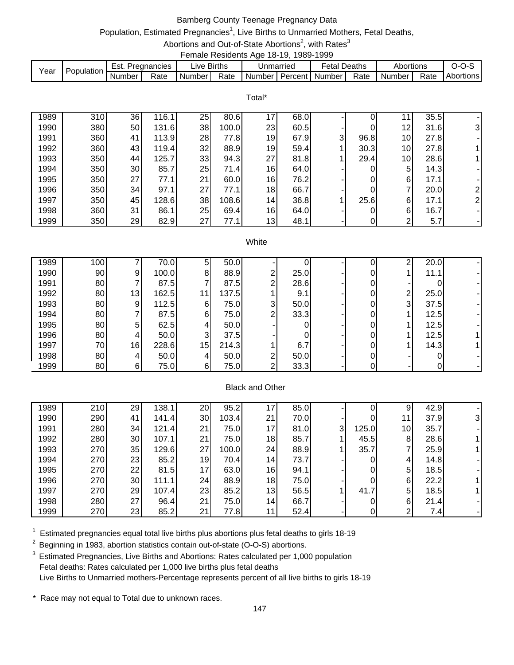## Bamberg County Teenage Pregnancy Data

# Population, Estimated Pregnancies<sup>1</sup>, Live Births to Unmarried Mothers, Fetal Deaths,

Abortions and Out-of-State Abortions<sup>2</sup>, with Rates<sup>3</sup> Female Residents Age 18-19, 1989-1999

|      |            |        |             |             | ------------------------- |           |         |         |        |           |      |           |
|------|------------|--------|-------------|-------------|---------------------------|-----------|---------|---------|--------|-----------|------|-----------|
|      | Population | Est.   | Pregnancies | Live Births |                           | Unmarried |         | Fetal I | Deaths | Abortions |      | ,,        |
| Year |            | Number | Rate        | Number      | Rate                      | Number    | Percent | Number  | Rate   | Number    | Rate | Abortions |

Total\*

| 1989 | 310 | 36 | 16.1  | 25 | 80.6  | 17              | 68.0 |   | 0    |                 | 35.5 |                |
|------|-----|----|-------|----|-------|-----------------|------|---|------|-----------------|------|----------------|
| 1990 | 380 | 50 | 131.6 | 38 | 100.0 | 23              | 60.5 |   | 0    | 12 <sub>1</sub> | 31.6 | 3              |
| 1991 | 360 | 41 | 113.9 | 28 | 77.8  | 19              | 67.9 | 3 | 96.8 | 10 <sub>l</sub> | 27.8 |                |
| 1992 | 360 | 43 | 119.4 | 32 | 88.9  | 19              | 59.4 |   | 30.3 | 10 <sup>1</sup> | 27.8 |                |
| 1993 | 350 | 44 | 125.7 | 33 | 94.3  | 27              | 81.8 |   | 29.4 | 10 <sub>l</sub> | 28.6 |                |
| 1994 | 350 | 30 | 85.7  | 25 | 71.4  | 16 <sub>1</sub> | 64.0 | - | 0    | 5               | 14.3 |                |
| 1995 | 350 | 27 | 77.1  | 21 | 60.0  | 16              | 76.2 | - | 0    | 6               | 17.1 |                |
| 1996 | 350 | 34 | 97.1  | 27 | 77.1  | 18              | 66.7 |   | 0    | ⇁               | 20.0 | $\overline{2}$ |
| 1997 | 350 | 45 | 128.6 | 38 | 108.6 | 14              | 36.8 |   | 25.6 | 6               | 17.1 | $\overline{2}$ |
| 1998 | 360 | 31 | 86.1  | 25 | 69.4  | 16              | 64.0 | - | 0    | 6               | 16.7 |                |
| 1999 | 350 | 29 | 82.9  | 27 | 77.1  | 13 <sub>l</sub> | 48.1 | ۰ | 0    | 2               | 5.7  |                |

#### **White**

| 1989 | 100 |                | 70.0  | 5  | 50.0  |    |      |  | ົ              | 20.0 |  |
|------|-----|----------------|-------|----|-------|----|------|--|----------------|------|--|
| 1990 | 90  | 91             | 100.0 | 8  | 88.9  | ⌒  | 25.0 |  |                | 11.1 |  |
| 1991 | 80  |                | 87.5  |    | 87.5  | ົ  | 28.6 |  |                |      |  |
| 1992 | 80  | 13             | 162.5 |    | 137.5 |    | 9.1  |  | 2              | 25.0 |  |
| 1993 | 80  | 9              | 112.5 | 6  | 75.0  | 31 | 50.0 |  | 3 <sup>l</sup> | 37.5 |  |
| 1994 | 80  |                | 87.5  | 6  | 75.0  | ⌒  | 33.3 |  |                | 12.5 |  |
| 1995 | 80  | 5              | 62.5  |    | 50.0  |    |      |  |                | 12.5 |  |
| 1996 | 80  | 41             | 50.0  | 3  | 37.5  |    |      |  |                | 12.5 |  |
| 1997 | 70  | 16             | 228.6 | 15 | 214.3 |    | 6.7  |  |                | 14.3 |  |
| 1998 | 80  | 4 <sup>1</sup> | 50.0  |    | 50.0  | ⌒  | 50.0 |  |                |      |  |
| 1999 | 80  | 6              | 75.0  | 6  | 75.0  | ⌒  | 33.3 |  |                |      |  |

### Black and Other

| 1989 | 210 | 29 | 138.1 | 20 | 95.2  | ⇁               | 85.0 |              |       | 9               | 42.9 |    |
|------|-----|----|-------|----|-------|-----------------|------|--------------|-------|-----------------|------|----|
| 1990 | 290 | 41 | 141.4 | 30 | 103.4 | 21              | 70.0 |              | 0     | 11              | 37.9 | 31 |
| 1991 | 280 | 34 | 121.4 | 21 | 75.0  | 17              | 81.0 | $\mathbf{3}$ | 125.0 | 10 <sub>l</sub> | 35.7 |    |
| 1992 | 280 | 30 | 107.1 | 21 | 75.0  | 18              | 85.7 |              | 45.5  | 8               | 28.6 |    |
| 1993 | 270 | 35 | 129.6 | 27 | 100.0 | 24              | 88.9 |              | 35.7  |                 | 25.9 |    |
| 1994 | 270 | 23 | 85.2  | 19 | 70.4  | 14              | 73.7 |              | 0     | 4               | 14.8 |    |
| 1995 | 270 | 22 | 81.5  | 17 | 63.0  | 16              | 94.1 |              | 0     | 5               | 18.5 |    |
| 1996 | 270 | 30 | 111.1 | 24 | 88.9  | 18              | 75.0 |              | 0     | 6               | 22.2 |    |
| 1997 | 270 | 29 | 107.4 | 23 | 85.2  | 13              | 56.5 |              | 41.7  | 5               | 18.5 |    |
| 1998 | 280 | 27 | 96.4  | 21 | 75.0  | 14 <sub>1</sub> | 66.7 |              | 0     | 6               | 21.4 |    |
| 1999 | 270 | 23 | 85.2  | 21 | 77.8  | 11              | 52.4 |              | 0     | ົ               | 7.4  |    |

 $1$  Estimated pregnancies equal total live births plus abortions plus fetal deaths to girls 18-19

 $2$  Beginning in 1983, abortion statistics contain out-of-state (O-O-S) abortions.

<sup>3</sup> Estimated Pregnancies, Live Births and Abortions: Rates calculated per 1,000 population Fetal deaths: Rates calculated per 1,000 live births plus fetal deaths Live Births to Unmarried mothers-Percentage represents percent of all live births to girls 18-19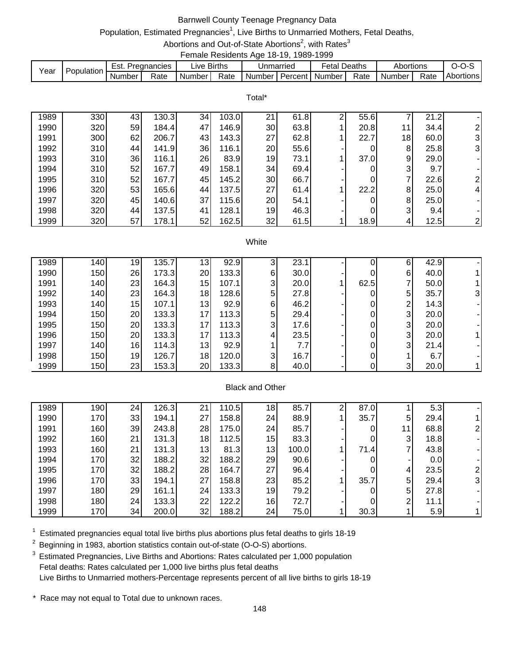# Barnwell County Teenage Pregnancy Data

# Population, Estimated Pregnancies<sup>1</sup>, Live Births to Unmarried Mothers, Fetal Deaths,

Abortions and Out-of-State Abortions<sup>2</sup>, with Rates<sup>3</sup> Female Residents Age 18-19, 1989-1999

|      |            |        |               |             |      |                             | . |              |      |                     |      |           |
|------|------------|--------|---------------|-------------|------|-----------------------------|---|--------------|------|---------------------|------|-----------|
| Year | Population | Est.   | . Pregnancies | ∟ive Births |      | Unmarried                   |   | Fetal Deaths |      | Abortions           |      | $O-O-S$   |
|      |            | Number | Rate          | Number I    | Rate | I Number I Percent I Number |   |              | Rate | Number <sub>1</sub> | Rate | Abortions |

|      | Total* |    |       |    |       |    |      |   |      |    |      |                |  |  |  |
|------|--------|----|-------|----|-------|----|------|---|------|----|------|----------------|--|--|--|
| 1989 | 330    | 43 | 130.3 | 34 | 103.0 | 21 | 61.8 | 2 | 55.6 |    | 21.2 |                |  |  |  |
| 1990 | 320    | 59 | 184.4 | 47 | 146.9 | 30 | 63.8 |   | 20.8 | 11 | 34.4 |                |  |  |  |
| 1991 | 300    | 62 | 206.7 | 43 | 143.3 | 27 | 62.8 |   | 22.7 | 18 | 60.0 | 3 <sup>l</sup> |  |  |  |
| 1992 | 310    | 44 | 141.9 | 36 | 116.1 | 20 | 55.6 |   | 0    | 8  | 25.8 | 3              |  |  |  |
| 1993 | 310    | 36 | 116.1 | 26 | 83.9  | 19 | 73.1 |   | 37.0 | 9  | 29.0 |                |  |  |  |
| 1994 | 310    | 52 | 167.7 | 49 | 158.1 | 34 | 69.4 |   |      | 3  | 9.7  |                |  |  |  |
| 1995 | 310    | 52 | 167.7 | 45 | 145.2 | 30 | 66.7 |   | 0    |    | 22.6 | $\overline{2}$ |  |  |  |
| 1996 | 320    | 53 | 165.6 | 44 | 137.5 | 27 | 61.4 |   | 22.2 | 8  | 25.0 | $\overline{4}$ |  |  |  |
| 1997 | 320    | 45 | 140.6 | 37 | 115.6 | 20 | 54.1 |   | 0    | 8  | 25.0 |                |  |  |  |
| 1998 | 320    | 44 | 137.5 | 41 | 128.1 | 19 | 46.3 |   | 0    | 3  | 9.4  |                |  |  |  |
| 1999 | 320    | 57 | 178.1 | 52 | 162.5 | 32 | 61.5 |   | 18.9 | 4  | 12.5 | 2 <sub>l</sub> |  |  |  |

#### **White**

| 1989 | 140 <sub>1</sub> | 19              | 135.7  | 13 <sub>1</sub> | 92.9  | 3              | 23.1 |      | 6              | 42.9 |  |
|------|------------------|-----------------|--------|-----------------|-------|----------------|------|------|----------------|------|--|
| 1990 | 150              | 26              | 173.3  | 20              | 133.3 | 6              | 30.0 |      | 6              | 40.0 |  |
| 1991 | 140              | 23              | 164.3  | 15              | 107.1 | 3              | 20.0 | 62.5 |                | 50.0 |  |
| 1992 | 140              | 23              | 164.3  | 18              | 128.6 | 5 <sup>1</sup> | 27.8 | 0    | 5              | 35.7 |  |
| 1993 | 140              | 15              | 107.11 | 13              | 92.9  | 6              | 46.2 |      | ⌒              | 14.3 |  |
| 1994 | 150              | 20              | 133.3  | 17              | 113.3 | 5              | 29.4 |      | 3 <sub>l</sub> | 20.0 |  |
| 1995 | 150              | 20 <sup>1</sup> | 133.3  | 17 <sub>1</sub> | 113.3 | 3              | 17.6 |      | $\mathbf{3}$   | 20.0 |  |
| 1996 | 150              | 20              | 133.3  | 17 <sub>1</sub> | 113.3 | 4              | 23.5 |      | $\mathbf{3}$   | 20.0 |  |
| 1997 | 140              | 16              | 114.3  | 13              | 92.9  |                | 7.7  |      | 3 <sub>l</sub> | 21.4 |  |
| 1998 | 150              | 19              | 126.7  | 18              | 120.0 | 3              | 16.7 |      |                | 6.7  |  |
| 1999 | 150              | 23              | 153.3  | 20              | 133.3 | 8              | 40.0 |      | 3              | 20.0 |  |

### Black and Other

| 1989 | 190 | 24 | 126.3 | 21 | 110.5 | 18 | 85.7  | ົ | 87.0 |    | 5.3  |    |
|------|-----|----|-------|----|-------|----|-------|---|------|----|------|----|
| 1990 | 170 | 33 | 194.1 | 27 | 158.8 | 24 | 88.9  |   | 35.7 | 5  | 29.4 |    |
| 1991 | 160 | 39 | 243.8 | 28 | 175.0 | 24 | 85.7  |   | 0    | 11 | 68.8 |    |
| 1992 | 160 | 21 | 131.3 | 18 | 112.5 | 15 | 83.3  |   | 0    | 3  | 18.8 |    |
| 1993 | 160 | 21 | 131.3 | 13 | 81.3  | 13 | 100.0 |   | 71.4 |    | 43.8 |    |
| 1994 | 170 | 32 | 188.2 | 32 | 188.2 | 29 | 90.6  |   |      |    | 0.0  |    |
| 1995 | 170 | 32 | 188.2 | 28 | 164.7 | 27 | 96.4  |   | 0    | 4  | 23.5 |    |
| 1996 | 170 | 33 | 194.1 | 27 | 158.8 | 23 | 85.2  |   | 35.7 | 5  | 29.4 | 31 |
| 1997 | 180 | 29 | 161.1 | 24 | 133.3 | 19 | 79.2  |   | 0    | 5  | 27.8 |    |
| 1998 | 180 | 24 | 133.3 | 22 | 122.2 | 16 | 72.7  |   | 0    | ◠  | 11.1 |    |
| 1999 | 170 | 34 | 200.0 | 32 | 188.2 | 24 | 75.0  |   | 30.3 |    | 5.9  |    |

 $1$  Estimated pregnancies equal total live births plus abortions plus fetal deaths to girls 18-19

 $2$  Beginning in 1983, abortion statistics contain out-of-state (O-O-S) abortions.

<sup>3</sup> Estimated Pregnancies, Live Births and Abortions: Rates calculated per 1,000 population Fetal deaths: Rates calculated per 1,000 live births plus fetal deaths Live Births to Unmarried mothers-Percentage represents percent of all live births to girls 18-19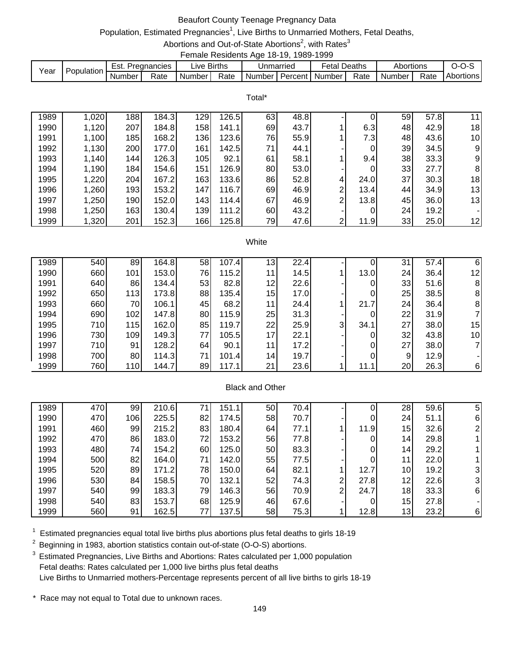## Beaufort County Teenage Pregnancy Data

# Population, Estimated Pregnancies<sup>1</sup>, Live Births to Unmarried Mothers, Fetal Deaths,

Abortions and Out-of-State Abortions<sup>2</sup>, with Rates<sup>3</sup> Female Residents Age 18-19, 1989-1999

|      |            |        |               |             |      |                             | . |              |      |                     |      |           |
|------|------------|--------|---------------|-------------|------|-----------------------------|---|--------------|------|---------------------|------|-----------|
| Year | Population | Est.   | . Pregnancies | ∟ive Births |      | Unmarried                   |   | Fetal Deaths |      | Abortions           |      | $O-O-S$   |
|      |            | Number | Rate          | Number I    | Rate | I Number I Percent I Number |   |              | Rate | Number <sub>1</sub> | Rate | Abortions |

Total\*

| 1989 | 1,020 | 188 | 184.3  | 129 | 126.5 | 63 | 48.8 |                |      | 59 | 57.8 | 11 |
|------|-------|-----|--------|-----|-------|----|------|----------------|------|----|------|----|
| 1990 | 1,120 | 207 | 184.8I | 158 | 141.1 | 69 | 43.7 |                | 6.3  | 48 | 42.9 | 18 |
| 1991 | 1,100 | 185 | 168.2  | 136 | 123.6 | 76 | 55.9 |                | 7.3  | 48 | 43.6 | 10 |
| 1992 | 1,130 | 200 | 177.0  | 161 | 142.5 | 71 | 44.1 |                | 0    | 39 | 34.5 | 9  |
| 1993 | 1,140 | 144 | 126.3  | 105 | 92.1  | 61 | 58.1 |                | 9.4  | 38 | 33.3 | 9  |
| 1994 | 1,190 | 184 | 154.6  | 151 | 126.9 | 80 | 53.0 |                | 0    | 33 | 27.7 | 8  |
| 1995 | 1,220 | 204 | 167.2  | 163 | 133.6 | 86 | 52.8 | 4              | 24.0 | 37 | 30.3 | 18 |
| 1996 | 1,260 | 193 | 153.2  | 147 | 116.7 | 69 | 46.9 | 2 <sub>1</sub> | 13.4 | 44 | 34.9 | 13 |
| 1997 | 1,250 | 190 | 152.0  | 143 | 114.4 | 67 | 46.9 | 2              | 13.8 | 45 | 36.0 | 13 |
| 1998 | 1,250 | 163 | 130.4  | 139 | 111.2 | 60 | 43.2 |                |      | 24 | 19.2 |    |
| 1999 | 1,320 | 201 | 152.3  | 166 | 125.8 | 79 | 47.6 | 2 <sub>1</sub> | 11.9 | 33 | 25.0 | 12 |

#### **White**

| 164.8<br>58 | 107.4<br>13                                                                   | 22.4 |                                               | 0    | 31 | 57.4 | 6    |
|-------------|-------------------------------------------------------------------------------|------|-----------------------------------------------|------|----|------|------|
| 76<br>153.0 | 115.2<br>11                                                                   | 14.5 |                                               | 13.0 | 24 | 36.4 | 12   |
| 53          | 82.8                                                                          | 22.6 |                                               | 0    | 33 | 51.6 | 8    |
| 88          | 135.4                                                                         | 17.0 |                                               | 0    | 25 | 38.5 | 8    |
| 45          | 68.2                                                                          | 24.4 |                                               | 21.7 | 24 | 36.4 | 8    |
| 80          | 115.9                                                                         | 31.3 |                                               | 0    | 22 | 31.9 |      |
| 85          | 119.7                                                                         | 25.9 | 3 <sup>l</sup>                                | 34.1 | 27 | 38.0 | 15   |
| 77          | 105.5                                                                         | 22.1 |                                               | 0    | 32 | 43.8 | 10   |
| 64          | 90.1<br>11                                                                    | 17.2 |                                               | 0    | 27 |      |      |
| 71          | 101.4                                                                         | 19.7 |                                               | 0    | 9  | 12.9 |      |
| 89          | 117.1<br>21                                                                   | 23.6 |                                               | 11.1 | 20 | 26.3 | 6    |
|             | 134.4<br>173.8<br>106.1<br>147.8<br>162.0<br>149.3<br>128.2<br>114.3<br>144.7 | 11   | 12<br>15<br>25<br>22<br>17<br>14 <sub>1</sub> |      |    |      | 38.0 |

## Black and Other

| 1989 | 470 | 99  | 210.6 | 71 | 151.1 | 50 | 70.4 |   | 0    | 28                | 59.6 | 5        |
|------|-----|-----|-------|----|-------|----|------|---|------|-------------------|------|----------|
| 1990 | 470 | 106 | 225.5 | 82 | 174.5 | 58 | 70.7 |   | 0    | 24                | 51.1 | 61       |
| 1991 | 460 | 99  | 215.2 | 83 | 180.4 | 64 | 77.1 |   | 11.9 | 15                | 32.6 |          |
| 1992 | 470 | 86  | 183.0 | 72 | 153.2 | 56 | 77.8 |   | 0    | 14 <sub>l</sub>   | 29.8 |          |
| 1993 | 480 | 74  | 154.2 | 60 | 125.0 | 50 | 83.3 |   | 0    | 14 <sub>1</sub>   | 29.2 |          |
| 1994 | 500 | 82  | 164.0 | 71 | 142.0 | 55 | 77.5 |   | 0    | 11                | 22.0 |          |
| 1995 | 520 | 89  | 171.2 | 78 | 150.0 | 64 | 82.1 |   | 12.7 | 10 <sub>l</sub>   | 19.2 | 31       |
| 1996 | 530 | 84  | 158.5 | 70 | 132.1 | 52 | 74.3 | ⌒ | 27.8 | $12 \overline{)}$ | 22.6 | 31       |
| 1997 | 540 | 99  | 183.3 | 79 | 146.3 | 56 | 70.9 | 2 | 24.7 | 18                | 33.3 | -61      |
| 1998 | 540 | 83  | 153.7 | 68 | 125.9 | 46 | 67.6 |   | 0    | 15 <sub>l</sub>   | 27.8 |          |
| 1999 | 560 | 91  | 162.5 | 77 | 137.5 | 58 | 75.3 |   | 12.8 | 13                | 23.2 | $6 \mid$ |

 $1$  Estimated pregnancies equal total live births plus abortions plus fetal deaths to girls 18-19

 $2$  Beginning in 1983, abortion statistics contain out-of-state (O-O-S) abortions.

<sup>3</sup> Estimated Pregnancies, Live Births and Abortions: Rates calculated per 1,000 population Fetal deaths: Rates calculated per 1,000 live births plus fetal deaths Live Births to Unmarried mothers-Percentage represents percent of all live births to girls 18-19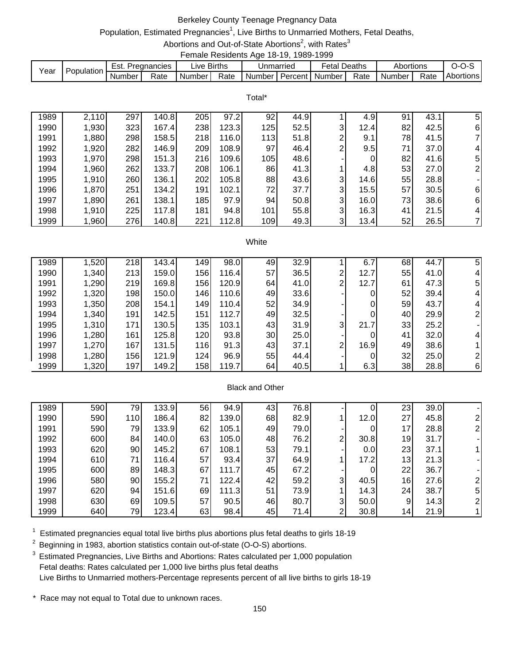# Berkeley County Teenage Pregnancy Data

# Population, Estimated Pregnancies<sup>1</sup>, Live Births to Unmarried Mothers, Fetal Deaths,

Abortions and Out-of-State Abortions<sup>2</sup>, with Rates<sup>3</sup> Female Residents Age 18-19, 1989-1999

|      |            |        |             |                        | ------------------------ |           |         |                   |        |           |      |           |
|------|------------|--------|-------------|------------------------|--------------------------|-----------|---------|-------------------|--------|-----------|------|-----------|
| Year | Population | Est.   | Pregnancies | $\lrcorner$ ive Births |                          | Unmarried |         | <sup>∓</sup> etal | Deaths | Abortions |      |           |
|      |            | Number | Rate        | Number I               | Rate                     | Number I  | Percent | Number            | Rate   | Number    | Rate | Abortions |

Total\*

| 1989 | 2,110 | 297 | 140.8 | 205 | 97.2  | 92              | 44.9 |   | 4.9  | 91 | 43.1 | 5  |
|------|-------|-----|-------|-----|-------|-----------------|------|---|------|----|------|----|
| 1990 | ,930  | 323 | 167.4 | 238 | 123.3 | 125             | 52.5 | 3 | 12.4 | 82 | 42.5 | 6  |
| 1991 | ,880  | 298 | 158.5 | 218 | 116.0 | 113             | 51.8 | っ | 9.1  | 78 | 41.5 | 7  |
| 1992 | ,920  | 282 | 146.9 | 209 | 108.9 | 97              | 46.4 | ⌒ | 9.5  | 71 | 37.0 | 4  |
| 1993 | ,970  | 298 | 151.3 | 216 | 109.6 | 105             | 48.6 |   | 0    | 82 | 41.6 | 5  |
| 1994 | ,960  | 262 | 133.7 | 208 | 106.1 | 86              | 41.3 |   | 4.8  | 53 | 27.0 | 2  |
| 1995 | .910  | 260 | 136.1 | 202 | 105.8 | 88              | 43.6 | 3 | 14.6 | 55 | 28.8 | ۰. |
| 1996 | 1,870 | 251 | 134.2 | 191 | 102.1 | 72 <sub>1</sub> | 37.7 | 3 | 15.5 | 57 | 30.5 | 6  |
| 1997 | ,890  | 261 | 138.1 | 185 | 97.9  | 94              | 50.8 | 3 | 16.0 | 73 | 38.6 | 6  |
| 1998 | 1,910 | 225 | 117.8 | 181 | 94.8  | 101             | 55.8 | 3 | 16.3 | 41 | 21.5 | 4  |
| 1999 | ,960  | 276 | 140.8 | 221 | 112.8 | 109             | 49.3 | 3 | 13.4 | 52 | 26.5 | 7  |

#### White

| 1989 | 1,520 | 218 | 143.4 | 149 | 98.0  | 49 | 32.9 |   | 6.7  | 68 | 44.7 | 5 |
|------|-------|-----|-------|-----|-------|----|------|---|------|----|------|---|
| 1990 | 1,340 | 213 | 159.0 | 156 | 116.4 | 57 | 36.5 | ⌒ | 12.7 | 55 | 41.0 |   |
| 1991 | 1,290 | 219 | 169.8 | 156 | 120.9 | 64 | 41.0 | 2 | 12.7 | 61 | 47.3 | 5 |
| 1992 | 1,320 | 198 | 150.0 | 146 | 110.6 | 49 | 33.6 |   |      | 52 | 39.4 |   |
| 1993 | 1,350 | 208 | 154.1 | 149 | 110.4 | 52 | 34.9 |   | 0    | 59 | 43.7 |   |
| 1994 | 1,340 | 191 | 142.5 | 151 | 112.7 | 49 | 32.5 |   |      | 40 | 29.9 |   |
| 1995 | 1,310 | 171 | 130.5 | 135 | 103.1 | 43 | 31.9 | 3 | 21.7 | 33 | 25.2 |   |
| 1996 | 1,280 | 161 | 125.8 | 120 | 93.8  | 30 | 25.0 |   |      | 41 | 32.0 |   |
| 1997 | 1,270 | 167 | 131.5 | 116 | 91.3  | 43 | 37.1 | 2 | 16.9 | 49 | 38.6 |   |
| 1998 | 1,280 | 156 | 121.9 | 124 | 96.9  | 55 | 44.4 |   | 0    | 32 | 25.0 |   |
| 1999 | 1,320 | 197 | 149.2 | 158 | 119.7 | 64 | 40.5 |   | 6.3  | 38 | 28.8 | 6 |

#### Black and Other

| 1989 | 590 | 79. | 133.9 | 56 | 94.9  | 43 | 76.8 |   | 0    | 23              | 39.0 |   |
|------|-----|-----|-------|----|-------|----|------|---|------|-----------------|------|---|
| 1990 | 590 | 110 | 186.4 | 82 | 139.0 | 68 | 82.9 |   | 12.0 | 27              | 45.8 |   |
| 1991 | 590 | 79  | 133.9 | 62 | 105.1 | 49 | 79.0 |   | 0    | 17              | 28.8 |   |
| 1992 | 600 | 84  | 140.0 | 63 | 105.0 | 48 | 76.2 | ົ | 30.8 | 19              | 31.7 |   |
| 1993 | 620 | 90  | 145.2 | 67 | 108.1 | 53 | 79.1 |   | 0.0  | 23              | 37.1 |   |
| 1994 | 610 | 71  | 116.4 | 57 | 93.4  | 37 | 64.9 |   | 17.2 | 13 <sup>l</sup> | 21.3 |   |
| 1995 | 600 | 89  | 148.3 | 67 | 111.7 | 45 | 67.2 |   | 0    | 22              | 36.7 |   |
| 1996 | 580 | 90  | 155.2 | 71 | 122.4 | 42 | 59.2 | 3 | 40.5 | 16              | 27.6 |   |
| 1997 | 620 | 94  | 151.6 | 69 | 111.3 | 51 | 73.9 |   | 14.3 | 24              | 38.7 | 5 |
| 1998 | 630 | 69  | 109.5 | 57 | 90.5  | 46 | 80.7 | 3 | 50.0 | $\overline{9}$  | 14.3 |   |
| 1999 | 640 | 79  | 123.4 | 63 | 98.4  | 45 | 71.4 | ⌒ | 30.8 | 14              | 21.9 |   |

 $1$  Estimated pregnancies equal total live births plus abortions plus fetal deaths to girls 18-19

 $2$  Beginning in 1983, abortion statistics contain out-of-state (O-O-S) abortions.

<sup>3</sup> Estimated Pregnancies, Live Births and Abortions: Rates calculated per 1,000 population Fetal deaths: Rates calculated per 1,000 live births plus fetal deaths Live Births to Unmarried mothers-Percentage represents percent of all live births to girls 18-19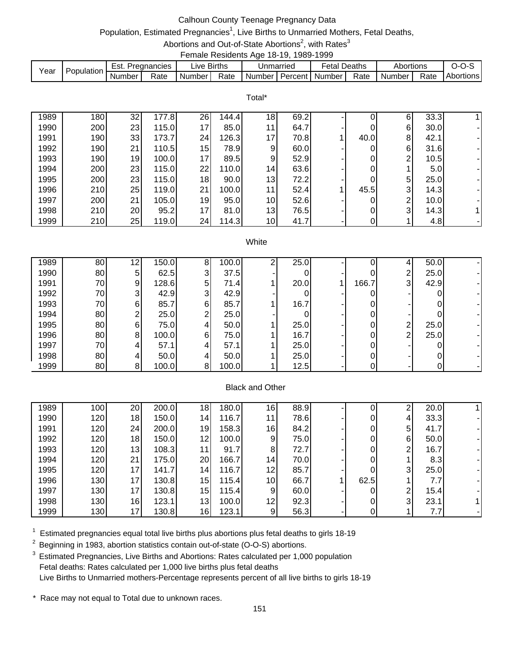## Calhoun County Teenage Pregnancy Data

# Population, Estimated Pregnancies<sup>1</sup>, Live Births to Unmarried Mothers, Fetal Deaths,

Abortions and Out-of-State Abortions<sup>2</sup>, with Rates<sup>3</sup> Female Residents Age 18-19, 1989-1999

| Year | Population | Est. .   | Pregnancies | Live Births         |      | Unmarried                          | <b>Fetal Deaths</b> |      | Abortions |      |                  |
|------|------------|----------|-------------|---------------------|------|------------------------------------|---------------------|------|-----------|------|------------------|
|      |            | Number I | Rate        | Number <sup>1</sup> | Rate | <b>I</b> Number   Percent   Number |                     | Rate | Number I  | Rate | <b>Abortions</b> |

Total\*

| 1989 | 180 | 32 | 177.8 | 26              | 144.4 | 18              | 69.2 |   |      | 6 | 33.3             |  |
|------|-----|----|-------|-----------------|-------|-----------------|------|---|------|---|------------------|--|
| 1990 | 200 | 23 | 115.0 | 17              | 85.0  | 11              | 64.7 |   |      | 6 | 30.0             |  |
| 1991 | 190 | 33 | 173.7 | 24I             | 126.3 | 17              | 70.8 |   | 40.0 | 8 | 42.1             |  |
| 1992 | 190 | 21 | 110.5 | 15 <sub>l</sub> | 78.9  | 9               | 60.0 | - |      | 6 | 31.6             |  |
| 1993 | 190 | 19 | 100.0 | 17              | 89.5  | 9               | 52.9 |   | 0    | ⌒ | 10.5             |  |
| 1994 | 200 | 23 | 115.0 | 22              | 110.0 | 14 <sub>l</sub> | 63.6 |   | 0    |   | 5.0 <sub>l</sub> |  |
| 1995 | 200 | 23 | 115.0 | 18              | 90.0  | 13              | 72.2 |   |      | 5 | 25.0             |  |
| 1996 | 210 | 25 | 119.0 | 21              | 100.0 | 11              | 52.4 |   | 45.5 | 3 | 14.3             |  |
| 1997 | 200 | 21 | 105.0 | 19              | 95.0  | 10 <sup>1</sup> | 52.6 |   |      | ⌒ | 10.0             |  |
| 1998 | 210 | 20 | 95.2  | 17              | 81.0  | 13              | 76.5 |   | 0    | 3 | 14.3             |  |
| 1999 | 210 | 25 | 119.0 | 24              | 114.3 | 10 <sup>1</sup> | 41.7 |   |      |   | 4.8              |  |

#### **White**

| 1989 | 80 | 12 <sub>l</sub> | 150.0 | 8 | 100.0 | ົ | 25.0 |       | 4              | 50.0 |  |
|------|----|-----------------|-------|---|-------|---|------|-------|----------------|------|--|
| 1990 | 80 | 51              | 62.5  | 3 | 37.5  |   |      |       | ⌒              | 25.0 |  |
| 1991 | 70 | 91              | 128.6 | 5 | 71.4  |   | 20.0 | 166.7 | 3 <sup>1</sup> | 42.9 |  |
| 1992 | 70 | 31              | 42.9  | 3 | 42.9  |   |      |       |                |      |  |
| 1993 | 70 | 61              | 85.7  | 6 | 85.7  |   | 16.7 |       |                |      |  |
| 1994 | 80 | ⌒               | 25.0  | っ | 25.0  |   |      |       |                |      |  |
| 1995 | 80 | 61              | 75.0  |   | 50.0  |   | 25.0 |       | ⌒              | 25.0 |  |
| 1996 | 80 | 8               | 100.0 | 6 | 75.0  |   | 16.7 |       | ⌒              | 25.0 |  |
| 1997 | 70 | 41              | 57.1  |   | 57.1  |   | 25.0 |       |                |      |  |
| 1998 | 80 | 41              | 50.0  |   | 50.0  |   | 25.0 |       |                |      |  |
| 1999 | 80 | 81              | 100.0 | 8 | 100.0 |   | 12.5 |       |                |      |  |

### Black and Other

| 1989 | 100 <sub>1</sub> | 20 | 200.0 | 18 | 180.0 | 16              | 88.9 |      | C | 20.0 |  |
|------|------------------|----|-------|----|-------|-----------------|------|------|---|------|--|
| 1990 | 120              | 18 | 150.0 | 14 | 116.7 | 11              | 78.6 | 0    | 4 | 33.3 |  |
| 1991 | 120              | 24 | 200.0 | 19 | 158.3 | 16              | 84.2 | 0    | 5 | 41.7 |  |
| 1992 | 120              | 18 | 150.0 | 12 | 100.0 | 9.              | 75.0 | 0    | 6 | 50.0 |  |
| 1993 | 120              | 13 | 108.3 | 11 | 91.7  | 8               | 72.7 | 0    | ົ | 16.7 |  |
| 1994 | 120              | 21 | 175.0 | 20 | 166.7 | 14 <sub>1</sub> | 70.0 | 0    |   | 8.3  |  |
| 1995 | 120              | 17 | 141.7 | 14 | 116.7 | 12              | 85.7 |      | 3 | 25.0 |  |
| 1996 | 130              | 17 | 130.8 | 15 | 115.4 | 10 <sup>1</sup> | 66.7 | 62.5 |   | 7.7  |  |
| 1997 | 130              | 17 | 130.8 | 15 | 115.4 | 9               | 60.0 | 0    | ⌒ | 15.4 |  |
| 1998 | 130              | 16 | 123.1 | 13 | 100.0 | 12              | 92.3 | 0    | 3 | 23.1 |  |
| 1999 | 130              | 17 | 130.8 | 16 | 123.1 | 9               | 56.3 |      |   | 7.7  |  |

 $1$  Estimated pregnancies equal total live births plus abortions plus fetal deaths to girls 18-19

 $2$  Beginning in 1983, abortion statistics contain out-of-state (O-O-S) abortions.

<sup>3</sup> Estimated Pregnancies, Live Births and Abortions: Rates calculated per 1,000 population Fetal deaths: Rates calculated per 1,000 live births plus fetal deaths Live Births to Unmarried mothers-Percentage represents percent of all live births to girls 18-19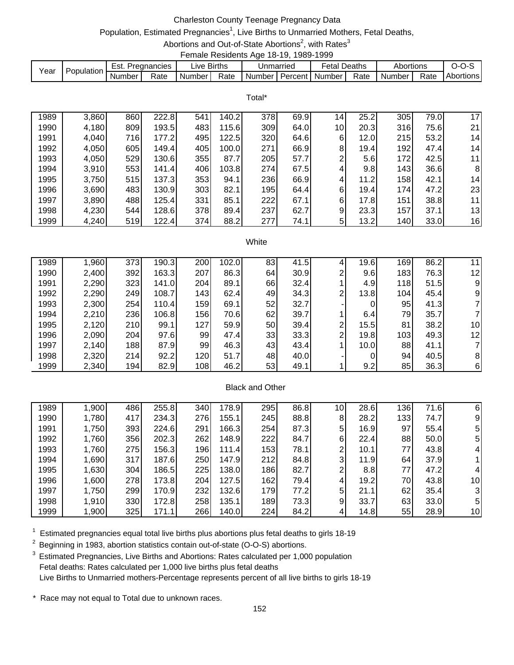## Charleston County Teenage Pregnancy Data

# Population, Estimated Pregnancies<sup>1</sup>, Live Births to Unmarried Mothers, Fetal Deaths,

Abortions and Out-of-State Abortions<sup>2</sup>, with Rates<sup>3</sup> Female Residents Age 18-19, 1989-1999

| Year | Population | Est.   | Pregnancies | ∟ive Births         |      | Unmarried                     | Fetal. | <b>Deaths</b> | Abortions |      | J-1       |
|------|------------|--------|-------------|---------------------|------|-------------------------------|--------|---------------|-----------|------|-----------|
|      |            | Number | Rate        | Number <sub>1</sub> | Rate | I Number I Percent I Number I |        | Rate          | Number,   | Rate | Abortions |

Total\*

| 1989 | 3,860 | 860        | 222.8 | 541 | 140.2 | 378 | 69.9 | 14              | 25.2  | 305 | 79.0 | 17              |
|------|-------|------------|-------|-----|-------|-----|------|-----------------|-------|-----|------|-----------------|
| 1990 | 4,180 | 809        | 193.5 | 483 | 115.6 | 309 | 64.0 | 10 <sub>l</sub> | 20.3  | 316 | 75.6 | 21              |
| 1991 | 4,040 | <b>716</b> | 177.2 | 495 | 122.5 | 320 | 64.6 | $6 \mid$        | 12.0  | 215 | 53.2 | 14 <sup>1</sup> |
| 1992 | 4,050 | 605        | 149.4 | 405 | 100.0 | 271 | 66.9 | 8 <sup>1</sup>  | 19.4  | 192 | 47.4 | 14 <sup>1</sup> |
| 1993 | 4,050 | 529        | 130.6 | 355 | 87.7  | 205 | 57.7 | 2               | 5.6   | 172 | 42.5 | 11 <sub>1</sub> |
| 1994 | 3,910 | 553        | 141.4 | 406 | 103.8 | 274 | 67.5 | $\overline{4}$  | 9.8   | 143 | 36.6 | 8               |
| 1995 | 3,750 | 515        | 137.3 | 353 | 94.1  | 236 | 66.9 | $\overline{4}$  | 11.2  | 158 | 42.1 | 14 <sup>1</sup> |
| 1996 | 3,690 | 483        | 130.9 | 303 | 82.1  | 195 | 64.4 | $6 \mid$        | 19.4  | 174 | 47.2 | 23              |
| 1997 | 3,890 | 488        | 125.4 | 331 | 85.1  | 222 | 67.1 | $6 \mid$        | 17.8l | 151 | 38.8 | 11              |
| 1998 | 4,230 | 544        | 128.6 | 378 | 89.4  | 237 | 62.7 | $\overline{9}$  | 23.3  | 157 | 37.1 | 13              |
| 1999 | 4,240 | 519        | 122.4 | 374 | 88.2  | 277 | 74.1 | 5               | 13.2  | 140 | 33.0 | 16              |

#### White

| 1989 | 1,960 | 373 | 190.3 | 200 | 102.0 | 83 | 41.5 |                | 19.6 | 169 | 86.2 | 11 |
|------|-------|-----|-------|-----|-------|----|------|----------------|------|-----|------|----|
| 1990 | 2,400 | 392 | 163.3 | 207 | 86.3  | 64 | 30.9 | $\overline{2}$ | 9.6  | 183 | 76.3 | 12 |
| 1991 | 2,290 | 323 | 141.0 | 204 | 89.1  | 66 | 32.4 |                | 4.9  | 118 | 51.5 | 9  |
| 1992 | 2,290 | 249 | 108.7 | 143 | 62.4  | 49 | 34.3 | 2              | 13.8 | 104 | 45.4 | 9  |
| 1993 | 2,300 | 254 | 110.4 | 159 | 69.1  | 52 | 32.7 |                | 0    | 95  | 41.3 |    |
| 1994 | 2,210 | 236 | 106.8 | 156 | 70.6  | 62 | 39.7 |                | 6.4  | 79  | 35.7 |    |
| 1995 | 2,120 | 210 | 99.1  | 127 | 59.9  | 50 | 39.4 | 2              | 15.5 | 81  | 38.2 | 10 |
| 1996 | 2,090 | 204 | 97.6  | 99  | 47.4  | 33 | 33.3 | 2              | 19.8 | 103 | 49.3 | 12 |
| 1997 | 2,140 | 188 | 87.9  | 99  | 46.3  | 43 | 43.4 |                | 10.0 | 88  | 41.1 |    |
| 1998 | 2,320 | 214 | 92.2  | 120 | 51.7  | 48 | 40.0 |                | 0    | 94  | 40.5 | 8  |
| 1999 | 2,340 | 194 | 82.9  | 108 | 46.2  | 53 | 49.1 |                | 9.2  | 85  | 36.3 | 6  |

### Black and Other

| 1989 | 1,900 | 486 | 255.8 | 340 | 178.9 | 295              | 86.8 | 10.            | 28.6 | 136 | 71.6 | 6               |
|------|-------|-----|-------|-----|-------|------------------|------|----------------|------|-----|------|-----------------|
| 1990 | 1,780 | 417 | 234.3 | 276 | 155.1 | 245              | 88.8 | 8              | 28.2 | 133 | 74.7 | 91              |
| 1991 | 1,750 | 393 | 224.6 | 291 | 166.3 | 254              | 87.3 | 5              | 16.9 | 97  | 55.4 | 5               |
| 1992 | 1,760 | 356 | 202.3 | 262 | 148.9 | 222              | 84.7 | 6              | 22.4 | 88  | 50.0 | 51              |
| 1993 | 1,760 | 275 | 156.3 | 196 | 111.4 | 153              | 78.1 | 2              | 10.1 | 77  | 43.8 | 41              |
| 1994 | 1,690 | 317 | 187.6 | 250 | 147.9 | 212              | 84.8 | $\mathbf{3}$   | 11.9 | 64  | 37.9 |                 |
| 1995 | 1,630 | 304 | 186.5 | 225 | 138.0 | 186              | 82.7 | 2              | 8.8  | 77  | 47.2 | 4               |
| 1996 | 1,600 | 278 | 173.8 | 204 | 127.5 | 162 <sub>1</sub> | 79.4 | 4              | 19.2 | 70  | 43.8 | 10 <sub>l</sub> |
| 1997 | 1,750 | 299 | 170.9 | 232 | 132.6 | 179              | 77.2 | 5 <sup>5</sup> | 21.1 | 62  | 35.4 | 31              |
| 1998 | 1,910 | 330 | 172.8 | 258 | 135.1 | 189              | 73.3 | 9              | 33.7 | 63  | 33.0 | 5               |
| 1999 | 1,900 | 325 | 171.1 | 266 | 140.0 | 224              | 84.2 | 4              | 14.8 | 55  | 28.9 | 10 <sub>l</sub> |

 $1$  Estimated pregnancies equal total live births plus abortions plus fetal deaths to girls 18-19

 $2$  Beginning in 1983, abortion statistics contain out-of-state (O-O-S) abortions.

<sup>3</sup> Estimated Pregnancies, Live Births and Abortions: Rates calculated per 1,000 population Fetal deaths: Rates calculated per 1,000 live births plus fetal deaths Live Births to Unmarried mothers-Percentage represents percent of all live births to girls 18-19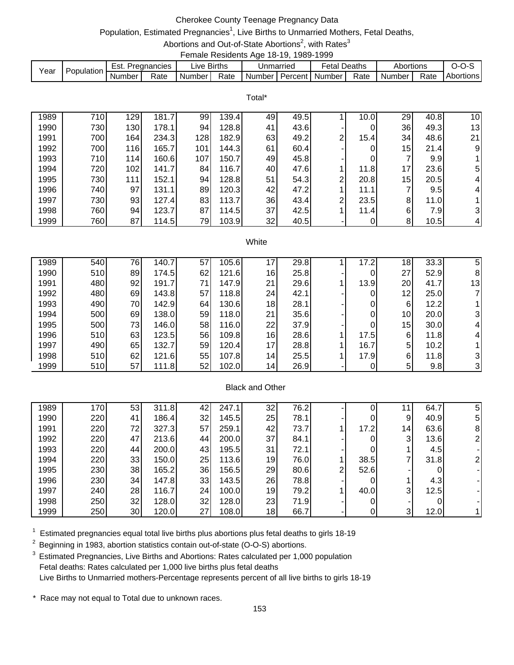## Cherokee County Teenage Pregnancy Data

# Population, Estimated Pregnancies<sup>1</sup>, Live Births to Unmarried Mothers, Fetal Deaths,

Abortions and Out-of-State Abortions<sup>2</sup>, with Rates<sup>3</sup> Female Residents Age 18-19, 1989-1999

| Year | Population | Est.   | Pregnancies | ∟ive Births         |      | Unmarried                     | Fetal. | <b>Deaths</b> | Abortions |      | J-1       |
|------|------------|--------|-------------|---------------------|------|-------------------------------|--------|---------------|-----------|------|-----------|
|      |            | Number | Rate        | Number <sub>1</sub> | Rate | I Number I Percent I Number I |        | Rate          | Number,   | Rate | Abortions |

|      |     |     |       |     |       | Total* |      |   |      |    |      |                 |
|------|-----|-----|-------|-----|-------|--------|------|---|------|----|------|-----------------|
| 1989 | 710 | 129 | 181.7 | 99  | 139.4 | 49     | 49.5 |   | 10.0 | 29 | 40.8 | 10              |
| 1990 | 730 | 130 | 178.1 | 94  | 128.8 | 41     | 43.6 |   | 0    | 36 | 49.3 | 13              |
| 1991 | 700 | 164 | 234.3 | 128 | 182.9 | 63     | 49.2 | 2 | 15.4 | 34 | 48.6 | 21              |
| 1992 | 700 | 116 | 165.7 | 101 | 144.3 | 61     | 60.4 |   |      | 15 | 21.4 | 9               |
| 1993 | 710 | 114 | 160.6 | 107 | 150.7 | 49     | 45.8 |   | 0    | 7  | 9.9  |                 |
| 1994 | 720 | 102 | 141.7 | 84  | 116.7 | 40     | 47.6 |   | 11.8 | 17 | 23.6 | 51              |
| 1995 | 730 | 111 | 152.1 | 94  | 128.8 | 51     | 54.3 | 2 | 20.8 | 15 | 20.5 | 4               |
| 1996 | 740 | 97  | 131.1 | 89  | 120.3 | 42     | 47.2 |   | 11.1 | ⇁  | 9.5  | 4               |
| 1997 | 730 | 93  | 127.4 | 83  | 113.7 | 36     | 43.4 | 2 | 23.5 | 8  | 11.0 |                 |
| 1998 | 760 | 94  | 123.7 | 87  | 114.5 | 37     | 42.5 |   | 11.4 | 6  | 7.9  | 31              |
| 1999 | 760 | 87  | 114.5 | 79  | 103.9 | 32     | 40.5 |   |      | 8  | 10.5 | $\vert 4 \vert$ |

#### White

| 1989 | 540 | 76I | 140.7 | 57 | 105.6 | 17              | 29.8 | 17.2 | 18              | 33.3 | 5  |
|------|-----|-----|-------|----|-------|-----------------|------|------|-----------------|------|----|
| 1990 | 510 | 89  | 174.5 | 62 | 121.6 | 16              | 25.8 | 0    | 27              | 52.9 | 8  |
| 1991 | 480 | 92  | 191.7 | 71 | 147.9 | 21              | 29.6 | 13.9 | 20              | 41.7 | 13 |
| 1992 | 480 | 69  | 143.8 | 57 | 118.8 | 24              | 42.1 | 0    | 12              | 25.0 |    |
| 1993 | 490 | 70  | 142.9 | 64 | 130.6 | 18              | 28.1 | 0    | 6               | 12.2 |    |
| 1994 | 500 | 69  | 138.0 | 59 | 118.0 | 21              | 35.6 | 0    | 10 <sub>l</sub> | 20.0 |    |
| 1995 | 500 | 73  | 146.0 | 58 | 116.0 | 22              | 37.9 | 0    | 15              | 30.0 |    |
| 1996 | 510 | 63  | 123.5 | 56 | 109.8 | 16              | 28.6 | 17.5 | 6               | 11.8 |    |
| 1997 | 490 | 65  | 132.7 | 59 | 120.4 | 17              | 28.8 | 16.7 | 5               | 10.2 |    |
| 1998 | 510 | 62  | 121.6 | 55 | 107.8 | 14 <sub>1</sub> | 25.5 | 17.9 | 6               | 11.8 | 3  |
| 1999 | 510 | 57  | 111.8 | 52 | 102.0 | 14 <sub>1</sub> | 26.9 | 0    | 5               | 9.8  | 3  |
|      |     |     |       |    |       |                 |      |      |                 |      |    |

## Black and Other

| 1989 | 170 | 53 | 311.8 | 42 | 247.1 | 32 | 76.2 |   |      |                 | 64.7 | 5              |
|------|-----|----|-------|----|-------|----|------|---|------|-----------------|------|----------------|
| 1990 | 220 | 41 | 186.4 | 32 | 145.5 | 25 | 78.1 |   |      | 9               | 40.9 | 51             |
| 1991 | 220 | 72 | 327.3 | 57 | 259.1 | 42 | 73.7 |   | 17.2 | 14 <sub>1</sub> | 63.6 | 81             |
| 1992 | 220 | 47 | 213.6 | 44 | 200.0 | 37 | 84.1 |   |      | 3               | 13.6 | $\overline{2}$ |
| 1993 | 220 | 44 | 200.0 | 43 | 195.5 | 31 | 72.1 |   |      |                 | 4.5I |                |
| 1994 | 220 | 33 | 150.0 | 25 | 113.6 | 19 | 76.0 |   | 38.5 |                 | 31.8 | $\overline{2}$ |
| 1995 | 230 | 38 | 165.2 | 36 | 156.5 | 29 | 80.6 | ົ | 52.6 |                 |      |                |
| 1996 | 230 | 34 | 147.8 | 33 | 143.5 | 26 | 78.8 |   |      |                 | 4.3  |                |
| 1997 | 240 | 28 | 116.7 | 24 | 100.0 | 19 | 79.2 |   | 40.0 | 3               | 12.5 |                |
| 1998 | 250 | 32 | 128.0 | 32 | 128.0 | 23 | 71.9 |   |      |                 |      |                |
| 1999 | 250 | 30 | 120.0 | 27 | 108.0 | 18 | 66.7 |   |      | 3               | 12.0 | 11             |

 $1$  Estimated pregnancies equal total live births plus abortions plus fetal deaths to girls 18-19

 $2$  Beginning in 1983, abortion statistics contain out-of-state (O-O-S) abortions.

<sup>3</sup> Estimated Pregnancies, Live Births and Abortions: Rates calculated per 1,000 population Fetal deaths: Rates calculated per 1,000 live births plus fetal deaths Live Births to Unmarried mothers-Percentage represents percent of all live births to girls 18-19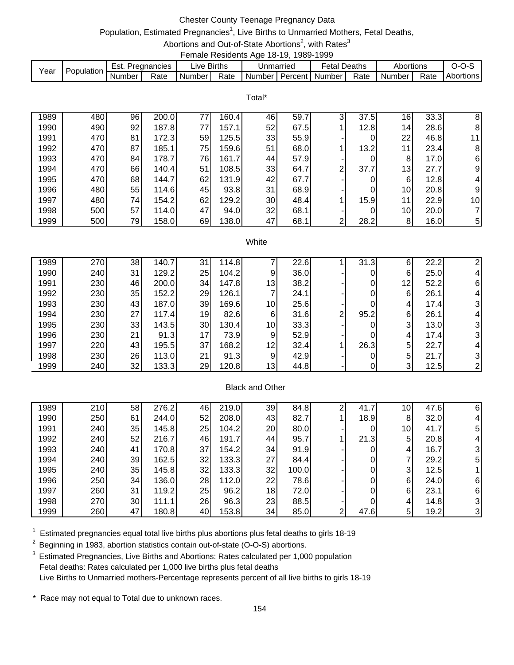## Chester County Teenage Pregnancy Data

# Population, Estimated Pregnancies<sup>1</sup>, Live Births to Unmarried Mothers, Fetal Deaths,

Abortions and Out-of-State Abortions<sup>2</sup>, with Rates<sup>3</sup> Female Residents Age 18-19, 1989-1999

|      |            |        |               |             |      |                             | . |              |      |                     |      |           |
|------|------------|--------|---------------|-------------|------|-----------------------------|---|--------------|------|---------------------|------|-----------|
|      | Population | Est.   | . Pregnancies | ∟ive Births |      | Unmarried                   |   | Fetal Deaths |      | Abortions           |      | $O-O-S$   |
| Year |            | Number | Rate          | Number I    | Rate | I Number I Percent I Number |   |              | Rate | Number <sub>1</sub> | Rate | Abortions |

|      |     |    |       |    |       | Total* |      |              |      |    |      |                |
|------|-----|----|-------|----|-------|--------|------|--------------|------|----|------|----------------|
| 1989 | 480 | 96 | 200.0 | 77 | 160.4 | 46     | 59.7 | $\mathbf{3}$ | 37.5 | 16 | 33.3 | 8              |
| 1990 | 490 | 92 | 187.8 | 77 | 157.1 | 52     | 67.5 |              | 12.8 | 14 | 28.6 | 8              |
| 1991 | 470 | 81 | 172.3 | 59 | 125.5 | 33     | 55.9 |              | 0    | 22 | 46.8 | 11             |
| 1992 | 470 | 87 | 185.1 | 75 | 159.6 | 51     | 68.0 |              | 13.2 | 11 | 23.4 | 8              |
| 1993 | 470 | 84 | 178.7 | 76 | 161.7 | 44     | 57.9 |              |      | 8  | 17.0 | 6              |
| 1994 | 470 | 66 | 140.4 | 51 | 108.5 | 33     | 64.7 | 2            | 37.7 | 13 | 27.7 | 9 <sub>l</sub> |
| 1995 | 470 | 68 | 144.7 | 62 | 131.9 | 42     | 67.7 |              |      | 6  | 12.8 | $\overline{4}$ |
| 1996 | 480 | 55 | 114.6 | 45 | 93.8  | 31     | 68.9 |              | 0    | 10 | 20.8 | 9              |
| 1997 | 480 | 74 | 154.2 | 62 | 129.2 | 30     | 48.4 |              | 15.9 | 11 | 22.9 | 10             |
| 1998 | 500 | 57 | 114.0 | 47 | 94.0  | 32     | 68.1 |              |      | 10 | 20.0 | 71             |
| 1999 | 500 | 79 | 158.0 | 69 | 138.0 | 47     | 68.1 | ⌒<br>ے       | 28.2 | 8  | 16.0 | 5 <sub>l</sub> |

#### White

|                                                                           | 1989 | 270 | 38 | 140.7 | 31              | 114.8 |                        | 22.6 |   | 31.3 | 6  | 22.2                 |                         |
|---------------------------------------------------------------------------|------|-----|----|-------|-----------------|-------|------------------------|------|---|------|----|----------------------|-------------------------|
|                                                                           | 1990 | 240 | 31 | 129.2 | 25              | 104.2 | 9                      | 36.0 |   | 0    | 6  | 25.0                 | 4                       |
|                                                                           | 1991 | 230 | 46 | 200.0 | 34              | 147.8 | 13                     | 38.2 |   | 0    | 12 | 52.2                 | 6                       |
|                                                                           | 1992 | 230 | 35 | 152.2 | 29              | 126.1 |                        | 24.1 |   |      | 6  | 26.1                 | 4                       |
|                                                                           | 1993 | 230 | 43 | 187.0 | 39              | 169.6 | 10                     | 25.6 |   |      | 4  | 17.4                 | $\overline{3}$          |
|                                                                           | 1994 | 230 | 27 | 117.4 | 19 <sub>l</sub> | 82.6  | 6                      | 31.6 | 2 | 95.2 | 6  | 26.1                 | 4                       |
|                                                                           | 1995 | 230 | 33 | 143.5 | 30 <sup>1</sup> | 130.4 | 10 <sup>1</sup>        | 33.3 |   | 0    | 3  | 13.0                 | 3 <sub>l</sub>          |
|                                                                           | 1996 | 230 | 21 | 91.3  | 17              | 73.9  | 9                      | 52.9 |   |      | 4  | 17.4                 | $\overline{\mathbf{3}}$ |
|                                                                           | 1997 | 220 | 43 | 195.5 | 37              | 168.2 | 12                     | 32.4 |   | 26.3 | 5  | 22.7                 | 4                       |
|                                                                           | 1998 | 230 | 26 | 113.0 | 21              | 91.3  | 9                      | 42.9 |   |      | 5  | 21.7                 | 31                      |
| 32<br>1999<br>240<br>29<br>120.8<br>13 <sub>l</sub><br>133.3<br>44.8<br>0 |      |     |    |       |                 |       |                        |      |   |      |    | $\mathbf{3}$<br>12.5 | າ                       |
|                                                                           |      |     |    |       |                 |       |                        |      |   |      |    |                      |                         |
|                                                                           |      |     |    |       |                 |       | <b>Black and Other</b> |      |   |      |    |                      |                         |

#### Black and Other

| 1989 | 210 | 58 | 276.2 | 46 | 219.0 | 39 | 84.8  | ⌒              | 41.7 | 10 <sub>1</sub> | 47.6 | 6              |
|------|-----|----|-------|----|-------|----|-------|----------------|------|-----------------|------|----------------|
| 1990 | 250 | 61 | 244.0 | 52 | 208.0 | 43 | 82.7  |                | 18.9 | 8               | 32.0 |                |
| 1991 | 240 | 35 | 145.8 | 25 | 104.2 | 20 | 80.0  |                | 0    | 10 <sup>1</sup> | 41.7 | 5              |
| 1992 | 240 | 52 | 216.7 | 46 | 191.7 | 44 | 95.7  |                | 21.3 | 5               | 20.8 | 4              |
| 1993 | 240 | 41 | 170.8 | 37 | 154.2 | 34 | 91.9  |                |      | 4               | 16.7 | 31             |
| 1994 | 240 | 39 | 162.5 | 32 | 133.3 | 27 | 84.4  |                | 0    |                 | 29.2 | 51             |
| 1995 | 240 | 35 | 145.8 | 32 | 133.3 | 32 | 100.0 |                |      | 3               | 12.5 |                |
| 1996 | 250 | 34 | 136.0 | 28 | 112.0 | 22 | 78.6  |                |      | 6               | 24.0 | 61             |
| 1997 | 260 | 31 | 119.2 | 25 | 96.2  | 18 | 72.0  |                | 0    | 6               | 23.1 | 6              |
| 1998 | 270 | 30 | 111.1 | 26 | 96.3  | 23 | 88.5  |                | 0    | 4               | 14.8 | 31             |
| 1999 | 260 | 47 | 180.8 | 40 | 153.8 | 34 | 85.0  | $\overline{2}$ | 47.6 | 5               | 19.2 | 3 <sup>l</sup> |

 $1$  Estimated pregnancies equal total live births plus abortions plus fetal deaths to girls 18-19

 $2$  Beginning in 1983, abortion statistics contain out-of-state (O-O-S) abortions.

<sup>3</sup> Estimated Pregnancies, Live Births and Abortions: Rates calculated per 1,000 population Fetal deaths: Rates calculated per 1,000 live births plus fetal deaths Live Births to Unmarried mothers-Percentage represents percent of all live births to girls 18-19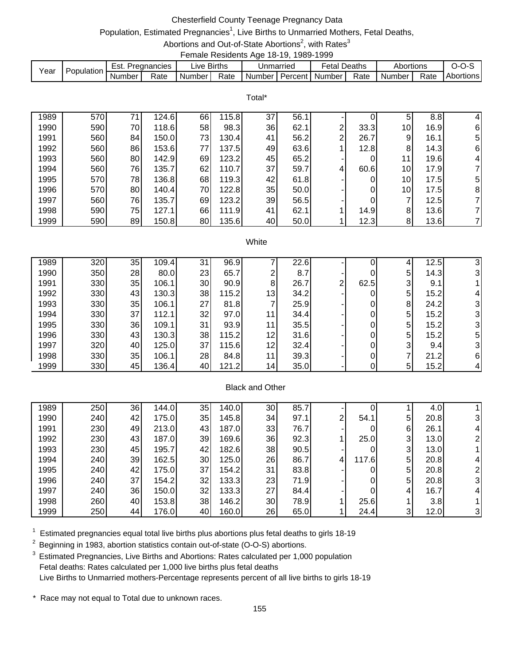## Chesterfield County Teenage Pregnancy Data

# Population, Estimated Pregnancies<sup>1</sup>, Live Births to Unmarried Mothers, Fetal Deaths,

Abortions and Out-of-State Abortions<sup>2</sup>, with Rates<sup>3</sup> Female Residents Age 18-19, 1989-1999

|      |            |        |             |                        | ------------------------ |           |         |                   |        |           |      |           |
|------|------------|--------|-------------|------------------------|--------------------------|-----------|---------|-------------------|--------|-----------|------|-----------|
|      | Population | Est.   | Pregnancies | $\lrcorner$ ive Births |                          | Unmarried |         | <sup>∓</sup> etal | Deaths | Abortions |      |           |
| Year |            | Number | Rate        | Number I               | Rate                     | Number I  | Percent | Number            | Rate   | Number    | Rate | Abortions |

|      |     |    |       |    |       | Total* |      |   |      |    |      |    |
|------|-----|----|-------|----|-------|--------|------|---|------|----|------|----|
| 1989 | 570 | 71 | 124.6 | 66 | 115.8 | 37     | 56.1 |   |      | 5  | 8.8  | 4  |
| 1990 | 590 | 70 | 118.6 | 58 | 98.3  | 36     | 62.1 | ⌒ | 33.3 | 10 | 16.9 | 6  |
| 1991 | 560 | 84 | 150.0 | 73 | 130.4 | 41     | 56.2 | C | 26.7 | 9  | 16.1 | 5  |
| 1992 | 560 | 86 | 153.6 | 77 | 137.5 | 49     | 63.6 |   | 12.8 | 8  | 14.3 | 6  |
| 1993 | 560 | 80 | 142.9 | 69 | 123.2 | 45     | 65.2 |   |      | 11 | 19.6 | 4  |
| 1994 | 560 | 76 | 135.7 | 62 | 110.7 | 37     | 59.7 | 4 | 60.6 | 10 | 17.9 | 71 |
| 1995 | 570 | 78 | 136.8 | 68 | 119.3 | 42     | 61.8 |   |      | 10 | 17.5 | 5  |
| 1996 | 570 | 80 | 140.4 | 70 | 122.8 | 35     | 50.0 |   | 0    | 10 | 17.5 | 8  |
| 1997 | 560 | 76 | 135.7 | 69 | 123.2 | 39     | 56.5 |   |      | ⇁  | 12.5 | 71 |
| 1998 | 590 | 75 | 127.1 | 66 | 111.9 | 41     | 62.1 |   | 14.9 | 8  | 13.6 | 71 |
| 1999 | 590 | 89 | 150.8 | 80 | 135.6 | 40     | 50.0 |   | 12.3 | 8  | 13.6 |    |

#### White

| 1989 | 320 | 35 | 109.4 | 31 | 96.9  |    | 22.6 |                |      |   | 12.5 |   |
|------|-----|----|-------|----|-------|----|------|----------------|------|---|------|---|
| 1990 | 350 | 28 | 80.0  | 23 | 65.7  | ⌒  | 8.7  |                |      | 5 | 14.3 |   |
| 1991 | 330 | 35 | 106.1 | 30 | 90.9  | 8  | 26.7 | 2 <sub>1</sub> | 62.5 | 3 | 9.1  |   |
| 1992 | 330 | 43 | 130.3 | 38 | 115.2 | 13 | 34.2 |                | 0    | 5 | 15.2 |   |
| 1993 | 330 | 35 | 106.1 | 27 | 81.8  | 7  | 25.9 |                | 0    | 8 | 24.2 |   |
| 1994 | 330 | 37 | 112.1 | 32 | 97.0  | 11 | 34.4 |                |      | 5 | 15.2 |   |
| 1995 | 330 | 36 | 109.1 | 31 | 93.9  | 11 | 35.5 |                |      | 5 | 15.2 |   |
| 1996 | 330 | 43 | 130.3 | 38 | 115.2 | 12 | 31.6 |                |      | 5 | 15.2 | 5 |
| 1997 | 320 | 40 | 125.0 | 37 | 115.6 | 12 | 32.4 |                |      | 3 | 9.4  |   |
| 1998 | 330 | 35 | 106.1 | 28 | 84.8  | 11 | 39.3 |                |      |   | 21.2 | 6 |
| 1999 | 330 | 45 | 136.4 | 40 | 121.2 | 14 | 35.0 |                |      | 5 | 15.2 |   |

### Black and Other

| 1989 | 250 | 36 | 144.0 | 35 | 140.0 | 30 | 85.7 |   |       |                | 4.0  |   |
|------|-----|----|-------|----|-------|----|------|---|-------|----------------|------|---|
| 1990 | 240 | 42 | 175.0 | 35 | 145.8 | 34 | 97.1 | ⌒ | 54.1  | 5 <sub>l</sub> | 20.8 |   |
| 1991 | 230 | 49 | 213.0 | 43 | 187.0 | 33 | 76.7 |   | 0     | 6              | 26.1 |   |
| 1992 | 230 | 43 | 187.0 | 39 | 169.6 | 36 | 92.3 |   | 25.0  | 3 <sup>l</sup> | 13.0 |   |
| 1993 | 230 | 45 | 195.7 | 42 | 182.6 | 38 | 90.5 |   | 0     | 3 <sup>l</sup> | 13.0 |   |
| 1994 | 240 | 39 | 162.5 | 30 | 125.0 | 26 | 86.7 | 4 | 117.6 | 5 <sub>l</sub> | 20.8 |   |
| 1995 | 240 | 42 | 175.0 | 37 | 154.2 | 31 | 83.8 |   | 0     | 5 <sup>1</sup> | 20.8 |   |
| 1996 | 240 | 37 | 154.2 | 32 | 133.3 | 23 | 71.9 |   | 0     | 5 <sub>l</sub> | 20.8 | 3 |
| 1997 | 240 | 36 | 150.0 | 32 | 133.3 | 27 | 84.4 |   | 0     | 4              | 16.7 |   |
| 1998 | 260 | 40 | 153.8 | 38 | 146.2 | 30 | 78.9 |   | 25.6  |                | 3.8  |   |
| 1999 | 250 | 44 | 176.0 | 40 | 160.0 | 26 | 65.0 |   | 24.4  | 3              | 12.0 | 3 |

 $1$  Estimated pregnancies equal total live births plus abortions plus fetal deaths to girls 18-19

 $2$  Beginning in 1983, abortion statistics contain out-of-state (O-O-S) abortions.

<sup>3</sup> Estimated Pregnancies, Live Births and Abortions: Rates calculated per 1,000 population Fetal deaths: Rates calculated per 1,000 live births plus fetal deaths Live Births to Unmarried mothers-Percentage represents percent of all live births to girls 18-19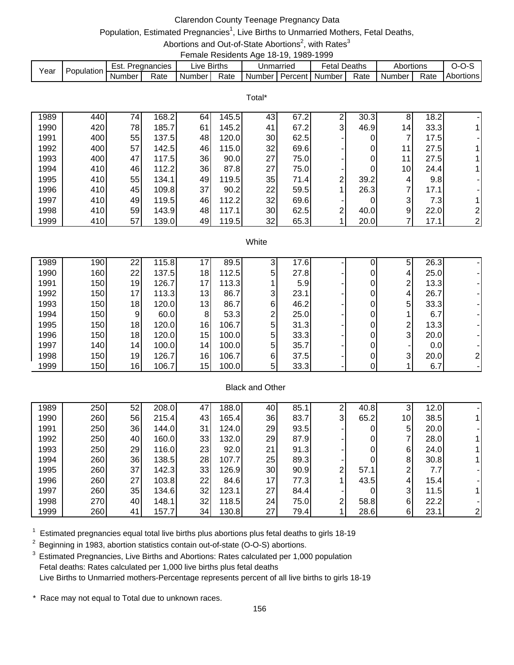## Clarendon County Teenage Pregnancy Data

# Population, Estimated Pregnancies<sup>1</sup>, Live Births to Unmarried Mothers, Fetal Deaths,

Abortions and Out-of-State Abortions<sup>2</sup>, with Rates<sup>3</sup> Female Residents Age 18-19, 1989-1999

| Year | <b>Population</b> | Est.   | . Pregnancies | ive Births. |      |                           | Jnmarried | Fetal Deaths |      | Abortions           |      | ---              |
|------|-------------------|--------|---------------|-------------|------|---------------------------|-----------|--------------|------|---------------------|------|------------------|
|      |                   | Number | Rate          | Number      | Rate | Number   Percent   Number |           |              | Rate | Number <sub>1</sub> | Rate | <b>Abortions</b> |

Total\*

| 1989 | 440 | 74 | 168.2 | 64 | 145.5 | 43 | 67.2 | ົ | 30.3 | 8               | 18.2 |                |
|------|-----|----|-------|----|-------|----|------|---|------|-----------------|------|----------------|
| 1990 | 420 | 78 | 185.7 | 61 | 145.2 | 41 | 67.2 | 3 | 46.9 | 14 <sub>1</sub> | 33.3 |                |
| 1991 | 400 | 55 | 137.5 | 48 | 120.0 | 30 | 62.5 |   |      |                 | 17.5 |                |
| 1992 | 400 | 57 | 142.5 | 46 | 115.0 | 32 | 69.6 |   |      | 11              | 27.5 |                |
| 1993 | 400 | 47 | 117.5 | 36 | 90.0  | 27 | 75.0 |   |      | 11              | 27.5 |                |
| 1994 | 410 | 46 | 112.2 | 36 | 87.8  | 27 | 75.0 |   |      | 10              | 24.4 |                |
| 1995 | 410 | 55 | 134.1 | 49 | 119.5 | 35 | 71.4 | ⌒ | 39.2 | 4               | 9.8  |                |
| 1996 | 410 | 45 | 109.8 | 37 | 90.2  | 22 | 59.5 |   | 26.3 | ⇁               | 17.1 |                |
| 1997 | 410 | 49 | 119.5 | 46 | 112.2 | 32 | 69.6 |   |      | 3               | 7.31 |                |
| 1998 | 410 | 59 | 143.9 | 48 | 117.1 | 30 | 62.5 | ⌒ | 40.0 | 9               | 22.0 | $\overline{2}$ |
| 1999 | 410 | 57 | 139.0 | 49 | 119.5 | 32 | 65.3 |   | 20.0 |                 | 17.1 | $\overline{2}$ |

#### **White**

| 1989 | 190 | 22              | 115.8 | 47 | 89.5  | 3              | 17.6 |   | 5              | 26.3 |  |
|------|-----|-----------------|-------|----|-------|----------------|------|---|----------------|------|--|
| 1990 | 160 | 22              | 137.5 | 18 | 112.5 | 5              | 27.8 | 0 | 4              | 25.0 |  |
| 1991 | 150 | 19              | 126.7 | 17 | 113.3 |                | 5.9  | 0 | 2              | 13.3 |  |
| 1992 | 150 | 17 <sub>l</sub> | 113.3 | 13 | 86.7  | 3              | 23.1 | 0 | 4              | 26.7 |  |
| 1993 | 150 | 18              | 120.0 | 13 | 86.7  | 6              | 46.2 | 0 | 5 <sub>l</sub> | 33.3 |  |
| 1994 | 150 | 9               | 60.0  | 8  | 53.3  | ⌒              | 25.0 | 0 |                | 6.7  |  |
| 1995 | 150 | 18              | 120.0 | 16 | 106.7 | 5 <sup>1</sup> | 31.3 | 0 | ົ              | 13.3 |  |
| 1996 | 150 | 18              | 120.0 | 15 | 100.0 | 5              | 33.3 | 0 | $\overline{3}$ | 20.0 |  |
| 1997 | 140 | 14              | 100.0 | 14 | 100.0 | 5              | 35.7 | 0 |                | 0.0  |  |
| 1998 | 150 | 19              | 126.7 | 16 | 106.7 | 6              | 37.5 | 0 | $\overline{3}$ | 20.0 |  |
| 1999 | 150 | 16              | 106.7 | 15 | 100.0 | 5              | 33.3 |   |                | 6.7  |  |

### Black and Other

| 1989 | 250 | 52 | 208.0 | 47 | 188.0 | 40 | 85.1 | ົ | 40.8 | 3               | 12.0              |  |
|------|-----|----|-------|----|-------|----|------|---|------|-----------------|-------------------|--|
| 1990 | 260 | 56 | 215.4 | 43 | 165.4 | 36 | 83.7 | 3 | 65.2 | 10 <sup>1</sup> | 38.5              |  |
| 1991 | 250 | 36 | 144.0 | 31 | 124.0 | 29 | 93.5 |   |      | 5               | 20.0              |  |
| 1992 | 250 | 40 | 160.0 | 33 | 132.0 | 29 | 87.9 |   | 0    |                 | 28.0              |  |
| 1993 | 250 | 29 | 116.0 | 23 | 92.0  | 21 | 91.3 |   | 0    | 6               | 24.0              |  |
| 1994 | 260 | 36 | 138.5 | 28 | 107.7 | 25 | 89.3 |   |      | 8               | 30.8              |  |
| 1995 | 260 | 37 | 142.3 | 33 | 126.9 | 30 | 90.9 | ⌒ | 57.1 | 2               | 7.7               |  |
| 1996 | 260 | 27 | 103.8 | 22 | 84.6  | 17 | 77.3 |   | 43.5 | 4               | 15.4 <sub>1</sub> |  |
| 1997 | 260 | 35 | 134.6 | 32 | 123.1 | 27 | 84.4 |   |      | 3               | 11.5              |  |
| 1998 | 270 | 40 | 148.1 | 32 | 118.5 | 24 | 75.0 | ⌒ | 58.8 | $6 \mid$        | 22.2              |  |
| 1999 | 260 | 41 | 157.7 | 34 | 130.8 | 27 | 79.4 |   | 28.6 | 6               | 23.1              |  |

 $1$  Estimated pregnancies equal total live births plus abortions plus fetal deaths to girls 18-19

 $2$  Beginning in 1983, abortion statistics contain out-of-state (O-O-S) abortions.

<sup>3</sup> Estimated Pregnancies, Live Births and Abortions: Rates calculated per 1,000 population Fetal deaths: Rates calculated per 1,000 live births plus fetal deaths Live Births to Unmarried mothers-Percentage represents percent of all live births to girls 18-19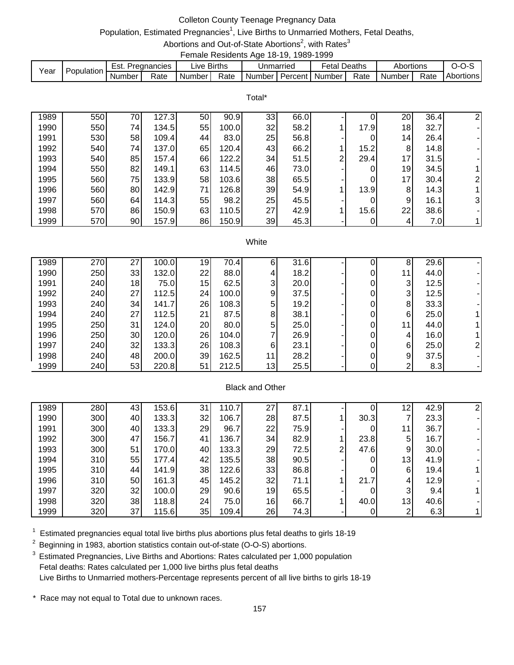## Colleton County Teenage Pregnancy Data

# Population, Estimated Pregnancies<sup>1</sup>, Live Births to Unmarried Mothers, Fetal Deaths,

Abortions and Out-of-State Abortions<sup>2</sup>, with Rates<sup>3</sup> Female Residents Age 18-19, 1989-1999

| Year | Population | Est. .   | Pregnancies | ∟ive Births |      | Unmarried                                                 | <b>Fetal Deaths</b> |      | Abortions |      |                  |
|------|------------|----------|-------------|-------------|------|-----------------------------------------------------------|---------------------|------|-----------|------|------------------|
|      |            | Number I | Rate        | Number      | Rate | <b>I</b> Number <i>I</i> Percent <i>I</i> Number <i>I</i> |                     | Rate | Number I  | Rate | <b>Abortions</b> |

|      |     |    |       |    |       | Total* |      |   |      |    |      |                |
|------|-----|----|-------|----|-------|--------|------|---|------|----|------|----------------|
| 1989 | 550 | 70 | 127.3 | 50 | 90.9  | 33     | 66.0 |   |      | 20 | 36.4 | $\overline{2}$ |
| 1990 | 550 | 74 | 134.5 | 55 | 100.0 | 32     | 58.2 |   | 17.9 | 18 | 32.7 |                |
| 1991 | 530 | 58 | 109.4 | 44 | 83.0  | 25     | 56.8 |   |      | 14 | 26.4 |                |
| 1992 | 540 | 74 | 137.0 | 65 | 120.4 | 43     | 66.2 |   | 15.2 | 8  | 14.8 |                |
| 1993 | 540 | 85 | 157.4 | 66 | 122.2 | 34     | 51.5 | 2 | 29.4 | 17 | 31.5 |                |
| 1994 | 550 | 82 | 149.1 | 63 | 114.5 | 46     | 73.0 |   |      | 19 | 34.5 |                |
| 1995 | 560 | 75 | 133.9 | 58 | 103.6 | 38     | 65.5 |   | 0    | 17 | 30.4 | $\overline{2}$ |
| 1996 | 560 | 80 | 142.9 | 71 | 126.8 | 39     | 54.9 |   | 13.9 | 8  | 14.3 |                |
| 1997 | 560 | 64 | 114.3 | 55 | 98.2  | 25     | 45.5 |   |      | 9  | 16.1 | 3              |
| 1998 | 570 | 86 | 150.9 | 63 | 110.5 | 27     | 42.9 |   | 15.6 | 22 | 38.6 |                |
| 1999 | 570 | 90 | 157.9 | 86 | 150.9 | 39     | 45.3 |   |      | 4  | 7.0  |                |

#### **White**

| 1989 | 270 | 27 | 100.0 | 19 | 70.4  | 6              | 31.6 |  | 8  | 29.6 |  |
|------|-----|----|-------|----|-------|----------------|------|--|----|------|--|
| 1990 | 250 | 33 | 132.0 | 22 | 88.0  | 4              | 18.2 |  | 11 | 44.0 |  |
| 1991 | 240 | 18 | 75.0  | 15 | 62.5  | 3              | 20.0 |  | 3  | 12.5 |  |
| 1992 | 240 | 27 | 112.5 | 24 | 100.0 | 9              | 37.5 |  | 3  | 12.5 |  |
| 1993 | 240 | 34 | 141.7 | 26 | 108.3 | 5 <sup>1</sup> | 19.2 |  | 8  | 33.3 |  |
| 1994 | 240 | 27 | 112.5 | 21 | 87.5  | 8              | 38.1 |  | 6  | 25.0 |  |
| 1995 | 250 | 31 | 124.0 | 20 | 80.0  | 5              | 25.0 |  | 11 | 44.0 |  |
| 1996 | 250 | 30 | 120.0 | 26 | 104.0 | ⇁              | 26.9 |  | 4  | 16.0 |  |
| 1997 | 240 | 32 | 133.3 | 26 | 108.3 | 6              | 23.1 |  | 6  | 25.0 |  |
| 1998 | 240 | 48 | 200.0 | 39 | 162.5 | 11             | 28.2 |  | 9  | 37.5 |  |
| 1999 | 240 | 53 | 220.8 | 51 | 212.5 | 13             | 25.5 |  | ົ  | 8.3  |  |

### Black and Other

| 1989 | 280 | 43 | 153.6 | 31  | 110.7 | 27              | 87.1 |   |      | 12 | 42.9 |  |
|------|-----|----|-------|-----|-------|-----------------|------|---|------|----|------|--|
| 1990 | 300 | 40 | 133.3 | 32  | 106.7 | 28              | 87.5 |   | 30.3 |    | 23.3 |  |
| 1991 | 300 | 40 | 133.3 | 29  | 96.7  | 22              | 75.9 |   | 0    | 11 | 36.7 |  |
| 1992 | 300 | 47 | 156.7 | 41  | 136.7 | 34              | 82.9 |   | 23.8 | 5  | 16.7 |  |
| 1993 | 300 | 51 | 170.0 | 40  | 133.3 | 29              | 72.5 | 2 | 47.6 | 9  | 30.0 |  |
| 1994 | 310 | 55 | 177.4 | 42  | 135.5 | 38              | 90.5 |   | 0    | 13 | 41.9 |  |
| 1995 | 310 | 44 | 141.9 | 38  | 122.6 | 33              | 86.8 |   | 0    | 6  | 19.4 |  |
| 1996 | 310 | 50 | 161.3 | 45  | 145.2 | 32              | 71.1 |   | 21.7 | 4  | 12.9 |  |
| 1997 | 320 | 32 | 100.0 | 29  | 90.6  | 19              | 65.5 |   | 0    | 3  | 9.4  |  |
| 1998 | 320 | 38 | 118.8 | 24I | 75.0  | 16 <sub>l</sub> | 66.7 |   | 40.0 | 13 | 40.6 |  |
| 1999 | 320 | 37 | 115.6 | 35  | 109.4 | 26              | 74.3 |   |      | ⌒  | 6.3  |  |

 $1$  Estimated pregnancies equal total live births plus abortions plus fetal deaths to girls 18-19

 $2$  Beginning in 1983, abortion statistics contain out-of-state (O-O-S) abortions.

<sup>3</sup> Estimated Pregnancies, Live Births and Abortions: Rates calculated per 1,000 population Fetal deaths: Rates calculated per 1,000 live births plus fetal deaths Live Births to Unmarried mothers-Percentage represents percent of all live births to girls 18-19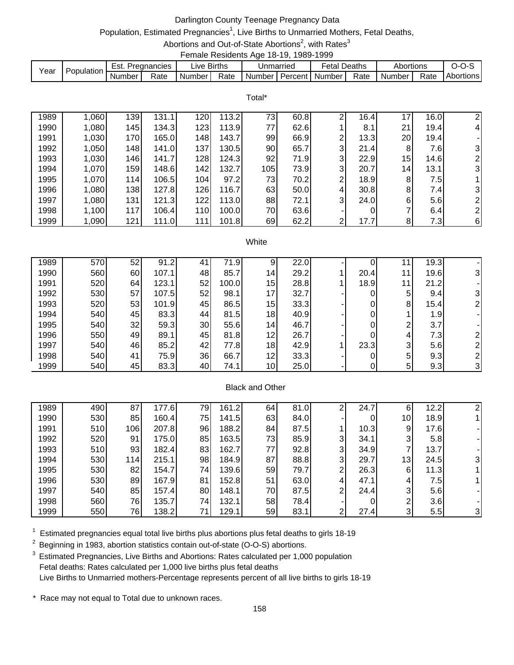## Darlington County Teenage Pregnancy Data

# Population, Estimated Pregnancies<sup>1</sup>, Live Births to Unmarried Mothers, Fetal Deaths,

Abortions and Out-of-State Abortions<sup>2</sup>, with Rates<sup>3</sup> Female Residents Age 18-19, 1989-1999

| Year | Population. | Est.   | Pregnancies | uve I  | <b>Births</b> | Unmarried | <sup>⊧</sup> etal     | Deaths | Abortions |      | . .       |
|------|-------------|--------|-------------|--------|---------------|-----------|-----------------------|--------|-----------|------|-----------|
|      |             | Number | Rate        | Number | Rate          | Number I  | <b>Percent Number</b> | Rate   | Number    | Rate | Abortions |

Total\*

| 1989 | 1,060 | 139 | 131.11 | 1201             | 113.2 | 73  | 60.8 | ⌒              | 16.4 | 17              | 16.0 | 2              |
|------|-------|-----|--------|------------------|-------|-----|------|----------------|------|-----------------|------|----------------|
| 1990 | 1,080 | 145 | 134.3  | 123 <sub>l</sub> | 113.9 | 77  | 62.6 |                | 8.1  | 21              | 19.4 | $\overline{4}$ |
| 1991 | 1,030 | 170 | 165.0  | 148              | 143.7 | 99  | 66.9 | $\overline{2}$ | 13.3 | 20              | 19.4 |                |
| 1992 | 1,050 | 148 | 141.0  | 1371             | 130.5 | 90  | 65.7 | 3 <sup>l</sup> | 21.4 | 8               | 7.6I | $\mathbf{3}$   |
| 1993 | 1,030 | 146 | 141.7  | 128 <sub>l</sub> | 124.3 | 92  | 71.9 | 3I             | 22.9 | 15              | 14.6 | $\overline{2}$ |
| 1994 | 1,070 | 159 | 148.6  | 142              | 132.7 | 105 | 73.9 | 3I             | 20.7 | 14 <sub>1</sub> | 13.1 | 3              |
| 1995 | 1,070 | 114 | 106.5  | 104              | 97.2  | 73  | 70.2 | 2              | 18.9 | 8               | 7.51 |                |
| 1996 | 1,080 | 138 | 127.8  | 126              | 116.7 | 63  | 50.0 | $\overline{4}$ | 30.8 | 8               | 7.41 | $\mathbf{3}$   |
| 1997 | 1,080 | 131 | 121.3  | $1221$           | 113.0 | 88  | 72.1 | 3I             | 24.0 | 6               | 5.6  | $\overline{2}$ |
| 1998 | 1,100 | 117 | 106.4  | 110 <sub>l</sub> | 100.0 | 70  | 63.6 | ۰.             |      | ⇁               | 6.4  | $\overline{2}$ |
| 1999 | 1,090 | 121 | 111.0  | 111l             | 101.8 | 69  | 62.2 | 2 <sub>1</sub> | 17.7 | 8               | 7.31 | 6              |

#### **White**

| 1989 | 570 | 52              | 91.2  | 41 | 71.9  | 9               | 22.0 |      |    | 19.3 |  |
|------|-----|-----------------|-------|----|-------|-----------------|------|------|----|------|--|
| 1990 | 560 | 60              | 107.1 | 48 | 85.7  | 14              | 29.2 | 20.4 | 11 | 19.6 |  |
| 1991 | 520 | 64              | 123.1 | 52 | 100.0 | 15              | 28.8 | 18.9 | 11 | 21.2 |  |
| 1992 | 530 | 57              | 107.5 | 52 | 98.1  | 17              | 32.7 |      | 5  | 9.4  |  |
| 1993 | 520 | 53              | 101.9 | 45 | 86.5  | 15              | 33.3 | 0    | 8  | 15.4 |  |
| 1994 | 540 | 45              | 83.3  | 44 | 81.5  | 18              | 40.9 |      |    | 1.9  |  |
| 1995 | 540 | 32 <sub>2</sub> | 59.3  | 30 | 55.6  | 14              | 46.7 |      | ົ  | 3.7  |  |
| 1996 | 550 | 49              | 89.1  | 45 | 81.8  | 12              | 26.7 |      | 4  | 7.3  |  |
| 1997 | 540 | 46              | 85.2  | 42 | 77.8  | 18              | 42.9 | 23.3 | 3  | 5.6  |  |
| 1998 | 540 | 41              | 75.9  | 36 | 66.7  | 12 <sub>1</sub> | 33.3 |      | 5  | 9.3  |  |
| 1999 | 540 | 45              | 83.3  | 40 | 74.1  | 10 <sub>l</sub> | 25.0 |      | 5  | 9.3  |  |

### Black and Other

| 1989 | 490 | 87  | 177.6 | 79 | 161.2 | 64 | 81.0 |              | 24.7 | 6               | 12.2 |    |
|------|-----|-----|-------|----|-------|----|------|--------------|------|-----------------|------|----|
| 1990 | 530 | 85  | 160.4 | 75 | 141.5 | 63 | 84.0 |              | 0    | 10 <sub>l</sub> | 18.9 |    |
| 1991 | 510 | 106 | 207.8 | 96 | 188.2 | 84 | 87.5 |              | 10.3 | 9               | 17.6 |    |
| 1992 | 520 | 91  | 175.0 | 85 | 163.5 | 73 | 85.9 | $\mathbf{3}$ | 34.1 | 3               | 5.8  |    |
| 1993 | 510 | 93  | 182.4 | 83 | 162.7 | 77 | 92.8 | 3            | 34.9 |                 | 13.7 |    |
| 1994 | 530 | 114 | 215.1 | 98 | 184.9 | 87 | 88.8 | 3            | 29.7 | 13              | 24.5 | 31 |
| 1995 | 530 | 82  | 154.7 | 74 | 139.6 | 59 | 79.7 | C            | 26.3 | 6               | 11.3 |    |
| 1996 | 530 | 89  | 167.9 | 81 | 152.8 | 51 | 63.0 | 4            | 47.1 | 4               | 7.5  |    |
| 1997 | 540 | 85  | 157.4 | 80 | 148.1 | 70 | 87.5 | 2            | 24.4 | 3               | 5.6  |    |
| 1998 | 560 | 76  | 135.7 | 74 | 132.1 | 58 | 78.4 |              | 0    | ົ               | 3.6  |    |
| 1999 | 550 | 76  | 138.2 | 71 | 129.1 | 59 | 83.1 | ⌒            | 27.4 | 3               | 5.5  | 3  |

 $1$  Estimated pregnancies equal total live births plus abortions plus fetal deaths to girls 18-19

 $2$  Beginning in 1983, abortion statistics contain out-of-state (O-O-S) abortions.

<sup>3</sup> Estimated Pregnancies, Live Births and Abortions: Rates calculated per 1,000 population Fetal deaths: Rates calculated per 1,000 live births plus fetal deaths Live Births to Unmarried mothers-Percentage represents percent of all live births to girls 18-19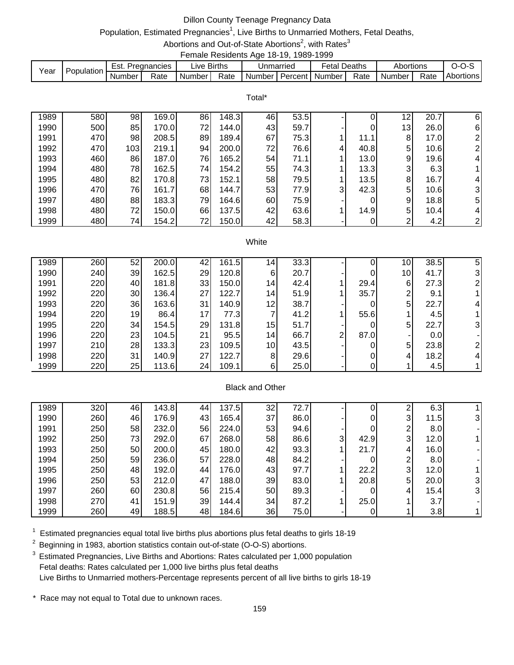# Dillon County Teenage Pregnancy Data

# Population, Estimated Pregnancies<sup>1</sup>, Live Births to Unmarried Mothers, Fetal Deaths,

Abortions and Out-of-State Abortions<sup>2</sup>, with Rates<sup>3</sup> Female Residents Age 18-19, 1989-1999

| Year | Population | Est.   | Pregnancies | ive Births. |      | Unmarried |           | ∹etal  | Deaths | Abortions |      |           |
|------|------------|--------|-------------|-------------|------|-----------|-----------|--------|--------|-----------|------|-----------|
|      |            | Number | Rate        | Number      | Rate | Numberl   | Percent I | Number | Rate   | Number    | Rate | Abortions |

|      |     |     |       |    |       | Total* |      |   |      |    |      |                |
|------|-----|-----|-------|----|-------|--------|------|---|------|----|------|----------------|
| 1989 | 580 | 98  | 169.0 | 86 | 148.3 | 46     | 53.5 |   | 0    | 12 | 20.7 | 6              |
| 1990 | 500 | 85  | 170.0 | 72 | 144.0 | 43     | 59.7 |   | 0    | 13 | 26.0 | 6              |
| 1991 | 470 | 98  | 208.5 | 89 | 189.4 | 67     | 75.3 |   | 11.1 | 8  | 17.0 | 2              |
| 1992 | 470 | 103 | 219.1 | 94 | 200.0 | 72     | 76.6 | 4 | 40.8 | 5  | 10.6 | $\overline{2}$ |
| 1993 | 460 | 86  | 187.0 | 76 | 165.2 | 54 I   | 71.1 |   | 13.0 | 9  | 19.6 | 4              |
| 1994 | 480 | 78  | 162.5 | 74 | 154.2 | 55     | 74.3 |   | 13.3 | 3  | 6.3  |                |
| 1995 | 480 | 82  | 170.8 | 73 | 152.1 | 58     | 79.5 |   | 13.5 | 8  | 16.7 | $\overline{4}$ |
| 1996 | 470 | 76  | 161.7 | 68 | 144.7 | 53     | 77.9 | 3 | 42.3 | 5  | 10.6 | 3              |
| 1997 | 480 | 88  | 183.3 | 79 | 164.6 | 60     | 75.9 |   | 0    | 9  | 18.8 | 5              |
| 1998 | 480 | 72  | 150.0 | 66 | 137.5 | 42     | 63.6 |   | 14.9 | 5  | 10.4 | 4              |
| 1999 | 480 | 74  | 154.2 | 72 | 150.0 | 42     | 58.3 |   | 0    | ⌒  | 4.2  | $\overline{2}$ |

#### **White**

| 1989 | 260 | 52 | 200.0 | 42 | 161.5 | 14.             | 33.3 |                |      | 10 <sup>1</sup> | 38.5 | 5 |
|------|-----|----|-------|----|-------|-----------------|------|----------------|------|-----------------|------|---|
| 1990 | 240 | 39 | 162.5 | 29 | 120.8 | 6               | 20.7 |                | 0    | 10 <sub>l</sub> | 41.7 |   |
| 1991 | 220 | 40 | 181.8 | 33 | 150.0 | 14              | 42.4 |                | 29.4 | 6               | 27.3 |   |
| 1992 | 220 | 30 | 136.4 | 27 | 122.7 | 14              | 51.9 |                | 35.7 | ⌒               | 9.1  |   |
| 1993 | 220 | 36 | 163.6 | 31 | 140.9 | 12              | 38.7 |                | 0    | 5               | 22.7 |   |
| 1994 | 220 | 19 | 86.4  | 17 | 77.3  | 7               | 41.2 |                | 55.6 |                 | 4.5  |   |
| 1995 | 220 | 34 | 154.5 | 29 | 131.8 | 15 <sub>l</sub> | 51.7 |                | 0    | 5               | 22.7 |   |
| 1996 | 220 | 23 | 104.5 | 21 | 95.5  | 14              | 66.7 | 2 <sub>1</sub> | 87.0 |                 | 0.0  |   |
| 1997 | 210 | 28 | 133.3 | 23 | 109.5 | 10 <sup>1</sup> | 43.5 |                | 0    | 5 <sup>1</sup>  | 23.8 |   |
| 1998 | 220 | 31 | 140.9 | 27 | 122.7 | 8               | 29.6 |                | 0    | 4               | 18.2 |   |
| 1999 | 220 | 25 | 113.6 | 24 | 109.1 | 6               | 25.0 |                |      |                 | 4.5  |   |

### Black and Other

| 1989 | 320 | 46 | 143.8 | 44 | 137.5 | 32 | 72.7 |   |      | ົ | 6.3  |    |
|------|-----|----|-------|----|-------|----|------|---|------|---|------|----|
| 1990 | 260 | 46 | 176.9 | 43 | 165.4 | 37 | 86.0 |   | 0    | 3 | 11.5 | 31 |
| 1991 | 250 | 58 | 232.0 | 56 | 224.0 | 53 | 94.6 |   | 0    | ⌒ | 8.0  |    |
| 1992 | 250 | 73 | 292.0 | 67 | 268.0 | 58 | 86.6 | 3 | 42.9 | 3 | 12.0 |    |
| 1993 | 250 | 50 | 200.0 | 45 | 180.0 | 42 | 93.3 |   | 21.7 | 4 | 16.0 |    |
| 1994 | 250 | 59 | 236.0 | 57 | 228.0 | 48 | 84.2 |   |      | ⌒ | 8.0  |    |
| 1995 | 250 | 48 | 192.0 | 44 | 176.0 | 43 | 97.7 |   | 22.2 | 3 | 12.0 |    |
| 1996 | 250 | 53 | 212.0 | 47 | 188.0 | 39 | 83.0 |   | 20.8 | 5 | 20.0 | 31 |
| 1997 | 260 | 60 | 230.8 | 56 | 215.4 | 50 | 89.3 |   | 0    | 4 | 15.4 | 31 |
| 1998 | 270 | 41 | 151.9 | 39 | 144.4 | 34 | 87.2 |   | 25.0 |   | 3.7  |    |
| 1999 | 260 | 49 | 188.5 | 48 | 184.6 | 36 | 75.0 |   | 0    |   | 3.8  |    |

 $1$  Estimated pregnancies equal total live births plus abortions plus fetal deaths to girls 18-19

 $2$  Beginning in 1983, abortion statistics contain out-of-state (O-O-S) abortions.

<sup>3</sup> Estimated Pregnancies, Live Births and Abortions: Rates calculated per 1,000 population Fetal deaths: Rates calculated per 1,000 live births plus fetal deaths Live Births to Unmarried mothers-Percentage represents percent of all live births to girls 18-19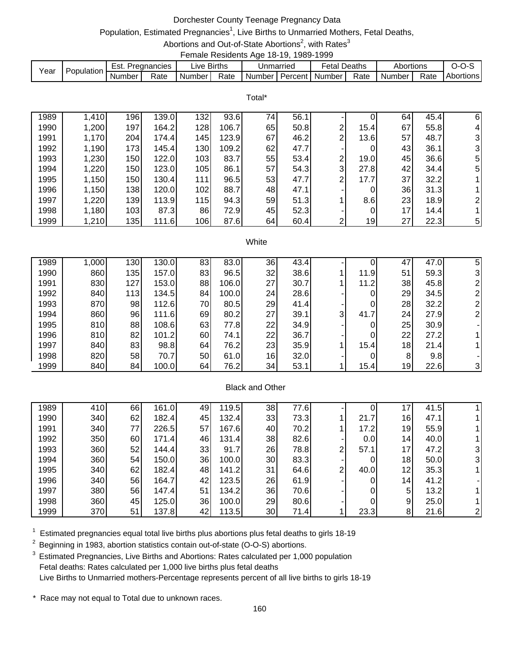## Dorchester County Teenage Pregnancy Data

# Population, Estimated Pregnancies<sup>1</sup>, Live Births to Unmarried Mothers, Fetal Deaths,

Abortions and Out-of-State Abortions<sup>2</sup>, with Rates<sup>3</sup> Female Residents Age 18-19, 1989-1999

|           |             |        |                    |             | -------------------------- |           |                |                     |      |           |      |           |
|-----------|-------------|--------|--------------------|-------------|----------------------------|-----------|----------------|---------------------|------|-----------|------|-----------|
| $v_{ear}$ | Population. | Est.   | <b>Pregnancies</b> | ∟ive Births |                            | Unmarried |                | <b>Fetal Deaths</b> |      | Abortions |      | ,         |
|           |             | Number | Rate               | Number      | Rate                       | Number I  | <b>Percent</b> | Number              | Rate | Number    | Rate | Abortions |

Total\*

| 1989 | 1,410 | 196        | 139.0 | 132 <sub>1</sub> | 93.6  | 74 | 56.1 |   |      | 64 | 45.4 | 6              |
|------|-------|------------|-------|------------------|-------|----|------|---|------|----|------|----------------|
| 1990 | 1,200 | 197        | 164.2 | 128              | 106.7 | 65 | 50.8 | 2 | 15.4 | 67 | 55.8 | $\overline{4}$ |
| 1991 | 1,170 | <b>204</b> | 174.4 | 145              | 123.9 | 67 | 46.2 | ⌒ | 13.6 | 57 | 48.7 | $\mathbf{3}$   |
| 1992 | 1,190 | 173        | 145.4 | 130 <sub>l</sub> | 109.2 | 62 | 47.7 |   |      | 43 | 36.1 | $\mathbf{3}$   |
| 1993 | 1,230 | 150        | 122.0 | 103              | 83.7  | 55 | 53.4 | 2 | 19.0 | 45 | 36.6 | 5              |
| 1994 | 1,220 | 150        | 123.0 | 105              | 86.1  | 57 | 54.3 | 3 | 27.8 | 42 | 34.4 | 5              |
| 1995 | 1,150 | 150        | 130.4 | 111              | 96.5  | 53 | 47.7 | ⌒ | 17.7 | 37 | 32.2 |                |
| 1996 | 1,150 | 138        | 120.0 | 102              | 88.7  | 48 | 47.1 |   |      | 36 | 31.3 |                |
| 1997 | 1,220 | 139        | 113.9 | 115              | 94.3  | 59 | 51.3 |   | 8.6  | 23 | 18.9 | $\overline{2}$ |
| 1998 | 1,180 | 103        | 87.3  | 86               | 72.9  | 45 | 52.3 |   |      | 17 | 14.4 |                |
| 1999 | 1,210 | 135        | 111.6 | 106              | 87.6  | 64 | 60.4 | ົ | 19   | 27 | 22.3 | 5 <sub>l</sub> |

#### White

| 1989 | 1,000 | 130 | 130.0 | 83 | 83.0  | 36 | 43.4 |                | 0    | 47 | 47.0 | 5 |
|------|-------|-----|-------|----|-------|----|------|----------------|------|----|------|---|
| 1990 | 860   | 135 | 157.0 | 83 | 96.5  | 32 | 38.6 |                | 11.9 | 51 | 59.3 | 3 |
| 1991 | 830   | 127 | 153.0 | 88 | 106.0 | 27 | 30.7 |                | 11.2 | 38 | 45.8 |   |
| 1992 | 840   | 113 | 134.5 | 84 | 100.0 | 24 | 28.6 |                | 0    | 29 | 34.5 |   |
| 1993 | 870   | 98  | 112.6 | 70 | 80.5  | 29 | 41.4 |                | 0    | 28 | 32.2 |   |
| 1994 | 860   | 96  | 111.6 | 69 | 80.2  | 27 | 39.1 | $\overline{3}$ | 41.7 | 24 | 27.9 | ⌒ |
| 1995 | 810   | 88  | 108.6 | 63 | 77.8  | 22 | 34.9 |                | 0    | 25 | 30.9 |   |
| 1996 | 810   | 82  | 101.2 | 60 | 74.1  | 22 | 36.7 |                | 0    | 22 | 27.2 |   |
| 1997 | 840   | 83  | 98.8  | 64 | 76.2  | 23 | 35.9 |                | 15.4 | 18 | 21.4 |   |
| 1998 | 820   | 58  | 70.7  | 50 | 61.0  | 16 | 32.0 |                | 0    | 8  | 9.8  |   |
| 1999 | 840   | 84  | 100.0 | 64 | 76.2  | 34 | 53.1 |                | 15.4 | 19 | 22.6 | 3 |
|      |       |     |       |    |       |    |      |                |      |    |      |   |

## Black and Other

| 1989 | 410 | 66 | 161.0 | 49 | 119.5 | 38 | 77.6 |   |                  | 17              | 41.5 |                |
|------|-----|----|-------|----|-------|----|------|---|------------------|-----------------|------|----------------|
| 1990 | 340 | 62 | 182.4 | 45 | 132.4 | 33 | 73.3 |   | 21.7             | 16              | 47.1 |                |
| 1991 | 340 | 77 | 226.5 | 57 | 167.6 | 40 | 70.2 |   | 17.2             | 19              | 55.9 |                |
| 1992 | 350 | 60 | 171.4 | 46 | 131.4 | 38 | 82.6 |   | 0.0 <sub>1</sub> | 14 <sub>1</sub> | 40.0 |                |
| 1993 | 360 | 52 | 144.4 | 33 | 91.7  | 26 | 78.8 | ◠ | 57.1             | 17              | 47.2 | 31             |
| 1994 | 360 | 54 | 150.0 | 36 | 100.0 | 30 | 83.3 |   |                  | 18              | 50.0 | 31             |
| 1995 | 340 | 62 | 182.4 | 48 | 141.2 | 31 | 64.6 | ◠ | 40.0             | 12              | 35.3 |                |
| 1996 | 340 | 56 | 164.7 | 42 | 123.5 | 26 | 61.9 |   |                  | 14 <sub>1</sub> | 41.2 |                |
| 1997 | 380 | 56 | 147.4 | 51 | 134.2 | 36 | 70.6 |   |                  | 5               | 13.2 |                |
| 1998 | 360 | 45 | 125.0 | 36 | 100.0 | 29 | 80.6 |   |                  | 9               | 25.0 |                |
| 1999 | 370 | 51 | 137.8 | 42 | 113.5 | 30 | 71.4 |   | 23.3             | 8               | 21.6 | $\overline{2}$ |

 $1$  Estimated pregnancies equal total live births plus abortions plus fetal deaths to girls 18-19

 $2$  Beginning in 1983, abortion statistics contain out-of-state (O-O-S) abortions.

<sup>3</sup> Estimated Pregnancies, Live Births and Abortions: Rates calculated per 1,000 population Fetal deaths: Rates calculated per 1,000 live births plus fetal deaths Live Births to Unmarried mothers-Percentage represents percent of all live births to girls 18-19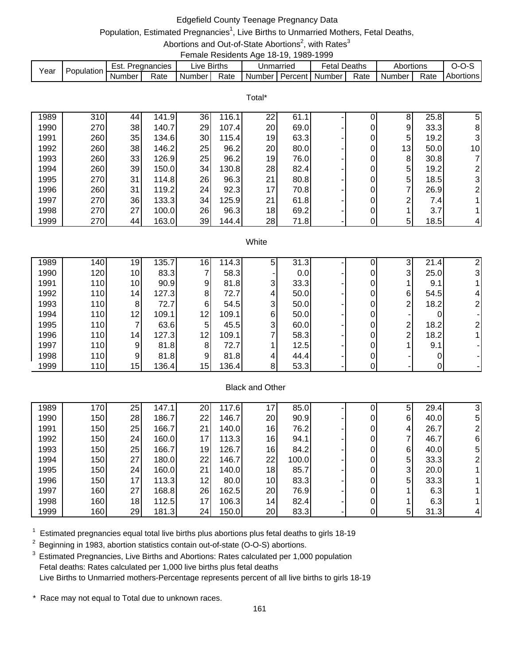# Edgefield County Teenage Pregnancy Data

# Population, Estimated Pregnancies<sup>1</sup>, Live Births to Unmarried Mothers, Fetal Deaths,

#### Abortions and Out-of-State Abortions<sup>2</sup>, with Rates<sup>3</sup> Female Residents Age 18-19, 1989-1999

|      |            |        |                  |             | bindio i tooldonto i igo i o i of i ooo i ooo |           |                     |           |                                                              |
|------|------------|--------|------------------|-------------|-----------------------------------------------|-----------|---------------------|-----------|--------------------------------------------------------------|
| Year | Population |        | Est. Pregnancies | Live Births |                                               | Unmarried | <b>Fetal Deaths</b> | Abortions | $O-O-S$                                                      |
|      |            | Number | Rate             |             |                                               |           |                     |           | Number Rate Number Percent Number Rate Number Rate Abortions |

|      |     |    |       |    |       | Total* |      |   |    |      |                         |
|------|-----|----|-------|----|-------|--------|------|---|----|------|-------------------------|
| 1989 | 310 | 44 | 141.9 | 36 | 116.1 | 22     | 61.1 |   | 8  | 25.8 | 5                       |
| 1990 | 270 | 38 | 140.7 | 29 | 107.4 | 20     | 69.0 |   | 9  | 33.3 | 81                      |
| 1991 | 260 | 35 | 134.6 | 30 | 115.4 | 19     | 63.3 |   | 5  | 19.2 | $\overline{\mathbf{3}}$ |
| 1992 | 260 | 38 | 146.2 | 25 | 96.2  | 20     | 80.0 | 0 | 13 | 50.0 | 10 <sup>1</sup>         |
| 1993 | 260 | 33 | 126.9 | 25 | 96.2  | 19     | 76.0 |   | 8  | 30.8 |                         |
| 1994 | 260 | 39 | 150.0 | 34 | 130.8 | 28     | 82.4 |   | 5  | 19.2 | $\overline{2}$          |
| 1995 | 270 | 31 | 114.8 | 26 | 96.3  | 21     | 80.8 | 0 | 5  | 18.5 | $\overline{\mathbf{3}}$ |
| 1996 | 260 | 31 | 119.2 | 24 | 92.3  | 17     | 70.8 | 0 | ⇁  | 26.9 | $\overline{2}$          |
| 1997 | 270 | 36 | 133.3 | 34 | 125.9 | 21     | 61.8 | 0 | ⌒  | 7.4  |                         |
| 1998 | 270 | 27 | 100.0 | 26 | 96.3  | 18     | 69.2 |   |    | 3.7  |                         |
| 1999 | 270 | 44 | 163.0 | 39 | 144.4 | 28     | 71.8 |   | 5  | 18.5 | 4                       |

#### **White**

| 1989 | 140 | 19              | 135.7 | 16              | 114.3 | 5              | 31.3 |  | 3              | 21.4 |  |
|------|-----|-----------------|-------|-----------------|-------|----------------|------|--|----------------|------|--|
| 1990 | 120 | 10 <sup>1</sup> | 83.3  |                 | 58.3  |                | 0.0  |  | 3 <sub>l</sub> | 25.0 |  |
| 1991 | 110 | 10 <sub>1</sub> | 90.9  | 9               | 81.8  | 3              | 33.3 |  |                | 9.1  |  |
| 1992 | 110 | 14              | 127.3 | 8               | 72.7  | 4              | 50.0 |  | 6              | 54.5 |  |
| 1993 | 110 | 81              | 72.7  | 61              | 54.5  | 3              | 50.0 |  | ົ              | 18.2 |  |
| 1994 | 110 | 12              | 109.1 | 12 <sub>1</sub> | 109.1 | 6              | 50.0 |  |                |      |  |
| 1995 | 110 |                 | 63.6  | 5               | 45.5  | 3              | 60.0 |  | ົ              | 18.2 |  |
| 1996 | 110 | 14              | 127.3 | 12 <sub>1</sub> | 109.1 | ⇁              | 58.3 |  | ົ              | 18.2 |  |
| 1997 | 110 | $\overline{9}$  | 81.8  | 8               | 72.7  |                | 12.5 |  |                | 9.1  |  |
| 1998 | 110 | 9               | 81.8  | 9               | 81.8  | 4              | 44.4 |  |                |      |  |
| 1999 | 110 | 15              | 136.4 | 15              | 136.4 | 8 <sup>1</sup> | 53.3 |  |                |      |  |

### Black and Other

| 1989 | 170 | 25 | 147.1 | 20 | 117.6 | 17              | 85.0  |  | 5 | 29.4 | 3              |
|------|-----|----|-------|----|-------|-----------------|-------|--|---|------|----------------|
| 1990 | 150 | 28 | 186.7 | 22 | 146.7 | 20              | 90.9  |  | 6 | 40.0 | 5              |
| 1991 | 150 | 25 | 166.7 | 21 | 140.0 | 16              | 76.2  |  | 4 | 26.7 | $\overline{2}$ |
| 1992 | 150 | 24 | 160.0 | 17 | 113.3 | 16              | 94.1  |  |   | 46.7 | 6              |
| 1993 | 150 | 25 | 166.7 | 19 | 126.7 | 16              | 84.2  |  | 6 | 40.0 | 5              |
| 1994 | 150 | 27 | 180.0 | 22 | 146.7 | 22              | 100.0 |  | 5 | 33.3 | $\overline{2}$ |
| 1995 | 150 | 24 | 160.0 | 21 | 140.0 | 18              | 85.7  |  | 3 | 20.0 |                |
| 1996 | 150 | 17 | 113.3 | 12 | 80.0  | 10 <sub>l</sub> | 83.3  |  | 5 | 33.3 |                |
| 1997 | 160 | 27 | 168.8 | 26 | 162.5 | 20              | 76.9  |  |   | 6.3  |                |
| 1998 | 160 | 18 | 112.5 | 17 | 106.3 | 14 <sub>1</sub> | 82.4  |  |   | 6.3  |                |
| 1999 | 160 | 29 | 181.3 | 24 | 150.0 | 20              | 83.3  |  | 5 | 31.3 | 41             |

 $1$  Estimated pregnancies equal total live births plus abortions plus fetal deaths to girls 18-19

 $2$  Beginning in 1983, abortion statistics contain out-of-state (O-O-S) abortions.

<sup>3</sup> Estimated Pregnancies, Live Births and Abortions: Rates calculated per 1,000 population Fetal deaths: Rates calculated per 1,000 live births plus fetal deaths Live Births to Unmarried mothers-Percentage represents percent of all live births to girls 18-19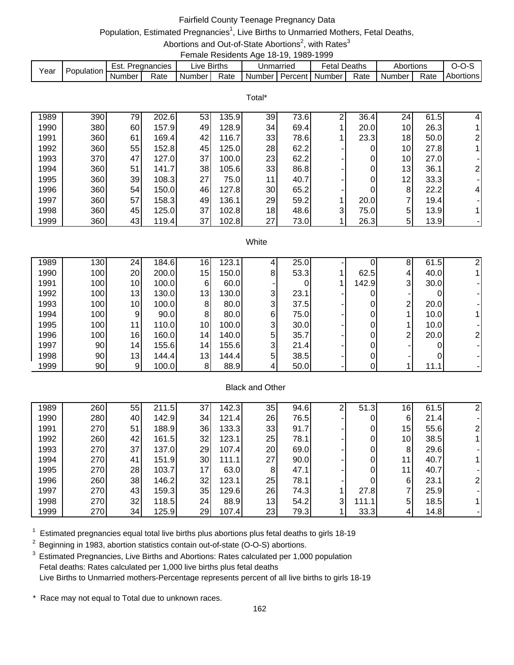## Fairfield County Teenage Pregnancy Data

# Population, Estimated Pregnancies<sup>1</sup>, Live Births to Unmarried Mothers, Fetal Deaths,

Abortions and Out-of-State Abortions<sup>2</sup>, with Rates<sup>3</sup> Female Residents Age 18-19, 1989-1999

|      |            |        |               |             |      |                             | . |              |      |                     |      |           |
|------|------------|--------|---------------|-------------|------|-----------------------------|---|--------------|------|---------------------|------|-----------|
| Year | Population | Est.   | . Pregnancies | ∟ive Births |      | Unmarried                   |   | Fetal Deaths |      | Abortions           |      | $O-O-S$   |
|      |            | Number | Rate          | Number I    | Rate | I Number I Percent I Number |   |              | Rate | Number <sub>1</sub> | Rate | Abortions |

Total\*

| 1989 | 390 | 79  | 202.6 | 53  | 135.9 | 39 | 73.6 | ⌒              | 36.4 | 24 | 61.5 | 4              |
|------|-----|-----|-------|-----|-------|----|------|----------------|------|----|------|----------------|
| 1990 | 380 | 60  | 157.9 | 491 | 128.9 | 34 | 69.4 |                | 20.0 | 10 | 26.3 |                |
| 1991 | 360 | 61  | 169.4 | 42  | 116.7 | 33 | 78.6 |                | 23.3 | 18 | 50.0 | 2 <sub>1</sub> |
| 1992 | 360 | 55  | 152.8 | 45  | 125.0 | 28 | 62.2 |                |      | 10 | 27.8 |                |
| 1993 | 370 | 47  | 127.0 | 37  | 100.0 | 23 | 62.2 |                | 0    | 10 | 27.0 |                |
| 1994 | 360 | 51  | 141.7 | 38  | 105.6 | 33 | 86.8 |                | 0    | 13 | 36.1 | $\overline{2}$ |
| 1995 | 360 | 39  | 108.3 | 27  | 75.0  | 11 | 40.7 |                | 0    | 12 | 33.3 |                |
| 1996 | 360 | 54I | 150.0 | 46  | 127.8 | 30 | 65.2 |                |      | 8  | 22.2 | $\overline{4}$ |
| 1997 | 360 | 57  | 158.3 | 49  | 136.1 | 29 | 59.2 |                | 20.0 |    | 19.4 |                |
| 1998 | 360 | 45  | 125.0 | 37  | 102.8 | 18 | 48.6 | 3 <sub>l</sub> | 75.0 | 5  | 13.9 |                |
| 1999 | 360 | 43  | 119.4 | 37  | 102.8 | 27 | 73.0 |                | 26.3 | 5  | 13.9 |                |

#### **White**

| 1989 | 130 | 24              | 184.6 | 16 | 123.1 |   | 25.0 |       | 8              | 61.5 |  |
|------|-----|-----------------|-------|----|-------|---|------|-------|----------------|------|--|
| 1990 | 100 | 20 <sup>1</sup> | 200.0 | 15 | 150.0 | 8 | 53.3 | 62.5  | 4              | 40.0 |  |
| 1991 | 100 | 10 <sup>1</sup> | 100.0 | 6  | 60.0  |   |      | 142.9 | 3 <sub>l</sub> | 30.0 |  |
| 1992 | 100 | 13              | 130.0 | 13 | 130.0 | 3 | 23.1 |       |                |      |  |
| 1993 | 100 | 10 <sup>1</sup> | 100.0 | 8  | 80.0  | 3 | 37.5 |       | ⌒              | 20.0 |  |
| 1994 | 100 | 9               | 90.0  | 8  | 80.0  | 6 | 75.0 |       |                | 10.0 |  |
| 1995 | 100 | 11              | 110.0 | 10 | 100.0 | 3 | 30.0 |       |                | 10.0 |  |
| 1996 | 100 | 16              | 160.0 | 14 | 140.0 | 5 | 35.7 |       | ົ              | 20.0 |  |
| 1997 | 90  | 14              | 155.6 | 14 | 155.6 | 3 | 21.4 |       |                |      |  |
| 1998 | 90  | 13              | 144.4 | 13 | 144.4 | 5 | 38.5 |       |                |      |  |
| 1999 | 90  | 9 <sup>1</sup>  | 100.0 |    | 88.9  | 4 | 50.0 |       |                | 11.1 |  |

### Black and Other

| 1989 | 260 | 55 | 211.5 | 37  | 142.3 | 35              | 94.6 | ⌒ | 51.3  | 16              | 61.5 |  |
|------|-----|----|-------|-----|-------|-----------------|------|---|-------|-----------------|------|--|
| 1990 | 280 | 40 | 142.9 | 34  | 121.4 | <b>26</b>       | 76.5 |   | 0     | 6               | 21.4 |  |
| 1991 | 270 | 51 | 188.9 | 36  | 133.3 | 33              | 91.7 |   | 0     | 15              | 55.6 |  |
| 1992 | 260 | 42 | 161.5 | 32  | 123.1 | 25              | 78.1 |   | 0     | 10 <sup>1</sup> | 38.5 |  |
| 1993 | 270 | 37 | 137.0 | 29  | 107.4 | <b>20</b>       | 69.0 |   | 0     | 8               | 29.6 |  |
| 1994 | 270 | 41 | 151.9 | 30  | 111.1 | 27 <sub>1</sub> | 90.0 |   | 0     |                 | 40.7 |  |
| 1995 | 270 | 28 | 103.7 | 17  | 63.0  | 8               | 47.1 |   | 0     | 11              | 40.7 |  |
| 1996 | 260 | 38 | 146.2 | 32  | 123.1 | 25              | 78.1 |   | 0     | 6               | 23.1 |  |
| 1997 | 270 | 43 | 159.3 | 35  | 129.6 | 26              | 74.3 |   | 27.8  |                 | 25.9 |  |
| 1998 | 270 | 32 | 118.5 | 24I | 88.9  | 13              | 54.2 | 3 | 111.1 | 5               | 18.5 |  |
| 1999 | 270 | 34 | 125.9 | 29  | 107.4 | 23              | 79.3 |   | 33.3  | 4               | 14.8 |  |

 $1$  Estimated pregnancies equal total live births plus abortions plus fetal deaths to girls 18-19

 $2$  Beginning in 1983, abortion statistics contain out-of-state (O-O-S) abortions.

<sup>3</sup> Estimated Pregnancies, Live Births and Abortions: Rates calculated per 1,000 population Fetal deaths: Rates calculated per 1,000 live births plus fetal deaths Live Births to Unmarried mothers-Percentage represents percent of all live births to girls 18-19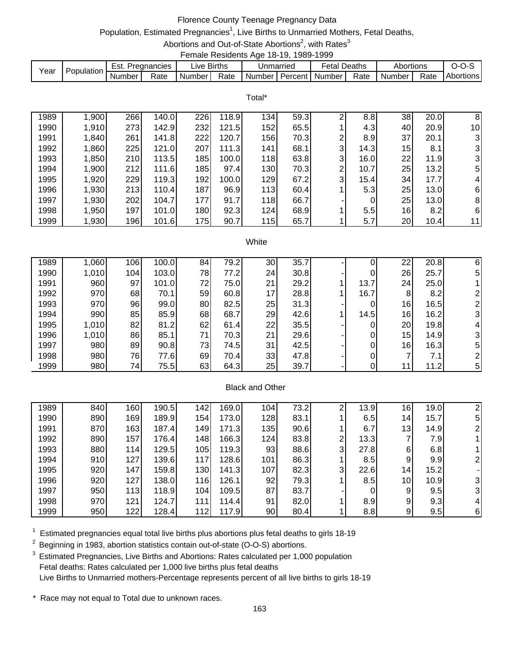# Florence County Teenage Pregnancy Data

# Population, Estimated Pregnancies<sup>1</sup>, Live Births to Unmarried Mothers, Fetal Deaths,

Abortions and Out-of-State Abortions<sup>2</sup>, with Rates<sup>3</sup> Female Residents Age 18-19, 1989-1999

| Year | Population | Est. I | . Pregnancies | ∟ive Births   |      | Unmarried             | <b>Fetal Deaths</b> |      | Abortions |      | $O-O-5$   |
|------|------------|--------|---------------|---------------|------|-----------------------|---------------------|------|-----------|------|-----------|
|      |            | Number | Rate          | <b>Number</b> | Rate | Number Percent Number |                     | Rate | Number I  | Rate | Abortions |

Total\*

| 1989 | ,900  | 266 | 140.0 | 226  | 118.9 | $13\overline{4}$ | 59.3 |                | 8.8  | 38 | 20.0 | 8                       |
|------|-------|-----|-------|------|-------|------------------|------|----------------|------|----|------|-------------------------|
| 1990 | 1,910 | 273 | 142.9 | 232  | 121.5 | 152              | 65.5 |                | 4.3  | 40 | 20.9 | 10 <sup>1</sup>         |
| 1991 | 1,840 | 261 | 141.8 | 222  | 120.7 | 156              | 70.3 | 2              | 8.9  | 37 | 20.1 | 31                      |
| 1992 | 1,860 | 225 | 121.0 | 207  | 111.3 | 141              | 68.1 | 3              | 14.3 | 15 | 8.1  | $\overline{\mathbf{3}}$ |
| 1993 | 1,850 | 210 | 113.5 | 185  | 100.0 | 118              | 63.8 | 3              | 16.0 | 22 | 11.9 | $\overline{\mathbf{3}}$ |
| 1994 | 1,900 | 212 | 111.6 | 185  | 97.4  | 130              | 70.3 | $\overline{2}$ | 10.7 | 25 | 13.2 | 5                       |
| 1995 | 1,920 | 229 | 119.3 | 1921 | 100.0 | 129              | 67.2 | 3              | 15.4 | 34 | 17.7 | 4                       |
| 1996 | 1,930 | 213 | 110.4 | 187) | 96.9  | 113              | 60.4 |                | 5.3  | 25 | 13.0 | 61                      |
| 1997 | 1,930 | 202 | 104.7 | 177  | 91.7  | 118              | 66.7 |                | 0    | 25 | 13.0 | 8                       |
| 1998 | 1,950 | 197 | 101.0 | 180  | 92.3  | 124              | 68.9 |                | 5.5  | 16 | 8.2  | 61                      |
| 1999 | ,930  | 196 | 101.6 | 175  | 90.7  | 115              | 65.7 |                | 5.7  | 20 | 10.4 | 11 <sub>1</sub>         |

#### White

| 1989 | 1,060 | 1061 | 100.0 | 84 | 79.2 | 30 | 35.7 |      | 22 | 20.8 | 6 |
|------|-------|------|-------|----|------|----|------|------|----|------|---|
| 1990 | 1,010 | 104  | 103.0 | 78 | 77.2 | 24 | 30.8 | 0    | 26 | 25.7 | 5 |
| 1991 | 960   | 97   | 101.0 | 72 | 75.0 | 21 | 29.2 | 13.7 | 24 | 25.0 |   |
| 1992 | 970   | 68   | 70.1  | 59 | 60.8 | 17 | 28.8 | 16.7 | 8  | 8.2  |   |
| 1993 | 970   | 96   | 99.0  | 80 | 82.5 | 25 | 31.3 | 0    | 16 | 16.5 |   |
| 1994 | 990   | 85   | 85.9  | 68 | 68.7 | 29 | 42.6 | 14.5 | 16 | 16.2 |   |
| 1995 | 1,010 | 82   | 81.2  | 62 | 61.4 | 22 | 35.5 | 0    | 20 | 19.8 |   |
| 1996 | 1,010 | 86   | 85.1  | 71 | 70.3 | 21 | 29.6 | 0    | 15 | 14.9 |   |
| 1997 | 980   | 89   | 90.8  | 73 | 74.5 | 31 | 42.5 | 0    | 16 | 16.3 | 5 |
| 1998 | 980   | 76   | 77.6  | 69 | 70.4 | 33 | 47.8 | 0    |    | 7.1  |   |
| 1999 | 980   | 74   | 75.5  | 63 | 64.3 | 25 | 39.7 |      |    | 11.2 | 5 |

### Black and Other

| 1989 | 840 | 160 | 190.5 | 142 | 169.0 | 104 | 73.2 |   | 13.9  | 16              | 19.0 |   |
|------|-----|-----|-------|-----|-------|-----|------|---|-------|-----------------|------|---|
| 1990 | 890 | 169 | 189.9 | 154 | 173.0 | 128 | 83.1 |   | 6.5   | 14 <sub>l</sub> | 15.7 | 5 |
| 1991 | 870 | 163 | 187.4 | 149 | 171.3 | 135 | 90.6 |   | 6.7   | 13 <sub>l</sub> | 14.9 |   |
| 1992 | 890 | 157 | 176.4 | 148 | 166.3 | 124 | 83.8 | ⌒ | 13.3  | ⇁               | 7.9  |   |
| 1993 | 880 | 114 | 129.5 | 105 | 119.3 | 93  | 88.6 | 3 | 27.8I | 6               | 6.8  |   |
| 1994 | 910 | 127 | 139.6 | 117 | 128.6 | 101 | 86.3 |   | 8.5   | 9               | 9.9  |   |
| 1995 | 920 | 147 | 159.8 | 130 | 141.3 | 107 | 82.3 | 3 | 22.6  | 14              | 15.2 |   |
| 1996 | 920 | 127 | 138.0 | 116 | 126.1 | 92  | 79.3 |   | 8.5   | 10 <sup>1</sup> | 10.9 |   |
| 1997 | 950 | 113 | 118.9 | 104 | 109.5 | 87  | 83.7 |   | 0     | 9               | 9.5  |   |
| 1998 | 970 | 121 | 124.7 | 111 | 114.4 | 91  | 82.0 |   | 8.9   | 9               | 9.3  |   |
| 1999 | 950 | 122 | 128.4 | 112 | 117.9 | 90  | 80.4 |   | 8.8   | 9 <sub>l</sub>  | 9.5  | 6 |

 $1$  Estimated pregnancies equal total live births plus abortions plus fetal deaths to girls 18-19

 $2$  Beginning in 1983, abortion statistics contain out-of-state (O-O-S) abortions.

<sup>3</sup> Estimated Pregnancies, Live Births and Abortions: Rates calculated per 1,000 population Fetal deaths: Rates calculated per 1,000 live births plus fetal deaths Live Births to Unmarried mothers-Percentage represents percent of all live births to girls 18-19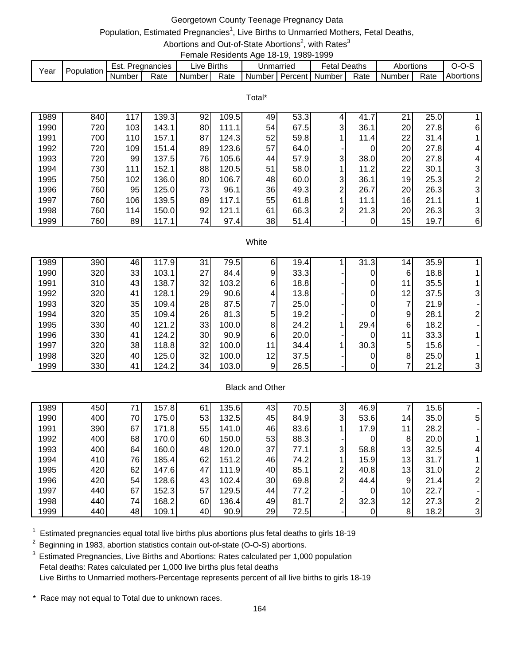## Georgetown County Teenage Pregnancy Data

# Population, Estimated Pregnancies<sup>1</sup>, Live Births to Unmarried Mothers, Fetal Deaths,

Abortions and Out-of-State Abortions<sup>2</sup>, with Rates<sup>3</sup> Female Residents Age 18-19, 1989-1999

| Year | Population |        | Est. Pregnancies | ∟ive Births |      | Unmarried                 | <b>Fetal Deaths</b> |      | Abortions |      | $0 - 0 - 5$      |
|------|------------|--------|------------------|-------------|------|---------------------------|---------------------|------|-----------|------|------------------|
|      |            | Number | Rate             | Number I    | Rate | Number   Percent   Number |                     | Rate | Number I  | Rate | <b>Abortions</b> |

|      |     |     |       |    |       | Total* |      |                |      |    |      |                         |
|------|-----|-----|-------|----|-------|--------|------|----------------|------|----|------|-------------------------|
| 1989 | 840 | 117 | 139.3 | 92 | 109.5 | 49     | 53.3 | 4              | 41.7 | 21 | 25.0 |                         |
| 1990 | 720 | 103 | 143.1 | 80 | 111.1 | 54     | 67.5 | 3              | 36.1 | 20 | 27.8 | 61                      |
| 1991 | 700 | 110 | 157.1 | 87 | 124.3 | 52     | 59.8 |                | 11.4 | 22 | 31.4 |                         |
| 1992 | 720 | 109 | 151.4 | 89 | 123.6 | 57     | 64.0 |                | 0    | 20 | 27.8 | 4                       |
| 1993 | 720 | 99  | 137.5 | 76 | 105.6 | 44     | 57.9 | 3              | 38.0 | 20 | 27.8 | 4                       |
| 1994 | 730 | 111 | 152.1 | 88 | 120.5 | 51     | 58.0 |                | 11.2 | 22 | 30.1 | $\overline{\mathbf{3}}$ |
| 1995 | 750 | 102 | 136.0 | 80 | 106.7 | 48     | 60.0 | 3              | 36.1 | 19 | 25.3 | $\overline{2}$          |
| 1996 | 760 | 95  | 125.0 | 73 | 96.1  | 36     | 49.3 | $\overline{2}$ | 26.7 | 20 | 26.3 | $\overline{3}$          |
| 1997 | 760 | 106 | 139.5 | 89 | 117.1 | 55     | 61.8 |                | 11.1 | 16 | 21.1 |                         |
| 1998 | 760 | 114 | 150.0 | 92 | 121.1 | 61     | 66.3 | 2              | 21.3 | 20 | 26.3 | 3                       |
| 1999 | 760 | 89  | 117.1 | 74 | 97.4  | 38     | 51.4 |                |      | 15 | 19.7 | $6 \mid$                |

#### **White**

| 1989 | 390 | 46 | 117.9 | 31 | 79.5  | 6              | 19.4 | 31.3 | 14 <sub>1</sub> | 35.9 |  |
|------|-----|----|-------|----|-------|----------------|------|------|-----------------|------|--|
| 1990 | 320 | 33 | 103.1 | 27 | 84.4  | 9              | 33.3 | 0    | 61              | 18.8 |  |
| 1991 | 310 | 43 | 138.7 | 32 | 103.2 | 6              | 18.8 | 0    | 11 <sub>1</sub> | 35.5 |  |
| 1992 | 320 | 41 | 128.1 | 29 | 90.6  | 4              | 13.8 | 0    | 12              | 37.5 |  |
| 1993 | 320 | 35 | 109.4 | 28 | 87.5  | 7              | 25.0 | 0    | ⇁               | 21.9 |  |
| 1994 | 320 | 35 | 109.4 | 26 | 81.3  | 5              | 19.2 | 0    | 9               | 28.1 |  |
| 1995 | 330 | 40 | 121.2 | 33 | 100.0 | 8              | 24.2 | 29.4 | 6               | 18.2 |  |
| 1996 | 330 | 41 | 124.2 | 30 | 90.9  | 6              | 20.0 | 0    | 11 <sub>1</sub> | 33.3 |  |
| 1997 | 320 | 38 | 118.8 | 32 | 100.0 | 11             | 34.4 | 30.3 | 5               | 15.6 |  |
| 1998 | 320 | 40 | 125.0 | 32 | 100.0 | 12             | 37.5 | 0    | 8               | 25.0 |  |
| 1999 | 330 | 41 | 124.2 | 34 | 103.0 | 9 <sub>l</sub> | 26.5 | 0    |                 | 21.2 |  |

### Black and Other

| 1989 | 450 |    | 157.8 | 61 | 135.6 | 43  | 70.5 | ົ            | 46.9 |                 | 15.6 |                |
|------|-----|----|-------|----|-------|-----|------|--------------|------|-----------------|------|----------------|
| 1990 | 400 | 70 | 175.0 | 53 | 132.5 | 45  | 84.9 | 3            | 53.6 | 14 <sub>1</sub> | 35.0 | 5 <sub>l</sub> |
| 1991 | 390 | 67 | 171.8 | 55 | 141.0 | 46  | 83.6 |              | 17.9 | 11              | 28.2 |                |
| 1992 | 400 | 68 | 170.0 | 60 | 150.0 | 53  | 88.3 |              | 0    | 8               | 20.0 |                |
| 1993 | 400 | 64 | 160.0 | 48 | 120.0 | 37  | 77.1 | $\mathbf{3}$ | 58.8 | 13              | 32.5 | 4              |
| 1994 | 410 | 76 | 185.4 | 62 | 151.2 | 46  | 74.2 |              | 15.9 | 13              | 31.7 |                |
| 1995 | 420 | 62 | 147.6 | 47 | 111.9 | 40  | 85.1 | 2            | 40.8 | 13              | 31.0 |                |
| 1996 | 420 | 54 | 128.6 | 43 | 102.4 | 30  | 69.8 | 2            | 44.4 | 9               | 21.4 |                |
| 1997 | 440 | 67 | 152.3 | 57 | 129.5 | 441 | 77.2 |              | 0    | 10 <sup>1</sup> | 22.7 |                |
| 1998 | 440 | 74 | 168.2 | 60 | 136.4 | 49  | 81.7 | ົ            | 32.3 | 12              | 27.3 |                |
| 1999 | 440 | 48 | 109.1 | 40 | 90.9  | 29  | 72.5 |              | 0    | 8               | 18.2 | 3 <sup>l</sup> |

 $1$  Estimated pregnancies equal total live births plus abortions plus fetal deaths to girls 18-19

 $2$  Beginning in 1983, abortion statistics contain out-of-state (O-O-S) abortions.

<sup>3</sup> Estimated Pregnancies, Live Births and Abortions: Rates calculated per 1,000 population Fetal deaths: Rates calculated per 1,000 live births plus fetal deaths Live Births to Unmarried mothers-Percentage represents percent of all live births to girls 18-19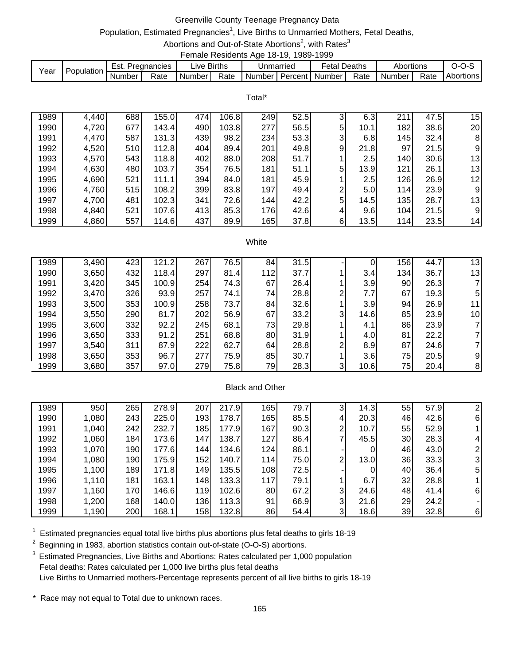## Greenville County Teenage Pregnancy Data

# Population, Estimated Pregnancies<sup>1</sup>, Live Births to Unmarried Mothers, Fetal Deaths,

Abortions and Out-of-State Abortions<sup>2</sup>, with Rates<sup>3</sup> Female Residents Age 18-19, 1989-1999

|      |            |        |             |        | ----------------------- |           |               |                     |        |           |      |           |
|------|------------|--------|-------------|--------|-------------------------|-----------|---------------|---------------------|--------|-----------|------|-----------|
| Year | Population | Est.   | Pregnancies | _ive   | <b>Births</b>           | Jnmarried |               | <sup>⊂</sup> etal . | Deaths | Abortions |      |           |
|      |            | Number | Rate        | Number | Rate                    | Number    | ∴ Percent I ™ | Number              | Rate   | Number    | Rate | Abortions |

Total\*

| 1989 | 4,440 | 688  | 155.0 | 474 | 106.8 | 249 | 52.5 | 3              | 6.3  | 211 | 47.5 | 15 |
|------|-------|------|-------|-----|-------|-----|------|----------------|------|-----|------|----|
| 1990 | 4,720 | 677  | 143.4 | 490 | 103.8 | 277 | 56.5 | 5              | 10.1 | 182 | 38.6 | 20 |
| 1991 | 4,470 | 587  | 131.3 | 439 | 98.2  | 234 | 53.3 | 3              | 6.8  | 145 | 32.4 | 8  |
| 1992 | 4,520 | 510  | 112.8 | 404 | 89.4  | 201 | 49.8 | 9              | 21.8 | 97  | 21.5 | 9  |
| 1993 | 4,570 | 5431 | 118.8 | 402 | 88.0  | 208 | 51.7 |                | 2.5  | 140 | 30.6 | 13 |
| 1994 | 4,630 | 480  | 103.7 | 354 | 76.5  | 181 | 51.1 | 5              | 13.9 | 121 | 26.1 | 13 |
| 1995 | 4,690 | 521  | 111.1 | 394 | 84.0  | 181 | 45.9 |                | 2.5  | 126 | 26.9 | 12 |
| 1996 | 4,760 | 515  | 108.2 | 399 | 83.8  | 197 | 49.4 | $\overline{2}$ | 5.0  | 114 | 23.9 | 9  |
| 1997 | 4,700 | 481  | 102.3 | 341 | 72.6  | 144 | 42.2 | 5              | 14.5 | 135 | 28.7 | 13 |
| 1998 | 4,840 | 521  | 107.6 | 413 | 85.3  | 176 | 42.6 | 4              | 9.6  | 104 | 21.5 | 9  |
| 1999 | 4,860 | 557  | 114.6 | 437 | 89.9  | 165 | 37.8 | 6              | 13.5 | 114 | 23.5 | 14 |

#### White

| 1989 | 3,490 | 423 | 121.2 | 267 | 76.5 | 84  | 31.5 |                | 0    | 156 | 44.7 | 13 |
|------|-------|-----|-------|-----|------|-----|------|----------------|------|-----|------|----|
| 1990 | 3,650 | 432 | 118.4 | 297 | 81.4 | 112 | 37.7 |                | 3.4  | 134 | 36.7 | 13 |
| 1991 | 3,420 | 345 | 100.9 | 254 | 74.3 | 67  | 26.4 |                | 3.9  | 90  | 26.3 |    |
| 1992 | 3,470 | 326 | 93.9  | 257 | 74.1 | 74  | 28.8 | 2              | 7.7  | 67  | 19.3 | 5  |
| 1993 | 3,500 | 353 | 100.9 | 258 | 73.7 | 84  | 32.6 |                | 3.9  | 94  | 26.9 | 11 |
| 1994 | 3,550 | 290 | 81.7  | 202 | 56.9 | 67  | 33.2 | 3              | 14.6 | 85  | 23.9 | 10 |
| 1995 | 3,600 | 332 | 92.2  | 245 | 68.1 | 73  | 29.8 |                | 4.1  | 86  | 23.9 |    |
| 1996 | 3,650 | 333 | 91.2  | 251 | 68.8 | 80  | 31.9 |                | 4.0  | 81  | 22.2 |    |
| 1997 | 3,540 | 311 | 87.9  | 222 | 62.7 | 64  | 28.8 | $\overline{2}$ | 8.9  | 87  | 24.6 |    |
| 1998 | 3,650 | 353 | 96.7  | 277 | 75.9 | 85  | 30.7 |                | 3.6  | 75  | 20.5 | 9  |
| 1999 | 3,680 | 357 | 97.0  | 279 | 75.8 | 79  | 28.3 | 3              | 10.6 | 75  | 20.4 | 8  |

### Black and Other

| 1989 | 950   | 265 | 278.9 | 207              | 217.9 | 165        | 79.7 | 3              | 14.3 | 55 | 57.9 |          |
|------|-------|-----|-------|------------------|-------|------------|------|----------------|------|----|------|----------|
| 1990 | 1,080 | 243 | 225.0 | 193 <sub>1</sub> | 178.7 | 165        | 85.5 | 4              | 20.3 | 46 | 42.6 | 61       |
| 1991 | 1,040 | 242 | 232.7 | 185              | 177.9 | 167        | 90.3 | 2              | 10.7 | 55 | 52.9 |          |
| 1992 | 1,060 | 184 | 173.6 | 147              | 138.7 | 127        | 86.4 |                | 45.5 | 30 | 28.3 | 4        |
| 1993 | 1,070 | 190 | 177.6 | 144              | 134.6 | 124        | 86.1 |                | 0    | 46 | 43.0 | 2        |
| 1994 | 1,080 | 190 | 175.9 | 152              | 140.7 | <b>114</b> | 75.0 | 2              | 13.0 | 36 | 33.3 | 31       |
| 1995 | 1,100 | 189 | 171.8 | 149              | 135.5 | 108        | 72.5 |                | 0    | 40 | 36.4 | 51       |
| 1996 | 1,110 | 181 | 163.1 | 148              | 133.3 | 117        | 79.1 |                | 6.7  | 32 | 28.8 |          |
| 1997 | 1,160 | 170 | 146.6 | 119              | 102.6 | 80         | 67.2 | 3              | 24.6 | 48 | 41.4 | -61      |
| 1998 | 1,200 | 168 | 140.0 | 136              | 113.3 | 91         | 66.9 | $\overline{3}$ | 21.6 | 29 | 24.2 |          |
| 1999 | 1,190 | 200 | 168.1 | 1581             | 132.8 | 86         | 54.4 | 3              | 18.6 | 39 | 32.8 | $6 \mid$ |

 $1$  Estimated pregnancies equal total live births plus abortions plus fetal deaths to girls 18-19

 $2$  Beginning in 1983, abortion statistics contain out-of-state (O-O-S) abortions.

<sup>3</sup> Estimated Pregnancies, Live Births and Abortions: Rates calculated per 1,000 population Fetal deaths: Rates calculated per 1,000 live births plus fetal deaths Live Births to Unmarried mothers-Percentage represents percent of all live births to girls 18-19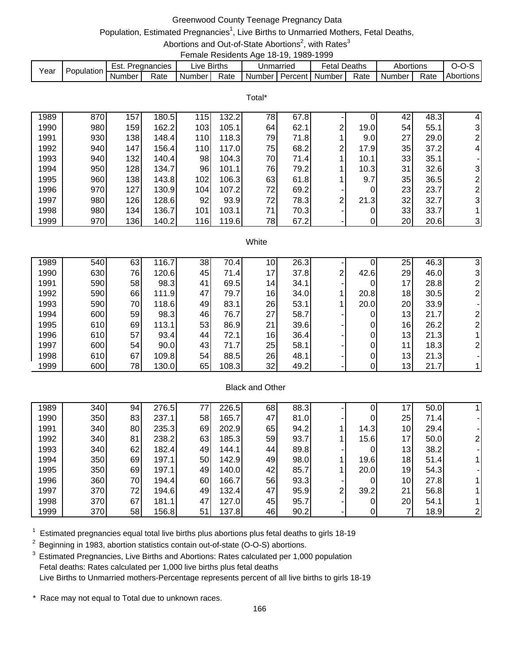## Greenwood County Teenage Pregnancy Data

# Population, Estimated Pregnancies<sup>1</sup>, Live Births to Unmarried Mothers, Fetal Deaths,

Abortions and Out-of-State Abortions<sup>2</sup>, with Rates<sup>3</sup> Female Residents Age 18-19, 1989-1999

| Year | Population | Est.   | Pregnancies | ive Births. |      | Jnmarried |           | ∹etal  | Deaths | Abortions |      |           |
|------|------------|--------|-------------|-------------|------|-----------|-----------|--------|--------|-----------|------|-----------|
|      |            | Number | Rate        | Number      | Rate | Number    | Percent I | Number | Rate   | Number    | Rate | Abortions |

Total\*

| 1989 | 870 | 157 | 180.5 | 115  | 132.2 | 78 | 67.8 |                |      | 42 | 48.3 | 4              |
|------|-----|-----|-------|------|-------|----|------|----------------|------|----|------|----------------|
| 1990 | 980 | 159 | 162.2 | 103  | 105.1 | 64 | 62.1 | 2              | 19.0 | 54 | 55.1 | 31             |
| 1991 | 930 | 138 | 148.4 | 110I | 118.3 | 79 | 71.8 |                | 9.0  | 27 | 29.0 | 21             |
| 1992 | 940 | 147 | 156.4 | 110I | 117.0 | 75 | 68.2 | 2 <sub>1</sub> | 17.9 | 35 | 37.2 | $\overline{4}$ |
| 1993 | 940 | 132 | 140.4 | 98   | 104.3 | 70 | 71.4 |                | 10.1 | 33 | 35.1 |                |
| 1994 | 950 | 128 | 134.7 | 96   | 101.1 | 76 | 79.2 |                | 10.3 | 31 | 32.6 | 31             |
| 1995 | 960 | 138 | 143.8 | 102  | 106.3 | 63 | 61.8 |                | 9.7  | 35 | 36.5 | 2 <sub>1</sub> |
| 1996 | 970 | 127 | 130.9 | 104  | 107.2 | 72 | 69.2 |                | 0    | 23 | 23.7 | 2 <sub>1</sub> |
| 1997 | 980 | 126 | 128.6 | 92   | 93.9  | 72 | 78.3 | $\mathbf{2}$   | 21.3 | 32 | 32.7 | 31             |
| 1998 | 980 | 134 | 136.7 | 101  | 103.1 | 71 | 70.3 |                |      | 33 | 33.7 |                |
| 1999 | 970 | 136 | 140.2 | 116  | 119.6 | 78 | 67.2 |                | 0    | 20 | 20.6 | $\overline{3}$ |

#### White

| 1989 | 540 | 63  | 116.7 | 38 | 70.4  | 10 <sub>1</sub> | 26.3 |   |      | 25 | 46.3 |  |
|------|-----|-----|-------|----|-------|-----------------|------|---|------|----|------|--|
| 1990 | 630 | 76  | 120.6 | 45 | 71.4  | 17              | 37.8 | 2 | 42.6 | 29 | 46.0 |  |
| 1991 | 590 | 58  | 98.3  | 41 | 69.5  | 14              | 34.1 |   | 0    | 17 | 28.8 |  |
| 1992 | 590 | 66  | 111.9 | 47 | 79.7  | 16              | 34.0 |   | 20.8 | 18 | 30.5 |  |
| 1993 | 590 | 70  | 118.6 | 49 | 83.1  | 26              | 53.1 |   | 20.0 | 20 | 33.9 |  |
| 1994 | 600 | 59  | 98.3  | 46 | 76.7  | 27              | 58.7 |   | 0    | 13 | 21.7 |  |
| 1995 | 610 | 69  | 113.1 | 53 | 86.9  | 21              | 39.6 |   | 0    | 16 | 26.2 |  |
| 1996 | 610 | 57  | 93.4  | 44 | 72.1  | 16              | 36.4 |   | 0    | 13 | 21.3 |  |
| 1997 | 600 | 54  | 90.0  | 43 | 71.7  | 25              | 58.1 |   | 0    | 11 | 18.3 |  |
| 1998 | 610 | 67  | 109.8 | 54 | 88.5  | 26              | 48.1 |   | 0    | 13 | 21.3 |  |
| 1999 | 600 | 78I | 130.0 | 65 | 108.3 | 32              | 49.2 |   |      | 13 | 21.7 |  |

### Black and Other

| 1989 | 340 | 94 | 276.5 | 77 | 226.5 | 68  | 88.3 |   |      | 17.             | 50.0 |  |
|------|-----|----|-------|----|-------|-----|------|---|------|-----------------|------|--|
| 1990 | 350 | 83 | 237.1 | 58 | 165.7 | 47  | 81.0 |   | 0    | 25              | 71.4 |  |
| 1991 | 340 | 80 | 235.3 | 69 | 202.9 | 65  | 94.2 |   | 14.3 | 10 <sup>1</sup> | 29.4 |  |
| 1992 | 340 | 81 | 238.2 | 63 | 185.3 | 59  | 93.7 |   | 15.6 | 17 <sub>l</sub> | 50.0 |  |
| 1993 | 340 | 62 | 182.4 | 49 | 144.1 | 441 | 89.8 |   | 0    | 13              | 38.2 |  |
| 1994 | 350 | 69 | 197.1 | 50 | 142.9 | 49  | 98.0 |   | 19.6 | 18              | 51.4 |  |
| 1995 | 350 | 69 | 197.1 | 49 | 140.0 | 42  | 85.7 |   | 20.0 | 19              | 54.3 |  |
| 1996 | 360 | 70 | 194.4 | 60 | 166.7 | 56  | 93.3 |   | 0    | 10              | 27.8 |  |
| 1997 | 370 | 72 | 194.6 | 49 | 132.4 | 47  | 95.9 | 2 | 39.2 | 21              | 56.8 |  |
| 1998 | 370 | 67 | 181.1 | 47 | 127.0 | 45  | 95.7 |   | 0    | 20              | 54.1 |  |
| 1999 | 370 | 58 | 156.8 | 51 | 137.8 | 46  | 90.2 |   | 0    |                 | 18.9 |  |

 $1$  Estimated pregnancies equal total live births plus abortions plus fetal deaths to girls 18-19

 $2$  Beginning in 1983, abortion statistics contain out-of-state (O-O-S) abortions.

<sup>3</sup> Estimated Pregnancies, Live Births and Abortions: Rates calculated per 1,000 population Fetal deaths: Rates calculated per 1,000 live births plus fetal deaths Live Births to Unmarried mothers-Percentage represents percent of all live births to girls 18-19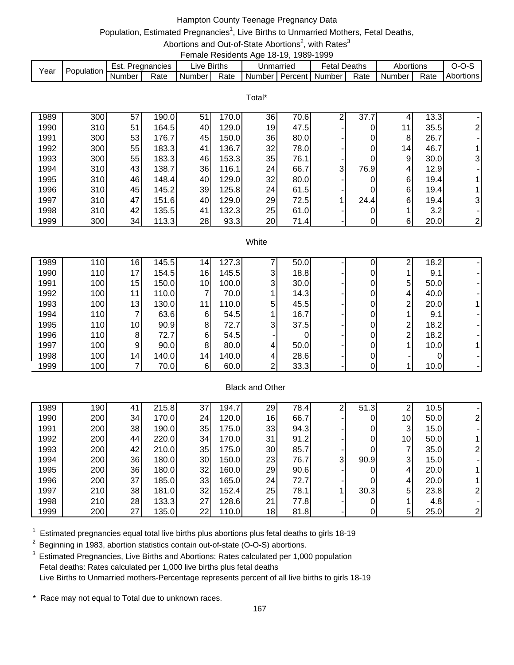## Hampton County Teenage Pregnancy Data

# Population, Estimated Pregnancies<sup>1</sup>, Live Births to Unmarried Mothers, Fetal Deaths,

Abortions and Out-of-State Abortions<sup>2</sup>, with Rates<sup>3</sup> Female Residents Age 18-19, 1989-1999

|      |            |        |               |             |      |                             | . |              |      |                     |      |           |
|------|------------|--------|---------------|-------------|------|-----------------------------|---|--------------|------|---------------------|------|-----------|
| Year | Population | Est.   | . Pregnancies | ∟ive Births |      | Unmarried                   |   | Fetal Deaths |      | Abortions           |      | $O-O-S$   |
|      |            | Number | Rate          | Number I    | Rate | I Number I Percent I Number |   |              | Rate | Number <sub>1</sub> | Rate | Abortions |

Total\*

| 1989 | 300 | 57 | 190.0 | 51 | 170.0 | 36 | 70.6 | ⌒ | 37.7 |                 | 13.3 |                |
|------|-----|----|-------|----|-------|----|------|---|------|-----------------|------|----------------|
| 1990 | 310 | 51 | 164.5 | 40 | 129.0 | 19 | 47.5 |   | 0    | 11              | 35.5 | 21             |
| 1991 | 300 | 53 | 176.7 | 45 | 150.0 | 36 | 80.0 |   | 0    | 8               | 26.7 |                |
| 1992 | 300 | 55 | 183.3 | 41 | 136.7 | 32 | 78.0 |   | 0    | 14 <sub>1</sub> | 46.7 |                |
| 1993 | 300 | 55 | 183.3 | 46 | 153.3 | 35 | 76.1 |   | 0    | 9               | 30.0 | 31             |
| 1994 | 310 | 43 | 138.7 | 36 | 116.1 | 24 | 66.7 | 3 | 76.9 | 4               | 12.9 |                |
| 1995 | 310 | 46 | 148.4 | 40 | 129.0 | 32 | 80.0 |   |      | 6               | 19.4 |                |
| 1996 | 310 | 45 | 145.2 | 39 | 125.8 | 24 | 61.5 |   | 0    | 6               | 19.4 |                |
| 1997 | 310 | 47 | 151.6 | 40 | 129.0 | 29 | 72.5 |   | 24.4 | 6               | 19.4 | 31             |
| 1998 | 310 | 42 | 135.5 | 41 | 132.3 | 25 | 61.0 |   |      |                 | 3.2  |                |
| 1999 | 300 | 34 | 113.3 | 28 | 93.3  | 20 | 71.4 |   | 0    | 6               | 20.0 | $\overline{2}$ |

#### **White**

| 1989 | 110 | 16              | 145.5 | 14 <sub>1</sub> | 127.3 |                | 50.0 |   | C | 18.2 |  |
|------|-----|-----------------|-------|-----------------|-------|----------------|------|---|---|------|--|
| 1990 | 110 | 17 <sub>l</sub> | 154.5 | 16              | 145.5 | 3              | 18.8 |   |   | 9.1  |  |
| 1991 | 100 | 15              | 150.0 | 10              | 100.0 | 3              | 30.0 |   | 5 | 50.0 |  |
| 1992 | 100 | 11              | 110.0 |                 | 70.0  |                | 14.3 |   | 4 | 40.0 |  |
| 1993 | 100 | 13              | 130.0 |                 | 110.0 | 5 <sup>1</sup> | 45.5 |   | ⌒ | 20.0 |  |
| 1994 | 110 |                 | 63.6  | 6               | 54.5  |                | 16.7 |   |   | 9.1  |  |
| 1995 | 110 | 10 <sup>1</sup> | 90.9  | 8               | 72.7  | 3              | 37.5 |   | ົ | 18.2 |  |
| 1996 | 110 | 81              | 72.7  | 61              | 54.5  |                |      |   | ⌒ | 18.2 |  |
| 1997 | 100 | 9               | 90.0  | 8               | 80.0  | 4              | 50.0 | 0 |   | 10.0 |  |
| 1998 | 100 | 14              | 140.0 | 14 <sup>1</sup> | 140.0 | 4              | 28.6 |   |   |      |  |
| 1999 | 100 |                 | 70.0  | 6               | 60.0  | ⌒              | 33.3 |   |   | 10.0 |  |

### Black and Other

| 1989 | 190 | 41 | 215.8 | 37 | 194.7 | 29 <sub>1</sub> | 78.4 | ⌒            | 51.3 | ົ               | 10.5 |              |
|------|-----|----|-------|----|-------|-----------------|------|--------------|------|-----------------|------|--------------|
| 1990 | 200 | 34 | 170.0 | 24 | 120.0 | 16              | 66.7 |              | 0    | 10 <sub>l</sub> | 50.0 |              |
| 1991 | 200 | 38 | 190.0 | 35 | 175.0 | 33              | 94.3 |              | 0    | 3               | 15.0 |              |
| 1992 | 200 | 44 | 220.0 | 34 | 170.0 | 31              | 91.2 |              | 0    | 10 <sub>l</sub> | 50.0 |              |
| 1993 | 200 | 42 | 210.0 | 35 | 175.0 | 30              | 85.7 |              | 0    |                 | 35.0 |              |
| 1994 | 200 | 36 | 180.0 | 30 | 150.0 | 23              | 76.7 | $\mathbf{3}$ | 90.9 | 3               | 15.0 |              |
| 1995 | 200 | 36 | 180.0 | 32 | 160.0 | 29              | 90.6 |              | 0    | 4               | 20.0 |              |
| 1996 | 200 | 37 | 185.0 | 33 | 165.0 | 24 <sub>l</sub> | 72.7 |              | 0    | 4               | 20.0 |              |
| 1997 | 210 | 38 | 181.0 | 32 | 152.4 | 25              | 78.1 |              | 30.3 | 5               | 23.8 |              |
| 1998 | 210 | 28 | 133.3 | 27 | 128.6 | 21              | 77.8 |              | 0    |                 | 4.8  |              |
| 1999 | 200 | 27 | 135.0 | 22 | 110.0 | 18              | 81.8 |              | 0    | 5               | 25.0 | $\mathsf{2}$ |

 $1$  Estimated pregnancies equal total live births plus abortions plus fetal deaths to girls 18-19

 $2$  Beginning in 1983, abortion statistics contain out-of-state (O-O-S) abortions.

<sup>3</sup> Estimated Pregnancies, Live Births and Abortions: Rates calculated per 1,000 population Fetal deaths: Rates calculated per 1,000 live births plus fetal deaths Live Births to Unmarried mothers-Percentage represents percent of all live births to girls 18-19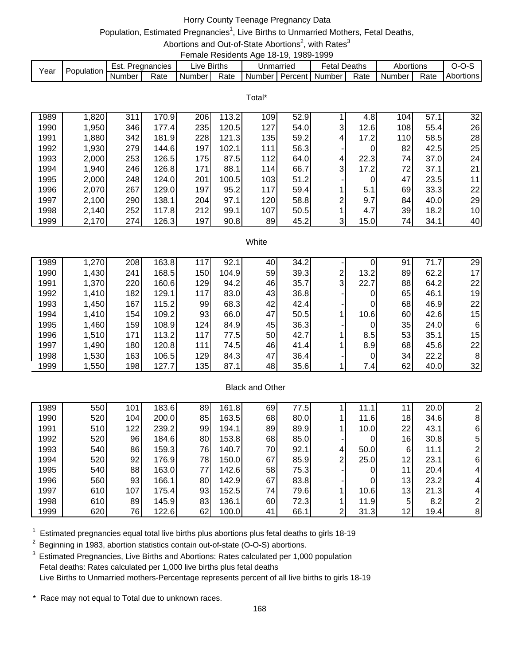# Horry County Teenage Pregnancy Data

# Population, Estimated Pregnancies<sup>1</sup>, Live Births to Unmarried Mothers, Fetal Deaths,

Abortions and Out-of-State Abortions<sup>2</sup>, with Rates<sup>3</sup> Female Residents Age 18-19, 1989-1999

| Year | Population | Est.   | Pregnancies | _ive F   | <b>Births</b> |          | Jnmarried | Fetal          | Deaths | Abortions |      | J-U-J     |
|------|------------|--------|-------------|----------|---------------|----------|-----------|----------------|--------|-----------|------|-----------|
|      |            | Number | Rate        | Number l | Rate          | Number I |           | Percent Number | Rate   | Number    | Rate | Abortions |

Total\*

| 1989 | 1,820 | 311 | 170.9 | 206 | 13.2  | 109 | 52.9 |                | 4.8  | 104 | 57.1 | 32              |
|------|-------|-----|-------|-----|-------|-----|------|----------------|------|-----|------|-----------------|
| 1990 | 1,950 | 346 | 177.4 | 235 | 120.5 | 127 | 54.0 | $\overline{3}$ | 12.6 | 108 | 55.4 | 26              |
| 1991 | 1,880 | 342 | 181.9 | 228 | 121.3 | 135 | 59.2 | 4              | 17.2 | 110 | 58.5 | 28              |
| 1992 | 1,930 | 279 | 144.6 | 197 | 102.1 | 111 | 56.3 |                |      | 82  | 42.5 | 25              |
| 1993 | 2,000 | 253 | 126.5 | 175 | 87.5  | 112 | 64.0 | 4              | 22.3 | 74  | 37.0 | 24              |
| 1994 | 1,940 | 246 | 126.8 | 171 | 88.1  | 114 | 66.7 | 3              | 17.2 | 72  | 37.1 | 21              |
| 1995 | 2,000 | 248 | 124.0 | 201 | 100.5 | 103 | 51.2 |                |      | 47  | 23.5 | 11              |
| 1996 | 2,070 | 267 | 129.0 | 197 | 95.2  | 117 | 59.4 |                | 5.1  | 69  | 33.3 | 22              |
| 1997 | 2,100 | 290 | 138.1 | 204 | 97.1  | 120 | 58.8 | ⌒              | 9.7  | 84  | 40.0 | 29              |
| 1998 | 2,140 | 252 | 117.8 | 212 | 99.1  | 107 | 50.5 |                | 4.7  | 39  | 18.2 | 10 <sup>1</sup> |
| 1999 | 2,170 | 274 | 126.3 | 197 | 90.8  | 89  | 45.2 | 3              | 15.0 | 74  | 34.1 | 40              |

#### **White**

| 1989 | 1,270 | 208        | 163.8 | 117 | 92.1  | 40                     | 34.2 |                | 0    | 91 | 71.7 | 29 |
|------|-------|------------|-------|-----|-------|------------------------|------|----------------|------|----|------|----|
| 1990 | 1,430 | 241        | 168.5 | 150 | 104.9 | 59                     | 39.3 | $\overline{2}$ | 13.2 | 89 | 62.2 | 17 |
| 1991 | 1,370 | 220        | 160.6 | 129 | 94.2  | 46                     | 35.7 | $\overline{3}$ | 22.7 | 88 | 64.2 | 22 |
| 1992 | 1,410 | 182        | 129.1 | 117 | 83.0  | 43                     | 36.8 |                | 0    | 65 | 46.1 | 19 |
| 1993 | 1,450 | 167        | 115.2 | 99  | 68.3  | 42                     | 42.4 |                | 0    | 68 | 46.9 | 22 |
| 1994 | 1,410 | <b>154</b> | 109.2 | 93  | 66.0  | 47                     | 50.5 |                | 10.6 | 60 | 42.6 | 15 |
| 1995 | 1,460 | 159        | 108.9 | 124 | 84.9  | 45                     | 36.3 |                | 0    | 35 | 24.0 | 6  |
| 1996 | 1,510 | 171        | 113.2 | 117 | 77.5  | 50                     | 42.7 |                | 8.5  | 53 | 35.1 | 15 |
| 1997 | 1,490 | 180        | 120.8 | 111 | 74.5  | 46                     | 41.4 |                | 8.9  | 68 | 45.6 | 22 |
| 1998 | 1,530 | 163        | 106.5 | 129 | 84.3  | 47                     | 36.4 |                | 0    | 34 | 22.2 | 8  |
| 1999 | 1,550 | 198        | 127.7 | 135 | 87.1  | 48                     | 35.6 |                | 7.4  | 62 | 40.0 | 32 |
|      |       |            |       |     |       |                        |      |                |      |    |      |    |
|      |       |            |       |     |       | <b>Black and Other</b> |      |                |      |    |      |    |

| 1989 | 550 | 101 | 183.6 | 89 | 161.8 | 69 | 77.5 |   | 11.1 |    | 20.0 | 2              |
|------|-----|-----|-------|----|-------|----|------|---|------|----|------|----------------|
| 1990 | 520 | 104 | 200.0 | 85 | 163.5 | 68 | 80.0 |   | 11.6 | 18 | 34.6 | 8              |
| 1991 | 510 | 122 | 239.2 | 99 | 194.1 | 89 | 89.9 |   | 10.0 | 22 | 43.1 | 6              |
| 1992 | 520 | 96  | 184.6 | 80 | 153.8 | 68 | 85.0 |   |      | 16 | 30.8 | 5              |
| 1993 | 540 | 86  | 159.3 | 76 | 140.7 | 70 | 92.1 | 4 | 50.0 | 6  | 11.1 | $\overline{2}$ |
| 1994 | 520 | 92  | 176.9 | 78 | 150.0 | 67 | 85.9 | ⌒ | 25.0 | 12 | 23.1 | 6              |
| 1995 | 540 | 88  | 163.0 | 77 | 142.6 | 58 | 75.3 |   |      | 11 | 20.4 | $\vert$        |
| 1996 | 560 | 93  | 166.1 | 80 | 142.9 | 67 | 83.8 |   |      | 13 | 23.2 | $\overline{4}$ |
| 1997 | 610 | 107 | 175.4 | 93 | 152.5 | 74 | 79.6 |   | 10.6 | 13 | 21.3 | $\overline{4}$ |
| 1998 | 610 | 89  | 145.9 | 83 | 136.1 | 60 | 72.3 |   | 11.9 | 5  | 8.2  | $\overline{2}$ |
| 1999 | 620 | 76  | 122.6 | 62 | 100.0 | 41 | 66.1 | ົ | 31.3 | 12 | 19.4 | 8              |

 $1$  Estimated pregnancies equal total live births plus abortions plus fetal deaths to girls 18-19

 $2$  Beginning in 1983, abortion statistics contain out-of-state (O-O-S) abortions.

<sup>3</sup> Estimated Pregnancies, Live Births and Abortions: Rates calculated per 1,000 population Fetal deaths: Rates calculated per 1,000 live births plus fetal deaths Live Births to Unmarried mothers-Percentage represents percent of all live births to girls 18-19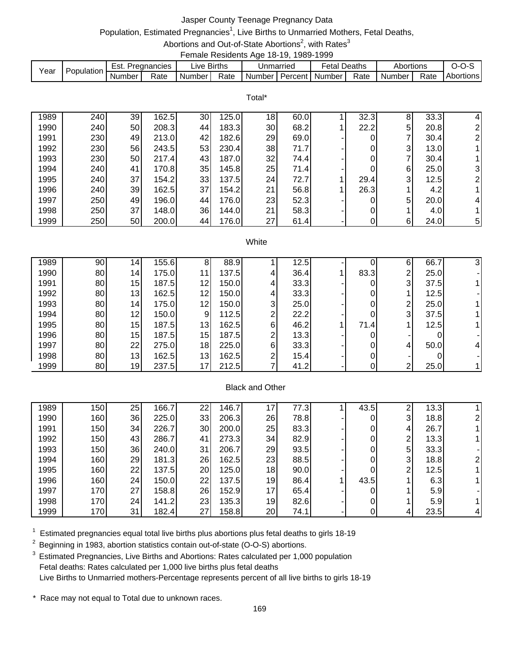## Jasper County Teenage Pregnancy Data

# Population, Estimated Pregnancies<sup>1</sup>, Live Births to Unmarried Mothers, Fetal Deaths,

#### Abortions and Out-of-State Abortions<sup>2</sup>, with Rates<sup>3</sup> Female Residents Age 18-19, 1989-1999

|      |            |        |             |             |      |           | .       | .       |        |           |      |           |
|------|------------|--------|-------------|-------------|------|-----------|---------|---------|--------|-----------|------|-----------|
| Year | Population | Est.   | Pregnancies | Live Births |      | Unmarried |         | Fetal L | Deaths | Abortions |      | --        |
|      |            | Number | Rate        | Number      | Rate | Number    | Percent | Number  | Rate   | Number    | Rate | Abortions |

Total\*

| 1989 | 240 | 39              | 162.5  | 30 | 125.0 | 18 <sub>l</sub> | 60.0 | 32.3 | 8 | 33.3 | 4                       |
|------|-----|-----------------|--------|----|-------|-----------------|------|------|---|------|-------------------------|
| 1990 | 240 | 50              | 208.3  | 44 | 183.3 | 30              | 68.2 | 22.2 | 5 | 20.8 | າ                       |
| 1991 | 230 | 49              | 213.0  | 42 | 182.6 | 29              | 69.0 | 0    |   | 30.4 | $\mathbf{2}$            |
| 1992 | 230 | 56              | 243.5  | 53 | 230.4 | 38              | 71.7 | 0    | 3 | 13.0 |                         |
| 1993 | 230 | 50 <sub>l</sub> | 217.4  | 43 | 187.0 | 32              | 74.4 | 0    | ⇁ | 30.4 |                         |
| 1994 | 240 | 41              | 170.8  | 35 | 145.8 | 25              | 71.4 | 0    | 6 | 25.0 | $\overline{\mathbf{3}}$ |
| 1995 | 240 | 37              | 154.2I | 33 | 137.5 | 24              | 72.7 | 29.4 | 3 | 12.5 | 21                      |
| 1996 | 240 | 39              | 162.5  | 37 | 154.2 | 21              | 56.8 | 26.3 |   | 4.2  |                         |
| 1997 | 250 | 49              | 196.0  | 44 | 176.0 | 23              | 52.3 | 0    | 5 | 20.0 | 41                      |
| 1998 | 250 | 37              | 148.0  | 36 | 144.0 | 21              | 58.3 | 0    |   | 4.0  |                         |
| 1999 | 250 | 50              | 200.0  | 44 | 176.0 | 27              | 61.4 | 0    | 6 | 24.0 | $5\vert$                |

#### **White**

| 1989 | 90 | 14 <sub>1</sub> | 155.6 | 8  | 88.9  |              | 12.5 |      | 6              | 66.7 |  |
|------|----|-----------------|-------|----|-------|--------------|------|------|----------------|------|--|
| 1990 | 80 | 14              | 175.0 | 11 | 137.5 | 4            | 36.4 | 83.3 | $\mathbf{2}$   | 25.0 |  |
| 1991 | 80 | 15              | 187.5 | 12 | 150.0 | 4            | 33.3 | 0    | 3 <sub>l</sub> | 37.5 |  |
| 1992 | 80 | 13              | 162.5 | 12 | 150.0 | 4            | 33.3 | 0    |                | 12.5 |  |
| 1993 | 80 | 14              | 175.0 | 12 | 150.0 | $\mathbf{3}$ | 25.0 | 0    | 2              | 25.0 |  |
| 1994 | 80 | 12              | 150.0 | 9  | 112.5 | ⌒            | 22.2 | 0    | 3              | 37.5 |  |
| 1995 | 80 | 15              | 187.5 | 13 | 162.5 | 6            | 46.2 | 71.4 |                | 12.5 |  |
| 1996 | 80 | 15              | 187.5 | 15 | 187.5 | ⌒            | 13.3 | 0    |                |      |  |
| 1997 | 80 | 22              | 275.0 | 18 | 225.0 | 6            | 33.3 | 0    | 4              | 50.0 |  |
| 1998 | 80 | 13              | 162.5 | 13 | 162.5 | ⌒            | 15.4 | 0    |                |      |  |
| 1999 | 80 | 19              | 237.5 | 17 | 212.5 |              | 41.2 | 0    | $\mathbf{2}$   | 25.0 |  |

### Black and Other

| 1989 | 150 | 25 | 166.7 | 22 | 146.7 | 17 | 77.3 | 43.5 | ົ | 13.3 |    |
|------|-----|----|-------|----|-------|----|------|------|---|------|----|
|      |     |    |       |    |       |    |      |      |   |      |    |
| 1990 | 160 | 36 | 225.0 | 33 | 206.3 | 26 | 78.8 |      | 3 | 18.8 | 21 |
| 1991 | 150 | 34 | 226.7 | 30 | 200.0 | 25 | 83.3 |      | 4 | 26.7 |    |
| 1992 | 150 | 43 | 286.7 | 41 | 273.3 | 34 | 82.9 |      | ົ | 13.3 |    |
| 1993 | 150 | 36 | 240.0 | 31 | 206.7 | 29 | 93.5 |      | 5 | 33.3 |    |
| 1994 | 160 | 29 | 181.3 | 26 | 162.5 | 23 | 88.5 |      | 3 | 18.8 | 21 |
| 1995 | 160 | 22 | 137.5 | 20 | 125.0 | 18 | 90.0 |      | ົ | 12.5 |    |
| 1996 | 160 | 24 | 150.0 | 22 | 137.5 | 19 | 86.4 | 43.5 |   | 6.3  |    |
| 1997 | 170 | 27 | 158.8 | 26 | 152.9 | 17 | 65.4 |      |   | 5.9  |    |
| 1998 | 170 | 24 | 141.2 | 23 | 135.3 | 19 | 82.6 |      |   | 5.9  |    |
| 1999 | 170 | 31 | 182.4 | 27 | 158.8 | 20 | 74.1 |      | 4 | 23.5 | 41 |

 $1$  Estimated pregnancies equal total live births plus abortions plus fetal deaths to girls 18-19

 $2$  Beginning in 1983, abortion statistics contain out-of-state (O-O-S) abortions.

<sup>3</sup> Estimated Pregnancies, Live Births and Abortions: Rates calculated per 1,000 population Fetal deaths: Rates calculated per 1,000 live births plus fetal deaths Live Births to Unmarried mothers-Percentage represents percent of all live births to girls 18-19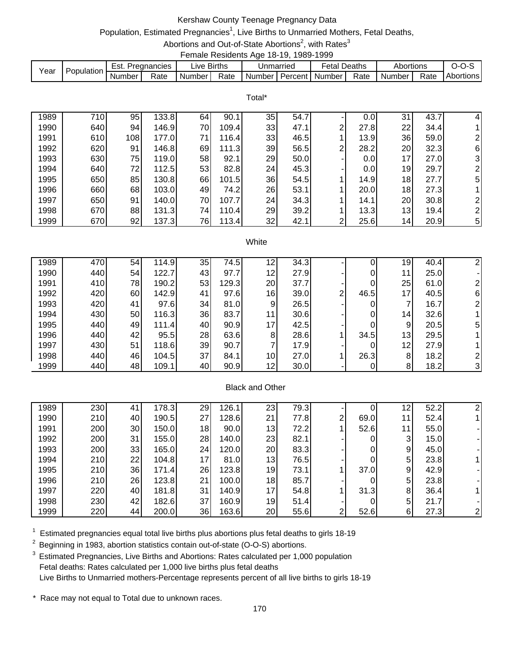## Kershaw County Teenage Pregnancy Data

# Population, Estimated Pregnancies<sup>1</sup>, Live Births to Unmarried Mothers, Fetal Deaths,

Abortions and Out-of-State Abortions<sup>2</sup>, with Rates<sup>3</sup> Female Residents Age 18-19, 1989-1999

|      |            |        |               |             |      |                             | . |              |      |                     |      |           |
|------|------------|--------|---------------|-------------|------|-----------------------------|---|--------------|------|---------------------|------|-----------|
| Year | Population | Est.   | . Pregnancies | ∟ive Births |      | Unmarried                   |   | Fetal Deaths |      | Abortions           |      | $O-O-S$   |
|      |            | Number | Rate          | Number I    | Rate | I Number I Percent I Number |   |              | Rate | Number <sub>1</sub> | Rate | Abortions |

|      |     |     |       |    |       | Total* |      |   |      |                 |      |                |
|------|-----|-----|-------|----|-------|--------|------|---|------|-----------------|------|----------------|
| 1989 | 710 | 95  | 133.8 | 64 | 90.1  | 35     | 54.7 |   | 0.0  | 31              | 43.7 | 4              |
| 1990 | 640 | 94  | 146.9 | 70 | 109.4 | 33     | 47.1 | 2 | 27.8 | 22              | 34.4 |                |
| 1991 | 610 | 108 | 177.0 | 71 | 116.4 | 33     | 46.5 |   | 13.9 | 36              | 59.0 | 2              |
| 1992 | 620 | 91  | 146.8 | 69 | 111.3 | 39     | 56.5 | 2 | 28.2 | 20              | 32.3 | 6              |
| 1993 | 630 | 75  | 119.0 | 58 | 92.1  | 29     | 50.0 |   | 0.0  | 17 <sub>1</sub> | 27.0 | $\mathbf{3}$   |
| 1994 | 640 | 72  | 112.5 | 53 | 82.8  | 24     | 45.3 |   | 0.0  | 19              | 29.7 | $\overline{2}$ |
| 1995 | 650 | 85  | 130.8 | 66 | 101.5 | 36     | 54.5 |   | 14.9 | 18              | 27.7 | 5              |
| 1996 | 660 | 68  | 103.0 | 49 | 74.2I | 26     | 53.1 |   | 20.0 | 18              | 27.3 |                |
| 1997 | 650 | 91  | 140.0 | 70 | 107.7 | 24     | 34.3 |   | 14.1 | 20              | 30.8 | $\overline{2}$ |
| 1998 | 670 | 88  | 131.3 | 74 | 110.4 | 29     | 39.2 |   | 13.3 | 13              | 19.4 | $\overline{2}$ |
| 1999 | 670 | 92  | 137.3 | 76 | 113.4 | 32     | 42.1 | ົ | 25.6 | 14              | 20.9 | 5              |

#### **White**

| 1989 | 470 | 54  | 114.9 | 35 | 74.5  | 12 | 34.3 |                |      | 19              | 40.4 |   |
|------|-----|-----|-------|----|-------|----|------|----------------|------|-----------------|------|---|
| 1990 | 440 | 54  | 122.7 | 43 | 97.7  | 12 | 27.9 |                |      | 11              | 25.0 |   |
| 1991 | 410 | 78I | 190.2 | 53 | 129.3 | 20 | 37.7 |                | 0    | 25              | 61.0 |   |
| 1992 | 420 | 60  | 142.9 | 41 | 97.6  | 16 | 39.0 | $\overline{2}$ | 46.5 | 17 <sub>l</sub> | 40.5 | 6 |
| 1993 | 420 | 41  | 97.6  | 34 | 81.0  | 9  | 26.5 |                | 0    |                 | 16.7 |   |
| 1994 | 430 | 50  | 116.3 | 36 | 83.7  | 11 | 30.6 |                | 0    | 14              | 32.6 |   |
| 1995 | 440 | 49  | 111.4 | 40 | 90.9  | 17 | 42.5 |                | 0    | 9               | 20.5 | 5 |
| 1996 | 440 | 42  | 95.5  | 28 | 63.6  | 8  | 28.6 |                | 34.5 | 13              | 29.5 |   |
| 1997 | 430 | 51  | 118.6 | 39 | 90.7  |    | 17.9 |                | 0    | 12              | 27.9 |   |
| 1998 | 440 | 46  | 104.5 | 37 | 84.1  | 10 | 27.0 |                | 26.3 | 8               | 18.2 |   |
| 1999 | 440 | 48  | 109.1 | 40 | 90.9  | 12 | 30.0 |                | 0    | 8               | 18.2 |   |

### Black and Other

| 1989 | 230 | 41 | 178.3 | 29 | 126.1 | 23              | 79.3 |   |      | 12 | 52.2 | 21             |
|------|-----|----|-------|----|-------|-----------------|------|---|------|----|------|----------------|
| 1990 | 210 | 40 | 190.5 | 27 | 128.6 | 21              | 77.8 | ົ | 69.0 | 11 | 52.4 |                |
| 1991 | 200 | 30 | 150.0 | 18 | 90.0  | 13              | 72.2 |   | 52.6 | 11 | 55.0 |                |
| 1992 | 200 | 31 | 155.0 | 28 | 140.0 | 23              | 82.1 |   |      | 3  | 15.0 |                |
| 1993 | 200 | 33 | 165.0 | 24 | 120.0 | 20              | 83.3 |   |      | 9  | 45.0 |                |
| 1994 | 210 | 22 | 104.8 | 17 | 81.0  | 13              | 76.5 |   |      | 5  | 23.8 |                |
| 1995 | 210 | 36 | 171.4 | 26 | 123.8 | 19              | 73.1 |   | 37.0 | 9  | 42.9 |                |
| 1996 | 210 | 26 | 123.8 | 21 | 100.0 | 18              | 85.7 |   |      | 5  | 23.8 |                |
| 1997 | 220 | 40 | 181.8 | 31 | 140.9 | 17 <sub>1</sub> | 54.8 |   | 31.3 | 8  | 36.4 | 11             |
| 1998 | 230 | 42 | 182.6 | 37 | 160.9 | 19              | 51.4 |   |      | 5  | 21.7 |                |
| 1999 | 220 | 44 | 200.0 | 36 | 163.6 | 20              | 55.6 | ົ | 52.6 | 6  | 27.3 | $\overline{2}$ |

 $1$  Estimated pregnancies equal total live births plus abortions plus fetal deaths to girls 18-19

 $2$  Beginning in 1983, abortion statistics contain out-of-state (O-O-S) abortions.

<sup>3</sup> Estimated Pregnancies, Live Births and Abortions: Rates calculated per 1,000 population Fetal deaths: Rates calculated per 1,000 live births plus fetal deaths Live Births to Unmarried mothers-Percentage represents percent of all live births to girls 18-19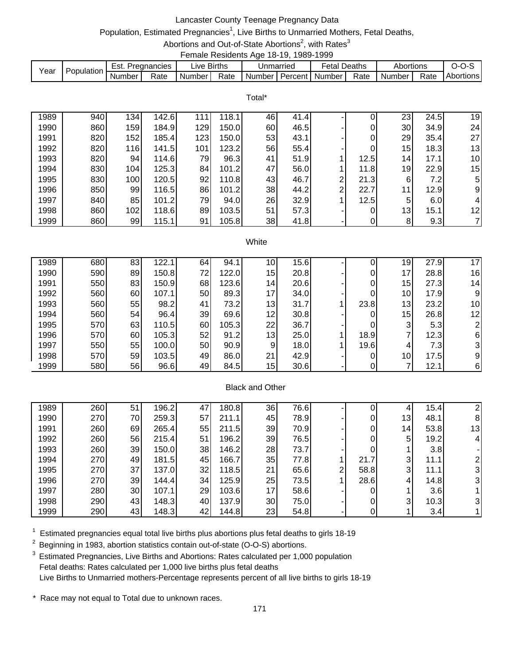## Lancaster County Teenage Pregnancy Data

# Population, Estimated Pregnancies<sup>1</sup>, Live Births to Unmarried Mothers, Fetal Deaths,

Abortions and Out-of-State Abortions<sup>2</sup>, with Rates<sup>3</sup> Female Residents Age 18-19, 1989-1999

|      |            |        |             |                        | ------------------------ |           |         |                   |        |           |      |           |
|------|------------|--------|-------------|------------------------|--------------------------|-----------|---------|-------------------|--------|-----------|------|-----------|
| Year | Population | Est.   | Pregnancies | $\lrcorner$ ive Births |                          | Unmarried |         | <sup>∓</sup> etal | Deaths | Abortions |      |           |
|      |            | Number | Rate        | Number I               | Rate                     | Number I  | Percent | Number            | Rate   | Number    | Rate | Abortions |

|      |     |     |       |     |       | Total* |      |                |      |                 |      |                 |
|------|-----|-----|-------|-----|-------|--------|------|----------------|------|-----------------|------|-----------------|
| 1989 | 940 | 134 | 142.6 | 111 | 118.1 | 46     | 41.4 |                | 0    | 23              | 24.5 | 19              |
| 1990 | 860 | 159 | 184.9 | 129 | 150.0 | 60     | 46.5 |                | 0    | 30              | 34.9 | 24              |
| 1991 | 820 | 152 | 185.4 | 123 | 150.0 | 53     | 43.1 |                | 0    | 29              | 35.4 | 27              |
| 1992 | 820 | 116 | 141.5 | 101 | 123.2 | 56     | 55.4 |                | 0    | 15              | 18.3 | 13              |
| 1993 | 820 | 94  | 114.6 | 79  | 96.3  | 41     | 51.9 |                | 12.5 | 14 <sub>1</sub> | 17.1 | 10 <sup>1</sup> |
| 1994 | 830 | 104 | 125.3 | 84  | 101.2 | 47     | 56.0 |                | 11.8 | 19              | 22.9 | 15              |
| 1995 | 830 | 100 | 120.5 | 92  | 110.8 | 43     | 46.7 | $\overline{2}$ | 21.3 | 6               | 7.2  | 5 <sub>l</sub>  |
| 1996 | 850 | 99  | 116.5 | 86  | 101.2 | 38     | 44.2 | $\overline{2}$ | 22.7 | 11              | 12.9 | 9               |
| 1997 | 840 | 85  | 101.2 | 79  | 94.0  | 26     | 32.9 |                | 12.5 | 5               | 6.0  | 4               |
| 1998 | 860 | 102 | 118.6 | 89  | 103.5 | 51     | 57.3 |                | 0    | 13              | 15.1 | 12              |
| 1999 | 860 | 99  | 115.1 | 91  | 105.8 | 38     | 41.8 |                | 0    | 8               | 9.3  |                 |

#### **White**

| 1989 | 680 | 83 | 122.1 | 64 | 94.1  | 10 <sub>1</sub> | 15.6 |      | 19              | 27.9 | 17              |
|------|-----|----|-------|----|-------|-----------------|------|------|-----------------|------|-----------------|
| 1990 | 590 | 89 | 150.8 | 72 | 122.0 | 15              | 20.8 | 0    | 17 <sub>1</sub> | 28.8 | 16              |
| 1991 | 550 | 83 | 150.9 | 68 | 123.6 | 14              | 20.6 | 0    | 15              | 27.3 | 14 <sub>1</sub> |
| 1992 | 560 | 60 | 107.1 | 50 | 89.3  | 17              | 34.0 | 0    | 10 <sup>1</sup> | 17.9 | 9               |
| 1993 | 560 | 55 | 98.2  | 41 | 73.2  | 13              | 31.7 | 23.8 | 13              | 23.2 | 10              |
| 1994 | 560 | 54 | 96.4  | 39 | 69.6  | 12              | 30.8 | 0    | 15              | 26.8 | 12              |
| 1995 | 570 | 63 | 110.5 | 60 | 105.3 | 22              | 36.7 | 0    | 3 <sub>l</sub>  | 5.3  |                 |
| 1996 | 570 | 60 | 105.3 | 52 | 91.2  | 13              | 25.0 | 18.9 | ⇁               | 12.3 | 6               |
| 1997 | 550 | 55 | 100.0 | 50 | 90.9  | 9               | 18.0 | 19.6 | 4               | 7.3  |                 |
| 1998 | 570 | 59 | 103.5 | 49 | 86.0  | 21              | 42.9 | 0    | 10 <sup>1</sup> | 17.5 | 9               |
| 1999 | 580 | 56 | 96.6  | 49 | 84.5  | 15              | 30.6 | 0    |                 | 12.1 | 6               |

### Black and Other

| 1989 | 260 | 51 | 196.2 | 47 | 180.8 | 36 | 76.6 |   |      |                 | 15.4 |    |
|------|-----|----|-------|----|-------|----|------|---|------|-----------------|------|----|
| 1990 | 270 | 70 | 259.3 | 57 | 211.1 | 45 | 78.9 |   | 0    | 13 <sub>l</sub> | 48.1 | 8  |
| 1991 | 260 | 69 | 265.4 | 55 | 211.5 | 39 | 70.9 |   | 0    | 14 <sub>1</sub> | 53.8 | 13 |
| 1992 | 260 | 56 | 215.4 | 51 | 196.2 | 39 | 76.5 |   | 0    | 5 <sup>1</sup>  | 19.2 | 41 |
| 1993 | 260 | 39 | 150.0 | 38 | 146.2 | 28 | 73.7 |   | 0    |                 | 3.8  |    |
| 1994 | 270 | 49 | 181.5 | 45 | 166.7 | 35 | 77.8 |   | 21.7 | 3               | 11.1 |    |
| 1995 | 270 | 37 | 137.0 | 32 | 118.5 | 21 | 65.6 | 2 | 58.8 | 3               | 11.1 | 31 |
| 1996 | 270 | 39 | 144.4 | 34 | 125.9 | 25 | 73.5 |   | 28.6 | 4               | 14.8 | 31 |
| 1997 | 280 | 30 | 107.1 | 29 | 103.6 | 17 | 58.6 |   | 0    |                 | 3.6  |    |
| 1998 | 290 | 43 | 148.3 | 40 | 137.9 | 30 | 75.0 |   | 0    | 3               | 10.3 | 31 |
| 1999 | 290 | 43 | 148.3 | 42 | 144.8 | 23 | 54.8 |   |      |                 | 3.4  |    |

 $1$  Estimated pregnancies equal total live births plus abortions plus fetal deaths to girls 18-19

 $2$  Beginning in 1983, abortion statistics contain out-of-state (O-O-S) abortions.

<sup>3</sup> Estimated Pregnancies, Live Births and Abortions: Rates calculated per 1,000 population Fetal deaths: Rates calculated per 1,000 live births plus fetal deaths Live Births to Unmarried mothers-Percentage represents percent of all live births to girls 18-19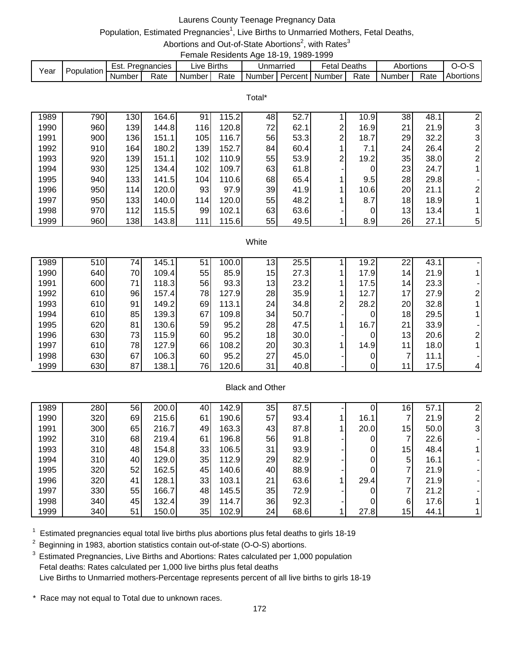### Laurens County Teenage Pregnancy Data

# Population, Estimated Pregnancies<sup>1</sup>, Live Births to Unmarried Mothers, Fetal Deaths,

Abortions and Out-of-State Abortions<sup>2</sup>, with Rates<sup>3</sup> Female Residents Age 18-19, 1989-1999

| Year | Population | Est.   | Pregnancies | _ive F   | <b>Births</b> |          | Jnmarried | Fetal          | Deaths | Abortions |      | J-U-J     |
|------|------------|--------|-------------|----------|---------------|----------|-----------|----------------|--------|-----------|------|-----------|
|      |            | Number | Rate        | Number l | Rate          | Number I |           | Percent Number | Rate   | Number    | Rate | Abortions |

Total\*

| 1989 | 790 | 130 | 164.6 | 91  | 15.2  | 48 | 52.7 |   | 10.9 | 38 | 48.1 | 2              |
|------|-----|-----|-------|-----|-------|----|------|---|------|----|------|----------------|
| 1990 | 960 | 139 | 144.8 | 116 | 120.8 | 72 | 62.1 | າ | 16.9 | 21 | 21.9 | $\mathbf{3}$   |
| 1991 | 900 | 136 | 151.1 | 105 | 116.7 | 56 | 53.3 | 2 | 18.7 | 29 | 32.2 | $\mathbf{3}$   |
| 1992 | 910 | 164 | 180.2 | 139 | 152.7 | 84 | 60.4 |   | 7.1  | 24 | 26.4 | 2              |
| 1993 | 920 | 139 | 151.1 | 102 | 110.9 | 55 | 53.9 | 2 | 19.2 | 35 | 38.0 | $\overline{2}$ |
| 1994 | 930 | 125 | 134.4 | 102 | 109.7 | 63 | 61.8 |   | 0    | 23 | 24.7 |                |
| 1995 | 940 | 133 | 141.5 | 104 | 110.6 | 68 | 65.4 |   | 9.5  | 28 | 29.8 |                |
| 1996 | 950 | 114 | 120.0 | 93  | 97.9  | 39 | 41.9 |   | 10.6 | 20 | 21.1 | $\overline{2}$ |
| 1997 | 950 | 133 | 140.0 | 114 | 120.0 | 55 | 48.2 |   | 8.7  | 18 | 18.9 |                |
| 1998 | 970 | 112 | 115.5 | 99  | 102.1 | 63 | 63.6 |   | 0    | 13 | 13.4 |                |
| 1999 | 960 | 138 | 143.8 | 111 | 115.6 | 55 | 49.5 |   | 8.9  | 26 | 27.1 | 5 <sub>l</sub> |

#### White

| 1989 | 510 | 74  | 145.1 | 51 | 100.0 | 13 <sub>1</sub> | 25.5 |                | 19.2 | 22              | 43.1 |  |
|------|-----|-----|-------|----|-------|-----------------|------|----------------|------|-----------------|------|--|
| 1990 | 640 | 70  | 109.4 | 55 | 85.9  | 15 <sub>l</sub> | 27.3 |                | 17.9 | 14              | 21.9 |  |
| 1991 | 600 | 711 | 118.3 | 56 | 93.3  | 13              | 23.2 |                | 17.5 | 14 <sub>1</sub> | 23.3 |  |
| 1992 | 610 | 96  | 157.4 | 78 | 127.9 | 28              | 35.9 |                | 12.7 | 17              | 27.9 |  |
| 1993 | 610 | 91  | 149.2 | 69 | 113.1 | 24              | 34.8 | $\overline{2}$ | 28.2 | 20              | 32.8 |  |
| 1994 | 610 | 85  | 139.3 | 67 | 109.8 | 34              | 50.7 |                | 0    | 18              | 29.5 |  |
| 1995 | 620 | 81  | 130.6 | 59 | 95.2  | 28              | 47.5 |                | 16.7 | 21              | 33.9 |  |
| 1996 | 630 | 73  | 115.9 | 60 | 95.2  | 18              | 30.0 |                | 0    | 13              | 20.6 |  |
| 1997 | 610 | 78  | 127.9 | 66 | 108.2 | 20              | 30.3 |                | 14.9 | 11              | 18.0 |  |
| 1998 | 630 | 67  | 106.3 | 60 | 95.2  | 27              | 45.0 |                | 0    |                 | 11.1 |  |
| 1999 | 630 | 87  | 138.1 | 76 | 120.6 | 31              | 40.8 |                |      |                 | 17.5 |  |

### Black and Other

| 1989 | 280 | 56 | 200.0 | 40 | 142.9 | 35 | 87.5 |      | 16              | 57.1 |    |
|------|-----|----|-------|----|-------|----|------|------|-----------------|------|----|
| 1990 | 320 | 69 | 215.6 | 61 | 190.6 | 57 | 93.4 | 16.1 | ⇁               | 21.9 |    |
| 1991 | 300 | 65 | 216.7 | 49 | 163.3 | 43 | 87.8 | 20.0 | 15              | 50.0 | 31 |
| 1992 | 310 | 68 | 219.4 | 61 | 196.8 | 56 | 91.8 | 0    |                 | 22.6 |    |
| 1993 | 310 | 48 | 154.8 | 33 | 106.5 | 31 | 93.9 | 0    | 15 <sub>l</sub> | 48.4 |    |
| 1994 | 310 | 40 | 129.0 | 35 | 112.9 | 29 | 82.9 | 0    | 5               | 16.1 |    |
| 1995 | 320 | 52 | 162.5 | 45 | 140.6 | 40 | 88.9 | 0    |                 | 21.9 |    |
| 1996 | 320 | 41 | 128.1 | 33 | 103.1 | 21 | 63.6 | 29.4 |                 | 21.9 |    |
| 1997 | 330 | 55 | 166.7 | 48 | 145.5 | 35 | 72.9 | 0    |                 | 21.2 |    |
| 1998 | 340 | 45 | 132.4 | 39 | 114.7 | 36 | 92.3 | 0    | 6               | 17.6 |    |
| 1999 | 340 | 51 | 150.0 | 35 | 102.9 | 24 | 68.6 | 27.8 | 15              | 44.1 |    |

 $1$  Estimated pregnancies equal total live births plus abortions plus fetal deaths to girls 18-19

 $2$  Beginning in 1983, abortion statistics contain out-of-state (O-O-S) abortions.

<sup>3</sup> Estimated Pregnancies, Live Births and Abortions: Rates calculated per 1,000 population Fetal deaths: Rates calculated per 1,000 live births plus fetal deaths Live Births to Unmarried mothers-Percentage represents percent of all live births to girls 18-19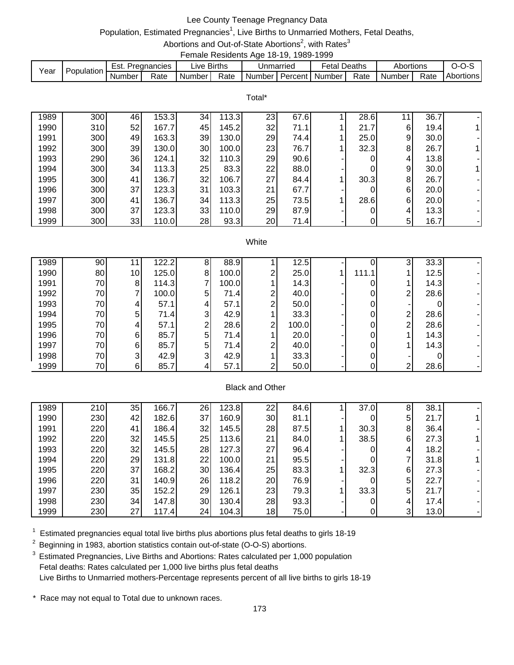### Lee County Teenage Pregnancy Data

# Population, Estimated Pregnancies<sup>1</sup>, Live Births to Unmarried Mothers, Fetal Deaths,

Abortions and Out-of-State Abortions<sup>2</sup>, with Rates<sup>3</sup>

|                        |             | Female Residents Age 18-19, 1989-1999 |                     |           |
|------------------------|-------------|---------------------------------------|---------------------|-----------|
| <b>Est Pregnancies</b> | Live Rirths | l Inmarried                           | <b>Fetal Deaths</b> | Ahortions |

| Year | Population | $ -$<br>Lol. | Pregnancies | $-$<br>IVA. | <b>Births</b> | Unmarried |         | ∙etal  | Deaths | Abortions |      |           |
|------|------------|--------------|-------------|-------------|---------------|-----------|---------|--------|--------|-----------|------|-----------|
|      |            | Number       | Rate        | Number      | Rate          | Number    | Percent | Number | Rate   | Number    | Rate | Abortions |
|      |            |              |             |             |               |           |         |        |        |           |      |           |

Total\*

| 1989 | 300 | 46   | 153.3 | 34 | 13.3  | 23 | 67.6 | 28.6 |   | 36.7 |  |
|------|-----|------|-------|----|-------|----|------|------|---|------|--|
| 1990 | 310 | 52   | 167.7 | 45 | 145.2 | 32 | 71.1 | 21.7 | 6 | 19.4 |  |
| 1991 | 300 | 49   | 163.3 | 39 | 130.0 | 29 | 74.4 | 25.0 | 9 | 30.0 |  |
| 1992 | 300 | 39   | 130.0 | 30 | 100.0 | 23 | 76.7 | 32.3 | 8 | 26.7 |  |
| 1993 | 290 | 36   | 124.1 | 32 | 110.3 | 29 | 90.6 |      | 4 | 13.8 |  |
| 1994 | 300 | 34 I | 113.3 | 25 | 83.3  | 22 | 88.0 |      | 9 | 30.0 |  |
| 1995 | 300 | 41   | 136.7 | 32 | 106.7 | 27 | 84.4 | 30.3 | 8 | 26.7 |  |
| 1996 | 300 | 37   | 123.3 | 31 | 103.3 | 21 | 67.7 |      | 6 | 20.0 |  |
| 1997 | 300 | 41   | 136.7 | 34 | 113.3 | 25 | 73.5 | 28.6 | 6 | 20.0 |  |
| 1998 | 300 | 37   | 123.3 | 33 | 110.0 | 29 | 87.9 |      | 4 | 13.3 |  |
| 1999 | 300 | 33   | 110.0 | 28 | 93.3  | 20 | 71.4 |      | 5 | 16.7 |  |

#### White

| 1989 | 90              |                 | 122.2 |    | 88.9  |   | 12.5  |       | ◠              | 33.3 |  |
|------|-----------------|-----------------|-------|----|-------|---|-------|-------|----------------|------|--|
| 1990 | 80              | 10 <sub>1</sub> | 125.0 | 81 | 100.0 | ⌒ | 25.0  | 111.1 |                | 12.5 |  |
| 1991 | 70              | 81              | 114.3 |    | 100.0 |   | 14.3  |       |                | 14.3 |  |
| 1992 | 70              |                 | 100.0 | 5  | 71.4  | ⌒ | 40.0  |       | 2 <sub>1</sub> | 28.6 |  |
| 1993 | 70              | 41              | 57.1  |    | 57.1  | ⌒ | 50.0  |       |                |      |  |
| 1994 | 70              | 5               | 71.4  | 3  | 42.9  |   | 33.3  |       | ⌒              | 28.6 |  |
| 1995 | 70 <sup> </sup> | 4               | 57.1  | ⌒  | 28.6  | ⌒ | 100.0 |       | C              | 28.6 |  |
| 1996 | 70              | 61              | 85.7  | 5  | 71.4  |   | 20.0  |       |                | 14.3 |  |
| 1997 | 70              | 61              | 85.7  | 5  | 71.4  | ⌒ | 40.0  |       |                | 14.3 |  |
| 1998 | 70 <sup> </sup> | 3               | 42.9  | ີ  | 42.9  |   | 33.3  |       |                |      |  |
| 1999 | 70              | 61              | 85.7  |    | 57.1  | ⌒ | 50.0  |       | ົ              | 28.6 |  |

### Black and Other

| 1989 | 210 | 35 | 166.7 | 26 | 123.8 | 22 | 84.6 | 37.0 | 8 | 38.1 |  |
|------|-----|----|-------|----|-------|----|------|------|---|------|--|
| 1990 | 230 | 42 | 182.6 | 37 | 160.9 | 30 | 81.1 |      | 5 | 21.7 |  |
| 1991 | 220 | 41 | 186.4 | 32 | 145.5 | 28 | 87.5 | 30.3 | 8 | 36.4 |  |
| 1992 | 220 | 32 | 145.5 | 25 | 113.6 | 21 | 84.0 | 38.5 | 6 | 27.3 |  |
| 1993 | 220 | 32 | 145.5 | 28 | 127.3 | 27 | 96.4 |      | 4 | 18.2 |  |
| 1994 | 220 | 29 | 131.8 | 22 | 100.0 | 21 | 95.5 |      |   | 31.8 |  |
| 1995 | 220 | 37 | 168.2 | 30 | 136.4 | 25 | 83.3 | 32.3 | 6 | 27.3 |  |
| 1996 | 220 | 31 | 140.9 | 26 | 118.2 | 20 | 76.9 |      | 5 | 22.7 |  |
| 1997 | 230 | 35 | 152.2 | 29 | 126.1 | 23 | 79.3 | 33.3 | 5 | 21.7 |  |
| 1998 | 230 | 34 | 147.8 | 30 | 130.4 | 28 | 93.3 |      | 4 | 17.4 |  |
| 1999 | 230 | 27 | 117.4 | 24 | 104.3 | 18 | 75.0 |      | ⌒ | 13.0 |  |

 $1$  Estimated pregnancies equal total live births plus abortions plus fetal deaths to girls 18-19

 $2$  Beginning in 1983, abortion statistics contain out-of-state (O-O-S) abortions.

<sup>3</sup> Estimated Pregnancies, Live Births and Abortions: Rates calculated per 1,000 population Fetal deaths: Rates calculated per 1,000 live births plus fetal deaths Live Births to Unmarried mothers-Percentage represents percent of all live births to girls 18-19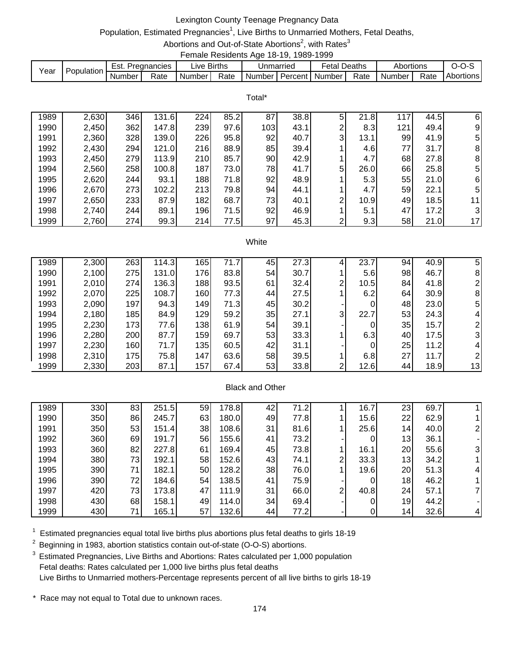## Lexington County Teenage Pregnancy Data

# Population, Estimated Pregnancies<sup>1</sup>, Live Births to Unmarried Mothers, Fetal Deaths,

Abortions and Out-of-State Abortions<sup>2</sup>, with Rates<sup>3</sup> Female Residents Age 18-19, 1989-1999

|      |             |        |             |        | ------------------------ |               |           |                   |        |           |      |           |
|------|-------------|--------|-------------|--------|--------------------------|---------------|-----------|-------------------|--------|-----------|------|-----------|
| Year | Population, | Est.   | Pregnancies | ∟ive   | <b>Births</b>            |               | Jnmarried | <sup>⊂</sup> etal | Deaths | Abortions |      |           |
|      |             | Number | Rate        | Number | Rate                     | <b>Number</b> |           | Percent Number    | Rate   | Number    | Rate | Abortions |

Total\*

| 1989 | 2,630 | 346 | 131.6 | 224 | 85.2 | 87  | 38.8 | 5 | 21.8 | 117 | 44.5 | 6  |
|------|-------|-----|-------|-----|------|-----|------|---|------|-----|------|----|
| 1990 | 2,450 | 362 | 147.8 | 239 | 97.6 | 103 | 43.1 | 2 | 8.3  | 121 | 49.4 | 9  |
| 1991 | 2,360 | 328 | 139.0 | 226 | 95.8 | 92  | 40.7 | 3 | 13.1 | 99  | 41.9 | 51 |
| 1992 | 2,430 | 294 | 121.0 | 216 | 88.9 | 85  | 39.4 |   | 4.6  | 77  | 31.7 | 8  |
| 1993 | 2,450 | 279 | 113.9 | 210 | 85.7 | 90  | 42.9 |   | 4.7  | 68  | 27.8 | 8  |
| 1994 | 2,560 | 258 | 100.8 | 187 | 73.0 | 78  | 41.7 | 5 | 26.0 | 66  | 25.8 | 5  |
| 1995 | 2,620 | 244 | 93.1  | 188 | 71.8 | 92  | 48.9 |   | 5.3  | 55  | 21.0 | 6  |
| 1996 | 2,670 | 273 | 102.2 | 213 | 79.8 | 94  | 44.1 |   | 4.7  | 59  | 22.1 | 51 |
| 1997 | 2,650 | 233 | 87.9  | 182 | 68.7 | 73  | 40.1 | 2 | 10.9 | 49  | 18.5 | 11 |
| 1998 | 2,740 | 244 | 89.1  | 196 | 71.5 | 92  | 46.9 |   | 5.1  | 47  | 17.2 | 31 |
| 1999 | 2,760 | 274 | 99.3  | 214 | 77.5 | 97  | 45.3 | ົ | 9.3  | 58  | 21.0 | 17 |

#### **White**

| 1989 | 2,300 | 263        | 114.3 | 165              | 71.7 | 45 | 27.3 |                | 23.7 | 94 | 40.9 | 5  |
|------|-------|------------|-------|------------------|------|----|------|----------------|------|----|------|----|
| 1990 | 2,100 | <b>275</b> | 131.0 | 176              | 83.8 | 54 | 30.7 |                | 5.6  | 98 | 46.7 | 8  |
| 1991 | 2,010 | 274        | 136.3 | 188              | 93.5 | 61 | 32.4 | 2              | 10.5 | 84 | 41.8 |    |
| 1992 | 2,070 | 225        | 108.7 | 160              | 77.3 | 44 | 27.5 |                | 6.2  | 64 | 30.9 | 8  |
| 1993 | 2,090 | 197        | 94.3  | 149              | 71.3 | 45 | 30.2 |                | 0    | 48 | 23.0 | 5  |
| 1994 | 2,180 | 185        | 84.9  | 129              | 59.2 | 35 | 27.1 | 3 <sup>l</sup> | 22.7 | 53 | 24.3 |    |
| 1995 | 2,230 | 173        | 77.6  | 138              | 61.9 | 54 | 39.1 |                | 0    | 35 | 15.7 |    |
| 1996 | 2,280 | 200        | 87.7  | 159              | 69.7 | 53 | 33.3 |                | 6.3  | 40 | 17.5 |    |
| 1997 | 2,230 | 160        | 71.7  | 135              | 60.5 | 42 | 31.1 |                | 0    | 25 | 11.2 |    |
| 1998 | 2,310 | 175        | 75.8  | 147              | 63.6 | 58 | 39.5 |                | 6.8  | 27 | 11.7 |    |
| 1999 | 2,330 | 203        | 87.1  | 157 <sub>1</sub> | 67.4 | 53 | 33.8 | ◠              | 12.6 | 44 | 18.9 | 13 |

#### Black and Other

| 1989 | 330 | 83 | 251.5 | 59 | 178.8 | 42 | 71.2 |   | 16.7 | 23              | 69.7 |    |
|------|-----|----|-------|----|-------|----|------|---|------|-----------------|------|----|
| 1990 | 350 | 86 | 245.7 | 63 | 180.0 | 49 | 77.8 |   | 15.6 | 22              | 62.9 |    |
| 1991 | 350 | 53 | 151.4 | 38 | 108.6 | 31 | 81.6 |   | 25.6 | 14 <sub>1</sub> | 40.0 |    |
| 1992 | 360 | 69 | 191.7 | 56 | 155.6 | 41 | 73.2 |   | 0    | 13              | 36.1 |    |
| 1993 | 360 | 82 | 227.8 | 61 | 169.4 | 45 | 73.8 |   | 16.1 | 20              | 55.6 | 31 |
| 1994 | 380 | 73 | 192.1 | 58 | 152.6 | 43 | 74.1 | 2 | 33.3 | 13              | 34.2 |    |
| 1995 | 390 | 71 | 182.1 | 50 | 128.2 | 38 | 76.0 |   | 19.6 | 20              | 51.3 | 4  |
| 1996 | 390 | 72 | 184.6 | 54 | 138.5 | 41 | 75.9 |   | 0    | 18              | 46.2 |    |
| 1997 | 420 | 73 | 173.8 | 47 | 111.9 | 31 | 66.0 | 2 | 40.8 | 24              | 57.1 |    |
| 1998 | 430 | 68 | 158.1 | 49 | 114.0 | 34 | 69.4 |   | 0    | 19              | 44.2 |    |
| 1999 | 430 | 71 | 165.1 | 57 | 132.6 | 44 | 77.2 |   | 0    | 14              | 32.6 | 41 |

 $1$  Estimated pregnancies equal total live births plus abortions plus fetal deaths to girls 18-19

 $2$  Beginning in 1983, abortion statistics contain out-of-state (O-O-S) abortions.

<sup>3</sup> Estimated Pregnancies, Live Births and Abortions: Rates calculated per 1,000 population Fetal deaths: Rates calculated per 1,000 live births plus fetal deaths Live Births to Unmarried mothers-Percentage represents percent of all live births to girls 18-19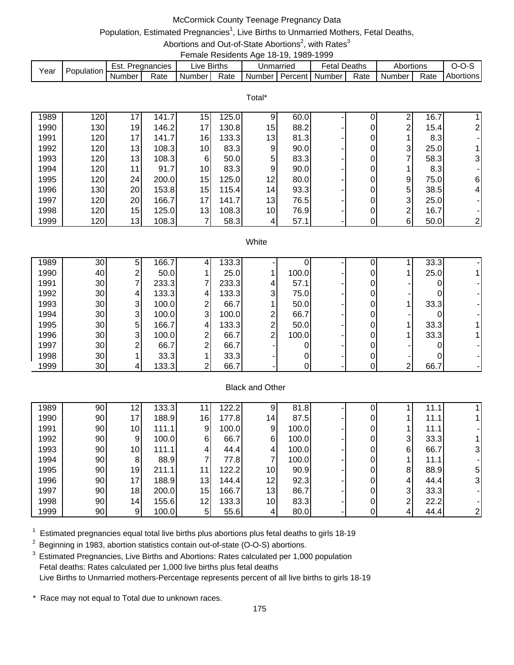## McCormick County Teenage Pregnancy Data

# Population, Estimated Pregnancies<sup>1</sup>, Live Births to Unmarried Mothers, Fetal Deaths,

#### Abortions and Out-of-State Abortions<sup>2</sup>, with Rates<sup>3</sup> Female Residents Age 18-19, 1989-1999

| Year | Population | Est.   | <b>Pregnancies</b> | ∟ive Births |      | Jnmarried                            | <b>Fetal Deaths</b> |      | Abortions |      | ؟-0-ر     |
|------|------------|--------|--------------------|-------------|------|--------------------------------------|---------------------|------|-----------|------|-----------|
|      |            | Number | Rate               | Number      | Rate | <b>I</b> Number I Percent I Number I |                     | Rate | Number    | Rate | Abortions |

Total\*

| 1989 | 120 | 17              | 141.7 | 15 <sup>1</sup> | 125.0 | 91              | 60.0 |   | ົ        | 16.7 |                |
|------|-----|-----------------|-------|-----------------|-------|-----------------|------|---|----------|------|----------------|
| 1990 | 130 | 19 <sub>l</sub> | 146.2 | 171             | 130.8 | 15              | 88.2 |   | ົ        | 15.4 | 21             |
| 1991 | 120 | 17              | 141.7 | 16              | 133.3 | 13              | 81.3 | 0 |          | 8.3  |                |
| 1992 | 120 | 13 <sub>l</sub> | 108.3 | 10              | 83.3  | 9               | 90.0 | 0 | 3        | 25.0 |                |
| 1993 | 120 | 13 <sub>l</sub> | 108.3 | 61              | 50.0  | 5 <sub>l</sub>  | 83.3 | 0 |          | 58.3 | 31             |
| 1994 | 120 | 11              | 91.7  | 10              | 83.3  | $\overline{9}$  | 90.0 | 0 |          | 8.3  |                |
| 1995 | 120 | 24              | 200.0 | 15              | 125.0 | 12              | 80.0 | 0 | 9        | 75.0 | $6 \mid$       |
| 1996 | 130 | 20              | 153.8 | 15              | 115.4 | 14 <sub>l</sub> | 93.3 | 0 | 5        | 38.5 | $\overline{4}$ |
| 1997 | 120 | 20              | 166.7 | 17              | 141.7 | 13              | 76.5 | 0 | 3        | 25.0 |                |
| 1998 | 120 | 15              | 125.0 | 13              | 108.3 | 10 <sub>1</sub> | 76.9 | 0 | ⌒        | 16.7 |                |
| 1999 | 120 | 13 <sub>l</sub> | 108.3 |                 | 58.3  | 4               | 57.1 | 0 | $6 \mid$ | 50.0 | $\overline{2}$ |

#### **White**

| 1989 | 30 <sub>1</sub> | 5 <sub>l</sub> | 166.7 |   | 133.3 |   |       |  |              | 33.3 |  |
|------|-----------------|----------------|-------|---|-------|---|-------|--|--------------|------|--|
| 1990 | 40              | ◠              | 50.0  |   | 25.0  |   | 100.0 |  |              | 25.0 |  |
| 1991 | 30              |                | 233.3 |   | 233.3 | 4 | 57.1  |  |              |      |  |
| 1992 | 30              | 41             | 133.3 | 4 | 133.3 | 3 | 75.0  |  |              |      |  |
| 1993 | 30              | 3 <sup>l</sup> | 100.0 | ⌒ | 66.7  |   | 50.0  |  |              | 33.3 |  |
| 1994 | 30              | 3              | 100.0 | 3 | 100.0 | っ | 66.7  |  |              |      |  |
| 1995 | 30              | 5 <sub>l</sub> | 166.7 |   | 133.3 | ⌒ | 50.0  |  |              | 33.3 |  |
| 1996 | 30              | 31             | 100.0 | ⌒ | 66.7  | ົ | 100.0 |  |              | 33.3 |  |
| 1997 | 30              | ⌒              | 66.7  | ∩ | 66.7  |   |       |  |              |      |  |
| 1998 | 30              |                | 33.3  |   | 33.3  |   |       |  |              |      |  |
| 1999 | 30              | 41             | 133.3 |   | 66.7  |   |       |  | $\mathbf{2}$ | 66.7 |  |

### Black and Other

| 1989 | 90 | 12              | 133.3 | -4 | 122.2 | 9               | 81.8  |   |   | 11.  |    |
|------|----|-----------------|-------|----|-------|-----------------|-------|---|---|------|----|
| 1990 | 90 | 17              | 188.9 | 16 | 177.8 | 14              | 87.5  | 0 |   | 11.1 |    |
| 1991 | 90 | 10 <sub>l</sub> | 111.1 | 9. | 100.0 | 9               | 100.0 | 0 |   | 11.1 |    |
| 1992 | 90 | 9               | 100.0 | 6  | 66.7  | 6               | 100.0 | 0 | 3 | 33.3 |    |
| 1993 | 90 | 10 <sub>l</sub> | 111.1 | 4  | 44.4  | 4               | 100.0 | 0 | 6 | 66.7 | 31 |
| 1994 | 90 | 8               | 88.9  |    | 77.8  | 7               | 100.0 | 0 |   | 11.1 |    |
| 1995 | 90 | 19              | 211.1 | 11 | 122.2 | 10 <sub>l</sub> | 90.9  | 0 | 8 | 88.9 | 5  |
| 1996 | 90 | 17              | 188.9 | 13 | 144.4 | 12              | 92.3  | 0 | 4 | 44.4 | 31 |
| 1997 | 90 | 18              | 200.0 | 15 | 166.7 | 13              | 86.7  | 0 | 3 | 33.3 |    |
| 1998 | 90 | 14 <sub>1</sub> | 155.6 | 12 | 133.3 | 10 <sub>l</sub> | 83.3  | 0 | ົ | 22.2 |    |
| 1999 | 90 | 9               | 100.0 | 5  | 55.6  | 41              | 80.0  | 0 | 4 | 44.4 |    |

 $1$  Estimated pregnancies equal total live births plus abortions plus fetal deaths to girls 18-19

 $2$  Beginning in 1983, abortion statistics contain out-of-state (O-O-S) abortions.

<sup>3</sup> Estimated Pregnancies, Live Births and Abortions: Rates calculated per 1,000 population Fetal deaths: Rates calculated per 1,000 live births plus fetal deaths Live Births to Unmarried mothers-Percentage represents percent of all live births to girls 18-19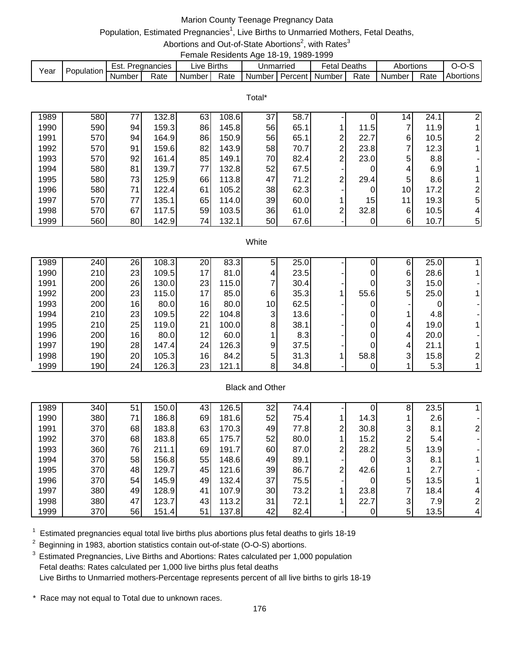# Marion County Teenage Pregnancy Data

# Population, Estimated Pregnancies<sup>1</sup>, Live Births to Unmarried Mothers, Fetal Deaths,

Abortions and Out-of-State Abortions<sup>2</sup>, with Rates<sup>3</sup> Female Residents Age 18-19, 1989-1999

| Year | Population | Est. .   | Pregnancies | ∟ive Births |      | Unmarried                                                 | <b>Fetal Deaths</b> |      | Abortions |      |                  |
|------|------------|----------|-------------|-------------|------|-----------------------------------------------------------|---------------------|------|-----------|------|------------------|
|      |            | Number I | Rate        | Number      | Rate | <b>I</b> Number <i>I</i> Percent <i>I</i> Number <i>I</i> |                     | Rate | Number I  | Rate | <b>Abortions</b> |

|      |     |    |       |    |       | Total* |      |                |      |    |      |                |
|------|-----|----|-------|----|-------|--------|------|----------------|------|----|------|----------------|
| 1989 | 580 | 77 | 132.8 | 63 | 108.6 | 37     | 58.7 |                |      | 14 | 24.1 | 2              |
| 1990 | 590 | 94 | 159.3 | 86 | 145.8 | 56     | 65.1 |                | 11.5 | ⇁  | 11.9 |                |
| 1991 | 570 | 94 | 164.9 | 86 | 150.9 | 56     | 65.1 | $\overline{2}$ | 22.7 | 6  | 10.5 | $\overline{2}$ |
| 1992 | 570 | 91 | 159.6 | 82 | 143.9 | 58     | 70.7 | $\overline{2}$ | 23.8 | 7  | 12.3 |                |
| 1993 | 570 | 92 | 161.4 | 85 | 149.1 | 70     | 82.4 | $\overline{2}$ | 23.0 | 5  | 8.8  |                |
| 1994 | 580 | 81 | 139.7 | 77 | 132.8 | 52     | 67.5 | ۰.             | 0    | 4  | 6.9  |                |
| 1995 | 580 | 73 | 125.9 | 66 | 113.8 | 47     | 71.2 | $\overline{2}$ | 29.4 | 5  | 8.6  |                |
| 1996 | 580 | 71 | 122.4 | 61 | 105.2 | 38     | 62.3 |                | 0    | 10 | 17.2 | $\overline{2}$ |
| 1997 | 570 | 77 | 135.1 | 65 | 114.0 | 39     | 60.0 |                | 15   | 11 | 19.3 | 5              |
| 1998 | 570 | 67 | 117.5 | 59 | 103.5 | 36     | 61.0 | 2 <sub>1</sub> | 32.8 | 6  | 10.5 | 4              |
| 1999 | 560 | 80 | 142.9 | 74 | 132.1 | 50     | 67.6 |                | 0    | 6  | 10.7 | 5 <sup>1</sup> |

#### White

| 1989 | 240 | 26 | 108.3 | 20 | 83.3  | 5               | 25.0 |      | 6              | 25.0  |  |
|------|-----|----|-------|----|-------|-----------------|------|------|----------------|-------|--|
| 1990 | 210 | 23 | 109.5 | 17 | 81.0  | 4               | 23.5 | 0    | 61             | 28.6  |  |
| 1991 | 200 | 26 | 130.0 | 23 | 115.0 |                 | 30.4 | 0    | 3              | 15.01 |  |
| 1992 | 200 | 23 | 115.0 | 17 | 85.0  | 6               | 35.3 | 55.6 | 5 <sub>l</sub> | 25.0  |  |
| 1993 | 200 | 16 | 80.0  | 16 | 80.0  | 10 <sup>1</sup> | 62.5 | 0    |                |       |  |
| 1994 | 210 | 23 | 109.5 | 22 | 104.8 | 3               | 13.6 | 0    |                | 4.8   |  |
| 1995 | 210 | 25 | 119.0 | 21 | 100.0 | 8               | 38.1 | 0    | 4              | 19.0  |  |
| 1996 | 200 | 16 | 80.0  | 12 | 60.0  |                 | 8.3  | 0    | 4              | 20.0  |  |
| 1997 | 190 | 28 | 147.4 | 24 | 126.3 | 9               | 37.5 |      | 4              | 21.1  |  |
| 1998 | 190 | 20 | 105.3 | 16 | 84.2  | 5               | 31.3 | 58.8 | 3              | 15.8  |  |
| 1999 | 190 | 24 | 126.3 | 23 | 121.1 | 8               | 34.8 |      |                | 5.3   |  |

### Black and Other

| 1989 | 340 | 51 | 150.0 | 43 | 126.5 | 32 | 74.4 |   |      | 8 | 23.5 |   |
|------|-----|----|-------|----|-------|----|------|---|------|---|------|---|
| 1990 | 380 | 71 | 186.8 | 69 | 181.6 | 52 | 75.4 |   | 14.3 |   | 2.6  |   |
| 1991 | 370 | 68 | 183.8 | 63 | 170.3 | 49 | 77.8 | 2 | 30.8 | 3 | 8.1  |   |
| 1992 | 370 | 68 | 183.8 | 65 | 175.7 | 52 | 80.0 |   | 15.2 | ົ | 5.4  |   |
| 1993 | 360 | 76 | 211.1 | 69 | 191.7 | 60 | 87.0 | 2 | 28.2 | 5 | 13.9 |   |
| 1994 | 370 | 58 | 156.8 | 55 | 148.6 | 49 | 89.1 |   | 0    | 3 | 8.1  |   |
| 1995 | 370 | 48 | 129.7 | 45 | 121.6 | 39 | 86.7 | 2 | 42.6 |   | 2.7  |   |
| 1996 | 370 | 54 | 145.9 | 49 | 132.4 | 37 | 75.5 |   |      | 5 | 13.5 |   |
| 1997 | 380 | 49 | 128.9 | 41 | 107.9 | 30 | 73.2 |   | 23.8 |   | 18.4 | 4 |
| 1998 | 380 | 47 | 123.7 | 43 | 113.2 | 31 | 72.1 |   | 22.7 | 3 | 7.9  |   |
| 1999 | 370 | 56 | 151.4 | 51 | 137.8 | 42 | 82.4 |   | 0    | 5 | 13.5 | 4 |

 $1$  Estimated pregnancies equal total live births plus abortions plus fetal deaths to girls 18-19

 $2$  Beginning in 1983, abortion statistics contain out-of-state (O-O-S) abortions.

<sup>3</sup> Estimated Pregnancies, Live Births and Abortions: Rates calculated per 1,000 population Fetal deaths: Rates calculated per 1,000 live births plus fetal deaths Live Births to Unmarried mothers-Percentage represents percent of all live births to girls 18-19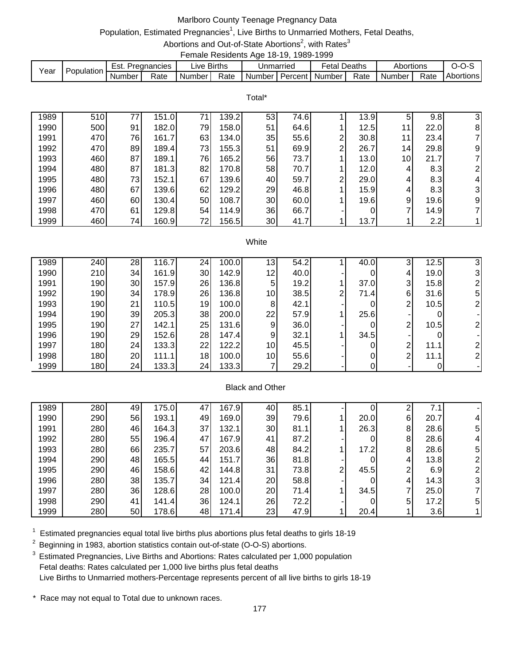## Marlboro County Teenage Pregnancy Data

# Population, Estimated Pregnancies<sup>1</sup>, Live Births to Unmarried Mothers, Fetal Deaths,

Abortions and Out-of-State Abortions<sup>2</sup>, with Rates<sup>3</sup> Female Residents Age 18-19, 1989-1999

| Year | Population | Est. .<br>Pregnancies |      | ∟ive Births |      | Unmarried                                                 |  | <b>Fetal Deaths</b> |      | Abortions |      |                  |  |  |
|------|------------|-----------------------|------|-------------|------|-----------------------------------------------------------|--|---------------------|------|-----------|------|------------------|--|--|
|      |            | Number I              | Rate | Number      | Rate | <b>I</b> Number <i>I</i> Percent <i>I</i> Number <i>I</i> |  |                     | Rate | Number I  | Rate | <b>Abortions</b> |  |  |

|      |     |    |       |    |       | Total* |      |                |      |                 |      |                |
|------|-----|----|-------|----|-------|--------|------|----------------|------|-----------------|------|----------------|
| 1989 | 510 | 77 | 151.0 | 71 | 139.2 | 53     | 74.6 |                | 13.9 | 5               | 9.8  | 3              |
| 1990 | 500 | 91 | 182.0 | 79 | 158.0 | 51     | 64.6 |                | 12.5 | 11              | 22.0 | 8              |
| 1991 | 470 | 76 | 161.7 | 63 | 134.0 | 35     | 55.6 | 2              | 30.8 | 11              | 23.4 | 71             |
| 1992 | 470 | 89 | 189.4 | 73 | 155.3 | 51     | 69.9 | 2 <sub>1</sub> | 26.7 | 14 <sub>1</sub> | 29.8 | 9              |
| 1993 | 460 | 87 | 189.1 | 76 | 165.2 | 56     | 73.7 |                | 13.0 | 10 <sup>1</sup> | 21.7 | $\overline{7}$ |
| 1994 | 480 | 87 | 181.3 | 82 | 170.8 | 58     | 70.7 |                | 12.0 | 4               | 8.3  | $\overline{2}$ |
| 1995 | 480 | 73 | 152.1 | 67 | 139.6 | 40     | 59.7 | 2              | 29.0 | 4               | 8.3  | $\overline{4}$ |
| 1996 | 480 | 67 | 139.6 | 62 | 129.2 | 29     | 46.8 |                | 15.9 | 4               | 8.3  | 3              |
| 1997 | 460 | 60 | 130.4 | 50 | 108.7 | 30     | 60.0 |                | 19.6 | 9               | 19.6 | 9              |
| 1998 | 470 | 61 | 129.8 | 54 | 114.9 | 36     | 66.7 |                | 0    | ⇁               | 14.9 | 71             |
| 1999 | 460 | 74 | 160.9 | 72 | 156.5 | 30     | 41.7 |                | 13.7 |                 | 2.2  |                |
|      |     |    |       |    |       |        |      |                |      |                 |      |                |

#### **White**

| 1989 | 240              | 28  | 116.7 | 24 <sub>l</sub> | 100.0 | 13              | 54.2 |   | 40.0 | ົ<br>C. | 12.5 |    |
|------|------------------|-----|-------|-----------------|-------|-----------------|------|---|------|---------|------|----|
| 1990 | 210 <sub>1</sub> | 34I | 161.9 | 30              | 142.9 | 12              | 40.0 |   |      | 4       | 19.0 | 31 |
| 1991 | 190 <sup>1</sup> | 30  | 157.9 | 26              | 136.8 | 5               | 19.2 |   | 37.0 | 3       | 15.8 |    |
| 1992 | 190              | 34  | 178.9 | 26              | 136.8 | 10              | 38.5 | ◠ | 71.4 | 6       | 31.6 | 5  |
| 1993 | 190              | 211 | 110.5 | 19 <sup>l</sup> | 100.0 | 8               | 42.1 |   |      | ⌒       | 10.5 |    |
| 1994 | 190 <sup>1</sup> | 39  | 205.3 | 38              | 200.0 | 22              | 57.9 |   | 25.6 |         |      |    |
| 1995 | 190              | 27  | 142.1 | 25              | 131.6 | 9               | 36.0 |   |      | ⌒       | 10.5 |    |
| 1996 | 190              | 29  | 152.6 | 28              | 147.4 | 9 <sub>l</sub>  | 32.1 |   | 34.5 |         |      |    |
| 1997 | 180              | 24  | 133.3 | 22              | 122.2 | 10              | 45.5 |   |      | ົ       | 11.1 |    |
| 1998 | 180 <sup>1</sup> | 20  | 111.1 | 18              | 100.0 | 10 <sub>l</sub> | 55.6 |   |      | ົ       | 11.1 |    |
| 1999 | 180              | 24  | 133.3 | 24              | 133.3 |                 | 29.2 |   |      |         |      |    |

### Black and Other

| 1989 | 280 | 49 | 175.0 | 47 | 167.9 | 40 | 85.1 |   |      | ⌒ |      |   |
|------|-----|----|-------|----|-------|----|------|---|------|---|------|---|
| 1990 | 290 | 56 | 193.1 | 49 | 169.0 | 39 | 79.6 |   | 20.0 | 6 | 20.7 |   |
| 1991 | 280 | 46 | 164.3 | 37 | 132.1 | 30 | 81.1 |   | 26.3 | 8 | 28.6 | 5 |
| 1992 | 280 | 55 | 196.4 | 47 | 167.9 | 41 | 87.2 |   |      | 8 | 28.6 |   |
| 1993 | 280 | 66 | 235.7 | 57 | 203.6 | 48 | 84.2 |   | 17.2 | 8 | 28.6 | 5 |
| 1994 | 290 | 48 | 165.5 | 44 | 151.7 | 36 | 81.8 |   |      | 4 | 13.8 |   |
| 1995 | 290 | 46 | 158.6 | 42 | 144.8 | 31 | 73.8 | っ | 45.5 | 2 | 6.9  |   |
| 1996 | 280 | 38 | 135.7 | 34 | 121.4 | 20 | 58.8 |   |      | 4 | 14.3 | 3 |
| 1997 | 280 | 36 | 128.6 | 28 | 100.0 | 20 | 71.4 |   | 34.5 | ⇁ | 25.0 |   |
| 1998 | 290 | 41 | 141.4 | 36 | 124.1 | 26 | 72.2 |   |      | 5 | 17.2 | 5 |
| 1999 | 280 | 50 | 178.6 | 48 | 171.4 | 23 | 47.9 |   | 20.4 |   | 3.6  |   |

 $1$  Estimated pregnancies equal total live births plus abortions plus fetal deaths to girls 18-19

 $2$  Beginning in 1983, abortion statistics contain out-of-state (O-O-S) abortions.

<sup>3</sup> Estimated Pregnancies, Live Births and Abortions: Rates calculated per 1,000 population Fetal deaths: Rates calculated per 1,000 live births plus fetal deaths Live Births to Unmarried mothers-Percentage represents percent of all live births to girls 18-19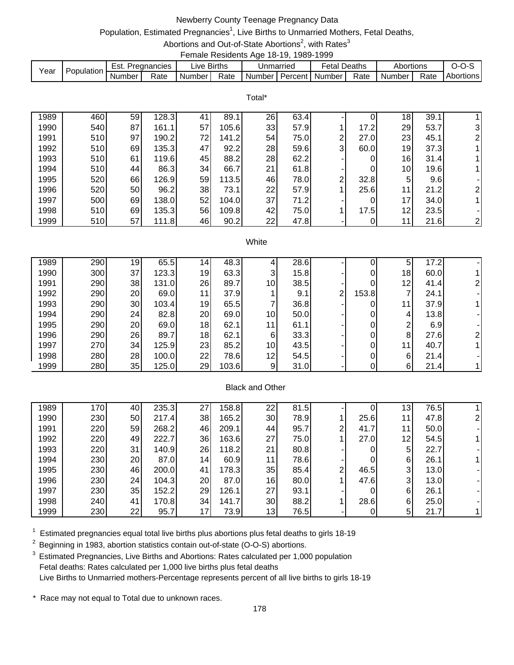# Newberry County Teenage Pregnancy Data

# Population, Estimated Pregnancies<sup>1</sup>, Live Births to Unmarried Mothers, Fetal Deaths,

Abortions and Out-of-State Abortions<sup>2</sup>, with Rates<sup>3</sup> Female Residents Age 18-19, 1989-1999

| Year | <b>Population</b> | Est.   | . Pregnancies | ive Births. |      |                           | Jnmarried | Fetal Deaths |      | Abortions |      | ---              |
|------|-------------------|--------|---------------|-------------|------|---------------------------|-----------|--------------|------|-----------|------|------------------|
|      |                   | Number | Rate          | Number      | Rate | Number   Percent   Number |           |              | Rate | Number i  | Rate | <b>Abortions</b> |

|      | Total* |    |       |    |       |    |      |                |      |                 |      |                           |  |  |
|------|--------|----|-------|----|-------|----|------|----------------|------|-----------------|------|---------------------------|--|--|
| 1989 | 460    | 59 | 128.3 | 41 | 89.   | 26 | 63.4 |                |      | 18              | 39.1 |                           |  |  |
| 1990 | 540    | 87 | 161.1 | 57 | 105.6 | 33 | 57.9 |                | 17.2 | 29              | 53.7 | 31                        |  |  |
| 1991 | 510    | 97 | 190.2 | 72 | 141.2 | 54 | 75.0 | $\overline{2}$ | 27.0 | 23              | 45.1 | 2 <sub>1</sub>            |  |  |
| 1992 | 510    | 69 | 135.3 | 47 | 92.2  | 28 | 59.6 | 3 <sub>l</sub> | 60.0 | 19              | 37.3 |                           |  |  |
| 1993 | 510    | 61 | 119.6 | 45 | 88.2  | 28 | 62.2 |                | 0    | 16              | 31.4 |                           |  |  |
| 1994 | 510    | 44 | 86.3  | 34 | 66.7  | 21 | 61.8 |                | 0    | 10 <sup>1</sup> | 19.6 |                           |  |  |
| 1995 | 520    | 66 | 126.9 | 59 | 113.5 | 46 | 78.0 | 2 <sub>1</sub> | 32.8 | 5               | 9.6  |                           |  |  |
| 1996 | 520    | 50 | 96.2  | 38 | 73.1  | 22 | 57.9 |                | 25.6 | 11              | 21.2 | $\overline{2}$            |  |  |
| 1997 | 500    | 69 | 138.0 | 52 | 104.0 | 37 | 71.2 |                | 0    | 17              | 34.0 |                           |  |  |
| 1998 | 510    | 69 | 135.3 | 56 | 109.8 | 42 | 75.0 |                | 17.5 | 12              | 23.5 |                           |  |  |
| 1999 | 510    | 57 | 111.8 | 46 | 90.2  | 22 | 47.8 |                |      |                 | 21.6 | $\mathbf{2}_{\mathsf{I}}$ |  |  |

#### **White**

| 1989 | 290 | 19              | 65.5  | 14.             | 48.3  |                | 28.6 |                |       | 5  | 17.2 |  |
|------|-----|-----------------|-------|-----------------|-------|----------------|------|----------------|-------|----|------|--|
| 1990 | 300 | 37              | 123.3 | 19              | 63.3  | 3              | 15.8 |                |       | 18 | 60.0 |  |
| 1991 | 290 | 38              | 131.0 | 26              | 89.7  | 10             | 38.5 |                |       | 12 | 41.4 |  |
| 1992 | 290 | 20              | 69.0  | 11              | 37.9  |                | 9.1  | 2 <sub>1</sub> | 153.8 |    | 24.1 |  |
| 1993 | 290 | 30 <sup>1</sup> | 103.4 | 19              | 65.5  | ⇁              | 36.8 |                | 0     | 11 | 37.9 |  |
| 1994 | 290 | 24              | 82.8  | 20              | 69.0  | 10             | 50.0 |                |       | 4  | 13.8 |  |
| 1995 | 290 | 20              | 69.0  | 18              | 62.1  | 11             | 61.1 |                |       | ⌒  | 6.9  |  |
| 1996 | 290 | 26              | 89.7  | 18 <sub>l</sub> | 62.1  | 6              | 33.3 |                |       | 8  | 27.6 |  |
| 1997 | 270 | 34              | 125.9 | 23              | 85.2  | 10             | 43.5 |                | 0     | 11 | 40.7 |  |
| 1998 | 280 | 28              | 100.0 | 22              | 78.6  | 12             | 54.5 |                |       | 6  | 21.4 |  |
| 1999 | 280 | 35              | 125.0 | 29              | 103.6 | 9 <sub>l</sub> | 31.0 |                |       | 6  | 21.4 |  |

### Black and Other

| 1989 | 170 <sub>1</sub> | 40 | 235.3 | 27              | 158.8 | 22 <sub>1</sub> | 81.5 |   |      | 13              | 76.5 |  |
|------|------------------|----|-------|-----------------|-------|-----------------|------|---|------|-----------------|------|--|
| 1990 | 230              | 50 | 217.4 | 38              | 165.2 | 30              | 78.9 |   | 25.6 | 11              | 47.8 |  |
| 1991 | 220              | 59 | 268.2 | 46              | 209.1 | 441             | 95.7 | 2 | 41.7 | 11              | 50.0 |  |
| 1992 | 220              | 49 | 222.7 | 36              | 163.6 | 27              | 75.0 |   | 27.0 | 12 <sub>1</sub> | 54.5 |  |
| 1993 | 220              | 31 | 140.9 | 26              | 118.2 | 21              | 80.8 |   | 0    | 5               | 22.7 |  |
| 1994 | 230              | 20 | 87.0  | 14 <sub>1</sub> | 60.9  | 11              | 78.6 |   |      | 6               | 26.1 |  |
| 1995 | 230              | 46 | 200.0 | 41              | 178.3 | 35              | 85.4 | っ | 46.5 | 3               | 13.0 |  |
| 1996 | 230              | 24 | 104.3 | 20              | 87.0  | 16              | 80.0 |   | 47.6 | 3               | 13.0 |  |
| 1997 | 230              | 35 | 152.2 | 29              | 126.1 | 27              | 93.1 |   |      | 6               | 26.1 |  |
| 1998 | 240              | 41 | 170.8 | 34              | 141.7 | 30              | 88.2 |   | 28.6 | 6               | 25.0 |  |
| 1999 | 230              | 22 | 95.7  | 17              | 73.9  | 13              | 76.5 |   | 0    | 5               | 21.7 |  |

 $1$  Estimated pregnancies equal total live births plus abortions plus fetal deaths to girls 18-19

 $2$  Beginning in 1983, abortion statistics contain out-of-state (O-O-S) abortions.

<sup>3</sup> Estimated Pregnancies, Live Births and Abortions: Rates calculated per 1,000 population Fetal deaths: Rates calculated per 1,000 live births plus fetal deaths Live Births to Unmarried mothers-Percentage represents percent of all live births to girls 18-19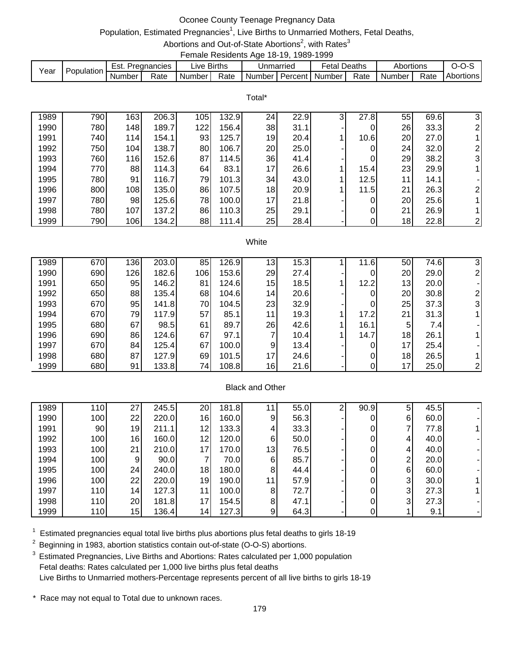# Oconee County Teenage Pregnancy Data

# Population, Estimated Pregnancies<sup>1</sup>, Live Births to Unmarried Mothers, Fetal Deaths,

Abortions and Out-of-State Abortions<sup>2</sup>, with Rates<sup>3</sup> Female Residents Age 18-19, 1989-1999

| Year | Population | Est. .   | Pregnancies | ∟ive Births |      | Unmarried                                                 | <b>Fetal Deaths</b> |      | Abortions |      |                  |
|------|------------|----------|-------------|-------------|------|-----------------------------------------------------------|---------------------|------|-----------|------|------------------|
|      |            | Number I | Rate        | Number      | Rate | <b>I</b> Number <i>I</i> Percent <i>I</i> Number <i>I</i> |                     | Rate | Number I  | Rate | <b>Abortions</b> |

Total\*

| 1989 | 790 | 163 | 206.3 | 105 | 132.9 | 24 <sub>l</sub> | 22.9 | $\overline{3}$ | 27.8 | 55 | 69.6 | 3              |
|------|-----|-----|-------|-----|-------|-----------------|------|----------------|------|----|------|----------------|
| 1990 | 780 | 148 | 189.7 | 122 | 156.4 | 38              | 31.1 |                |      | 26 | 33.3 | $\overline{2}$ |
| 1991 | 740 | 114 | 154.1 | 93  | 125.7 | 19              | 20.4 |                | 10.6 | 20 | 27.0 |                |
| 1992 | 750 | 104 | 138.7 | 801 | 106.7 | 20              | 25.0 |                |      | 24 | 32.0 | 2 <sub>1</sub> |
| 1993 | 760 | 116 | 152.6 | 87  | 114.5 | 36              | 41.4 |                |      | 29 | 38.2 | 3              |
| 1994 | 770 | 88  | 114.3 | 64  | 83.1  | 17              | 26.6 |                | 15.4 | 23 | 29.9 |                |
| 1995 | 780 | 91  | 116.7 | 79  | 101.3 | 34              | 43.0 |                | 12.5 | 11 | 14.1 |                |
| 1996 | 800 | 108 | 135.0 | 86  | 107.5 | 18 <sub>l</sub> | 20.9 |                | 11.5 | 21 | 26.3 | $\overline{2}$ |
| 1997 | 780 | 98  | 125.6 | 78  | 100.0 | 17              | 21.8 |                |      | 20 | 25.6 |                |
| 1998 | 780 | 107 | 137.2 | 861 | 110.3 | 25              | 29.1 |                |      | 21 | 26.9 |                |
| 1999 | 790 | 106 | 134.2 | 88  | 111.4 | 25              | 28.4 |                |      | 18 | 22.8 | $\overline{2}$ |

#### **White**

| 1989 | 670 | 136 | 203.0 | 85  | 126.9 | 13              | 15.3 | 11.6 | 50              | 74.6 |   |
|------|-----|-----|-------|-----|-------|-----------------|------|------|-----------------|------|---|
| 1990 | 690 | 126 | 182.6 | 106 | 153.6 | 29              | 27.4 | 0    | 20              | 29.0 |   |
| 1991 | 650 | 95  | 146.2 | 81  | 124.6 | 15              | 18.5 | 12.2 | 13              | 20.0 |   |
| 1992 | 650 | 88  | 135.4 | 68  | 104.6 | 14 <sub>1</sub> | 20.6 | 0    | 20              | 30.8 |   |
| 1993 | 670 | 95  | 141.8 | 70  | 104.5 | 23              | 32.9 | 0    | 25              | 37.3 | 3 |
| 1994 | 670 | 79  | 117.9 | 57  | 85.1  | 11              | 19.3 | 17.2 | 21              | 31.3 |   |
| 1995 | 680 | 67  | 98.5  | 61  | 89.7  | 26              | 42.6 | 16.1 | 5               | 7.4  |   |
| 1996 | 690 | 86  | 124.6 | 67  | 97.1  | 7               | 10.4 | 14.7 | 18              | 26.1 |   |
| 1997 | 670 | 84  | 125.4 | 67  | 100.0 | 9               | 13.4 | 0    | 17 <sub>l</sub> | 25.4 |   |
| 1998 | 680 | 87  | 127.9 | 69  | 101.5 | 17              | 24.6 | 0    | 18              | 26.5 |   |
| 1999 | 680 | 91  | 133.8 | 74  | 108.8 | 16              | 21.6 | 0    | 17              | 25.0 |   |

### Black and Other

| 1989 | 110 | 27 | 245.5 | 20 | 181.8 |    | 55.0 | ົ | 90.9 | 5            | 45.5 |  |
|------|-----|----|-------|----|-------|----|------|---|------|--------------|------|--|
| 1990 | 100 | 22 | 220.0 | 16 | 160.0 | 9  | 56.3 |   | 0    | 6            | 60.0 |  |
| 1991 | 90  | 19 | 211.1 | 12 | 133.3 | 4  | 33.3 |   | 0    |              | 77.8 |  |
| 1992 | 100 | 16 | 160.0 | 12 | 120.0 | 61 | 50.0 |   | 0    | 4            | 40.0 |  |
| 1993 | 100 | 21 | 210.0 | 17 | 170.0 | 13 | 76.5 |   | 0    | 4            | 40.0 |  |
| 1994 | 100 | 9  | 90.0  |    | 70.0  | 61 | 85.7 |   | 0    | ⌒            | 20.0 |  |
| 1995 | 100 | 24 | 240.0 | 18 | 180.0 | 8  | 44.4 |   | 0    | 6            | 60.0 |  |
| 1996 | 100 | 22 | 220.0 | 19 | 190.0 | 11 | 57.9 |   | 0    | 3            | 30.0 |  |
| 1997 | 110 | 14 | 127.3 | 11 | 100.0 | 8  | 72.7 |   | 0    | $\mathbf{3}$ | 27.3 |  |
| 1998 | 110 | 20 | 181.8 | 17 | 154.5 | 8  | 47.1 |   | 0    | 3            | 27.3 |  |
| 1999 | 110 | 15 | 136.4 | 14 | 127.3 | 9  | 64.3 |   |      |              | 9.1  |  |

 $1$  Estimated pregnancies equal total live births plus abortions plus fetal deaths to girls 18-19

 $2$  Beginning in 1983, abortion statistics contain out-of-state (O-O-S) abortions.

<sup>3</sup> Estimated Pregnancies, Live Births and Abortions: Rates calculated per 1,000 population Fetal deaths: Rates calculated per 1,000 live births plus fetal deaths Live Births to Unmarried mothers-Percentage represents percent of all live births to girls 18-19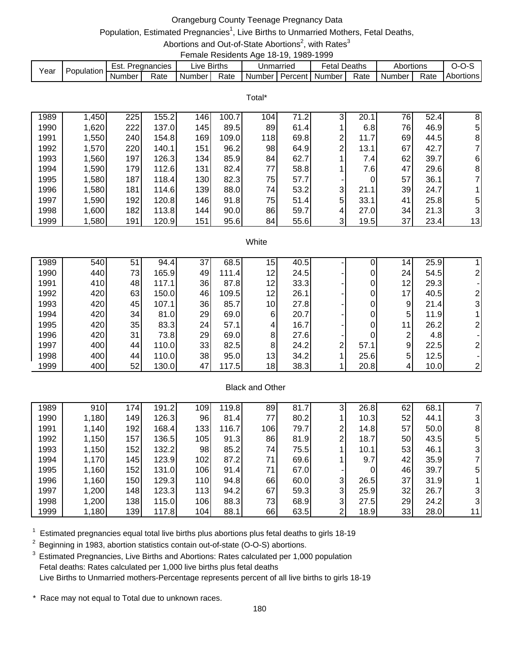## Orangeburg County Teenage Pregnancy Data

# Population, Estimated Pregnancies<sup>1</sup>, Live Births to Unmarried Mothers, Fetal Deaths,

Abortions and Out-of-State Abortions<sup>2</sup>, with Rates<sup>3</sup> Female Residents Age 18-19, 1989-1999

| Year | Population |        | Est. Pregnancies | ∟ive Births |      | Unmarried                 | <b>Fetal Deaths</b> |      | Abortions |      | $0 - 0 - 5$      |
|------|------------|--------|------------------|-------------|------|---------------------------|---------------------|------|-----------|------|------------------|
|      |            | Number | Rate             | Number I    | Rate | Number   Percent   Number |                     | Rate | Number I  | Rate | <b>Abortions</b> |

Total\*

| 1989 | 1,450 | 225 | 155.2 | 146 | 100.7 | 104 | 71.2 | $\mathbf{3}$   | 20.1 | 76 | 52.4 | 8              |
|------|-------|-----|-------|-----|-------|-----|------|----------------|------|----|------|----------------|
| 1990 | 1,620 | 222 | 137.0 | 145 | 89.5  | 89  | 61.4 |                | 6.8  | 76 | 46.9 | 5              |
| 1991 | 1,550 | 240 | 154.8 | 169 | 109.0 | 118 | 69.8 | ົ              | 11.7 | 69 | 44.5 | 8              |
| 1992 | 1,570 | 220 | 140.1 | 151 | 96.2  | 98  | 64.9 | 2              | 13.1 | 67 | 42.7 |                |
| 1993 | 1,560 | 197 | 126.3 | 134 | 85.9  | 84  | 62.7 |                | 7.4  | 62 | 39.7 | 6              |
| 1994 | 1,590 | 179 | 112.6 | 131 | 82.4  | 77  | 58.8 |                | 7.6  | 47 | 29.6 | 8              |
| 1995 | 1,580 | 187 | 118.4 | 130 | 82.3  | 75  | 57.7 |                |      | 57 | 36.1 |                |
| 1996 | 1,580 | 181 | 114.6 | 139 | 88.0  | 74  | 53.2 | $\mathbf{3}$   | 21.1 | 39 | 24.7 |                |
| 1997 | 1,590 | 192 | 120.8 | 146 | 91.8  | 75  | 51.4 | 5 <sup>1</sup> | 33.1 | 41 | 25.8 | 51             |
| 1998 | 1,600 | 182 | 113.8 | 144 | 90.0  | 86  | 59.7 | 4              | 27.0 | 34 | 21.3 | $\overline{3}$ |
| 1999 | 1,580 | 191 | 120.9 | 151 | 95.6  | 84  | 55.6 | 3              | 19.5 | 37 | 23.4 | 13             |

#### **White**

| 1989 | 540 | 51 | 94.4  | 37 | 68.5  | 15              | 40.5 |   |      | 14 | 25.9 |                |
|------|-----|----|-------|----|-------|-----------------|------|---|------|----|------|----------------|
| 1990 | 440 | 73 | 165.9 | 49 | 111.4 | 12              | 24.5 |   |      | 24 | 54.5 |                |
| 1991 | 410 | 48 | 117.1 | 36 | 87.8  | 12 <sub>1</sub> | 33.3 |   |      | 12 | 29.3 |                |
| 1992 | 420 | 63 | 150.0 | 46 | 109.5 | 12              | 26.1 |   |      | 17 | 40.5 |                |
| 1993 | 420 | 45 | 107.1 | 36 | 85.7  | 10 <sub>1</sub> | 27.8 |   |      | 9  | 21.4 | $\overline{3}$ |
| 1994 | 420 | 34 | 81.0  | 29 | 69.0  | 6               | 20.7 |   |      | 5  | 11.9 |                |
| 1995 | 420 | 35 | 83.3  | 24 | 57.1  | 4               | 16.7 |   |      | 11 | 26.2 |                |
| 1996 | 420 | 31 | 73.8  | 29 | 69.0  | 8               | 27.6 |   |      | ⌒  | 4.8  |                |
| 1997 | 400 | 44 | 110.0 | 33 | 82.5  | 8               | 24.2 | ົ | 57.1 | 9  | 22.5 |                |
| 1998 | 400 | 44 | 110.0 | 38 | 95.0  | 13 <sub>1</sub> | 34.2 |   | 25.6 | 5  | 12.5 |                |
| 1999 | 400 | 52 | 130.0 | 47 | 117.5 | 18              | 38.3 |   | 20.8 | 4  | 10.0 |                |

### Black and Other

| 1989 | 910   | 174 | 191.2 | 109 <sub>1</sub> | 119.8 | 89  | 81.7 |   | 26.8 | 62              | 68.1 |    |
|------|-------|-----|-------|------------------|-------|-----|------|---|------|-----------------|------|----|
| 1990 | 1,180 | 149 | 126.3 | 96               | 81.4  | 77  | 80.2 |   | 10.3 | 52              | 44.1 |    |
| 1991 | 1,140 | 192 | 168.4 | 133              | 116.7 | 106 | 79.7 | 2 | 14.8 | 57              | 50.0 | 8  |
| 1992 | 1,150 | 157 | 136.5 | 105              | 91.3  | 86  | 81.9 | າ | 18.7 | 50              | 43.5 | 5  |
| 1993 | 1,150 | 152 | 132.2 | 98               | 85.2  | 74  | 75.5 |   | 10.1 | 53              | 46.1 | 3  |
| 1994 | 1,170 | 145 | 123.9 | 102              | 87.2  | 71  | 69.6 |   | 9.7  | 42              | 35.9 |    |
| 1995 | 1,160 | 152 | 131.0 | 106              | 91.4  | 71  | 67.0 |   | 0    | 46              | 39.7 | 5  |
| 1996 | 1,160 | 150 | 129.3 | 110              | 94.8  | 66  | 60.0 | 3 | 26.5 | 37              | 31.9 |    |
| 1997 | 1,200 | 148 | 123.3 | 113              | 94.2  | 67  | 59.3 | 3 | 25.9 | 32 <sub>2</sub> | 26.7 |    |
| 1998 | 1,200 | 138 | 115.0 | 106              | 88.3  | 73  | 68.9 | 3 | 27.5 | 29              | 24.2 |    |
| 1999 | 1,180 | 139 | 117.8 | 104              | 88.1  | 66  | 63.5 | ົ | 18.9 | 33              | 28.0 | 11 |

 $1$  Estimated pregnancies equal total live births plus abortions plus fetal deaths to girls 18-19

 $2$  Beginning in 1983, abortion statistics contain out-of-state (O-O-S) abortions.

<sup>3</sup> Estimated Pregnancies, Live Births and Abortions: Rates calculated per 1,000 population Fetal deaths: Rates calculated per 1,000 live births plus fetal deaths Live Births to Unmarried mothers-Percentage represents percent of all live births to girls 18-19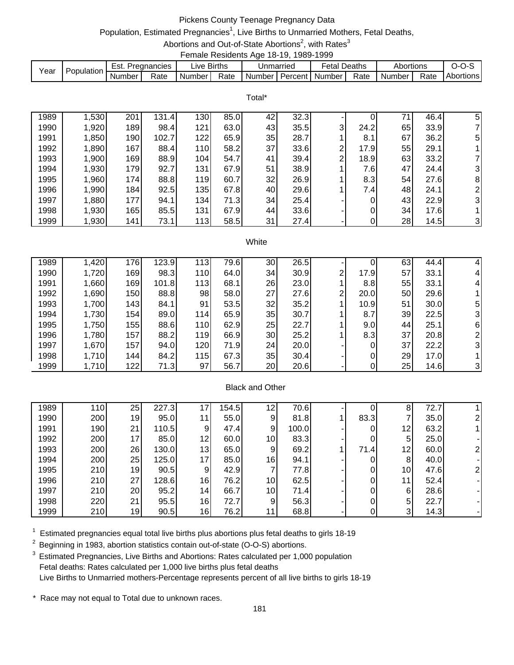# Pickens County Teenage Pregnancy Data

## Population, Estimated Pregnancies<sup>1</sup>, Live Births to Unmarried Mothers, Fetal Deaths,

Abortions and Out-of-State Abortions<sup>2</sup>, with Rates<sup>3</sup> Female Residents Age 18-19, 1989-1999

|      |            |        |               |             |      |                             | . |              |      |                     |      |           |
|------|------------|--------|---------------|-------------|------|-----------------------------|---|--------------|------|---------------------|------|-----------|
| Year | Population | Est.   | . Pregnancies | ∟ive Births |      | Unmarried                   |   | Fetal Deaths |      | Abortions           |      | $O-O-S$   |
|      |            | Number | Rate          | Number I    | Rate | I Number I Percent I Number |   |              | Rate | Number <sub>1</sub> | Rate | Abortions |

Total\*

| 1989 | 1,530 | 201 | 131.4 | 130 | 85.0 | 42 | 32.3 |   |            | 71 | 46.4 | 5              |
|------|-------|-----|-------|-----|------|----|------|---|------------|----|------|----------------|
| 1990 | 1,920 | 189 | 98.4  | 121 | 63.0 | 43 | 35.5 | 3 | 24.2       | 65 | 33.9 | 71             |
| 1991 | 1,850 | 190 | 102.7 | 122 | 65.9 | 35 | 28.7 |   | 8.1        | 67 | 36.2 | 5              |
| 1992 | 1,890 | 167 | 88.4  | 110 | 58.2 | 37 | 33.6 | 2 | 17.9       | 55 | 29.1 |                |
| 1993 | 1,900 | 169 | 88.9  | 104 | 54.7 | 41 | 39.4 | 2 | 18.9       | 63 | 33.2 |                |
| 1994 | 1,930 | 179 | 92.7  | 131 | 67.9 | 51 | 38.9 |   | $\sqrt{6}$ | 47 | 24.4 | 3              |
| 1995 | 1,960 | 174 | 88.8  | 119 | 60.7 | 32 | 26.9 |   | 8.3        | 54 | 27.6 | 8              |
| 1996 | 1,990 | 184 | 92.5  | 135 | 67.8 | 40 | 29.6 |   | 7.4        | 48 | 24.1 | $\overline{2}$ |
| 1997 | 1,880 | 177 | 94.1  | 134 | 71.3 | 34 | 25.4 |   |            | 43 | 22.9 | $\mathbf{3}$   |
| 1998 | 1,930 | 165 | 85.5  | 131 | 67.9 | 44 | 33.6 |   | 0          | 34 | 17.6 |                |
| 1999 | 1,930 | 141 | 73.1  | 113 | 58.5 | 31 | 27.4 |   |            | 28 | 14.5 | 3              |

#### White

| 1989 | ,420  | 176              | 123.9 | 113              | 79.6 | 30 | 26.5 |   |       | 63 | 44.4 | 4              |
|------|-------|------------------|-------|------------------|------|----|------|---|-------|----|------|----------------|
| 1990 | 1,720 | 169              | 98.3  | 110 <sub>l</sub> | 64.0 | 34 | 30.9 | ົ | 17.91 | 57 | 33.1 | 4              |
| 1991 | 1,660 | 169              | 101.8 | 113              | 68.1 | 26 | 23.0 |   | 8.8   | 55 | 33.1 | 4              |
| 1992 | 1,690 | 150              | 88.8  | 98               | 58.0 | 27 | 27.6 | 2 | 20.0  | 50 | 29.6 |                |
| 1993 | 1,700 | 143              | 84.1  | 91               | 53.5 | 32 | 35.2 |   | 10.9  | 51 | 30.0 | 51             |
| 1994 | 1,730 | 154              | 89.0  | 114              | 65.9 | 35 | 30.7 |   | 8.7   | 39 | 22.5 | 31             |
| 1995 | 1,750 | 155              | 88.6  | <b>110</b>       | 62.9 | 25 | 22.7 |   | 9.0   | 44 | 25.1 | 6              |
| 1996 | 1,780 | 157              | 88.2  | 119              | 66.9 | 30 | 25.2 |   | 8.3   | 37 | 20.8 |                |
| 1997 | 1,670 | 157 <sub>1</sub> | 94.0  | 120              | 71.9 | 24 | 20.0 |   |       | 37 | 22.2 | 31             |
| 1998 | 1,710 | 144              | 84.2  | 115              | 67.3 | 35 | 30.4 |   |       | 29 | 17.0 |                |
| 1999 | 1,710 | 122              | 71.3  | 97               | 56.7 | 20 | 20.6 |   |       | 25 | 14.6 | 3 <sup>1</sup> |

### Black and Other

| 1989 | 110 | 25 | 227.3 | 17 | 154.5 | 12              | 70.6  |      | 8               | 72.7 |  |
|------|-----|----|-------|----|-------|-----------------|-------|------|-----------------|------|--|
| 1990 | 200 | 19 | 95.0  | 11 | 55.0  | 9               | 81.8  | 83.3 |                 | 35.0 |  |
| 1991 | 190 | 21 | 110.5 | 9  | 47.4  | 9               | 100.0 | 0    | 12              | 63.2 |  |
| 1992 | 200 | 17 | 85.0  | 12 | 60.0  | 10 <sup>1</sup> | 83.3  | 0    | 5               | 25.0 |  |
| 1993 | 200 | 26 | 130.0 | 13 | 65.0  | 9               | 69.2  | 71.4 | 12              | 60.0 |  |
| 1994 | 200 | 25 | 125.0 | 17 | 85.0  | 16              | 94.1  | 0    | 8               | 40.0 |  |
| 1995 | 210 | 19 | 90.5  | 9  | 42.9  |                 | 77.8  | 0    | 10 <sub>l</sub> | 47.6 |  |
| 1996 | 210 | 27 | 128.6 | 16 | 76.2  | 10 <sub>l</sub> | 62.5  | 0    | 11              | 52.4 |  |
| 1997 | 210 | 20 | 95.2  | 14 | 66.7  | 10 <sup>1</sup> | 71.4  | 0    | 6               | 28.6 |  |
| 1998 | 220 | 21 | 95.5  | 16 | 72.7  | 9               | 56.3  | 0    | 5               | 22.7 |  |
| 1999 | 210 | 19 | 90.5  | 16 | 76.2  | 11              | 68.8  |      | 3               | 14.3 |  |

 $1$  Estimated pregnancies equal total live births plus abortions plus fetal deaths to girls 18-19

 $2$  Beginning in 1983, abortion statistics contain out-of-state (O-O-S) abortions.

<sup>3</sup> Estimated Pregnancies, Live Births and Abortions: Rates calculated per 1,000 population Fetal deaths: Rates calculated per 1,000 live births plus fetal deaths Live Births to Unmarried mothers-Percentage represents percent of all live births to girls 18-19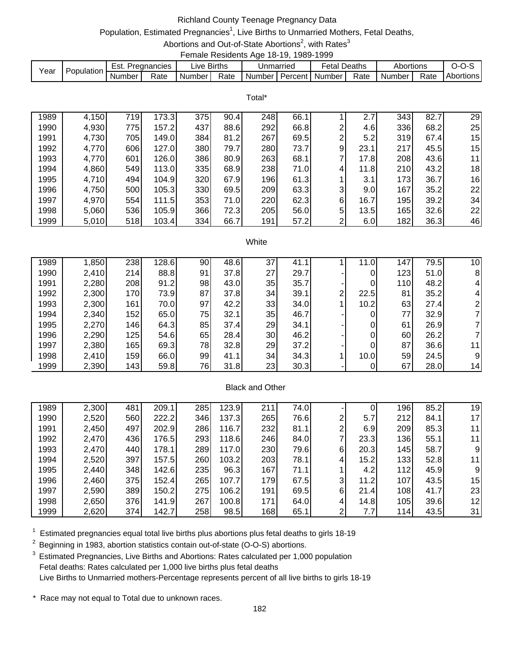# Richland County Teenage Pregnancy Data

## Population, Estimated Pregnancies<sup>1</sup>, Live Births to Unmarried Mothers, Fetal Deaths,

Abortions and Out-of-State Abortions<sup>2</sup>, with Rates<sup>3</sup> Female Residents Age 18-19, 1989-1999

|      |            |        |             | .             |      |           |                  |        |           |      |           |
|------|------------|--------|-------------|---------------|------|-----------|------------------|--------|-----------|------|-----------|
| Year | Population | Est.   | Pregnancies | ive Births.   |      | Jnmarried | Fetal            | Deaths | Abortions |      | J-U-J     |
|      |            | Number | Rate        | <b>Number</b> | Rate | Number I  | Percent I Number | Rate   | Number    | Rate | Abortions |

Total\*

| 1989 | 4,150 | 719 | 173.3 | 375 | 90.4 | 248              | 66.1 |                | 2.7  | 343 | 82.7 | 29              |
|------|-------|-----|-------|-----|------|------------------|------|----------------|------|-----|------|-----------------|
| 1990 | 4,930 | 775 | 157.2 | 437 | 88.6 | 292              | 66.8 | $\overline{2}$ | 4.6  | 336 | 68.2 | 25              |
| 1991 | 4,730 | 705 | 149.0 | 384 | 81.2 | 267              | 69.5 | 2              | 5.2  | 319 | 67.4 | 15              |
| 1992 | 4,770 | 606 | 127.0 | 380 | 79.7 | 280              | 73.7 | $\overline{9}$ | 23.1 | 217 | 45.5 | 15 <sub>l</sub> |
| 1993 | 4,770 | 601 | 126.0 | 386 | 80.9 | 263              | 68.1 |                | 17.8 | 208 | 43.6 | 11              |
| 1994 | 4,860 | 549 | 113.0 | 335 | 68.9 | 238              | 71.0 | $\overline{4}$ | 11.8 | 210 | 43.2 | 18              |
| 1995 | 4,710 | 494 | 104.9 | 320 | 67.9 | 196              | 61.3 |                | 3.1  | 173 | 36.7 | 16              |
| 1996 | 4,750 | 500 | 105.3 | 330 | 69.5 | 209              | 63.3 | 3 <sub>l</sub> | 9.0  | 167 | 35.2 | 22              |
| 1997 | 4,970 | 554 | 111.5 | 353 | 71.0 | 220              | 62.3 | $6 \mid$       | 16.7 | 195 | 39.2 | 34              |
| 1998 | 5,060 | 536 | 105.9 | 366 | 72.3 | 205              | 56.0 | 5 <sup>1</sup> | 13.5 | 165 | 32.6 | 22              |
| 1999 | 5,010 | 518 | 103.4 | 334 | 66.7 | 191 <sub>1</sub> | 57.2 | $\overline{2}$ | 6.0  | 182 | 36.3 | 46              |

#### **White**

| 1989 | 1,850 | 238        | 128.6 | 90 | 48.6 | 37 | 41.1 |   | 11.0 | 147 | 79.5 | 10 |
|------|-------|------------|-------|----|------|----|------|---|------|-----|------|----|
| 1990 | 2,410 | 214        | 88.8  | 91 | 37.8 | 27 | 29.7 |   | 0    | 123 | 51.0 | 8  |
| 1991 | 2,280 | 208        | 91.2  | 98 | 43.0 | 35 | 35.7 |   | 0    | 110 | 48.2 |    |
| 1992 | 2,300 | <b>170</b> | 73.9  | 87 | 37.8 | 34 | 39.1 | 2 | 22.5 | 81  | 35.2 |    |
| 1993 | 2,300 | 161        | 70.0  | 97 | 42.2 | 33 | 34.0 |   | 10.2 | 63  | 27.4 |    |
| 1994 | 2,340 | 152        | 65.0  | 75 | 32.1 | 35 | 46.7 |   | 0    | 77  | 32.9 |    |
| 1995 | 2,270 | 146        | 64.3  | 85 | 37.4 | 29 | 34.1 |   | 0    | 61  | 26.9 |    |
| 1996 | 2,290 | 125        | 54.6  | 65 | 28.4 | 30 | 46.2 |   | 0    | 60  | 26.2 |    |
| 1997 | 2,380 | 165        | 69.3  | 78 | 32.8 | 29 | 37.2 |   | 0    | 87  | 36.6 | 11 |
| 1998 | 2,410 | 159        | 66.0  | 99 | 41.1 | 34 | 34.3 |   | 10.0 | 59  | 24.5 | 9  |
| 1999 | 2,390 | 143        | 59.8  | 76 | 31.8 | 23 | 30.3 |   | 0    | 67  | 28.0 | 14 |

### Black and Other

| 1989 | 2,300 | 481 | 209.1 | 285 | 123.9 | 211              | 74.0 |   | 0    | 1961 | 85.2 | 19 |
|------|-------|-----|-------|-----|-------|------------------|------|---|------|------|------|----|
| 1990 | 2,520 | 560 | 222.2 | 346 | 137.3 | 265              | 76.6 | າ | 5.7  | 212  | 84.1 | 17 |
| 1991 | 2,450 | 497 | 202.9 | 286 | 116.7 | 232              | 81.1 | 2 | 6.9  | 209  | 85.3 | 11 |
| 1992 | 2,470 | 436 | 176.5 | 293 | 118.6 | 246              | 84.0 |   | 23.3 | 136  | 55.1 | 11 |
| 1993 | 2,470 | 440 | 178.1 | 289 | 117.0 | 230              | 79.6 | 6 | 20.3 | 145  | 58.7 | 9  |
| 1994 | 2,520 | 397 | 157.5 | 260 | 103.2 | 203              | 78.1 | 4 | 15.2 | 133  | 52.8 | 11 |
| 1995 | 2,440 | 348 | 142.6 | 235 | 96.3  | 167              | 71.1 |   | 4.2  | 112  | 45.9 | 9  |
| 1996 | 2,460 | 375 | 152.4 | 265 | 107.7 | 179              | 67.5 | 3 | 11.2 | 107  | 43.5 | 15 |
| 1997 | 2,590 | 389 | 150.2 | 275 | 106.2 | 191              | 69.5 | 6 | 21.4 | 108  | 41.7 | 23 |
| 1998 | 2,650 | 376 | 141.9 | 267 | 100.8 | 171 <sub>1</sub> | 64.0 | 4 | 14.8 | 105  | 39.6 | 12 |
| 1999 | 2,620 | 374 | 142.7 | 258 | 98.5  | 168              | 65.1 | ົ | 7.7  | 114  | 43.5 | 31 |

 $1$  Estimated pregnancies equal total live births plus abortions plus fetal deaths to girls 18-19

 $2$  Beginning in 1983, abortion statistics contain out-of-state (O-O-S) abortions.

<sup>3</sup> Estimated Pregnancies, Live Births and Abortions: Rates calculated per 1,000 population Fetal deaths: Rates calculated per 1,000 live births plus fetal deaths Live Births to Unmarried mothers-Percentage represents percent of all live births to girls 18-19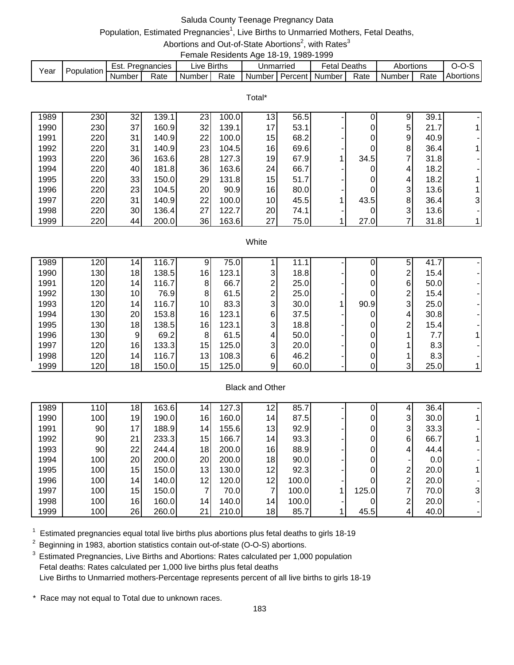# Saluda County Teenage Pregnancy Data

# Population, Estimated Pregnancies<sup>1</sup>, Live Births to Unmarried Mothers, Fetal Deaths,

Abortions and Out-of-State Abortions<sup>2</sup>, with Rates<sup>3</sup>

|      |            |                  |      |             |      | Female Residents Age 18-19, 1989-1999 |           |                     |      |           |      |                  |
|------|------------|------------------|------|-------------|------|---------------------------------------|-----------|---------------------|------|-----------|------|------------------|
| Year | Population | Est. Pregnancies |      | Live Births |      |                                       | Unmarried | <b>Fetal Deaths</b> |      | Abortions |      | $O-O-S$          |
|      |            | Number I         | Rate | Number      | Rate | Number   Percent   Number             |           |                     | Rate | Number I  | Rate | <b>Abortions</b> |

|      |     |    |       |    |       | Total*          |      |      |   |      |   |
|------|-----|----|-------|----|-------|-----------------|------|------|---|------|---|
| 1989 | 230 | 32 | 139.1 | 23 | 100.0 | 13 <sub>l</sub> | 56.5 |      | 9 | 39.1 |   |
| 1990 | 230 | 37 | 160.9 | 32 | 139.1 | 17              | 53.1 |      | 5 | 21.7 |   |
| 1991 | 220 | 31 | 140.9 | 22 | 100.0 | 15              | 68.2 |      | 9 | 40.9 |   |
| 1992 | 220 | 31 | 140.9 | 23 | 104.5 | 16              | 69.6 |      | 8 | 36.4 |   |
| 1993 | 220 | 36 | 163.6 | 28 | 127.3 | 19              | 67.9 | 34.5 | ⇁ | 31.8 |   |
| 1994 | 220 | 40 | 181.8 | 36 | 163.6 | 24              | 66.7 |      | 4 | 18.2 |   |
| 1995 | 220 | 33 | 150.0 | 29 | 131.8 | 15              | 51.7 |      | 4 | 18.2 |   |
| 1996 | 220 | 23 | 104.5 | 20 | 90.9  | 16              | 80.0 |      | 3 | 13.6 |   |
| 1997 | 220 | 31 | 140.9 | 22 | 100.0 | 10 <sup>1</sup> | 45.5 | 43.5 | 8 | 36.4 | 3 |
| 1998 | 220 | 30 | 136.4 | 27 | 122.7 | 20              | 74.1 |      | 3 | 13.6 |   |
| 1999 | 220 | 44 | 200.0 | 36 | 163.6 | 27              | 75.0 | 27.0 |   | 31.8 |   |

#### **White**

| 1989 | 120 | 14 <sup>1</sup> | 116.7 |     | 75.0  |   | 11.1 |      | 5              | 41.7 |  |
|------|-----|-----------------|-------|-----|-------|---|------|------|----------------|------|--|
| 1990 | 130 | 18              | 138.5 | 16  | 123.1 | 3 | 18.8 |      | ⌒              | 15.4 |  |
| 1991 | 120 | 14              | 116.7 | 8   | 66.7  | ⌒ | 25.0 |      | 6              | 50.0 |  |
| 1992 | 130 | 10 <sup>1</sup> | 76.9  | 81  | 61.5  | ⌒ | 25.0 |      | 2              | 15.4 |  |
| 1993 | 120 | 14              | 116.7 | 10I | 83.3  | 3 | 30.0 | 90.9 | 3 <sub>l</sub> | 25.0 |  |
| 1994 | 130 | 20 <sup>1</sup> | 153.8 | 16  | 123.1 | 6 | 37.5 |      | 4              | 30.8 |  |
| 1995 | 130 | 18              | 138.5 | 16  | 123.1 | 3 | 18.8 |      | ⌒              | 15.4 |  |
| 1996 | 130 | 9               | 69.2  | 8   | 61.5  | 4 | 50.0 |      |                | 7.7  |  |
| 1997 | 120 | 16              | 133.3 | 15  | 125.0 | 3 | 20.0 |      |                | 8.3  |  |
| 1998 | 120 | 14              | 116.7 | 13  | 108.3 | 6 | 46.2 |      |                | 8.3' |  |
| 1999 | 120 | 18              | 150.0 | 15  | 125.0 | 9 | 60.0 |      | 3              | 25.0 |  |

### Black and Other

| 1989 | 110 <sub>1</sub> | 18 | 163.6 | 14 | 127.3 | 12 | 85.7  |       | 4            | 36.4 |    |
|------|------------------|----|-------|----|-------|----|-------|-------|--------------|------|----|
|      |                  |    |       |    |       |    |       |       |              |      |    |
| 1990 | 100              | 19 | 190.0 | 16 | 160.0 | 14 | 87.5  | 0     | 3            | 30.0 |    |
| 1991 | 90               | 17 | 188.9 | 14 | 155.6 | 13 | 92.9  | 0     | $\mathbf{3}$ | 33.3 |    |
| 1992 | 90               | 21 | 233.3 | 15 | 166.7 | 14 | 93.3  | 0     | 6            | 66.7 |    |
| 1993 | 90               | 22 | 244.4 | 18 | 200.0 | 16 | 88.9  | 0     | 4            | 44.4 |    |
| 1994 | 100              | 20 | 200.0 | 20 | 200.0 | 18 | 90.0  | 0     |              | 0.0  |    |
| 1995 | 100              | 15 | 150.0 | 13 | 130.0 | 12 | 92.3  | 0     | ⌒            | 20.0 |    |
| 1996 | 100              | 14 | 140.0 | 12 | 120.0 | 12 | 100.0 | 0     | ົ            | 20.0 |    |
| 1997 | 100              | 15 | 150.0 |    | 70.0  |    | 100.0 | 125.0 |              | 70.0 | 31 |
| 1998 | 100              | 16 | 160.0 | 14 | 140.0 | 14 | 100.0 |       | ⌒            | 20.0 |    |
| 1999 | 100              | 26 | 260.0 | 21 | 210.0 | 18 | 85.7  | 45.5  | 4            | 40.0 |    |

 $1$  Estimated pregnancies equal total live births plus abortions plus fetal deaths to girls 18-19

 $2$  Beginning in 1983, abortion statistics contain out-of-state (O-O-S) abortions.

<sup>3</sup> Estimated Pregnancies, Live Births and Abortions: Rates calculated per 1,000 population Fetal deaths: Rates calculated per 1,000 live births plus fetal deaths Live Births to Unmarried mothers-Percentage represents percent of all live births to girls 18-19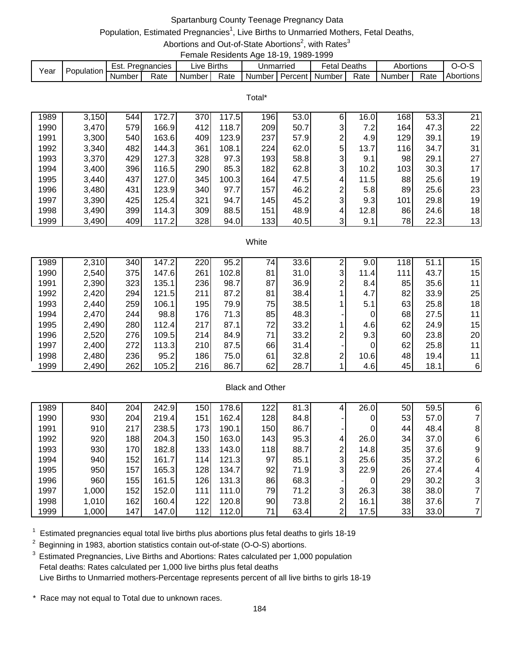## Spartanburg County Teenage Pregnancy Data

# Population, Estimated Pregnancies<sup>1</sup>, Live Births to Unmarried Mothers, Fetal Deaths,

Abortions and Out-of-State Abortions<sup>2</sup>, with Rates<sup>3</sup> Female Residents Age 18-19, 1989-1999

|      |            |        |             |          | ------------------------- |               |           |        |        |           |      |           |
|------|------------|--------|-------------|----------|---------------------------|---------------|-----------|--------|--------|-----------|------|-----------|
| Year | Population | Est.   | Pregnancies | uve.     | <b>Births</b>             |               | Jnmarried | Fetal. | Deaths | Abortions |      | J-U-,     |
|      |            | Number | Rate        | Number I | Rate                      | <b>Number</b> | Percent I | Number | Rate   | Number    | Rate | Abortions |

Total\*

| 1989 | 3,150 | 544 | 172.7 | 370 | 117.5 | 196 | 53.0 | 6 | 16.0 | 168 | 53.3 | 21 |
|------|-------|-----|-------|-----|-------|-----|------|---|------|-----|------|----|
| 1990 | 3,470 | 579 | 166.9 | 412 | 118.7 | 209 | 50.7 | 3 | 7.2  | 164 | 47.3 | 22 |
| 1991 | 3,300 | 540 | 163.6 | 409 | 123.9 | 237 | 57.9 | 2 | 4.9  | 129 | 39.1 | 19 |
| 1992 | 3,340 | 482 | 144.3 | 361 | 108.1 | 224 | 62.0 | 5 | 13.7 | 116 | 34.7 | 31 |
| 1993 | 3,370 | 429 | 127.3 | 328 | 97.3  | 193 | 58.8 | 3 | 9.1  | 98  | 29.1 | 27 |
| 1994 | 3,400 | 396 | 116.5 | 290 | 85.3  | 182 | 62.8 | 3 | 10.2 | 103 | 30.3 | 17 |
| 1995 | 3,440 | 437 | 127.0 | 345 | 100.3 | 164 | 47.5 | 4 | 11.5 | 88  | 25.6 | 19 |
| 1996 | 3,480 | 431 | 123.9 | 340 | 97.7  | 157 | 46.2 | 2 | 5.8  | 89  | 25.6 | 23 |
| 1997 | 3,390 | 425 | 125.4 | 321 | 94.7  | 145 | 45.2 | 3 | 9.3  | 101 | 29.8 | 19 |
| 1998 | 3,490 | 399 | 114.3 | 309 | 88.5  | 151 | 48.9 | 4 | 12.8 | 86  | 24.6 | 18 |
| 1999 | 3,490 | 409 | 117.2 | 328 | 94.0  | 133 | 40.5 | 3 | 9.1  | 78  | 22.3 | 13 |

#### **White**

| 1989 | 2,310 | 340 | 147.2 | 220 | 95.2  | 74 | 33.6 |   | 9.0  | 118 | 51.1 | 15 |
|------|-------|-----|-------|-----|-------|----|------|---|------|-----|------|----|
| 1990 | 2,540 | 375 | 147.6 | 261 | 102.8 | 81 | 31.0 | 3 | 11.4 | 111 | 43.7 | 15 |
| 1991 | 2,390 | 323 | 135.1 | 236 | 98.7  | 87 | 36.9 | 2 | 8.4  | 85  | 35.6 | 11 |
| 1992 | 2,420 | 294 | 121.5 | 211 | 87.2  | 81 | 38.4 |   | 4.7  | 82  | 33.9 | 25 |
| 1993 | 2,440 | 259 | 106.1 | 195 | 79.9  | 75 | 38.5 |   | 5.1  | 63  | 25.8 | 18 |
| 1994 | 2,470 | 244 | 98.8  | 176 | 71.3  | 85 | 48.3 |   | 0    | 68  | 27.5 | 11 |
| 1995 | 2,490 | 280 | 112.4 | 217 | 87.1  | 72 | 33.2 |   | 4.6  | 62  | 24.9 | 15 |
| 1996 | 2,520 | 276 | 109.5 | 214 | 84.9  | 71 | 33.2 | 2 | 9.3  | 60  | 23.8 | 20 |
| 1997 | 2,400 | 272 | 113.3 | 210 | 87.5  | 66 | 31.4 |   | 0    | 62  | 25.8 | 11 |
| 1998 | 2,480 | 236 | 95.2  | 186 | 75.0  | 61 | 32.8 | 2 | 10.6 | 48  | 19.4 | 11 |
| 1999 | 2,490 | 262 | 105.2 | 216 | 86.7  | 62 | 28.7 |   | 4.6  | 45  | 18.1 | 6  |

### Black and Other

| 1989 | 840   | 204 | 242.9 | 150 <sub>1</sub> | 178.6 | 122        | 81.3 |              | 26.0 | 50 | 59.5 | 6              |
|------|-------|-----|-------|------------------|-------|------------|------|--------------|------|----|------|----------------|
| 1990 | 930   | 204 | 219.4 | 151              | 162.4 | 128        | 84.8 |              | 0    | 53 | 57.0 |                |
| 1991 | 910   | 217 | 238.5 | 173              | 190.1 | 150        | 86.7 |              | 0    | 44 | 48.4 | 8              |
| 1992 | 920   | 188 | 204.3 | 150              | 163.0 | 143        | 95.3 | 4            | 26.0 | 34 | 37.0 | 61             |
| 1993 | 930   | 170 | 182.8 | 133 <sub>1</sub> | 143.0 | <b>118</b> | 88.7 | 2            | 14.8 | 35 | 37.6 | 9 <sub>l</sub> |
| 1994 | 940   | 152 | 161.7 | 114              | 121.3 | 97         | 85.1 | $\mathbf{3}$ | 25.6 | 35 | 37.2 | 6              |
| 1995 | 950   | 157 | 165.3 | 128              | 134.7 | 92         | 71.9 | 3            | 22.9 | 26 | 27.4 | 4              |
| 1996 | 960   | 155 | 161.5 | 126              | 131.3 | 86         | 68.3 |              | 0    | 29 | 30.2 | 31             |
| 1997 | 1,000 | 152 | 152.0 | 111              | 111.0 | 79         | 71.2 | $\mathbf{3}$ | 26.3 | 38 | 38.0 |                |
| 1998 | 1,010 | 162 | 160.4 | 122              | 120.8 | 90         | 73.8 | 2            | 16.1 | 38 | 37.6 |                |
| 1999 | 1,000 | 147 | 147.0 | 112              | 112.0 | 71         | 63.4 | ⌒            | 17.5 | 33 | 33.0 |                |

 $1$  Estimated pregnancies equal total live births plus abortions plus fetal deaths to girls 18-19

 $2$  Beginning in 1983, abortion statistics contain out-of-state (O-O-S) abortions.

<sup>3</sup> Estimated Pregnancies, Live Births and Abortions: Rates calculated per 1,000 population Fetal deaths: Rates calculated per 1,000 live births plus fetal deaths Live Births to Unmarried mothers-Percentage represents percent of all live births to girls 18-19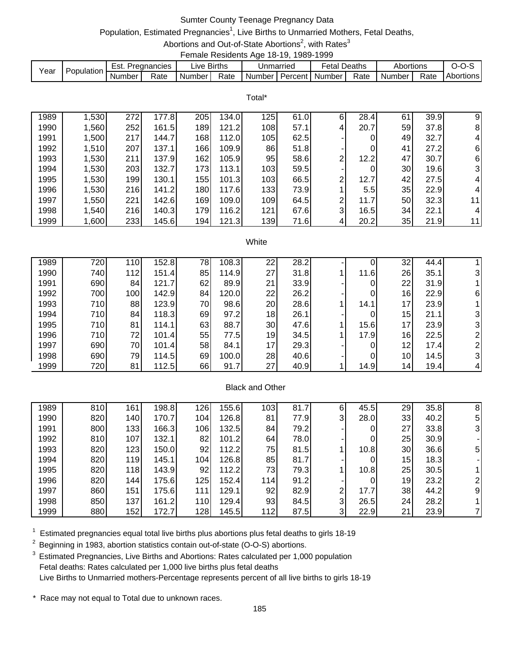# Sumter County Teenage Pregnancy Data

## Population, Estimated Pregnancies<sup>1</sup>, Live Births to Unmarried Mothers, Fetal Deaths,

Abortions and Out-of-State Abortions<sup>2</sup>, with Rates<sup>3</sup> Female Residents Age 18-19, 1989-1999

|      |            |        |             |                        | ------------------------ |           |         |                   |        |           |      |           |
|------|------------|--------|-------------|------------------------|--------------------------|-----------|---------|-------------------|--------|-----------|------|-----------|
| Year | Population | Est.   | Pregnancies | $\lrcorner$ ive Births |                          | Unmarried |         | <sup>∓</sup> etal | Deaths | Abortions |      |           |
|      |            | Number | Rate        | Number I               | Rate                     | Number I  | Percent | Number            | Rate   | Number    | Rate | Abortions |

Total\*

| 1989 | 1,530 | 272 | 177.8 | 205              | 134.0 | 125 | 61.0 | 6            | 28.4 | 61 | 39.9 | 9              |
|------|-------|-----|-------|------------------|-------|-----|------|--------------|------|----|------|----------------|
| 1990 | 1,560 | 252 | 161.5 | 189              | 121.2 | 108 | 57.1 | 4            | 20.7 | 59 | 37.8 | 8              |
| 1991 | 1,500 | 217 | 144.7 | 168              | 112.0 | 105 | 62.5 |              |      | 49 | 32.7 | $\overline{4}$ |
| 1992 | 1,510 | 207 | 137.1 | 166              | 109.9 | 86  | 51.8 |              |      | 41 | 27.2 | 6              |
| 1993 | 1,530 | 211 | 137.9 | 162 <sub>1</sub> | 105.9 | 95  | 58.6 | ⌒            | 12.2 | 47 | 30.7 | 6              |
| 1994 | 1,530 | 203 | 132.7 | 173              | 113.1 | 103 | 59.5 |              |      | 30 | 19.6 | $\mathbf{3}$   |
| 1995 | 1,530 | 199 | 130.1 | 155              | 101.3 | 103 | 66.5 | ⌒            | 12.7 | 42 | 27.5 | 4              |
| 1996 | 1,530 | 216 | 141.2 | 180              | 117.6 | 133 | 73.9 |              | 5.5' | 35 | 22.9 | 4              |
| 1997 | 1,550 | 221 | 142.6 | 169              | 109.0 | 109 | 64.5 | ⌒            | 11.7 | 50 | 32.3 | 11             |
| 1998 | 1,540 | 216 | 140.3 | 179              | 116.2 | 121 | 67.6 | $\mathbf{3}$ | 16.5 | 34 | 22.1 | $\overline{4}$ |
| 1999 | 006,1 | 233 | 145.6 | 194              | 121.3 | 139 | 71.6 | 4            | 20.2 | 35 | 21.9 | 11             |

#### White

| 1989 | 7201             | 110 | 152.8 | 78I | 108.3 | 22 | 28.2 |      | 32              | 44.4 |    |
|------|------------------|-----|-------|-----|-------|----|------|------|-----------------|------|----|
| 1990 | 740              | 112 | 151.4 | 85  | 114.9 | 27 | 31.8 | 11.6 | 26              | 35.1 | 31 |
| 1991 | 690              | 84  | 121.7 | 62  | 89.9  | 21 | 33.9 |      | 22              | 31.9 |    |
| 1992 | 700 l            | 100 | 142.9 | 841 | 120.0 | 22 | 26.2 |      | 16              | 22.9 | 61 |
| 1993 | 710 <sub>I</sub> | 88  | 123.9 | 70  | 98.6  | 20 | 28.6 | 14.1 | 17              | 23.9 |    |
| 1994 | 710 <sub>I</sub> | 84  | 118.3 | 69  | 97.2  | 18 | 26.1 |      | 15              | 21.1 | 31 |
| 1995 | 710 <sub>l</sub> | 81  | 114.1 | 63  | 88.7  | 30 | 47.6 | 15.6 | 17              | 23.9 | 31 |
| 1996 | 710 <sub>I</sub> | 72  | 101.4 | 55  | 77.5  | 19 | 34.5 | 17.9 | 16              | 22.5 |    |
| 1997 | 690              | 70  | 101.4 | 58  | 84.1  | 17 | 29.3 |      | 12              | 17.4 |    |
| 1998 | 690              | 79  | 114.5 | 69  | 100.0 | 28 | 40.6 |      | 10 <sup>1</sup> | 14.5 | 31 |
| 1999 | 7201             | 81  | 112.5 | 66  | 91.7  | 27 | 40.9 | 14.9 | 14 <sub>1</sub> | 19.4 |    |

### Black and Other

| 1989 | 810 | 161 | 198.8 | 126 | 155.6 | 103 | 81.7 | 6 | 45.5 | 29 | 35.8 | 8              |
|------|-----|-----|-------|-----|-------|-----|------|---|------|----|------|----------------|
| 1990 | 820 | 140 | 170.7 | 104 | 126.8 | 81  | 77.9 | 3 | 28.0 | 33 | 40.2 | 5              |
| 1991 | 800 | 133 | 166.3 | 106 | 132.5 | 84  | 79.2 |   | 0    | 27 | 33.8 | 31             |
| 1992 | 810 | 107 | 132.1 | 82  | 101.2 | 64  | 78.0 |   | 0    | 25 | 30.9 |                |
| 1993 | 820 | 123 | 150.0 | 92  | 112.2 | 75  | 81.5 |   | 10.8 | 30 | 36.6 | 5 <sub>l</sub> |
| 1994 | 820 | 119 | 145.1 | 104 | 126.8 | 85  | 81.7 |   | 0    | 15 | 18.3 |                |
| 1995 | 820 | 118 | 143.9 | 92  | 112.2 | 73  | 79.3 |   | 10.8 | 25 | 30.5 |                |
| 1996 | 820 | 144 | 175.6 | 125 | 152.4 | 114 | 91.2 |   | 0    | 19 | 23.2 |                |
| 1997 | 860 | 151 | 175.6 | 111 | 129.1 | 92  | 82.9 | 2 | 17.7 | 38 | 44.2 | 9              |
| 1998 | 850 | 137 | 161.2 | 110 | 129.4 | 93  | 84.5 | 3 | 26.5 | 24 | 28.2 |                |
| 1999 | 880 | 152 | 172.7 | 128 | 145.5 | 112 | 87.5 | 3 | 22.9 | 21 | 23.9 |                |

 $1$  Estimated pregnancies equal total live births plus abortions plus fetal deaths to girls 18-19

 $2$  Beginning in 1983, abortion statistics contain out-of-state (O-O-S) abortions.

<sup>3</sup> Estimated Pregnancies, Live Births and Abortions: Rates calculated per 1,000 population Fetal deaths: Rates calculated per 1,000 live births plus fetal deaths Live Births to Unmarried mothers-Percentage represents percent of all live births to girls 18-19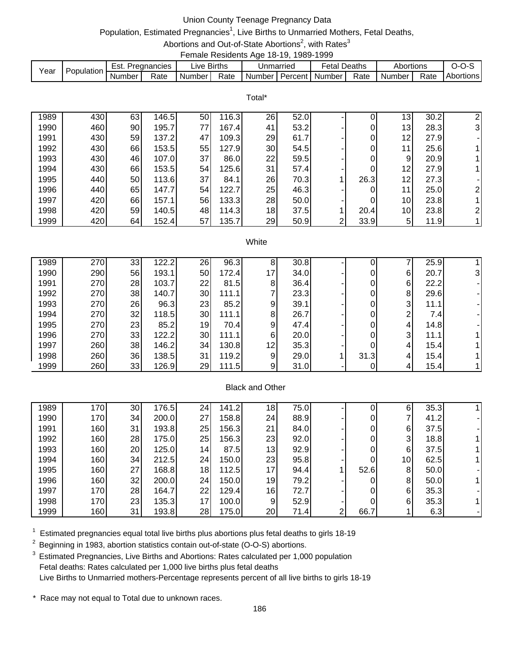# Union County Teenage Pregnancy Data

## Population, Estimated Pregnancies<sup>1</sup>, Live Births to Unmarried Mothers, Fetal Deaths,

#### Abortions and Out-of-State Abortions<sup>2</sup>, with Rates<sup>3</sup> Female Residents Age 18-19, 1989-1999

|      |            |        |             |                     |      |           | .                           |      |           |      |           |
|------|------------|--------|-------------|---------------------|------|-----------|-----------------------------|------|-----------|------|-----------|
| Year | Population | Est.   | Pregnancies | Live Births         |      | Jnmarried | <b>Fetal Deaths</b>         |      | Abortions |      | $O-O$     |
|      |            | Number | Rate        | Number <sup>1</sup> | Rate |           | Number I Percent I Number I | Rate | Number    | Rate | Abortions |

|      | Total* |    |       |    |       |    |      |                |      |                 |      |                |  |  |  |
|------|--------|----|-------|----|-------|----|------|----------------|------|-----------------|------|----------------|--|--|--|
| 1989 | 430    | 63 | 146.5 | 50 | 116.3 | 26 | 52.0 |                |      | 13              | 30.2 | 2              |  |  |  |
| 1990 | 460    | 90 | 195.7 | 77 | 167.4 | 41 | 53.2 |                | 0    | 13              | 28.3 | $\mathbf{3}$   |  |  |  |
| 1991 | 430    | 59 | 137.2 | 47 | 109.3 | 29 | 61.7 |                | 0    | 12              | 27.9 |                |  |  |  |
| 1992 | 430    | 66 | 153.5 | 55 | 127.9 | 30 | 54.5 |                | 0    | 11              | 25.6 |                |  |  |  |
| 1993 | 430    | 46 | 107.0 | 37 | 86.0  | 22 | 59.5 |                | 0    | 9               | 20.9 |                |  |  |  |
| 1994 | 430    | 66 | 153.5 | 54 | 125.6 | 31 | 57.4 |                | 0    | 12              | 27.9 |                |  |  |  |
| 1995 | 440    | 50 | 113.6 | 37 | 84.1  | 26 | 70.3 |                | 26.3 | 12              | 27.3 |                |  |  |  |
| 1996 | 440    | 65 | 147.7 | 54 | 122.7 | 25 | 46.3 |                | 0    | 11              | 25.0 | $\overline{2}$ |  |  |  |
| 1997 | 420    | 66 | 157.1 | 56 | 133.3 | 28 | 50.0 |                | 0    | 10 <sub>l</sub> | 23.8 |                |  |  |  |
| 1998 | 420    | 59 | 140.5 | 48 | 114.3 | 18 | 37.5 |                | 20.4 | 10 <sup>1</sup> | 23.8 | 21             |  |  |  |
| 1999 | 420    | 64 | 152.4 | 57 | 135.7 | 29 | 50.9 | 2 <sub>1</sub> | 33.9 | 5               | 11.9 |                |  |  |  |

#### **White**

| 1989 | 270 | 33 | 122.2 | 26 | 96.3  | 8               | 30.8 |      |   | 25.9 |    |
|------|-----|----|-------|----|-------|-----------------|------|------|---|------|----|
| 1990 | 290 | 56 | 193.1 | 50 | 172.4 | 17              | 34.0 |      | 6 | 20.7 | 31 |
| 1991 | 270 | 28 | 103.7 | 22 | 81.5  | 8               | 36.4 |      | 6 | 22.2 |    |
| 1992 | 270 | 38 | 140.7 | 30 | 111.1 |                 | 23.3 |      | 8 | 29.6 |    |
| 1993 | 270 | 26 | 96.3  | 23 | 85.2  | 9               | 39.1 |      | 3 | 11.1 |    |
| 1994 | 270 | 32 | 118.5 | 30 | 111.1 | 8               | 26.7 |      | ⌒ | 7.4  |    |
| 1995 | 270 | 23 | 85.2  | 19 | 70.4  | 9               | 47.4 |      | 4 | 14.8 |    |
| 1996 | 270 | 33 | 122.2 | 30 | 111.1 | 6               | 20.0 |      | 3 | 11.1 |    |
| 1997 | 260 | 38 | 146.2 | 34 | 130.8 | 12 <sub>1</sub> | 35.3 |      | 4 | 15.4 |    |
| 1998 | 260 | 36 | 138.5 | 31 | 119.2 | 9               | 29.0 | 31.3 | 4 | 15.4 |    |
| 1999 | 260 | 33 | 126.9 | 29 | 111.5 | 9 <sub>l</sub>  | 31.0 |      | 4 | 15.4 |    |

### Black and Other

| 1989 | 170 | 30 | 176.5 | 24 | 141.2 | 18              | 75.0 |   |      | 6  | 35.3 |  |
|------|-----|----|-------|----|-------|-----------------|------|---|------|----|------|--|
| 1990 | 170 | 34 | 200.0 | 27 | 158.8 | 24 <sub>l</sub> | 88.9 |   |      |    | 41.2 |  |
| 1991 | 160 | 31 | 193.8 | 25 | 156.3 | 21              | 84.0 |   |      | 6  | 37.5 |  |
| 1992 | 160 | 28 | 175.0 | 25 | 156.3 | 23              | 92.0 |   |      | 3  | 18.8 |  |
| 1993 | 160 | 20 | 125.0 | 14 | 87.5  | 13              | 92.9 |   |      | 6  | 37.5 |  |
| 1994 | 160 | 34 | 212.5 | 24 | 150.0 | 23              | 95.8 |   |      | 10 | 62.5 |  |
| 1995 | 160 | 27 | 168.8 | 18 | 112.5 | 17              | 94.4 |   | 52.6 | 8  | 50.0 |  |
| 1996 | 160 | 32 | 200.0 | 24 | 150.0 | 19              | 79.2 |   |      | 8  | 50.0 |  |
| 1997 | 170 | 28 | 164.7 | 22 | 129.4 | 16              | 72.7 |   |      | 6  | 35.3 |  |
| 1998 | 170 | 23 | 135.3 | 17 | 100.0 | 9               | 52.9 |   |      | 6  | 35.3 |  |
| 1999 | 160 | 31 | 193.8 | 28 | 175.0 | 20              | 71.4 | ົ | 66.7 |    | 6.3  |  |

 $1$  Estimated pregnancies equal total live births plus abortions plus fetal deaths to girls 18-19

 $2$  Beginning in 1983, abortion statistics contain out-of-state (O-O-S) abortions.

<sup>3</sup> Estimated Pregnancies, Live Births and Abortions: Rates calculated per 1,000 population Fetal deaths: Rates calculated per 1,000 live births plus fetal deaths Live Births to Unmarried mothers-Percentage represents percent of all live births to girls 18-19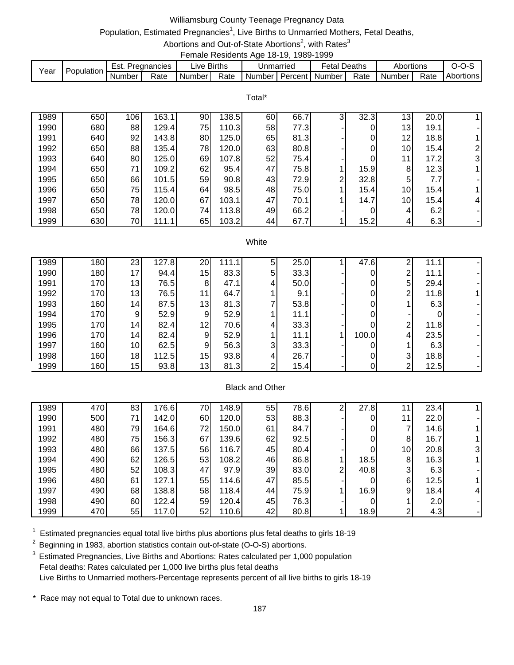## Williamsburg County Teenage Pregnancy Data

# Population, Estimated Pregnancies<sup>1</sup>, Live Births to Unmarried Mothers, Fetal Deaths,

Abortions and Out-of-State Abortions<sup>2</sup>, with Rates<sup>3</sup> Female Residents Age 18-19, 1989-1999

| Year | Population | Pregnancies<br>Est. |      | ive Births. |      | Jnmarried |           | Deaths<br>Fetal |      | Abortions |      | J-U-J     |
|------|------------|---------------------|------|-------------|------|-----------|-----------|-----------------|------|-----------|------|-----------|
|      |            | Number              | Rate | Number.     | Rate | Number    | Percent I | Number          | Rate | Number    | Rate | Abortions |

|      | Total* |     |       |    |       |    |      |                |      |    |      |               |
|------|--------|-----|-------|----|-------|----|------|----------------|------|----|------|---------------|
| 1989 | 650    | 106 | 163.1 | 90 | 138.5 | 60 | 66.7 | 3 <sub>l</sub> | 32.3 | 13 | 20.0 |               |
| 1990 | 680    | 88  | 129.4 | 75 | 110.3 | 58 | 77.3 |                |      | 13 | 19.1 |               |
| 1991 | 640    | 92  | 143.8 | 80 | 125.0 | 65 | 81.3 |                |      | 12 | 18.8 |               |
| 1992 | 650    | 88  | 135.4 | 78 | 120.0 | 63 | 80.8 |                | 0    | 10 | 15.4 | 2             |
| 1993 | 640    | 80  | 125.0 | 69 | 107.8 | 52 | 75.4 |                |      | 11 | 17.2 | $\mathbf{3}$  |
| 1994 | 650    | 71  | 109.2 | 62 | 95.4  | 47 | 75.8 |                | 15.9 | 8  | 12.3 |               |
| 1995 | 650    | 66  | 101.5 | 59 | 90.8  | 43 | 72.9 | 2              | 32.8 | 5  | 7.7  |               |
| 1996 | 650    | 75  | 115.4 | 64 | 98.5  | 48 | 75.0 |                | 15.4 | 10 | 15.4 |               |
| 1997 | 650    | 78  | 120.0 | 67 | 103.1 | 47 | 70.1 |                | 14.7 | 10 | 15.4 | $\frac{4}{ }$ |
| 1998 | 650    | 78  | 120.0 | 74 | 113.8 | 49 | 66.2 |                |      | 4  | 6.2  |               |
| 1999 | 630    | 70  | 111.1 | 65 | 103.2 | 44 | 67.7 |                | 15.2 | 4  | 6.3  |               |

#### **White**

| 1989 | 180              | 23              | 127.8 | 20             | 111.1 | 5 | 25.0 | 47.6  | ົ | 11.1 |  |
|------|------------------|-----------------|-------|----------------|-------|---|------|-------|---|------|--|
| 1990 | 180 <sup>1</sup> | 17 <sub>l</sub> | 94.4  | 15             | 83.3  | 5 | 33.3 |       | ົ | 11.1 |  |
| 1991 | 170              | 13              | 76.5  | 81             | 47.1  | 4 | 50.0 |       | 5 | 29.4 |  |
| 1992 | 170 <sup> </sup> | 13              | 76.5  | 111            | 64.7  |   | 9.1  |       | ົ | 11.8 |  |
| 1993 | 160              | 14              | 87.5  | 13             | 81.3  |   | 53.8 |       |   | 6.3  |  |
| 1994 | 170I             | 9               | 52.9  | 9 <sub>l</sub> | 52.9  |   | 11.1 |       |   |      |  |
| 1995 | 170 <sup> </sup> | 14              | 82.4  | 12             | 70.6  | 4 | 33.3 |       | ົ | 11.8 |  |
| 1996 | 170 <sup> </sup> | 14              | 82.4  | 9              | 52.9  |   | 11.1 | 100.0 | 4 | 23.5 |  |
| 1997 | 160              | 10 <sup>1</sup> | 62.5  | 9              | 56.3  | 3 | 33.3 |       |   | 6.3  |  |
| 1998 | 160              | 18              | 112.5 | 15             | 93.8  | 4 | 26.7 |       | 3 | 18.8 |  |
| 1999 | 160              | 15              | 93.8  | 13             | 81.3  | ົ | 15.4 |       | ົ | 12.5 |  |

### Black and Other

| 1989 | 470 | 83 | 176.6 | 70 | 148.9 | 55 | 78.6 | ົ              | 27.8 |                 | 23.4 |    |
|------|-----|----|-------|----|-------|----|------|----------------|------|-----------------|------|----|
| 1990 | 500 | 71 | 142.0 | 60 | 120.0 | 53 | 88.3 |                |      | -1              | 22.0 |    |
| 1991 | 480 | 79 | 164.6 | 72 | 150.0 | 61 | 84.7 |                | 0    |                 | 14.6 |    |
| 1992 | 480 | 75 | 156.3 | 67 | 139.6 | 62 | 92.5 |                | 0    | 8               | 16.7 |    |
| 1993 | 480 | 66 | 137.5 | 56 | 116.7 | 45 | 80.4 |                | 0    | 10 <sup>1</sup> | 20.8 | ЗI |
| 1994 | 490 | 62 | 126.5 | 53 | 108.2 | 46 | 86.8 |                | 18.5 | 8               | 16.3 |    |
| 1995 | 480 | 52 | 108.3 | 47 | 97.9  | 39 | 83.0 | $\overline{2}$ | 40.8 | 3               | 6.3  |    |
| 1996 | 480 | 61 | 127.1 | 55 | 114.6 | 47 | 85.5 |                |      | 6               | 12.5 |    |
| 1997 | 490 | 68 | 138.8 | 58 | 118.4 | 44 | 75.9 |                | 16.9 | 9               | 18.4 | 41 |
| 1998 | 490 | 60 | 122.4 | 59 | 120.4 | 45 | 76.3 |                |      |                 | 2.0  |    |
| 1999 | 470 | 55 | 117.0 | 52 | 110.6 | 42 | 80.8 |                | 18.9 | ⌒               | 4.3  |    |

 $1$  Estimated pregnancies equal total live births plus abortions plus fetal deaths to girls 18-19

 $2$  Beginning in 1983, abortion statistics contain out-of-state (O-O-S) abortions.

<sup>3</sup> Estimated Pregnancies, Live Births and Abortions: Rates calculated per 1,000 population Fetal deaths: Rates calculated per 1,000 live births plus fetal deaths Live Births to Unmarried mothers-Percentage represents percent of all live births to girls 18-19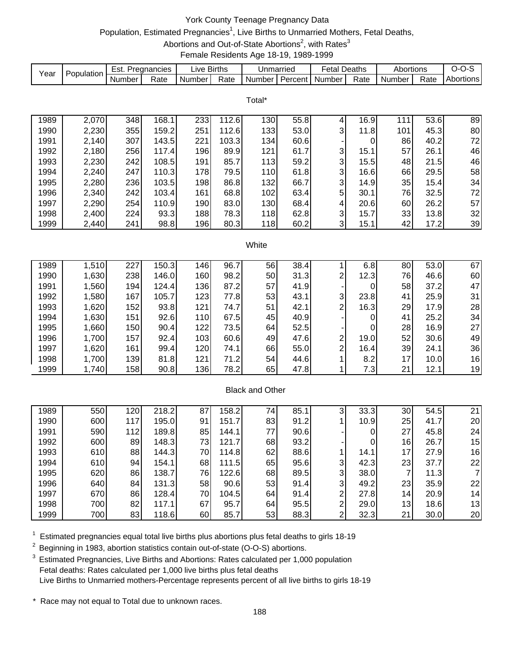# York County Teenage Pregnancy Data Population, Estimated Pregnancies<sup>1</sup>, Live Births to Unmarried Mothers, Fetal Deaths, Abortions and Out-of-State Abortions<sup>2</sup>, with Rates<sup>3</sup> Female Residents Age 18-19, 1989-1999

| Year | Population | Est. Pregnancies |       | Live Births |       | Unmarried              |                   | <b>Fetal Deaths</b>     |                | Abortions      |      | $O-O-S$        |
|------|------------|------------------|-------|-------------|-------|------------------------|-------------------|-------------------------|----------------|----------------|------|----------------|
|      |            | Number           | Rate  | Number      | Rate  | Number                 | Percent           | Number                  | Rate           | Number         | Rate | Abortions      |
|      |            |                  |       |             |       |                        |                   |                         |                |                |      |                |
|      |            |                  |       |             |       | Total*                 |                   |                         |                |                |      |                |
| 1989 | 2,070      | 348              | 168.1 | 233         | 112.6 | 130                    | $\overline{55.8}$ | 4                       | 16.9           | 111            | 53.6 | 89             |
| 1990 | 2,230      | 355              | 159.2 | 251         | 112.6 | 133                    | 53.0              | 3                       | 11.8           | 101            | 45.3 | 80             |
| 1991 | 2,140      | 307              | 143.5 | 221         | 103.3 | 134                    | 60.6              |                         | 0              | 86             | 40.2 | 72             |
| 1992 | 2,180      | 256              | 117.4 | 196         | 89.9  | 121                    | 61.7              | 3                       | 15.1           | 57             | 26.1 | 46             |
| 1993 | 2,230      | 242              | 108.5 | 191         | 85.7  | 113                    | 59.2              | 3                       | 15.5           | 48             | 21.5 | 46             |
| 1994 | 2,240      | 247              | 110.3 | 178         | 79.5  | 110                    | 61.8              | 3                       | 16.6           | 66             | 29.5 | 58             |
| 1995 | 2,280      | 236              | 103.5 | 198         | 86.8  | 132                    | 66.7              | 3                       | 14.9           | 35             | 15.4 | 34             |
| 1996 | 2,340      | 242              | 103.4 | 161         | 68.8  | 102                    | 63.4              | 5                       | 30.1           | 76             | 32.5 | 72             |
| 1997 | 2,290      | 254              | 110.9 | 190         | 83.0  | 130                    | 68.4              | 4                       | 20.6           | 60             | 26.2 | 57             |
| 1998 | 2,400      | 224              | 93.3  | 188         | 78.3  | 118                    | 62.8              | 3                       | 15.7           | 33             | 13.8 | 32             |
| 1999 | 2,440      | 241              | 98.8  | 196         | 80.3  | 118                    | 60.2              | 3                       | 15.1           | 42             | 17.2 | 39             |
|      |            |                  |       |             |       |                        |                   |                         |                |                |      |                |
|      |            |                  |       |             |       | White                  |                   |                         |                |                |      |                |
|      |            |                  |       |             |       |                        |                   |                         |                |                |      |                |
| 1989 | 1,510      | 227              | 150.3 | 146         | 96.7  | 56                     | 38.4              | 1                       | 6.8            | 80             | 53.0 | 67             |
| 1990 | 1,630      | 238              | 146.0 | 160         | 98.2  | 50                     | 31.3              | $\overline{\mathbf{c}}$ | 12.3           | 76             | 46.6 | 60             |
| 1991 | 1,560      | 194              | 124.4 | 136         | 87.2  | 57                     | 41.9              |                         | 0              | 58             | 37.2 | 47             |
| 1992 | 1,580      | 167              | 105.7 | 123         | 77.8  | 53                     | 43.1              | 3                       | 23.8           | 41             | 25.9 | 31             |
| 1993 | 1,620      | 152              | 93.8  | 121         | 74.7  | 51                     | 42.1              | $\overline{c}$          | 16.3           | 29             | 17.9 | 28             |
| 1994 | 1,630      | 151              | 92.6  | 110         | 67.5  | 45                     | 40.9              |                         | $\pmb{0}$      | 41             | 25.2 | 34             |
| 1995 | 1,660      | 150              | 90.4  | 122         | 73.5  | 64                     | 52.5              |                         | 0              | 28             | 16.9 | 27             |
| 1996 | 1,700      | 157              | 92.4  | 103         | 60.6  | 49                     | 47.6              | $\overline{\mathbf{c}}$ | 19.0           | 52             | 30.6 | 49             |
| 1997 | 1,620      | 161              | 99.4  | 120         | 74.1  | 66                     | 55.0              | $\overline{c}$          | 16.4           | 39             | 24.1 | 36             |
| 1998 | 1,700      | 139              | 81.8  | 121         | 71.2  | 54                     | 44.6              | 1                       | 8.2            | 17             | 10.0 | 16             |
| 1999 | 1,740      | 158              | 90.8  | 136         | 78.2  | 65                     | 47.8              | 1                       | 7.3            | 21             | 12.1 | 19             |
|      |            |                  |       |             |       |                        |                   |                         |                |                |      |                |
|      |            |                  |       |             |       | <b>Black and Other</b> |                   |                         |                |                |      |                |
|      |            |                  |       |             |       |                        |                   |                         |                |                |      |                |
| 1989 | 550        | 120              | 218.2 | 87          | 158.2 | 74                     | 85.1              | 3                       | 33.3           | 30             | 54.5 | 21             |
| 1990 | 600        | 117              | 195.0 | 91          | 151.7 | 83                     | 91.2              | 1                       | 10.9           | 25             | 41.7 | 20             |
| 1991 | 590        | 112              | 189.8 | 85          | 144.1 | 77                     | 90.6              |                         | 0              | 27             | 45.8 | 24             |
| 1992 | 600        | 89               | 148.3 | 73          | 121.7 | 68                     | 93.2              |                         | $\overline{0}$ | 16             | 26.7 | 15             |
| 1993 | 610        | 88               | 144.3 | 70          | 114.8 | 62                     | 88.6              | $\mathbf{1}$            | 14.1           | 17             | 27.9 | 16             |
| 1994 | 610        | 94               | 154.1 | 68          | 111.5 | 65                     | 95.6              | 3                       | 42.3           | 23             | 37.7 | 22             |
| 1995 | 620        | 86               | 138.7 | 76          | 122.6 | 68                     | 89.5              | 3                       | 38.0           | $\overline{7}$ | 11.3 | $\overline{7}$ |
| 1996 | 640        | 84               | 131.3 | 58          | 90.6  | 53                     | 91.4              | 3                       | 49.2           | 23             | 35.9 | 22             |
| 1997 | 670        | 86               | 128.4 | 70          | 104.5 | 64                     | 91.4              | $\overline{\mathbf{c}}$ | 27.8           | 14             | 20.9 | 14             |
| 1998 | 700        | 82               | 117.1 | 67          | 95.7  | 64                     | 95.5              | $\overline{c}$          | 29.0           | 13             | 18.6 | 13             |
| 1999 | 700        | 83               | 118.6 | 60          | 85.7  | 53                     | 88.3              | $\overline{2}$          | 32.3           | 21             | 30.0 | 20             |

 $1$  Estimated pregnancies equal total live births plus abortions plus fetal deaths to girls 18-19

<sup>2</sup> Beginning in 1983, abortion statistics contain out-of-state (O-O-S) abortions.

<sup>3</sup> Estimated Pregnancies, Live Births and Abortions: Rates calculated per 1,000 population Fetal deaths: Rates calculated per 1,000 live births plus fetal deaths Live Births to Unmarried mothers-Percentage represents percent of all live births to girls 18-19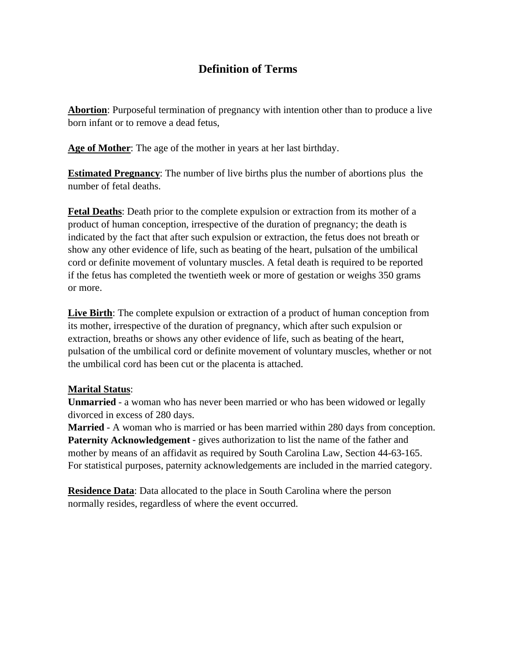# **Definition of Terms**

**Abortion**: Purposeful termination of pregnancy with intention other than to produce a live born infant or to remove a dead fetus,

**Age of Mother**: The age of the mother in years at her last birthday.

**Estimated Pregnancy**: The number of live births plus the number of abortions plus the number of fetal deaths.

**Fetal Deaths**: Death prior to the complete expulsion or extraction from its mother of a product of human conception, irrespective of the duration of pregnancy; the death is indicated by the fact that after such expulsion or extraction, the fetus does not breath or show any other evidence of life, such as beating of the heart, pulsation of the umbilical cord or definite movement of voluntary muscles. A fetal death is required to be reported if the fetus has completed the twentieth week or more of gestation or weighs 350 grams or more.

**Live Birth**: The complete expulsion or extraction of a product of human conception from its mother, irrespective of the duration of pregnancy, which after such expulsion or extraction, breaths or shows any other evidence of life, such as beating of the heart, pulsation of the umbilical cord or definite movement of voluntary muscles, whether or not the umbilical cord has been cut or the placenta is attached.

# **Marital Status**:

**Unmarried** - a woman who has never been married or who has been widowed or legally divorced in excess of 280 days.

**Married** - A woman who is married or has been married within 280 days from conception. **Paternity Acknowledgement** - gives authorization to list the name of the father and mother by means of an affidavit as required by South Carolina Law, Section 44-63-165. For statistical purposes, paternity acknowledgements are included in the married category.

**Residence Data**: Data allocated to the place in South Carolina where the person normally resides, regardless of where the event occurred.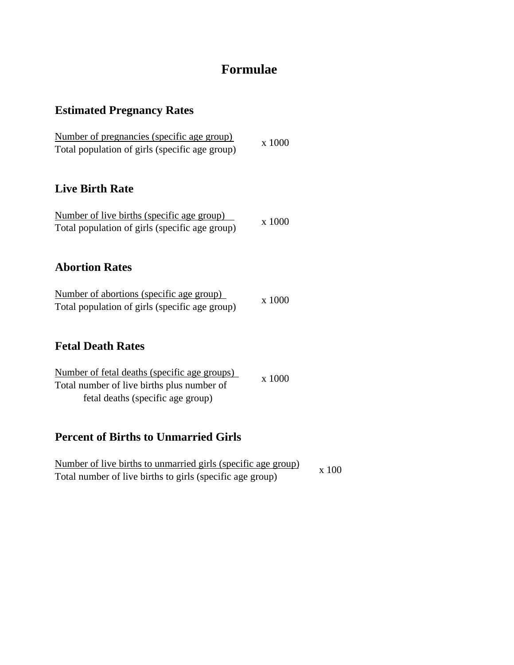# **Formulae**

# **Estimated Pregnancy Rates**

| Number of pregnancies (specific age group)     | x 1000 |
|------------------------------------------------|--------|
| Total population of girls (specific age group) |        |

# **Live Birth Rate**

| Number of live births (specific age group)     |        |
|------------------------------------------------|--------|
| Total population of girls (specific age group) | x 1000 |

# **Abortion Rates**

| Number of abortions (specific age group)       | x 1000 |
|------------------------------------------------|--------|
| Total population of girls (specific age group) |        |

# **Fetal Death Rates**

| Number of fetal deaths (specific age groups) |        |
|----------------------------------------------|--------|
| Total number of live births plus number of   | x 1000 |
| fetal deaths (specific age group)            |        |

# **Percent of Births to Unmarried Girls**

| Number of live births to unmarried girls (specific age group) |       |
|---------------------------------------------------------------|-------|
| Total number of live births to girls (specific age group)     | x 100 |